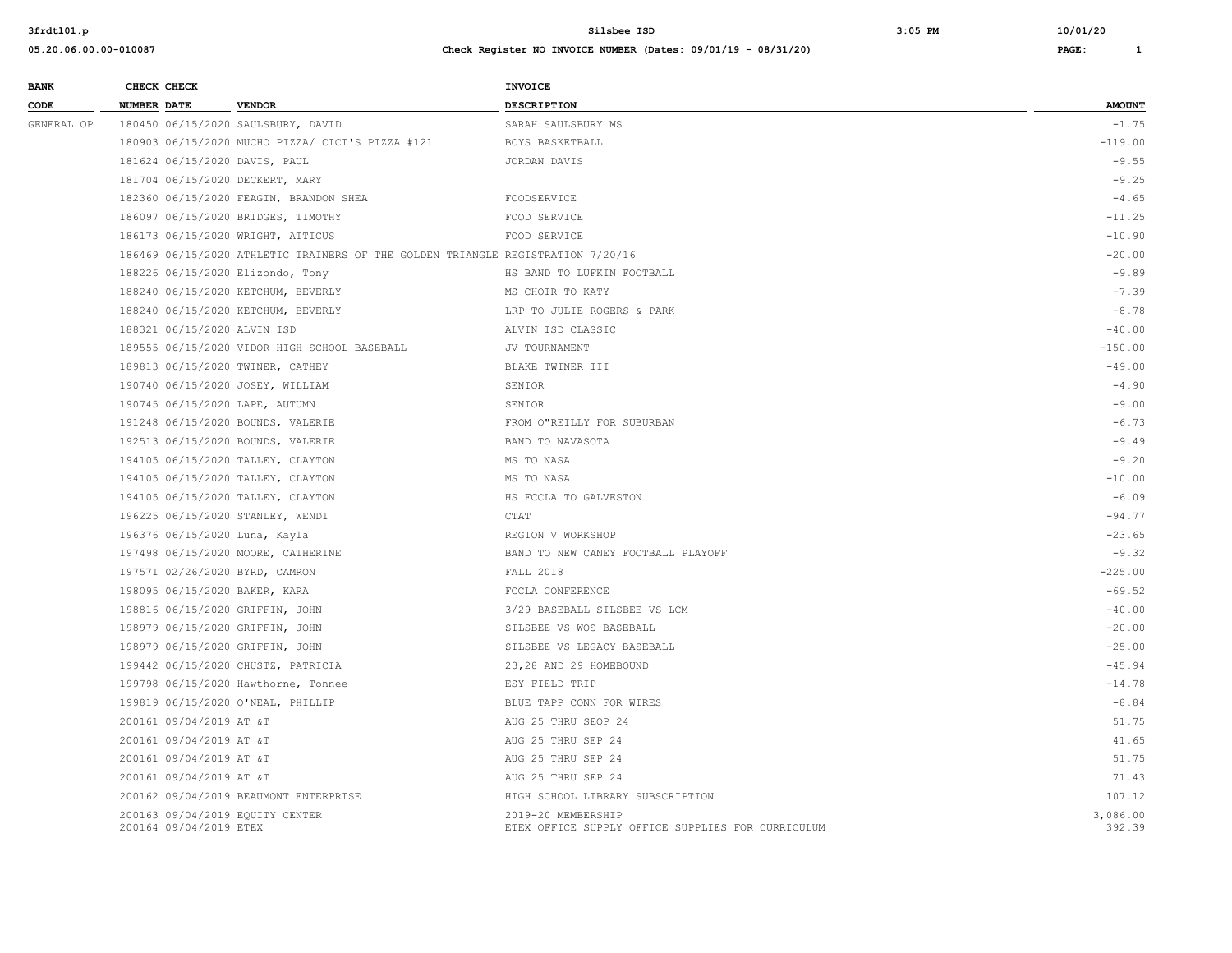| <b>BANK</b> | CHECK CHECK                                               |                                                                                 | <b>INVOICE</b>                                                          |                    |
|-------------|-----------------------------------------------------------|---------------------------------------------------------------------------------|-------------------------------------------------------------------------|--------------------|
| CODE        | <b>NUMBER DATE</b>                                        | <b>VENDOR</b>                                                                   | DESCRIPTION                                                             | <b>AMOUNT</b>      |
| GENERAL OP  |                                                           | 180450 06/15/2020 SAULSBURY, DAVID                                              | SARAH SAULSBURY MS                                                      | $-1.75$            |
|             |                                                           | 180903 06/15/2020 MUCHO PIZZA/ CICI'S PIZZA #121                                | BOYS BASKETBALL                                                         | $-119.00$          |
|             | 181624 06/15/2020 DAVIS, PAUL                             |                                                                                 | JORDAN DAVIS                                                            | $-9.55$            |
|             | 181704 06/15/2020 DECKERT, MARY                           |                                                                                 |                                                                         | $-9.25$            |
|             |                                                           | 182360 06/15/2020 FEAGIN, BRANDON SHEA                                          | FOODSERVICE                                                             | $-4.65$            |
|             |                                                           | 186097 06/15/2020 BRIDGES, TIMOTHY                                              | FOOD SERVICE                                                            | $-11.25$           |
|             |                                                           | 186173 06/15/2020 WRIGHT, ATTICUS                                               | FOOD SERVICE                                                            | $-10.90$           |
|             |                                                           | 186469 06/15/2020 ATHLETIC TRAINERS OF THE GOLDEN TRIANGLE REGISTRATION 7/20/16 |                                                                         | $-20.00$           |
|             | 188226 06/15/2020 Elizondo, Tony                          |                                                                                 | HS BAND TO LUFKIN FOOTBALL                                              | $-9.89$            |
|             |                                                           | 188240 06/15/2020 KETCHUM, BEVERLY                                              | MS CHOIR TO KATY                                                        | $-7.39$            |
|             |                                                           | 188240 06/15/2020 KETCHUM, BEVERLY                                              | LRP TO JULIE ROGERS & PARK                                              | $-8.78$            |
|             | 188321 06/15/2020 ALVIN ISD                               |                                                                                 | ALVIN ISD CLASSIC                                                       | $-40.00$           |
|             |                                                           | 189555 06/15/2020 VIDOR HIGH SCHOOL BASEBALL                                    | JV TOURNAMENT                                                           | $-150.00$          |
|             | 189813 06/15/2020 TWINER, CATHEY                          |                                                                                 | BLAKE TWINER III                                                        | $-49.00$           |
|             | 190740 06/15/2020 JOSEY, WILLIAM                          |                                                                                 | SENIOR                                                                  | $-4.90$            |
|             | 190745 06/15/2020 LAPE, AUTUMN                            |                                                                                 | SENIOR                                                                  | $-9.00$            |
|             |                                                           | 191248 06/15/2020 BOUNDS, VALERIE                                               | FROM O"REILLY FOR SUBURBAN                                              | $-6.73$            |
|             |                                                           | 192513 06/15/2020 BOUNDS, VALERIE                                               | BAND TO NAVASOTA                                                        | $-9.49$            |
|             |                                                           | 194105 06/15/2020 TALLEY, CLAYTON                                               | MS TO NASA                                                              | $-9.20$            |
|             |                                                           | 194105 06/15/2020 TALLEY, CLAYTON                                               | MS TO NASA                                                              | $-10.00$           |
|             |                                                           | 194105 06/15/2020 TALLEY, CLAYTON                                               | HS FCCLA TO GALVESTON                                                   | $-6.09$            |
|             | 196225 06/15/2020 STANLEY, WENDI                          |                                                                                 | CTAT                                                                    | $-94.77$           |
|             | 196376 06/15/2020 Luna, Kayla                             |                                                                                 | REGION V WORKSHOP                                                       | $-23.65$           |
|             |                                                           | 197498 06/15/2020 MOORE, CATHERINE                                              | BAND TO NEW CANEY FOOTBALL PLAYOFF                                      | $-9.32$            |
|             | 197571 02/26/2020 BYRD, CAMRON                            |                                                                                 | FALL 2018                                                               | $-225.00$          |
|             | 198095 06/15/2020 BAKER, KARA                             |                                                                                 | FCCLA CONFERENCE                                                        | $-69.52$           |
|             | 198816 06/15/2020 GRIFFIN, JOHN                           |                                                                                 | 3/29 BASEBALL SILSBEE VS LCM                                            | $-40.00$           |
|             | 198979 06/15/2020 GRIFFIN, JOHN                           |                                                                                 | SILSBEE VS WOS BASEBALL                                                 | $-20.00$           |
|             | 198979 06/15/2020 GRIFFIN, JOHN                           |                                                                                 | SILSBEE VS LEGACY BASEBALL                                              | $-25.00$           |
|             |                                                           | 199442 06/15/2020 CHUSTZ, PATRICIA                                              | 23,28 AND 29 HOMEBOUND                                                  | $-45.94$           |
|             |                                                           | 199798 06/15/2020 Hawthorne, Tonnee                                             | ESY FIELD TRIP                                                          | $-14.78$           |
|             |                                                           | 199819 06/15/2020 O'NEAL, PHILLIP                                               | BLUE TAPP CONN FOR WIRES                                                | $-8.84$            |
|             | 200161 09/04/2019 AT &T                                   |                                                                                 | AUG 25 THRU SEOP 24                                                     | 51.75              |
|             | 200161 09/04/2019 AT &T                                   |                                                                                 | AUG 25 THRU SEP 24                                                      | 41.65              |
|             | 200161 09/04/2019 AT &T                                   |                                                                                 | AUG 25 THRU SEP 24                                                      | 51.75              |
|             | 200161 09/04/2019 AT &T                                   |                                                                                 | AUG 25 THRU SEP 24                                                      | 71.43              |
|             |                                                           | 200162 09/04/2019 BEAUMONT ENTERPRISE                                           | HIGH SCHOOL LIBRARY SUBSCRIPTION                                        | 107.12             |
|             | 200163 09/04/2019 EQUITY CENTER<br>200164 09/04/2019 ETEX |                                                                                 | 2019-20 MEMBERSHIP<br>ETEX OFFICE SUPPLY OFFICE SUPPLIES FOR CURRICULUM | 3,086.00<br>392.39 |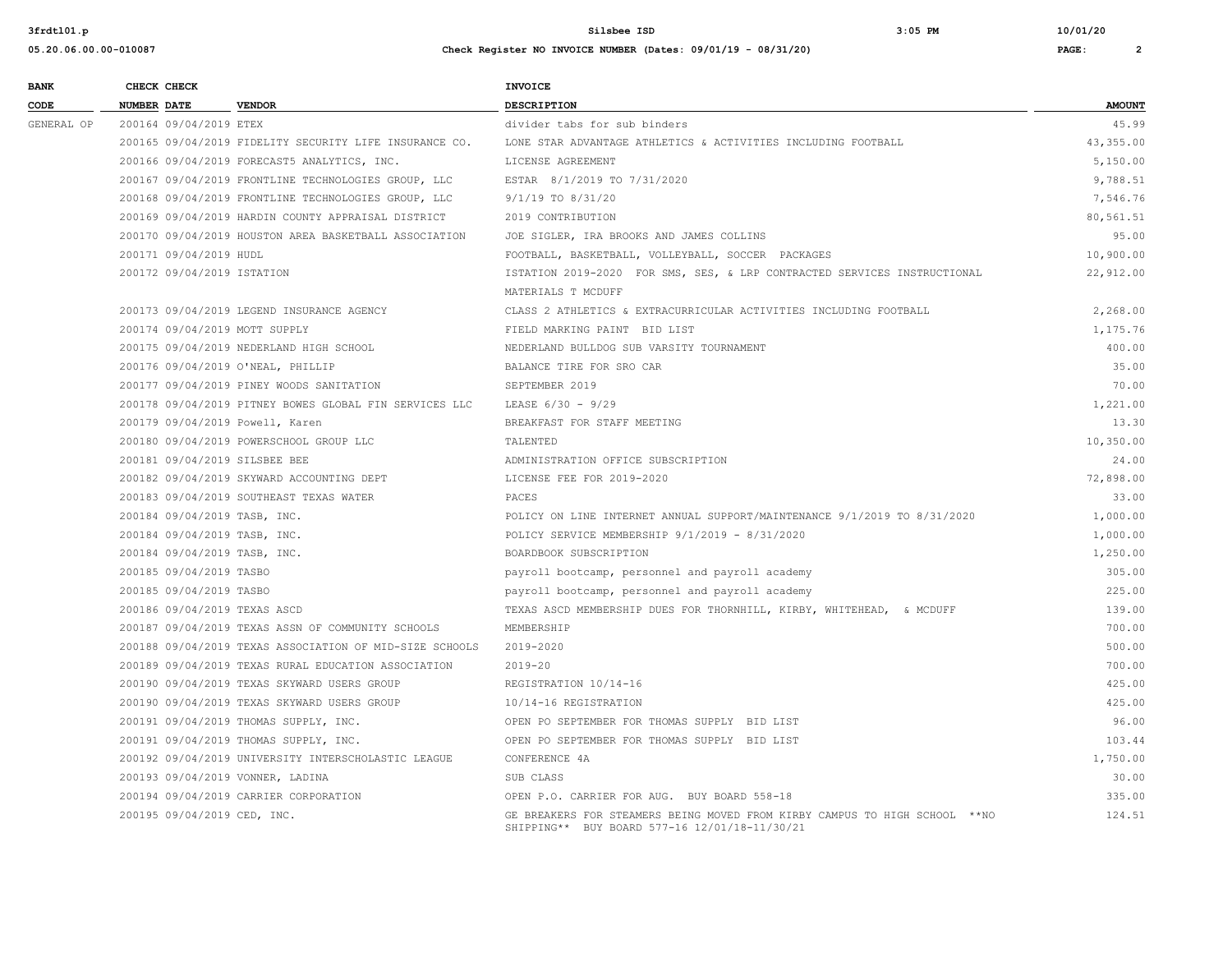| <b>BANK</b> | CHECK CHECK                       |                                                         | <b>INVOICE</b>                                                                                                              |               |
|-------------|-----------------------------------|---------------------------------------------------------|-----------------------------------------------------------------------------------------------------------------------------|---------------|
| CODE        | <b>NUMBER DATE</b>                | <b>VENDOR</b>                                           | DESCRIPTION                                                                                                                 | <b>AMOUNT</b> |
| GENERAL OP  | 200164 09/04/2019 ETEX            |                                                         | divider tabs for sub binders                                                                                                | 45.99         |
|             |                                   | 200165 09/04/2019 FIDELITY SECURITY LIFE INSURANCE CO.  | LONE STAR ADVANTAGE ATHLETICS & ACTIVITIES INCLUDING FOOTBALL                                                               | 43, 355.00    |
|             |                                   | 200166 09/04/2019 FORECAST5 ANALYTICS, INC.             | LICENSE AGREEMENT                                                                                                           | 5,150.00      |
|             |                                   | 200167 09/04/2019 FRONTLINE TECHNOLOGIES GROUP, LLC     | ESTAR 8/1/2019 TO 7/31/2020                                                                                                 | 9,788.51      |
|             |                                   | 200168 09/04/2019 FRONTLINE TECHNOLOGIES GROUP, LLC     | 9/1/19 TO 8/31/20                                                                                                           | 7,546.76      |
|             |                                   | 200169 09/04/2019 HARDIN COUNTY APPRAISAL DISTRICT      | 2019 CONTRIBUTION                                                                                                           | 80,561.51     |
|             |                                   | 200170 09/04/2019 HOUSTON AREA BASKETBALL ASSOCIATION   | JOE SIGLER, IRA BROOKS AND JAMES COLLINS                                                                                    | 95.00         |
|             | 200171 09/04/2019 HUDL            |                                                         | FOOTBALL, BASKETBALL, VOLLEYBALL, SOCCER PACKAGES                                                                           | 10,900.00     |
|             | 200172 09/04/2019 ISTATION        |                                                         | ISTATION 2019-2020 FOR SMS, SES, & LRP CONTRACTED SERVICES INSTRUCTIONAL<br>MATERIALS T MCDUFF                              | 22,912.00     |
|             |                                   | 200173 09/04/2019 LEGEND INSURANCE AGENCY               | CLASS 2 ATHLETICS & EXTRACURRICULAR ACTIVITIES INCLUDING FOOTBALL                                                           | 2,268.00      |
|             | 200174 09/04/2019 MOTT SUPPLY     |                                                         | FIELD MARKING PAINT BID LIST                                                                                                | 1,175.76      |
|             |                                   | 200175 09/04/2019 NEDERLAND HIGH SCHOOL                 | NEDERLAND BULLDOG SUB VARSITY TOURNAMENT                                                                                    | 400.00        |
|             | 200176 09/04/2019 O'NEAL, PHILLIP |                                                         | BALANCE TIRE FOR SRO CAR                                                                                                    | 35.00         |
|             |                                   | 200177 09/04/2019 PINEY WOODS SANITATION                | SEPTEMBER 2019                                                                                                              | 70.00         |
|             |                                   | 200178 09/04/2019 PITNEY BOWES GLOBAL FIN SERVICES LLC  | LEASE 6/30 - 9/29                                                                                                           | 1,221.00      |
|             | 200179 09/04/2019 Powell, Karen   |                                                         | BREAKFAST FOR STAFF MEETING                                                                                                 | 13.30         |
|             |                                   | 200180 09/04/2019 POWERSCHOOL GROUP LLC                 | TALENTED                                                                                                                    | 10,350.00     |
|             | 200181 09/04/2019 SILSBEE BEE     |                                                         | ADMINISTRATION OFFICE SUBSCRIPTION                                                                                          | 24.00         |
|             |                                   | 200182 09/04/2019 SKYWARD ACCOUNTING DEPT               | LICENSE FEE FOR 2019-2020                                                                                                   | 72,898.00     |
|             |                                   | 200183 09/04/2019 SOUTHEAST TEXAS WATER                 | PACES                                                                                                                       | 33.00         |
|             | 200184 09/04/2019 TASB, INC.      |                                                         | POLICY ON LINE INTERNET ANNUAL SUPPORT/MAINTENANCE 9/1/2019 TO 8/31/2020                                                    | 1,000.00      |
|             | 200184 09/04/2019 TASB, INC.      |                                                         | POLICY SERVICE MEMBERSHIP 9/1/2019 - 8/31/2020                                                                              | 1,000.00      |
|             | 200184 09/04/2019 TASB, INC.      |                                                         | BOARDBOOK SUBSCRIPTION                                                                                                      | 1,250.00      |
|             | 200185 09/04/2019 TASBO           |                                                         | payroll bootcamp, personnel and payroll academy                                                                             | 305.00        |
|             | 200185 09/04/2019 TASBO           |                                                         | payroll bootcamp, personnel and payroll academy                                                                             | 225.00        |
|             | 200186 09/04/2019 TEXAS ASCD      |                                                         | TEXAS ASCD MEMBERSHIP DUES FOR THORNHILL, KIRBY, WHITEHEAD, & MCDUFF                                                        | 139.00        |
|             |                                   | 200187 09/04/2019 TEXAS ASSN OF COMMUNITY SCHOOLS       | MEMBERSHIP                                                                                                                  | 700.00        |
|             |                                   | 200188 09/04/2019 TEXAS ASSOCIATION OF MID-SIZE SCHOOLS | 2019-2020                                                                                                                   | 500.00        |
|             |                                   | 200189 09/04/2019 TEXAS RURAL EDUCATION ASSOCIATION     | $2019 - 20$                                                                                                                 | 700.00        |
|             |                                   | 200190 09/04/2019 TEXAS SKYWARD USERS GROUP             | REGISTRATION 10/14-16                                                                                                       | 425.00        |
|             |                                   | 200190 09/04/2019 TEXAS SKYWARD USERS GROUP             | 10/14-16 REGISTRATION                                                                                                       | 425.00        |
|             |                                   | 200191 09/04/2019 THOMAS SUPPLY, INC.                   | OPEN PO SEPTEMBER FOR THOMAS SUPPLY BID LIST                                                                                | 96.00         |
|             |                                   | 200191 09/04/2019 THOMAS SUPPLY, INC.                   | OPEN PO SEPTEMBER FOR THOMAS SUPPLY BID LIST                                                                                | 103.44        |
|             |                                   | 200192 09/04/2019 UNIVERSITY INTERSCHOLASTIC LEAGUE     | CONFERENCE 4A                                                                                                               | 1,750.00      |
|             | 200193 09/04/2019 VONNER, LADINA  |                                                         | SUB CLASS                                                                                                                   | 30.00         |
|             |                                   | 200194 09/04/2019 CARRIER CORPORATION                   | OPEN P.O. CARRIER FOR AUG. BUY BOARD 558-18                                                                                 | 335.00        |
|             | 200195 09/04/2019 CED, INC.       |                                                         | GE BREAKERS FOR STEAMERS BEING MOVED FROM KIRBY CAMPUS TO HIGH SCHOOL **NO<br>SHIPPING** BUY BOARD 577-16 12/01/18-11/30/21 | 124.51        |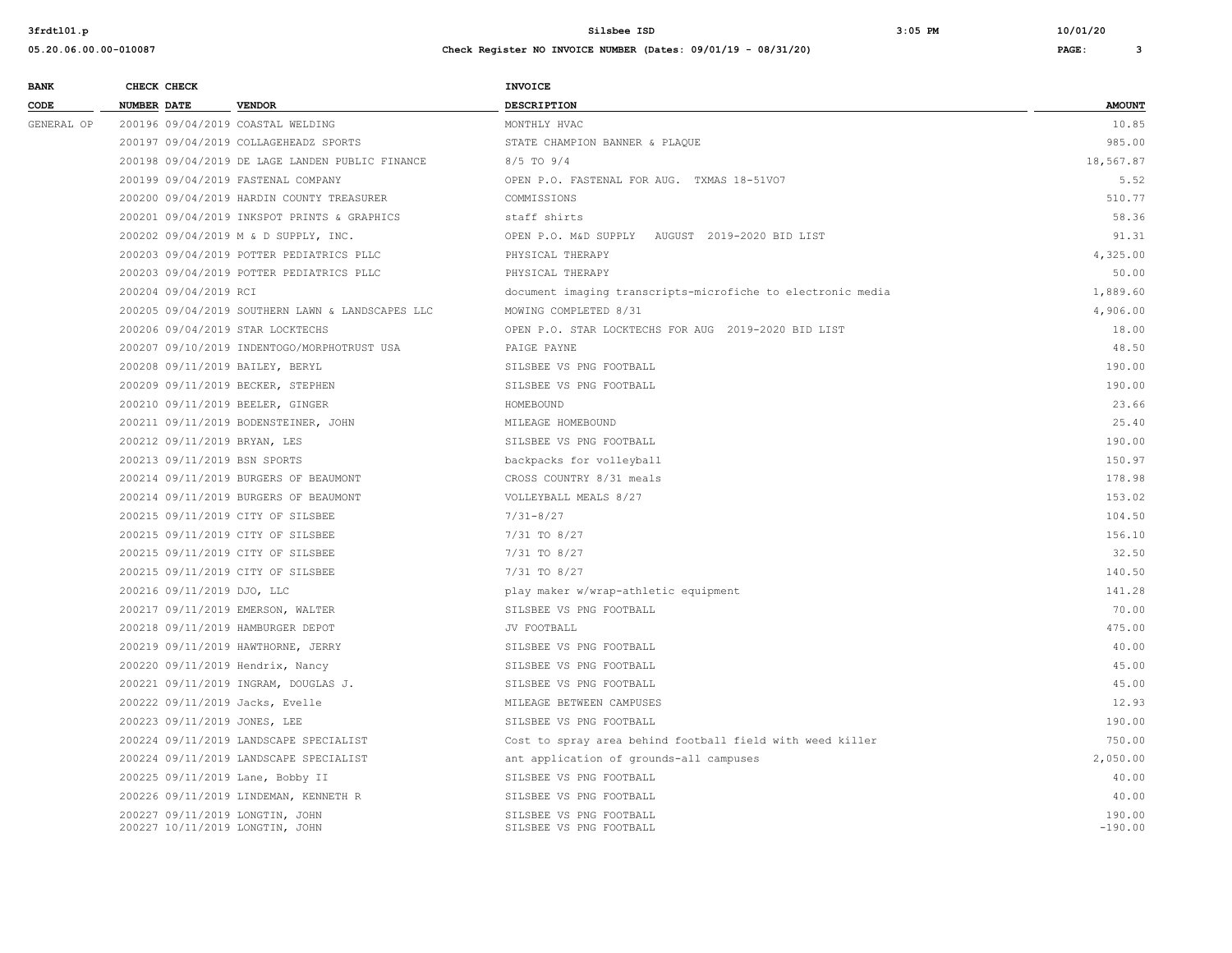| 05.20.06.00.00-010087 |                                 |                                                  | Check Register NO INVOICE NUMBER (Dates: $09/01/19 - 08/31/20$ ) |               |
|-----------------------|---------------------------------|--------------------------------------------------|------------------------------------------------------------------|---------------|
| <b>BANK</b>           | CHECK CHECK                     |                                                  | <b>INVOICE</b>                                                   |               |
| CODE                  | <b>NUMBER DATE</b>              | <b>VENDOR</b>                                    | <b>DESCRIPTION</b>                                               | <b>AMOUNT</b> |
| GENERAL OP            |                                 | 200196 09/04/2019 COASTAL WELDING                | MONTHLY HVAC                                                     | 10.85         |
|                       |                                 | 200197 09/04/2019 COLLAGEHEADZ SPORTS            | STATE CHAMPION BANNER & PLAQUE                                   | 985.00        |
|                       |                                 | 200198 09/04/2019 DE LAGE LANDEN PUBLIC FINANCE  | $8/5$ TO $9/4$                                                   | 18,567.87     |
|                       |                                 | 200199 09/04/2019 FASTENAL COMPANY               | OPEN P.O. FASTENAL FOR AUG. TXMAS 18-51VO7                       | 5.52          |
|                       |                                 | 200200 09/04/2019 HARDIN COUNTY TREASURER        | COMMISSIONS                                                      | 510.77        |
|                       |                                 | 200201 09/04/2019 INKSPOT PRINTS & GRAPHICS      | staff shirts                                                     | 58.36         |
|                       |                                 | 200202 09/04/2019 M & D SUPPLY, INC.             | OPEN P.O. M&D SUPPLY AUGUST 2019-2020 BID LIST                   | 91.31         |
|                       |                                 | 200203 09/04/2019 POTTER PEDIATRICS PLLC         | PHYSICAL THERAPY                                                 | 4,325.00      |
|                       |                                 | 200203 09/04/2019 POTTER PEDIATRICS PLLC         | PHYSICAL THERAPY                                                 | 50.00         |
|                       | 200204 09/04/2019 RCI           |                                                  | document imaging transcripts-microfiche to electronic media      | 1,889.60      |
|                       |                                 | 200205 09/04/2019 SOUTHERN LAWN & LANDSCAPES LLC | MOWING COMPLETED 8/31                                            | 4,906.00      |
|                       |                                 | 200206 09/04/2019 STAR LOCKTECHS                 | OPEN P.O. STAR LOCKTECHS FOR AUG 2019-2020 BID LIST              | 18.00         |
|                       |                                 | 200207 09/10/2019 INDENTOGO/MORPHOTRUST USA      | PAIGE PAYNE                                                      | 48.50         |
|                       | 200208 09/11/2019 BAILEY, BERYL |                                                  | SILSBEE VS PNG FOOTBALL                                          | 190.00        |
|                       |                                 | 200209 09/11/2019 BECKER, STEPHEN                | SILSBEE VS PNG FOOTBALL                                          | 190.00        |
|                       |                                 | 200210 09/11/2019 BEELER, GINGER                 | HOMEBOUND                                                        | 23.66         |
|                       |                                 | 200211 09/11/2019 BODENSTEINER, JOHN             | MILEAGE HOMEBOUND                                                | 25.40         |
|                       | 200212 09/11/2019 BRYAN, LES    |                                                  | SILSBEE VS PNG FOOTBALL                                          | 190.00        |
|                       | 200213 09/11/2019 BSN SPORTS    |                                                  | backpacks for volleyball                                         | 150.97        |
|                       |                                 | 200214 09/11/2019 BURGERS OF BEAUMONT            | CROSS COUNTRY 8/31 meals                                         | 178.98        |
|                       |                                 | 200214 09/11/2019 BURGERS OF BEAUMONT            | VOLLEYBALL MEALS 8/27                                            | 153.02        |
|                       |                                 | 200215 09/11/2019 CITY OF SILSBEE                | $7/31 - 8/27$                                                    | 104.50        |
|                       |                                 | 200215 09/11/2019 CITY OF SILSBEE                | 7/31 TO 8/27                                                     | 156.10        |
|                       |                                 | 200215 09/11/2019 CITY OF SILSBEE                | 7/31 TO 8/27                                                     | 32.50         |
|                       |                                 | $200215.09/11/2019.01$ $CITY.OF.STICRFF$         | $7/31$ TO 8/27                                                   | 140 50        |

| GENERAL OP | 200196 09/04/2019 COASTAL WELDING                                  | MONTHLY HVAC                                                | 10.85               |
|------------|--------------------------------------------------------------------|-------------------------------------------------------------|---------------------|
|            | 200197 09/04/2019 COLLAGEHEADZ SPORTS                              | STATE CHAMPION BANNER & PLAQUE                              | 985.00              |
|            | 200198 09/04/2019 DE LAGE LANDEN PUBLIC FINANCE                    | 8/5 TO 9/4                                                  | 18,567.87           |
|            | 200199 09/04/2019 FASTENAL COMPANY                                 | OPEN P.O. FASTENAL FOR AUG. TXMAS 18-51VO7                  | 5.52                |
|            | 200200 09/04/2019 HARDIN COUNTY TREASURER                          | COMMISSIONS                                                 | 510.77              |
|            | 200201 09/04/2019 INKSPOT PRINTS & GRAPHICS                        | staff shirts                                                | 58.36               |
|            | 200202 09/04/2019 M & D SUPPLY, INC.                               | OPEN P.O. M&D SUPPLY AUGUST 2019-2020 BID LIST              | 91.31               |
|            | 200203 09/04/2019 POTTER PEDIATRICS PLLC                           | PHYSICAL THERAPY                                            | 4,325.00            |
|            | 200203 09/04/2019 POTTER PEDIATRICS PLLC                           | PHYSICAL THERAPY                                            | 50.00               |
|            | 200204 09/04/2019 RCI                                              | document imaging transcripts-microfiche to electronic media | 1,889.60            |
|            | 200205 09/04/2019 SOUTHERN LAWN & LANDSCAPES LLC                   | MOWING COMPLETED 8/31                                       | 4,906.00            |
|            | 200206 09/04/2019 STAR LOCKTECHS                                   | OPEN P.O. STAR LOCKTECHS FOR AUG 2019-2020 BID LIST         | 18.00               |
|            | 200207 09/10/2019 INDENTOGO/MORPHOTRUST USA                        | PAIGE PAYNE                                                 | 48.50               |
|            | 200208 09/11/2019 BAILEY, BERYL                                    | SILSBEE VS PNG FOOTBALL                                     | 190.00              |
|            | 200209 09/11/2019 BECKER, STEPHEN                                  | SILSBEE VS PNG FOOTBALL                                     | 190.00              |
|            | 200210 09/11/2019 BEELER, GINGER                                   | HOMEBOUND                                                   | 23.66               |
|            | 200211 09/11/2019 BODENSTEINER, JOHN                               | MILEAGE HOMEBOUND                                           | 25.40               |
|            | 200212 09/11/2019 BRYAN, LES                                       | SILSBEE VS PNG FOOTBALL                                     | 190.00              |
|            | 200213 09/11/2019 BSN SPORTS                                       | backpacks for volleyball                                    | 150.97              |
|            | 200214 09/11/2019 BURGERS OF BEAUMONT                              | CROSS COUNTRY 8/31 meals                                    | 178.98              |
|            | 200214 09/11/2019 BURGERS OF BEAUMONT                              | VOLLEYBALL MEALS 8/27                                       | 153.02              |
|            | 200215 09/11/2019 CITY OF SILSBEE                                  | $7/31 - 8/27$                                               | 104.50              |
|            | 200215 09/11/2019 CITY OF SILSBEE                                  | 7/31 TO 8/27                                                | 156.10              |
|            | 200215 09/11/2019 CITY OF SILSBEE                                  | 7/31 TO 8/27                                                | 32.50               |
|            | 200215 09/11/2019 CITY OF SILSBEE                                  | 7/31 TO 8/27                                                | 140.50              |
|            | 200216 09/11/2019 DJO, LLC                                         | play maker w/wrap-athletic equipment                        | 141.28              |
|            | 200217 09/11/2019 EMERSON, WALTER                                  | SILSBEE VS PNG FOOTBALL                                     | 70.00               |
|            | 200218 09/11/2019 HAMBURGER DEPOT                                  | JV FOOTBALL                                                 | 475.00              |
|            | 200219 09/11/2019 HAWTHORNE, JERRY                                 | SILSBEE VS PNG FOOTBALL                                     | 40.00               |
|            | 200220 09/11/2019 Hendrix, Nancy                                   | SILSBEE VS PNG FOOTBALL                                     | 45.00               |
|            | 200221 09/11/2019 INGRAM, DOUGLAS J.                               | SILSBEE VS PNG FOOTBALL                                     | 45.00               |
|            | 200222 09/11/2019 Jacks, Evelle                                    | MILEAGE BETWEEN CAMPUSES                                    | 12.93               |
|            | 200223 09/11/2019 JONES, LEE                                       | SILSBEE VS PNG FOOTBALL                                     | 190.00              |
|            | 200224 09/11/2019 LANDSCAPE SPECIALIST                             | Cost to spray area behind football field with weed killer   | 750.00              |
|            | 200224 09/11/2019 LANDSCAPE SPECIALIST                             | ant application of grounds-all campuses                     | 2,050.00            |
|            | 200225 09/11/2019 Lane, Bobby II                                   | SILSBEE VS PNG FOOTBALL                                     | 40.00               |
|            | 200226 09/11/2019 LINDEMAN, KENNETH R                              | SILSBEE VS PNG FOOTBALL                                     | 40.00               |
|            | 200227 09/11/2019 LONGTIN, JOHN<br>200227 10/11/2019 LONGTIN, JOHN | SILSBEE VS PNG FOOTBALL<br>SILSBEE VS PNG FOOTBALL          | 190.00<br>$-190.00$ |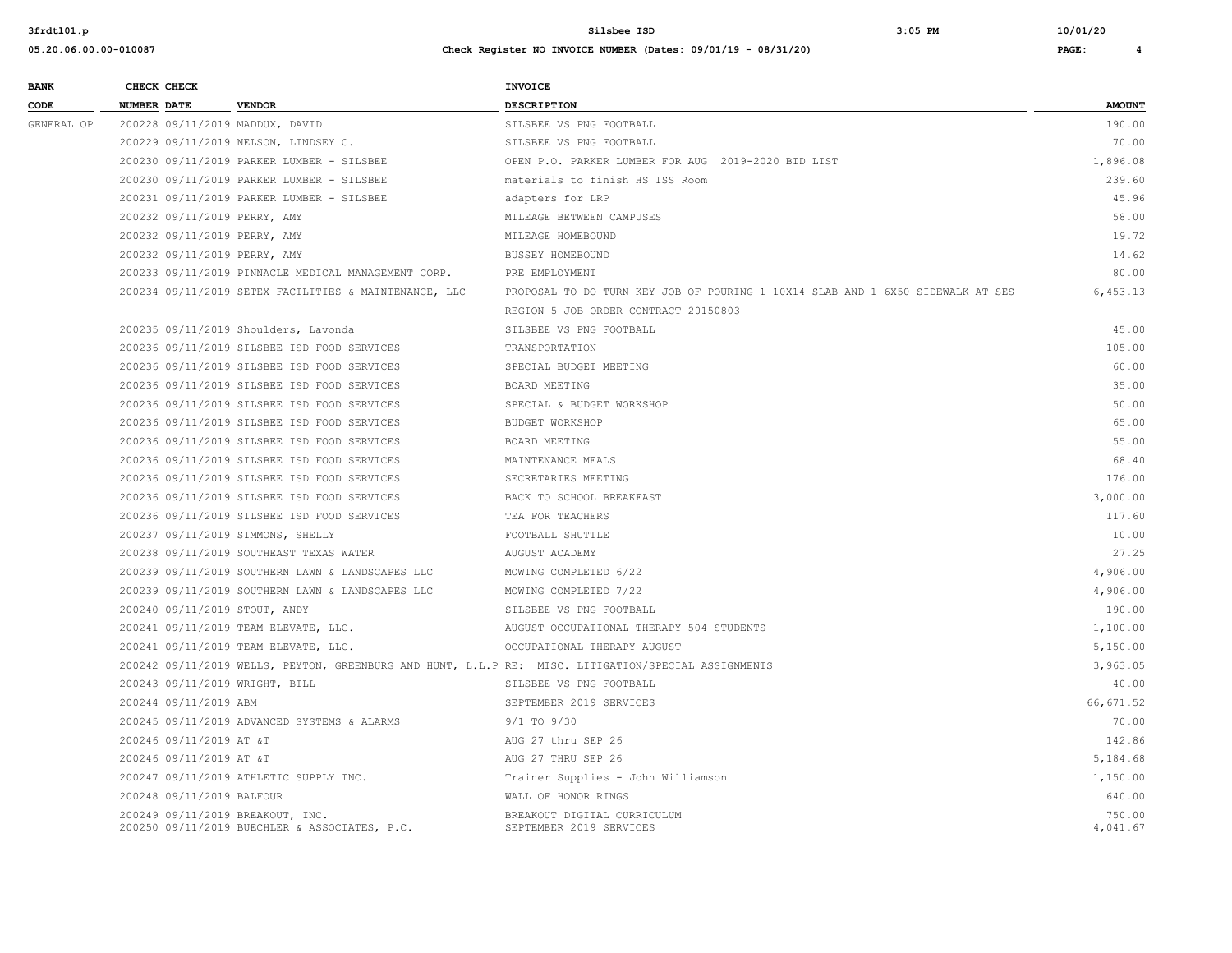| <b>BANK</b> | CHECK CHECK                      |                                                       | <b>INVOICE</b>                                                                                      |                    |
|-------------|----------------------------------|-------------------------------------------------------|-----------------------------------------------------------------------------------------------------|--------------------|
| CODE        | <b>NUMBER DATE</b>               | <b>VENDOR</b>                                         | <b>DESCRIPTION</b>                                                                                  | <b>AMOUNT</b>      |
| GENERAL OP  | 200228 09/11/2019 MADDUX, DAVID  |                                                       | SILSBEE VS PNG FOOTBALL                                                                             | 190.00             |
|             |                                  | 200229 09/11/2019 NELSON, LINDSEY C.                  | SILSBEE VS PNG FOOTBALL                                                                             | 70.00              |
|             |                                  | 200230 09/11/2019 PARKER LUMBER - SILSBEE             | OPEN P.O. PARKER LUMBER FOR AUG 2019-2020 BID LIST                                                  | 1,896.08           |
|             |                                  | 200230 09/11/2019 PARKER LUMBER - SILSBEE             | materials to finish HS ISS Room                                                                     | 239.60             |
|             |                                  | 200231 09/11/2019 PARKER LUMBER - SILSBEE             | adapters for LRP                                                                                    | 45.96              |
|             | 200232 09/11/2019 PERRY, AMY     |                                                       | MILEAGE BETWEEN CAMPUSES                                                                            | 58.00              |
|             | 200232 09/11/2019 PERRY, AMY     |                                                       | MILEAGE HOMEBOUND                                                                                   | 19.72              |
|             | 200232 09/11/2019 PERRY, AMY     |                                                       | BUSSEY HOMEBOUND                                                                                    | 14.62              |
|             |                                  | 200233 09/11/2019 PINNACLE MEDICAL MANAGEMENT CORP.   | PRE EMPLOYMENT                                                                                      | 80.00              |
|             |                                  | 200234 09/11/2019 SETEX FACILITIES & MAINTENANCE, LLC | PROPOSAL TO DO TURN KEY JOB OF POURING 1 10X14 SLAB AND 1 6X50 SIDEWALK AT SES                      | 6,453.13           |
|             |                                  |                                                       | REGION 5 JOB ORDER CONTRACT 20150803                                                                |                    |
|             |                                  | 200235 09/11/2019 Shoulders, Lavonda                  | SILSBEE VS PNG FOOTBALL                                                                             | 45.00              |
|             |                                  | 200236 09/11/2019 SILSBEE ISD FOOD SERVICES           | TRANSPORTATION                                                                                      | 105.00             |
|             |                                  | 200236 09/11/2019 SILSBEE ISD FOOD SERVICES           | SPECIAL BUDGET MEETING                                                                              | 60.00              |
|             |                                  | 200236 09/11/2019 SILSBEE ISD FOOD SERVICES           | BOARD MEETING                                                                                       | 35.00              |
|             |                                  | 200236 09/11/2019 SILSBEE ISD FOOD SERVICES           | SPECIAL & BUDGET WORKSHOP                                                                           | 50.00              |
|             |                                  | 200236 09/11/2019 SILSBEE ISD FOOD SERVICES           | BUDGET WORKSHOP                                                                                     | 65.00              |
|             |                                  | 200236 09/11/2019 SILSBEE ISD FOOD SERVICES           | BOARD MEETING                                                                                       | 55.00              |
|             |                                  | 200236 09/11/2019 SILSBEE ISD FOOD SERVICES           | MAINTENANCE MEALS                                                                                   | 68.40              |
|             |                                  | 200236 09/11/2019 SILSBEE ISD FOOD SERVICES           | SECRETARIES MEETING                                                                                 | 176.00             |
|             |                                  | 200236 09/11/2019 SILSBEE ISD FOOD SERVICES           | BACK TO SCHOOL BREAKFAST                                                                            | 3,000.00           |
|             |                                  | 200236 09/11/2019 SILSBEE ISD FOOD SERVICES           | TEA FOR TEACHERS                                                                                    | 117.60             |
|             |                                  | 200237 09/11/2019 SIMMONS, SHELLY                     | FOOTBALL SHUTTLE                                                                                    | 10.00              |
|             |                                  | 200238 09/11/2019 SOUTHEAST TEXAS WATER               | AUGUST ACADEMY                                                                                      | 27.25              |
|             |                                  | 200239 09/11/2019 SOUTHERN LAWN & LANDSCAPES LLC      | MOWING COMPLETED 6/22                                                                               | 4,906.00           |
|             |                                  | 200239 09/11/2019 SOUTHERN LAWN & LANDSCAPES LLC      | MOWING COMPLETED 7/22                                                                               | 4,906.00           |
|             | 200240 09/11/2019 STOUT, ANDY    |                                                       | SILSBEE VS PNG FOOTBALL                                                                             | 190.00             |
|             |                                  | 200241 09/11/2019 TEAM ELEVATE, LLC.                  | AUGUST OCCUPATIONAL THERAPY 504 STUDENTS                                                            | 1,100.00           |
|             |                                  | 200241 09/11/2019 TEAM ELEVATE, LLC.                  | OCCUPATIONAL THERAPY AUGUST                                                                         | 5,150.00           |
|             |                                  |                                                       | 200242 09/11/2019 WELLS, PEYTON, GREENBURG AND HUNT, L.L.P RE: MISC. LITIGATION/SPECIAL ASSIGNMENTS | 3,963.05           |
|             | 200243 09/11/2019 WRIGHT, BILL   |                                                       | SILSBEE VS PNG FOOTBALL                                                                             | 40.00              |
|             | 200244 09/11/2019 ABM            |                                                       | SEPTEMBER 2019 SERVICES                                                                             | 66,671.52          |
|             |                                  | 200245 09/11/2019 ADVANCED SYSTEMS & ALARMS           | $9/1$ TO $9/30$                                                                                     | 70.00              |
|             | 200246 09/11/2019 AT &T          |                                                       | AUG 27 thru SEP 26                                                                                  | 142.86             |
|             | 200246 09/11/2019 AT &T          |                                                       | AUG 27 THRU SEP 26                                                                                  | 5,184.68           |
|             |                                  | 200247 09/11/2019 ATHLETIC SUPPLY INC.                | Trainer Supplies - John Williamson                                                                  | 1,150.00           |
|             | 200248 09/11/2019 BALFOUR        |                                                       | WALL OF HONOR RINGS                                                                                 | 640.00             |
|             | 200249 09/11/2019 BREAKOUT, INC. | 200250 09/11/2019 BUECHLER & ASSOCIATES, P.C.         | BREAKOUT DIGITAL CURRICULUM<br>SEPTEMBER 2019 SERVICES                                              | 750.00<br>4,041.67 |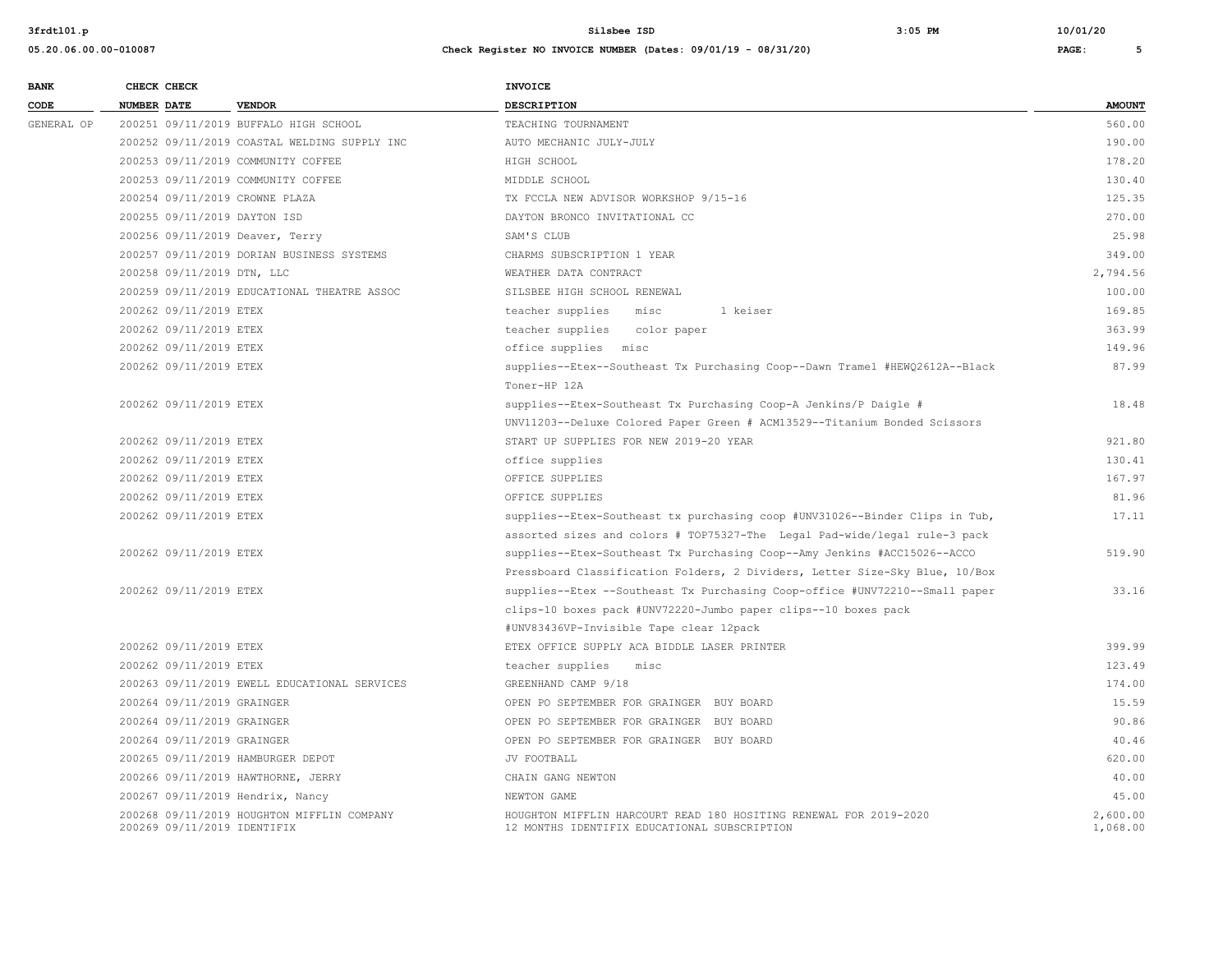| <b>BANK</b> |             | CHECK CHECK                 |                                              | <b>INVOICE</b>                                                                                                    |                      |
|-------------|-------------|-----------------------------|----------------------------------------------|-------------------------------------------------------------------------------------------------------------------|----------------------|
| CODE        | NUMBER DATE |                             | <b>VENDOR</b>                                | DESCRIPTION                                                                                                       | <b>AMOUNT</b>        |
| GENERAL OP  |             |                             | 200251 09/11/2019 BUFFALO HIGH SCHOOL        | TEACHING TOURNAMENT                                                                                               | 560.00               |
|             |             |                             | 200252 09/11/2019 COASTAL WELDING SUPPLY INC | AUTO MECHANIC JULY-JULY                                                                                           | 190.00               |
|             |             |                             | 200253 09/11/2019 COMMUNITY COFFEE           | HIGH SCHOOL                                                                                                       | 178.20               |
|             |             |                             | 200253 09/11/2019 COMMUNITY COFFEE           | MIDDLE SCHOOL                                                                                                     | 130.40               |
|             |             |                             | 200254 09/11/2019 CROWNE PLAZA               | TX FCCLA NEW ADVISOR WORKSHOP 9/15-16                                                                             | 125.35               |
|             |             |                             | 200255 09/11/2019 DAYTON ISD                 | DAYTON BRONCO INVITATIONAL CC                                                                                     | 270.00               |
|             |             |                             | 200256 09/11/2019 Deaver, Terry              | SAM'S CLUB                                                                                                        | 25.98                |
|             |             |                             | 200257 09/11/2019 DORIAN BUSINESS SYSTEMS    | CHARMS SUBSCRIPTION 1 YEAR                                                                                        | 349.00               |
|             |             | 200258 09/11/2019 DTN, LLC  |                                              | WEATHER DATA CONTRACT                                                                                             | 2,794.56             |
|             |             |                             | 200259 09/11/2019 EDUCATIONAL THEATRE ASSOC  | SILSBEE HIGH SCHOOL RENEWAL                                                                                       | 100.00               |
|             |             | 200262 09/11/2019 ETEX      |                                              | teacher supplies<br>1 keiser<br>misc                                                                              | 169.85               |
|             |             | 200262 09/11/2019 ETEX      |                                              | teacher supplies color paper                                                                                      | 363.99               |
|             |             | 200262 09/11/2019 ETEX      |                                              | office supplies misc                                                                                              | 149.96               |
|             |             | 200262 09/11/2019 ETEX      |                                              | supplies--Etex--Southeast Tx Purchasing Coop--Dawn Tramel #HEWQ2612A--Black<br>Toner-HP 12A                       | 87.99                |
|             |             | 200262 09/11/2019 ETEX      |                                              | supplies--Etex-Southeast Tx Purchasing Coop-A Jenkins/P Daigle #                                                  | 18.48                |
|             |             |                             |                                              | UNV11203--Deluxe Colored Paper Green # ACM13529--Titanium Bonded Scissors                                         |                      |
|             |             | 200262 09/11/2019 ETEX      |                                              | START UP SUPPLIES FOR NEW 2019-20 YEAR                                                                            | 921.80               |
|             |             | 200262 09/11/2019 ETEX      |                                              | office supplies                                                                                                   | 130.41               |
|             |             | 200262 09/11/2019 ETEX      |                                              | OFFICE SUPPLIES                                                                                                   | 167.97               |
|             |             | 200262 09/11/2019 ETEX      |                                              | OFFICE SUPPLIES                                                                                                   | 81.96                |
|             |             | 200262 09/11/2019 ETEX      |                                              | supplies--Etex-Southeast tx purchasing coop #UNV31026--Binder Clips in Tub,                                       | 17.11                |
|             |             |                             |                                              | assorted sizes and colors # TOP75327-The Legal Pad-wide/legal rule-3 pack                                         |                      |
|             |             | 200262 09/11/2019 ETEX      |                                              | supplies--Etex-Southeast Tx Purchasing Coop--Amy Jenkins #ACC15026--ACCO                                          | 519.90               |
|             |             |                             |                                              | Pressboard Classification Folders, 2 Dividers, Letter Size-Sky Blue, 10/Box                                       |                      |
|             |             | 200262 09/11/2019 ETEX      |                                              | supplies--Etex --Southeast Tx Purchasing Coop-office #UNV72210--Small paper                                       | 33.16                |
|             |             |                             |                                              | clips-10 boxes pack #UNV72220-Jumbo paper clips--10 boxes pack                                                    |                      |
|             |             |                             |                                              | #UNV83436VP-Invisible Tape clear 12pack                                                                           |                      |
|             |             | 200262 09/11/2019 ETEX      |                                              | ETEX OFFICE SUPPLY ACA BIDDLE LASER PRINTER                                                                       | 399.99               |
|             |             | 200262 09/11/2019 ETEX      |                                              | teacher supplies<br>misc                                                                                          | 123.49               |
|             |             |                             | 200263 09/11/2019 EWELL EDUCATIONAL SERVICES | GREENHAND CAMP 9/18                                                                                               | 174.00               |
|             |             | 200264 09/11/2019 GRAINGER  |                                              | OPEN PO SEPTEMBER FOR GRAINGER BUY BOARD                                                                          | 15.59                |
|             |             | 200264 09/11/2019 GRAINGER  |                                              | OPEN PO SEPTEMBER FOR GRAINGER BUY BOARD                                                                          | 90.86                |
|             |             | 200264 09/11/2019 GRAINGER  |                                              | OPEN PO SEPTEMBER FOR GRAINGER BUY BOARD                                                                          | 40.46                |
|             |             |                             | 200265 09/11/2019 HAMBURGER DEPOT            | JV FOOTBALL                                                                                                       | 620.00               |
|             |             |                             | 200266 09/11/2019 HAWTHORNE, JERRY           | CHAIN GANG NEWTON                                                                                                 | 40.00                |
|             |             |                             | 200267 09/11/2019 Hendrix, Nancy             | NEWTON GAME                                                                                                       | 45.00                |
|             |             | 200269 09/11/2019 IDENTIFIX | 200268 09/11/2019 HOUGHTON MIFFLIN COMPANY   | HOUGHTON MIFFLIN HARCOURT READ 180 HOSITING RENEWAL FOR 2019-2020<br>12 MONTHS IDENTIFIX EDUCATIONAL SUBSCRIPTION | 2,600.00<br>1,068.00 |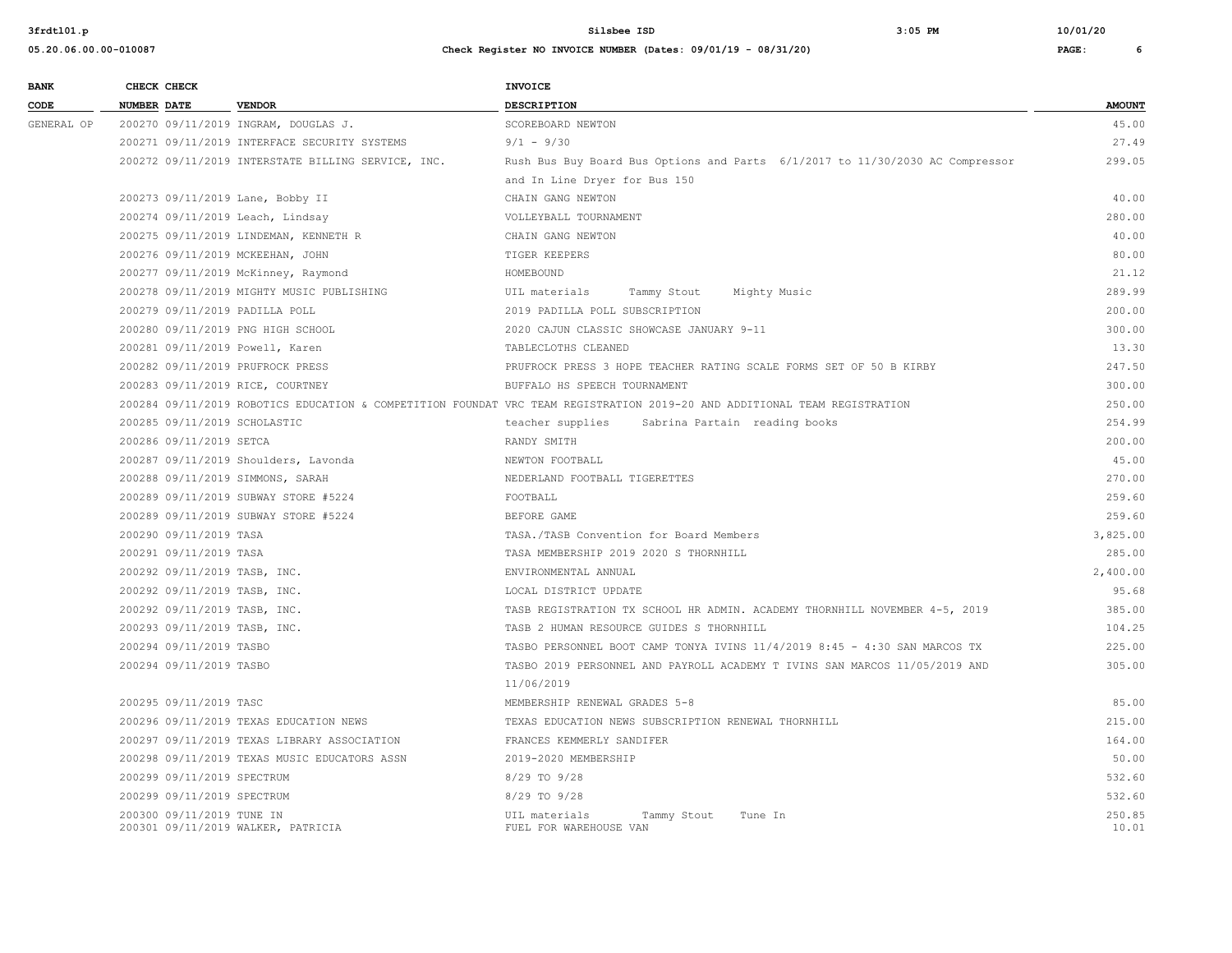| <b>BANK</b> | CHECK CHECK                       |                                                    | <b>INVOICE</b>                                                                                                            |                 |
|-------------|-----------------------------------|----------------------------------------------------|---------------------------------------------------------------------------------------------------------------------------|-----------------|
| CODE        | NUMBER DATE                       | <b>VENDOR</b>                                      | <b>DESCRIPTION</b>                                                                                                        | <b>AMOUNT</b>   |
| GENERAL OP  |                                   | 200270 09/11/2019 INGRAM, DOUGLAS J.               | SCOREBOARD NEWTON                                                                                                         | 45.00           |
|             |                                   | 200271 09/11/2019 INTERFACE SECURITY SYSTEMS       | $9/1 - 9/30$                                                                                                              | 27.49           |
|             |                                   | 200272 09/11/2019 INTERSTATE BILLING SERVICE, INC. | Rush Bus Buy Board Bus Options and Parts 6/1/2017 to 11/30/2030 AC Compressor                                             | 299.05          |
|             |                                   |                                                    | and In Line Dryer for Bus 150                                                                                             |                 |
|             | 200273 09/11/2019 Lane, Bobby II  |                                                    | CHAIN GANG NEWTON                                                                                                         | 40.00           |
|             | 200274 09/11/2019 Leach, Lindsay  |                                                    | VOLLEYBALL TOURNAMENT                                                                                                     | 280.00          |
|             |                                   | 200275 09/11/2019 LINDEMAN, KENNETH R              | CHAIN GANG NEWTON                                                                                                         | 40.00           |
|             | 200276 09/11/2019 MCKEEHAN, JOHN  |                                                    | TIGER KEEPERS                                                                                                             | 80.00           |
|             |                                   | 200277 09/11/2019 McKinney, Raymond                | HOMEBOUND                                                                                                                 | 21.12           |
|             |                                   | 200278 09/11/2019 MIGHTY MUSIC PUBLISHING          | UIL materials<br>Tammy Stout<br>Mighty Music                                                                              | 289.99          |
|             | 200279 09/11/2019 PADILLA POLL    |                                                    | 2019 PADILLA POLL SUBSCRIPTION                                                                                            | 200.00          |
|             | 200280 09/11/2019 PNG HIGH SCHOOL |                                                    | 2020 CAJUN CLASSIC SHOWCASE JANUARY 9-11                                                                                  | 300.00          |
|             | 200281 09/11/2019 Powell, Karen   |                                                    | TABLECLOTHS CLEANED                                                                                                       | 13.30           |
|             | 200282 09/11/2019 PRUFROCK PRESS  |                                                    | PRUFROCK PRESS 3 HOPE TEACHER RATING SCALE FORMS SET OF 50 B KIRBY                                                        | 247.50          |
|             | 200283 09/11/2019 RICE, COURTNEY  |                                                    | BUFFALO HS SPEECH TOURNAMENT                                                                                              | 300.00          |
|             |                                   |                                                    | 200284 09/11/2019 ROBOTICS EDUCATION & COMPETITION FOUNDAT VRC TEAM REGISTRATION 2019-20 AND ADDITIONAL TEAM REGISTRATION | 250.00          |
|             | 200285 09/11/2019 SCHOLASTIC      |                                                    | teacher supplies<br>Sabrina Partain reading books                                                                         | 254.99          |
|             | 200286 09/11/2019 SETCA           |                                                    | RANDY SMITH                                                                                                               | 200.00          |
|             |                                   | 200287 09/11/2019 Shoulders, Lavonda               | NEWTON FOOTBALL                                                                                                           | 45.00           |
|             | 200288 09/11/2019 SIMMONS, SARAH  |                                                    | NEDERLAND FOOTBALL TIGERETTES                                                                                             | 270.00          |
|             |                                   | 200289 09/11/2019 SUBWAY STORE #5224               | FOOTBALL                                                                                                                  | 259.60          |
|             |                                   | 200289 09/11/2019 SUBWAY STORE #5224               | BEFORE GAME                                                                                                               | 259.60          |
|             | 200290 09/11/2019 TASA            |                                                    | TASA./TASB Convention for Board Members                                                                                   | 3,825.00        |
|             | 200291 09/11/2019 TASA            |                                                    | TASA MEMBERSHIP 2019 2020 S THORNHILL                                                                                     | 285.00          |
|             | 200292 09/11/2019 TASB, INC.      |                                                    | ENVIRONMENTAL ANNUAL                                                                                                      | 2,400.00        |
|             | 200292 09/11/2019 TASB, INC.      |                                                    | LOCAL DISTRICT UPDATE                                                                                                     | 95.68           |
|             | 200292 09/11/2019 TASB, INC.      |                                                    | TASB REGISTRATION TX SCHOOL HR ADMIN. ACADEMY THORNHILL NOVEMBER 4-5, 2019                                                | 385.00          |
|             | 200293 09/11/2019 TASB, INC.      |                                                    | TASB 2 HUMAN RESOURCE GUIDES S THORNHILL                                                                                  | 104.25          |
|             | 200294 09/11/2019 TASBO           |                                                    | TASBO PERSONNEL BOOT CAMP TONYA IVINS 11/4/2019 8:45 - 4:30 SAN MARCOS TX                                                 | 225.00          |
|             | 200294 09/11/2019 TASBO           |                                                    | TASBO 2019 PERSONNEL AND PAYROLL ACADEMY T IVINS SAN MARCOS 11/05/2019 AND                                                | 305.00          |
|             |                                   |                                                    | 11/06/2019                                                                                                                |                 |
|             | 200295 09/11/2019 TASC            |                                                    | MEMBERSHIP RENEWAL GRADES 5-8                                                                                             | 85.00           |
|             |                                   | 200296 09/11/2019 TEXAS EDUCATION NEWS             | TEXAS EDUCATION NEWS SUBSCRIPTION RENEWAL THORNHILL                                                                       | 215.00          |
|             |                                   | 200297 09/11/2019 TEXAS LIBRARY ASSOCIATION        | FRANCES KEMMERLY SANDIFER                                                                                                 | 164.00          |
|             |                                   | 200298 09/11/2019 TEXAS MUSIC EDUCATORS ASSN       | 2019-2020 MEMBERSHIP                                                                                                      | 50.00           |
|             | 200299 09/11/2019 SPECTRUM        |                                                    | 8/29 TO 9/28                                                                                                              | 532.60          |
|             | 200299 09/11/2019 SPECTRUM        |                                                    | 8/29 TO 9/28                                                                                                              | 532.60          |
|             | 200300 09/11/2019 TUNE IN         | 200301 09/11/2019 WALKER, PATRICIA                 | UIL materials<br>Tammy Stout<br>Tune In<br>FUEL FOR WAREHOUSE VAN                                                         | 250.85<br>10.01 |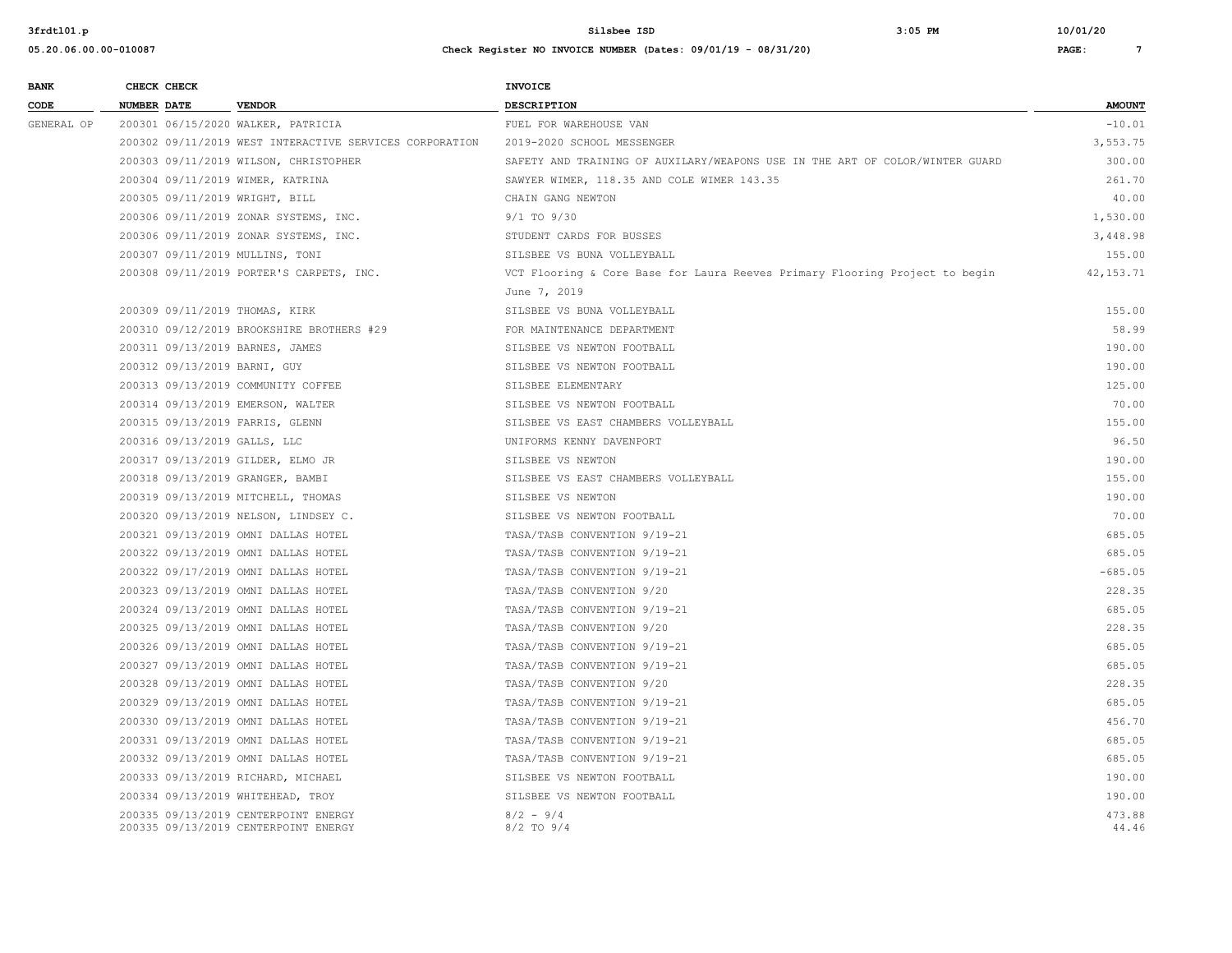| <b>BANK</b>     |             | CHECK CHECK |                                                                              | <b>INVOICE</b>                                                               |                 |
|-----------------|-------------|-------------|------------------------------------------------------------------------------|------------------------------------------------------------------------------|-----------------|
| $\texttt{CODE}$ | NUMBER DATE |             | <b>VENDOR</b>                                                                | DESCRIPTION                                                                  | <b>AMOUNT</b>   |
| GENERAL OP      |             |             | 200301 06/15/2020 WALKER, PATRICIA                                           | FUEL FOR WAREHOUSE VAN                                                       | $-10.01$        |
|                 |             |             | 200302 09/11/2019 WEST INTERACTIVE SERVICES CORPORATION                      | 2019-2020 SCHOOL MESSENGER                                                   | 3,553.75        |
|                 |             |             | 200303 09/11/2019 WILSON, CHRISTOPHER                                        | SAFETY AND TRAINING OF AUXILARY/WEAPONS USE IN THE ART OF COLOR/WINTER GUARD | 300.00          |
|                 |             |             | 200304 09/11/2019 WIMER, KATRINA                                             | SAWYER WIMER, 118.35 AND COLE WIMER 143.35                                   | 261.70          |
|                 |             |             | 200305 09/11/2019 WRIGHT, BILL                                               | CHAIN GANG NEWTON                                                            | 40.00           |
|                 |             |             | 200306 09/11/2019 ZONAR SYSTEMS, INC.                                        | $9/1$ TO $9/30$                                                              | 1,530.00        |
|                 |             |             | 200306 09/11/2019 ZONAR SYSTEMS, INC.                                        | STUDENT CARDS FOR BUSSES                                                     | 3,448.98        |
|                 |             |             | 200307 09/11/2019 MULLINS, TONI                                              | SILSBEE VS BUNA VOLLEYBALL                                                   | 155.00          |
|                 |             |             | 200308 09/11/2019 PORTER'S CARPETS, INC.                                     | VCT Flooring & Core Base for Laura Reeves Primary Flooring Project to begin  | 42, 153. 71     |
|                 |             |             |                                                                              | June 7, 2019                                                                 |                 |
|                 |             |             | 200309 09/11/2019 THOMAS, KIRK                                               | SILSBEE VS BUNA VOLLEYBALL                                                   | 155.00          |
|                 |             |             | 200310 09/12/2019 BROOKSHIRE BROTHERS #29                                    | FOR MAINTENANCE DEPARTMENT                                                   | 58.99           |
|                 |             |             | 200311 09/13/2019 BARNES, JAMES                                              | SILSBEE VS NEWTON FOOTBALL                                                   | 190.00          |
|                 |             |             | 200312 09/13/2019 BARNI, GUY                                                 | SILSBEE VS NEWTON FOOTBALL                                                   | 190.00          |
|                 |             |             | 200313 09/13/2019 COMMUNITY COFFEE                                           | SILSBEE ELEMENTARY                                                           | 125.00          |
|                 |             |             | 200314 09/13/2019 EMERSON, WALTER                                            | SILSBEE VS NEWTON FOOTBALL                                                   | 70.00           |
|                 |             |             | 200315 09/13/2019 FARRIS, GLENN                                              | SILSBEE VS EAST CHAMBERS VOLLEYBALL                                          | 155.00          |
|                 |             |             | 200316 09/13/2019 GALLS, LLC                                                 | UNIFORMS KENNY DAVENPORT                                                     | 96.50           |
|                 |             |             | 200317 09/13/2019 GILDER, ELMO JR                                            | SILSBEE VS NEWTON                                                            | 190.00          |
|                 |             |             | 200318 09/13/2019 GRANGER, BAMBI                                             | SILSBEE VS EAST CHAMBERS VOLLEYBALL                                          | 155.00          |
|                 |             |             | 200319 09/13/2019 MITCHELL, THOMAS                                           | SILSBEE VS NEWTON                                                            | 190.00          |
|                 |             |             | 200320 09/13/2019 NELSON, LINDSEY C.                                         | SILSBEE VS NEWTON FOOTBALL                                                   | 70.00           |
|                 |             |             | 200321 09/13/2019 OMNI DALLAS HOTEL                                          | TASA/TASB CONVENTION 9/19-21                                                 | 685.05          |
|                 |             |             | 200322 09/13/2019 OMNI DALLAS HOTEL                                          | TASA/TASB CONVENTION 9/19-21                                                 | 685.05          |
|                 |             |             | 200322 09/17/2019 OMNI DALLAS HOTEL                                          | TASA/TASB CONVENTION 9/19-21                                                 | $-685.05$       |
|                 |             |             | 200323 09/13/2019 OMNI DALLAS HOTEL                                          | TASA/TASB CONVENTION 9/20                                                    | 228.35          |
|                 |             |             | 200324 09/13/2019 OMNI DALLAS HOTEL                                          | TASA/TASB CONVENTION 9/19-21                                                 | 685.05          |
|                 |             |             | 200325 09/13/2019 OMNI DALLAS HOTEL                                          | TASA/TASB CONVENTION 9/20                                                    | 228.35          |
|                 |             |             | 200326 09/13/2019 OMNI DALLAS HOTEL                                          | TASA/TASB CONVENTION 9/19-21                                                 | 685.05          |
|                 |             |             | 200327 09/13/2019 OMNI DALLAS HOTEL                                          | TASA/TASB CONVENTION 9/19-21                                                 | 685.05          |
|                 |             |             | 200328 09/13/2019 OMNI DALLAS HOTEL                                          | TASA/TASB CONVENTION 9/20                                                    | 228.35          |
|                 |             |             | 200329 09/13/2019 OMNI DALLAS HOTEL                                          | TASA/TASB CONVENTION 9/19-21                                                 | 685.05          |
|                 |             |             | 200330 09/13/2019 OMNI DALLAS HOTEL                                          | TASA/TASB CONVENTION 9/19-21                                                 | 456.70          |
|                 |             |             | 200331 09/13/2019 OMNI DALLAS HOTEL                                          | TASA/TASB CONVENTION 9/19-21                                                 | 685.05          |
|                 |             |             | 200332 09/13/2019 OMNI DALLAS HOTEL                                          | TASA/TASB CONVENTION 9/19-21                                                 | 685.05          |
|                 |             |             | 200333 09/13/2019 RICHARD, MICHAEL                                           | SILSBEE VS NEWTON FOOTBALL                                                   | 190.00          |
|                 |             |             | 200334 09/13/2019 WHITEHEAD, TROY                                            | SILSBEE VS NEWTON FOOTBALL                                                   | 190.00          |
|                 |             |             | 200335 09/13/2019 CENTERPOINT ENERGY<br>200335 09/13/2019 CENTERPOINT ENERGY | $8/2 - 9/4$<br>8/2 TO 9/4                                                    | 473.88<br>44.46 |
|                 |             |             |                                                                              |                                                                              |                 |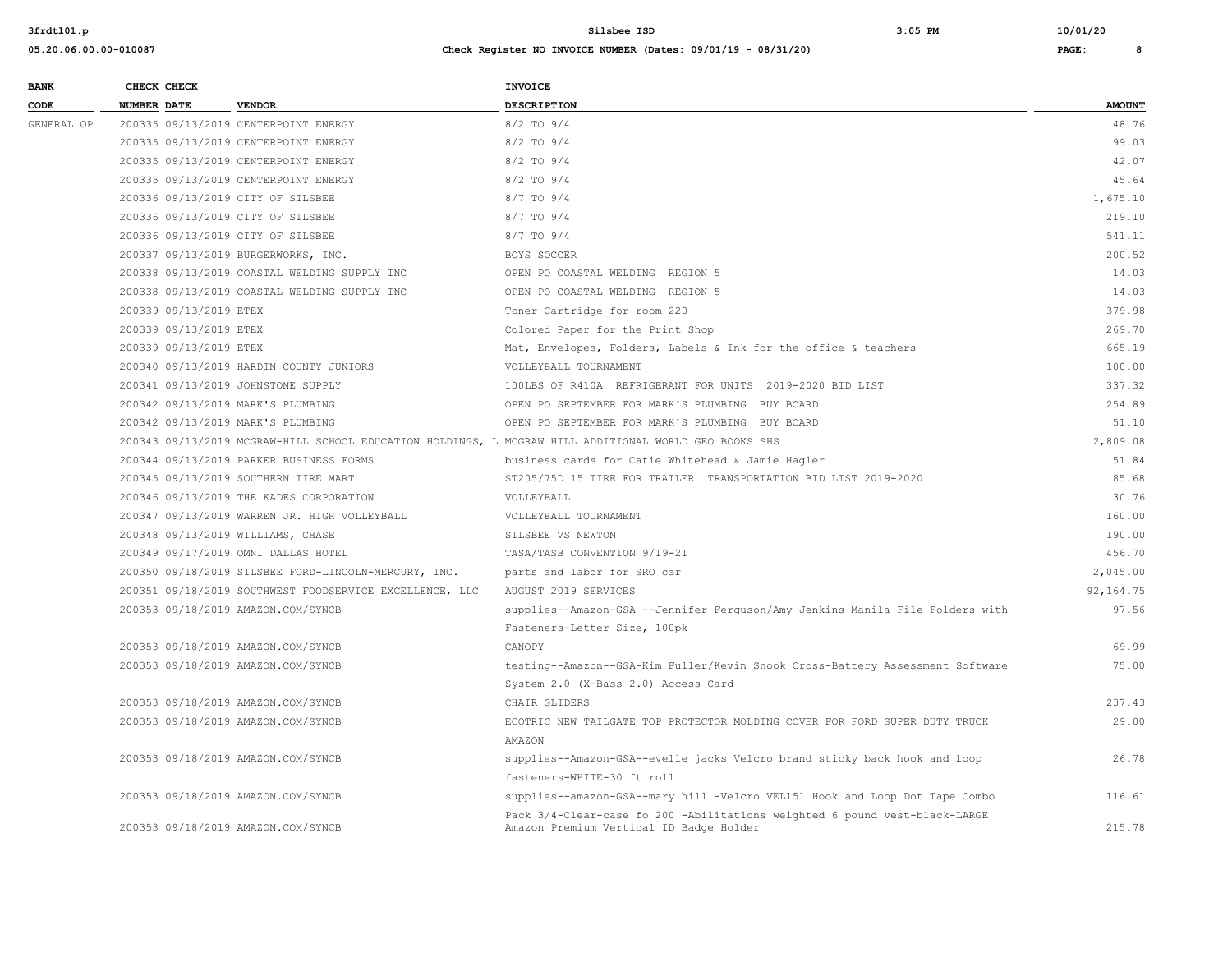#### **05.20.06.00.00-010087 Check Register NO INVOICE NUMBER (Dates: 09/01/19 - 08/31/20) PAGE: 8**

**BANK** CHECK CHECK **CHECK** 

AMAZON

| CODE       | <b>NUMBER DATE</b>                 | <b>VENDOR</b>                                           | <b>DESCRIPTION</b>                                                                                    | <b>AMOUNT</b> |
|------------|------------------------------------|---------------------------------------------------------|-------------------------------------------------------------------------------------------------------|---------------|
| GENERAL OP |                                    | 200335 09/13/2019 CENTERPOINT ENERGY                    | $8/2$ TO $9/4$                                                                                        | 48.76         |
|            |                                    | 200335 09/13/2019 CENTERPOINT ENERGY                    | $8/2$ TO $9/4$                                                                                        | 99.03         |
|            |                                    | 200335 09/13/2019 CENTERPOINT ENERGY                    | $8/2$ TO $9/4$                                                                                        | 42.07         |
|            |                                    | 200335 09/13/2019 CENTERPOINT ENERGY                    | $8/2$ TO $9/4$                                                                                        | 45.64         |
|            | 200336 09/13/2019 CITY OF SILSBEE  |                                                         | $8/7$ TO $9/4$                                                                                        | 1,675.10      |
|            | 200336 09/13/2019 CITY OF SILSBEE  |                                                         | $8/7$ TO $9/4$                                                                                        | 219.10        |
|            | 200336 09/13/2019 CITY OF SILSBEE  |                                                         | $8/7$ TO $9/4$                                                                                        | 541.11        |
|            |                                    | 200337 09/13/2019 BURGERWORKS, INC.                     | BOYS SOCCER                                                                                           | 200.52        |
|            |                                    | 200338 09/13/2019 COASTAL WELDING SUPPLY INC            | OPEN PO COASTAL WELDING REGION 5                                                                      | 14.03         |
|            |                                    | 200338 09/13/2019 COASTAL WELDING SUPPLY INC            | OPEN PO COASTAL WELDING REGION 5                                                                      | 14.03         |
|            | 200339 09/13/2019 ETEX             |                                                         | Toner Cartridge for room 220                                                                          | 379.98        |
|            | 200339 09/13/2019 ETEX             |                                                         | Colored Paper for the Print Shop                                                                      | 269.70        |
|            | 200339 09/13/2019 ETEX             |                                                         | Mat, Envelopes, Folders, Labels & Ink for the office & teachers                                       | 665.19        |
|            |                                    | 200340 09/13/2019 HARDIN COUNTY JUNIORS                 | VOLLEYBALL TOURNAMENT                                                                                 | 100.00        |
|            | 200341 09/13/2019 JOHNSTONE SUPPLY |                                                         | 100LBS OF R410A REFRIGERANT FOR UNITS 2019-2020 BID LIST                                              | 337.32        |
|            | 200342 09/13/2019 MARK'S PLUMBING  |                                                         | OPEN PO SEPTEMBER FOR MARK'S PLUMBING BUY BOARD                                                       | 254.89        |
|            | 200342 09/13/2019 MARK'S PLUMBING  |                                                         | OPEN PO SEPTEMBER FOR MARK'S PLUMBING BUY BOARD                                                       | 51.10         |
|            |                                    |                                                         | 200343 09/13/2019 MCGRAW-HILL SCHOOL EDUCATION HOLDINGS, L MCGRAW HILL ADDITIONAL WORLD GEO BOOKS SHS | 2,809.08      |
|            |                                    | 200344 09/13/2019 PARKER BUSINESS FORMS                 | business cards for Catie Whitehead & Jamie Hagler                                                     | 51.84         |
|            |                                    | 200345 09/13/2019 SOUTHERN TIRE MART                    | ST205/75D 15 TIRE FOR TRAILER TRANSPORTATION BID LIST 2019-2020                                       | 85.68         |
|            |                                    | 200346 09/13/2019 THE KADES CORPORATION                 | VOLLEYBALL                                                                                            | 30.76         |
|            |                                    | 200347 09/13/2019 WARREN JR. HIGH VOLLEYBALL            | VOLLEYBALL TOURNAMENT                                                                                 | 160.00        |
|            | 200348 09/13/2019 WILLIAMS, CHASE  |                                                         | SILSBEE VS NEWTON                                                                                     | 190.00        |
|            |                                    | 200349 09/17/2019 OMNI DALLAS HOTEL                     | TASA/TASB CONVENTION 9/19-21                                                                          | 456.70        |
|            |                                    | 200350 09/18/2019 SILSBEE FORD-LINCOLN-MERCURY, INC.    | parts and labor for SRO car                                                                           | 2,045.00      |
|            |                                    | 200351 09/18/2019 SOUTHWEST FOODSERVICE EXCELLENCE, LLC | AUGUST 2019 SERVICES                                                                                  | 92,164.75     |
|            | 200353 09/18/2019 AMAZON.COM/SYNCB |                                                         | supplies--Amazon-GSA --Jennifer Ferquson/Amy Jenkins Manila File Folders with                         | 97.56         |
|            |                                    |                                                         | Fasteners-Letter Size, 100pk                                                                          |               |
|            | 200353 09/18/2019 AMAZON.COM/SYNCB |                                                         | CANOPY                                                                                                | 69.99         |
|            | 200353 09/18/2019 AMAZON.COM/SYNCB |                                                         | testing--Amazon--GSA-Kim Fuller/Kevin Snook Cross-Battery Assessment Software                         | 75.00         |
|            |                                    |                                                         | System 2.0 (X-Bass 2.0) Access Card                                                                   |               |
|            | 200353 09/18/2019 AMAZON.COM/SYNCB |                                                         | CHAIR GLIDERS                                                                                         | 237.43        |
|            | 200353 09/18/2019 AMAZON.COM/SYNCB |                                                         | ECOTRIC NEW TAILGATE TOP PROTECTOR MOLDING COVER FOR FORD SUPER DUTY TRUCK                            | 29.00         |

200353 09/18/2019 AMAZON.COM/SYNCB supplies--Amazon-GSA--evelle jacks Velcro brand sticky back hook and loop 26.78

200353 09/18/2019 AMAZON.COM/SYNCB supplies--amazon-GSA--mary hill -Velcro VEL151 Hook and Loop Dot Tape Combo 116.61

200353 09/18/2019 AMAZON.COM/SYNCB Amazon Premium Vertical ID Badge Holder 215.78

fasteners-WHITE-30 ft roll

Pack 3/4-Clear-case fo 200 -Abilitations weighted 6 pound vest-black-LARGE<br>200353 09/18/2019 AMAZON.COM/SYNCB Amazon Premium Vertical ID Badge Holder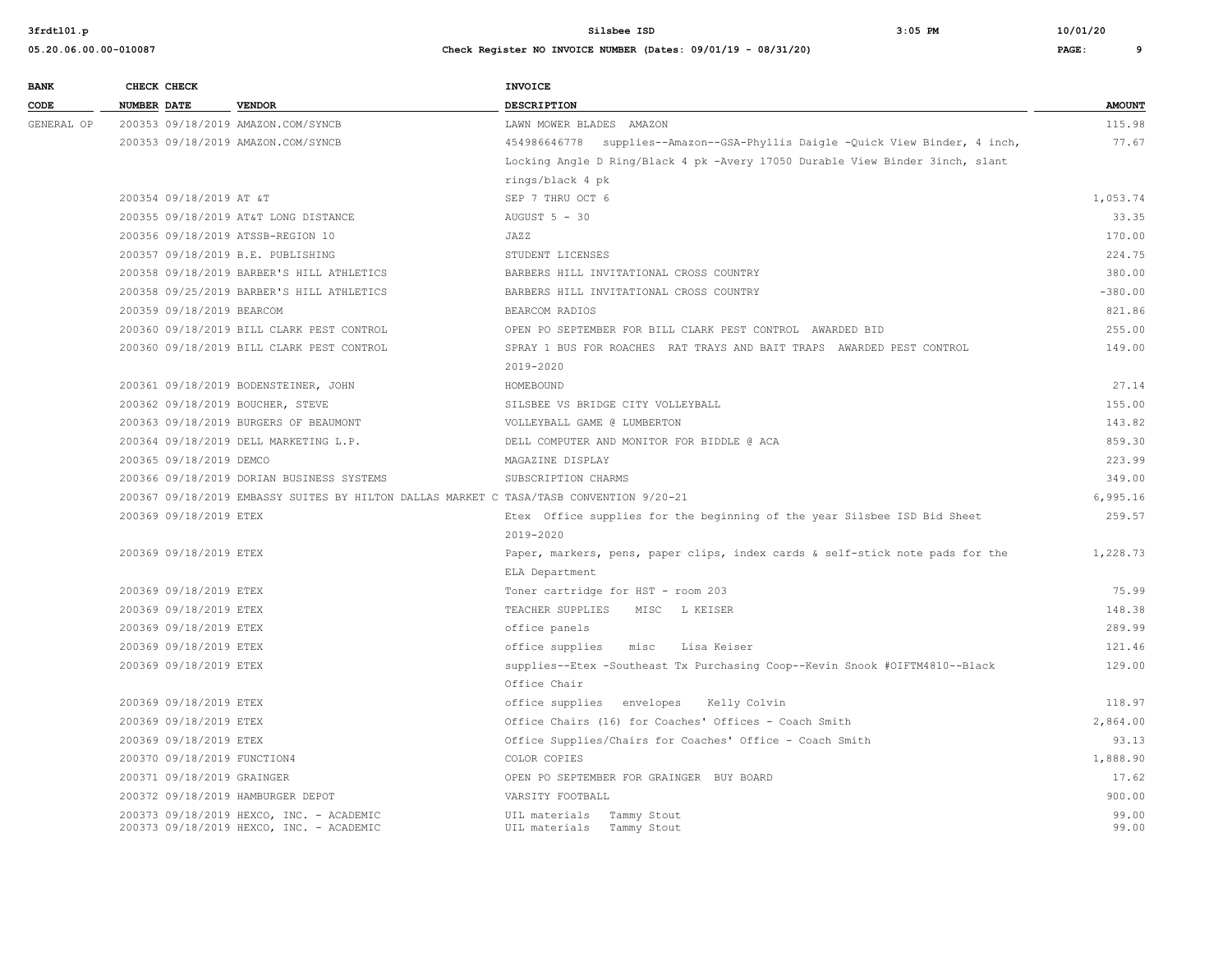| 05.20.06.00.00-010087 | Check Register NO INVOICE NUMBER (Dates: 09/01/19 - 08/31/20) | PAGE: |  |
|-----------------------|---------------------------------------------------------------|-------|--|
|                       |                                                               |       |  |

| <b>BANK</b> |                    | CHECK CHECK                 |                                                                                         | INVOICE                                                                       |               |
|-------------|--------------------|-----------------------------|-----------------------------------------------------------------------------------------|-------------------------------------------------------------------------------|---------------|
| CODE        | <b>NUMBER DATE</b> |                             | <b>VENDOR</b>                                                                           | <b>DESCRIPTION</b>                                                            | <b>AMOUNT</b> |
| GENERAL OP  |                    |                             | 200353 09/18/2019 AMAZON.COM/SYNCB                                                      | LAWN MOWER BLADES AMAZON                                                      | 115.98        |
|             |                    |                             | 200353 09/18/2019 AMAZON.COM/SYNCB                                                      | 454986646778 supplies--Amazon--GSA-Phyllis Daigle -Quick View Binder, 4 inch, | 77.67         |
|             |                    |                             |                                                                                         | Locking Angle D Ring/Black 4 pk -Avery 17050 Durable View Binder 3inch, slant |               |
|             |                    |                             |                                                                                         | rings/black 4 pk                                                              |               |
|             |                    | 200354 09/18/2019 AT &T     |                                                                                         | SEP 7 THRU OCT 6                                                              | 1,053.74      |
|             |                    |                             | 200355 09/18/2019 AT&T LONG DISTANCE                                                    | AUGUST 5 - 30                                                                 | 33.35         |
|             |                    |                             | 200356 09/18/2019 ATSSB-REGION 10                                                       | JAZZ                                                                          | 170.00        |
|             |                    |                             | 200357 09/18/2019 B.E. PUBLISHING                                                       | STUDENT LICENSES                                                              | 224.75        |
|             |                    |                             | 200358 09/18/2019 BARBER'S HILL ATHLETICS                                               | BARBERS HILL INVITATIONAL CROSS COUNTRY                                       | 380.00        |
|             |                    |                             | 200358 09/25/2019 BARBER'S HILL ATHLETICS                                               | BARBERS HILL INVITATIONAL CROSS COUNTRY                                       | $-380.00$     |
|             |                    | 200359 09/18/2019 BEARCOM   |                                                                                         | BEARCOM RADIOS                                                                | 821.86        |
|             |                    |                             | 200360 09/18/2019 BILL CLARK PEST CONTROL                                               | OPEN PO SEPTEMBER FOR BILL CLARK PEST CONTROL AWARDED BID                     | 255.00        |
|             |                    |                             | 200360 09/18/2019 BILL CLARK PEST CONTROL                                               | SPRAY 1 BUS FOR ROACHES RAT TRAYS AND BAIT TRAPS AWARDED PEST CONTROL         | 149.00        |
|             |                    |                             |                                                                                         | 2019-2020                                                                     |               |
|             |                    |                             | 200361 09/18/2019 BODENSTEINER, JOHN                                                    | HOMEBOUND                                                                     | 27.14         |
|             |                    |                             | 200362 09/18/2019 BOUCHER, STEVE                                                        | SILSBEE VS BRIDGE CITY VOLLEYBALL                                             | 155.00        |
|             |                    |                             | 200363 09/18/2019 BURGERS OF BEAUMONT                                                   | VOLLEYBALL GAME @ LUMBERTON                                                   | 143.82        |
|             |                    |                             | 200364 09/18/2019 DELL MARKETING L.P.                                                   | DELL COMPUTER AND MONITOR FOR BIDDLE @ ACA                                    | 859.30        |
|             |                    | 200365 09/18/2019 DEMCO     |                                                                                         | MAGAZINE DISPLAY                                                              | 223.99        |
|             |                    |                             | 200366 09/18/2019 DORIAN BUSINESS SYSTEMS                                               | SUBSCRIPTION CHARMS                                                           | 349.00        |
|             |                    |                             | 200367 09/18/2019 EMBASSY SUITES BY HILTON DALLAS MARKET C TASA/TASB CONVENTION 9/20-21 |                                                                               | 6,995.16      |
|             |                    | 200369 09/18/2019 ETEX      |                                                                                         | Etex Office supplies for the beginning of the year Silsbee ISD Bid Sheet      | 259.57        |
|             |                    |                             |                                                                                         | 2019-2020                                                                     |               |
|             |                    | 200369 09/18/2019 ETEX      |                                                                                         | Paper, markers, pens, paper clips, index cards & self-stick note pads for the | 1,228.73      |
|             |                    |                             |                                                                                         | ELA Department                                                                |               |
|             |                    | 200369 09/18/2019 ETEX      |                                                                                         | Toner cartridge for HST - room 203                                            | 75.99         |
|             |                    | 200369 09/18/2019 ETEX      |                                                                                         | TEACHER SUPPLIES<br>MISC L KEISER                                             | 148.38        |
|             |                    | 200369 09/18/2019 ETEX      |                                                                                         | office panels                                                                 | 289.99        |
|             |                    | 200369 09/18/2019 ETEX      |                                                                                         | office supplies<br>misc<br>Lisa Keiser                                        | 121.46        |
|             |                    | 200369 09/18/2019 ETEX      |                                                                                         | supplies--Etex -Southeast Tx Purchasing Coop--Kevin Snook #OIFTM4810--Black   | 129.00        |
|             |                    |                             |                                                                                         | Office Chair                                                                  |               |
|             |                    | 200369 09/18/2019 ETEX      |                                                                                         | office supplies envelopes Kelly Colvin                                        | 118.97        |
|             |                    | 200369 09/18/2019 ETEX      |                                                                                         | Office Chairs (16) for Coaches' Offices - Coach Smith                         | 2,864.00      |
|             |                    | 200369 09/18/2019 ETEX      |                                                                                         | Office Supplies/Chairs for Coaches' Office - Coach Smith                      | 93.13         |
|             |                    | 200370 09/18/2019 FUNCTION4 |                                                                                         | COLOR COPIES                                                                  | 1,888.90      |
|             |                    | 200371 09/18/2019 GRAINGER  |                                                                                         | OPEN PO SEPTEMBER FOR GRAINGER BUY BOARD                                      | 17.62         |
|             |                    |                             | 200372 09/18/2019 HAMBURGER DEPOT                                                       | VARSITY FOOTBALL                                                              | 900.00        |
|             |                    |                             | 200373 09/18/2019 HEXCO, INC. - ACADEMIC                                                | UIL materials<br>Tammy Stout                                                  | 99.00         |
|             |                    |                             | 200373 09/18/2019 HEXCO, INC. - ACADEMIC                                                | UIL materials Tammy Stout                                                     | 99.00         |
|             |                    |                             |                                                                                         |                                                                               |               |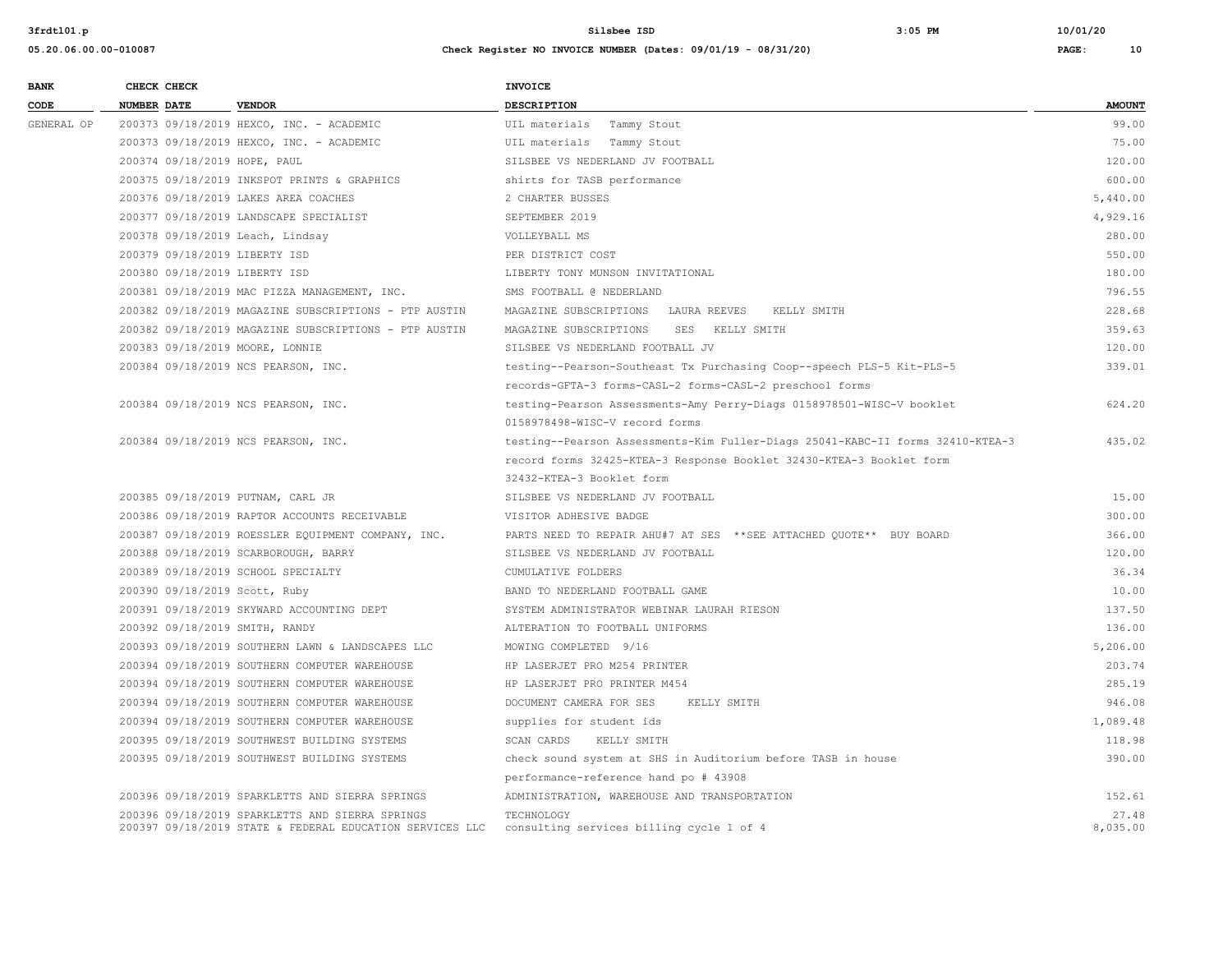| <b>BANK</b> | CHECK CHECK                                              | <b>INVOICE</b>                                                                 |               |
|-------------|----------------------------------------------------------|--------------------------------------------------------------------------------|---------------|
| CODE        | <b>NUMBER DATE</b><br><b>VENDOR</b>                      | <b>DESCRIPTION</b>                                                             | <b>AMOUNT</b> |
| GENERAL OP  | 200373 09/18/2019 HEXCO, INC. - ACADEMIC                 | UIL materials Tammy Stout                                                      | 99.00         |
|             | 200373 09/18/2019 HEXCO, INC. - ACADEMIC                 | UIL materials Tammy Stout                                                      | 75.00         |
|             | 200374 09/18/2019 HOPE, PAUL                             | SILSBEE VS NEDERLAND JV FOOTBALL                                               | 120.00        |
|             | 200375 09/18/2019 INKSPOT PRINTS & GRAPHICS              | shirts for TASB performance                                                    | 600.00        |
|             | 200376 09/18/2019 LAKES AREA COACHES                     | 2 CHARTER BUSSES                                                               | 5,440.00      |
|             | 200377 09/18/2019 LANDSCAPE SPECIALIST                   | SEPTEMBER 2019                                                                 | 4,929.16      |
|             | 200378 09/18/2019 Leach, Lindsay                         | VOLLEYBALL MS                                                                  | 280.00        |
|             | 200379 09/18/2019 LIBERTY ISD                            | PER DISTRICT COST                                                              | 550.00        |
|             | 200380 09/18/2019 LIBERTY ISD                            | LIBERTY TONY MUNSON INVITATIONAL                                               | 180.00        |
|             | 200381 09/18/2019 MAC PIZZA MANAGEMENT, INC.             | SMS FOOTBALL @ NEDERLAND                                                       | 796.55        |
|             | 200382 09/18/2019 MAGAZINE SUBSCRIPTIONS - PTP AUSTIN    | MAGAZINE SUBSCRIPTIONS LAURA REEVES<br>KELLY SMITH                             | 228.68        |
|             | 200382 09/18/2019 MAGAZINE SUBSCRIPTIONS - PTP AUSTIN    | MAGAZINE SUBSCRIPTIONS SES KELLY SMITH                                         | 359.63        |
|             | 200383 09/18/2019 MOORE, LONNIE                          | SILSBEE VS NEDERLAND FOOTBALL JV                                               | 120.00        |
|             | 200384 09/18/2019 NCS PEARSON, INC.                      | testing--Pearson-Southeast Tx Purchasing Coop--speech PLS-5 Kit-PLS-5          | 339.01        |
|             |                                                          | records-GFTA-3 forms-CASL-2 forms-CASL-2 preschool forms                       |               |
|             | 200384 09/18/2019 NCS PEARSON, INC.                      | testing-Pearson Assessments-Amy Perry-Diags 0158978501-WISC-V booklet          | 624.20        |
|             |                                                          | 0158978498-WISC-V record forms                                                 |               |
|             | 200384 09/18/2019 NCS PEARSON, INC.                      | testing--Pearson Assessments-Kim Fuller-Diags 25041-KABC-II forms 32410-KTEA-3 | 435.02        |
|             |                                                          | record forms 32425-KTEA-3 Response Booklet 32430-KTEA-3 Booklet form           |               |
|             |                                                          | 32432-KTEA-3 Booklet form                                                      |               |
|             | 200385 09/18/2019 PUTNAM, CARL JR                        | SILSBEE VS NEDERLAND JV FOOTBALL                                               | 15.00         |
|             | 200386 09/18/2019 RAPTOR ACCOUNTS RECEIVABLE             | VISITOR ADHESIVE BADGE                                                         | 300.00        |
|             | 200387 09/18/2019 ROESSLER EQUIPMENT COMPANY, INC.       | PARTS NEED TO REPAIR AHU#7 AT SES **SEE ATTACHED OUOTE** BUY BOARD             | 366.00        |
|             | 200388 09/18/2019 SCARBOROUGH, BARRY                     | SILSBEE VS NEDERLAND JV FOOTBALL                                               | 120.00        |
|             | 200389 09/18/2019 SCHOOL SPECIALTY                       | CUMULATIVE FOLDERS                                                             | 36.34         |
|             | 200390 09/18/2019 Scott, Ruby                            | BAND TO NEDERLAND FOOTBALL GAME                                                | 10.00         |
|             | 200391 09/18/2019 SKYWARD ACCOUNTING DEPT                | SYSTEM ADMINISTRATOR WEBINAR LAURAH RIESON                                     | 137.50        |
|             | 200392 09/18/2019 SMITH, RANDY                           | ALTERATION TO FOOTBALL UNIFORMS                                                | 136.00        |
|             | 200393 09/18/2019 SOUTHERN LAWN & LANDSCAPES LLC         | MOWING COMPLETED 9/16                                                          | 5,206.00      |
|             | 200394 09/18/2019 SOUTHERN COMPUTER WAREHOUSE            | HP LASERJET PRO M254 PRINTER                                                   | 203.74        |
|             | 200394 09/18/2019 SOUTHERN COMPUTER WAREHOUSE            | HP LASERJET PRO PRINTER M454                                                   | 285.19        |
|             | 200394 09/18/2019 SOUTHERN COMPUTER WAREHOUSE            | DOCUMENT CAMERA FOR SES<br>KELLY SMITH                                         | 946.08        |
|             | 200394 09/18/2019 SOUTHERN COMPUTER WAREHOUSE            | supplies for student ids                                                       | 1,089.48      |
|             | 200395 09/18/2019 SOUTHWEST BUILDING SYSTEMS             | SCAN CARDS<br>KELLY SMITH                                                      | 118.98        |
|             | 200395 09/18/2019 SOUTHWEST BUILDING SYSTEMS             | check sound system at SHS in Auditorium before TASB in house                   | 390.00        |
|             |                                                          | performance-reference hand po # 43908                                          |               |
|             | 200396 09/18/2019 SPARKLETTS AND SIERRA SPRINGS          | ADMINISTRATION, WAREHOUSE AND TRANSPORTATION                                   | 152.61        |
|             | 200396 09/18/2019 SPARKLETTS AND SIERRA SPRINGS          | TECHNOLOGY                                                                     | 27.48         |
|             | 200397 09/18/2019 STATE & FEDERAL EDUCATION SERVICES LLC | consulting services billing cycle 1 of 4                                       | 8,035.00      |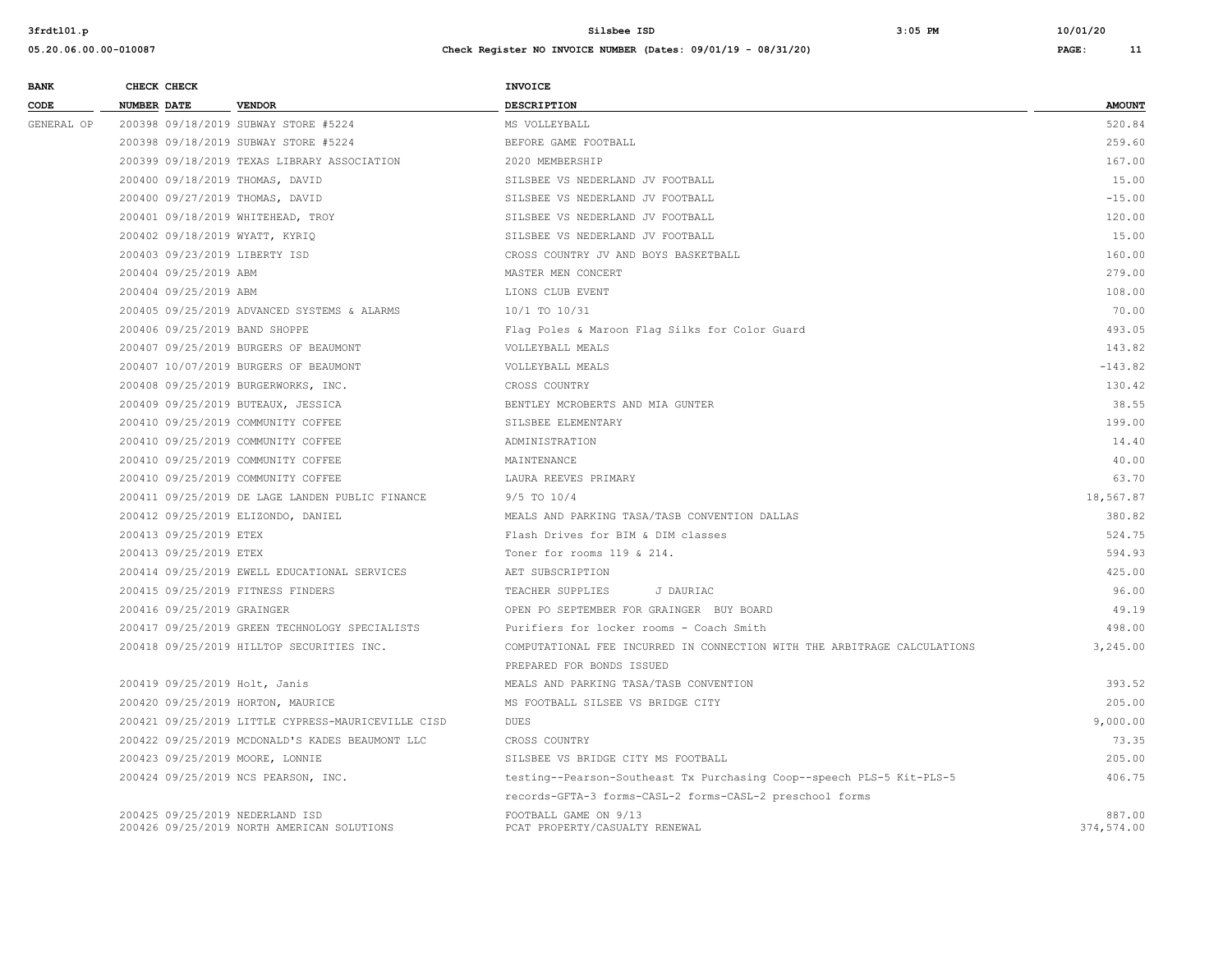| <b>BANK</b> | CHECK CHECK |                            |                                                                               | <b>INVOICE</b>                                                           |                      |
|-------------|-------------|----------------------------|-------------------------------------------------------------------------------|--------------------------------------------------------------------------|----------------------|
| CODE        | NUMBER DATE |                            | <b>VENDOR</b>                                                                 | <b>DESCRIPTION</b>                                                       | <b>AMOUNT</b>        |
| GENERAL OP  |             |                            | 200398 09/18/2019 SUBWAY STORE #5224                                          | MS VOLLEYBALL                                                            | 520.84               |
|             |             |                            | 200398 09/18/2019 SUBWAY STORE #5224                                          | BEFORE GAME FOOTBALL                                                     | 259.60               |
|             |             |                            | 200399 09/18/2019 TEXAS LIBRARY ASSOCIATION                                   | 2020 MEMBERSHIP                                                          | 167.00               |
|             |             |                            | 200400 09/18/2019 THOMAS, DAVID                                               | SILSBEE VS NEDERLAND JV FOOTBALL                                         | 15.00                |
|             |             |                            | 200400 09/27/2019 THOMAS, DAVID                                               | SILSBEE VS NEDERLAND JV FOOTBALL                                         | $-15.00$             |
|             |             |                            | 200401 09/18/2019 WHITEHEAD, TROY                                             | SILSBEE VS NEDERLAND JV FOOTBALL                                         | 120.00               |
|             |             |                            | 200402 09/18/2019 WYATT, KYRIQ                                                | SILSBEE VS NEDERLAND JV FOOTBALL                                         | 15.00                |
|             |             |                            | 200403 09/23/2019 LIBERTY ISD                                                 | CROSS COUNTRY JV AND BOYS BASKETBALL                                     | 160.00               |
|             |             | 200404 09/25/2019 ABM      |                                                                               | MASTER MEN CONCERT                                                       | 279.00               |
|             |             | 200404 09/25/2019 ABM      |                                                                               | LIONS CLUB EVENT                                                         | 108.00               |
|             |             |                            | 200405 09/25/2019 ADVANCED SYSTEMS & ALARMS                                   | 10/1 TO 10/31                                                            | 70.00                |
|             |             |                            | 200406 09/25/2019 BAND SHOPPE                                                 | Flag Poles & Maroon Flag Silks for Color Guard                           | 493.05               |
|             |             |                            | 200407 09/25/2019 BURGERS OF BEAUMONT                                         | VOLLEYBALL MEALS                                                         | 143.82               |
|             |             |                            | 200407 10/07/2019 BURGERS OF BEAUMONT                                         | VOLLEYBALL MEALS                                                         | $-143.82$            |
|             |             |                            | 200408 09/25/2019 BURGERWORKS, INC.                                           | CROSS COUNTRY                                                            | 130.42               |
|             |             |                            | 200409 09/25/2019 BUTEAUX, JESSICA                                            | BENTLEY MCROBERTS AND MIA GUNTER                                         | 38.55                |
|             |             |                            | 200410 09/25/2019 COMMUNITY COFFEE                                            | SILSBEE ELEMENTARY                                                       | 199.00               |
|             |             |                            | 200410 09/25/2019 COMMUNITY COFFEE                                            | ADMINISTRATION                                                           | 14.40                |
|             |             |                            | 200410 09/25/2019 COMMUNITY COFFEE                                            | MAINTENANCE                                                              | 40.00                |
|             |             |                            | 200410 09/25/2019 COMMUNITY COFFEE                                            | LAURA REEVES PRIMARY                                                     | 63.70                |
|             |             |                            | 200411 09/25/2019 DE LAGE LANDEN PUBLIC FINANCE                               | 9/5 TO 10/4                                                              | 18,567.87            |
|             |             |                            | 200412 09/25/2019 ELIZONDO, DANIEL                                            | MEALS AND PARKING TASA/TASB CONVENTION DALLAS                            | 380.82               |
|             |             | 200413 09/25/2019 ETEX     |                                                                               | Flash Drives for BIM & DIM classes                                       | 524.75               |
|             |             | 200413 09/25/2019 ETEX     |                                                                               | Toner for rooms 119 & 214.                                               | 594.93               |
|             |             |                            | 200414 09/25/2019 EWELL EDUCATIONAL SERVICES                                  | AET SUBSCRIPTION                                                         | 425.00               |
|             |             |                            | 200415 09/25/2019 FITNESS FINDERS                                             | TEACHER SUPPLIES<br>J DAURIAC                                            | 96.00                |
|             |             | 200416 09/25/2019 GRAINGER |                                                                               | OPEN PO SEPTEMBER FOR GRAINGER BUY BOARD                                 | 49.19                |
|             |             |                            | 200417 09/25/2019 GREEN TECHNOLOGY SPECIALISTS                                | Purifiers for locker rooms - Coach Smith                                 | 498.00               |
|             |             |                            | 200418 09/25/2019 HILLTOP SECURITIES INC.                                     | COMPUTATIONAL FEE INCURRED IN CONNECTION WITH THE ARBITRAGE CALCULATIONS | 3,245.00             |
|             |             |                            |                                                                               | PREPARED FOR BONDS ISSUED                                                |                      |
|             |             |                            | 200419 09/25/2019 Holt, Janis                                                 | MEALS AND PARKING TASA/TASB CONVENTION                                   | 393.52               |
|             |             |                            | 200420 09/25/2019 HORTON, MAURICE                                             | MS FOOTBALL SILSEE VS BRIDGE CITY                                        | 205.00               |
|             |             |                            | 200421 09/25/2019 LITTLE CYPRESS-MAURICEVILLE CISD                            | DUES                                                                     | 9,000.00             |
|             |             |                            | 200422 09/25/2019 MCDONALD'S KADES BEAUMONT LLC                               | CROSS COUNTRY                                                            | 73.35                |
|             |             |                            | 200423 09/25/2019 MOORE, LONNIE                                               | SILSBEE VS BRIDGE CITY MS FOOTBALL                                       | 205.00               |
|             |             |                            | 200424 09/25/2019 NCS PEARSON, INC.                                           | testing--Pearson-Southeast Tx Purchasing Coop--speech PLS-5 Kit-PLS-5    | 406.75               |
|             |             |                            |                                                                               | records-GFTA-3 forms-CASL-2 forms-CASL-2 preschool forms                 |                      |
|             |             |                            | 200425 09/25/2019 NEDERLAND ISD<br>200426 09/25/2019 NORTH AMERICAN SOLUTIONS | FOOTBALL GAME ON 9/13<br>PCAT PROPERTY/CASUALTY RENEWAL                  | 887.00<br>374,574.00 |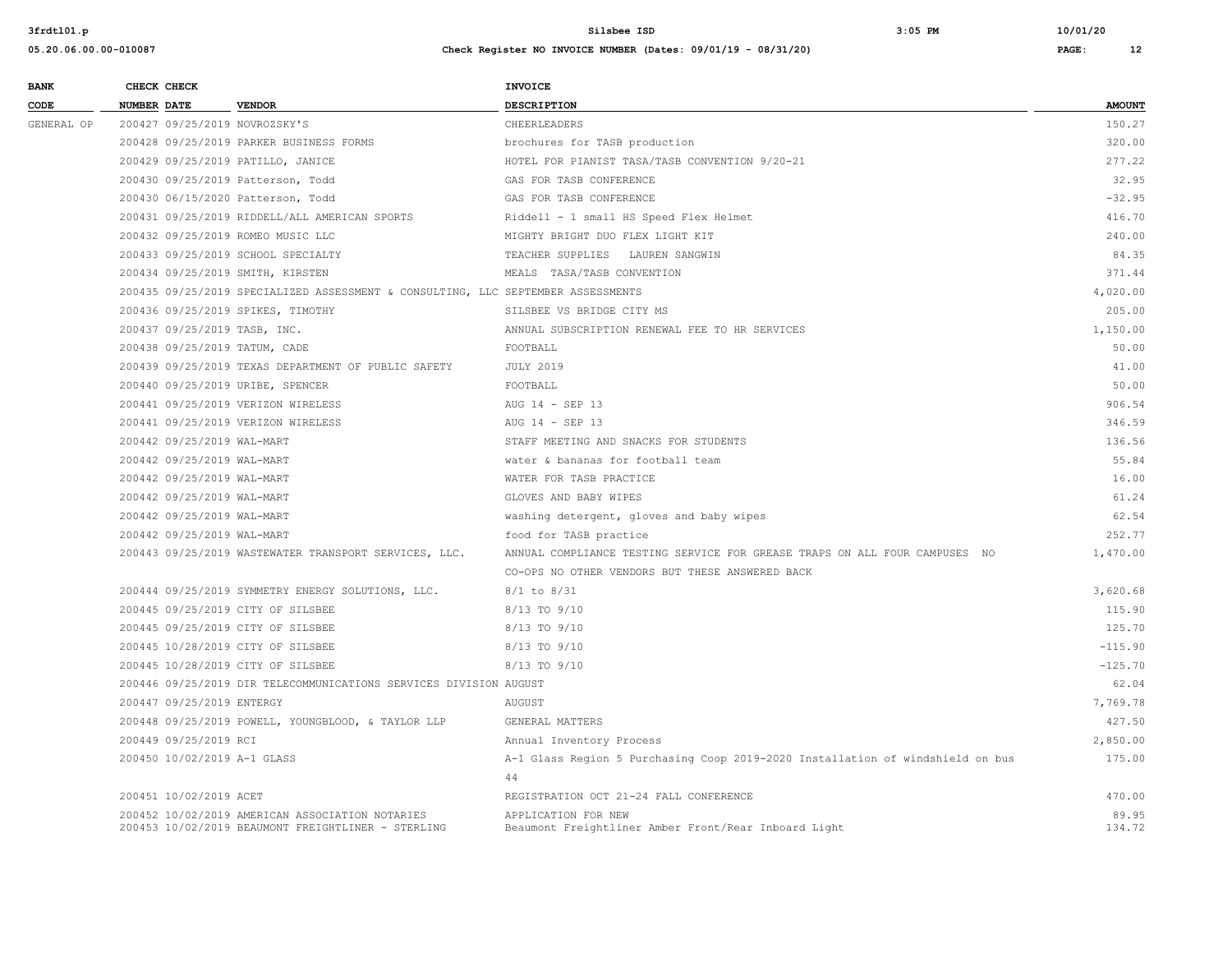| <b>BANK</b> |             | CHECK CHECK                 |                                                                                                       | <b>INVOICE</b>                                                                 |                 |
|-------------|-------------|-----------------------------|-------------------------------------------------------------------------------------------------------|--------------------------------------------------------------------------------|-----------------|
| CODE        | NUMBER DATE |                             | <b>VENDOR</b>                                                                                         | DESCRIPTION                                                                    | <b>AMOUNT</b>   |
| GENERAL OP  |             |                             | 200427 09/25/2019 NOVROZSKY'S                                                                         | CHEERLEADERS                                                                   | 150.27          |
|             |             |                             | 200428 09/25/2019 PARKER BUSINESS FORMS                                                               | brochures for TASB production                                                  | 320.00          |
|             |             |                             | 200429 09/25/2019 PATILLO, JANICE                                                                     | HOTEL FOR PIANIST TASA/TASB CONVENTION 9/20-21                                 | 277.22          |
|             |             |                             | 200430 09/25/2019 Patterson, Todd                                                                     | GAS FOR TASB CONFERENCE                                                        | 32.95           |
|             |             |                             | 200430 06/15/2020 Patterson, Todd                                                                     | GAS FOR TASB CONFERENCE                                                        | $-32.95$        |
|             |             |                             | 200431 09/25/2019 RIDDELL/ALL AMERICAN SPORTS                                                         | Riddell - 1 small HS Speed Flex Helmet                                         | 416.70          |
|             |             |                             | 200432 09/25/2019 ROMEO MUSIC LLC                                                                     | MIGHTY BRIGHT DUO FLEX LIGHT KIT                                               | 240.00          |
|             |             |                             | 200433 09/25/2019 SCHOOL SPECIALTY                                                                    | TEACHER SUPPLIES LAUREN SANGWIN                                                | 84.35           |
|             |             |                             | 200434 09/25/2019 SMITH, KIRSTEN                                                                      | MEALS TASA/TASB CONVENTION                                                     | 371.44          |
|             |             |                             | 200435 09/25/2019 SPECIALIZED ASSESSMENT & CONSULTING, LLC SEPTEMBER ASSESSMENTS                      |                                                                                | 4,020.00        |
|             |             |                             | 200436 09/25/2019 SPIKES, TIMOTHY                                                                     | SILSBEE VS BRIDGE CITY MS                                                      | 205.00          |
|             |             |                             | 200437 09/25/2019 TASB, INC.                                                                          | ANNUAL SUBSCRIPTION RENEWAL FEE TO HR SERVICES                                 | 1,150.00        |
|             |             |                             | 200438 09/25/2019 TATUM, CADE                                                                         | FOOTBALL                                                                       | 50.00           |
|             |             |                             | 200439 09/25/2019 TEXAS DEPARTMENT OF PUBLIC SAFETY                                                   | <b>JULY 2019</b>                                                               | 41.00           |
|             |             |                             | 200440 09/25/2019 URIBE, SPENCER                                                                      | FOOTBALL                                                                       | 50.00           |
|             |             |                             | 200441 09/25/2019 VERIZON WIRELESS                                                                    | AUG 14 - SEP 13                                                                | 906.54          |
|             |             |                             | 200441 09/25/2019 VERIZON WIRELESS                                                                    | AUG 14 - SEP 13                                                                | 346.59          |
|             |             | 200442 09/25/2019 WAL-MART  |                                                                                                       | STAFF MEETING AND SNACKS FOR STUDENTS                                          | 136.56          |
|             |             | 200442 09/25/2019 WAL-MART  |                                                                                                       | water & bananas for football team                                              | 55.84           |
|             |             | 200442 09/25/2019 WAL-MART  |                                                                                                       | WATER FOR TASB PRACTICE                                                        | 16.00           |
|             |             | 200442 09/25/2019 WAL-MART  |                                                                                                       | GLOVES AND BABY WIPES                                                          | 61.24           |
|             |             | 200442 09/25/2019 WAL-MART  |                                                                                                       | washing detergent, gloves and baby wipes                                       | 62.54           |
|             |             | 200442 09/25/2019 WAL-MART  |                                                                                                       | food for TASB practice                                                         | 252.77          |
|             |             |                             | 200443 09/25/2019 WASTEWATER TRANSPORT SERVICES, LLC.                                                 | ANNUAL COMPLIANCE TESTING SERVICE FOR GREASE TRAPS ON ALL FOUR CAMPUSES NO     | 1,470.00        |
|             |             |                             |                                                                                                       | CO-OPS NO OTHER VENDORS BUT THESE ANSWERED BACK                                |                 |
|             |             |                             | 200444 09/25/2019 SYMMETRY ENERGY SOLUTIONS, LLC.                                                     | $8/1$ to $8/31$                                                                | 3,620.68        |
|             |             |                             | 200445 09/25/2019 CITY OF SILSBEE                                                                     | 8/13 TO 9/10                                                                   | 115.90          |
|             |             |                             | 200445 09/25/2019 CITY OF SILSBEE                                                                     | 8/13 TO 9/10                                                                   | 125.70          |
|             |             |                             | 200445 10/28/2019 CITY OF SILSBEE                                                                     | 8/13 TO 9/10                                                                   | $-115.90$       |
|             |             |                             | 200445 10/28/2019 CITY OF SILSBEE                                                                     | 8/13 TO 9/10                                                                   | $-125.70$       |
|             |             |                             | 200446 09/25/2019 DIR TELECOMMUNICATIONS SERVICES DIVISION AUGUST                                     |                                                                                | 62.04           |
|             |             | 200447 09/25/2019 ENTERGY   |                                                                                                       | AUGUST                                                                         | 7.769.78        |
|             |             |                             | 200448 09/25/2019 POWELL, YOUNGBLOOD, & TAYLOR LLP                                                    | GENERAL MATTERS                                                                | 427.50          |
|             |             | 200449 09/25/2019 RCI       |                                                                                                       | Annual Inventory Process                                                       | 2,850.00        |
|             |             | 200450 10/02/2019 A-1 GLASS |                                                                                                       | A-1 Glass Region 5 Purchasing Coop 2019-2020 Installation of windshield on bus | 175.00          |
|             |             |                             |                                                                                                       | 44                                                                             |                 |
|             |             | 200451 10/02/2019 ACET      |                                                                                                       | REGISTRATION OCT 21-24 FALL CONFERENCE                                         | 470.00          |
|             |             |                             | 200452 10/02/2019 AMERICAN ASSOCIATION NOTARIES<br>200453 10/02/2019 BEAUMONT FREIGHTLINER - STERLING | APPLICATION FOR NEW<br>Beaumont Freightliner Amber Front/Rear Inboard Light    | 89.95<br>134.72 |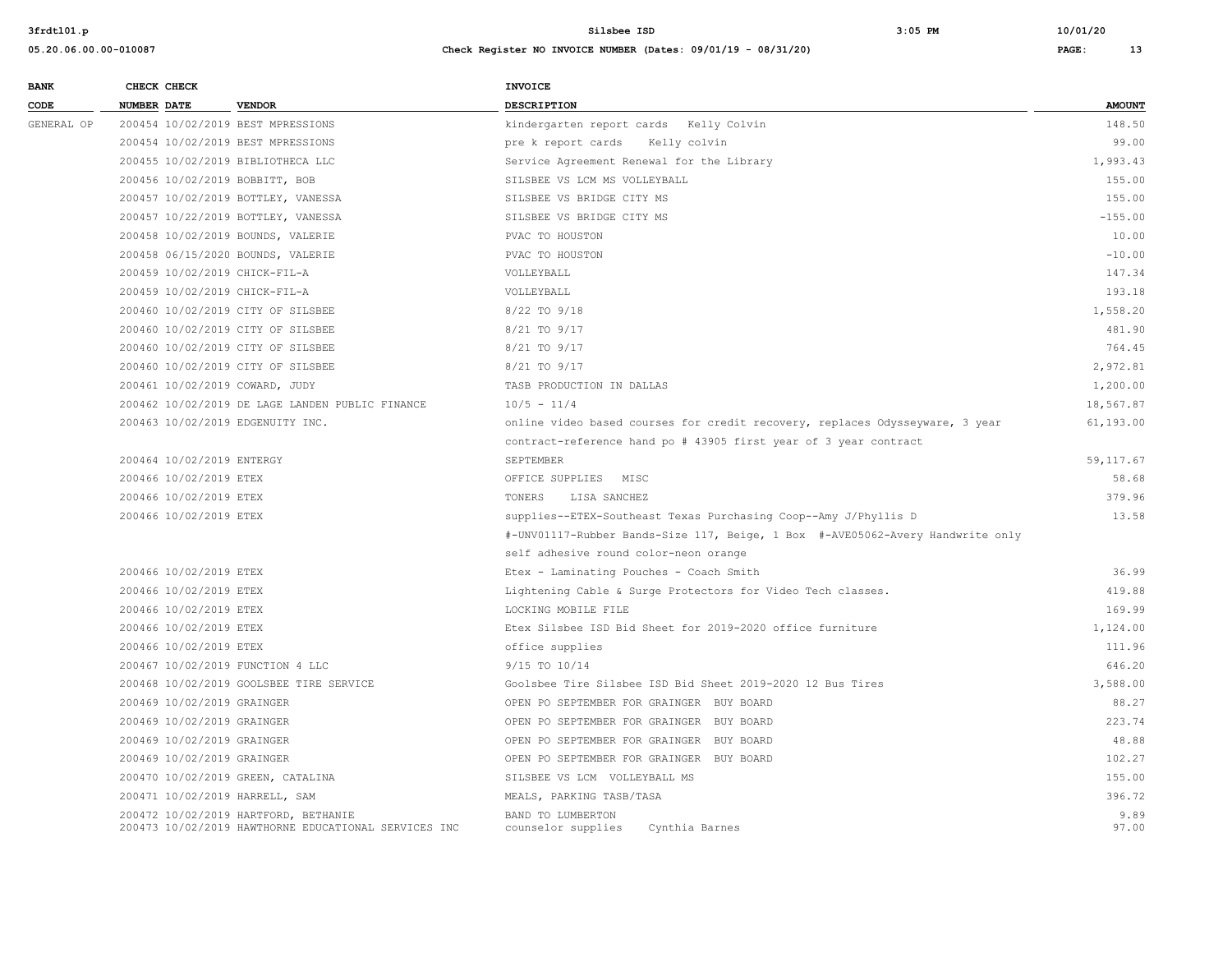| <b>BANK</b> |             | CHECK CHECK                |                                                                                              | <b>INVOICE</b>                                                                 |               |
|-------------|-------------|----------------------------|----------------------------------------------------------------------------------------------|--------------------------------------------------------------------------------|---------------|
| CODE        | NUMBER DATE |                            | <b>VENDOR</b>                                                                                | DESCRIPTION                                                                    | <b>AMOUNT</b> |
| GENERAL OP  |             |                            | 200454 10/02/2019 BEST MPRESSIONS                                                            | kindergarten report cards Kelly Colvin                                         | 148.50        |
|             |             |                            | 200454 10/02/2019 BEST MPRESSIONS                                                            | pre k report cards Kelly colvin                                                | 99.00         |
|             |             |                            | 200455 10/02/2019 BIBLIOTHECA LLC                                                            | Service Agreement Renewal for the Library                                      | 1,993.43      |
|             |             |                            | 200456 10/02/2019 BOBBITT, BOB                                                               | SILSBEE VS LCM MS VOLLEYBALL                                                   | 155.00        |
|             |             |                            | 200457 10/02/2019 BOTTLEY, VANESSA                                                           | SILSBEE VS BRIDGE CITY MS                                                      | 155.00        |
|             |             |                            | 200457 10/22/2019 BOTTLEY, VANESSA                                                           | SILSBEE VS BRIDGE CITY MS                                                      | $-155.00$     |
|             |             |                            | 200458 10/02/2019 BOUNDS, VALERIE                                                            | PVAC TO HOUSTON                                                                | 10.00         |
|             |             |                            | 200458 06/15/2020 BOUNDS, VALERIE                                                            | PVAC TO HOUSTON                                                                | $-10.00$      |
|             |             |                            | 200459 10/02/2019 CHICK-FIL-A                                                                | VOLLEYBALL                                                                     | 147.34        |
|             |             |                            | 200459 10/02/2019 CHICK-FIL-A                                                                | VOLLEYBALL                                                                     | 193.18        |
|             |             |                            | 200460 10/02/2019 CITY OF SILSBEE                                                            | 8/22 TO 9/18                                                                   | 1,558.20      |
|             |             |                            | 200460 10/02/2019 CITY OF SILSBEE                                                            | 8/21 TO 9/17                                                                   | 481.90        |
|             |             |                            | 200460 10/02/2019 CITY OF SILSBEE                                                            | 8/21 TO 9/17                                                                   | 764.45        |
|             |             |                            | 200460 10/02/2019 CITY OF SILSBEE                                                            | 8/21 TO 9/17                                                                   | 2,972.81      |
|             |             |                            | 200461 10/02/2019 COWARD, JUDY                                                               | TASB PRODUCTION IN DALLAS                                                      | 1,200.00      |
|             |             |                            | 200462 10/02/2019 DE LAGE LANDEN PUBLIC FINANCE                                              | $10/5 - 11/4$                                                                  | 18,567.87     |
|             |             |                            | 200463 10/02/2019 EDGENUITY INC.                                                             | online video based courses for credit recovery, replaces Odysseyware, 3 year   | 61,193.00     |
|             |             |                            |                                                                                              | contract-reference hand po # 43905 first year of 3 year contract               |               |
|             |             | 200464 10/02/2019 ENTERGY  |                                                                                              | SEPTEMBER                                                                      | 59, 117.67    |
|             |             | 200466 10/02/2019 ETEX     |                                                                                              | OFFICE SUPPLIES MISC                                                           | 58.68         |
|             |             | 200466 10/02/2019 ETEX     |                                                                                              | TONERS<br>LISA SANCHEZ                                                         | 379.96        |
|             |             | 200466 10/02/2019 ETEX     |                                                                                              | supplies--ETEX-Southeast Texas Purchasing Coop--Amy J/Phyllis D                | 13.58         |
|             |             |                            |                                                                                              | #-UNV01117-Rubber Bands-Size 117, Beige, 1 Box #-AVE05062-Avery Handwrite only |               |
|             |             |                            |                                                                                              | self adhesive round color-neon orange                                          |               |
|             |             | 200466 10/02/2019 ETEX     |                                                                                              | Etex - Laminating Pouches - Coach Smith                                        | 36.99         |
|             |             | 200466 10/02/2019 ETEX     |                                                                                              | Lightening Cable & Surge Protectors for Video Tech classes.                    | 419.88        |
|             |             | 200466 10/02/2019 ETEX     |                                                                                              | LOCKING MOBILE FILE                                                            | 169.99        |
|             |             | 200466 10/02/2019 ETEX     |                                                                                              | Etex Silsbee ISD Bid Sheet for 2019-2020 office furniture                      | 1,124.00      |
|             |             | 200466 10/02/2019 ETEX     |                                                                                              | office supplies                                                                | 111.96        |
|             |             |                            | 200467 10/02/2019 FUNCTION 4 LLC                                                             | 9/15 TO 10/14                                                                  | 646.20        |
|             |             |                            | 200468 10/02/2019 GOOLSBEE TIRE SERVICE                                                      | Goolsbee Tire Silsbee ISD Bid Sheet 2019-2020 12 Bus Tires                     | 3,588.00      |
|             |             | 200469 10/02/2019 GRAINGER |                                                                                              | OPEN PO SEPTEMBER FOR GRAINGER BUY BOARD                                       | 88.27         |
|             |             | 200469 10/02/2019 GRAINGER |                                                                                              | OPEN PO SEPTEMBER FOR GRAINGER BUY BOARD                                       | 223.74        |
|             |             | 200469 10/02/2019 GRAINGER |                                                                                              | OPEN PO SEPTEMBER FOR GRAINGER BUY BOARD                                       | 48.88         |
|             |             | 200469 10/02/2019 GRAINGER |                                                                                              | OPEN PO SEPTEMBER FOR GRAINGER BUY BOARD                                       | 102.27        |
|             |             |                            | 200470 10/02/2019 GREEN, CATALINA                                                            | SILSBEE VS LCM VOLLEYBALL MS                                                   | 155.00        |
|             |             |                            | 200471 10/02/2019 HARRELL, SAM                                                               | MEALS, PARKING TASB/TASA                                                       | 396.72        |
|             |             |                            | 200472 10/02/2019 HARTFORD, BETHANIE<br>200473 10/02/2019 HAWTHORNE EDUCATIONAL SERVICES INC | BAND TO LUMBERTON<br>counselor supplies<br>Cynthia Barnes                      | 9.89<br>97.00 |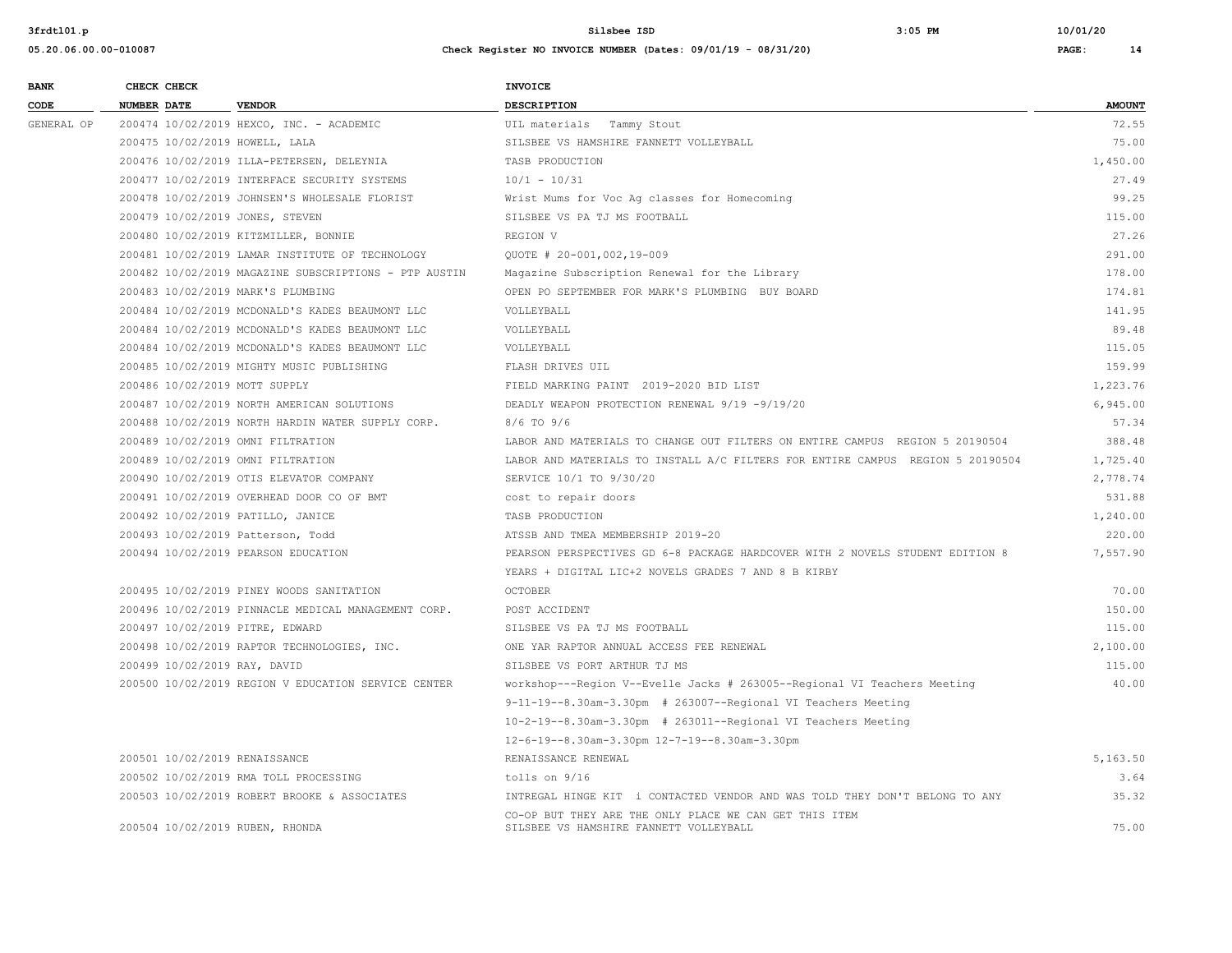**05.20.06.00.00-010087 Check Register NO INVOICE NUMBER (Dates: 09/01/19 - 08/31/20) PAGE: 14**

**3frdtl01.p Silsbee ISD 3:05 PM 10/01/20**

| <b>BANK</b> | CHECK CHECK                       |                                                       | <b>INVOICE</b>                                                                                   |               |  |
|-------------|-----------------------------------|-------------------------------------------------------|--------------------------------------------------------------------------------------------------|---------------|--|
| CODE        | <b>NUMBER DATE</b>                | <b>VENDOR</b>                                         | <b>DESCRIPTION</b>                                                                               | <b>AMOUNT</b> |  |
| GENERAL OP  |                                   | 200474 10/02/2019 HEXCO, INC. - ACADEMIC              | UIL materials Tammy Stout                                                                        | 72.55         |  |
|             | 200475 10/02/2019 HOWELL, LALA    |                                                       | SILSBEE VS HAMSHIRE FANNETT VOLLEYBALL                                                           | 75.00         |  |
|             |                                   | 200476 10/02/2019 ILLA-PETERSEN, DELEYNIA             | TASB PRODUCTION                                                                                  | 1,450.00      |  |
|             |                                   | 200477 10/02/2019 INTERFACE SECURITY SYSTEMS          | $10/1 - 10/31$                                                                                   | 27.49         |  |
|             |                                   | 200478 10/02/2019 JOHNSEN'S WHOLESALE FLORIST         | Wrist Mums for Voc Aq classes for Homecoming                                                     | 99.25         |  |
|             | 200479 10/02/2019 JONES, STEVEN   |                                                       | SILSBEE VS PA TJ MS FOOTBALL                                                                     | 115.00        |  |
|             |                                   | 200480 10/02/2019 KITZMILLER, BONNIE                  | REGION V                                                                                         | 27.26         |  |
|             |                                   | 200481 10/02/2019 LAMAR INSTITUTE OF TECHNOLOGY       | QUOTE # 20-001,002,19-009                                                                        | 291.00        |  |
|             |                                   | 200482 10/02/2019 MAGAZINE SUBSCRIPTIONS - PTP AUSTIN | Magazine Subscription Renewal for the Library                                                    | 178.00        |  |
|             | 200483 10/02/2019 MARK'S PLUMBING |                                                       | OPEN PO SEPTEMBER FOR MARK'S PLUMBING BUY BOARD                                                  | 174.81        |  |
|             |                                   | 200484 10/02/2019 MCDONALD'S KADES BEAUMONT LLC       | VOLLEYBALL                                                                                       | 141.95        |  |
|             |                                   | 200484 10/02/2019 MCDONALD'S KADES BEAUMONT LLC       | VOLLEYBALL                                                                                       | 89.48         |  |
|             |                                   | 200484 10/02/2019 MCDONALD'S KADES BEAUMONT LLC       | VOLLEYBALL                                                                                       | 115.05        |  |
|             |                                   | 200485 10/02/2019 MIGHTY MUSIC PUBLISHING             | FLASH DRIVES UIL                                                                                 | 159.99        |  |
|             | 200486 10/02/2019 MOTT SUPPLY     |                                                       | FIELD MARKING PAINT 2019-2020 BID LIST                                                           | 1,223.76      |  |
|             |                                   | 200487 10/02/2019 NORTH AMERICAN SOLUTIONS            | DEADLY WEAPON PROTECTION RENEWAL 9/19 -9/19/20                                                   | 6,945.00      |  |
|             |                                   | 200488 10/02/2019 NORTH HARDIN WATER SUPPLY CORP.     | 8/6 TO 9/6                                                                                       | 57.34         |  |
|             | 200489 10/02/2019 OMNI FILTRATION |                                                       | LABOR AND MATERIALS TO CHANGE OUT FILTERS ON ENTIRE CAMPUS REGION 5 20190504                     | 388.48        |  |
|             | 200489 10/02/2019 OMNI FILTRATION |                                                       | LABOR AND MATERIALS TO INSTALL A/C FILTERS FOR ENTIRE CAMPUS REGION 5 20190504                   | 1,725.40      |  |
|             |                                   | 200490 10/02/2019 OTIS ELEVATOR COMPANY               | SERVICE 10/1 TO 9/30/20                                                                          | 2,778.74      |  |
|             |                                   | 200491 10/02/2019 OVERHEAD DOOR CO OF BMT             | cost to repair doors                                                                             | 531.88        |  |
|             | 200492 10/02/2019 PATILLO, JANICE |                                                       | TASB PRODUCTION                                                                                  | 1,240.00      |  |
|             | 200493 10/02/2019 Patterson, Todd |                                                       | ATSSB AND TMEA MEMBERSHIP 2019-20                                                                | 220.00        |  |
|             |                                   | 200494 10/02/2019 PEARSON EDUCATION                   | PEARSON PERSPECTIVES GD 6-8 PACKAGE HARDCOVER WITH 2 NOVELS STUDENT EDITION 8                    | 7.557.90      |  |
|             |                                   |                                                       | YEARS + DIGITAL LIC+2 NOVELS GRADES 7 AND 8 B KIRBY                                              |               |  |
|             |                                   | 200495 10/02/2019 PINEY WOODS SANITATION              | <b>OCTOBER</b>                                                                                   | 70.00         |  |
|             |                                   | 200496 10/02/2019 PINNACLE MEDICAL MANAGEMENT CORP.   | POST ACCIDENT                                                                                    | 150.00        |  |
|             | 200497 10/02/2019 PITRE, EDWARD   |                                                       | SILSBEE VS PA TJ MS FOOTBALL                                                                     | 115.00        |  |
|             |                                   | 200498 10/02/2019 RAPTOR TECHNOLOGIES, INC.           | ONE YAR RAPTOR ANNUAL ACCESS FEE RENEWAL                                                         | 2,100.00      |  |
|             | 200499 10/02/2019 RAY, DAVID      |                                                       | SILSBEE VS PORT ARTHUR TJ MS                                                                     | 115.00        |  |
|             |                                   | 200500 10/02/2019 REGION V EDUCATION SERVICE CENTER   | workshop---Region V--Evelle Jacks # 263005--Regional VI Teachers Meeting                         | 40.00         |  |
|             |                                   |                                                       | $9-11-19-8.30$ am-3.30pm # 263007--Regional VI Teachers Meeting                                  |               |  |
|             |                                   |                                                       | 10-2-19--8.30am-3.30pm # 263011--Regional VI Teachers Meeting                                    |               |  |
|             |                                   |                                                       | 12-6-19--8.30am-3.30pm 12-7-19--8.30am-3.30pm                                                    |               |  |
|             | 200501 10/02/2019 RENAISSANCE     |                                                       | RENAISSANCE RENEWAL                                                                              | 5,163.50      |  |
|             |                                   | 200502 10/02/2019 RMA TOLL PROCESSING                 | tolls on 9/16                                                                                    | 3.64          |  |
|             |                                   | 200503 10/02/2019 ROBERT BROOKE & ASSOCIATES          | INTREGAL HINGE KIT i CONTACTED VENDOR AND WAS TOLD THEY DON'T BELONG TO ANY                      | 35.32         |  |
|             | 200504 10/02/2019 RUBEN, RHONDA   |                                                       | CO-OP BUT THEY ARE THE ONLY PLACE WE CAN GET THIS ITEM<br>SILSBEE VS HAMSHIRE FANNETT VOLLEYBALL | 75.00         |  |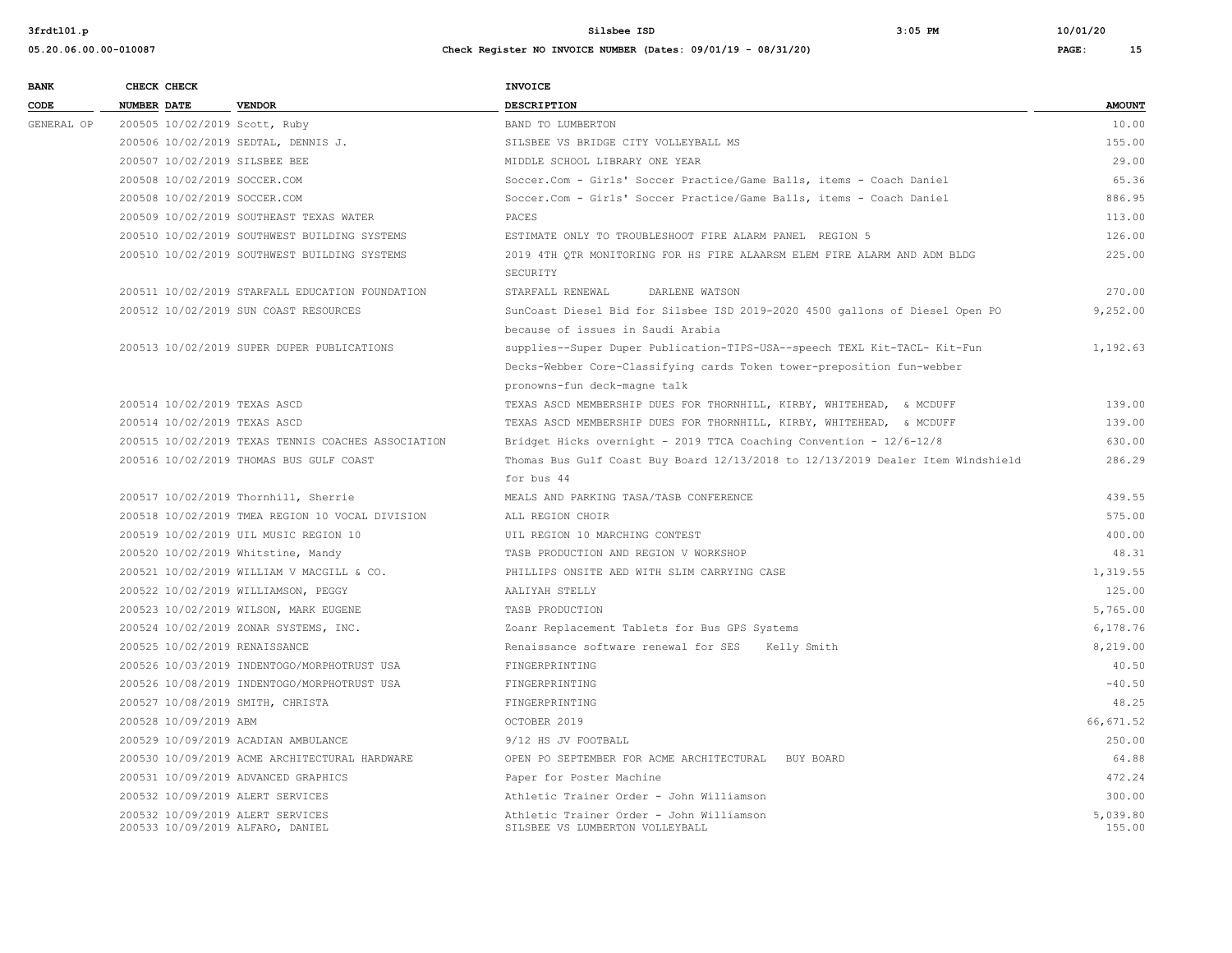| <b>BANK</b> | CHECK CHECK        |                       |                                                                      | <b>INVOICE</b>                                                                  |                    |
|-------------|--------------------|-----------------------|----------------------------------------------------------------------|---------------------------------------------------------------------------------|--------------------|
| CODE        | <b>NUMBER DATE</b> |                       | <b>VENDOR</b>                                                        | DESCRIPTION                                                                     | <b>AMOUNT</b>      |
| GENERAL OP  |                    |                       | 200505 10/02/2019 Scott, Ruby                                        | BAND TO LUMBERTON                                                               | 10.00              |
|             |                    |                       | 200506 10/02/2019 SEDTAL, DENNIS J.                                  | SILSBEE VS BRIDGE CITY VOLLEYBALL MS                                            | 155.00             |
|             |                    |                       | 200507 10/02/2019 SILSBEE BEE                                        | MIDDLE SCHOOL LIBRARY ONE YEAR                                                  | 29.00              |
|             |                    |                       | 200508 10/02/2019 SOCCER.COM                                         | Soccer.Com - Girls' Soccer Practice/Game Balls, items - Coach Daniel            | 65.36              |
|             |                    |                       | 200508 10/02/2019 SOCCER.COM                                         | Soccer.Com - Girls' Soccer Practice/Game Balls, items - Coach Daniel            | 886.95             |
|             |                    |                       | 200509 10/02/2019 SOUTHEAST TEXAS WATER                              | PACES                                                                           | 113.00             |
|             |                    |                       | 200510 10/02/2019 SOUTHWEST BUILDING SYSTEMS                         | ESTIMATE ONLY TO TROUBLESHOOT FIRE ALARM PANEL REGION 5                         | 126.00             |
|             |                    |                       | 200510 10/02/2019 SOUTHWEST BUILDING SYSTEMS                         | 2019 4TH QTR MONITORING FOR HS FIRE ALAARSM ELEM FIRE ALARM AND ADM BLDG        | 225.00             |
|             |                    |                       |                                                                      | SECURITY                                                                        |                    |
|             |                    |                       | 200511 10/02/2019 STARFALL EDUCATION FOUNDATION                      | STARFALL RENEWAL<br>DARLENE WATSON                                              | 270.00             |
|             |                    |                       | 200512 10/02/2019 SUN COAST RESOURCES                                | SunCoast Diesel Bid for Silsbee ISD 2019-2020 4500 gallons of Diesel Open PO    | 9,252.00           |
|             |                    |                       |                                                                      | because of issues in Saudi Arabia                                               |                    |
|             |                    |                       | 200513 10/02/2019 SUPER DUPER PUBLICATIONS                           | supplies--Super Duper Publication-TIPS-USA--speech TEXL Kit-TACL- Kit-Fun       | 1,192.63           |
|             |                    |                       |                                                                      | Decks-Webber Core-Classifying cards Token tower-preposition fun-webber          |                    |
|             |                    |                       |                                                                      | pronowns-fun deck-magne talk                                                    |                    |
|             |                    |                       | 200514 10/02/2019 TEXAS ASCD                                         | TEXAS ASCD MEMBERSHIP DUES FOR THORNHILL, KIRBY, WHITEHEAD, & MCDUFF            | 139.00             |
|             |                    |                       | 200514 10/02/2019 TEXAS ASCD                                         | TEXAS ASCD MEMBERSHIP DUES FOR THORNHILL, KIRBY, WHITEHEAD, & MCDUFF            | 139.00             |
|             |                    |                       | 200515 10/02/2019 TEXAS TENNIS COACHES ASSOCIATION                   | Bridget Hicks overnight - 2019 TTCA Coaching Convention - 12/6-12/8             | 630.00             |
|             |                    |                       | 200516 10/02/2019 THOMAS BUS GULF COAST                              | Thomas Bus Gulf Coast Buy Board 12/13/2018 to 12/13/2019 Dealer Item Windshield | 286.29             |
|             |                    |                       |                                                                      | for bus 44                                                                      |                    |
|             |                    |                       | 200517 10/02/2019 Thornhill, Sherrie                                 | MEALS AND PARKING TASA/TASB CONFERENCE                                          | 439.55             |
|             |                    |                       | 200518 10/02/2019 TMEA REGION 10 VOCAL DIVISION                      | ALL REGION CHOIR                                                                | 575.00             |
|             |                    |                       | 200519 10/02/2019 UIL MUSIC REGION 10                                | UIL REGION 10 MARCHING CONTEST                                                  | 400.00             |
|             |                    |                       | 200520 10/02/2019 Whitstine, Mandy                                   | TASB PRODUCTION AND REGION V WORKSHOP                                           | 48.31              |
|             |                    |                       | 200521 10/02/2019 WILLIAM V MACGILL & CO.                            | PHILLIPS ONSITE AED WITH SLIM CARRYING CASE                                     | 1,319.55           |
|             |                    |                       | 200522 10/02/2019 WILLIAMSON, PEGGY                                  | AALIYAH STELLY                                                                  | 125.00             |
|             |                    |                       | 200523 10/02/2019 WILSON, MARK EUGENE                                | TASB PRODUCTION                                                                 | 5,765.00           |
|             |                    |                       | 200524 10/02/2019 ZONAR SYSTEMS, INC.                                | Zoanr Replacement Tablets for Bus GPS Systems                                   | 6,178.76           |
|             |                    |                       | 200525 10/02/2019 RENAISSANCE                                        | Renaissance software renewal for SES Kelly Smith                                | 8,219.00           |
|             |                    |                       | 200526 10/03/2019 INDENTOGO/MORPHOTRUST USA                          | FINGERPRINTING                                                                  | 40.50              |
|             |                    |                       | 200526 10/08/2019 INDENTOGO/MORPHOTRUST USA                          | FINGERPRINTING                                                                  | $-40.50$           |
|             |                    |                       | 200527 10/08/2019 SMITH, CHRISTA                                     | FINGERPRINTING                                                                  | 48.25              |
|             |                    | 200528 10/09/2019 ABM |                                                                      | OCTOBER 2019                                                                    | 66,671.52          |
|             |                    |                       | 200529 10/09/2019 ACADIAN AMBULANCE                                  | 9/12 HS JV FOOTBALL                                                             | 250.00             |
|             |                    |                       | 200530 10/09/2019 ACME ARCHITECTURAL HARDWARE                        | OPEN PO SEPTEMBER FOR ACME ARCHITECTURAL BUY BOARD                              | 64.88              |
|             |                    |                       | 200531 10/09/2019 ADVANCED GRAPHICS                                  | Paper for Poster Machine                                                        | 472.24             |
|             |                    |                       | 200532 10/09/2019 ALERT SERVICES                                     | Athletic Trainer Order - John Williamson                                        | 300.00             |
|             |                    |                       | 200532 10/09/2019 ALERT SERVICES<br>200533 10/09/2019 ALFARO, DANIEL | Athletic Trainer Order - John Williamson<br>SILSBEE VS LUMBERTON VOLLEYBALL     | 5,039.80<br>155.00 |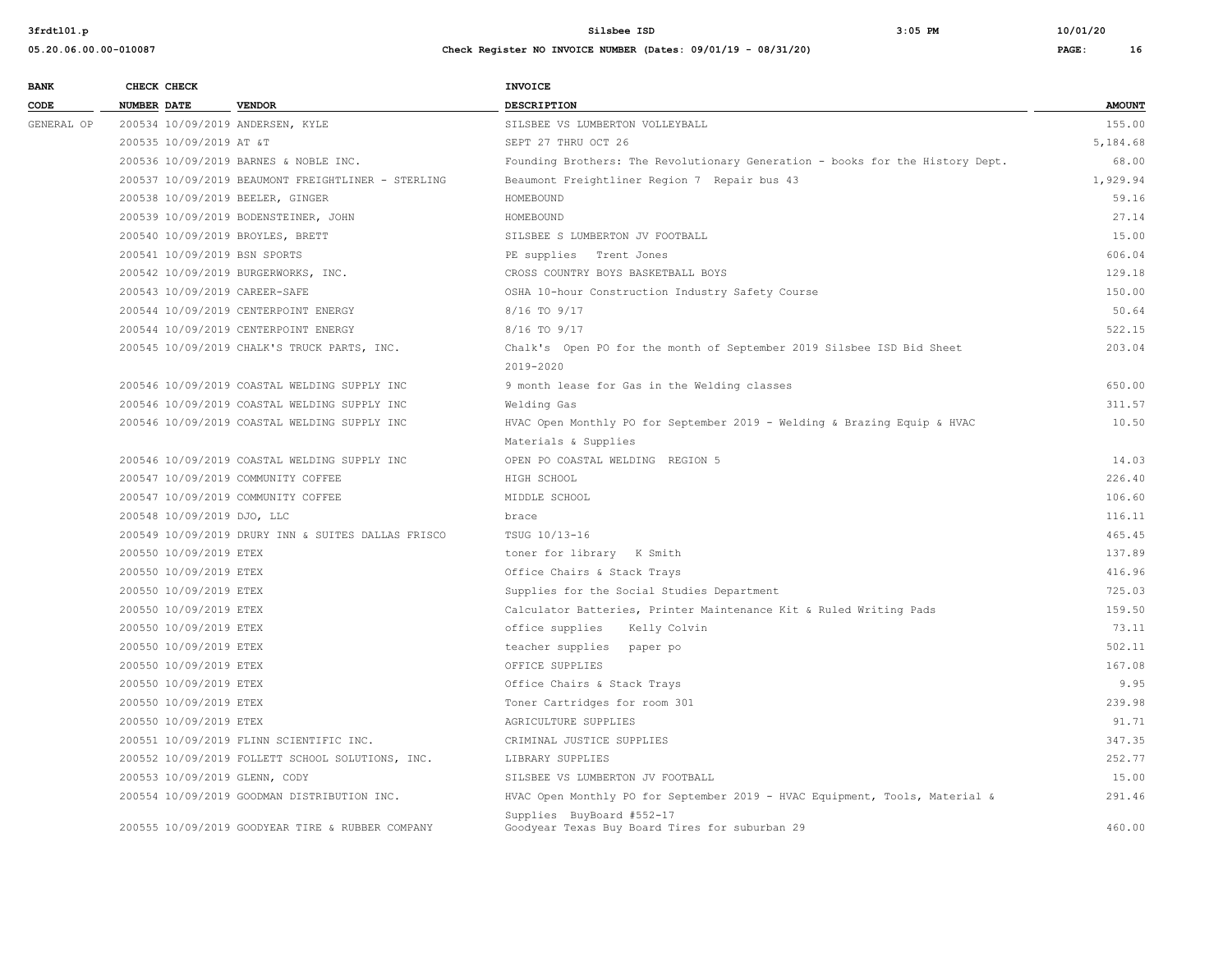**05.20.06.00.00-010087 Check Register NO INVOICE NUMBER (Dates: 09/01/19 - 08/31/20) PAGE: 16**

| <b>BANK</b> | CHECK CHECK                   |                                                    | <b>INVOICE</b>                                                                |               |
|-------------|-------------------------------|----------------------------------------------------|-------------------------------------------------------------------------------|---------------|
| CODE        | <b>NUMBER DATE</b>            | <b>VENDOR</b>                                      | DESCRIPTION                                                                   | <b>AMOUNT</b> |
| GENERAL OP  |                               | 200534 10/09/2019 ANDERSEN, KYLE                   | SILSBEE VS LUMBERTON VOLLEYBALL                                               | 155.00        |
|             | 200535 10/09/2019 AT &T       |                                                    | SEPT 27 THRU OCT 26                                                           | 5,184.68      |
|             |                               | 200536 10/09/2019 BARNES & NOBLE INC.              | Founding Brothers: The Revolutionary Generation - books for the History Dept. | 68.00         |
|             |                               | 200537 10/09/2019 BEAUMONT FREIGHTLINER - STERLING | Beaumont Freightliner Region 7 Repair bus 43                                  | 1,929.94      |
|             |                               | 200538 10/09/2019 BEELER, GINGER                   | HOMEBOUND                                                                     | 59.16         |
|             |                               | 200539 10/09/2019 BODENSTEINER, JOHN               | HOMEBOUND                                                                     | 27.14         |
|             |                               | 200540 10/09/2019 BROYLES, BRETT                   | SILSBEE S LUMBERTON JV FOOTBALL                                               | 15.00         |
|             | 200541 10/09/2019 BSN SPORTS  |                                                    | PE supplies Trent Jones                                                       | 606.04        |
|             |                               | 200542 10/09/2019 BURGERWORKS, INC.                | CROSS COUNTRY BOYS BASKETBALL BOYS                                            | 129.18        |
|             | 200543 10/09/2019 CAREER-SAFE |                                                    | OSHA 10-hour Construction Industry Safety Course                              | 150.00        |
|             |                               | 200544 10/09/2019 CENTERPOINT ENERGY               | 8/16 TO 9/17                                                                  | 50.64         |
|             |                               | 200544 10/09/2019 CENTERPOINT ENERGY               | 8/16 TO 9/17                                                                  | 522.15        |
|             |                               | 200545 10/09/2019 CHALK'S TRUCK PARTS, INC.        | Chalk's Open PO for the month of September 2019 Silsbee ISD Bid Sheet         | 203.04        |
|             |                               |                                                    | 2019-2020                                                                     |               |
|             |                               | 200546 10/09/2019 COASTAL WELDING SUPPLY INC       | 9 month lease for Gas in the Welding classes                                  | 650.00        |
|             |                               | 200546 10/09/2019 COASTAL WELDING SUPPLY INC       | Welding Gas                                                                   | 311.57        |
|             |                               | 200546 10/09/2019 COASTAL WELDING SUPPLY INC       | HVAC Open Monthly PO for September 2019 - Welding & Brazing Equip & HVAC      | 10.50         |
|             |                               |                                                    | Materials & Supplies                                                          |               |
|             |                               | 200546 10/09/2019 COASTAL WELDING SUPPLY INC       | OPEN PO COASTAL WELDING REGION 5                                              | 14.03         |
|             |                               | 200547 10/09/2019 COMMUNITY COFFEE                 | HIGH SCHOOL                                                                   | 226.40        |
|             |                               | 200547 10/09/2019 COMMUNITY COFFEE                 | MIDDLE SCHOOL                                                                 | 106.60        |
|             | 200548 10/09/2019 DJO, LLC    |                                                    | brace                                                                         | 116.11        |
|             |                               | 200549 10/09/2019 DRURY INN & SUITES DALLAS FRISCO | TSUG 10/13-16                                                                 | 465.45        |
|             | 200550 10/09/2019 ETEX        |                                                    | toner for library K Smith                                                     | 137.89        |
|             | 200550 10/09/2019 ETEX        |                                                    | Office Chairs & Stack Trays                                                   | 416.96        |
|             | 200550 10/09/2019 ETEX        |                                                    | Supplies for the Social Studies Department                                    | 725.03        |
|             | 200550 10/09/2019 ETEX        |                                                    | Calculator Batteries, Printer Maintenance Kit & Ruled Writing Pads            | 159.50        |
|             | 200550 10/09/2019 ETEX        |                                                    | office supplies<br>Kelly Colvin                                               | 73.11         |
|             | 200550 10/09/2019 ETEX        |                                                    | teacher supplies paper po                                                     | 502.11        |
|             | 200550 10/09/2019 ETEX        |                                                    | OFFICE SUPPLIES                                                               | 167.08        |
|             | 200550 10/09/2019 ETEX        |                                                    | Office Chairs & Stack Trays                                                   | 9.95          |
|             | 200550 10/09/2019 ETEX        |                                                    | Toner Cartridges for room 301                                                 | 239.98        |
|             | 200550 10/09/2019 ETEX        |                                                    | AGRICULTURE SUPPLIES                                                          | 91.71         |
|             |                               | 200551 10/09/2019 FLINN SCIENTIFIC INC.            | CRIMINAL JUSTICE SUPPLIES                                                     | 347.35        |
|             |                               | 200552 10/09/2019 FOLLETT SCHOOL SOLUTIONS, INC.   | LIBRARY SUPPLIES                                                              | 252.77        |
|             | 200553 10/09/2019 GLENN, CODY |                                                    | SILSBEE VS LUMBERTON JV FOOTBALL                                              | 15.00         |
|             |                               | 200554 10/09/2019 GOODMAN DISTRIBUTION INC.        | HVAC Open Monthly PO for September 2019 - HVAC Equipment, Tools, Material &   | 291.46        |
|             |                               |                                                    | Supplies BuyBoard #552-17                                                     |               |
|             |                               | 200555 10/09/2019 GOODYEAR TIRE & RUBBER COMPANY   | Goodyear Texas Buy Board Tires for suburban 29                                | 460.00        |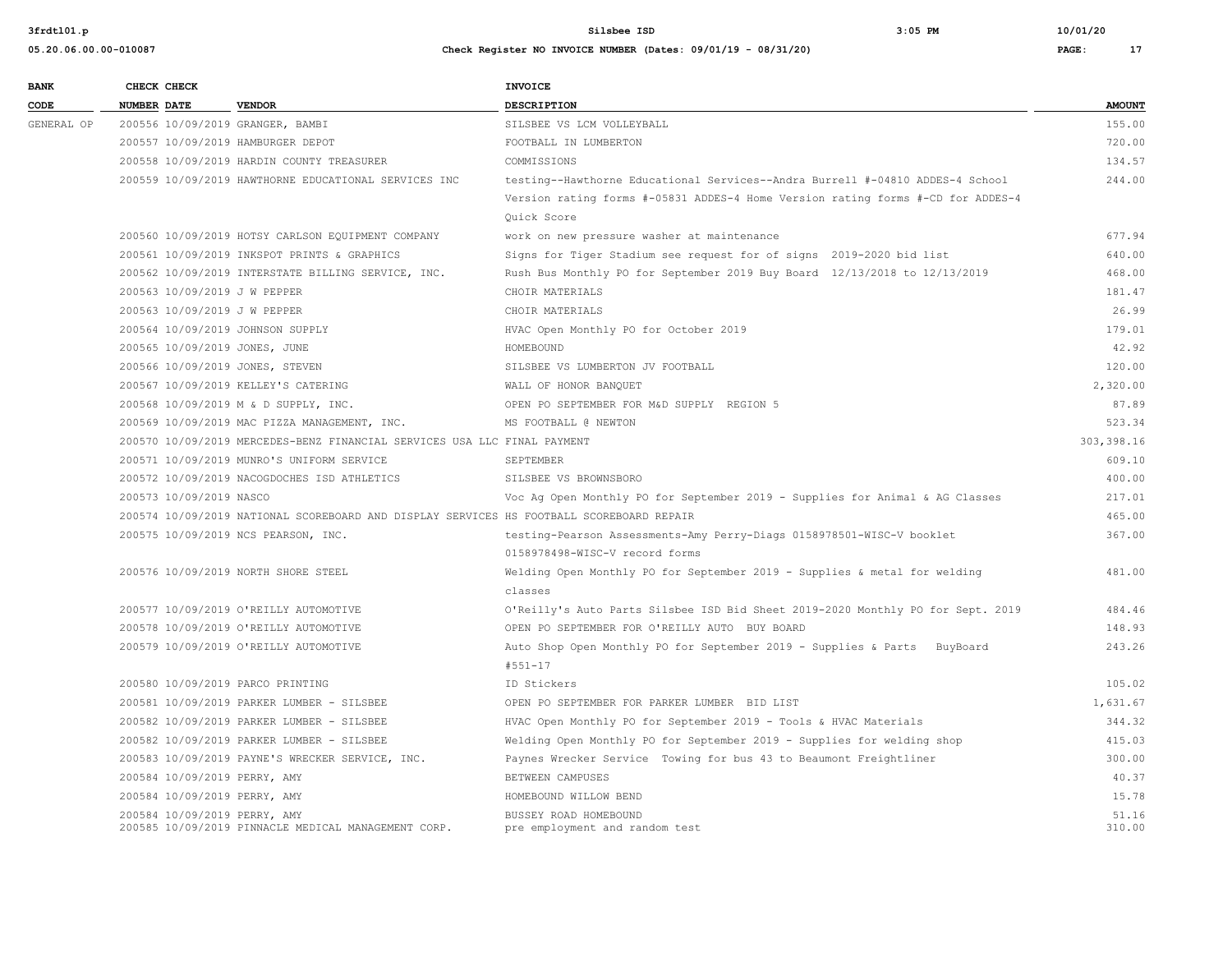| <b>BANK</b> |                    | CHECK CHECK             |                                                                                          | <b>INVOICE</b>                                                                  |               |
|-------------|--------------------|-------------------------|------------------------------------------------------------------------------------------|---------------------------------------------------------------------------------|---------------|
| CODE        | <b>NUMBER DATE</b> |                         | <b>VENDOR</b>                                                                            | <b>DESCRIPTION</b>                                                              | <b>AMOUNT</b> |
| GENERAL OP  |                    |                         | 200556 10/09/2019 GRANGER, BAMBI                                                         | SILSBEE VS LCM VOLLEYBALL                                                       | 155.00        |
|             |                    |                         | 200557 10/09/2019 HAMBURGER DEPOT                                                        | FOOTBALL IN LUMBERTON                                                           | 720.00        |
|             |                    |                         | 200558 10/09/2019 HARDIN COUNTY TREASURER                                                | COMMISSIONS                                                                     | 134.57        |
|             |                    |                         | 200559 10/09/2019 HAWTHORNE EDUCATIONAL SERVICES INC                                     | testing--Hawthorne Educational Services--Andra Burrell #-04810 ADDES-4 School   | 244.00        |
|             |                    |                         |                                                                                          | Version rating forms #-05831 ADDES-4 Home Version rating forms #-CD for ADDES-4 |               |
|             |                    |                         |                                                                                          | Ouick Score                                                                     |               |
|             |                    |                         | 200560 10/09/2019 HOTSY CARLSON EQUIPMENT COMPANY                                        | work on new pressure washer at maintenance                                      | 677.94        |
|             |                    |                         | 200561 10/09/2019 INKSPOT PRINTS & GRAPHICS                                              | Signs for Tiger Stadium see request for of signs 2019-2020 bid list             | 640.00        |
|             |                    |                         | 200562 10/09/2019 INTERSTATE BILLING SERVICE, INC.                                       | Rush Bus Monthly PO for September 2019 Buy Board 12/13/2018 to 12/13/2019       | 468.00        |
|             |                    |                         | 200563 10/09/2019 J W PEPPER                                                             | CHOIR MATERIALS                                                                 | 181.47        |
|             |                    |                         | 200563 10/09/2019 J W PEPPER                                                             | CHOIR MATERIALS                                                                 | 26.99         |
|             |                    |                         | 200564 10/09/2019 JOHNSON SUPPLY                                                         | HVAC Open Monthly PO for October 2019                                           | 179.01        |
|             |                    |                         | 200565 10/09/2019 JONES, JUNE                                                            | HOMEBOUND                                                                       | 42.92         |
|             |                    |                         | 200566 10/09/2019 JONES, STEVEN                                                          | SILSBEE VS LUMBERTON JV FOOTBALL                                                | 120.00        |
|             |                    |                         | 200567 10/09/2019 KELLEY'S CATERING                                                      | WALL OF HONOR BANQUET                                                           | 2,320.00      |
|             |                    |                         | 200568 10/09/2019 M & D SUPPLY, INC.                                                     | OPEN PO SEPTEMBER FOR M&D SUPPLY REGION 5                                       | 87.89         |
|             |                    |                         | 200569 10/09/2019 MAC PIZZA MANAGEMENT, INC.                                             | MS FOOTBALL @ NEWTON                                                            | 523.34        |
|             |                    |                         | 200570 10/09/2019 MERCEDES-BENZ FINANCIAL SERVICES USA LLC FINAL PAYMENT                 |                                                                                 | 303, 398.16   |
|             |                    |                         | 200571 10/09/2019 MUNRO'S UNIFORM SERVICE                                                | SEPTEMBER                                                                       | 609.10        |
|             |                    |                         | 200572 10/09/2019 NACOGDOCHES ISD ATHLETICS                                              | SILSBEE VS BROWNSBORO                                                           | 400.00        |
|             |                    | 200573 10/09/2019 NASCO |                                                                                          | Voc Ag Open Monthly PO for September 2019 - Supplies for Animal & AG Classes    | 217.01        |
|             |                    |                         | 200574 10/09/2019 NATIONAL SCOREBOARD AND DISPLAY SERVICES HS FOOTBALL SCOREBOARD REPAIR |                                                                                 | 465.00        |
|             |                    |                         | 200575 10/09/2019 NCS PEARSON, INC.                                                      | testing-Pearson Assessments-Amy Perry-Diags 0158978501-WISC-V booklet           | 367.00        |
|             |                    |                         |                                                                                          | 0158978498-WISC-V record forms                                                  |               |
|             |                    |                         | 200576 10/09/2019 NORTH SHORE STEEL                                                      | Welding Open Monthly PO for September 2019 - Supplies & metal for welding       | 481.00        |
|             |                    |                         |                                                                                          | classes                                                                         |               |
|             |                    |                         | 200577 10/09/2019 O'REILLY AUTOMOTIVE                                                    | O'Reilly's Auto Parts Silsbee ISD Bid Sheet 2019-2020 Monthly PO for Sept. 2019 | 484.46        |
|             |                    |                         | 200578 10/09/2019 O'REILLY AUTOMOTIVE                                                    | OPEN PO SEPTEMBER FOR O'REILLY AUTO BUY BOARD                                   | 148.93        |
|             |                    |                         | 200579 10/09/2019 O'REILLY AUTOMOTIVE                                                    | Auto Shop Open Monthly PO for September 2019 - Supplies & Parts BuyBoard        | 243.26        |
|             |                    |                         |                                                                                          | $#551 - 17$                                                                     |               |
|             |                    |                         | 200580 10/09/2019 PARCO PRINTING                                                         | ID Stickers                                                                     | 105.02        |
|             |                    |                         | 200581 10/09/2019 PARKER LUMBER - SILSBEE                                                | OPEN PO SEPTEMBER FOR PARKER LUMBER BID LIST                                    | 1,631.67      |
|             |                    |                         | 200582 10/09/2019 PARKER LUMBER - SILSBEE                                                | HVAC Open Monthly PO for September 2019 - Tools & HVAC Materials                | 344.32        |
|             |                    |                         | 200582 10/09/2019 PARKER LUMBER - SILSBEE                                                | Welding Open Monthly PO for September 2019 - Supplies for welding shop          | 415.03        |
|             |                    |                         | 200583 10/09/2019 PAYNE'S WRECKER SERVICE, INC.                                          | Paynes Wrecker Service Towing for bus 43 to Beaumont Freightliner               | 300.00        |
|             |                    |                         | 200584 10/09/2019 PERRY, AMY                                                             | BETWEEN CAMPUSES                                                                | 40.37         |
|             |                    |                         | 200584 10/09/2019 PERRY, AMY                                                             | HOMEBOUND WILLOW BEND                                                           | 15.78         |
|             |                    |                         | 200584 10/09/2019 PERRY, AMY                                                             | BUSSEY ROAD HOMEBOUND                                                           | 51.16         |
|             |                    |                         | 200585 10/09/2019 PINNACLE MEDICAL MANAGEMENT CORP.                                      | pre employment and random test                                                  | 310.00        |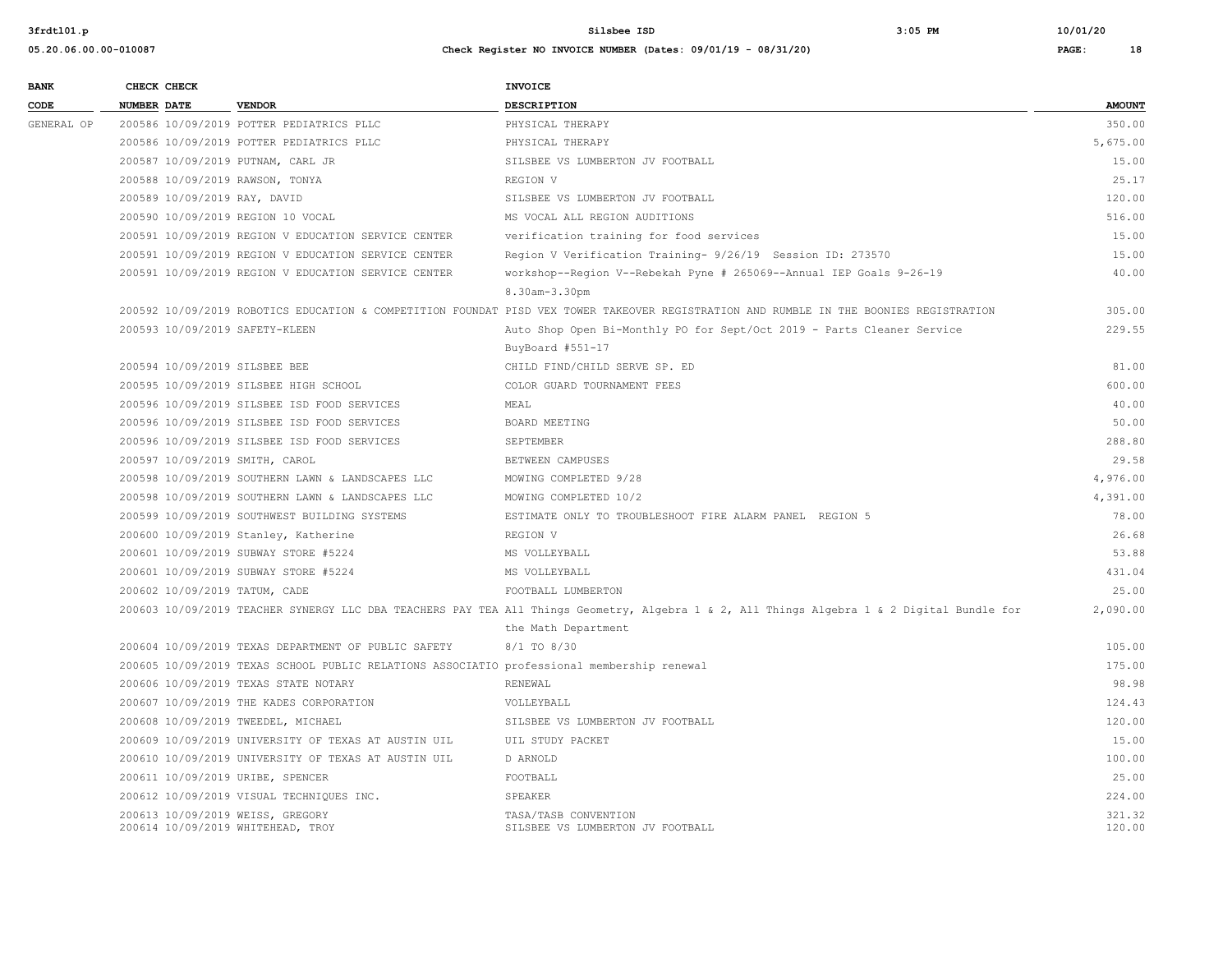| <b>BANK</b><br>CODE |                    | CHECK CHECK |                                                                                            | <b>INVOICE</b>                                                                                                                             |                  |
|---------------------|--------------------|-------------|--------------------------------------------------------------------------------------------|--------------------------------------------------------------------------------------------------------------------------------------------|------------------|
|                     | <b>NUMBER DATE</b> |             | <b>VENDOR</b>                                                                              | <b>DESCRIPTION</b>                                                                                                                         | <b>AMOUNT</b>    |
| GENERAL OP          |                    |             | 200586 10/09/2019 POTTER PEDIATRICS PLLC                                                   | PHYSICAL THERAPY                                                                                                                           | 350.00           |
|                     |                    |             | 200586 10/09/2019 POTTER PEDIATRICS PLLC                                                   | PHYSICAL THERAPY                                                                                                                           | 5,675.00         |
|                     |                    |             | 200587 10/09/2019 PUTNAM, CARL JR                                                          | SILSBEE VS LUMBERTON JV FOOTBALL                                                                                                           | 15.00            |
|                     |                    |             | 200588 10/09/2019 RAWSON, TONYA                                                            | REGION V                                                                                                                                   | 25.17            |
|                     |                    |             | 200589 10/09/2019 RAY, DAVID                                                               | SILSBEE VS LUMBERTON JV FOOTBALL                                                                                                           | 120.00           |
|                     |                    |             | 200590 10/09/2019 REGION 10 VOCAL                                                          | MS VOCAL ALL REGION AUDITIONS                                                                                                              | 516.00           |
|                     |                    |             | 200591 10/09/2019 REGION V EDUCATION SERVICE CENTER                                        | verification training for food services                                                                                                    | 15.00            |
|                     |                    |             | 200591 10/09/2019 REGION V EDUCATION SERVICE CENTER                                        | Region V Verification Training- 9/26/19 Session ID: 273570                                                                                 | 15.00            |
|                     |                    |             | 200591 10/09/2019 REGION V EDUCATION SERVICE CENTER                                        | workshop--Region V--Rebekah Pyne # 265069--Annual IEP Goals 9-26-19                                                                        | 40.00            |
|                     |                    |             |                                                                                            | 8.30am-3.30pm                                                                                                                              |                  |
|                     |                    |             |                                                                                            | 200592 10/09/2019 ROBOTICS EDUCATION & COMPETITION FOUNDAT PISD VEX TOWER TAKEOVER REGISTRATION AND RUMBLE IN THE BOONIES REGISTRATION     | 305.00           |
|                     |                    |             | 200593 10/09/2019 SAFETY-KLEEN                                                             | Auto Shop Open Bi-Monthly PO for Sept/Oct 2019 - Parts Cleaner Service                                                                     | 229.55           |
|                     |                    |             |                                                                                            | BuyBoard #551-17                                                                                                                           |                  |
|                     |                    |             | 200594 10/09/2019 SILSBEE BEE                                                              | CHILD FIND/CHILD SERVE SP. ED                                                                                                              | 81.00            |
|                     |                    |             | 200595 10/09/2019 SILSBEE HIGH SCHOOL                                                      | COLOR GUARD TOURNAMENT FEES                                                                                                                | 600.00           |
|                     |                    |             | 200596 10/09/2019 SILSBEE ISD FOOD SERVICES                                                | MEAL                                                                                                                                       | 40.00            |
|                     |                    |             | 200596 10/09/2019 SILSBEE ISD FOOD SERVICES                                                | BOARD MEETING                                                                                                                              | 50.00            |
|                     |                    |             | 200596 10/09/2019 SILSBEE ISD FOOD SERVICES                                                | SEPTEMBER                                                                                                                                  | 288.80           |
|                     |                    |             | 200597 10/09/2019 SMITH, CAROL                                                             | BETWEEN CAMPUSES                                                                                                                           | 29.58            |
|                     |                    |             | 200598 10/09/2019 SOUTHERN LAWN & LANDSCAPES LLC                                           | MOWING COMPLETED 9/28                                                                                                                      | 4,976.00         |
|                     |                    |             | 200598 10/09/2019 SOUTHERN LAWN & LANDSCAPES LLC                                           | MOWING COMPLETED 10/2                                                                                                                      | 4,391.00         |
|                     |                    |             | 200599 10/09/2019 SOUTHWEST BUILDING SYSTEMS                                               | ESTIMATE ONLY TO TROUBLESHOOT FIRE ALARM PANEL REGION 5                                                                                    | 78.00            |
|                     |                    |             | 200600 10/09/2019 Stanley, Katherine                                                       | REGION V                                                                                                                                   | 26.68            |
|                     |                    |             | 200601 10/09/2019 SUBWAY STORE #5224                                                       | MS VOLLEYBALL                                                                                                                              | 53.88            |
|                     |                    |             | 200601 10/09/2019 SUBWAY STORE #5224                                                       | MS VOLLEYBALL                                                                                                                              | 431.04           |
|                     |                    |             | 200602 10/09/2019 TATUM, CADE                                                              | FOOTBALL LUMBERTON                                                                                                                         | 25.00            |
|                     |                    |             |                                                                                            | 200603 10/09/2019 TEACHER SYNERGY LLC DBA TEACHERS PAY TEA All Things Geometry, Algebra 1 & 2, All Things Algebra 1 & 2 Digital Bundle for | 2,090.00         |
|                     |                    |             |                                                                                            | the Math Department                                                                                                                        |                  |
|                     |                    |             | 200604 10/09/2019 TEXAS DEPARTMENT OF PUBLIC SAFETY                                        | 8/1 TO 8/30                                                                                                                                | 105.00           |
|                     |                    |             | 200605 10/09/2019 TEXAS SCHOOL PUBLIC RELATIONS ASSOCIATIO professional membership renewal |                                                                                                                                            | 175.00           |
|                     |                    |             | 200606 10/09/2019 TEXAS STATE NOTARY                                                       | RENEWAL                                                                                                                                    | 98.98            |
|                     |                    |             | 200607 10/09/2019 THE KADES CORPORATION                                                    | VOLLEYBALL                                                                                                                                 | 124.43           |
|                     |                    |             | 200608 10/09/2019 TWEEDEL, MICHAEL                                                         | SILSBEE VS LUMBERTON JV FOOTBALL                                                                                                           | 120.00           |
|                     |                    |             | 200609 10/09/2019 UNIVERSITY OF TEXAS AT AUSTIN UIL                                        | UIL STUDY PACKET                                                                                                                           | 15.00            |
|                     |                    |             | 200610 10/09/2019 UNIVERSITY OF TEXAS AT AUSTIN UIL                                        | D ARNOLD                                                                                                                                   | 100.00           |
|                     |                    |             | 200611 10/09/2019 URIBE, SPENCER                                                           | FOOTBALL                                                                                                                                   | 25.00            |
|                     |                    |             | 200612 10/09/2019 VISUAL TECHNIQUES INC.                                                   | SPEAKER                                                                                                                                    | 224.00           |
|                     |                    |             | 200613 10/09/2019 WEISS, GREGORY<br>200614 10/09/2019 WHITEHEAD, TROY                      | TASA/TASB CONVENTION<br>SILSBEE VS LUMBERTON JV FOOTBALL                                                                                   | 321.32<br>120.00 |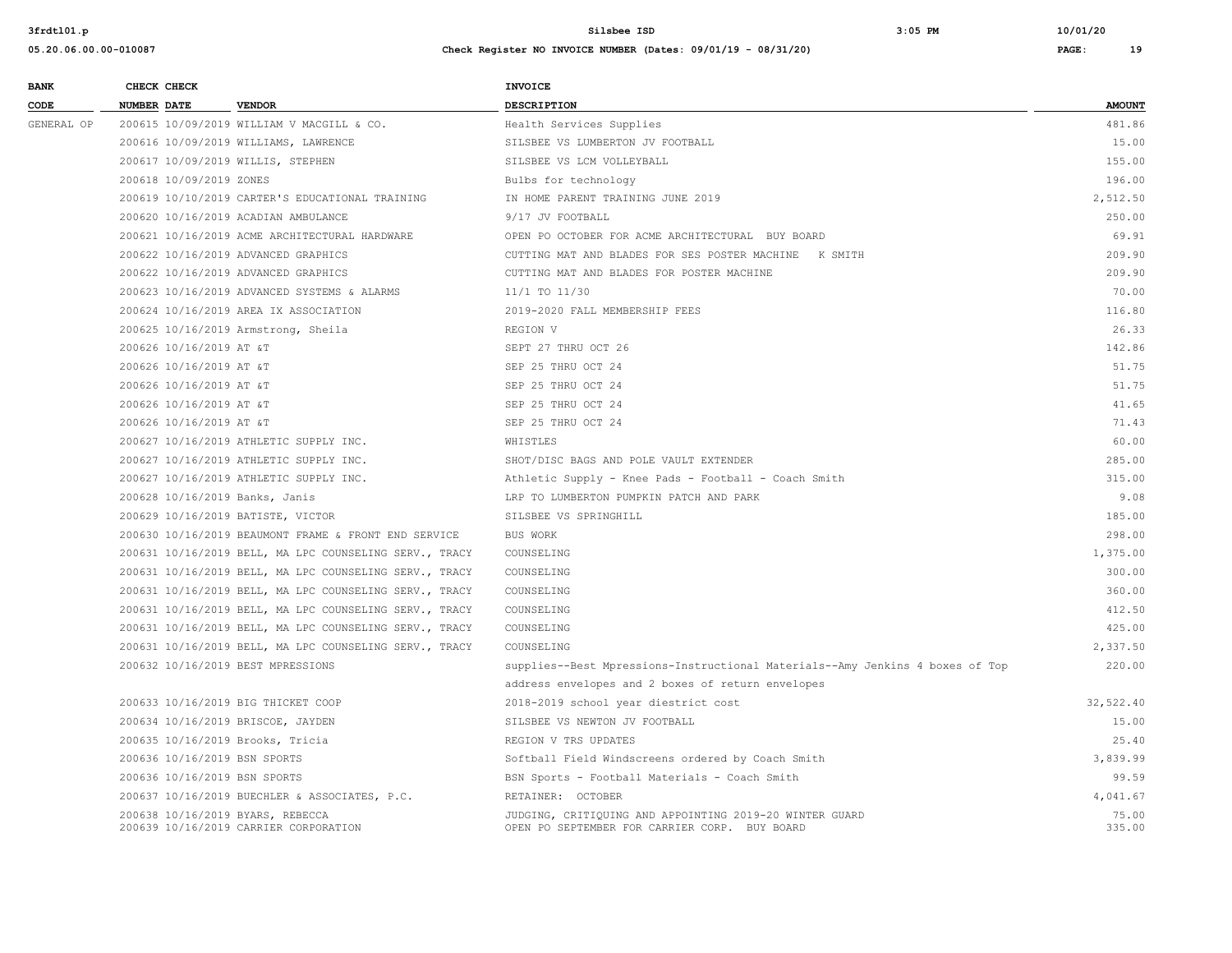**05.20.06.00.00-010087 Check Register NO INVOICE NUMBER (Dates: 09/01/19 - 08/31/20) PAGE: 19**

**BANK** CHECK CHECK **CHECK CODE NUMBER DATE VENDOR DESCRIPTION AMOUNT** GENERAL OP 200615 10/09/2019 WILLIAM V MACGILL & CO. Health Services Supplies 481.86 200616 10/09/2019 WILLIAMS, LAWRENCE STERMING SILSBEE VS LUMBERTON JV FOOTBALL 15.00 200617 10/09/2019 WILLIS, STEPHEN SILSBEE VS LCM VOLLEYBALL 155.00 200618 10/09/2019 ZONES Bulbs for technology 196.00 200619 10/10/2019 CARTER'S EDUCATIONAL TRAINING IN HOME PARENT TRAINING JUNE 2019 2,512.50 200620 10/16/2019 ACADIAN AMBULANCE 9/17 JV FOOTBALL 250.00 200621 10/16/2019 ACME ARCHITECTURAL HARDWARE OPEN PO OCTOBER FOR ACME ARCHITECTURAL BUY BOARD 69.91 200622 10/16/2019 ADVANCED GRAPHICS CUTTING MAT AND BLADES FOR SES POSTER MACHINE K SMITH 209.90 200622 10/16/2019 ADVANCED GRAPHICS CUTTING MAT AND BLADES FOR POSTER MACHINE 209.90 200623 10/16/2019 ADVANCED SYSTEMS & ALARMS 11/1 TO 11/30 70.00 200624 10/16/2019 AREA IX ASSOCIATION 2019-2020 FALL MEMBERSHIP FEES 116.80 200625 10/16/2019 Armstrong, Sheila REGION V 26.33 200626 10/16/2019 AT &T SEPT 27 THRU OCT 26 142.86 200626 10/16/2019 AT &T 51.75 SEP 25 THRU OCT 24 200626 10/16/2019 AT &T SEP 25 THRU OCT 24 51.75 200626 10/16/2019 AT &T 41.65 PM SEP 25 THRU OCT 24 SEP 25 THRU OCT 24 SEP 35 THRU OCT 24 200626 10/16/2019 AT &T 6 71.43 SEP 25 THRU OCT 24 SEP 25 THRU OCT 24 200627 10/16/2019 ATHLETIC SUPPLY INC. WHISTLES 60.00 200627 10/16/2019 ATHLETIC SUPPLY INC. SHOT/DISC BAGS AND POLE VAULT EXTENDER 285.00 200627 10/16/2019 ATHLETIC SUPPLY INC. Athletic Supply - Knee Pads - Football - Coach Smith 315.00 200628 10/16/2019 Banks, Janis LRP TO LUMBERTON PUMPKIN PATCH AND PARK 9.08 200629 10/16/2019 BATISTE, VICTOR SILSBEE VS SPRINGHILL 185.00 200630 10/16/2019 BEAUMONT FRAME & FRONT END SERVICE BUS WORK 298.00 200631 10/16/2019 BELL, MA LPC COUNSELING SERV., TRACY COUNSELING 1,375.00

address envelopes and 2 boxes of return envelopes

 200637 10/16/2019 BUECHLER & ASSOCIATES, P.C. RETAINER: OCTOBER 4,041.67 200638 10/16/2019 BYARS, REBECCA JUDGING, CRITIQUING AND APPOINTING 2019-20 WINTER GUARD 75.00 200639 10/16/2019 CARRIER CORPORATION OPEN PO SEPTEMBER FOR CARRIER CORP. BUY BOARD 335.00

| 200627 10/16/2019 ATHLETIC SUPPLY INC.                 | SHOT/DISC BAGS AND POLE VAULT EXTENDER                                        | 285.00    |
|--------------------------------------------------------|-------------------------------------------------------------------------------|-----------|
| 200627 10/16/2019 ATHLETIC SUPPLY INC.                 | Athletic Supply - Knee Pads - Football - Coach Smith                          | 315.00    |
| 200628 10/16/2019 Banks, Janis                         | LRP TO LUMBERTON PUMPKIN PATCH AND PARK                                       | 9.08      |
| 200629 10/16/2019 BATISTE, VICTOR                      | SILSBEE VS SPRINGHILL                                                         | 185.00    |
| 200630 10/16/2019 BEAUMONT FRAME & FRONT END SERVICE   | <b>BUS WORK</b>                                                               | 298.00    |
| 200631 10/16/2019 BELL, MA LPC COUNSELING SERV., TRACY | COUNSELING                                                                    | 1,375.00  |
| 200631 10/16/2019 BELL, MA LPC COUNSELING SERV., TRACY | COUNSELING                                                                    | 300.00    |
| 200631 10/16/2019 BELL, MA LPC COUNSELING SERV., TRACY | COUNSELING                                                                    | 360.00    |
| 200631 10/16/2019 BELL, MA LPC COUNSELING SERV., TRACY | COUNSELING                                                                    | 412.50    |
| 200631 10/16/2019 BELL, MA LPC COUNSELING SERV., TRACY | COUNSELING                                                                    | 425.00    |
| 200631 10/16/2019 BELL, MA LPC COUNSELING SERV., TRACY | COUNSELING                                                                    | 2,337.50  |
| 200632 10/16/2019 BEST MPRESSIONS                      | supplies--Best Mpressions-Instructional Materials--Amy Jenkins 4 boxes of Top | 220.00    |
|                                                        | address envelopes and 2 boxes of return envelopes                             |           |
| 200633 10/16/2019 BIG THICKET COOP                     | 2018-2019 school year diestrict cost                                          | 32,522.40 |
| 200634 10/16/2019 BRISCOE, JAYDEN                      | SILSBEE VS NEWTON JV FOOTBALL                                                 | 15.00     |
| 200635 10/16/2019 Brooks, Tricia                       | REGION V TRS UPDATES                                                          | 25.40     |
| 200636 10/16/2019 BSN SPORTS                           | Softball Field Windscreens ordered by Coach Smith                             | 3,839.99  |
| 200636 10/16/2019 BSN SPORTS                           | BSN Sports - Football Materials - Coach Smith                                 | 99.59     |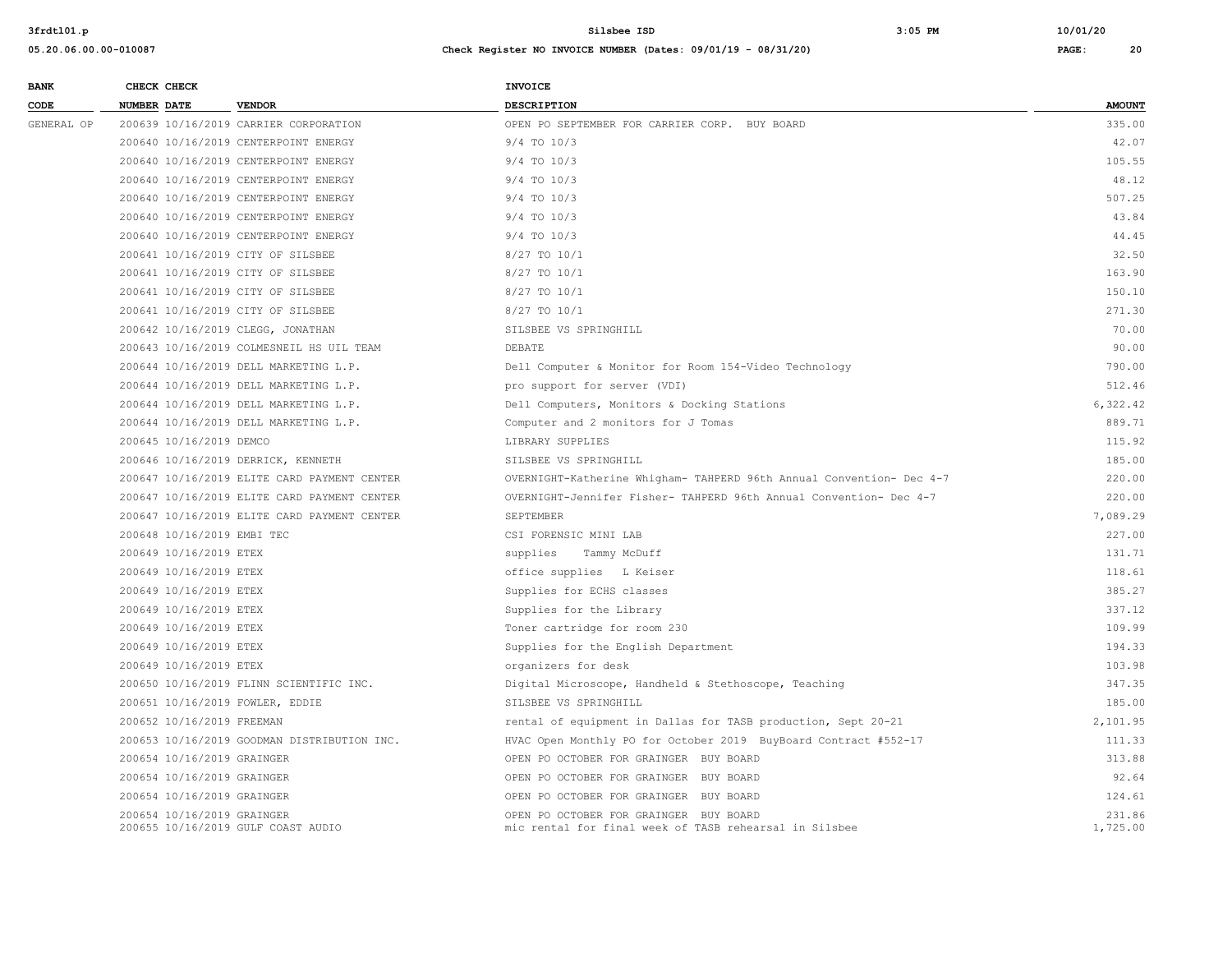| <b>BANK</b> |             | CHECK CHECK                |                                             | <b>INVOICE</b>                                                                                   |                    |
|-------------|-------------|----------------------------|---------------------------------------------|--------------------------------------------------------------------------------------------------|--------------------|
| CODE        | NUMBER DATE |                            | <b>VENDOR</b>                               | <b>DESCRIPTION</b>                                                                               | <b>AMOUNT</b>      |
| GENERAL OP  |             |                            | 200639 10/16/2019 CARRIER CORPORATION       | OPEN PO SEPTEMBER FOR CARRIER CORP. BUY BOARD                                                    | 335.00             |
|             |             |                            | 200640 10/16/2019 CENTERPOINT ENERGY        | $9/4$ TO $10/3$                                                                                  | 42.07              |
|             |             |                            | 200640 10/16/2019 CENTERPOINT ENERGY        | $9/4$ TO $10/3$                                                                                  | 105.55             |
|             |             |                            | 200640 10/16/2019 CENTERPOINT ENERGY        | $9/4$ TO $10/3$                                                                                  | 48.12              |
|             |             |                            | 200640 10/16/2019 CENTERPOINT ENERGY        | $9/4$ TO $10/3$                                                                                  | 507.25             |
|             |             |                            | 200640 10/16/2019 CENTERPOINT ENERGY        | 9/4 TO 10/3                                                                                      | 43.84              |
|             |             |                            | 200640 10/16/2019 CENTERPOINT ENERGY        | $9/4$ TO $10/3$                                                                                  | 44.45              |
|             |             |                            | 200641 10/16/2019 CITY OF SILSBEE           | 8/27 TO 10/1                                                                                     | 32.50              |
|             |             |                            | 200641 10/16/2019 CITY OF SILSBEE           | 8/27 TO 10/1                                                                                     | 163.90             |
|             |             |                            | 200641 10/16/2019 CITY OF SILSBEE           | 8/27 TO 10/1                                                                                     | 150.10             |
|             |             |                            | 200641 10/16/2019 CITY OF SILSBEE           | 8/27 TO 10/1                                                                                     | 271.30             |
|             |             |                            | 200642 10/16/2019 CLEGG, JONATHAN           | SILSBEE VS SPRINGHILL                                                                            | 70.00              |
|             |             |                            | 200643 10/16/2019 COLMESNEIL HS UIL TEAM    | <b>DEBATE</b>                                                                                    | 90.00              |
|             |             |                            | 200644 10/16/2019 DELL MARKETING L.P.       | Dell Computer & Monitor for Room 154-Video Technology                                            | 790.00             |
|             |             |                            | 200644 10/16/2019 DELL MARKETING L.P.       | pro support for server (VDI)                                                                     | 512.46             |
|             |             |                            | 200644 10/16/2019 DELL MARKETING L.P.       | Dell Computers, Monitors & Docking Stations                                                      | 6,322.42           |
|             |             |                            | 200644 10/16/2019 DELL MARKETING L.P.       | Computer and 2 monitors for J Tomas                                                              | 889.71             |
|             |             | 200645 10/16/2019 DEMCO    |                                             | LIBRARY SUPPLIES                                                                                 | 115.92             |
|             |             |                            | 200646 10/16/2019 DERRICK, KENNETH          | SILSBEE VS SPRINGHILL                                                                            | 185.00             |
|             |             |                            | 200647 10/16/2019 ELITE CARD PAYMENT CENTER | OVERNIGHT-Katherine Whigham- TAHPERD 96th Annual Convention- Dec 4-7                             | 220.00             |
|             |             |                            | 200647 10/16/2019 ELITE CARD PAYMENT CENTER | OVERNIGHT-Jennifer Fisher- TAHPERD 96th Annual Convention- Dec 4-7                               | 220.00             |
|             |             |                            | 200647 10/16/2019 ELITE CARD PAYMENT CENTER | <b>SEPTEMBER</b>                                                                                 | 7,089.29           |
|             |             | 200648 10/16/2019 EMBI TEC |                                             | CSI FORENSIC MINI LAB                                                                            | 227.00             |
|             |             | 200649 10/16/2019 ETEX     |                                             | supplies<br>Tammy McDuff                                                                         | 131.71             |
|             |             | 200649 10/16/2019 ETEX     |                                             | office supplies L Keiser                                                                         | 118.61             |
|             |             | 200649 10/16/2019 ETEX     |                                             | Supplies for ECHS classes                                                                        | 385.27             |
|             |             | 200649 10/16/2019 ETEX     |                                             | Supplies for the Library                                                                         | 337.12             |
|             |             | 200649 10/16/2019 ETEX     |                                             | Toner cartridge for room 230                                                                     | 109.99             |
|             |             | 200649 10/16/2019 ETEX     |                                             | Supplies for the English Department                                                              | 194.33             |
|             |             | 200649 10/16/2019 ETEX     |                                             | organizers for desk                                                                              | 103.98             |
|             |             |                            | 200650 10/16/2019 FLINN SCIENTIFIC INC.     | Digital Microscope, Handheld & Stethoscope, Teaching                                             | 347.35             |
|             |             |                            | 200651 10/16/2019 FOWLER, EDDIE             | SILSBEE VS SPRINGHILL                                                                            | 185.00             |
|             |             | 200652 10/16/2019 FREEMAN  |                                             | rental of equipment in Dallas for TASB production, Sept 20-21                                    | 2,101.95           |
|             |             |                            | 200653 10/16/2019 GOODMAN DISTRIBUTION INC. | HVAC Open Monthly PO for October 2019 BuyBoard Contract #552-17                                  | 111.33             |
|             |             | 200654 10/16/2019 GRAINGER |                                             | OPEN PO OCTOBER FOR GRAINGER BUY BOARD                                                           | 313.88             |
|             |             | 200654 10/16/2019 GRAINGER |                                             | OPEN PO OCTOBER FOR GRAINGER BUY BOARD                                                           | 92.64              |
|             |             | 200654 10/16/2019 GRAINGER |                                             | OPEN PO OCTOBER FOR GRAINGER BUY BOARD                                                           | 124.61             |
|             |             | 200654 10/16/2019 GRAINGER | 200655 10/16/2019 GULF COAST AUDIO          | OPEN PO OCTOBER FOR GRAINGER BUY BOARD<br>mic rental for final week of TASB rehearsal in Silsbee | 231.86<br>1,725.00 |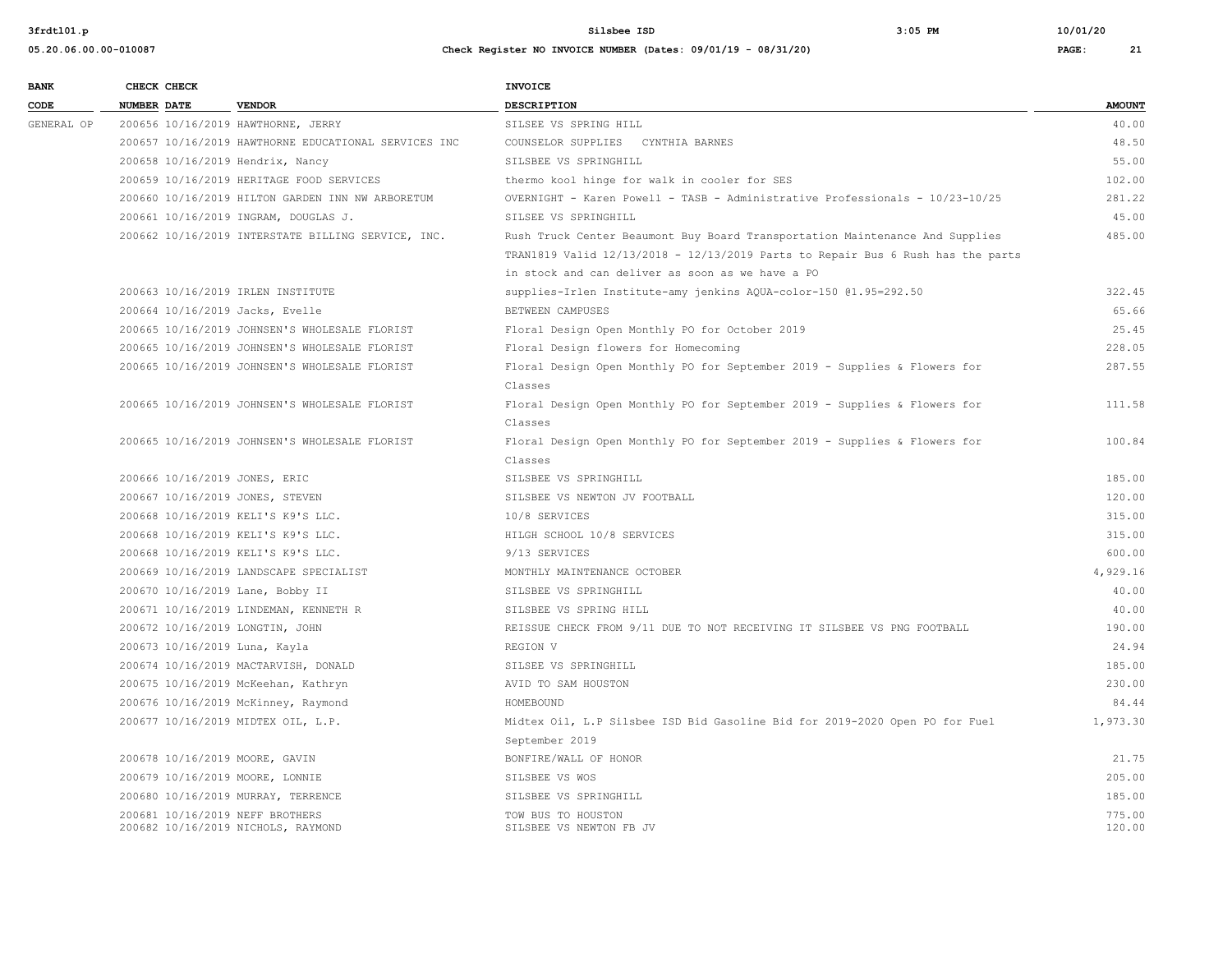| <b>BANK</b> | CHECK CHECK                     |                                                      | <b>INVOICE</b>                                                                  |                  |
|-------------|---------------------------------|------------------------------------------------------|---------------------------------------------------------------------------------|------------------|
| CODE        | <b>NUMBER DATE</b>              | <b>VENDOR</b>                                        | DESCRIPTION                                                                     | <b>AMOUNT</b>    |
| GENERAL OP  |                                 | 200656 10/16/2019 HAWTHORNE, JERRY                   | SILSEE VS SPRING HILL                                                           | 40.00            |
|             |                                 | 200657 10/16/2019 HAWTHORNE EDUCATIONAL SERVICES INC | COUNSELOR SUPPLIES CYNTHIA BARNES                                               | 48.50            |
|             |                                 | 200658 10/16/2019 Hendrix, Nancy                     | SILSBEE VS SPRINGHILL                                                           | 55.00            |
|             |                                 | 200659 10/16/2019 HERITAGE FOOD SERVICES             | thermo kool hinge for walk in cooler for SES                                    | 102.00           |
|             |                                 | 200660 10/16/2019 HILTON GARDEN INN NW ARBORETUM     | OVERNIGHT - Karen Powell - TASB - Administrative Professionals - 10/23-10/25    | 281.22           |
|             |                                 | 200661 10/16/2019 INGRAM, DOUGLAS J.                 | SILSEE VS SPRINGHILL                                                            | 45.00            |
|             |                                 | 200662 10/16/2019 INTERSTATE BILLING SERVICE, INC.   | Rush Truck Center Beaumont Buy Board Transportation Maintenance And Supplies    | 485.00           |
|             |                                 |                                                      | TRAN1819 Valid 12/13/2018 - 12/13/2019 Parts to Repair Bus 6 Rush has the parts |                  |
|             |                                 |                                                      | in stock and can deliver as soon as we have a PO                                |                  |
|             |                                 | 200663 10/16/2019 IRLEN INSTITUTE                    | supplies-Irlen Institute-amy jenkins AQUA-color-150 @1.95=292.50                | 322.45           |
|             | 200664 10/16/2019 Jacks, Evelle |                                                      | BETWEEN CAMPUSES                                                                | 65.66            |
|             |                                 | 200665 10/16/2019 JOHNSEN'S WHOLESALE FLORIST        | Floral Design Open Monthly PO for October 2019                                  | 25.45            |
|             |                                 | 200665 10/16/2019 JOHNSEN'S WHOLESALE FLORIST        | Floral Design flowers for Homecoming                                            | 228.05           |
|             |                                 | 200665 10/16/2019 JOHNSEN'S WHOLESALE FLORIST        | Floral Design Open Monthly PO for September 2019 - Supplies & Flowers for       | 287.55           |
|             |                                 |                                                      | Classes                                                                         |                  |
|             |                                 | 200665 10/16/2019 JOHNSEN'S WHOLESALE FLORIST        | Floral Design Open Monthly PO for September 2019 - Supplies & Flowers for       | 111.58           |
|             |                                 |                                                      | Classes                                                                         |                  |
|             |                                 | 200665 10/16/2019 JOHNSEN'S WHOLESALE FLORIST        | Floral Design Open Monthly PO for September 2019 - Supplies & Flowers for       | 100.84           |
|             |                                 |                                                      | Classes                                                                         |                  |
|             | 200666 10/16/2019 JONES, ERIC   |                                                      | SILSBEE VS SPRINGHILL                                                           | 185.00           |
|             | 200667 10/16/2019 JONES, STEVEN |                                                      | SILSBEE VS NEWTON JV FOOTBALL                                                   | 120.00           |
|             |                                 | 200668 10/16/2019 KELI'S K9'S LLC.                   | 10/8 SERVICES                                                                   | 315.00           |
|             |                                 | 200668 10/16/2019 KELI'S K9'S LLC.                   | HILGH SCHOOL 10/8 SERVICES                                                      | 315.00           |
|             |                                 | 200668 10/16/2019 KELI'S K9'S LLC.                   | 9/13 SERVICES                                                                   | 600.00           |
|             |                                 | 200669 10/16/2019 LANDSCAPE SPECIALIST               | MONTHLY MAINTENANCE OCTOBER                                                     | 4,929.16         |
|             |                                 | 200670 10/16/2019 Lane, Bobby II                     | SILSBEE VS SPRINGHILL                                                           | 40.00            |
|             |                                 | 200671 10/16/2019 LINDEMAN, KENNETH R                | SILSBEE VS SPRING HILL                                                          | 40.00            |
|             | 200672 10/16/2019 LONGTIN, JOHN |                                                      | REISSUE CHECK FROM 9/11 DUE TO NOT RECEIVING IT SILSBEE VS PNG FOOTBALL         | 190.00           |
|             | 200673 10/16/2019 Luna, Kayla   |                                                      | REGION V                                                                        | 24.94            |
|             |                                 | 200674 10/16/2019 MACTARVISH, DONALD                 | SILSEE VS SPRINGHILL                                                            | 185.00           |
|             |                                 | 200675 10/16/2019 McKeehan, Kathryn                  | AVID TO SAM HOUSTON                                                             | 230.00           |
|             |                                 | 200676 10/16/2019 McKinney, Raymond                  | HOMEBOUND                                                                       | 84.44            |
|             |                                 | 200677 10/16/2019 MIDTEX OIL, L.P.                   | Midtex Oil, L.P Silsbee ISD Bid Gasoline Bid for 2019-2020 Open PO for Fuel     | 1,973.30         |
|             |                                 |                                                      | September 2019                                                                  |                  |
|             | 200678 10/16/2019 MOORE, GAVIN  |                                                      | BONFIRE/WALL OF HONOR                                                           | 21.75            |
|             | 200679 10/16/2019 MOORE, LONNIE |                                                      | SILSBEE VS WOS                                                                  | 205.00           |
|             |                                 | 200680 10/16/2019 MURRAY, TERRENCE                   | SILSBEE VS SPRINGHILL                                                           | 185.00           |
|             | 200681 10/16/2019 NEFF BROTHERS | 200682 10/16/2019 NICHOLS, RAYMOND                   | TOW BUS TO HOUSTON<br>SILSBEE VS NEWTON FB JV                                   | 775.00<br>120.00 |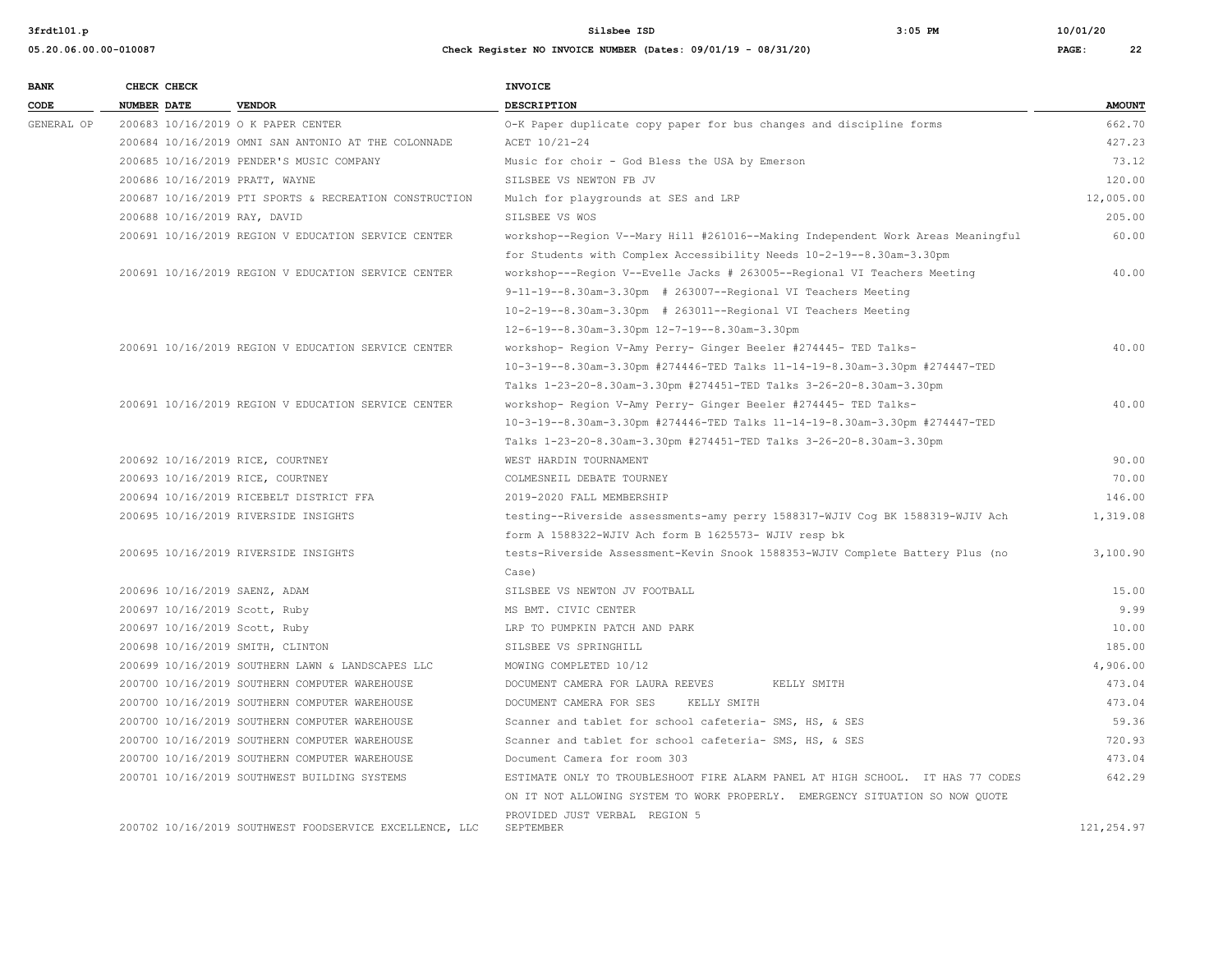**05.20.06.00.00-010087 Check Register NO INVOICE NUMBER (Dates: 09/01/19 - 08/31/20) PAGE: 22**

**3frdtl01.p Silsbee ISD 3:05 PM 10/01/20**

| <b>BANK</b> |                    | CHECK CHECK |                                                         | <b>INVOICE</b>                                                                  |               |
|-------------|--------------------|-------------|---------------------------------------------------------|---------------------------------------------------------------------------------|---------------|
| CODE        | <b>NUMBER DATE</b> |             | <b>VENDOR</b>                                           | DESCRIPTION                                                                     | <b>AMOUNT</b> |
| GENERAL OP  |                    |             | 200683 10/16/2019 O K PAPER CENTER                      | O-K Paper duplicate copy paper for bus changes and discipline forms             | 662.70        |
|             |                    |             | 200684 10/16/2019 OMNI SAN ANTONIO AT THE COLONNADE     | ACET 10/21-24                                                                   | 427.23        |
|             |                    |             | 200685 10/16/2019 PENDER'S MUSIC COMPANY                | Music for choir - God Bless the USA by Emerson                                  | 73.12         |
|             |                    |             | 200686 10/16/2019 PRATT, WAYNE                          | SILSBEE VS NEWTON FB JV                                                         | 120.00        |
|             |                    |             | 200687 10/16/2019 PTI SPORTS & RECREATION CONSTRUCTION  | Mulch for playgrounds at SES and LRP                                            | 12,005.00     |
|             |                    |             | 200688 10/16/2019 RAY, DAVID                            | SILSBEE VS WOS                                                                  | 205.00        |
|             |                    |             | 200691 10/16/2019 REGION V EDUCATION SERVICE CENTER     | workshop--Region V--Mary Hill #261016--Making Independent Work Areas Meaningful | 60.00         |
|             |                    |             |                                                         | for Students with Complex Accessibility Needs 10-2-19--8.30am-3.30pm            |               |
|             |                    |             | 200691 10/16/2019 REGION V EDUCATION SERVICE CENTER     | workshop---Region V--Evelle Jacks # 263005--Regional VI Teachers Meeting        | 40.00         |
|             |                    |             |                                                         | $9-11-19-8.30$ am-3.30pm # 263007--Regional VI Teachers Meeting                 |               |
|             |                    |             |                                                         | 10-2-19--8.30am-3.30pm # 263011--Regional VI Teachers Meeting                   |               |
|             |                    |             |                                                         | 12-6-19--8.30am-3.30pm 12-7-19--8.30am-3.30pm                                   |               |
|             |                    |             | 200691 10/16/2019 REGION V EDUCATION SERVICE CENTER     | workshop- Region V-Amy Perry- Ginger Beeler #274445- TED Talks-                 | 40.00         |
|             |                    |             |                                                         | 10-3-19--8.30am-3.30pm #274446-TED Talks 11-14-19-8.30am-3.30pm #274447-TED     |               |
|             |                    |             |                                                         | Talks 1-23-20-8.30am-3.30pm #274451-TED Talks 3-26-20-8.30am-3.30pm             |               |
|             |                    |             | 200691 10/16/2019 REGION V EDUCATION SERVICE CENTER     | workshop- Region V-Amy Perry- Ginger Beeler #274445- TED Talks-                 | 40.00         |
|             |                    |             |                                                         | 10-3-19--8.30am-3.30pm #274446-TED Talks 11-14-19-8.30am-3.30pm #274447-TED     |               |
|             |                    |             |                                                         | Talks 1-23-20-8.30am-3.30pm #274451-TED Talks 3-26-20-8.30am-3.30pm             |               |
|             |                    |             | 200692 10/16/2019 RICE, COURTNEY                        | WEST HARDIN TOURNAMENT                                                          | 90.00         |
|             |                    |             | 200693 10/16/2019 RICE, COURTNEY                        | COLMESNEIL DEBATE TOURNEY                                                       | 70.00         |
|             |                    |             | 200694 10/16/2019 RICEBELT DISTRICT FFA                 | 2019-2020 FALL MEMBERSHIP                                                       | 146.00        |
|             |                    |             | 200695 10/16/2019 RIVERSIDE INSIGHTS                    | testing--Riverside assessments-amy perry 1588317-WJIV Coq BK 1588319-WJIV Ach   | 1,319.08      |
|             |                    |             |                                                         | form A 1588322-WJIV Ach form B 1625573- WJIV resp bk                            |               |
|             |                    |             | 200695 10/16/2019 RIVERSIDE INSIGHTS                    | tests-Riverside Assessment-Kevin Snook 1588353-WJIV Complete Battery Plus (no   | 3,100.90      |
|             |                    |             |                                                         | Case)                                                                           |               |
|             |                    |             | 200696 10/16/2019 SAENZ, ADAM                           | SILSBEE VS NEWTON JV FOOTBALL                                                   | 15.00         |
|             |                    |             | 200697 10/16/2019 Scott, Ruby                           | MS BMT. CIVIC CENTER                                                            | 9.99          |
|             |                    |             | 200697 10/16/2019 Scott, Ruby                           | LRP TO PUMPKIN PATCH AND PARK                                                   | 10.00         |
|             |                    |             | 200698 10/16/2019 SMITH, CLINTON                        | SILSBEE VS SPRINGHILL                                                           | 185.00        |
|             |                    |             | 200699 10/16/2019 SOUTHERN LAWN & LANDSCAPES LLC        | MOWING COMPLETED 10/12                                                          | 4,906.00      |
|             |                    |             | 200700 10/16/2019 SOUTHERN COMPUTER WAREHOUSE           | DOCUMENT CAMERA FOR LAURA REEVES<br>KELLY SMITH                                 | 473.04        |
|             |                    |             | 200700 10/16/2019 SOUTHERN COMPUTER WAREHOUSE           | DOCUMENT CAMERA FOR SES<br>KELLY SMITH                                          | 473.04        |
|             |                    |             | 200700 10/16/2019 SOUTHERN COMPUTER WAREHOUSE           | Scanner and tablet for school cafeteria- SMS, HS, & SES                         | 59.36         |
|             |                    |             | 200700 10/16/2019 SOUTHERN COMPUTER WAREHOUSE           | Scanner and tablet for school cafeteria- SMS, HS, & SES                         | 720.93        |
|             |                    |             | 200700 10/16/2019 SOUTHERN COMPUTER WAREHOUSE           | Document Camera for room 303                                                    | 473.04        |
|             |                    |             | 200701 10/16/2019 SOUTHWEST BUILDING SYSTEMS            | ESTIMATE ONLY TO TROUBLESHOOT FIRE ALARM PANEL AT HIGH SCHOOL. IT HAS 77 CODES  | 642.29        |
|             |                    |             |                                                         | ON IT NOT ALLOWING SYSTEM TO WORK PROPERLY. EMERGENCY SITUATION SO NOW QUOTE    |               |
|             |                    |             |                                                         | PROVIDED JUST VERBAL REGION 5                                                   |               |
|             |                    |             | 200702 10/16/2019 SOUTHWEST FOODSERVICE EXCELLENCE, LLC | SEPTEMBER                                                                       | 121,254.97    |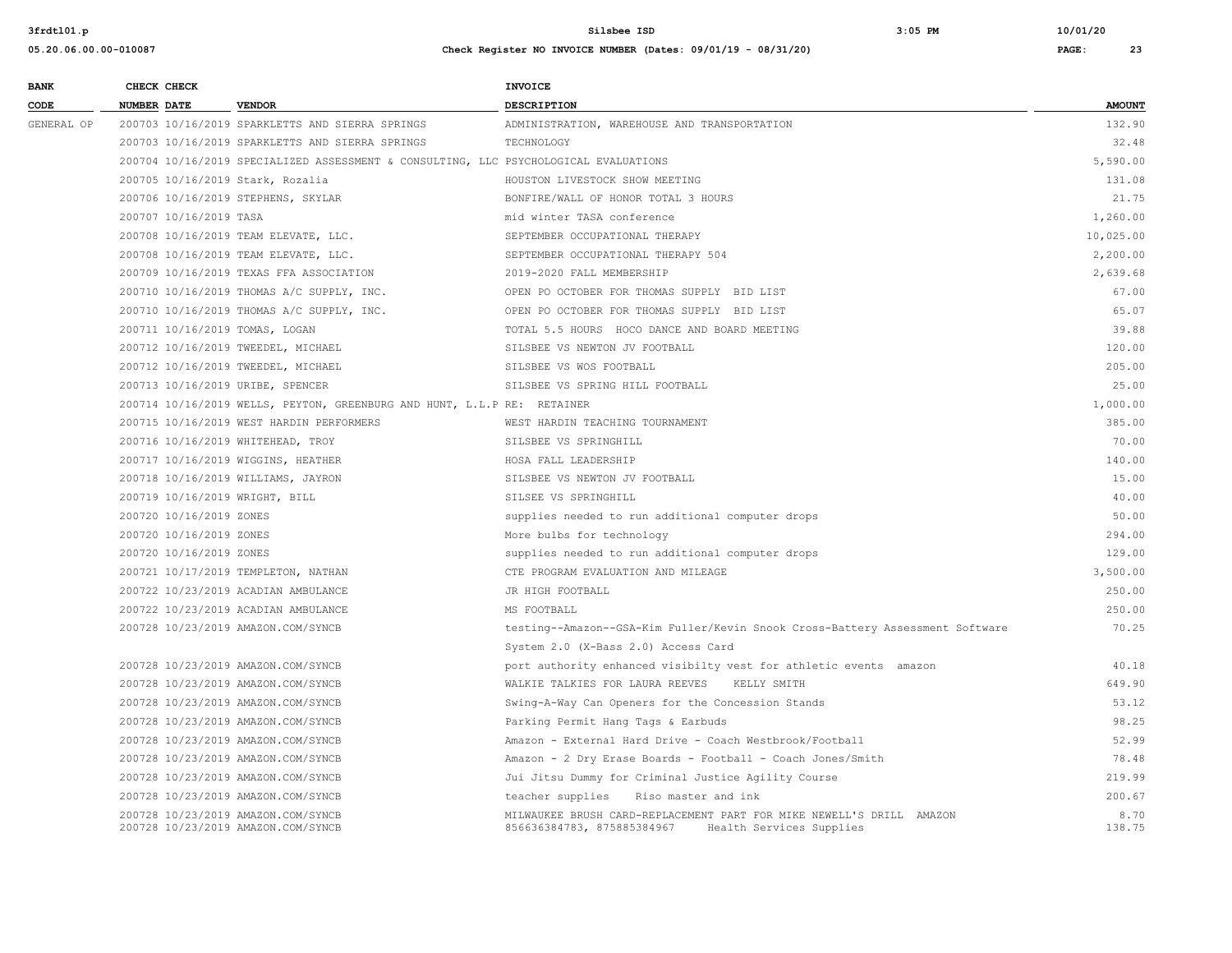| <b>BANK</b> | CHECK CHECK                    |                                                                                      | <b>INVOICE</b>                                                                                                                 |                |
|-------------|--------------------------------|--------------------------------------------------------------------------------------|--------------------------------------------------------------------------------------------------------------------------------|----------------|
| CODE        | <b>NUMBER DATE</b>             | <b>VENDOR</b>                                                                        | <b>DESCRIPTION</b>                                                                                                             | <b>AMOUNT</b>  |
| GENERAL OP  |                                | 200703 10/16/2019 SPARKLETTS AND SIERRA SPRINGS                                      | ADMINISTRATION, WAREHOUSE AND TRANSPORTATION                                                                                   | 132.90         |
|             |                                | 200703 10/16/2019 SPARKLETTS AND SIERRA SPRINGS                                      | TECHNOLOGY                                                                                                                     | 32.48          |
|             |                                | 200704 10/16/2019 SPECIALIZED ASSESSMENT & CONSULTING, LLC PSYCHOLOGICAL EVALUATIONS |                                                                                                                                | 5,590.00       |
|             |                                | 200705 10/16/2019 Stark, Rozalia                                                     | HOUSTON LIVESTOCK SHOW MEETING                                                                                                 | 131.08         |
|             |                                | 200706 10/16/2019 STEPHENS, SKYLAR                                                   | BONFIRE/WALL OF HONOR TOTAL 3 HOURS                                                                                            | 21.75          |
|             | 200707 10/16/2019 TASA         |                                                                                      | mid winter TASA conference                                                                                                     | 1,260.00       |
|             |                                | 200708 10/16/2019 TEAM ELEVATE, LLC.                                                 | SEPTEMBER OCCUPATIONAL THERAPY                                                                                                 | 10,025.00      |
|             |                                | 200708 10/16/2019 TEAM ELEVATE, LLC.                                                 | SEPTEMBER OCCUPATIONAL THERAPY 504                                                                                             | 2,200.00       |
|             |                                | 200709 10/16/2019 TEXAS FFA ASSOCIATION                                              | 2019-2020 FALL MEMBERSHIP                                                                                                      | 2,639.68       |
|             |                                | 200710 10/16/2019 THOMAS A/C SUPPLY, INC.                                            | OPEN PO OCTOBER FOR THOMAS SUPPLY BID LIST                                                                                     | 67.00          |
|             |                                | 200710 10/16/2019 THOMAS A/C SUPPLY, INC.                                            | OPEN PO OCTOBER FOR THOMAS SUPPLY BID LIST                                                                                     | 65.07          |
|             | 200711 10/16/2019 TOMAS, LOGAN |                                                                                      | TOTAL 5.5 HOURS HOCO DANCE AND BOARD MEETING                                                                                   | 39.88          |
|             |                                | 200712 10/16/2019 TWEEDEL, MICHAEL                                                   | SILSBEE VS NEWTON JV FOOTBALL                                                                                                  | 120.00         |
|             |                                | 200712 10/16/2019 TWEEDEL, MICHAEL                                                   | SILSBEE VS WOS FOOTBALL                                                                                                        | 205.00         |
|             |                                | 200713 10/16/2019 URIBE, SPENCER                                                     | SILSBEE VS SPRING HILL FOOTBALL                                                                                                | 25.00          |
|             |                                | 200714 10/16/2019 WELLS, PEYTON, GREENBURG AND HUNT, L.L.P RE: RETAINER              |                                                                                                                                | 1,000.00       |
|             |                                | 200715 10/16/2019 WEST HARDIN PERFORMERS                                             | WEST HARDIN TEACHING TOURNAMENT                                                                                                | 385.00         |
|             |                                | 200716 10/16/2019 WHITEHEAD, TROY                                                    | SILSBEE VS SPRINGHILL                                                                                                          | 70.00          |
|             |                                | 200717 10/16/2019 WIGGINS, HEATHER                                                   | HOSA FALL LEADERSHIP                                                                                                           | 140.00         |
|             |                                | 200718 10/16/2019 WILLIAMS, JAYRON                                                   | SILSBEE VS NEWTON JV FOOTBALL                                                                                                  | 15.00          |
|             | 200719 10/16/2019 WRIGHT, BILL |                                                                                      | SILSEE VS SPRINGHILL                                                                                                           | 40.00          |
|             | 200720 10/16/2019 ZONES        |                                                                                      | supplies needed to run additional computer drops                                                                               | 50.00          |
|             | 200720 10/16/2019 ZONES        |                                                                                      | More bulbs for technology                                                                                                      | 294.00         |
|             | 200720 10/16/2019 ZONES        |                                                                                      | supplies needed to run additional computer drops                                                                               | 129.00         |
|             |                                | 200721 10/17/2019 TEMPLETON, NATHAN                                                  | CTE PROGRAM EVALUATION AND MILEAGE                                                                                             | 3,500.00       |
|             |                                | 200722 10/23/2019 ACADIAN AMBULANCE                                                  | JR HIGH FOOTBALL                                                                                                               | 250.00         |
|             |                                | 200722 10/23/2019 ACADIAN AMBULANCE                                                  | MS FOOTBALL                                                                                                                    | 250.00         |
|             |                                | 200728 10/23/2019 AMAZON.COM/SYNCB                                                   | testing--Amazon--GSA-Kim Fuller/Kevin Snook Cross-Battery Assessment Software                                                  | 70.25          |
|             |                                |                                                                                      | System 2.0 (X-Bass 2.0) Access Card                                                                                            |                |
|             |                                | 200728 10/23/2019 AMAZON.COM/SYNCB                                                   | port authority enhanced visibilty vest for athletic events amazon                                                              | 40.18          |
|             |                                | 200728 10/23/2019 AMAZON.COM/SYNCB                                                   | WALKIE TALKIES FOR LAURA REEVES<br>KELLY SMITH                                                                                 | 649.90         |
|             |                                | 200728 10/23/2019 AMAZON.COM/SYNCB                                                   | Swing-A-Way Can Openers for the Concession Stands                                                                              | 53.12          |
|             |                                | 200728 10/23/2019 AMAZON.COM/SYNCB                                                   | Parking Permit Hang Tags & Earbuds                                                                                             | 98.25          |
|             |                                | 200728 10/23/2019 AMAZON.COM/SYNCB                                                   | Amazon - External Hard Drive - Coach Westbrook/Football                                                                        | 52.99          |
|             |                                | 200728 10/23/2019 AMAZON.COM/SYNCB                                                   | Amazon - 2 Dry Erase Boards - Football - Coach Jones/Smith                                                                     | 78.48          |
|             |                                | 200728 10/23/2019 AMAZON.COM/SYNCB                                                   | Jui Jitsu Dummy for Criminal Justice Agility Course                                                                            | 219.99         |
|             |                                | 200728 10/23/2019 AMAZON.COM/SYNCB                                                   | teacher supplies Riso master and ink                                                                                           | 200.67         |
|             |                                | 200728 10/23/2019 AMAZON.COM/SYNCB<br>200728 10/23/2019 AMAZON.COM/SYNCB             | MILWAUKEE BRUSH CARD-REPLACEMENT PART FOR MIKE NEWELL'S DRILL AMAZON<br>856636384783, 875885384967<br>Health Services Supplies | 8.70<br>138.75 |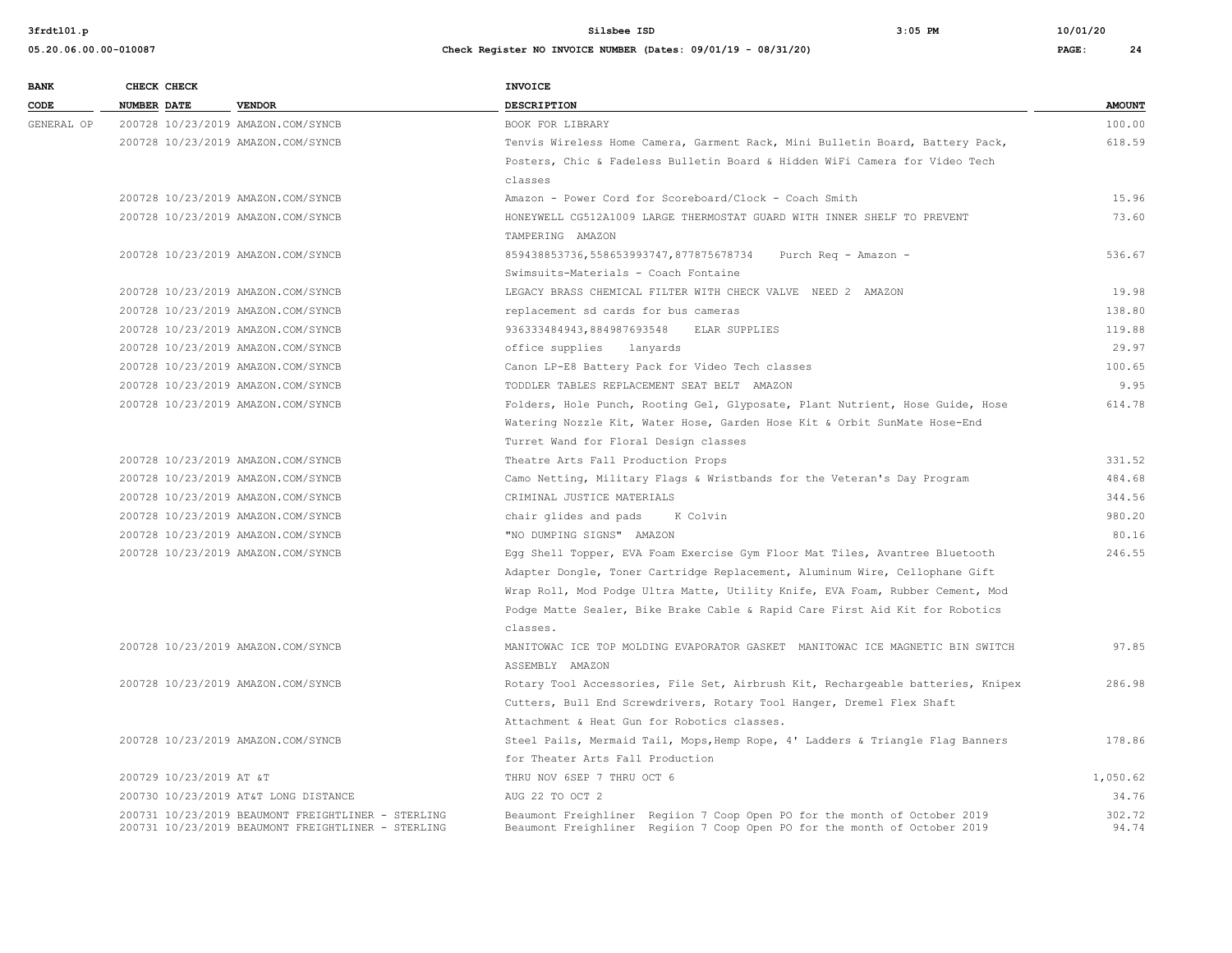| <b>BANK</b> |                    | CHECK CHECK             |                                                                                                          | <b>INVOICE</b>                                                                                                                                         |                 |
|-------------|--------------------|-------------------------|----------------------------------------------------------------------------------------------------------|--------------------------------------------------------------------------------------------------------------------------------------------------------|-----------------|
| CODE        | <b>NUMBER DATE</b> |                         | <b>VENDOR</b>                                                                                            | <b>DESCRIPTION</b>                                                                                                                                     | <b>AMOUNT</b>   |
| GENERAL OP  |                    |                         | 200728 10/23/2019 AMAZON.COM/SYNCB                                                                       | BOOK FOR LIBRARY                                                                                                                                       | 100.00          |
|             |                    |                         | 200728 10/23/2019 AMAZON.COM/SYNCB                                                                       | Tenvis Wireless Home Camera, Garment Rack, Mini Bulletin Board, Battery Pack,                                                                          | 618.59          |
|             |                    |                         |                                                                                                          | Posters, Chic & Fadeless Bulletin Board & Hidden WiFi Camera for Video Tech                                                                            |                 |
|             |                    |                         |                                                                                                          | classes                                                                                                                                                |                 |
|             |                    |                         | 200728 10/23/2019 AMAZON.COM/SYNCB                                                                       | Amazon - Power Cord for Scoreboard/Clock - Coach Smith                                                                                                 | 15.96           |
|             |                    |                         | 200728 10/23/2019 AMAZON.COM/SYNCB                                                                       | HONEYWELL CG512A1009 LARGE THERMOSTAT GUARD WITH INNER SHELF TO PREVENT                                                                                | 73.60           |
|             |                    |                         |                                                                                                          | TAMPERING AMAZON                                                                                                                                       |                 |
|             |                    |                         | 200728 10/23/2019 AMAZON.COM/SYNCB                                                                       | 859438853736,558653993747,877875678734<br>Purch Req - Amazon -                                                                                         | 536.67          |
|             |                    |                         |                                                                                                          | Swimsuits-Materials - Coach Fontaine                                                                                                                   |                 |
|             |                    |                         | 200728 10/23/2019 AMAZON.COM/SYNCB                                                                       | LEGACY BRASS CHEMICAL FILTER WITH CHECK VALVE NEED 2 AMAZON                                                                                            | 19.98           |
|             |                    |                         | 200728 10/23/2019 AMAZON.COM/SYNCB                                                                       | replacement sd cards for bus cameras                                                                                                                   | 138.80          |
|             |                    |                         | 200728 10/23/2019 AMAZON.COM/SYNCB                                                                       | 936333484943,884987693548 ELAR SUPPLIES                                                                                                                | 119.88          |
|             |                    |                         | 200728 10/23/2019 AMAZON.COM/SYNCB                                                                       | office supplies lanyards                                                                                                                               | 29.97           |
|             |                    |                         | 200728 10/23/2019 AMAZON.COM/SYNCB                                                                       | Canon LP-E8 Battery Pack for Video Tech classes                                                                                                        | 100.65          |
|             |                    |                         | 200728 10/23/2019 AMAZON.COM/SYNCB                                                                       | TODDLER TABLES REPLACEMENT SEAT BELT AMAZON                                                                                                            | 9.95            |
|             |                    |                         | 200728 10/23/2019 AMAZON.COM/SYNCB                                                                       | Folders, Hole Punch, Rooting Gel, Glyposate, Plant Nutrient, Hose Guide, Hose                                                                          | 614.78          |
|             |                    |                         |                                                                                                          | Watering Nozzle Kit, Water Hose, Garden Hose Kit & Orbit SunMate Hose-End                                                                              |                 |
|             |                    |                         |                                                                                                          | Turret Wand for Floral Design classes                                                                                                                  |                 |
|             |                    |                         | 200728 10/23/2019 AMAZON.COM/SYNCB                                                                       | Theatre Arts Fall Production Props                                                                                                                     | 331.52          |
|             |                    |                         | 200728 10/23/2019 AMAZON.COM/SYNCB                                                                       | Camo Netting, Military Flags & Wristbands for the Veteran's Day Program                                                                                | 484.68          |
|             |                    |                         | 200728 10/23/2019 AMAZON.COM/SYNCB                                                                       | CRIMINAL JUSTICE MATERIALS                                                                                                                             | 344.56          |
|             |                    |                         | 200728 10/23/2019 AMAZON.COM/SYNCB                                                                       | chair glides and pads<br>K Colvin                                                                                                                      | 980.20          |
|             |                    |                         | 200728 10/23/2019 AMAZON.COM/SYNCB                                                                       | "NO DUMPING SIGNS" AMAZON                                                                                                                              | 80.16           |
|             |                    |                         | 200728 10/23/2019 AMAZON.COM/SYNCB                                                                       | Egg Shell Topper, EVA Foam Exercise Gym Floor Mat Tiles, Avantree Bluetooth                                                                            | 246.55          |
|             |                    |                         |                                                                                                          | Adapter Dongle, Toner Cartridge Replacement, Aluminum Wire, Cellophane Gift                                                                            |                 |
|             |                    |                         |                                                                                                          | Wrap Roll, Mod Podge Ultra Matte, Utility Knife, EVA Foam, Rubber Cement, Mod                                                                          |                 |
|             |                    |                         |                                                                                                          | Podge Matte Sealer, Bike Brake Cable & Rapid Care First Aid Kit for Robotics                                                                           |                 |
|             |                    |                         |                                                                                                          | classes.                                                                                                                                               |                 |
|             |                    |                         | 200728 10/23/2019 AMAZON.COM/SYNCB                                                                       | MANITOWAC ICE TOP MOLDING EVAPORATOR GASKET MANITOWAC ICE MAGNETIC BIN SWITCH                                                                          | 97.85           |
|             |                    |                         |                                                                                                          | ASSEMBLY AMAZON                                                                                                                                        |                 |
|             |                    |                         | 200728 10/23/2019 AMAZON.COM/SYNCB                                                                       | Rotary Tool Accessories, File Set, Airbrush Kit, Rechargeable batteries, Knipex                                                                        | 286.98          |
|             |                    |                         |                                                                                                          | Cutters, Bull End Screwdrivers, Rotary Tool Hanger, Dremel Flex Shaft                                                                                  |                 |
|             |                    |                         |                                                                                                          | Attachment & Heat Gun for Robotics classes.                                                                                                            |                 |
|             |                    |                         | 200728 10/23/2019 AMAZON.COM/SYNCB                                                                       | Steel Pails, Mermaid Tail, Mops, Hemp Rope, 4' Ladders & Triangle Flag Banners                                                                         | 178.86          |
|             |                    |                         |                                                                                                          | for Theater Arts Fall Production                                                                                                                       |                 |
|             |                    | 200729 10/23/2019 AT &T |                                                                                                          | THRU NOV 6SEP 7 THRU OCT 6                                                                                                                             | 1,050.62        |
|             |                    |                         | 200730 10/23/2019 AT&T LONG DISTANCE                                                                     | AUG 22 TO OCT 2                                                                                                                                        | 34.76           |
|             |                    |                         | 200731 10/23/2019 BEAUMONT FREIGHTLINER - STERLING<br>200731 10/23/2019 BEAUMONT FREIGHTLINER - STERLING | Beaumont Freighliner Regiion 7 Coop Open PO for the month of October 2019<br>Beaumont Freighliner Regiion 7 Coop Open PO for the month of October 2019 | 302.72<br>94.74 |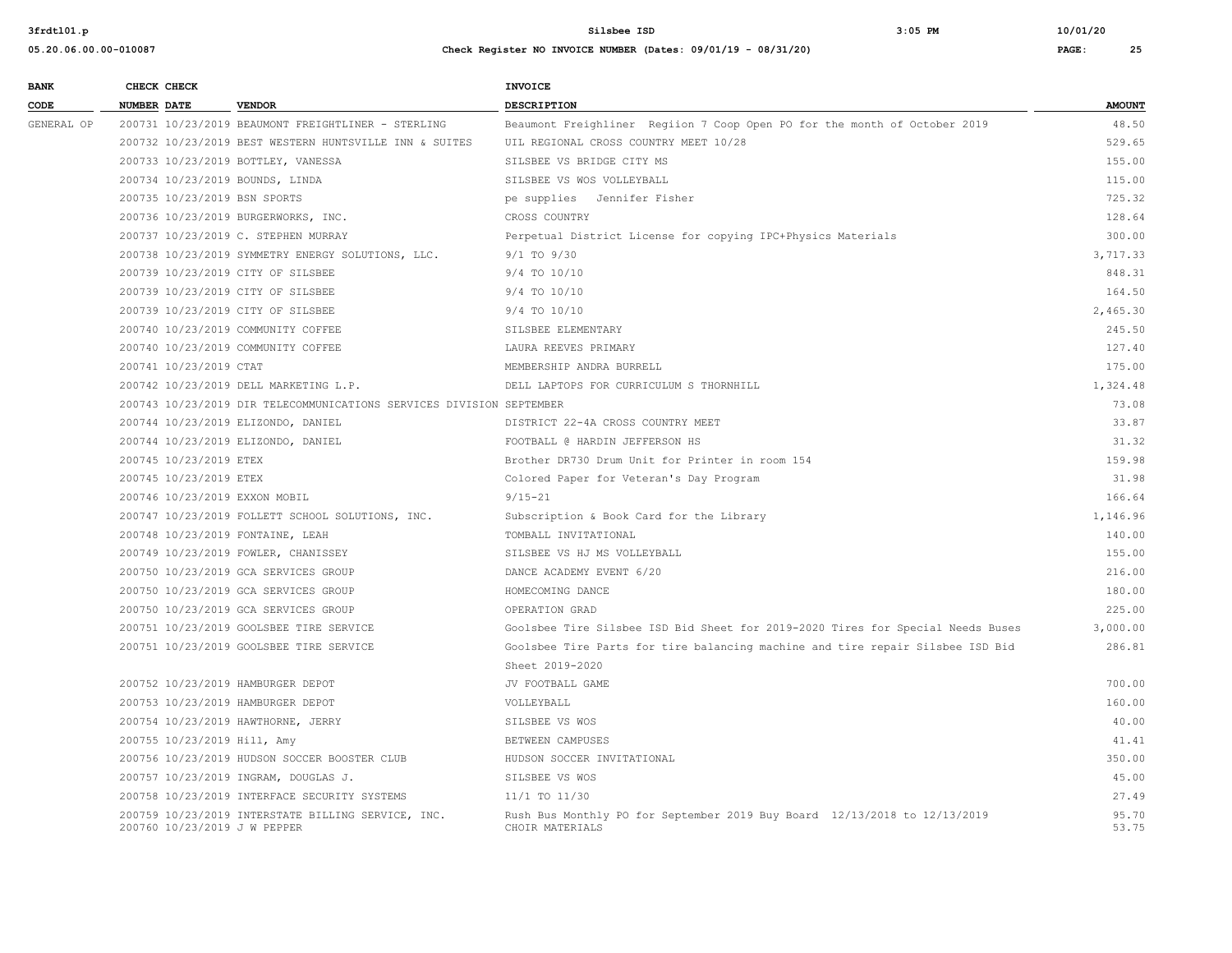| <b>BANK</b> |                    | CHECK CHECK                  |                                                                      | <b>INVOICE</b>                                                                               |                |
|-------------|--------------------|------------------------------|----------------------------------------------------------------------|----------------------------------------------------------------------------------------------|----------------|
| CODE        | <b>NUMBER DATE</b> |                              | <b>VENDOR</b>                                                        | <b>DESCRIPTION</b>                                                                           | <b>AMOUNT</b>  |
| GENERAL OP  |                    |                              | 200731 10/23/2019 BEAUMONT FREIGHTLINER - STERLING                   | Beaumont Freighliner Regiion 7 Coop Open PO for the month of October 2019                    | 48.50          |
|             |                    |                              | 200732 10/23/2019 BEST WESTERN HUNTSVILLE INN & SUITES               | UIL REGIONAL CROSS COUNTRY MEET 10/28                                                        | 529.65         |
|             |                    |                              | 200733 10/23/2019 BOTTLEY, VANESSA                                   | SILSBEE VS BRIDGE CITY MS                                                                    | 155.00         |
|             |                    |                              | 200734 10/23/2019 BOUNDS, LINDA                                      | SILSBEE VS WOS VOLLEYBALL                                                                    | 115.00         |
|             |                    |                              | 200735 10/23/2019 BSN SPORTS                                         | pe supplies Jennifer Fisher                                                                  | 725.32         |
|             |                    |                              | 200736 10/23/2019 BURGERWORKS, INC.                                  | CROSS COUNTRY                                                                                | 128.64         |
|             |                    |                              | 200737 10/23/2019 C. STEPHEN MURRAY                                  | Perpetual District License for copying IPC+Physics Materials                                 | 300.00         |
|             |                    |                              | 200738 10/23/2019 SYMMETRY ENERGY SOLUTIONS, LLC.                    | $9/1$ TO $9/30$                                                                              | 3,717.33       |
|             |                    |                              | 200739 10/23/2019 CITY OF SILSBEE                                    | 9/4 TO 10/10                                                                                 | 848.31         |
|             |                    |                              | 200739 10/23/2019 CITY OF SILSBEE                                    | 9/4 TO 10/10                                                                                 | 164.50         |
|             |                    |                              | 200739 10/23/2019 CITY OF SILSBEE                                    | 9/4 TO 10/10                                                                                 | 2,465.30       |
|             |                    |                              | 200740 10/23/2019 COMMUNITY COFFEE                                   | SILSBEE ELEMENTARY                                                                           | 245.50         |
|             |                    |                              | 200740 10/23/2019 COMMUNITY COFFEE                                   | LAURA REEVES PRIMARY                                                                         | 127.40         |
|             |                    | 200741 10/23/2019 CTAT       |                                                                      | MEMBERSHIP ANDRA BURRELL                                                                     | 175.00         |
|             |                    |                              | 200742 10/23/2019 DELL MARKETING L.P.                                | DELL LAPTOPS FOR CURRICULUM S THORNHILL                                                      | 1,324.48       |
|             |                    |                              | 200743 10/23/2019 DIR TELECOMMUNICATIONS SERVICES DIVISION SEPTEMBER |                                                                                              | 73.08          |
|             |                    |                              | 200744 10/23/2019 ELIZONDO, DANIEL                                   | DISTRICT 22-4A CROSS COUNTRY MEET                                                            | 33.87          |
|             |                    |                              | 200744 10/23/2019 ELIZONDO, DANIEL                                   | FOOTBALL @ HARDIN JEFFERSON HS                                                               | 31.32          |
|             |                    | 200745 10/23/2019 ETEX       |                                                                      | Brother DR730 Drum Unit for Printer in room 154                                              | 159.98         |
|             |                    | 200745 10/23/2019 ETEX       |                                                                      | Colored Paper for Veteran's Day Program                                                      | 31.98          |
|             |                    |                              | 200746 10/23/2019 EXXON MOBIL                                        | $9/15 - 21$                                                                                  | 166.64         |
|             |                    |                              | 200747 10/23/2019 FOLLETT SCHOOL SOLUTIONS, INC.                     | Subscription & Book Card for the Library                                                     | 1,146.96       |
|             |                    |                              | 200748 10/23/2019 FONTAINE, LEAH                                     | TOMBALL INVITATIONAL                                                                         | 140.00         |
|             |                    |                              | 200749 10/23/2019 FOWLER, CHANISSEY                                  | SILSBEE VS HJ MS VOLLEYBALL                                                                  | 155.00         |
|             |                    |                              | 200750 10/23/2019 GCA SERVICES GROUP                                 | DANCE ACADEMY EVENT 6/20                                                                     | 216.00         |
|             |                    |                              | 200750 10/23/2019 GCA SERVICES GROUP                                 | HOMECOMING DANCE                                                                             | 180.00         |
|             |                    |                              | 200750 10/23/2019 GCA SERVICES GROUP                                 | OPERATION GRAD                                                                               | 225.00         |
|             |                    |                              | 200751 10/23/2019 GOOLSBEE TIRE SERVICE                              | Goolsbee Tire Silsbee ISD Bid Sheet for 2019-2020 Tires for Special Needs Buses              | 3,000.00       |
|             |                    |                              | 200751 10/23/2019 GOOLSBEE TIRE SERVICE                              | Goolsbee Tire Parts for tire balancing machine and tire repair Silsbee ISD Bid               | 286.81         |
|             |                    |                              |                                                                      | Sheet 2019-2020                                                                              |                |
|             |                    |                              | 200752 10/23/2019 HAMBURGER DEPOT                                    | JV FOOTBALL GAME                                                                             | 700.00         |
|             |                    |                              | 200753 10/23/2019 HAMBURGER DEPOT                                    | VOLLEYBALL                                                                                   | 160.00         |
|             |                    |                              | 200754 10/23/2019 HAWTHORNE, JERRY                                   | SILSBEE VS WOS                                                                               | 40.00          |
|             |                    | 200755 10/23/2019 Hill, Amy  |                                                                      | BETWEEN CAMPUSES                                                                             | 41.41          |
|             |                    |                              | 200756 10/23/2019 HUDSON SOCCER BOOSTER CLUB                         | HUDSON SOCCER INVITATIONAL                                                                   | 350.00         |
|             |                    |                              | 200757 10/23/2019 INGRAM, DOUGLAS J.                                 | SILSBEE VS WOS                                                                               | 45.00          |
|             |                    |                              | 200758 10/23/2019 INTERFACE SECURITY SYSTEMS                         | 11/1 TO 11/30                                                                                | 27.49          |
|             |                    | 200760 10/23/2019 J W PEPPER | 200759 10/23/2019 INTERSTATE BILLING SERVICE, INC.                   | Rush Bus Monthly PO for September 2019 Buy Board 12/13/2018 to 12/13/2019<br>CHOIR MATERIALS | 95.70<br>53.75 |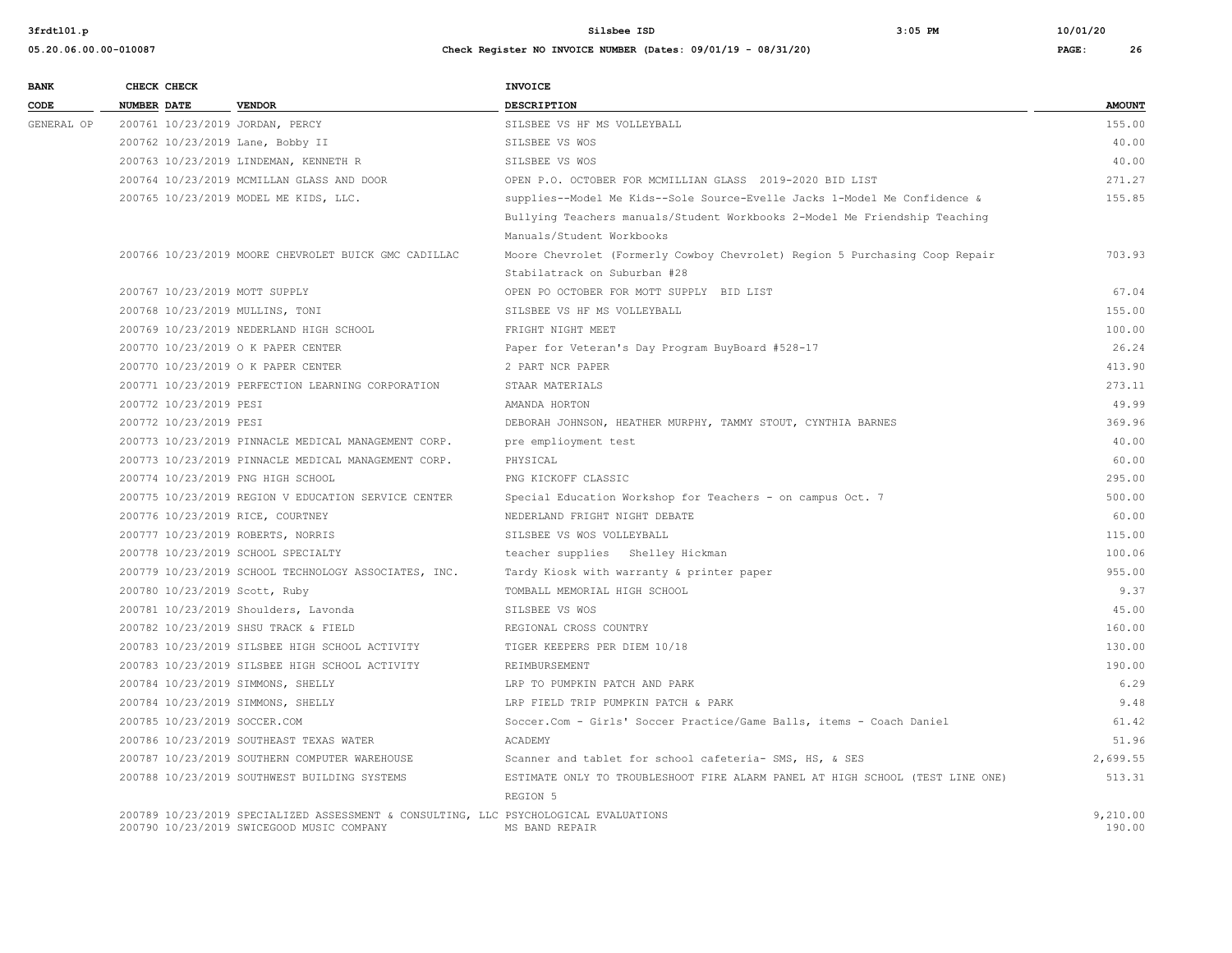| <b>BANK</b> |                    | CHECK CHECK                  |                                                                                                                                   | INVOICE                                                                       |                    |
|-------------|--------------------|------------------------------|-----------------------------------------------------------------------------------------------------------------------------------|-------------------------------------------------------------------------------|--------------------|
| CODE        | <b>NUMBER DATE</b> |                              | <b>VENDOR</b>                                                                                                                     | <b>DESCRIPTION</b>                                                            | <b>AMOUNT</b>      |
| GENERAL OP  |                    |                              | 200761 10/23/2019 JORDAN, PERCY                                                                                                   | SILSBEE VS HF MS VOLLEYBALL                                                   | 155.00             |
|             |                    |                              | 200762 10/23/2019 Lane, Bobby II                                                                                                  | SILSBEE VS WOS                                                                | 40.00              |
|             |                    |                              | 200763 10/23/2019 LINDEMAN, KENNETH R                                                                                             | SILSBEE VS WOS                                                                | 40.00              |
|             |                    |                              | 200764 10/23/2019 MCMILLAN GLASS AND DOOR                                                                                         | OPEN P.O. OCTOBER FOR MCMILLIAN GLASS 2019-2020 BID LIST                      | 271.27             |
|             |                    |                              | 200765 10/23/2019 MODEL ME KIDS, LLC.                                                                                             | supplies--Model Me Kids--Sole Source-Evelle Jacks 1-Model Me Confidence &     | 155.85             |
|             |                    |                              |                                                                                                                                   | Bullying Teachers manuals/Student Workbooks 2-Model Me Friendship Teaching    |                    |
|             |                    |                              |                                                                                                                                   | Manuals/Student Workbooks                                                     |                    |
|             |                    |                              | 200766 10/23/2019 MOORE CHEVROLET BUICK GMC CADILLAC                                                                              | Moore Chevrolet (Formerly Cowboy Chevrolet) Region 5 Purchasing Coop Repair   | 703.93             |
|             |                    |                              |                                                                                                                                   | Stabilatrack on Suburban #28                                                  |                    |
|             |                    |                              | 200767 10/23/2019 MOTT SUPPLY                                                                                                     | OPEN PO OCTOBER FOR MOTT SUPPLY BID LIST                                      | 67.04              |
|             |                    |                              | 200768 10/23/2019 MULLINS, TONI                                                                                                   | SILSBEE VS HF MS VOLLEYBALL                                                   | 155.00             |
|             |                    |                              | 200769 10/23/2019 NEDERLAND HIGH SCHOOL                                                                                           | FRIGHT NIGHT MEET                                                             | 100.00             |
|             |                    |                              | 200770 10/23/2019 O K PAPER CENTER                                                                                                | Paper for Veteran's Day Program BuyBoard #528-17                              | 26.24              |
|             |                    |                              | 200770 10/23/2019 O K PAPER CENTER                                                                                                | 2 PART NCR PAPER                                                              | 413.90             |
|             |                    |                              | 200771 10/23/2019 PERFECTION LEARNING CORPORATION                                                                                 | STAAR MATERIALS                                                               | 273.11             |
|             |                    | 200772 10/23/2019 PESI       |                                                                                                                                   | AMANDA HORTON                                                                 | 49.99              |
|             |                    | 200772 10/23/2019 PESI       |                                                                                                                                   | DEBORAH JOHNSON, HEATHER MURPHY, TAMMY STOUT, CYNTHIA BARNES                  | 369.96             |
|             |                    |                              | 200773 10/23/2019 PINNACLE MEDICAL MANAGEMENT CORP.                                                                               | pre emplioyment test                                                          | 40.00              |
|             |                    |                              | 200773 10/23/2019 PINNACLE MEDICAL MANAGEMENT CORP.                                                                               | PHYSICAL                                                                      | 60.00              |
|             |                    |                              | 200774 10/23/2019 PNG HIGH SCHOOL                                                                                                 | PNG KICKOFF CLASSIC                                                           | 295.00             |
|             |                    |                              | 200775 10/23/2019 REGION V EDUCATION SERVICE CENTER                                                                               | Special Education Workshop for Teachers - on campus Oct. 7                    | 500.00             |
|             |                    |                              | 200776 10/23/2019 RICE, COURTNEY                                                                                                  | NEDERLAND FRIGHT NIGHT DEBATE                                                 | 60.00              |
|             |                    |                              | 200777 10/23/2019 ROBERTS, NORRIS                                                                                                 | SILSBEE VS WOS VOLLEYBALL                                                     | 115.00             |
|             |                    |                              | 200778 10/23/2019 SCHOOL SPECIALTY                                                                                                | teacher supplies Shelley Hickman                                              | 100.06             |
|             |                    |                              | 200779 10/23/2019 SCHOOL TECHNOLOGY ASSOCIATES, INC.                                                                              | Tardy Kiosk with warranty & printer paper                                     | 955.00             |
|             |                    |                              | 200780 10/23/2019 Scott, Ruby                                                                                                     | TOMBALL MEMORIAL HIGH SCHOOL                                                  | 9.37               |
|             |                    |                              | 200781 10/23/2019 Shoulders, Lavonda                                                                                              | SILSBEE VS WOS                                                                | 45.00              |
|             |                    |                              | 200782 10/23/2019 SHSU TRACK & FIELD                                                                                              | REGIONAL CROSS COUNTRY                                                        | 160.00             |
|             |                    |                              | 200783 10/23/2019 SILSBEE HIGH SCHOOL ACTIVITY                                                                                    | TIGER KEEPERS PER DIEM 10/18                                                  | 130.00             |
|             |                    |                              | 200783 10/23/2019 SILSBEE HIGH SCHOOL ACTIVITY                                                                                    | REIMBURSEMENT                                                                 | 190.00             |
|             |                    |                              | 200784 10/23/2019 SIMMONS, SHELLY                                                                                                 | LRP TO PUMPKIN PATCH AND PARK                                                 | 6.29               |
|             |                    |                              | 200784 10/23/2019 SIMMONS, SHELLY                                                                                                 | LRP FIELD TRIP PUMPKIN PATCH & PARK                                           | 9.48               |
|             |                    | 200785 10/23/2019 SOCCER.COM |                                                                                                                                   | Soccer.Com - Girls' Soccer Practice/Game Balls, items - Coach Daniel          | 61.42              |
|             |                    |                              | 200786 10/23/2019 SOUTHEAST TEXAS WATER                                                                                           | ACADEMY                                                                       | 51.96              |
|             |                    |                              | 200787 10/23/2019 SOUTHERN COMPUTER WAREHOUSE                                                                                     | Scanner and tablet for school cafeteria- SMS, HS, & SES                       | 2,699.55           |
|             |                    |                              | 200788 10/23/2019 SOUTHWEST BUILDING SYSTEMS                                                                                      | ESTIMATE ONLY TO TROUBLESHOOT FIRE ALARM PANEL AT HIGH SCHOOL (TEST LINE ONE) | 513.31             |
|             |                    |                              |                                                                                                                                   | REGION 5                                                                      |                    |
|             |                    |                              | 200789 10/23/2019 SPECIALIZED ASSESSMENT & CONSULTING, LLC PSYCHOLOGICAL EVALUATIONS<br>200790 10/23/2019 SWICEGOOD MUSIC COMPANY | MS BAND REPAIR                                                                | 9,210.00<br>190.00 |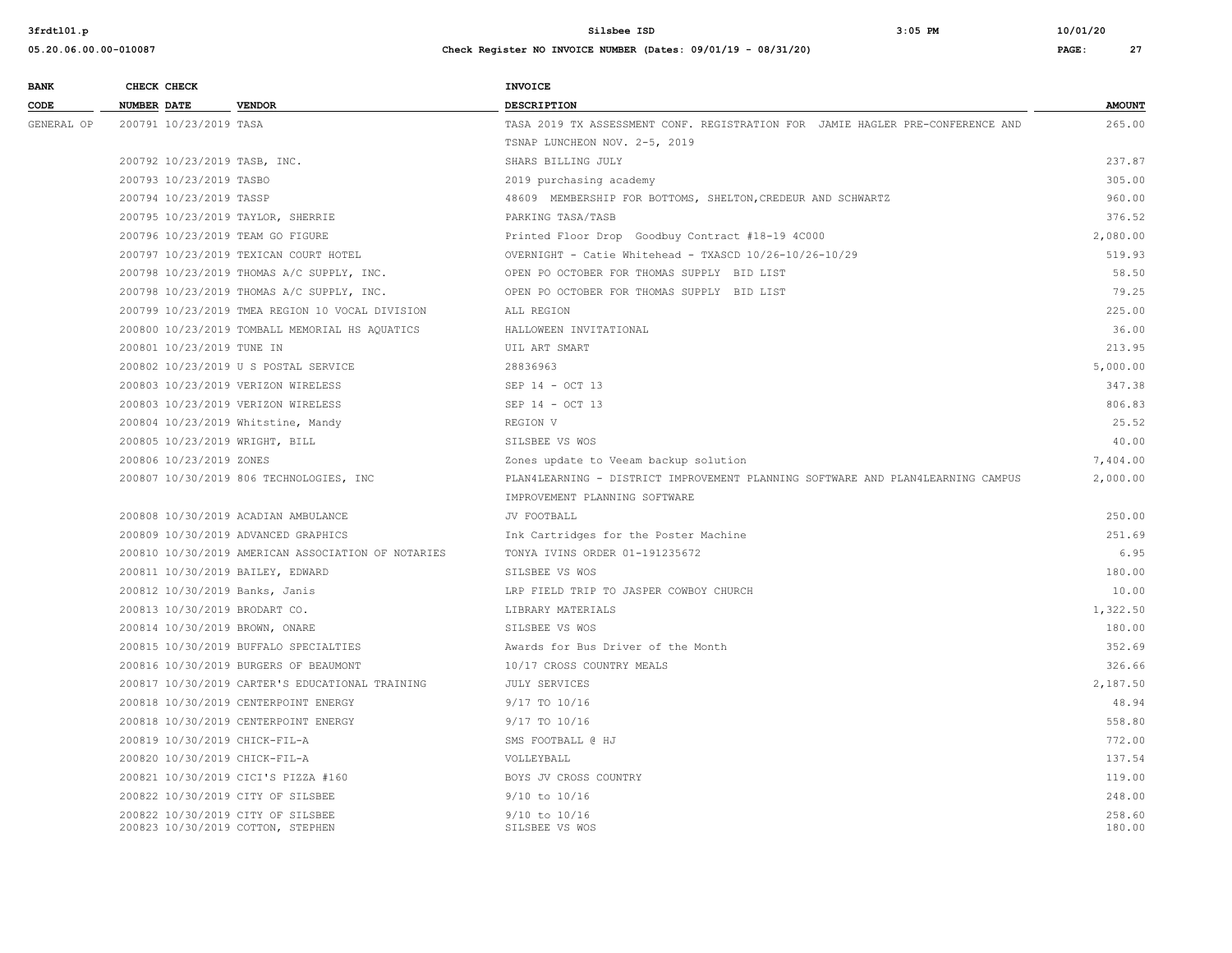| <b>BANK</b> | CHECK CHECK                    |                                                                        | INVOICE                                                                         |                  |
|-------------|--------------------------------|------------------------------------------------------------------------|---------------------------------------------------------------------------------|------------------|
| CODE        | <b>NUMBER DATE</b>             | <b>VENDOR</b>                                                          | <b>DESCRIPTION</b>                                                              | <b>AMOUNT</b>    |
| GENERAL OP  | 200791 10/23/2019 TASA         |                                                                        | TASA 2019 TX ASSESSMENT CONF. REGISTRATION FOR JAMIE HAGLER PRE-CONFERENCE AND  | 265.00           |
|             |                                |                                                                        | TSNAP LUNCHEON NOV. 2-5, 2019                                                   |                  |
|             | 200792 10/23/2019 TASB, INC.   |                                                                        | SHARS BILLING JULY                                                              | 237.87           |
|             | 200793 10/23/2019 TASBO        |                                                                        | 2019 purchasing academy                                                         | 305.00           |
|             | 200794 10/23/2019 TASSP        |                                                                        | 48609 MEMBERSHIP FOR BOTTOMS, SHELTON, CREDEUR AND SCHWARTZ                     | 960.00           |
|             |                                | 200795 10/23/2019 TAYLOR, SHERRIE                                      | PARKING TASA/TASB                                                               | 376.52           |
|             |                                | 200796 10/23/2019 TEAM GO FIGURE                                       | Printed Floor Drop Goodbuy Contract #18-19 4C000                                | 2,080.00         |
|             |                                | 200797 10/23/2019 TEXICAN COURT HOTEL                                  | OVERNIGHT - Catie Whitehead - TXASCD 10/26-10/26-10/29                          | 519.93           |
|             |                                | 200798 10/23/2019 THOMAS A/C SUPPLY, INC.                              | OPEN PO OCTOBER FOR THOMAS SUPPLY BID LIST                                      | 58.50            |
|             |                                | 200798 10/23/2019 THOMAS A/C SUPPLY, INC.                              | OPEN PO OCTOBER FOR THOMAS SUPPLY BID LIST                                      | 79.25            |
|             |                                | 200799 10/23/2019 TMEA REGION 10 VOCAL DIVISION                        | ALL REGION                                                                      | 225.00           |
|             |                                | 200800 10/23/2019 TOMBALL MEMORIAL HS AQUATICS                         | HALLOWEEN INVITATIONAL                                                          | 36.00            |
|             | 200801 10/23/2019 TUNE IN      |                                                                        | UIL ART SMART                                                                   | 213.95           |
|             |                                | 200802 10/23/2019 U S POSTAL SERVICE                                   | 28836963                                                                        | 5,000.00         |
|             |                                | 200803 10/23/2019 VERIZON WIRELESS                                     | SEP 14 - OCT 13                                                                 | 347.38           |
|             |                                | 200803 10/23/2019 VERIZON WIRELESS                                     | SEP 14 - OCT 13                                                                 | 806.83           |
|             |                                | 200804 10/23/2019 Whitstine, Mandy                                     | REGION V                                                                        | 25.52            |
|             | 200805 10/23/2019 WRIGHT, BILL |                                                                        | SILSBEE VS WOS                                                                  | 40.00            |
|             | 200806 10/23/2019 ZONES        |                                                                        | Zones update to Veeam backup solution                                           | 7,404.00         |
|             |                                | 200807 10/30/2019 806 TECHNOLOGIES, INC                                | PLAN4LEARNING - DISTRICT IMPROVEMENT PLANNING SOFTWARE AND PLAN4LEARNING CAMPUS | 2,000.00         |
|             |                                |                                                                        | IMPROVEMENT PLANNING SOFTWARE                                                   |                  |
|             |                                | 200808 10/30/2019 ACADIAN AMBULANCE                                    | JV FOOTBALL                                                                     | 250.00           |
|             |                                | 200809 10/30/2019 ADVANCED GRAPHICS                                    | Ink Cartridges for the Poster Machine                                           | 251.69           |
|             |                                | 200810 10/30/2019 AMERICAN ASSOCIATION OF NOTARIES                     | TONYA IVINS ORDER 01-191235672                                                  | 6.95             |
|             |                                | 200811 10/30/2019 BAILEY, EDWARD                                       | SILSBEE VS WOS                                                                  | 180.00           |
|             | 200812 10/30/2019 Banks, Janis |                                                                        | LRP FIELD TRIP TO JASPER COWBOY CHURCH                                          | 10.00            |
|             | 200813 10/30/2019 BRODART CO.  |                                                                        | LIBRARY MATERIALS                                                               | 1,322.50         |
|             | 200814 10/30/2019 BROWN, ONARE |                                                                        | SILSBEE VS WOS                                                                  | 180.00           |
|             |                                | 200815 10/30/2019 BUFFALO SPECIALTIES                                  | Awards for Bus Driver of the Month                                              | 352.69           |
|             |                                | 200816 10/30/2019 BURGERS OF BEAUMONT                                  | 10/17 CROSS COUNTRY MEALS                                                       | 326.66           |
|             |                                | 200817 10/30/2019 CARTER'S EDUCATIONAL TRAINING                        | <b>JULY SERVICES</b>                                                            | 2,187.50         |
|             |                                | 200818 10/30/2019 CENTERPOINT ENERGY                                   | 9/17 TO 10/16                                                                   | 48.94            |
|             |                                | 200818 10/30/2019 CENTERPOINT ENERGY                                   | 9/17 TO 10/16                                                                   | 558.80           |
|             | 200819 10/30/2019 CHICK-FIL-A  |                                                                        | SMS FOOTBALL @ HJ                                                               | 772.00           |
|             | 200820 10/30/2019 CHICK-FIL-A  |                                                                        | VOLLEYBALL                                                                      | 137.54           |
|             |                                | 200821 10/30/2019 CICI'S PIZZA #160                                    | BOYS JV CROSS COUNTRY                                                           | 119.00           |
|             |                                | 200822 10/30/2019 CITY OF SILSBEE                                      | $9/10$ to $10/16$                                                               | 248.00           |
|             |                                | 200822 10/30/2019 CITY OF SILSBEE<br>200823 10/30/2019 COTTON, STEPHEN | $9/10$ to $10/16$<br>SILSBEE VS WOS                                             | 258.60<br>180.00 |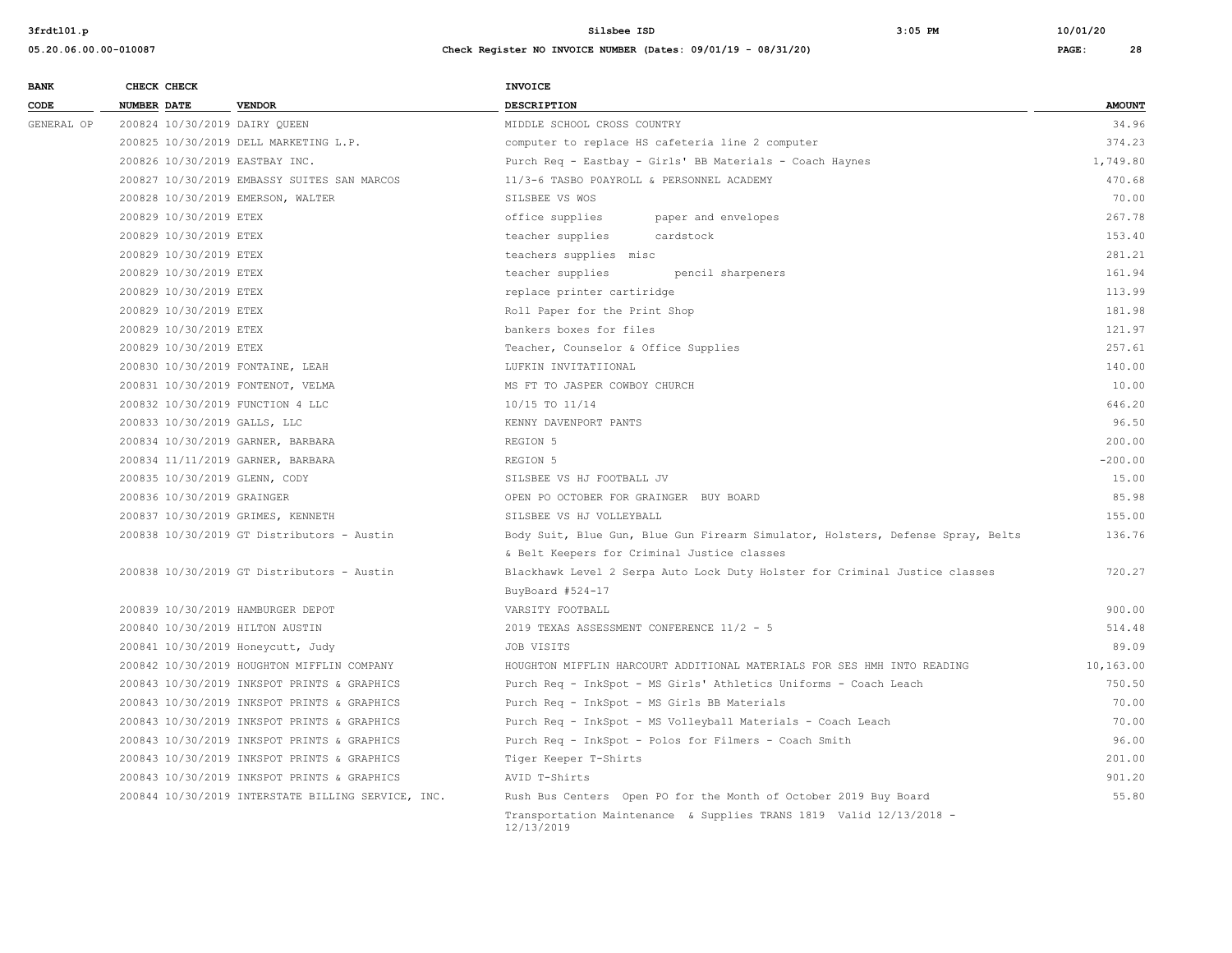| <b>BANK</b> |                    | CHECK CHECK                |                                                    | INVOICE                                                                           |               |
|-------------|--------------------|----------------------------|----------------------------------------------------|-----------------------------------------------------------------------------------|---------------|
| CODE        | <b>NUMBER DATE</b> |                            | <b>VENDOR</b>                                      | DESCRIPTION                                                                       | <b>AMOUNT</b> |
| GENERAL OP  |                    |                            | 200824 10/30/2019 DAIRY QUEEN                      | MIDDLE SCHOOL CROSS COUNTRY                                                       | 34.96         |
|             |                    |                            | 200825 10/30/2019 DELL MARKETING L.P.              | computer to replace HS cafeteria line 2 computer                                  | 374.23        |
|             |                    |                            | 200826 10/30/2019 EASTBAY INC.                     | Purch Req - Eastbay - Girls' BB Materials - Coach Haynes                          | 1,749.80      |
|             |                    |                            | 200827 10/30/2019 EMBASSY SUITES SAN MARCOS        | 11/3-6 TASBO POAYROLL & PERSONNEL ACADEMY                                         | 470.68        |
|             |                    |                            | 200828 10/30/2019 EMERSON, WALTER                  | SILSBEE VS WOS                                                                    | 70.00         |
|             |                    | 200829 10/30/2019 ETEX     |                                                    | office supplies<br>paper and envelopes                                            | 267.78        |
|             |                    | 200829 10/30/2019 ETEX     |                                                    | teacher supplies<br>cardstock                                                     | 153.40        |
|             |                    | 200829 10/30/2019 ETEX     |                                                    | teachers supplies misc                                                            | 281.21        |
|             |                    | 200829 10/30/2019 ETEX     |                                                    | teacher supplies<br>pencil sharpeners                                             | 161.94        |
|             |                    | 200829 10/30/2019 ETEX     |                                                    | replace printer cartiridge                                                        | 113.99        |
|             |                    | 200829 10/30/2019 ETEX     |                                                    | Roll Paper for the Print Shop                                                     | 181.98        |
|             |                    | 200829 10/30/2019 ETEX     |                                                    | bankers boxes for files                                                           | 121.97        |
|             |                    | 200829 10/30/2019 ETEX     |                                                    | Teacher, Counselor & Office Supplies                                              | 257.61        |
|             |                    |                            | 200830 10/30/2019 FONTAINE, LEAH                   | LUFKIN INVITATIIONAL                                                              | 140.00        |
|             |                    |                            | 200831 10/30/2019 FONTENOT, VELMA                  | MS FT TO JASPER COWBOY CHURCH                                                     | 10.00         |
|             |                    |                            | 200832 10/30/2019 FUNCTION 4 LLC                   | 10/15 TO 11/14                                                                    | 646.20        |
|             |                    |                            | 200833 10/30/2019 GALLS, LLC                       | KENNY DAVENPORT PANTS                                                             | 96.50         |
|             |                    |                            | 200834 10/30/2019 GARNER, BARBARA                  | REGION 5                                                                          | 200.00        |
|             |                    |                            | 200834 11/11/2019 GARNER, BARBARA                  | REGION 5                                                                          | $-200.00$     |
|             |                    |                            | 200835 10/30/2019 GLENN, CODY                      | SILSBEE VS HJ FOOTBALL JV                                                         | 15.00         |
|             |                    | 200836 10/30/2019 GRAINGER |                                                    | OPEN PO OCTOBER FOR GRAINGER BUY BOARD                                            | 85.98         |
|             |                    |                            | 200837 10/30/2019 GRIMES, KENNETH                  | SILSBEE VS HJ VOLLEYBALL                                                          | 155.00        |
|             |                    |                            | 200838 10/30/2019 GT Distributors - Austin         | Body Suit, Blue Gun, Blue Gun Firearm Simulator, Holsters, Defense Spray, Belts   | 136.76        |
|             |                    |                            |                                                    | & Belt Keepers for Criminal Justice classes                                       |               |
|             |                    |                            | 200838 10/30/2019 GT Distributors - Austin         | Blackhawk Level 2 Serpa Auto Lock Duty Holster for Criminal Justice classes       | 720.27        |
|             |                    |                            |                                                    | BuyBoard #524-17                                                                  |               |
|             |                    |                            | 200839 10/30/2019 HAMBURGER DEPOT                  | VARSITY FOOTBALL                                                                  | 900.00        |
|             |                    |                            | 200840 10/30/2019 HILTON AUSTIN                    | 2019 TEXAS ASSESSMENT CONFERENCE 11/2 - 5                                         | 514.48        |
|             |                    |                            | 200841 10/30/2019 Honeycutt, Judy                  | JOB VISITS                                                                        | 89.09         |
|             |                    |                            | 200842 10/30/2019 HOUGHTON MIFFLIN COMPANY         | HOUGHTON MIFFLIN HARCOURT ADDITIONAL MATERIALS FOR SES HMH INTO READING           | 10,163.00     |
|             |                    |                            | 200843 10/30/2019 INKSPOT PRINTS & GRAPHICS        | Purch Req - InkSpot - MS Girls' Athletics Uniforms - Coach Leach                  | 750.50        |
|             |                    |                            | 200843 10/30/2019 INKSPOT PRINTS & GRAPHICS        | Purch Req - InkSpot - MS Girls BB Materials                                       | 70.00         |
|             |                    |                            | 200843 10/30/2019 INKSPOT PRINTS & GRAPHICS        | Purch Req - InkSpot - MS Volleyball Materials - Coach Leach                       | 70.00         |
|             |                    |                            | 200843 10/30/2019 INKSPOT PRINTS & GRAPHICS        | Purch Req - InkSpot - Polos for Filmers - Coach Smith                             | 96.00         |
|             |                    |                            | 200843 10/30/2019 INKSPOT PRINTS & GRAPHICS        | Tiger Keeper T-Shirts                                                             | 201.00        |
|             |                    |                            | 200843 10/30/2019 INKSPOT PRINTS & GRAPHICS        | AVID T-Shirts                                                                     | 901.20        |
|             |                    |                            | 200844 10/30/2019 INTERSTATE BILLING SERVICE, INC. | Rush Bus Centers Open PO for the Month of October 2019 Buy Board                  | 55.80         |
|             |                    |                            |                                                    | Transportation Maintenance & Supplies TRANS 1819 Valid 12/13/2018 -<br>12/13/2019 |               |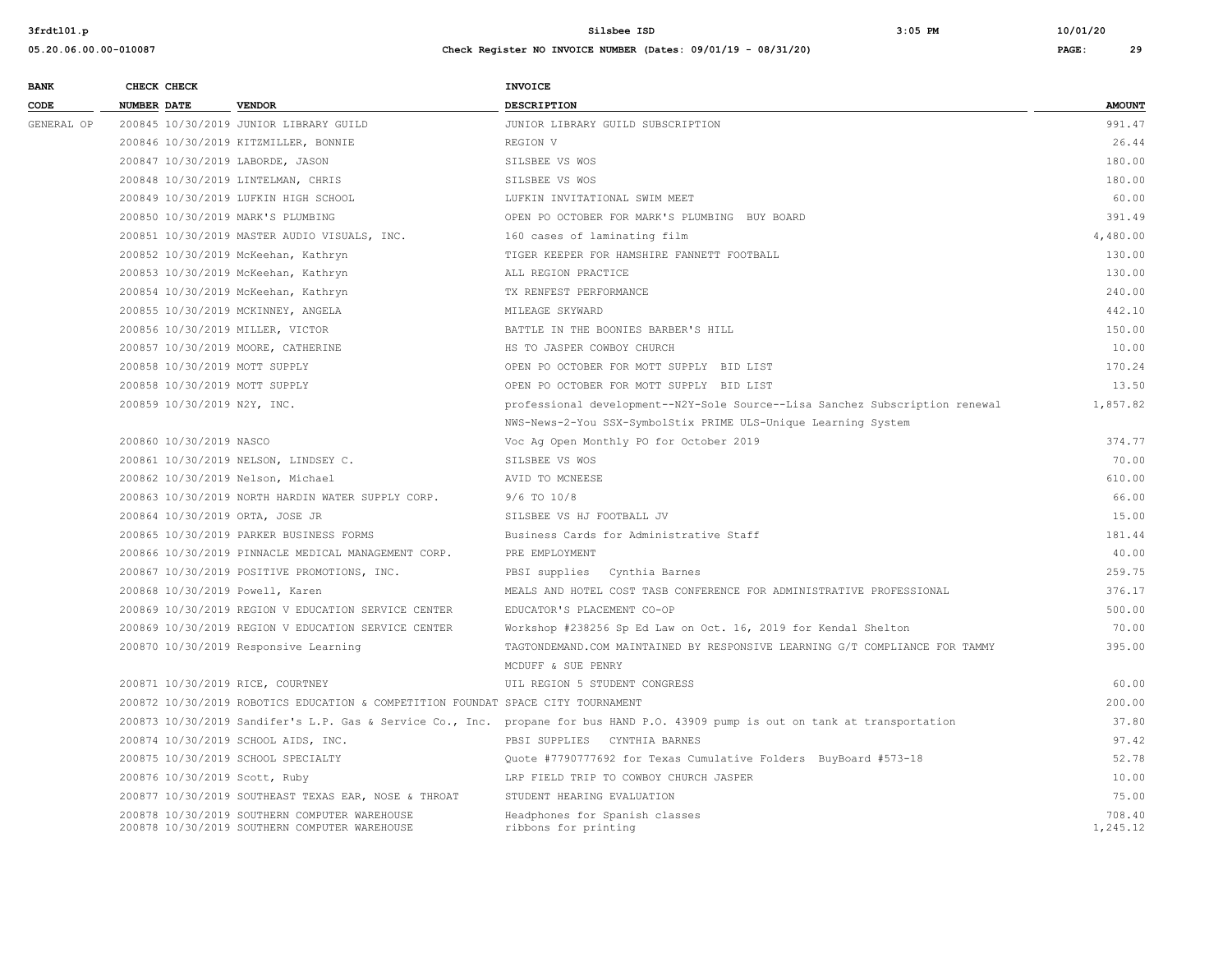| <b>BANK</b> |             | CHECK CHECK                 |                                                                                                | <b>INVOICE</b>                                                                                                                  |                    |
|-------------|-------------|-----------------------------|------------------------------------------------------------------------------------------------|---------------------------------------------------------------------------------------------------------------------------------|--------------------|
| CODE        | NUMBER DATE |                             | <b>VENDOR</b>                                                                                  | DESCRIPTION                                                                                                                     | <b>AMOUNT</b>      |
| GENERAL OP  |             |                             | 200845 10/30/2019 JUNIOR LIBRARY GUILD                                                         | JUNIOR LIBRARY GUILD SUBSCRIPTION                                                                                               | 991.47             |
|             |             |                             | 200846 10/30/2019 KITZMILLER, BONNIE                                                           | REGION V                                                                                                                        | 26.44              |
|             |             |                             | 200847 10/30/2019 LABORDE, JASON                                                               | SILSBEE VS WOS                                                                                                                  | 180.00             |
|             |             |                             | 200848 10/30/2019 LINTELMAN, CHRIS                                                             | SILSBEE VS WOS                                                                                                                  | 180.00             |
|             |             |                             | 200849 10/30/2019 LUFKIN HIGH SCHOOL                                                           | LUFKIN INVITATIONAL SWIM MEET                                                                                                   | 60.00              |
|             |             |                             | 200850 10/30/2019 MARK'S PLUMBING                                                              | OPEN PO OCTOBER FOR MARK'S PLUMBING BUY BOARD                                                                                   | 391.49             |
|             |             |                             | 200851 10/30/2019 MASTER AUDIO VISUALS, INC.                                                   | 160 cases of laminating film                                                                                                    | 4,480.00           |
|             |             |                             | 200852 10/30/2019 McKeehan, Kathryn                                                            | TIGER KEEPER FOR HAMSHIRE FANNETT FOOTBALL                                                                                      | 130.00             |
|             |             |                             | 200853 10/30/2019 McKeehan, Kathryn                                                            | ALL REGION PRACTICE                                                                                                             | 130.00             |
|             |             |                             | 200854 10/30/2019 McKeehan, Kathryn                                                            | TX RENFEST PERFORMANCE                                                                                                          | 240.00             |
|             |             |                             | 200855 10/30/2019 MCKINNEY, ANGELA                                                             | MILEAGE SKYWARD                                                                                                                 | 442.10             |
|             |             |                             | 200856 10/30/2019 MILLER, VICTOR                                                               | BATTLE IN THE BOONIES BARBER'S HILL                                                                                             | 150.00             |
|             |             |                             | 200857 10/30/2019 MOORE, CATHERINE                                                             | HS TO JASPER COWBOY CHURCH                                                                                                      | 10.00              |
|             |             |                             | 200858 10/30/2019 MOTT SUPPLY                                                                  | OPEN PO OCTOBER FOR MOTT SUPPLY BID LIST                                                                                        | 170.24             |
|             |             |                             | 200858 10/30/2019 MOTT SUPPLY                                                                  | OPEN PO OCTOBER FOR MOTT SUPPLY BID LIST                                                                                        | 13.50              |
|             |             | 200859 10/30/2019 N2Y, INC. |                                                                                                | professional development--N2Y-Sole Source--Lisa Sanchez Subscription renewal                                                    | 1,857.82           |
|             |             |                             |                                                                                                | NWS-News-2-You SSX-SymbolStix PRIME ULS-Unique Learning System                                                                  |                    |
|             |             | 200860 10/30/2019 NASCO     |                                                                                                | Voc Ag Open Monthly PO for October 2019                                                                                         | 374.77             |
|             |             |                             | 200861 10/30/2019 NELSON, LINDSEY C.                                                           | SILSBEE VS WOS                                                                                                                  | 70.00              |
|             |             |                             | 200862 10/30/2019 Nelson, Michael                                                              | AVID TO MCNEESE                                                                                                                 | 610.00             |
|             |             |                             | 200863 10/30/2019 NORTH HARDIN WATER SUPPLY CORP.                                              | $9/6$ TO $10/8$                                                                                                                 | 66.00              |
|             |             |                             | 200864 10/30/2019 ORTA, JOSE JR                                                                | SILSBEE VS HJ FOOTBALL JV                                                                                                       | 15.00              |
|             |             |                             | 200865 10/30/2019 PARKER BUSINESS FORMS                                                        | Business Cards for Administrative Staff                                                                                         | 181.44             |
|             |             |                             | 200866 10/30/2019 PINNACLE MEDICAL MANAGEMENT CORP.                                            | PRE EMPLOYMENT                                                                                                                  | 40.00              |
|             |             |                             | 200867 10/30/2019 POSITIVE PROMOTIONS, INC.                                                    | PBSI supplies Cynthia Barnes                                                                                                    | 259.75             |
|             |             |                             | 200868 10/30/2019 Powell, Karen                                                                | MEALS AND HOTEL COST TASB CONFERENCE FOR ADMINISTRATIVE PROFESSIONAL                                                            | 376.17             |
|             |             |                             | 200869 10/30/2019 REGION V EDUCATION SERVICE CENTER                                            | EDUCATOR'S PLACEMENT CO-OP                                                                                                      | 500.00             |
|             |             |                             | 200869 10/30/2019 REGION V EDUCATION SERVICE CENTER                                            | Workshop #238256 Sp Ed Law on Oct. 16, 2019 for Kendal Shelton                                                                  | 70.00              |
|             |             |                             | 200870 10/30/2019 Responsive Learning                                                          | TAGTONDEMAND.COM MAINTAINED BY RESPONSIVE LEARNING G/T COMPLIANCE FOR TAMMY                                                     | 395.00             |
|             |             |                             |                                                                                                | MCDUFF & SUE PENRY                                                                                                              |                    |
|             |             |                             | 200871 10/30/2019 RICE, COURTNEY                                                               | UIL REGION 5 STUDENT CONGRESS                                                                                                   | 60.00              |
|             |             |                             | 200872 10/30/2019 ROBOTICS EDUCATION & COMPETITION FOUNDAT SPACE CITY TOURNAMENT               |                                                                                                                                 | 200.00             |
|             |             |                             |                                                                                                | 200873 10/30/2019 Sandifer's L.P. Gas & Service Co., Inc. propane for bus HAND P.O. 43909 pump is out on tank at transportation | 37.80              |
|             |             |                             | 200874 10/30/2019 SCHOOL AIDS, INC.                                                            | PBSI SUPPLIES CYNTHIA BARNES                                                                                                    | 97.42              |
|             |             |                             | 200875 10/30/2019 SCHOOL SPECIALTY                                                             | Quote #7790777692 for Texas Cumulative Folders BuyBoard #573-18                                                                 | 52.78              |
|             |             |                             | 200876 10/30/2019 Scott, Ruby                                                                  | LRP FIELD TRIP TO COWBOY CHURCH JASPER                                                                                          | 10.00              |
|             |             |                             | 200877 10/30/2019 SOUTHEAST TEXAS EAR, NOSE & THROAT                                           | STUDENT HEARING EVALUATION                                                                                                      | 75.00              |
|             |             |                             | 200878 10/30/2019 SOUTHERN COMPUTER WAREHOUSE<br>200878 10/30/2019 SOUTHERN COMPUTER WAREHOUSE | Headphones for Spanish classes<br>ribbons for printing                                                                          | 708.40<br>1,245.12 |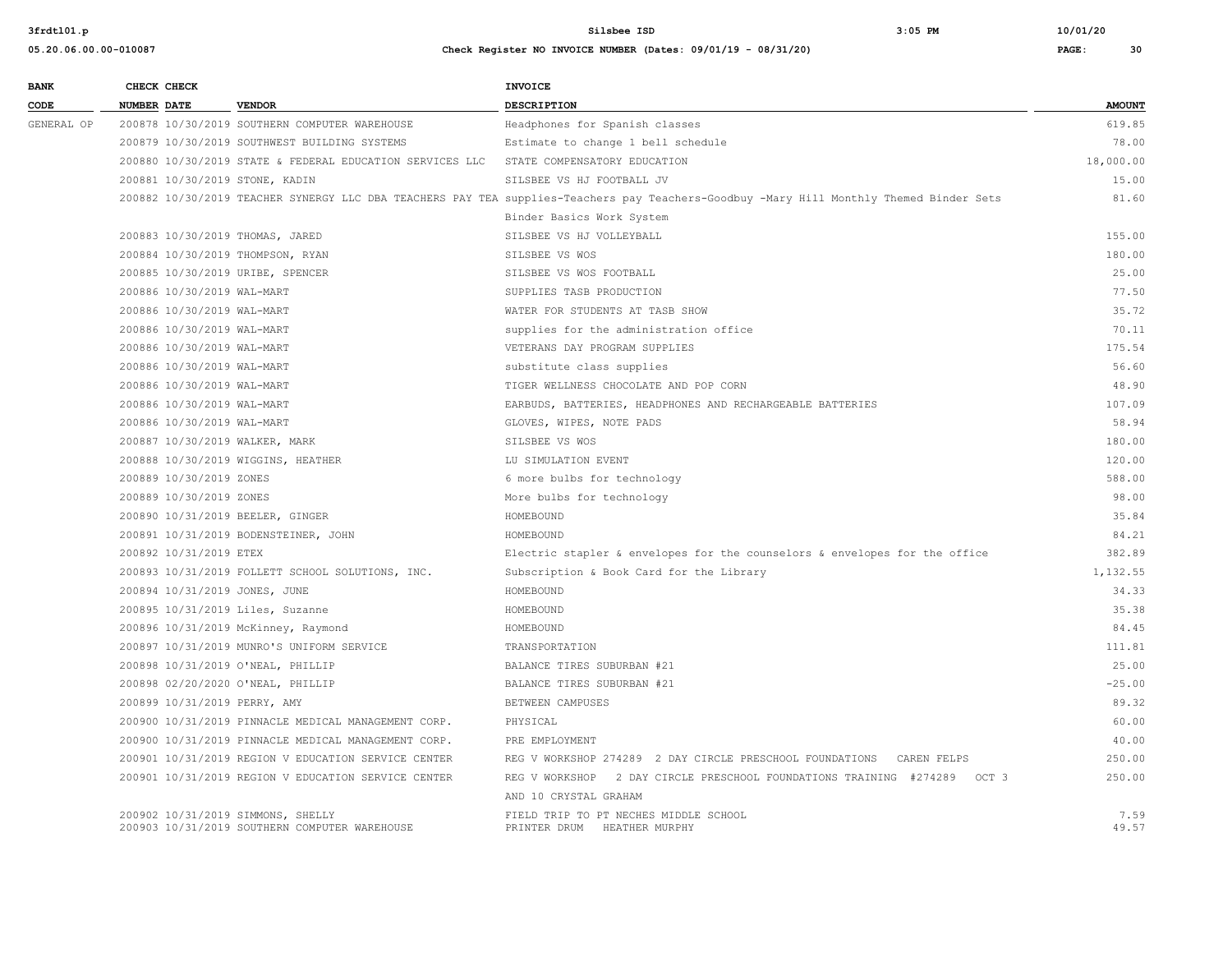| <b>BANK</b> |             | CHECK CHECK                |                                                                                    | <b>INVOICE</b>                                                                                                                          |               |
|-------------|-------------|----------------------------|------------------------------------------------------------------------------------|-----------------------------------------------------------------------------------------------------------------------------------------|---------------|
| CODE        | NUMBER DATE |                            | <b>VENDOR</b>                                                                      | <b>DESCRIPTION</b>                                                                                                                      | <b>AMOUNT</b> |
| GENERAL OP  |             |                            | 200878 10/30/2019 SOUTHERN COMPUTER WAREHOUSE                                      | Headphones for Spanish classes                                                                                                          | 619.85        |
|             |             |                            | 200879 10/30/2019 SOUTHWEST BUILDING SYSTEMS                                       | Estimate to change 1 bell schedule                                                                                                      | 78.00         |
|             |             |                            | 200880 10/30/2019 STATE & FEDERAL EDUCATION SERVICES LLC                           | STATE COMPENSATORY EDUCATION                                                                                                            | 18,000.00     |
|             |             |                            | 200881 10/30/2019 STONE, KADIN                                                     | SILSBEE VS HJ FOOTBALL JV                                                                                                               | 15.00         |
|             |             |                            |                                                                                    | 200882 10/30/2019 TEACHER SYNERGY LLC DBA TEACHERS PAY TEA supplies-Teachers pay Teachers-Goodbuy -Mary Hill Monthly Themed Binder Sets | 81.60         |
|             |             |                            |                                                                                    | Binder Basics Work System                                                                                                               |               |
|             |             |                            | 200883 10/30/2019 THOMAS, JARED                                                    | SILSBEE VS HJ VOLLEYBALL                                                                                                                | 155.00        |
|             |             |                            | 200884 10/30/2019 THOMPSON, RYAN                                                   | SILSBEE VS WOS                                                                                                                          | 180.00        |
|             |             |                            | 200885 10/30/2019 URIBE, SPENCER                                                   | SILSBEE VS WOS FOOTBALL                                                                                                                 | 25.00         |
|             |             | 200886 10/30/2019 WAL-MART |                                                                                    | SUPPLIES TASB PRODUCTION                                                                                                                | 77.50         |
|             |             | 200886 10/30/2019 WAL-MART |                                                                                    | WATER FOR STUDENTS AT TASB SHOW                                                                                                         | 35.72         |
|             |             | 200886 10/30/2019 WAL-MART |                                                                                    | supplies for the administration office                                                                                                  | 70.11         |
|             |             | 200886 10/30/2019 WAL-MART |                                                                                    | VETERANS DAY PROGRAM SUPPLIES                                                                                                           | 175.54        |
|             |             | 200886 10/30/2019 WAL-MART |                                                                                    | substitute class supplies                                                                                                               | 56.60         |
|             |             | 200886 10/30/2019 WAL-MART |                                                                                    | TIGER WELLNESS CHOCOLATE AND POP CORN                                                                                                   | 48.90         |
|             |             | 200886 10/30/2019 WAL-MART |                                                                                    | EARBUDS, BATTERIES, HEADPHONES AND RECHARGEABLE BATTERIES                                                                               | 107.09        |
|             |             | 200886 10/30/2019 WAL-MART |                                                                                    | GLOVES, WIPES, NOTE PADS                                                                                                                | 58.94         |
|             |             |                            | 200887 10/30/2019 WALKER, MARK                                                     | SILSBEE VS WOS                                                                                                                          | 180.00        |
|             |             |                            | 200888 10/30/2019 WIGGINS, HEATHER                                                 | LU SIMULATION EVENT                                                                                                                     | 120.00        |
|             |             | 200889 10/30/2019 ZONES    |                                                                                    | 6 more bulbs for technology                                                                                                             | 588.00        |
|             |             | 200889 10/30/2019 ZONES    |                                                                                    | More bulbs for technology                                                                                                               | 98.00         |
|             |             |                            | 200890 10/31/2019 BEELER, GINGER                                                   | HOMEBOUND                                                                                                                               | 35.84         |
|             |             |                            | 200891 10/31/2019 BODENSTEINER, JOHN                                               | HOMEBOUND                                                                                                                               | 84.21         |
|             |             | 200892 10/31/2019 ETEX     |                                                                                    | Electric stapler & envelopes for the counselors & envelopes for the office                                                              | 382.89        |
|             |             |                            | 200893 10/31/2019 FOLLETT SCHOOL SOLUTIONS, INC.                                   | Subscription & Book Card for the Library                                                                                                | 1,132.55      |
|             |             |                            | 200894 10/31/2019 JONES, JUNE                                                      | HOMEBOUND                                                                                                                               | 34.33         |
|             |             |                            | 200895 10/31/2019 Liles, Suzanne                                                   | HOMEBOUND                                                                                                                               | 35.38         |
|             |             |                            | 200896 10/31/2019 McKinney, Raymond                                                | HOMEBOUND                                                                                                                               | 84.45         |
|             |             |                            | 200897 10/31/2019 MUNRO'S UNIFORM SERVICE                                          | TRANSPORTATION                                                                                                                          | 111.81        |
|             |             |                            | 200898 10/31/2019 O'NEAL, PHILLIP                                                  | BALANCE TIRES SUBURBAN #21                                                                                                              | 25.00         |
|             |             |                            | 200898 02/20/2020 O'NEAL, PHILLIP                                                  | BALANCE TIRES SUBURBAN #21                                                                                                              | $-25.00$      |
|             |             |                            | 200899 10/31/2019 PERRY, AMY                                                       | BETWEEN CAMPUSES                                                                                                                        | 89.32         |
|             |             |                            | 200900 10/31/2019 PINNACLE MEDICAL MANAGEMENT CORP.                                | PHYSICAL                                                                                                                                | 60.00         |
|             |             |                            | 200900 10/31/2019 PINNACLE MEDICAL MANAGEMENT CORP.                                | PRE EMPLOYMENT                                                                                                                          | 40.00         |
|             |             |                            | 200901 10/31/2019 REGION V EDUCATION SERVICE CENTER                                | REG V WORKSHOP 274289 2 DAY CIRCLE PRESCHOOL FOUNDATIONS CAREN FELPS                                                                    | 250.00        |
|             |             |                            | 200901 10/31/2019 REGION V EDUCATION SERVICE CENTER                                | REG V WORKSHOP 2 DAY CIRCLE PRESCHOOL FOUNDATIONS TRAINING #274289 OCT 3                                                                | 250.00        |
|             |             |                            |                                                                                    | AND 10 CRYSTAL GRAHAM                                                                                                                   |               |
|             |             |                            | 200902 10/31/2019 SIMMONS, SHELLY<br>200903 10/31/2019 SOUTHERN COMPUTER WAREHOUSE | FIELD TRIP TO PT NECHES MIDDLE SCHOOL<br>PRINTER DRUM HEATHER MURPHY                                                                    | 7.59<br>49.57 |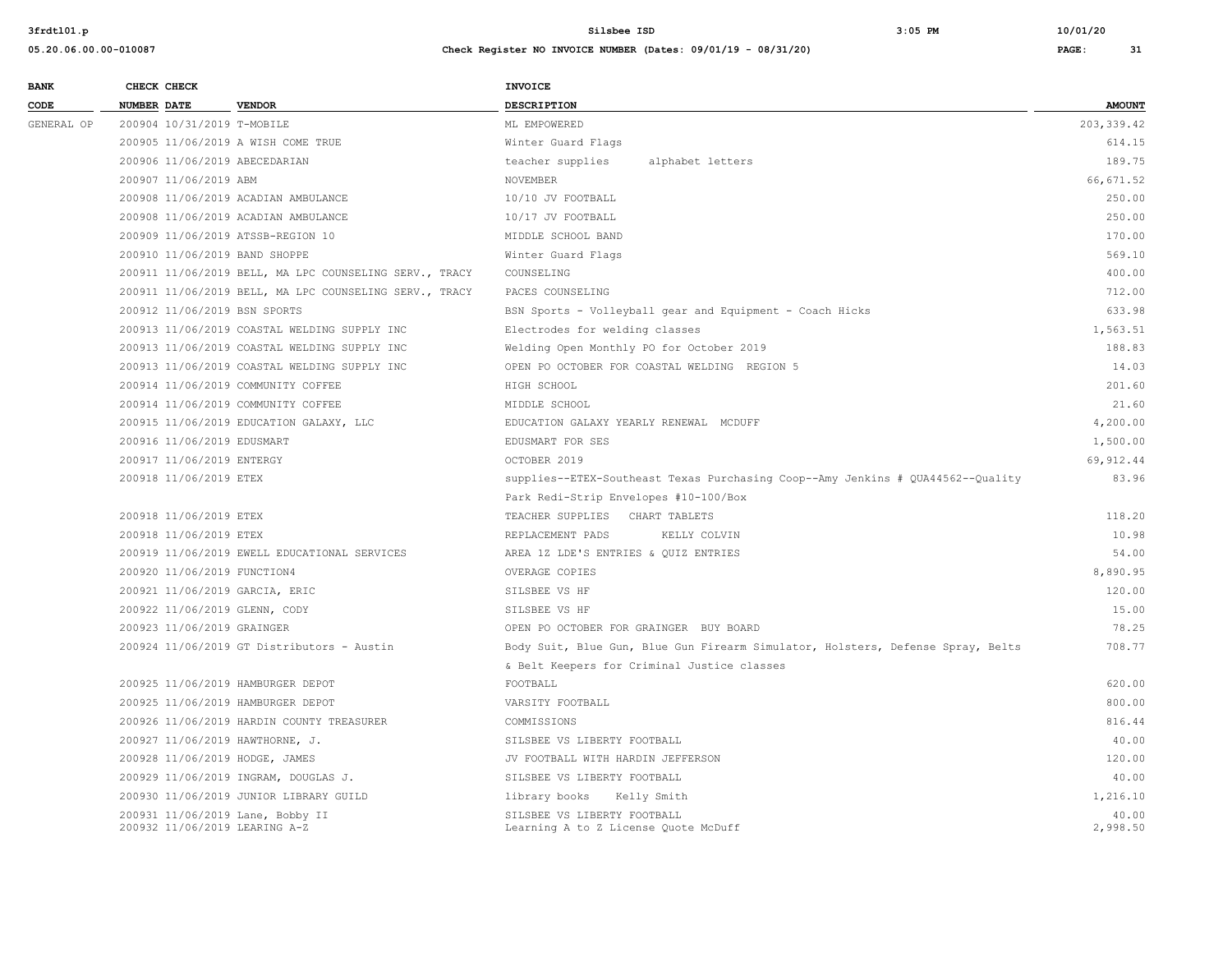| <b>BANK</b>     |                    | CHECK CHECK                 |                                                                   | <b>INVOICE</b>                                                                  |                   |
|-----------------|--------------------|-----------------------------|-------------------------------------------------------------------|---------------------------------------------------------------------------------|-------------------|
| $\texttt{CODE}$ | <b>NUMBER DATE</b> |                             | <b>VENDOR</b>                                                     | <b>DESCRIPTION</b>                                                              | <b>AMOUNT</b>     |
| GENERAL OP      |                    | 200904 10/31/2019 T-MOBILE  |                                                                   | ML EMPOWERED                                                                    | 203, 339.42       |
|                 |                    |                             | 200905 11/06/2019 A WISH COME TRUE                                | Winter Guard Flags                                                              | 614.15            |
|                 |                    |                             | 200906 11/06/2019 ABECEDARIAN                                     | teacher supplies<br>alphabet letters                                            | 189.75            |
|                 |                    | 200907 11/06/2019 ABM       |                                                                   | <b>NOVEMBER</b>                                                                 | 66, 671.52        |
|                 |                    |                             | 200908 11/06/2019 ACADIAN AMBULANCE                               | 10/10 JV FOOTBALL                                                               | 250.00            |
|                 |                    |                             | 200908 11/06/2019 ACADIAN AMBULANCE                               | 10/17 JV FOOTBALL                                                               | 250.00            |
|                 |                    |                             | 200909 11/06/2019 ATSSB-REGION 10                                 | MIDDLE SCHOOL BAND                                                              | 170.00            |
|                 |                    |                             | 200910 11/06/2019 BAND SHOPPE                                     | Winter Guard Flags                                                              | 569.10            |
|                 |                    |                             | 200911 11/06/2019 BELL, MA LPC COUNSELING SERV., TRACY            | COUNSELING                                                                      | 400.00            |
|                 |                    |                             | 200911 11/06/2019 BELL, MA LPC COUNSELING SERV., TRACY            | PACES COUNSELING                                                                | 712.00            |
|                 |                    |                             | 200912 11/06/2019 BSN SPORTS                                      | BSN Sports - Volleyball gear and Equipment - Coach Hicks                        | 633.98            |
|                 |                    |                             | 200913 11/06/2019 COASTAL WELDING SUPPLY INC                      | Electrodes for welding classes                                                  | 1,563.51          |
|                 |                    |                             | 200913 11/06/2019 COASTAL WELDING SUPPLY INC                      | Welding Open Monthly PO for October 2019                                        | 188.83            |
|                 |                    |                             | 200913 11/06/2019 COASTAL WELDING SUPPLY INC                      | OPEN PO OCTOBER FOR COASTAL WELDING REGION 5                                    | 14.03             |
|                 |                    |                             | 200914 11/06/2019 COMMUNITY COFFEE                                | HIGH SCHOOL                                                                     | 201.60            |
|                 |                    |                             | 200914 11/06/2019 COMMUNITY COFFEE                                | MIDDLE SCHOOL                                                                   | 21.60             |
|                 |                    |                             | 200915 11/06/2019 EDUCATION GALAXY, LLC                           | EDUCATION GALAXY YEARLY RENEWAL MCDUFF                                          | 4,200.00          |
|                 |                    | 200916 11/06/2019 EDUSMART  |                                                                   | EDUSMART FOR SES                                                                | 1,500.00          |
|                 |                    | 200917 11/06/2019 ENTERGY   |                                                                   | OCTOBER 2019                                                                    | 69, 912.44        |
|                 |                    | 200918 11/06/2019 ETEX      |                                                                   | supplies--ETEX-Southeast Texas Purchasing Coop--Amy Jenkins # QUA44562--Quality | 83.96             |
|                 |                    |                             |                                                                   | Park Redi-Strip Envelopes #10-100/Box                                           |                   |
|                 |                    | 200918 11/06/2019 ETEX      |                                                                   | TEACHER SUPPLIES CHART TABLETS                                                  | 118.20            |
|                 |                    | 200918 11/06/2019 ETEX      |                                                                   | REPLACEMENT PADS<br>KELLY COLVIN                                                | 10.98             |
|                 |                    |                             | 200919 11/06/2019 EWELL EDUCATIONAL SERVICES                      | AREA 1Z LDE'S ENTRIES & QUIZ ENTRIES                                            | 54.00             |
|                 |                    | 200920 11/06/2019 FUNCTION4 |                                                                   | OVERAGE COPIES                                                                  | 8,890.95          |
|                 |                    |                             | 200921 11/06/2019 GARCIA, ERIC                                    | SILSBEE VS HF                                                                   | 120.00            |
|                 |                    |                             | 200922 11/06/2019 GLENN, CODY                                     | SILSBEE VS HF                                                                   | 15.00             |
|                 |                    | 200923 11/06/2019 GRAINGER  |                                                                   | OPEN PO OCTOBER FOR GRAINGER BUY BOARD                                          | 78.25             |
|                 |                    |                             | 200924 11/06/2019 GT Distributors - Austin                        | Body Suit, Blue Gun, Blue Gun Firearm Simulator, Holsters, Defense Spray, Belts | 708.77            |
|                 |                    |                             |                                                                   | & Belt Keepers for Criminal Justice classes                                     |                   |
|                 |                    |                             | 200925 11/06/2019 HAMBURGER DEPOT                                 | FOOTBALL                                                                        | 620.00            |
|                 |                    |                             | 200925 11/06/2019 HAMBURGER DEPOT                                 | VARSITY FOOTBALL                                                                | 800.00            |
|                 |                    |                             | 200926 11/06/2019 HARDIN COUNTY TREASURER                         | COMMISSIONS                                                                     | 816.44            |
|                 |                    |                             | 200927 11/06/2019 HAWTHORNE, J.                                   | SILSBEE VS LIBERTY FOOTBALL                                                     | 40.00             |
|                 |                    |                             | 200928 11/06/2019 HODGE, JAMES                                    | JV FOOTBALL WITH HARDIN JEFFERSON                                               | 120.00            |
|                 |                    |                             | 200929 11/06/2019 INGRAM, DOUGLAS J.                              | SILSBEE VS LIBERTY FOOTBALL                                                     | 40.00             |
|                 |                    |                             | 200930 11/06/2019 JUNIOR LIBRARY GUILD                            | library books<br>Kelly Smith                                                    | 1,216.10          |
|                 |                    |                             | 200931 11/06/2019 Lane, Bobby II<br>200932 11/06/2019 LEARING A-Z | SILSBEE VS LIBERTY FOOTBALL<br>Learning A to Z License Quote McDuff             | 40.00<br>2,998.50 |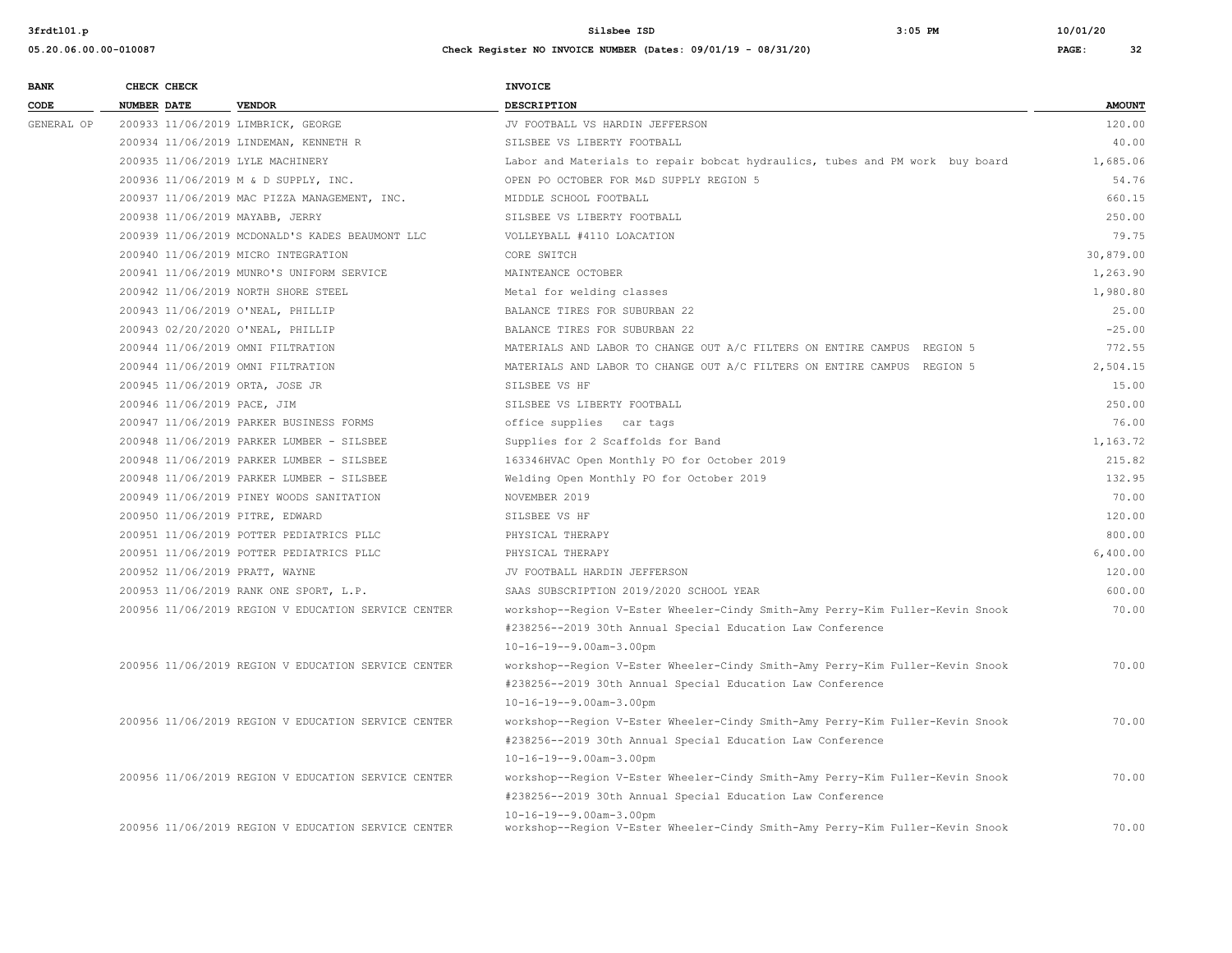| <b>BANK</b> | CHECK CHECK                      |                                                     | <b>INVOICE</b>                                                                |               |
|-------------|----------------------------------|-----------------------------------------------------|-------------------------------------------------------------------------------|---------------|
| CODE        | <b>NUMBER DATE</b>               | <b>VENDOR</b>                                       | <b>DESCRIPTION</b>                                                            | <b>AMOUNT</b> |
| GENERAL OP  |                                  | 200933 11/06/2019 LIMBRICK, GEORGE                  | JV FOOTBALL VS HARDIN JEFFERSON                                               | 120.00        |
|             |                                  | 200934 11/06/2019 LINDEMAN, KENNETH R               | SILSBEE VS LIBERTY FOOTBALL                                                   | 40.00         |
|             | 200935 11/06/2019 LYLE MACHINERY |                                                     | Labor and Materials to repair bobcat hydraulics, tubes and PM work buy board  | 1,685.06      |
|             |                                  | 200936 11/06/2019 M & D SUPPLY, INC.                | OPEN PO OCTOBER FOR M&D SUPPLY REGION 5                                       | 54.76         |
|             |                                  | 200937 11/06/2019 MAC PIZZA MANAGEMENT, INC.        | MIDDLE SCHOOL FOOTBALL                                                        | 660.15        |
|             | 200938 11/06/2019 MAYABB, JERRY  |                                                     | SILSBEE VS LIBERTY FOOTBALL                                                   | 250.00        |
|             |                                  | 200939 11/06/2019 MCDONALD'S KADES BEAUMONT LLC     | VOLLEYBALL #4110 LOACATION                                                    | 79.75         |
|             |                                  | 200940 11/06/2019 MICRO INTEGRATION                 | CORE SWITCH                                                                   | 30,879.00     |
|             |                                  | 200941 11/06/2019 MUNRO'S UNIFORM SERVICE           | MAINTEANCE OCTOBER                                                            | 1,263.90      |
|             |                                  | 200942 11/06/2019 NORTH SHORE STEEL                 | Metal for welding classes                                                     | 1,980.80      |
|             |                                  | 200943 11/06/2019 O'NEAL, PHILLIP                   | BALANCE TIRES FOR SUBURBAN 22                                                 | 25.00         |
|             |                                  | 200943 02/20/2020 O'NEAL, PHILLIP                   | BALANCE TIRES FOR SUBURBAN 22                                                 | $-25.00$      |
|             |                                  | 200944 11/06/2019 OMNI FILTRATION                   | MATERIALS AND LABOR TO CHANGE OUT A/C FILTERS ON ENTIRE CAMPUS REGION 5       | 772.55        |
|             |                                  | 200944 11/06/2019 OMNI FILTRATION                   | MATERIALS AND LABOR TO CHANGE OUT A/C FILTERS ON ENTIRE CAMPUS REGION 5       | 2,504.15      |
|             | 200945 11/06/2019 ORTA, JOSE JR  |                                                     | SILSBEE VS HF                                                                 | 15.00         |
|             | 200946 11/06/2019 PACE, JIM      |                                                     | SILSBEE VS LIBERTY FOOTBALL                                                   | 250.00        |
|             |                                  | 200947 11/06/2019 PARKER BUSINESS FORMS             | office supplies car tags                                                      | 76.00         |
|             |                                  | 200948 11/06/2019 PARKER LUMBER - SILSBEE           | Supplies for 2 Scaffolds for Band                                             | 1,163.72      |
|             |                                  | 200948 11/06/2019 PARKER LUMBER - SILSBEE           | 163346HVAC Open Monthly PO for October 2019                                   | 215.82        |
|             |                                  | 200948 11/06/2019 PARKER LUMBER - SILSBEE           | Welding Open Monthly PO for October 2019                                      | 132.95        |
|             |                                  | 200949 11/06/2019 PINEY WOODS SANITATION            | NOVEMBER 2019                                                                 | 70.00         |
|             | 200950 11/06/2019 PITRE, EDWARD  |                                                     | SILSBEE VS HF                                                                 | 120.00        |
|             |                                  | 200951 11/06/2019 POTTER PEDIATRICS PLLC            | PHYSICAL THERAPY                                                              | 800.00        |
|             |                                  | 200951 11/06/2019 POTTER PEDIATRICS PLLC            | PHYSICAL THERAPY                                                              | 6.400.00      |
|             | 200952 11/06/2019 PRATT, WAYNE   |                                                     | JV FOOTBALL HARDIN JEFFERSON                                                  | 120.00        |
|             |                                  | 200953 11/06/2019 RANK ONE SPORT, L.P.              | SAAS SUBSCRIPTION 2019/2020 SCHOOL YEAR                                       | 600.00        |
|             |                                  | 200956 11/06/2019 REGION V EDUCATION SERVICE CENTER | workshop--Region V-Ester Wheeler-Cindy Smith-Amy Perry-Kim Fuller-Kevin Snook | 70.00         |
|             |                                  |                                                     | #238256--2019 30th Annual Special Education Law Conference                    |               |
|             |                                  |                                                     | $10 - 16 - 19 - -9.00$ am-3.00pm                                              |               |
|             |                                  | 200956 11/06/2019 REGION V EDUCATION SERVICE CENTER | workshop--Region V-Ester Wheeler-Cindy Smith-Amy Perry-Kim Fuller-Kevin Snook | 70.00         |
|             |                                  |                                                     | #238256--2019 30th Annual Special Education Law Conference                    |               |
|             |                                  |                                                     | $10 - 16 - 19 - -9.00$ am-3.00pm                                              |               |
|             |                                  | 200956 11/06/2019 REGION V EDUCATION SERVICE CENTER | workshop--Region V-Ester Wheeler-Cindy Smith-Amy Perry-Kim Fuller-Kevin Snook | 70.00         |
|             |                                  |                                                     | #238256--2019 30th Annual Special Education Law Conference                    |               |
|             |                                  |                                                     | $10 - 16 - 19 - -9.00$ am-3.00pm                                              |               |
|             |                                  | 200956 11/06/2019 REGION V EDUCATION SERVICE CENTER | workshop--Region V-Ester Wheeler-Cindy Smith-Amy Perry-Kim Fuller-Kevin Snook | 70.00         |
|             |                                  |                                                     | #238256--2019 30th Annual Special Education Law Conference                    |               |
|             |                                  |                                                     | $10 - 16 - 19 - -9.00$ am-3.00pm                                              |               |
|             |                                  | 200956 11/06/2019 REGION V EDUCATION SERVICE CENTER | workshop--Region V-Ester Wheeler-Cindy Smith-Amy Perry-Kim Fuller-Kevin Snook | 70.00         |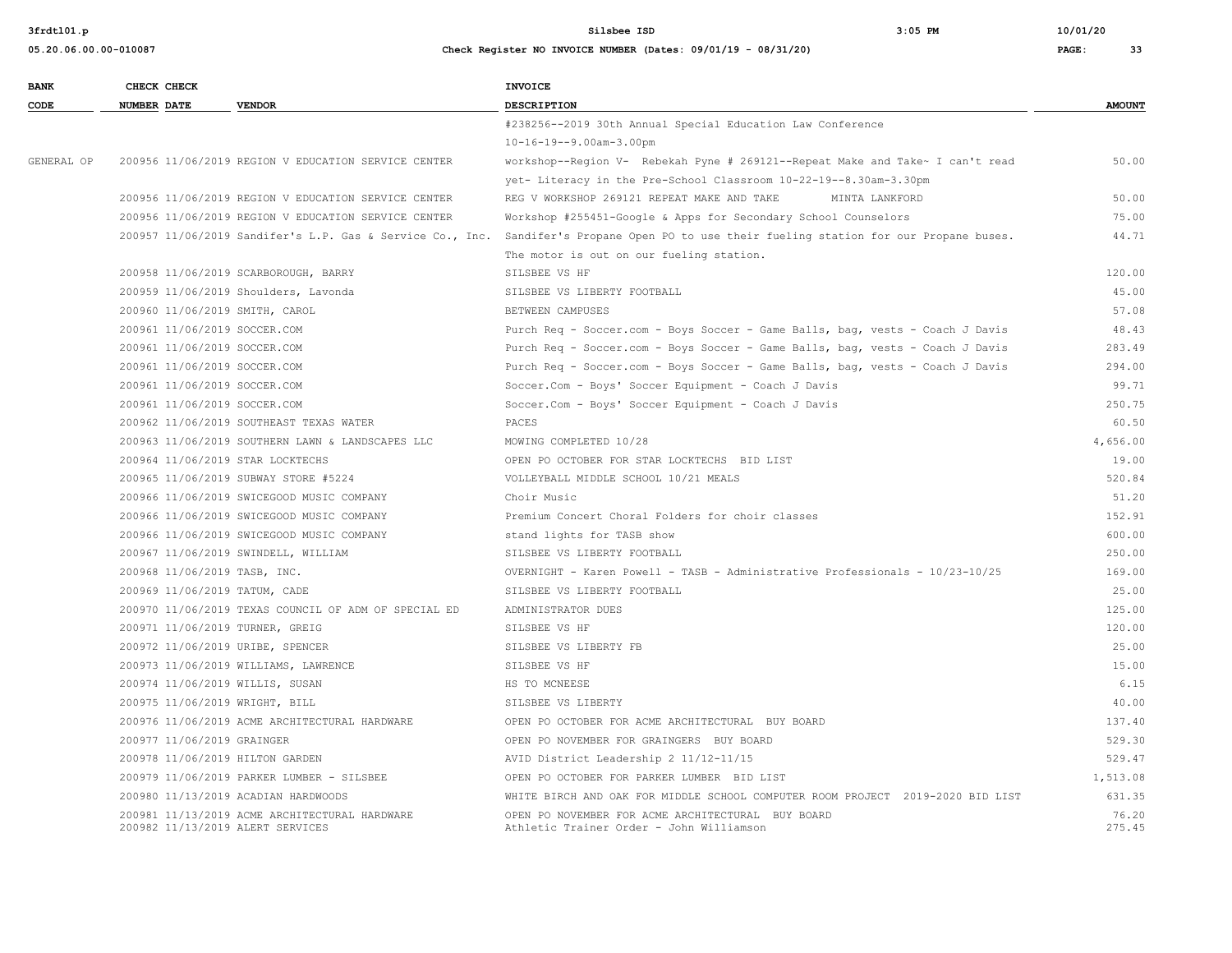| <b>BANK</b> | CHECK CHECK                     |                                                                                   | <b>INVOICE</b>                                                                                |                 |
|-------------|---------------------------------|-----------------------------------------------------------------------------------|-----------------------------------------------------------------------------------------------|-----------------|
| CODE        | <b>NUMBER DATE</b>              | <b>VENDOR</b>                                                                     | DESCRIPTION                                                                                   | <b>AMOUNT</b>   |
|             |                                 |                                                                                   | #238256--2019 30th Annual Special Education Law Conference                                    |                 |
|             |                                 |                                                                                   | $10 - 16 - 19 - -9.00$ am-3.00pm                                                              |                 |
| GENERAL OP  |                                 | 200956 11/06/2019 REGION V EDUCATION SERVICE CENTER                               | workshop--Region V- Rebekah Pyne # 269121--Repeat Make and Take~ I can't read                 | 50.00           |
|             |                                 |                                                                                   | yet- Literacy in the Pre-School Classroom 10-22-19--8.30am-3.30pm                             |                 |
|             |                                 | 200956 11/06/2019 REGION V EDUCATION SERVICE CENTER                               | REG V WORKSHOP 269121 REPEAT MAKE AND TAKE<br>MINTA LANKFORD                                  | 50.00           |
|             |                                 | 200956 11/06/2019 REGION V EDUCATION SERVICE CENTER                               | Workshop #255451-Google & Apps for Secondary School Counselors                                | 75.00           |
|             |                                 | 200957 11/06/2019 Sandifer's L.P. Gas & Service Co., Inc.                         | Sandifer's Propane Open PO to use their fueling station for our Propane buses.                | 44.71           |
|             |                                 |                                                                                   | The motor is out on our fueling station.                                                      |                 |
|             |                                 | 200958 11/06/2019 SCARBOROUGH, BARRY                                              | SILSBEE VS HF                                                                                 | 120.00          |
|             |                                 | 200959 11/06/2019 Shoulders, Lavonda                                              | SILSBEE VS LIBERTY FOOTBALL                                                                   | 45.00           |
|             | 200960 11/06/2019 SMITH, CAROL  |                                                                                   | BETWEEN CAMPUSES                                                                              | 57.08           |
|             | 200961 11/06/2019 SOCCER.COM    |                                                                                   | Purch Req - Soccer.com - Boys Soccer - Game Balls, bag, vests - Coach J Davis                 | 48.43           |
|             | 200961 11/06/2019 SOCCER.COM    |                                                                                   | Purch Req - Soccer.com - Boys Soccer - Game Balls, bag, vests - Coach J Davis                 | 283.49          |
|             | 200961 11/06/2019 SOCCER.COM    |                                                                                   | Purch Req - Soccer.com - Boys Soccer - Game Balls, bag, vests - Coach J Davis                 | 294.00          |
|             | 200961 11/06/2019 SOCCER.COM    |                                                                                   | Soccer.Com - Boys' Soccer Equipment - Coach J Davis                                           | 99.71           |
|             | 200961 11/06/2019 SOCCER.COM    |                                                                                   | Soccer.Com - Boys' Soccer Equipment - Coach J Davis                                           | 250.75          |
|             |                                 | 200962 11/06/2019 SOUTHEAST TEXAS WATER                                           | PACES                                                                                         | 60.50           |
|             |                                 | 200963 11/06/2019 SOUTHERN LAWN & LANDSCAPES LLC                                  | MOWING COMPLETED 10/28                                                                        | 4,656.00        |
|             |                                 | 200964 11/06/2019 STAR LOCKTECHS                                                  | OPEN PO OCTOBER FOR STAR LOCKTECHS BID LIST                                                   | 19.00           |
|             |                                 | 200965 11/06/2019 SUBWAY STORE #5224                                              | VOLLEYBALL MIDDLE SCHOOL 10/21 MEALS                                                          | 520.84          |
|             |                                 | 200966 11/06/2019 SWICEGOOD MUSIC COMPANY                                         | Choir Music                                                                                   | 51.20           |
|             |                                 | 200966 11/06/2019 SWICEGOOD MUSIC COMPANY                                         | Premium Concert Choral Folders for choir classes                                              | 152.91          |
|             |                                 | 200966 11/06/2019 SWICEGOOD MUSIC COMPANY                                         | stand lights for TASB show                                                                    | 600.00          |
|             |                                 | 200967 11/06/2019 SWINDELL, WILLIAM                                               | SILSBEE VS LIBERTY FOOTBALL                                                                   | 250.00          |
|             | 200968 11/06/2019 TASB, INC.    |                                                                                   | OVERNIGHT - Karen Powell - TASB - Administrative Professionals - 10/23-10/25                  | 169.00          |
|             | 200969 11/06/2019 TATUM, CADE   |                                                                                   | SILSBEE VS LIBERTY FOOTBALL                                                                   | 25.00           |
|             |                                 | 200970 11/06/2019 TEXAS COUNCIL OF ADM OF SPECIAL ED                              | ADMINISTRATOR DUES                                                                            | 125.00          |
|             | 200971 11/06/2019 TURNER, GREIG |                                                                                   | SILSBEE VS HF                                                                                 | 120.00          |
|             |                                 | 200972 11/06/2019 URIBE, SPENCER                                                  | SILSBEE VS LIBERTY FB                                                                         | 25.00           |
|             |                                 | 200973 11/06/2019 WILLIAMS, LAWRENCE                                              | SILSBEE VS HF                                                                                 | 15.00           |
|             | 200974 11/06/2019 WILLIS, SUSAN |                                                                                   | HS TO MCNEESE                                                                                 | 6.15            |
|             | 200975 11/06/2019 WRIGHT, BILL  |                                                                                   | SILSBEE VS LIBERTY                                                                            | 40.00           |
|             |                                 | 200976 11/06/2019 ACME ARCHITECTURAL HARDWARE                                     | OPEN PO OCTOBER FOR ACME ARCHITECTURAL BUY BOARD                                              | 137.40          |
|             | 200977 11/06/2019 GRAINGER      |                                                                                   | OPEN PO NOVEMBER FOR GRAINGERS BUY BOARD                                                      | 529.30          |
|             | 200978 11/06/2019 HILTON GARDEN |                                                                                   | AVID District Leadership 2 11/12-11/15                                                        | 529.47          |
|             |                                 | 200979 11/06/2019 PARKER LUMBER - SILSBEE                                         | OPEN PO OCTOBER FOR PARKER LUMBER BID LIST                                                    | 1,513.08        |
|             |                                 | 200980 11/13/2019 ACADIAN HARDWOODS                                               | WHITE BIRCH AND OAK FOR MIDDLE SCHOOL COMPUTER ROOM PROJECT 2019-2020 BID LIST                | 631.35          |
|             |                                 | 200981 11/13/2019 ACME ARCHITECTURAL HARDWARE<br>200982 11/13/2019 ALERT SERVICES | OPEN PO NOVEMBER FOR ACME ARCHITECTURAL BUY BOARD<br>Athletic Trainer Order - John Williamson | 76.20<br>275.45 |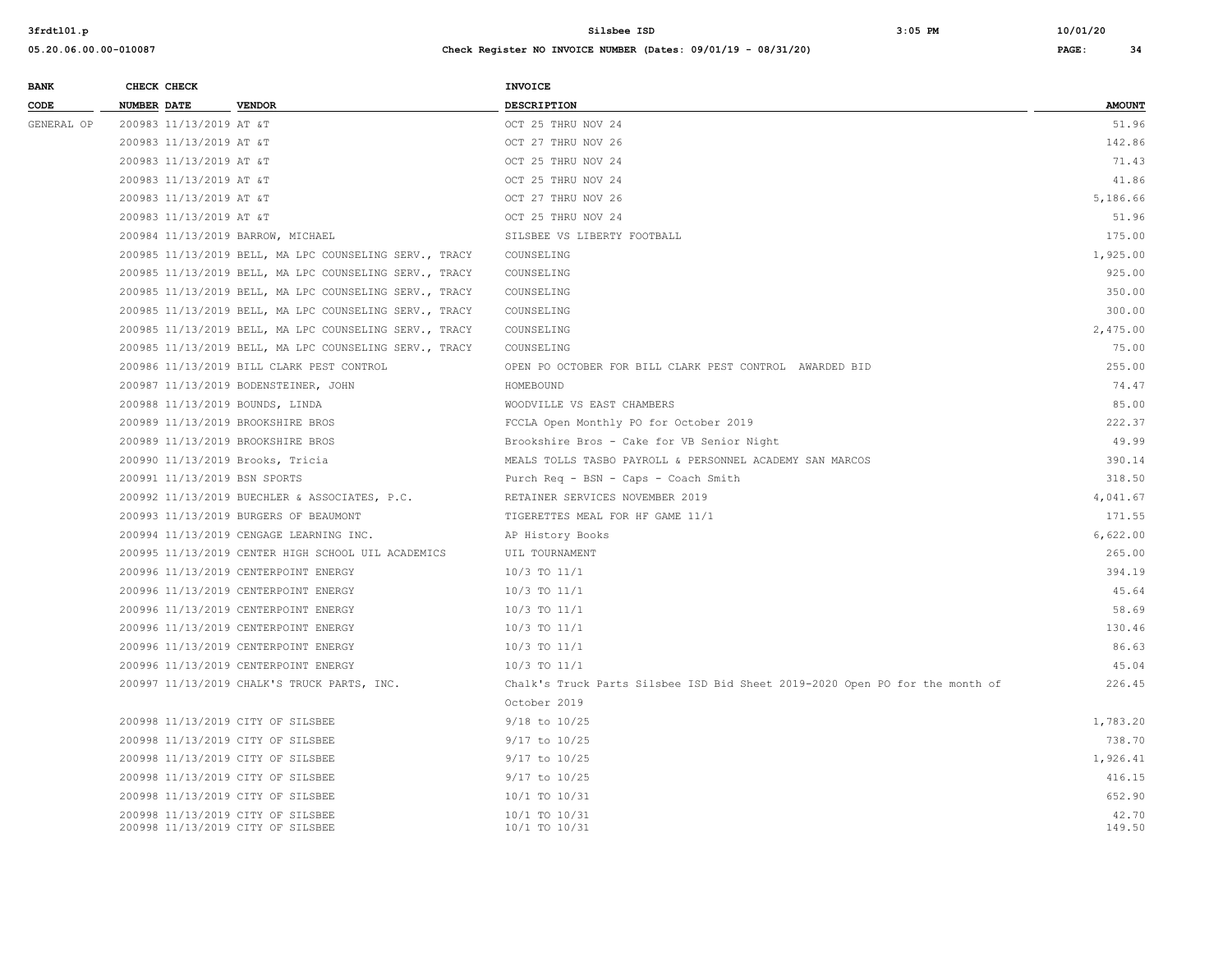| <b>BANK</b> | CHECK CHECK                      |                                                                        | <b>INVOICE</b>                                                               |                 |
|-------------|----------------------------------|------------------------------------------------------------------------|------------------------------------------------------------------------------|-----------------|
| CODE        | <b>NUMBER DATE</b>               | <b>VENDOR</b>                                                          | DESCRIPTION                                                                  | <b>AMOUNT</b>   |
| GENERAL OP  | 200983 11/13/2019 AT &T          |                                                                        | OCT 25 THRU NOV 24                                                           | 51.96           |
|             | 200983 11/13/2019 AT &T          |                                                                        | OCT 27 THRU NOV 26                                                           | 142.86          |
|             | 200983 11/13/2019 AT &T          |                                                                        | OCT 25 THRU NOV 24                                                           | 71.43           |
|             | 200983 11/13/2019 AT &T          |                                                                        | OCT 25 THRU NOV 24                                                           | 41.86           |
|             | 200983 11/13/2019 AT &T          |                                                                        | OCT 27 THRU NOV 26                                                           | 5,186.66        |
|             | 200983 11/13/2019 AT &T          |                                                                        | OCT 25 THRU NOV 24                                                           | 51.96           |
|             |                                  | 200984 11/13/2019 BARROW, MICHAEL                                      | SILSBEE VS LIBERTY FOOTBALL                                                  | 175.00          |
|             |                                  | 200985 11/13/2019 BELL, MA LPC COUNSELING SERV., TRACY                 | COUNSELING                                                                   | 1,925.00        |
|             |                                  | 200985 11/13/2019 BELL, MA LPC COUNSELING SERV., TRACY                 | COUNSELING                                                                   | 925.00          |
|             |                                  | 200985 11/13/2019 BELL, MA LPC COUNSELING SERV., TRACY                 | COUNSELING                                                                   | 350.00          |
|             |                                  | 200985 11/13/2019 BELL, MA LPC COUNSELING SERV., TRACY                 | COUNSELING                                                                   | 300.00          |
|             |                                  | 200985 11/13/2019 BELL, MA LPC COUNSELING SERV., TRACY                 | COUNSELING                                                                   | 2,475.00        |
|             |                                  | 200985 11/13/2019 BELL, MA LPC COUNSELING SERV., TRACY                 | COUNSELING                                                                   | 75.00           |
|             |                                  | 200986 11/13/2019 BILL CLARK PEST CONTROL                              | OPEN PO OCTOBER FOR BILL CLARK PEST CONTROL AWARDED BID                      | 255.00          |
|             |                                  | 200987 11/13/2019 BODENSTEINER, JOHN                                   | HOMEBOUND                                                                    | 74.47           |
|             | 200988 11/13/2019 BOUNDS, LINDA  |                                                                        | WOODVILLE VS EAST CHAMBERS                                                   | 85.00           |
|             |                                  | 200989 11/13/2019 BROOKSHIRE BROS                                      | FCCLA Open Monthly PO for October 2019                                       | 222.37          |
|             |                                  | 200989 11/13/2019 BROOKSHIRE BROS                                      | Brookshire Bros - Cake for VB Senior Night                                   | 49.99           |
|             | 200990 11/13/2019 Brooks, Tricia |                                                                        | MEALS TOLLS TASBO PAYROLL & PERSONNEL ACADEMY SAN MARCOS                     | 390.14          |
|             | 200991 11/13/2019 BSN SPORTS     |                                                                        | Purch Req - BSN - Caps - Coach Smith                                         | 318.50          |
|             |                                  | 200992 11/13/2019 BUECHLER & ASSOCIATES, P.C.                          | RETAINER SERVICES NOVEMBER 2019                                              | 4,041.67        |
|             |                                  | 200993 11/13/2019 BURGERS OF BEAUMONT                                  | TIGERETTES MEAL FOR HF GAME 11/1                                             | 171.55          |
|             |                                  | 200994 11/13/2019 CENGAGE LEARNING INC.                                | AP History Books                                                             | 6,622.00        |
|             |                                  | 200995 11/13/2019 CENTER HIGH SCHOOL UIL ACADEMICS                     | UIL TOURNAMENT                                                               | 265.00          |
|             |                                  | 200996 11/13/2019 CENTERPOINT ENERGY                                   | 10/3 TO 11/1                                                                 | 394.19          |
|             |                                  | 200996 11/13/2019 CENTERPOINT ENERGY                                   | $10/3$ TO $11/1$                                                             | 45.64           |
|             |                                  | 200996 11/13/2019 CENTERPOINT ENERGY                                   | 10/3 TO 11/1                                                                 | 58.69           |
|             |                                  | 200996 11/13/2019 CENTERPOINT ENERGY                                   | $10/3$ TO $11/1$                                                             | 130.46          |
|             |                                  | 200996 11/13/2019 CENTERPOINT ENERGY                                   | 10/3 TO 11/1                                                                 | 86.63           |
|             |                                  | 200996 11/13/2019 CENTERPOINT ENERGY                                   | $10/3$ TO $11/1$                                                             | 45.04           |
|             |                                  | 200997 11/13/2019 CHALK'S TRUCK PARTS, INC.                            | Chalk's Truck Parts Silsbee ISD Bid Sheet 2019-2020 Open PO for the month of | 226.45          |
|             |                                  |                                                                        | October 2019                                                                 |                 |
|             |                                  | 200998 11/13/2019 CITY OF SILSBEE                                      | $9/18$ to $10/25$                                                            | 1,783.20        |
|             |                                  | 200998 11/13/2019 CITY OF SILSBEE                                      | 9/17 to 10/25                                                                | 738.70          |
|             |                                  | 200998 11/13/2019 CITY OF SILSBEE                                      | $9/17$ to $10/25$                                                            | 1,926.41        |
|             |                                  | 200998 11/13/2019 CITY OF SILSBEE                                      | $9/17$ to $10/25$                                                            | 416.15          |
|             |                                  | 200998 11/13/2019 CITY OF SILSBEE                                      | 10/1 TO 10/31                                                                | 652.90          |
|             |                                  | 200998 11/13/2019 CITY OF SILSBEE<br>200998 11/13/2019 CITY OF SILSBEE | 10/1 TO 10/31<br>10/1 TO 10/31                                               | 42.70<br>149.50 |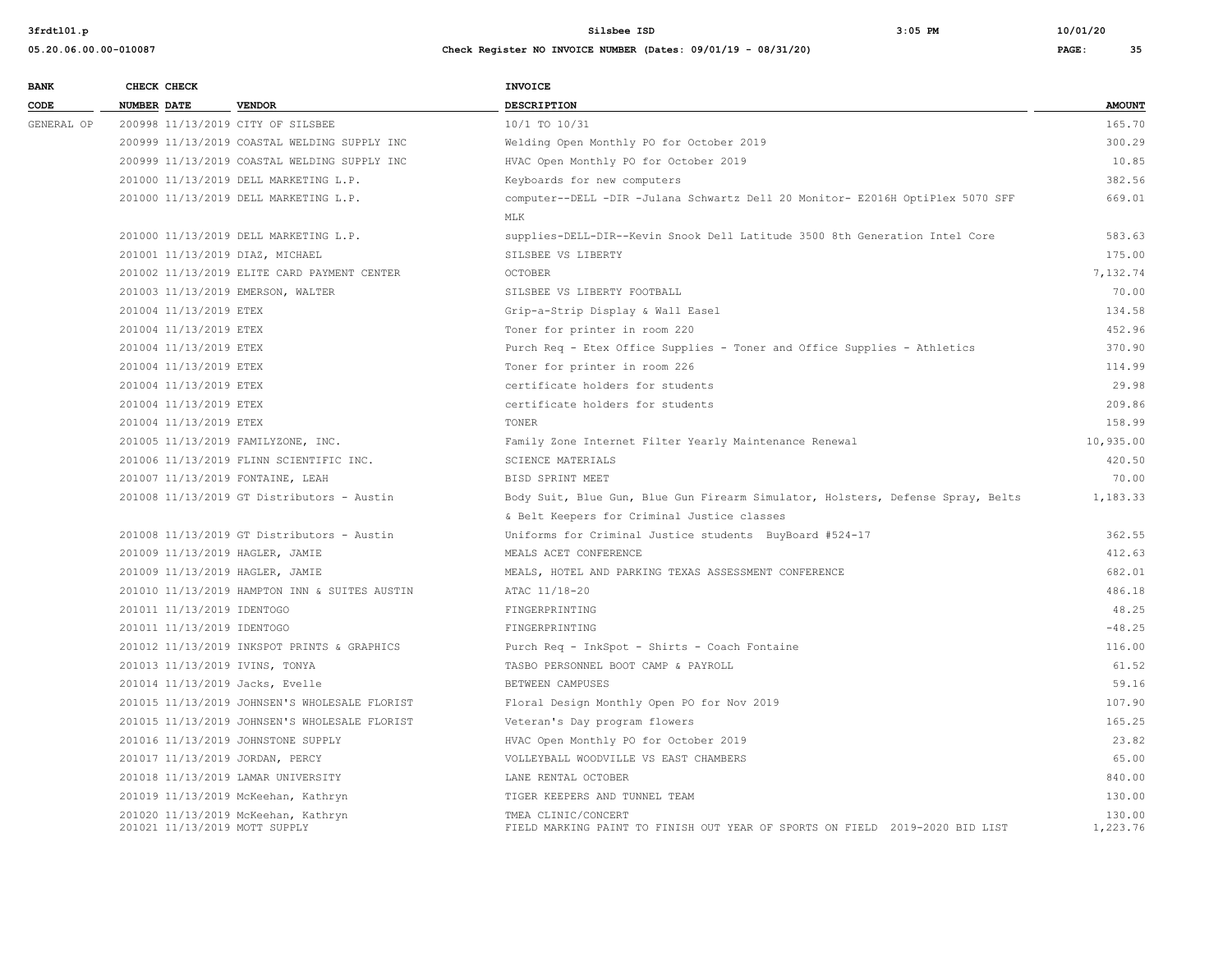| <b>BANK</b> | CHECK CHECK            |                                                                      | <b>INVOICE</b>                                                                                      |                    |
|-------------|------------------------|----------------------------------------------------------------------|-----------------------------------------------------------------------------------------------------|--------------------|
| CODE        | <b>NUMBER DATE</b>     | <b>VENDOR</b>                                                        | <b>DESCRIPTION</b>                                                                                  | <b>AMOUNT</b>      |
| GENERAL OP  |                        | 200998 11/13/2019 CITY OF SILSBEE                                    | 10/1 TO 10/31                                                                                       | 165.70             |
|             |                        | 200999 11/13/2019 COASTAL WELDING SUPPLY INC                         | Welding Open Monthly PO for October 2019                                                            | 300.29             |
|             |                        | 200999 11/13/2019 COASTAL WELDING SUPPLY INC                         | HVAC Open Monthly PO for October 2019                                                               | 10.85              |
|             |                        | 201000 11/13/2019 DELL MARKETING L.P.                                | Keyboards for new computers                                                                         | 382.56             |
|             |                        | 201000 11/13/2019 DELL MARKETING L.P.                                | computer--DELL -DIR -Julana Schwartz Dell 20 Monitor- E2016H OptiPlex 5070 SFF                      | 669.01             |
|             |                        |                                                                      | <b>MLK</b>                                                                                          |                    |
|             |                        | 201000 11/13/2019 DELL MARKETING L.P.                                | supplies-DELL-DIR--Kevin Snook Dell Latitude 3500 8th Generation Intel Core                         | 583.63             |
|             |                        | 201001 11/13/2019 DIAZ, MICHAEL                                      | SILSBEE VS LIBERTY                                                                                  | 175.00             |
|             |                        | 201002 11/13/2019 ELITE CARD PAYMENT CENTER                          | <b>OCTOBER</b>                                                                                      | 7,132.74           |
|             |                        | 201003 11/13/2019 EMERSON, WALTER                                    | SILSBEE VS LIBERTY FOOTBALL                                                                         | 70.00              |
|             | 201004 11/13/2019 ETEX |                                                                      | Grip-a-Strip Display & Wall Easel                                                                   | 134.58             |
|             | 201004 11/13/2019 ETEX |                                                                      | Toner for printer in room 220                                                                       | 452.96             |
|             | 201004 11/13/2019 ETEX |                                                                      | Purch Req - Etex Office Supplies - Toner and Office Supplies - Athletics                            | 370.90             |
|             | 201004 11/13/2019 ETEX |                                                                      | Toner for printer in room 226                                                                       | 114.99             |
|             | 201004 11/13/2019 ETEX |                                                                      | certificate holders for students                                                                    | 29.98              |
|             | 201004 11/13/2019 ETEX |                                                                      | certificate holders for students                                                                    | 209.86             |
|             | 201004 11/13/2019 ETEX |                                                                      | TONER                                                                                               | 158.99             |
|             |                        | 201005 11/13/2019 FAMILYZONE, INC.                                   | Family Zone Internet Filter Yearly Maintenance Renewal                                              | 10,935.00          |
|             |                        | 201006 11/13/2019 FLINN SCIENTIFIC INC.                              | SCIENCE MATERIALS                                                                                   | 420.50             |
|             |                        | 201007 11/13/2019 FONTAINE, LEAH                                     | BISD SPRINT MEET                                                                                    | 70.00              |
|             |                        | 201008 11/13/2019 GT Distributors - Austin                           | Body Suit, Blue Gun, Blue Gun Firearm Simulator, Holsters, Defense Spray, Belts                     | 1,183.33           |
|             |                        |                                                                      | & Belt Keepers for Criminal Justice classes                                                         |                    |
|             |                        | 201008 11/13/2019 GT Distributors - Austin                           | Uniforms for Criminal Justice students BuyBoard #524-17                                             | 362.55             |
|             |                        | 201009 11/13/2019 HAGLER, JAMIE                                      | MEALS ACET CONFERENCE                                                                               | 412.63             |
|             |                        | 201009 11/13/2019 HAGLER, JAMIE                                      | MEALS, HOTEL AND PARKING TEXAS ASSESSMENT CONFERENCE                                                | 682.01             |
|             |                        | 201010 11/13/2019 HAMPTON INN & SUITES AUSTIN                        | ATAC 11/18-20                                                                                       | 486.18             |
|             |                        | 201011 11/13/2019 IDENTOGO                                           | FINGERPRINTING                                                                                      | 48.25              |
|             |                        | 201011 11/13/2019 IDENTOGO                                           | FINGERPRINTING                                                                                      | $-48.25$           |
|             |                        | 201012 11/13/2019 INKSPOT PRINTS & GRAPHICS                          | Purch Req - InkSpot - Shirts - Coach Fontaine                                                       | 116.00             |
|             |                        | 201013 11/13/2019 IVINS, TONYA                                       | TASBO PERSONNEL BOOT CAMP & PAYROLL                                                                 | 61.52              |
|             |                        | 201014 11/13/2019 Jacks, Evelle                                      | BETWEEN CAMPUSES                                                                                    | 59.16              |
|             |                        | 201015 11/13/2019 JOHNSEN'S WHOLESALE FLORIST                        | Floral Design Monthly Open PO for Nov 2019                                                          | 107.90             |
|             |                        | 201015 11/13/2019 JOHNSEN'S WHOLESALE FLORIST                        | Veteran's Day program flowers                                                                       | 165.25             |
|             |                        | 201016 11/13/2019 JOHNSTONE SUPPLY                                   | HVAC Open Monthly PO for October 2019                                                               | 23.82              |
|             |                        | 201017 11/13/2019 JORDAN, PERCY                                      | VOLLEYBALL WOODVILLE VS EAST CHAMBERS                                                               | 65.00              |
|             |                        | 201018 11/13/2019 LAMAR UNIVERSITY                                   | LANE RENTAL OCTOBER                                                                                 | 840.00             |
|             |                        | 201019 11/13/2019 McKeehan, Kathryn                                  | TIGER KEEPERS AND TUNNEL TEAM                                                                       | 130.00             |
|             |                        | 201020 11/13/2019 McKeehan, Kathryn<br>201021 11/13/2019 MOTT SUPPLY | TMEA CLINIC/CONCERT<br>FIELD MARKING PAINT TO FINISH OUT YEAR OF SPORTS ON FIELD 2019-2020 BID LIST | 130.00<br>1,223.76 |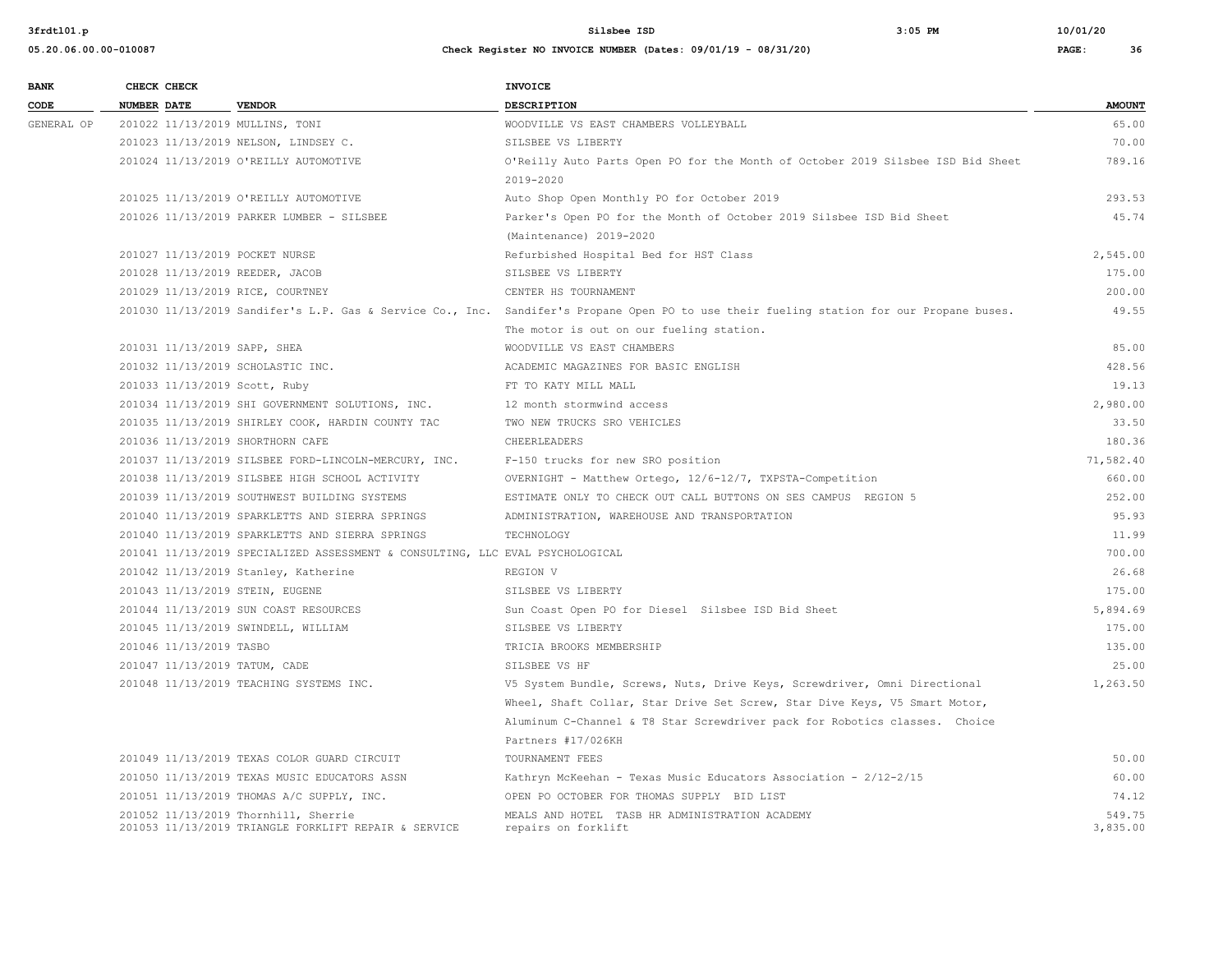| 05.20.06.00.00-010087 | Check Register NO INVOICE NUMBER (Dates: 09/01/19 - 08/31/20) | PAGE: |  |
|-----------------------|---------------------------------------------------------------|-------|--|
|                       |                                                               |       |  |

| <b>BANK</b> |                    | CHECK CHECK             |                                                                               | <b>INVOICE</b>                                                                                                                           |               |
|-------------|--------------------|-------------------------|-------------------------------------------------------------------------------|------------------------------------------------------------------------------------------------------------------------------------------|---------------|
| CODE        | <b>NUMBER DATE</b> |                         | <b>VENDOR</b>                                                                 | <b>DESCRIPTION</b>                                                                                                                       | <b>AMOUNT</b> |
| GENERAL OP  |                    |                         | 201022 11/13/2019 MULLINS, TONI                                               | WOODVILLE VS EAST CHAMBERS VOLLEYBALL                                                                                                    | 65.00         |
|             |                    |                         | 201023 11/13/2019 NELSON, LINDSEY C.                                          | SILSBEE VS LIBERTY                                                                                                                       | 70.00         |
|             |                    |                         | 201024 11/13/2019 O'REILLY AUTOMOTIVE                                         | O'Reilly Auto Parts Open PO for the Month of October 2019 Silsbee ISD Bid Sheet                                                          | 789.16        |
|             |                    |                         |                                                                               | 2019-2020                                                                                                                                |               |
|             |                    |                         | 201025 11/13/2019 O'REILLY AUTOMOTIVE                                         | Auto Shop Open Monthly PO for October 2019                                                                                               | 293.53        |
|             |                    |                         | 201026 11/13/2019 PARKER LUMBER - SILSBEE                                     | Parker's Open PO for the Month of October 2019 Silsbee ISD Bid Sheet                                                                     | 45.74         |
|             |                    |                         |                                                                               | (Maintenance) 2019-2020                                                                                                                  |               |
|             |                    |                         | 201027 11/13/2019 POCKET NURSE                                                | Refurbished Hospital Bed for HST Class                                                                                                   | 2,545.00      |
|             |                    |                         | 201028 11/13/2019 REEDER, JACOB                                               | SILSBEE VS LIBERTY                                                                                                                       | 175.00        |
|             |                    |                         | 201029 11/13/2019 RICE, COURTNEY                                              | CENTER HS TOURNAMENT                                                                                                                     | 200.00        |
|             |                    |                         |                                                                               | 201030 11/13/2019 Sandifer's L.P. Gas & Service Co., Inc. Sandifer's Propane Open PO to use their fueling station for our Propane buses. | 49.55         |
|             |                    |                         |                                                                               | The motor is out on our fueling station.                                                                                                 |               |
|             |                    |                         | 201031 11/13/2019 SAPP, SHEA                                                  | WOODVILLE VS EAST CHAMBERS                                                                                                               | 85.00         |
|             |                    |                         | 201032 11/13/2019 SCHOLASTIC INC.                                             | ACADEMIC MAGAZINES FOR BASIC ENGLISH                                                                                                     | 428.56        |
|             |                    |                         | 201033 11/13/2019 Scott, Ruby                                                 | FT TO KATY MILL MALL                                                                                                                     | 19.13         |
|             |                    |                         | 201034 11/13/2019 SHI GOVERNMENT SOLUTIONS, INC.                              | 12 month stormwind access                                                                                                                | 2,980.00      |
|             |                    |                         | 201035 11/13/2019 SHIRLEY COOK, HARDIN COUNTY TAC                             | TWO NEW TRUCKS SRO VEHICLES                                                                                                              | 33.50         |
|             |                    |                         | 201036 11/13/2019 SHORTHORN CAFE                                              | CHEERLEADERS                                                                                                                             | 180.36        |
|             |                    |                         | 201037 11/13/2019 SILSBEE FORD-LINCOLN-MERCURY, INC.                          | F-150 trucks for new SRO position                                                                                                        | 71,582.40     |
|             |                    |                         | 201038 11/13/2019 SILSBEE HIGH SCHOOL ACTIVITY                                | OVERNIGHT - Matthew Ortego, 12/6-12/7, TXPSTA-Competition                                                                                | 660.00        |
|             |                    |                         | 201039 11/13/2019 SOUTHWEST BUILDING SYSTEMS                                  | ESTIMATE ONLY TO CHECK OUT CALL BUTTONS ON SES CAMPUS REGION 5                                                                           | 252.00        |
|             |                    |                         | 201040 11/13/2019 SPARKLETTS AND SIERRA SPRINGS                               | ADMINISTRATION, WAREHOUSE AND TRANSPORTATION                                                                                             | 95.93         |
|             |                    |                         | 201040 11/13/2019 SPARKLETTS AND SIERRA SPRINGS                               | TECHNOLOGY                                                                                                                               | 11.99         |
|             |                    |                         | 201041 11/13/2019 SPECIALIZED ASSESSMENT & CONSULTING, LLC EVAL PSYCHOLOGICAL |                                                                                                                                          | 700.00        |
|             |                    |                         | 201042 11/13/2019 Stanley, Katherine                                          | REGION V                                                                                                                                 | 26.68         |
|             |                    |                         | 201043 11/13/2019 STEIN, EUGENE                                               | SILSBEE VS LIBERTY                                                                                                                       | 175.00        |
|             |                    |                         | 201044 11/13/2019 SUN COAST RESOURCES                                         | Sun Coast Open PO for Diesel Silsbee ISD Bid Sheet                                                                                       | 5,894.69      |
|             |                    |                         | 201045 11/13/2019 SWINDELL, WILLIAM                                           | SILSBEE VS LIBERTY                                                                                                                       | 175.00        |
|             |                    | 201046 11/13/2019 TASBO |                                                                               | TRICIA BROOKS MEMBERSHIP                                                                                                                 | 135.00        |
|             |                    |                         | 201047 11/13/2019 TATUM, CADE                                                 | SILSBEE VS HF                                                                                                                            | 25.00         |
|             |                    |                         | 201048 11/13/2019 TEACHING SYSTEMS INC.                                       | V5 System Bundle, Screws, Nuts, Drive Keys, Screwdriver, Omni Directional                                                                | 1,263.50      |
|             |                    |                         |                                                                               | Wheel, Shaft Collar, Star Drive Set Screw, Star Dive Keys, V5 Smart Motor,                                                               |               |
|             |                    |                         |                                                                               | Aluminum C-Channel & T8 Star Screwdriver pack for Robotics classes. Choice                                                               |               |
|             |                    |                         |                                                                               | Partners #17/026KH                                                                                                                       |               |
|             |                    |                         | 201049 11/13/2019 TEXAS COLOR GUARD CIRCUIT                                   | TOURNAMENT FEES                                                                                                                          | 50.00         |
|             |                    |                         | 201050 11/13/2019 TEXAS MUSIC EDUCATORS ASSN                                  | Kathryn McKeehan - Texas Music Educators Association - 2/12-2/15                                                                         | 60.00         |
|             |                    |                         | 201051 11/13/2019 THOMAS A/C SUPPLY, INC.                                     | OPEN PO OCTOBER FOR THOMAS SUPPLY BID LIST                                                                                               | 74.12         |
|             |                    |                         | 201052 11/13/2019 Thornhill, Sherrie                                          | MEALS AND HOTEL TASB HR ADMINISTRATION ACADEMY                                                                                           | 549.75        |
|             |                    |                         | 201053 11/13/2019 TRIANGLE FORKLIFT REPAIR & SERVICE                          | repairs on forklift                                                                                                                      | 3,835.00      |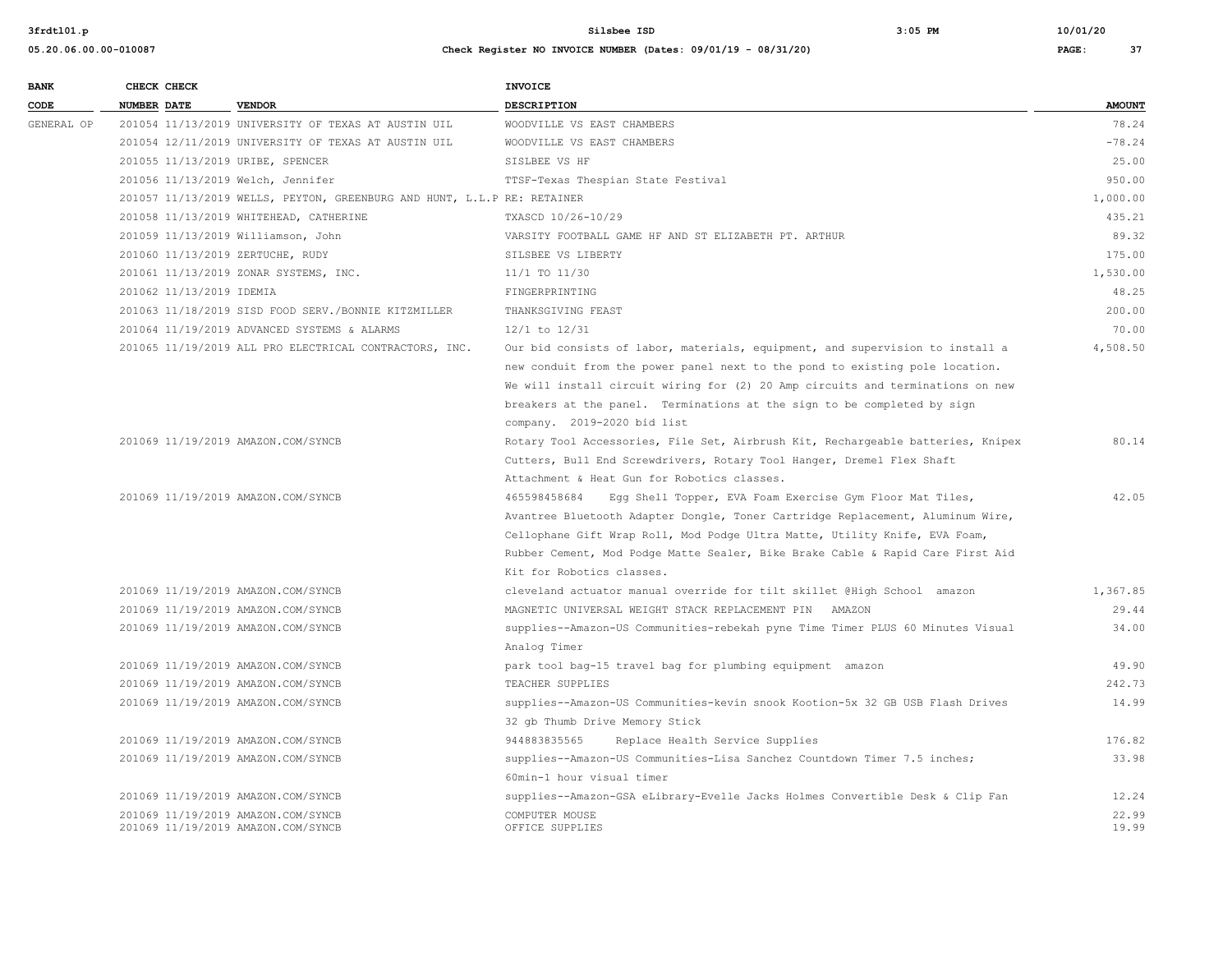201069 11/19/2019 AMAZON.COM/SYNCB

| 3frdt101.p            |                                    |                                                                         | $3:05$ PM<br>Silsbee ISD                                                        |       |               |
|-----------------------|------------------------------------|-------------------------------------------------------------------------|---------------------------------------------------------------------------------|-------|---------------|
| 05.20.06.00.00-010087 |                                    |                                                                         | Check Register NO INVOICE NUMBER (Dates: 09/01/19 - 08/31/20)                   | PAGE: | 37            |
| <b>BANK</b>           | CHECK CHECK                        |                                                                         | <b>INVOICE</b>                                                                  |       |               |
| CODE                  | <b>NUMBER DATE</b>                 | <b>VENDOR</b>                                                           | <b>DESCRIPTION</b>                                                              |       | <b>AMOUNT</b> |
| GENERAL OP            |                                    | 201054 11/13/2019 UNIVERSITY OF TEXAS AT AUSTIN UIL                     | WOODVILLE VS EAST CHAMBERS                                                      |       | 78.24         |
|                       |                                    | 201054 12/11/2019 UNIVERSITY OF TEXAS AT AUSTIN UIL                     | WOODVILLE VS EAST CHAMBERS                                                      |       | $-78.24$      |
|                       | 201055 11/13/2019 URIBE, SPENCER   |                                                                         | SISLBEE VS HF                                                                   |       | 25.00         |
|                       | 201056 11/13/2019 Welch, Jennifer  |                                                                         | TTSF-Texas Thespian State Festival                                              |       | 950.00        |
|                       |                                    | 201057 11/13/2019 WELLS, PEYTON, GREENBURG AND HUNT, L.L.P RE: RETAINER |                                                                                 |       | 1,000.00      |
|                       |                                    | 201058 11/13/2019 WHITEHEAD, CATHERINE                                  | TXASCD 10/26-10/29                                                              |       | 435.21        |
|                       | 201059 11/13/2019 Williamson, John |                                                                         | VARSITY FOOTBALL GAME HF AND ST ELIZABETH PT. ARTHUR                            |       | 89.32         |
|                       | 201060 11/13/2019 ZERTUCHE, RUDY   |                                                                         | SILSBEE VS LIBERTY                                                              |       | 175.00        |
|                       |                                    | 201061 11/13/2019 ZONAR SYSTEMS, INC.                                   | 11/1 TO 11/30                                                                   |       | 1,530.00      |
|                       | 201062 11/13/2019 IDEMIA           |                                                                         | FINGERPRINTING                                                                  |       | 48.25         |
|                       |                                    | 201063 11/18/2019 SISD FOOD SERV. / BONNIE KITZMILLER                   | THANKSGIVING FEAST                                                              |       | 200.00        |
|                       |                                    | 201064 11/19/2019 ADVANCED SYSTEMS & ALARMS                             | $12/1$ to $12/31$                                                               |       | 70.00         |
|                       |                                    | 201065 11/19/2019 ALL PRO ELECTRICAL CONTRACTORS, INC.                  | Our bid consists of labor, materials, equipment, and supervision to install a   |       | 4,508.50      |
|                       |                                    |                                                                         | new conduit from the power panel next to the pond to existing pole location.    |       |               |
|                       |                                    |                                                                         | We will install circuit wiring for (2) 20 Amp circuits and terminations on new  |       |               |
|                       |                                    |                                                                         | breakers at the panel. Terminations at the sign to be completed by sign         |       |               |
|                       |                                    |                                                                         | company. 2019-2020 bid list                                                     |       |               |
|                       | 201069 11/19/2019 AMAZON.COM/SYNCB |                                                                         | Rotary Tool Accessories, File Set, Airbrush Kit, Rechargeable batteries, Knipex |       | 80.14         |
|                       |                                    |                                                                         | Cutters, Bull End Screwdrivers, Rotary Tool Hanger, Dremel Flex Shaft           |       |               |
|                       |                                    |                                                                         | Attachment & Heat Gun for Robotics classes.                                     |       |               |
|                       | 201069 11/19/2019 AMAZON.COM/SYNCB |                                                                         | 465598458684<br>Egg Shell Topper, EVA Foam Exercise Gym Floor Mat Tiles,        |       | 42.05         |
|                       |                                    |                                                                         | Avantree Bluetooth Adapter Dongle, Toner Cartridge Replacement, Aluminum Wire,  |       |               |
|                       |                                    |                                                                         | Cellophane Gift Wrap Roll, Mod Podge Ultra Matte, Utility Knife, EVA Foam,      |       |               |
|                       |                                    |                                                                         | Rubber Cement, Mod Podge Matte Sealer, Bike Brake Cable & Rapid Care First Aid  |       |               |
|                       |                                    |                                                                         | Kit for Robotics classes.                                                       |       |               |
|                       | 201069 11/19/2019 AMAZON.COM/SYNCB |                                                                         | cleveland actuator manual override for tilt skillet @High School amazon         |       | 1,367.85      |
|                       | 201069 11/19/2019 AMAZON.COM/SYNCB |                                                                         | MAGNETIC UNIVERSAL WEIGHT STACK REPLACEMENT PIN AMAZON                          |       | 29.44         |
|                       | 201069 11/19/2019 AMAZON.COM/SYNCB |                                                                         | supplies--Amazon-US Communities-rebekah pyne Time Timer PLUS 60 Minutes Visual  |       | 34.00         |
|                       |                                    |                                                                         | Analog Timer                                                                    |       |               |
|                       | 201069 11/19/2019 AMAZON.COM/SYNCB |                                                                         | park tool bag-15 travel bag for plumbing equipment amazon                       |       | 49.90         |
|                       | 201069 11/19/2019 AMAZON.COM/SYNCB |                                                                         | TEACHER SUPPLIES                                                                |       | 242.73        |
|                       | 201069 11/19/2019 AMAZON.COM/SYNCB |                                                                         | supplies--Amazon-US Communities-kevin snook Kootion-5x 32 GB USB Flash Drives   |       | 14.99         |
|                       |                                    |                                                                         | 32 gb Thumb Drive Memory Stick                                                  |       |               |
|                       | 201069 11/19/2019 AMAZON.COM/SYNCB |                                                                         | 944883835565<br>Replace Health Service Supplies                                 |       | 176.82        |

201069 11/19/2019 AMAZON.COM/SYNCB supplies--Amazon-US Communities-Lisa Sanchez Countdown Timer 7.5 inches; 33.98

 201069 11/19/2019 AMAZON.COM/SYNCB supplies--Amazon-GSA eLibrary-Evelle Jacks Holmes Convertible Desk & Clip Fan 12.24 201069 11/19/2019 AMAZON.COM/SYNCB COMPUTER MOUSE 22.99

60min-1 hour visual timer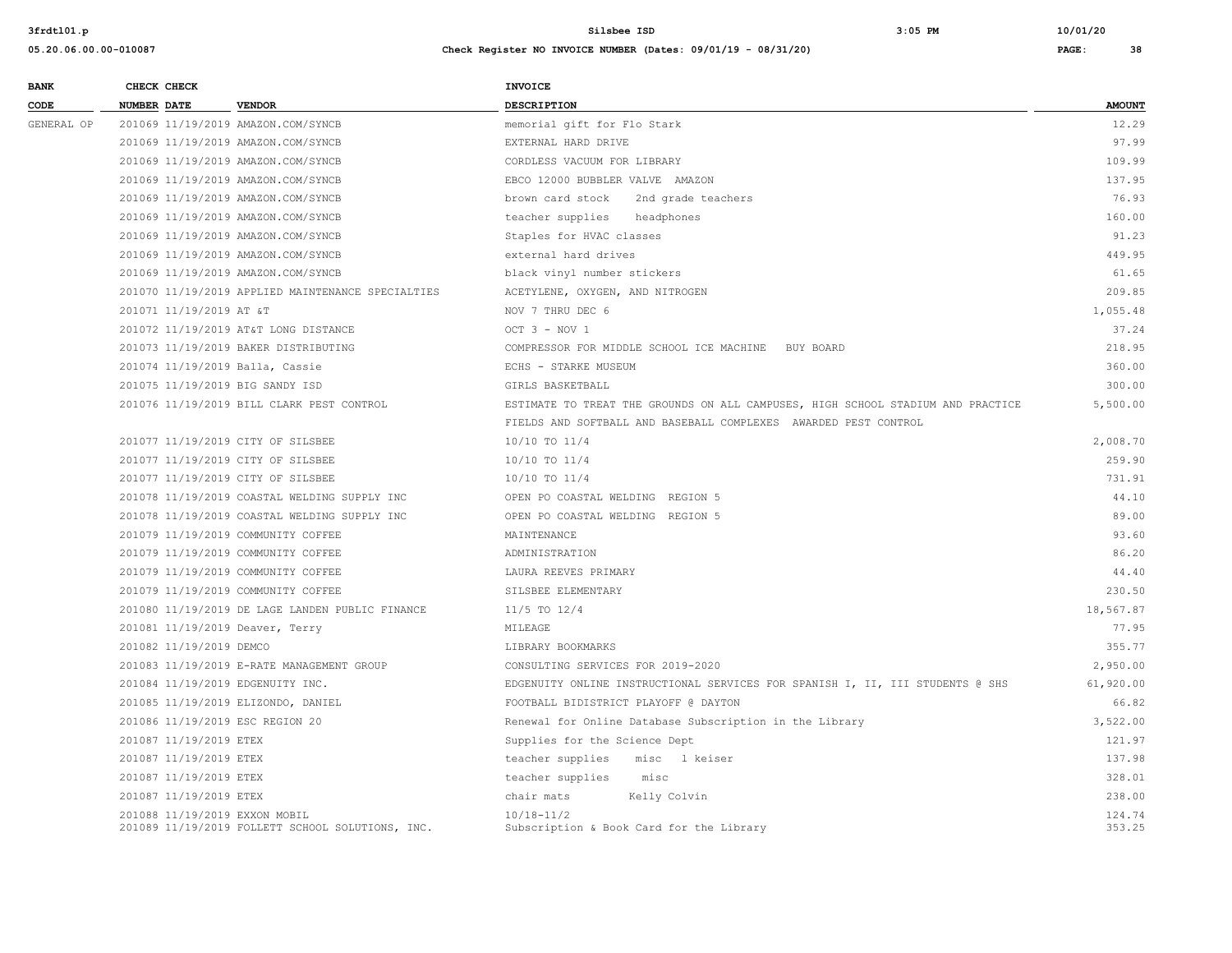| <b>BANK</b> | CHECK CHECK                        |                                                   | <b>INVOICE</b>                                                                  |                  |
|-------------|------------------------------------|---------------------------------------------------|---------------------------------------------------------------------------------|------------------|
| CODE        | <b>NUMBER DATE</b>                 | <b>VENDOR</b>                                     | DESCRIPTION                                                                     | <b>AMOUNT</b>    |
| GENERAL OP  | 201069 11/19/2019 AMAZON.COM/SYNCB |                                                   | memorial gift for Flo Stark                                                     | 12.29            |
|             | 201069 11/19/2019 AMAZON.COM/SYNCB |                                                   | EXTERNAL HARD DRIVE                                                             | 97.99            |
|             | 201069 11/19/2019 AMAZON.COM/SYNCB |                                                   | CORDLESS VACUUM FOR LIBRARY                                                     | 109.99           |
|             | 201069 11/19/2019 AMAZON.COM/SYNCB |                                                   | EBCO 12000 BUBBLER VALVE AMAZON                                                 | 137.95           |
|             | 201069 11/19/2019 AMAZON.COM/SYNCB |                                                   | brown card stock<br>2nd grade teachers                                          | 76.93            |
|             | 201069 11/19/2019 AMAZON.COM/SYNCB |                                                   | teacher supplies<br>headphones                                                  | 160.00           |
|             | 201069 11/19/2019 AMAZON.COM/SYNCB |                                                   | Staples for HVAC classes                                                        | 91.23            |
|             | 201069 11/19/2019 AMAZON.COM/SYNCB |                                                   | external hard drives                                                            | 449.95           |
|             | 201069 11/19/2019 AMAZON.COM/SYNCB |                                                   | black vinyl number stickers                                                     | 61.65            |
|             |                                    | 201070 11/19/2019 APPLIED MAINTENANCE SPECIALTIES | ACETYLENE, OXYGEN, AND NITROGEN                                                 | 209.85           |
|             | 201071 11/19/2019 AT &T            |                                                   | NOV 7 THRU DEC 6                                                                | 1,055.48         |
|             |                                    | 201072 11/19/2019 AT&T LONG DISTANCE              | OCT $3 - NOV 1$                                                                 | 37.24            |
|             |                                    | 201073 11/19/2019 BAKER DISTRIBUTING              | COMPRESSOR FOR MIDDLE SCHOOL ICE MACHINE BUY BOARD                              | 218.95           |
|             | 201074 11/19/2019 Balla, Cassie    |                                                   | ECHS - STARKE MUSEUM                                                            | 360.00           |
|             | 201075 11/19/2019 BIG SANDY ISD    |                                                   | GIRLS BASKETBALL                                                                | 300.00           |
|             |                                    | 201076 11/19/2019 BILL CLARK PEST CONTROL         | ESTIMATE TO TREAT THE GROUNDS ON ALL CAMPUSES, HIGH SCHOOL STADIUM AND PRACTICE | 5,500.00         |
|             |                                    |                                                   | FIELDS AND SOFTBALL AND BASEBALL COMPLEXES AWARDED PEST CONTROL                 |                  |
|             | 201077 11/19/2019 CITY OF SILSBEE  |                                                   | 10/10 TO 11/4                                                                   | 2,008.70         |
|             | 201077 11/19/2019 CITY OF SILSBEE  |                                                   | 10/10 TO 11/4                                                                   | 259.90           |
|             | 201077 11/19/2019 CITY OF SILSBEE  |                                                   | $10/10$ TO $11/4$                                                               | 731.91           |
|             |                                    | 201078 11/19/2019 COASTAL WELDING SUPPLY INC      | OPEN PO COASTAL WELDING REGION 5                                                | 44.10            |
|             |                                    | 201078 11/19/2019 COASTAL WELDING SUPPLY INC      | OPEN PO COASTAL WELDING REGION 5                                                | 89.00            |
|             | 201079 11/19/2019 COMMUNITY COFFEE |                                                   | MAINTENANCE                                                                     | 93.60            |
|             | 201079 11/19/2019 COMMUNITY COFFEE |                                                   | ADMINISTRATION                                                                  | 86.20            |
|             | 201079 11/19/2019 COMMUNITY COFFEE |                                                   | LAURA REEVES PRIMARY                                                            | 44.40            |
|             | 201079 11/19/2019 COMMUNITY COFFEE |                                                   | SILSBEE ELEMENTARY                                                              | 230.50           |
|             |                                    | 201080 11/19/2019 DE LAGE LANDEN PUBLIC FINANCE   | $11/5$ TO $12/4$                                                                | 18,567.87        |
|             | 201081 11/19/2019 Deaver, Terry    |                                                   | MILEAGE                                                                         | 77.95            |
|             | 201082 11/19/2019 DEMCO            |                                                   | LIBRARY BOOKMARKS                                                               | 355.77           |
|             |                                    | 201083 11/19/2019 E-RATE MANAGEMENT GROUP         | CONSULTING SERVICES FOR 2019-2020                                               | 2,950.00         |
|             | 201084 11/19/2019 EDGENUITY INC.   |                                                   | EDGENUITY ONLINE INSTRUCTIONAL SERVICES FOR SPANISH I, II, III STUDENTS @ SHS   | 61,920.00        |
|             | 201085 11/19/2019 ELIZONDO, DANIEL |                                                   | FOOTBALL BIDISTRICT PLAYOFF @ DAYTON                                            | 66.82            |
|             | 201086 11/19/2019 ESC REGION 20    |                                                   | Renewal for Online Database Subscription in the Library                         | 3,522.00         |
|             | 201087 11/19/2019 ETEX             |                                                   | Supplies for the Science Dept                                                   | 121.97           |
|             | 201087 11/19/2019 ETEX             |                                                   | teacher supplies<br>misc l keiser                                               | 137.98           |
|             | 201087 11/19/2019 ETEX             |                                                   | teacher supplies<br>misc                                                        | 328.01           |
|             | 201087 11/19/2019 ETEX             |                                                   | chair mats<br>Kelly Colvin                                                      | 238.00           |
|             | 201088 11/19/2019 EXXON MOBIL      | 201089 11/19/2019 FOLLETT SCHOOL SOLUTIONS, INC.  | $10/18 - 11/2$<br>Subscription & Book Card for the Library                      | 124.74<br>353.25 |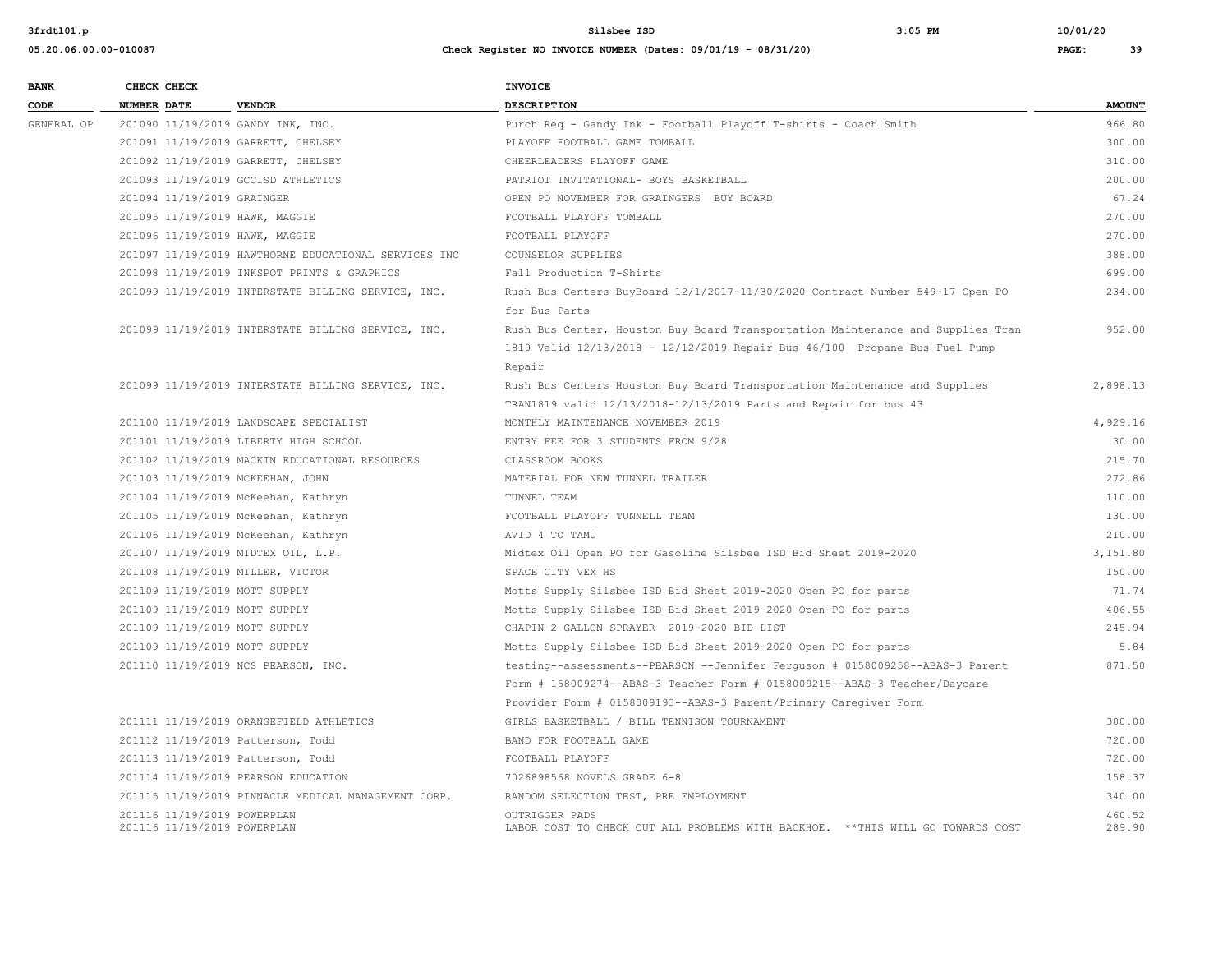| <b>BANK</b> | CHECK CHECK                                          | <b>INVOICE</b>                                                                  |               |
|-------------|------------------------------------------------------|---------------------------------------------------------------------------------|---------------|
| CODE        | <b>NUMBER DATE</b><br><b>VENDOR</b>                  | DESCRIPTION                                                                     | <b>AMOUNT</b> |
| GENERAL OP  | 201090 11/19/2019 GANDY INK, INC.                    | Purch Req - Gandy Ink - Football Playoff T-shirts - Coach Smith                 | 966.80        |
|             | 201091 11/19/2019 GARRETT, CHELSEY                   | PLAYOFF FOOTBALL GAME TOMBALL                                                   | 300.00        |
|             | 201092 11/19/2019 GARRETT, CHELSEY                   | CHEERLEADERS PLAYOFF GAME                                                       | 310.00        |
|             | 201093 11/19/2019 GCCISD ATHLETICS                   | PATRIOT INVITATIONAL- BOYS BASKETBALL                                           | 200.00        |
|             | 201094 11/19/2019 GRAINGER                           | OPEN PO NOVEMBER FOR GRAINGERS BUY BOARD                                        | 67.24         |
|             | 201095 11/19/2019 HAWK, MAGGIE                       | FOOTBALL PLAYOFF TOMBALL                                                        | 270.00        |
|             | 201096 11/19/2019 HAWK, MAGGIE                       | FOOTBALL PLAYOFF                                                                | 270.00        |
|             | 201097 11/19/2019 HAWTHORNE EDUCATIONAL SERVICES INC | COUNSELOR SUPPLIES                                                              | 388.00        |
|             | 201098 11/19/2019 INKSPOT PRINTS & GRAPHICS          | Fall Production T-Shirts                                                        | 699.00        |
|             | 201099 11/19/2019 INTERSTATE BILLING SERVICE, INC.   | Rush Bus Centers BuyBoard 12/1/2017-11/30/2020 Contract Number 549-17 Open PO   | 234.00        |
|             |                                                      | for Bus Parts                                                                   |               |
|             | 201099 11/19/2019 INTERSTATE BILLING SERVICE, INC.   | Rush Bus Center, Houston Buy Board Transportation Maintenance and Supplies Tran | 952.00        |
|             |                                                      | 1819 Valid 12/13/2018 - 12/12/2019 Repair Bus 46/100 Propane Bus Fuel Pump      |               |
|             |                                                      | Repair                                                                          |               |
|             | 201099 11/19/2019 INTERSTATE BILLING SERVICE, INC.   | Rush Bus Centers Houston Buy Board Transportation Maintenance and Supplies      | 2,898.13      |
|             |                                                      | TRAN1819 valid 12/13/2018-12/13/2019 Parts and Repair for bus 43                |               |
|             | 201100 11/19/2019 LANDSCAPE SPECIALIST               | MONTHLY MAINTENANCE NOVEMBER 2019                                               | 4,929.16      |
|             | 201101 11/19/2019 LIBERTY HIGH SCHOOL                | ENTRY FEE FOR 3 STUDENTS FROM 9/28                                              | 30.00         |
|             | 201102 11/19/2019 MACKIN EDUCATIONAL RESOURCES       | CLASSROOM BOOKS                                                                 | 215.70        |
|             | 201103 11/19/2019 MCKEEHAN, JOHN                     | MATERIAL FOR NEW TUNNEL TRAILER                                                 | 272.86        |
|             | 201104 11/19/2019 McKeehan, Kathryn                  | TUNNEL TEAM                                                                     | 110.00        |
|             | 201105 11/19/2019 McKeehan, Kathryn                  | FOOTBALL PLAYOFF TUNNELL TEAM                                                   | 130.00        |
|             | 201106 11/19/2019 McKeehan, Kathryn                  | AVID 4 TO TAMU                                                                  | 210.00        |
|             | 201107 11/19/2019 MIDTEX OIL, L.P.                   | Midtex Oil Open PO for Gasoline Silsbee ISD Bid Sheet 2019-2020                 | 3.151.80      |
|             | 201108 11/19/2019 MILLER, VICTOR                     | SPACE CITY VEX HS                                                               | 150.00        |
|             | 201109 11/19/2019 MOTT SUPPLY                        | Motts Supply Silsbee ISD Bid Sheet 2019-2020 Open PO for parts                  | 71.74         |
|             | 201109 11/19/2019 MOTT SUPPLY                        | Motts Supply Silsbee ISD Bid Sheet 2019-2020 Open PO for parts                  | 406.55        |
|             | 201109 11/19/2019 MOTT SUPPLY                        | CHAPIN 2 GALLON SPRAYER 2019-2020 BID LIST                                      | 245.94        |
|             | 201109 11/19/2019 MOTT SUPPLY                        | Motts Supply Silsbee ISD Bid Sheet 2019-2020 Open PO for parts                  | 5.84          |
|             | 201110 11/19/2019 NCS PEARSON, INC.                  | testing--assessments--PEARSON --Jennifer Ferguson # 0158009258--ABAS-3 Parent   | 871.50        |
|             |                                                      | Form # 158009274--ABAS-3 Teacher Form # 0158009215--ABAS-3 Teacher/Daycare      |               |
|             |                                                      | Provider Form # 0158009193--ABAS-3 Parent/Primary Caregiver Form                |               |
|             | 201111 11/19/2019 ORANGEFIELD ATHLETICS              | GIRLS BASKETBALL / BILL TENNISON TOURNAMENT                                     | 300.00        |
|             | 201112 11/19/2019 Patterson, Todd                    | BAND FOR FOOTBALL GAME                                                          | 720.00        |
|             | 201113 11/19/2019 Patterson, Todd                    | FOOTBALL PLAYOFF                                                                | 720.00        |
|             | 201114 11/19/2019 PEARSON EDUCATION                  | 7026898568 NOVELS GRADE 6-8                                                     | 158.37        |
|             | 201115 11/19/2019 PINNACLE MEDICAL MANAGEMENT CORP.  | RANDOM SELECTION TEST, PRE EMPLOYMENT                                           | 340.00        |
|             | 201116 11/19/2019 POWERPLAN                          | OUTRIGGER PADS                                                                  | 460.52        |
|             | 201116 11/19/2019 POWERPLAN                          | LABOR COST TO CHECK OUT ALL PROBLEMS WITH BACKHOE. ** THIS WILL GO TOWARDS COST | 289.90        |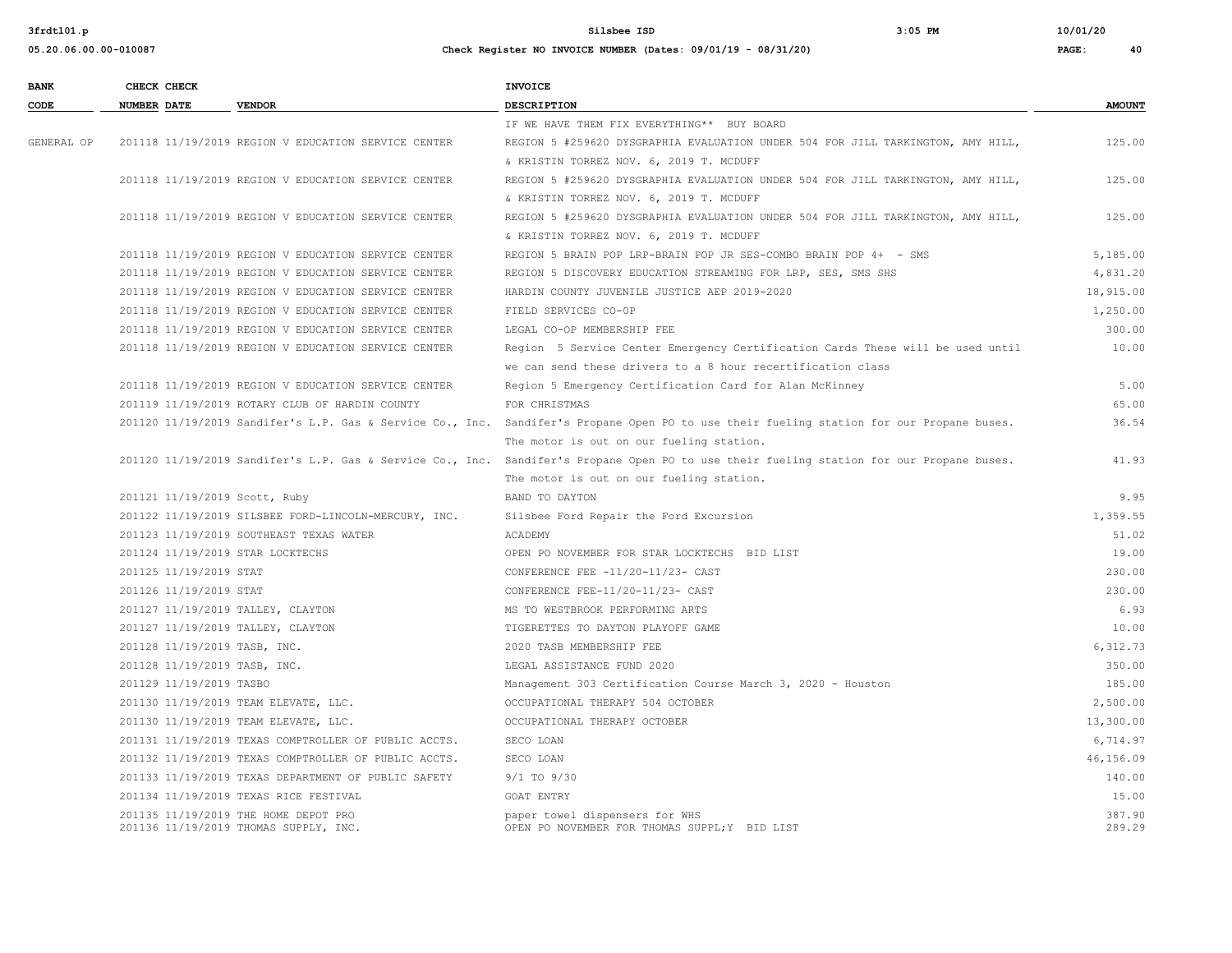**3frdtl01.p Silsbee ISD 3:05 PM 10/01/20**

| <b>BANK</b> | CHECK CHECK        |                         |                                                                               | <b>INVOICE</b>                                                                                                                           |                  |
|-------------|--------------------|-------------------------|-------------------------------------------------------------------------------|------------------------------------------------------------------------------------------------------------------------------------------|------------------|
| CODE        | <b>NUMBER DATE</b> |                         | <b>VENDOR</b>                                                                 | <b>DESCRIPTION</b>                                                                                                                       | <b>AMOUNT</b>    |
|             |                    |                         |                                                                               | IF WE HAVE THEM FIX EVERYTHING** BUY BOARD                                                                                               |                  |
| GENERAL OP  |                    |                         | 201118 11/19/2019 REGION V EDUCATION SERVICE CENTER                           | REGION 5 #259620 DYSGRAPHIA EVALUATION UNDER 504 FOR JILL TARKINGTON, AMY HILL,                                                          | 125.00           |
|             |                    |                         |                                                                               | & KRISTIN TORREZ NOV. 6, 2019 T. MCDUFF                                                                                                  |                  |
|             |                    |                         | 201118 11/19/2019 REGION V EDUCATION SERVICE CENTER                           | REGION 5 #259620 DYSGRAPHIA EVALUATION UNDER 504 FOR JILL TARKINGTON, AMY HILL,                                                          | 125.00           |
|             |                    |                         |                                                                               | & KRISTIN TORREZ NOV. 6, 2019 T. MCDUFF                                                                                                  |                  |
|             |                    |                         | 201118 11/19/2019 REGION V EDUCATION SERVICE CENTER                           | REGION 5 #259620 DYSGRAPHIA EVALUATION UNDER 504 FOR JILL TARKINGTON, AMY HILL,                                                          | 125.00           |
|             |                    |                         |                                                                               | & KRISTIN TORREZ NOV. 6, 2019 T. MCDUFF                                                                                                  |                  |
|             |                    |                         | 201118 11/19/2019 REGION V EDUCATION SERVICE CENTER                           | REGION 5 BRAIN POP LRP-BRAIN POP JR SES-COMBO BRAIN POP 4+ - SMS                                                                         | 5,185.00         |
|             |                    |                         | 201118 11/19/2019 REGION V EDUCATION SERVICE CENTER                           | REGION 5 DISCOVERY EDUCATION STREAMING FOR LRP, SES, SMS SHS                                                                             | 4,831.20         |
|             |                    |                         | 201118 11/19/2019 REGION V EDUCATION SERVICE CENTER                           | HARDIN COUNTY JUVENILE JUSTICE AEP 2019-2020                                                                                             | 18,915.00        |
|             |                    |                         | 201118 11/19/2019 REGION V EDUCATION SERVICE CENTER                           | FIELD SERVICES CO-OP                                                                                                                     | 1,250.00         |
|             |                    |                         | 201118 11/19/2019 REGION V EDUCATION SERVICE CENTER                           | LEGAL CO-OP MEMBERSHIP FEE                                                                                                               | 300.00           |
|             |                    |                         | 201118 11/19/2019 REGION V EDUCATION SERVICE CENTER                           | Region 5 Service Center Emergency Certification Cards These will be used until                                                           | 10.00            |
|             |                    |                         |                                                                               | we can send these drivers to a 8 hour recertification class                                                                              |                  |
|             |                    |                         | 201118 11/19/2019 REGION V EDUCATION SERVICE CENTER                           | Region 5 Emergency Certification Card for Alan McKinney                                                                                  | 5.00             |
|             |                    |                         | 201119 11/19/2019 ROTARY CLUB OF HARDIN COUNTY                                | FOR CHRISTMAS                                                                                                                            | 65.00            |
|             |                    |                         |                                                                               | 201120 11/19/2019 Sandifer's L.P. Gas & Service Co., Inc. Sandifer's Propane Open PO to use their fueling station for our Propane buses. | 36.54            |
|             |                    |                         |                                                                               | The motor is out on our fueling station.                                                                                                 |                  |
|             |                    |                         |                                                                               | 201120 11/19/2019 Sandifer's L.P. Gas & Service Co., Inc. Sandifer's Propane Open PO to use their fueling station for our Propane buses. | 41.93            |
|             |                    |                         |                                                                               | The motor is out on our fueling station.                                                                                                 |                  |
|             |                    |                         | 201121 11/19/2019 Scott, Ruby                                                 | BAND TO DAYTON                                                                                                                           | 9.95             |
|             |                    |                         | 201122 11/19/2019 SILSBEE FORD-LINCOLN-MERCURY, INC.                          | Silsbee Ford Repair the Ford Excursion                                                                                                   | 1,359.55         |
|             |                    |                         | 201123 11/19/2019 SOUTHEAST TEXAS WATER                                       | ACADEMY                                                                                                                                  | 51.02            |
|             |                    |                         | 201124 11/19/2019 STAR LOCKTECHS                                              | OPEN PO NOVEMBER FOR STAR LOCKTECHS BID LIST                                                                                             | 19.00            |
|             |                    | 201125 11/19/2019 STAT  |                                                                               | CONFERENCE FEE -11/20-11/23- CAST                                                                                                        | 230.00           |
|             |                    | 201126 11/19/2019 STAT  |                                                                               | CONFERENCE FEE-11/20-11/23- CAST                                                                                                         | 230.00           |
|             |                    |                         | 201127 11/19/2019 TALLEY, CLAYTON                                             | MS TO WESTBROOK PERFORMING ARTS                                                                                                          | 6.93             |
|             |                    |                         | 201127 11/19/2019 TALLEY, CLAYTON                                             | TIGERETTES TO DAYTON PLAYOFF GAME                                                                                                        | 10.00            |
|             |                    |                         | 201128 11/19/2019 TASB, INC.                                                  | 2020 TASB MEMBERSHIP FEE                                                                                                                 | 6,312.73         |
|             |                    |                         | 201128 11/19/2019 TASB, INC.                                                  | LEGAL ASSISTANCE FUND 2020                                                                                                               | 350.00           |
|             |                    | 201129 11/19/2019 TASBO |                                                                               | Management 303 Certification Course March 3, 2020 - Houston                                                                              | 185.00           |
|             |                    |                         | 201130 11/19/2019 TEAM ELEVATE, LLC.                                          | OCCUPATIONAL THERAPY 504 OCTOBER                                                                                                         | 2,500.00         |
|             |                    |                         | 201130 11/19/2019 TEAM ELEVATE, LLC.                                          | OCCUPATIONAL THERAPY OCTOBER                                                                                                             | 13,300.00        |
|             |                    |                         | 201131 11/19/2019 TEXAS COMPTROLLER OF PUBLIC ACCTS.                          | SECO LOAN                                                                                                                                | 6,714.97         |
|             |                    |                         | 201132 11/19/2019 TEXAS COMPTROLLER OF PUBLIC ACCTS.                          | SECO LOAN                                                                                                                                | 46,156.09        |
|             |                    |                         | 201133 11/19/2019 TEXAS DEPARTMENT OF PUBLIC SAFETY                           | $9/1$ TO $9/30$                                                                                                                          | 140.00           |
|             |                    |                         | 201134 11/19/2019 TEXAS RICE FESTIVAL                                         | GOAT ENTRY                                                                                                                               | 15.00            |
|             |                    |                         | 201135 11/19/2019 THE HOME DEPOT PRO<br>201136 11/19/2019 THOMAS SUPPLY, INC. | paper towel dispensers for WHS<br>OPEN PO NOVEMBER FOR THOMAS SUPPL; Y BID LIST                                                          | 387.90<br>289.29 |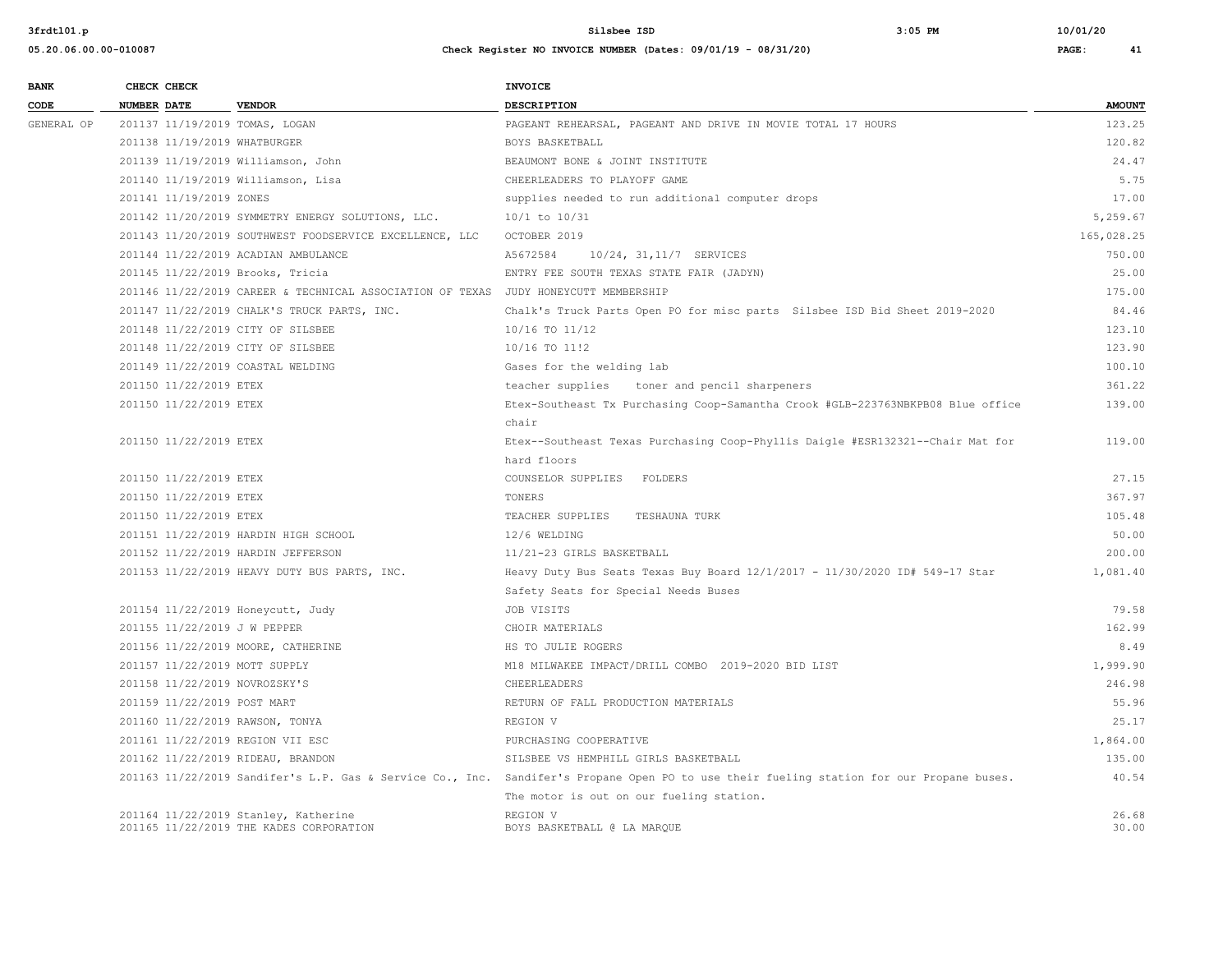| <b>BANK</b> | CHECK CHECK                        |                                                                                     | <b>INVOICE</b>                                                                                                                           |               |
|-------------|------------------------------------|-------------------------------------------------------------------------------------|------------------------------------------------------------------------------------------------------------------------------------------|---------------|
| CODE        | <b>NUMBER DATE</b>                 | <b>VENDOR</b>                                                                       | <b>DESCRIPTION</b>                                                                                                                       | <b>AMOUNT</b> |
| GENERAL OP  | 201137 11/19/2019 TOMAS, LOGAN     |                                                                                     | PAGEANT REHEARSAL, PAGEANT AND DRIVE IN MOVIE TOTAL 17 HOURS                                                                             | 123.25        |
|             | 201138 11/19/2019 WHATBURGER       |                                                                                     | BOYS BASKETBALL                                                                                                                          | 120.82        |
|             | 201139 11/19/2019 Williamson, John |                                                                                     | BEAUMONT BONE & JOINT INSTITUTE                                                                                                          | 24.47         |
|             | 201140 11/19/2019 Williamson, Lisa |                                                                                     | CHEERLEADERS TO PLAYOFF GAME                                                                                                             | 5.75          |
|             | 201141 11/19/2019 ZONES            |                                                                                     | supplies needed to run additional computer drops                                                                                         | 17.00         |
|             |                                    | 201142 11/20/2019 SYMMETRY ENERGY SOLUTIONS, LLC.                                   | $10/1$ to $10/31$                                                                                                                        | 5,259.67      |
|             |                                    | 201143 11/20/2019 SOUTHWEST FOODSERVICE EXCELLENCE, LLC                             | OCTOBER 2019                                                                                                                             | 165,028.25    |
|             |                                    | 201144 11/22/2019 ACADIAN AMBULANCE                                                 | A5672584<br>10/24, 31, 11/7 SERVICES                                                                                                     | 750.00        |
|             | 201145 11/22/2019 Brooks, Tricia   |                                                                                     | ENTRY FEE SOUTH TEXAS STATE FAIR (JADYN)                                                                                                 | 25.00         |
|             |                                    | 201146 11/22/2019 CAREER & TECHNICAL ASSOCIATION OF TEXAS JUDY HONEYCUTT MEMBERSHIP |                                                                                                                                          | 175.00        |
|             |                                    | 201147 11/22/2019 CHALK'S TRUCK PARTS, INC.                                         | Chalk's Truck Parts Open PO for misc parts Silsbee ISD Bid Sheet 2019-2020                                                               | 84.46         |
|             | 201148 11/22/2019 CITY OF SILSBEE  |                                                                                     | 10/16 TO 11/12                                                                                                                           | 123.10        |
|             | 201148 11/22/2019 CITY OF SILSBEE  |                                                                                     | 10/16 TO 11!2                                                                                                                            | 123.90        |
|             | 201149 11/22/2019 COASTAL WELDING  |                                                                                     | Gases for the welding lab                                                                                                                | 100.10        |
|             | 201150 11/22/2019 ETEX             |                                                                                     | teacher supplies<br>toner and pencil sharpeners                                                                                          | 361.22        |
|             | 201150 11/22/2019 ETEX             |                                                                                     | Etex-Southeast Tx Purchasing Coop-Samantha Crook #GLB-223763NBKPB08 Blue office                                                          | 139.00        |
|             |                                    |                                                                                     | chair                                                                                                                                    |               |
|             | 201150 11/22/2019 ETEX             |                                                                                     | Etex--Southeast Texas Purchasing Coop-Phyllis Daigle #ESR132321--Chair Mat for                                                           | 119.00        |
|             |                                    |                                                                                     | hard floors                                                                                                                              |               |
|             | 201150 11/22/2019 ETEX             |                                                                                     | COUNSELOR SUPPLIES FOLDERS                                                                                                               | 27.15         |
|             | 201150 11/22/2019 ETEX             |                                                                                     | TONERS                                                                                                                                   | 367.97        |
|             | 201150 11/22/2019 ETEX             |                                                                                     | TEACHER SUPPLIES<br>TESHAUNA TURK                                                                                                        | 105.48        |
|             |                                    | 201151 11/22/2019 HARDIN HIGH SCHOOL                                                | 12/6 WELDING                                                                                                                             | 50.00         |
|             | 201152 11/22/2019 HARDIN JEFFERSON |                                                                                     | 11/21-23 GIRLS BASKETBALL                                                                                                                | 200.00        |
|             |                                    | 201153 11/22/2019 HEAVY DUTY BUS PARTS, INC.                                        | Heavy Duty Bus Seats Texas Buy Board 12/1/2017 - 11/30/2020 ID# 549-17 Star                                                              | 1,081.40      |
|             |                                    |                                                                                     | Safety Seats for Special Needs Buses                                                                                                     |               |
|             | 201154 11/22/2019 Honeycutt, Judy  |                                                                                     | JOB VISITS                                                                                                                               | 79.58         |
|             | 201155 11/22/2019 J W PEPPER       |                                                                                     | CHOIR MATERIALS                                                                                                                          | 162.99        |
|             | 201156 11/22/2019 MOORE, CATHERINE |                                                                                     | HS TO JULIE ROGERS                                                                                                                       | 8.49          |
|             | 201157 11/22/2019 MOTT SUPPLY      |                                                                                     | M18 MILWAKEE IMPACT/DRILL COMBO 2019-2020 BID LIST                                                                                       | 1,999.90      |
|             | 201158 11/22/2019 NOVROZSKY'S      |                                                                                     | CHEERLEADERS                                                                                                                             | 246.98        |
|             | 201159 11/22/2019 POST MART        |                                                                                     | RETURN OF FALL PRODUCTION MATERIALS                                                                                                      | 55.96         |
|             | 201160 11/22/2019 RAWSON, TONYA    |                                                                                     | REGION V                                                                                                                                 | 25.17         |
|             | 201161 11/22/2019 REGION VII ESC   |                                                                                     | PURCHASING COOPERATIVE                                                                                                                   | 1,864.00      |
|             | 201162 11/22/2019 RIDEAU, BRANDON  |                                                                                     | SILSBEE VS HEMPHILL GIRLS BASKETBALL                                                                                                     | 135.00        |
|             |                                    |                                                                                     | 201163 11/22/2019 Sandifer's L.P. Gas & Service Co., Inc. Sandifer's Propane Open PO to use their fueling station for our Propane buses. | 40.54         |
|             |                                    |                                                                                     | The motor is out on our fueling station.                                                                                                 |               |
|             |                                    | 201164 11/22/2019 Stanley, Katherine                                                | REGION V                                                                                                                                 | 26.68         |
|             |                                    | 201165 11/22/2019 THE KADES CORPORATION                                             | BOYS BASKETBALL @ LA MARQUE                                                                                                              | 30.00         |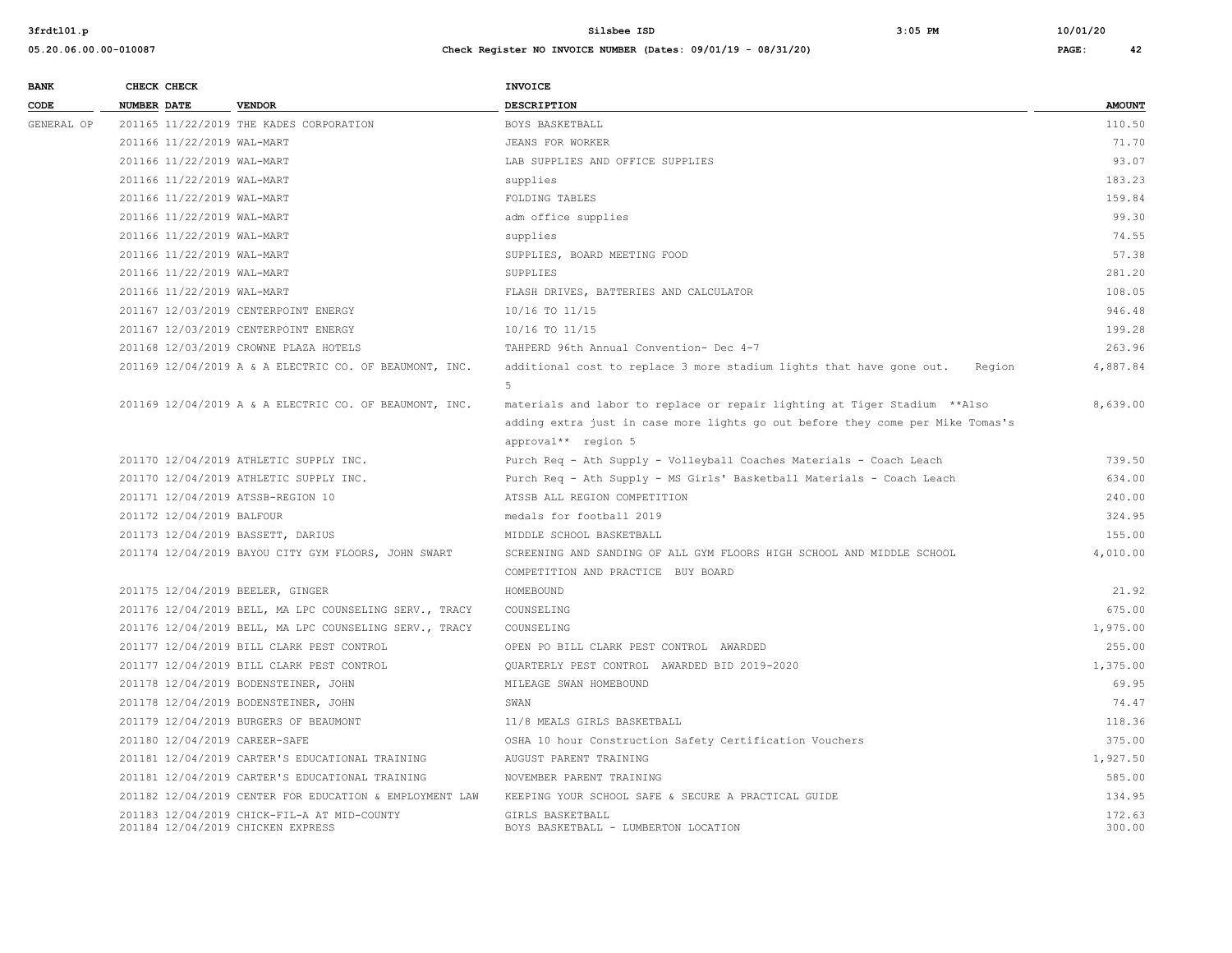| <b>BANK</b> | CHECK CHECK                       |                                                         | <b>INVOICE</b>                                                                                                                                                                      |                  |
|-------------|-----------------------------------|---------------------------------------------------------|-------------------------------------------------------------------------------------------------------------------------------------------------------------------------------------|------------------|
| CODE        | <b>NUMBER DATE</b>                | <b>VENDOR</b>                                           | <b>DESCRIPTION</b>                                                                                                                                                                  | <b>AMOUNT</b>    |
| GENERAL OP  |                                   | 201165 11/22/2019 THE KADES CORPORATION                 | BOYS BASKETBALL                                                                                                                                                                     | 110.50           |
|             | 201166 11/22/2019 WAL-MART        |                                                         | JEANS FOR WORKER                                                                                                                                                                    | 71.70            |
|             | 201166 11/22/2019 WAL-MART        |                                                         | LAB SUPPLIES AND OFFICE SUPPLIES                                                                                                                                                    | 93.07            |
|             | 201166 11/22/2019 WAL-MART        |                                                         | supplies                                                                                                                                                                            | 183.23           |
|             | 201166 11/22/2019 WAL-MART        |                                                         | FOLDING TABLES                                                                                                                                                                      | 159.84           |
|             | 201166 11/22/2019 WAL-MART        |                                                         | adm office supplies                                                                                                                                                                 | 99.30            |
|             | 201166 11/22/2019 WAL-MART        |                                                         | supplies                                                                                                                                                                            | 74.55            |
|             | 201166 11/22/2019 WAL-MART        |                                                         | SUPPLIES, BOARD MEETING FOOD                                                                                                                                                        | 57.38            |
|             | 201166 11/22/2019 WAL-MART        |                                                         | SUPPLIES                                                                                                                                                                            | 281.20           |
|             | 201166 11/22/2019 WAL-MART        |                                                         | FLASH DRIVES, BATTERIES AND CALCULATOR                                                                                                                                              | 108.05           |
|             |                                   | 201167 12/03/2019 CENTERPOINT ENERGY                    | 10/16 TO 11/15                                                                                                                                                                      | 946.48           |
|             |                                   | 201167 12/03/2019 CENTERPOINT ENERGY                    | 10/16 TO 11/15                                                                                                                                                                      | 199.28           |
|             |                                   | 201168 12/03/2019 CROWNE PLAZA HOTELS                   | TAHPERD 96th Annual Convention- Dec 4-7                                                                                                                                             | 263.96           |
|             |                                   | 201169 12/04/2019 A & A ELECTRIC CO. OF BEAUMONT, INC.  | additional cost to replace 3 more stadium lights that have gone out.<br>Region<br>5 <sub>1</sub>                                                                                    | 4,887.84         |
|             |                                   | 201169 12/04/2019 A & A ELECTRIC CO. OF BEAUMONT, INC.  | materials and labor to replace or repair lighting at Tiger Stadium ** Also<br>adding extra just in case more lights go out before they come per Mike Tomas's<br>approval** region 5 | 8,639.00         |
|             |                                   | 201170 12/04/2019 ATHLETIC SUPPLY INC.                  | Purch Req - Ath Supply - Volleyball Coaches Materials - Coach Leach                                                                                                                 | 739.50           |
|             |                                   | 201170 12/04/2019 ATHLETIC SUPPLY INC.                  | Purch Req - Ath Supply - MS Girls' Basketball Materials - Coach Leach                                                                                                               | 634.00           |
|             | 201171 12/04/2019 ATSSB-REGION 10 |                                                         | ATSSB ALL REGION COMPETITION                                                                                                                                                        | 240.00           |
|             | 201172 12/04/2019 BALFOUR         |                                                         | medals for football 2019                                                                                                                                                            | 324.95           |
|             | 201173 12/04/2019 BASSETT, DARIUS |                                                         | MIDDLE SCHOOL BASKETBALL                                                                                                                                                            | 155.00           |
|             |                                   | 201174 12/04/2019 BAYOU CITY GYM FLOORS, JOHN SWART     | SCREENING AND SANDING OF ALL GYM FLOORS HIGH SCHOOL AND MIDDLE SCHOOL<br>COMPETITION AND PRACTICE BUY BOARD                                                                         | 4,010.00         |
|             | 201175 12/04/2019 BEELER, GINGER  |                                                         | HOMEBOUND                                                                                                                                                                           | 21.92            |
|             |                                   | 201176 12/04/2019 BELL, MA LPC COUNSELING SERV., TRACY  | COUNSELING                                                                                                                                                                          | 675.00           |
|             |                                   | 201176 12/04/2019 BELL, MA LPC COUNSELING SERV., TRACY  | COUNSELING                                                                                                                                                                          | 1,975.00         |
|             |                                   | 201177 12/04/2019 BILL CLARK PEST CONTROL               | OPEN PO BILL CLARK PEST CONTROL AWARDED                                                                                                                                             | 255.00           |
|             |                                   | 201177 12/04/2019 BILL CLARK PEST CONTROL               | OUARTERLY PEST CONTROL AWARDED BID 2019-2020                                                                                                                                        | 1,375.00         |
|             |                                   | 201178 12/04/2019 BODENSTEINER, JOHN                    | MILEAGE SWAN HOMEBOUND                                                                                                                                                              | 69.95            |
|             |                                   | 201178 12/04/2019 BODENSTEINER, JOHN                    | SWAN                                                                                                                                                                                | 74.47            |
|             |                                   | 201179 12/04/2019 BURGERS OF BEAUMONT                   | 11/8 MEALS GIRLS BASKETBALL                                                                                                                                                         | 118.36           |
|             | 201180 12/04/2019 CAREER-SAFE     |                                                         | OSHA 10 hour Construction Safety Certification Vouchers                                                                                                                             | 375.00           |
|             |                                   | 201181 12/04/2019 CARTER'S EDUCATIONAL TRAINING         | AUGUST PARENT TRAINING                                                                                                                                                              | 1,927.50         |
|             |                                   | 201181 12/04/2019 CARTER'S EDUCATIONAL TRAINING         | NOVEMBER PARENT TRAINING                                                                                                                                                            | 585.00           |
|             |                                   | 201182 12/04/2019 CENTER FOR EDUCATION & EMPLOYMENT LAW | KEEPING YOUR SCHOOL SAFE & SECURE A PRACTICAL GUIDE                                                                                                                                 | 134.95           |
|             | 201184 12/04/2019 CHICKEN EXPRESS | 201183 12/04/2019 CHICK-FIL-A AT MID-COUNTY             | GIRLS BASKETBALL<br>BOYS BASKETBALL - LUMBERTON LOCATION                                                                                                                            | 172.63<br>300.00 |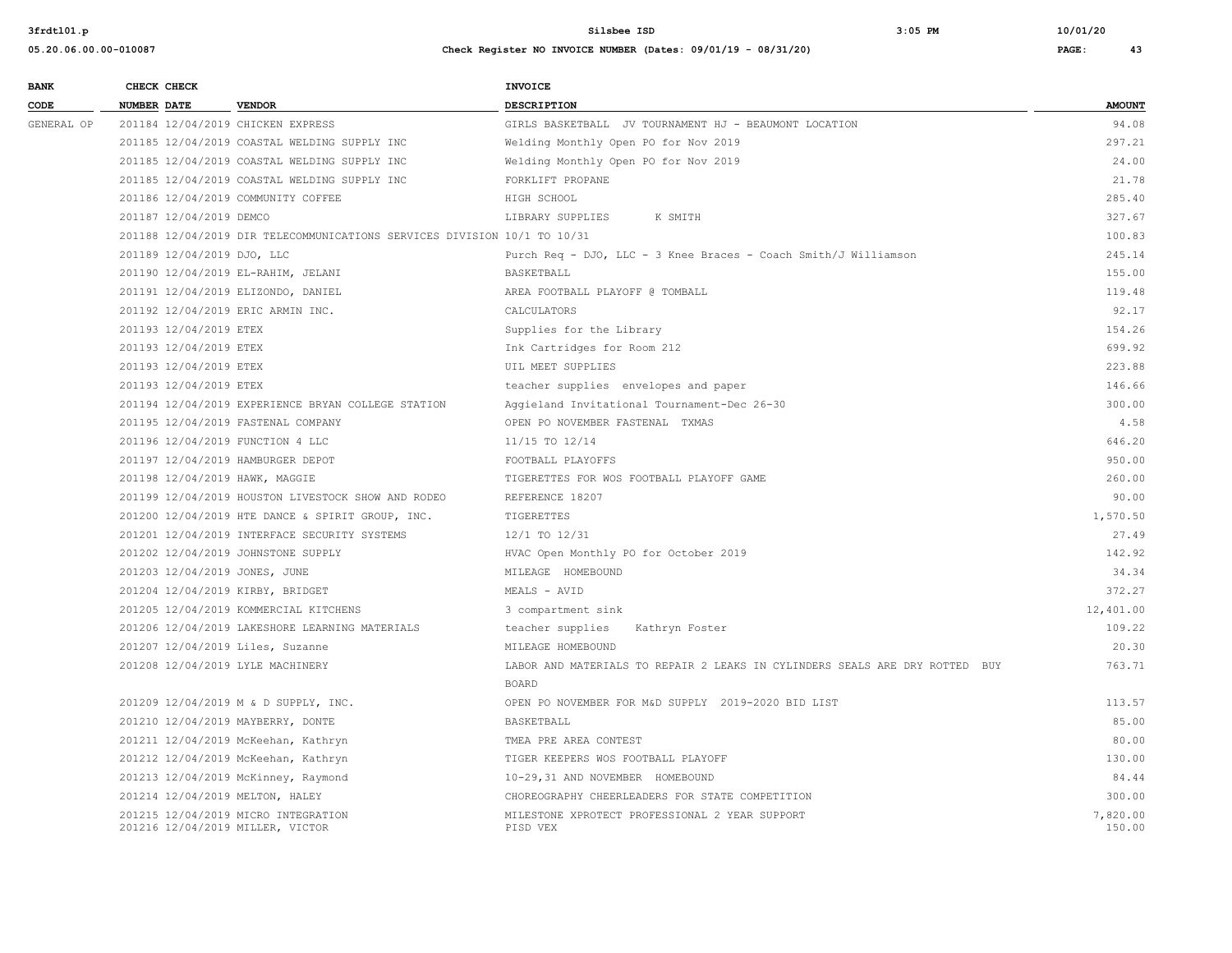| <b>BANK</b> | CHECK CHECK                       |                                                                          | INVOICE                                                                     |               |
|-------------|-----------------------------------|--------------------------------------------------------------------------|-----------------------------------------------------------------------------|---------------|
| CODE        | <b>NUMBER DATE</b>                | <b>VENDOR</b>                                                            | <b>DESCRIPTION</b>                                                          | <b>AMOUNT</b> |
| GENERAL OP  | 201184 12/04/2019 CHICKEN EXPRESS |                                                                          | GIRLS BASKETBALL JV TOURNAMENT HJ - BEAUMONT LOCATION                       | 94.08         |
|             |                                   | 201185 12/04/2019 COASTAL WELDING SUPPLY INC                             | Welding Monthly Open PO for Nov 2019                                        | 297.21        |
|             |                                   | 201185 12/04/2019 COASTAL WELDING SUPPLY INC                             | Welding Monthly Open PO for Nov 2019                                        | 24.00         |
|             |                                   | 201185 12/04/2019 COASTAL WELDING SUPPLY INC                             | FORKLIFT PROPANE                                                            | 21.78         |
|             |                                   | 201186 12/04/2019 COMMUNITY COFFEE                                       | HIGH SCHOOL                                                                 | 285.40        |
|             | 201187 12/04/2019 DEMCO           |                                                                          | LIBRARY SUPPLIES<br>K SMITH                                                 | 327.67        |
|             |                                   | 201188 12/04/2019 DIR TELECOMMUNICATIONS SERVICES DIVISION 10/1 TO 10/31 |                                                                             | 100.83        |
|             | 201189 12/04/2019 DJO, LLC        |                                                                          | Purch Req - DJO, LLC - 3 Knee Braces - Coach Smith/J Williamson             | 245.14        |
|             |                                   | 201190 12/04/2019 EL-RAHIM, JELANI                                       | BASKETBALL                                                                  | 155.00        |
|             |                                   | 201191 12/04/2019 ELIZONDO, DANIEL                                       | AREA FOOTBALL PLAYOFF @ TOMBALL                                             | 119.48        |
|             | 201192 12/04/2019 ERIC ARMIN INC. |                                                                          | CALCULATORS                                                                 | 92.17         |
|             | 201193 12/04/2019 ETEX            |                                                                          | Supplies for the Library                                                    | 154.26        |
|             | 201193 12/04/2019 ETEX            |                                                                          | Ink Cartridges for Room 212                                                 | 699.92        |
|             | 201193 12/04/2019 ETEX            |                                                                          | UIL MEET SUPPLIES                                                           | 223.88        |
|             | 201193 12/04/2019 ETEX            |                                                                          | teacher supplies envelopes and paper                                        | 146.66        |
|             |                                   | 201194 12/04/2019 EXPERIENCE BRYAN COLLEGE STATION                       | Aggieland Invitational Tournament-Dec 26-30                                 | 300.00        |
|             |                                   | 201195 12/04/2019 FASTENAL COMPANY                                       | OPEN PO NOVEMBER FASTENAL TXMAS                                             | 4.58          |
|             | 201196 12/04/2019 FUNCTION 4 LLC  |                                                                          | 11/15 TO 12/14                                                              | 646.20        |
|             | 201197 12/04/2019 HAMBURGER DEPOT |                                                                          | FOOTBALL PLAYOFFS                                                           | 950.00        |
|             | 201198 12/04/2019 HAWK, MAGGIE    |                                                                          | TIGERETTES FOR WOS FOOTBALL PLAYOFF GAME                                    | 260.00        |
|             |                                   | 201199 12/04/2019 HOUSTON LIVESTOCK SHOW AND RODEO                       | REFERENCE 18207                                                             | 90.00         |
|             |                                   | 201200 12/04/2019 HTE DANCE & SPIRIT GROUP, INC.                         | TIGERETTES                                                                  | 1,570.50      |
|             |                                   | 201201 12/04/2019 INTERFACE SECURITY SYSTEMS                             | 12/1 TO 12/31                                                               | 27.49         |
|             |                                   | 201202 12/04/2019 JOHNSTONE SUPPLY                                       | HVAC Open Monthly PO for October 2019                                       | 142.92        |
|             | 201203 12/04/2019 JONES, JUNE     |                                                                          | MILEAGE HOMEBOUND                                                           | 34.34         |
|             | 201204 12/04/2019 KIRBY, BRIDGET  |                                                                          | MEALS - AVID                                                                | 372.27        |
|             |                                   | 201205 12/04/2019 KOMMERCIAL KITCHENS                                    | 3 compartment sink                                                          | 12,401.00     |
|             |                                   | 201206 12/04/2019 LAKESHORE LEARNING MATERIALS                           | teacher supplies<br>Kathryn Foster                                          | 109.22        |
|             | 201207 12/04/2019 Liles, Suzanne  |                                                                          | MILEAGE HOMEBOUND                                                           | 20.30         |
|             | 201208 12/04/2019 LYLE MACHINERY  |                                                                          | LABOR AND MATERIALS TO REPAIR 2 LEAKS IN CYLINDERS SEALS ARE DRY ROTTED BUY | 763.71        |
|             |                                   |                                                                          | <b>BOARD</b>                                                                |               |
|             |                                   | 201209 12/04/2019 M & D SUPPLY, INC.                                     | OPEN PO NOVEMBER FOR M&D SUPPLY 2019-2020 BID LIST                          | 113.57        |
|             | 201210 12/04/2019 MAYBERRY, DONTE |                                                                          | BASKETBALL                                                                  | 85.00         |
|             |                                   | 201211 12/04/2019 McKeehan, Kathryn                                      | TMEA PRE AREA CONTEST                                                       | 80.00         |
|             |                                   | 201212 12/04/2019 McKeehan, Kathryn                                      | TIGER KEEPERS WOS FOOTBALL PLAYOFF                                          | 130.00        |
|             |                                   | 201213 12/04/2019 McKinney, Raymond                                      | 10-29,31 AND NOVEMBER HOMEBOUND                                             | 84.44         |
|             | 201214 12/04/2019 MELTON, HALEY   |                                                                          | CHOREOGRAPHY CHEERLEADERS FOR STATE COMPETITION                             | 300.00        |
|             |                                   | 201215 12/04/2019 MICRO INTEGRATION                                      | MILESTONE XPROTECT PROFESSIONAL 2 YEAR SUPPORT                              | 7,820.00      |
|             | 201216 12/04/2019 MILLER, VICTOR  |                                                                          | PISD VEX                                                                    | 150.00        |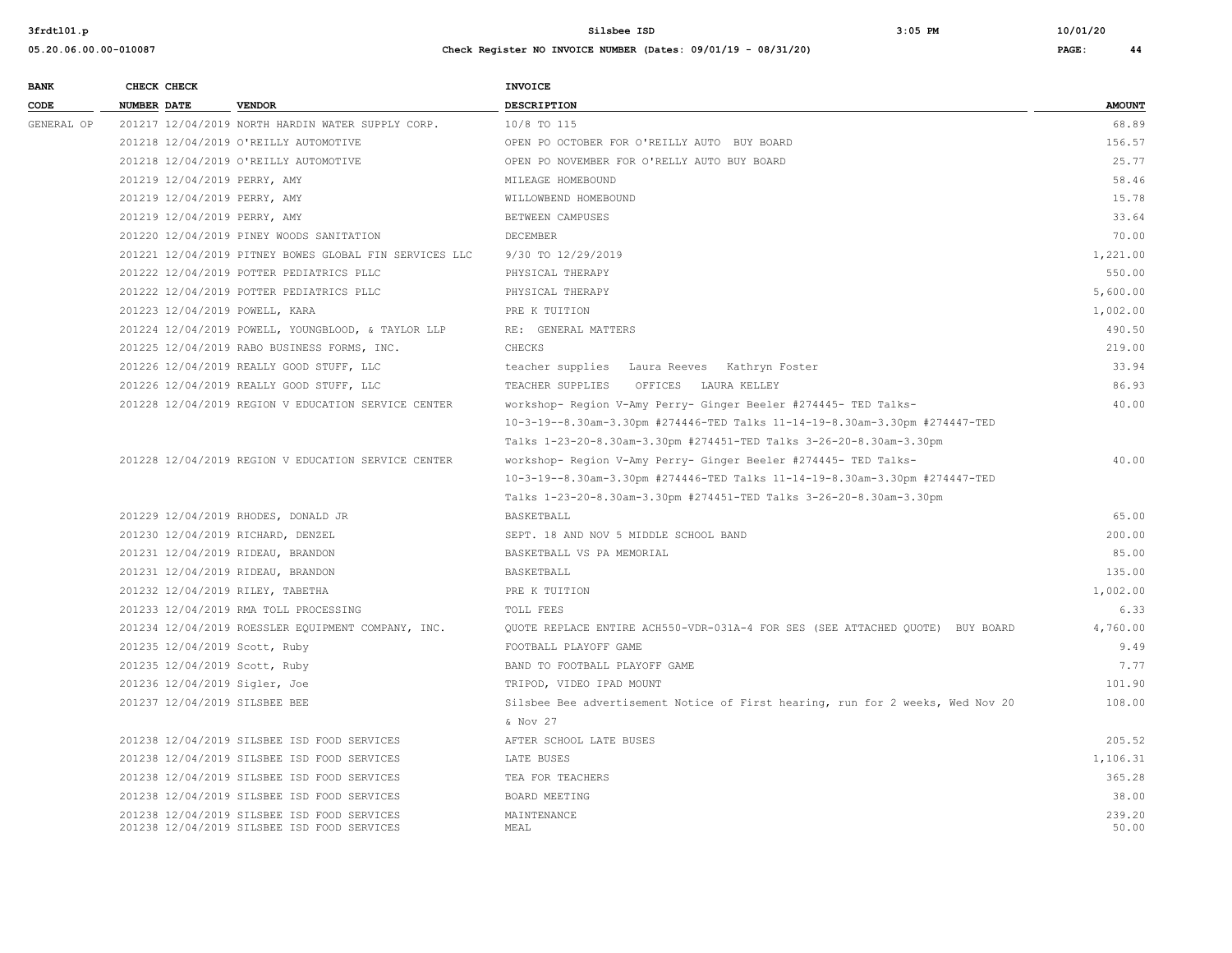| <b>BANK</b> | CHECK CHECK                       |                                                        | <b>INVOICE</b>                                                                 |               |
|-------------|-----------------------------------|--------------------------------------------------------|--------------------------------------------------------------------------------|---------------|
| CODE        | <b>NUMBER DATE</b>                | <b>VENDOR</b>                                          | <b>DESCRIPTION</b>                                                             | <b>AMOUNT</b> |
| GENERAL OP  |                                   | 201217 12/04/2019 NORTH HARDIN WATER SUPPLY CORP.      | 10/8 TO 115                                                                    | 68.89         |
|             |                                   | 201218 12/04/2019 O'REILLY AUTOMOTIVE                  | OPEN PO OCTOBER FOR O'REILLY AUTO BUY BOARD                                    | 156.57        |
|             |                                   | 201218 12/04/2019 O'REILLY AUTOMOTIVE                  | OPEN PO NOVEMBER FOR O'RELLY AUTO BUY BOARD                                    | 25.77         |
|             | 201219 12/04/2019 PERRY, AMY      |                                                        | MILEAGE HOMEBOUND                                                              | 58.46         |
|             | 201219 12/04/2019 PERRY, AMY      |                                                        | WILLOWBEND HOMEBOUND                                                           | 15.78         |
|             | 201219 12/04/2019 PERRY, AMY      |                                                        | BETWEEN CAMPUSES                                                               | 33.64         |
|             |                                   | 201220 12/04/2019 PINEY WOODS SANITATION               | <b>DECEMBER</b>                                                                | 70.00         |
|             |                                   | 201221 12/04/2019 PITNEY BOWES GLOBAL FIN SERVICES LLC | 9/30 TO 12/29/2019                                                             | 1,221.00      |
|             |                                   | 201222 12/04/2019 POTTER PEDIATRICS PLLC               | PHYSICAL THERAPY                                                               | 550.00        |
|             |                                   | 201222 12/04/2019 POTTER PEDIATRICS PLLC               | PHYSICAL THERAPY                                                               | 5,600.00      |
|             | 201223 12/04/2019 POWELL, KARA    |                                                        | PRE K TUITION                                                                  | 1,002.00      |
|             |                                   | 201224 12/04/2019 POWELL, YOUNGBLOOD, & TAYLOR LLP     | RE: GENERAL MATTERS                                                            | 490.50        |
|             |                                   | 201225 12/04/2019 RABO BUSINESS FORMS, INC.            | CHECKS                                                                         | 219.00        |
|             |                                   | 201226 12/04/2019 REALLY GOOD STUFF, LLC               | teacher supplies Laura Reeves Kathryn Foster                                   | 33.94         |
|             |                                   | 201226 12/04/2019 REALLY GOOD STUFF, LLC               | TEACHER SUPPLIES OFFICES LAURA KELLEY                                          | 86.93         |
|             |                                   | 201228 12/04/2019 REGION V EDUCATION SERVICE CENTER    | workshop- Region V-Amy Perry- Ginger Beeler #274445- TED Talks-                | 40.00         |
|             |                                   |                                                        | 10-3-19--8.30am-3.30pm #274446-TED Talks 11-14-19-8.30am-3.30pm #274447-TED    |               |
|             |                                   |                                                        | Talks 1-23-20-8.30am-3.30pm #274451-TED Talks 3-26-20-8.30am-3.30pm            |               |
|             |                                   | 201228 12/04/2019 REGION V EDUCATION SERVICE CENTER    | workshop- Region V-Amy Perry- Ginger Beeler #274445- TED Talks-                | 40.00         |
|             |                                   |                                                        | 10-3-19--8.30am-3.30pm #274446-TED Talks 11-14-19-8.30am-3.30pm #274447-TED    |               |
|             |                                   |                                                        | Talks 1-23-20-8.30am-3.30pm #274451-TED Talks 3-26-20-8.30am-3.30pm            |               |
|             |                                   | 201229 12/04/2019 RHODES, DONALD JR                    | BASKETBALL                                                                     | 65.00         |
|             | 201230 12/04/2019 RICHARD, DENZEL |                                                        | SEPT. 18 AND NOV 5 MIDDLE SCHOOL BAND                                          | 200.00        |
|             | 201231 12/04/2019 RIDEAU, BRANDON |                                                        | BASKETBALL VS PA MEMORIAL                                                      | 85.00         |
|             | 201231 12/04/2019 RIDEAU, BRANDON |                                                        | BASKETBALL                                                                     | 135.00        |
|             | 201232 12/04/2019 RILEY, TABETHA  |                                                        | PRE K TUITION                                                                  | 1,002.00      |
|             |                                   | 201233 12/04/2019 RMA TOLL PROCESSING                  | TOLL FEES                                                                      | 6.33          |
|             |                                   | 201234 12/04/2019 ROESSLER EQUIPMENT COMPANY, INC.     | OUOTE REPLACE ENTIRE ACH550-VDR-031A-4 FOR SES (SEE ATTACHED QUOTE) BUY BOARD  | 4,760.00      |
|             | 201235 12/04/2019 Scott, Ruby     |                                                        | FOOTBALL PLAYOFF GAME                                                          | 9.49          |
|             | 201235 12/04/2019 Scott, Ruby     |                                                        | BAND TO FOOTBALL PLAYOFF GAME                                                  | 7.77          |
|             | 201236 12/04/2019 Sigler, Joe     |                                                        | TRIPOD, VIDEO IPAD MOUNT                                                       | 101.90        |
|             | 201237 12/04/2019 SILSBEE BEE     |                                                        | Silsbee Bee advertisement Notice of First hearing, run for 2 weeks, Wed Nov 20 | 108.00        |
|             |                                   |                                                        | & Nov 27                                                                       |               |
|             |                                   | 201238 12/04/2019 SILSBEE ISD FOOD SERVICES            | AFTER SCHOOL LATE BUSES                                                        | 205.52        |
|             |                                   | 201238 12/04/2019 SILSBEE ISD FOOD SERVICES            | LATE BUSES                                                                     | 1,106.31      |
|             |                                   | 201238 12/04/2019 SILSBEE ISD FOOD SERVICES            | TEA FOR TEACHERS                                                               | 365.28        |
|             |                                   | 201238 12/04/2019 SILSBEE ISD FOOD SERVICES            | BOARD MEETING                                                                  | 38.00         |
|             |                                   | 201238 12/04/2019 SILSBEE ISD FOOD SERVICES            | MAINTENANCE                                                                    | 239.20        |
|             |                                   | 201238 12/04/2019 SILSBEE ISD FOOD SERVICES            | MEAL                                                                           | 50.00         |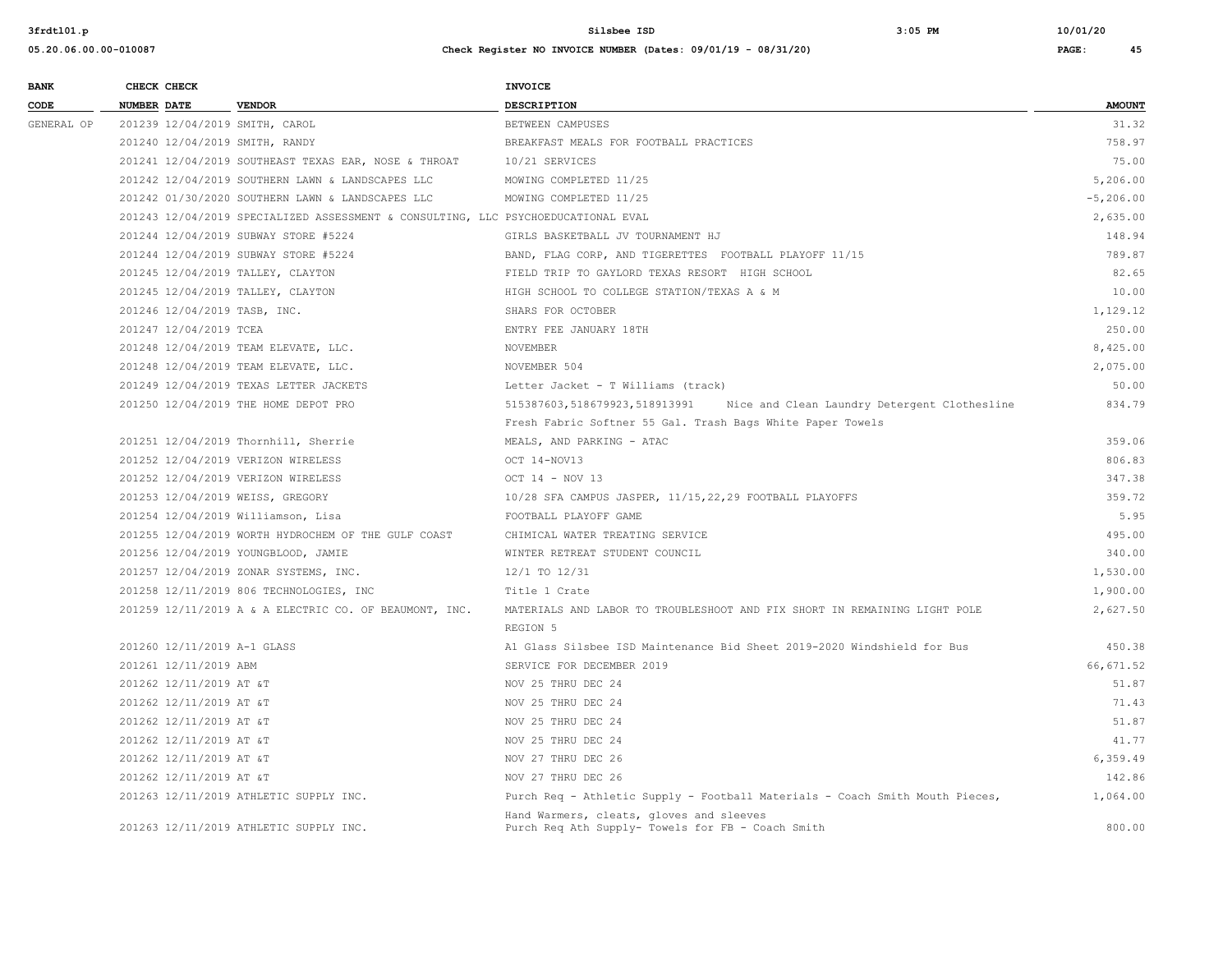| <b>BANK</b> |                    | CHECK CHECK                 |                                                                                   | <b>INVOICE</b>                                                                                |               |
|-------------|--------------------|-----------------------------|-----------------------------------------------------------------------------------|-----------------------------------------------------------------------------------------------|---------------|
| CODE        | <b>NUMBER DATE</b> |                             | <b>VENDOR</b>                                                                     | <b>DESCRIPTION</b>                                                                            | <b>AMOUNT</b> |
| GENERAL OP  |                    |                             | 201239 12/04/2019 SMITH, CAROL                                                    | BETWEEN CAMPUSES                                                                              | 31.32         |
|             |                    |                             | 201240 12/04/2019 SMITH, RANDY                                                    | BREAKFAST MEALS FOR FOOTBALL PRACTICES                                                        | 758.97        |
|             |                    |                             | 201241 12/04/2019 SOUTHEAST TEXAS EAR, NOSE & THROAT                              | 10/21 SERVICES                                                                                | 75.00         |
|             |                    |                             | 201242 12/04/2019 SOUTHERN LAWN & LANDSCAPES LLC                                  | MOWING COMPLETED 11/25                                                                        | 5,206.00      |
|             |                    |                             | 201242 01/30/2020 SOUTHERN LAWN & LANDSCAPES LLC                                  | MOWING COMPLETED 11/25                                                                        | $-5, 206.00$  |
|             |                    |                             | 201243 12/04/2019 SPECIALIZED ASSESSMENT & CONSULTING, LLC PSYCHOEDUCATIONAL EVAL |                                                                                               | 2,635.00      |
|             |                    |                             | 201244 12/04/2019 SUBWAY STORE #5224                                              | GIRLS BASKETBALL JV TOURNAMENT HJ                                                             | 148.94        |
|             |                    |                             | 201244 12/04/2019 SUBWAY STORE #5224                                              | BAND, FLAG CORP, AND TIGERETTES FOOTBALL PLAYOFF 11/15                                        | 789.87        |
|             |                    |                             | 201245 12/04/2019 TALLEY, CLAYTON                                                 | FIELD TRIP TO GAYLORD TEXAS RESORT HIGH SCHOOL                                                | 82.65         |
|             |                    |                             | 201245 12/04/2019 TALLEY, CLAYTON                                                 | HIGH SCHOOL TO COLLEGE STATION/TEXAS A & M                                                    | 10.00         |
|             |                    |                             | 201246 12/04/2019 TASB, INC.                                                      | SHARS FOR OCTOBER                                                                             | 1,129.12      |
|             |                    | 201247 12/04/2019 TCEA      |                                                                                   | ENTRY FEE JANUARY 18TH                                                                        | 250.00        |
|             |                    |                             | 201248 12/04/2019 TEAM ELEVATE, LLC.                                              | NOVEMBER                                                                                      | 8,425.00      |
|             |                    |                             | 201248 12/04/2019 TEAM ELEVATE, LLC.                                              | NOVEMBER 504                                                                                  | 2,075.00      |
|             |                    |                             | 201249 12/04/2019 TEXAS LETTER JACKETS                                            | Letter Jacket - T Williams (track)                                                            | 50.00         |
|             |                    |                             | 201250 12/04/2019 THE HOME DEPOT PRO                                              | Nice and Clean Laundry Detergent Clothesline<br>515387603,518679923,518913991                 | 834.79        |
|             |                    |                             |                                                                                   | Fresh Fabric Softner 55 Gal. Trash Bags White Paper Towels                                    |               |
|             |                    |                             | 201251 12/04/2019 Thornhill, Sherrie                                              | MEALS, AND PARKING - ATAC                                                                     | 359.06        |
|             |                    |                             | 201252 12/04/2019 VERIZON WIRELESS                                                | OCT 14-NOV13                                                                                  | 806.83        |
|             |                    |                             | 201252 12/04/2019 VERIZON WIRELESS                                                | OCT 14 - NOV 13                                                                               | 347.38        |
|             |                    |                             | 201253 12/04/2019 WEISS, GREGORY                                                  | 10/28 SFA CAMPUS JASPER, 11/15,22,29 FOOTBALL PLAYOFFS                                        | 359.72        |
|             |                    |                             | 201254 12/04/2019 Williamson, Lisa                                                | FOOTBALL PLAYOFF GAME                                                                         | 5.95          |
|             |                    |                             | 201255 12/04/2019 WORTH HYDROCHEM OF THE GULF COAST                               | CHIMICAL WATER TREATING SERVICE                                                               | 495.00        |
|             |                    |                             | 201256 12/04/2019 YOUNGBLOOD, JAMIE                                               | WINTER RETREAT STUDENT COUNCIL                                                                | 340.00        |
|             |                    |                             | 201257 12/04/2019 ZONAR SYSTEMS, INC.                                             | 12/1 TO 12/31                                                                                 | 1,530.00      |
|             |                    |                             | 201258 12/11/2019 806 TECHNOLOGIES, INC                                           | Title 1 Crate                                                                                 | 1,900.00      |
|             |                    |                             | 201259 12/11/2019 A & A ELECTRIC CO. OF BEAUMONT, INC.                            | MATERIALS AND LABOR TO TROUBLESHOOT AND FIX SHORT IN REMAINING LIGHT POLE                     | 2,627.50      |
|             |                    |                             |                                                                                   | REGION 5                                                                                      |               |
|             |                    | 201260 12/11/2019 A-1 GLASS |                                                                                   | Al Glass Silsbee ISD Maintenance Bid Sheet 2019-2020 Windshield for Bus                       | 450.38        |
|             |                    | 201261 12/11/2019 ABM       |                                                                                   | SERVICE FOR DECEMBER 2019                                                                     | 66, 671.52    |
|             |                    | 201262 12/11/2019 AT &T     |                                                                                   | NOV 25 THRU DEC 24                                                                            | 51.87         |
|             |                    | 201262 12/11/2019 AT &T     |                                                                                   | NOV 25 THRU DEC 24                                                                            | 71.43         |
|             |                    | 201262 12/11/2019 AT &T     |                                                                                   | NOV 25 THRU DEC 24                                                                            | 51.87         |
|             |                    | 201262 12/11/2019 AT &T     |                                                                                   | NOV 25 THRU DEC 24                                                                            | 41.77         |
|             |                    | 201262 12/11/2019 AT &T     |                                                                                   | NOV 27 THRU DEC 26                                                                            | 6,359.49      |
|             |                    | 201262 12/11/2019 AT &T     |                                                                                   | NOV 27 THRU DEC 26                                                                            | 142.86        |
|             |                    |                             | 201263 12/11/2019 ATHLETIC SUPPLY INC.                                            | Purch Req - Athletic Supply - Football Materials - Coach Smith Mouth Pieces,                  | 1,064.00      |
|             |                    |                             | 201263 12/11/2019 ATHLETIC SUPPLY INC.                                            | Hand Warmers, cleats, gloves and sleeves<br>Purch Req Ath Supply- Towels for FB - Coach Smith | 800.00        |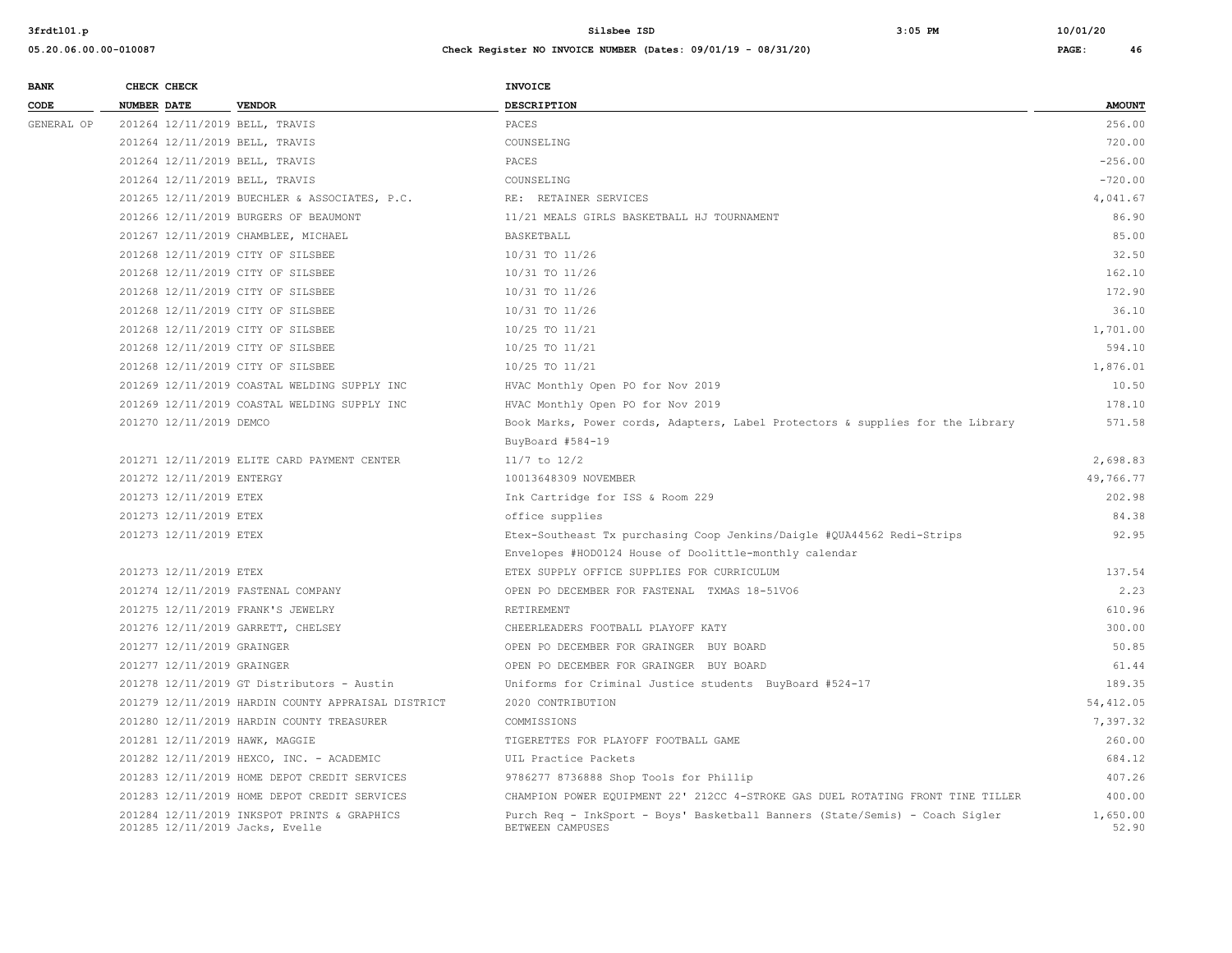| <b>BANK</b> | CHECK CHECK        |                            |                                                                                | <b>INVOICE</b>                                                                                   |                   |
|-------------|--------------------|----------------------------|--------------------------------------------------------------------------------|--------------------------------------------------------------------------------------------------|-------------------|
| CODE        | <b>NUMBER DATE</b> |                            | <b>VENDOR</b>                                                                  | DESCRIPTION                                                                                      | <b>AMOUNT</b>     |
| GENERAL OP  |                    |                            | 201264 12/11/2019 BELL, TRAVIS                                                 | PACES                                                                                            | 256.00            |
|             |                    |                            | 201264 12/11/2019 BELL, TRAVIS                                                 | COUNSELING                                                                                       | 720.00            |
|             |                    |                            | 201264 12/11/2019 BELL, TRAVIS                                                 | PACES                                                                                            | $-256.00$         |
|             |                    |                            | 201264 12/11/2019 BELL, TRAVIS                                                 | COUNSELING                                                                                       | $-720.00$         |
|             |                    |                            | 201265 12/11/2019 BUECHLER & ASSOCIATES, P.C.                                  | RE: RETAINER SERVICES                                                                            | 4,041.67          |
|             |                    |                            | 201266 12/11/2019 BURGERS OF BEAUMONT                                          | 11/21 MEALS GIRLS BASKETBALL HJ TOURNAMENT                                                       | 86.90             |
|             |                    |                            | 201267 12/11/2019 CHAMBLEE, MICHAEL                                            | BASKETBALL                                                                                       | 85.00             |
|             |                    |                            | 201268 12/11/2019 CITY OF SILSBEE                                              | 10/31 TO 11/26                                                                                   | 32.50             |
|             |                    |                            | 201268 12/11/2019 CITY OF SILSBEE                                              | 10/31 TO 11/26                                                                                   | 162.10            |
|             |                    |                            | 201268 12/11/2019 CITY OF SILSBEE                                              | 10/31 TO 11/26                                                                                   | 172.90            |
|             |                    |                            | 201268 12/11/2019 CITY OF SILSBEE                                              | 10/31 TO 11/26                                                                                   | 36.10             |
|             |                    |                            | 201268 12/11/2019 CITY OF SILSBEE                                              | 10/25 TO 11/21                                                                                   | 1,701.00          |
|             |                    |                            | 201268 12/11/2019 CITY OF SILSBEE                                              | 10/25 TO 11/21                                                                                   | 594.10            |
|             |                    |                            | 201268 12/11/2019 CITY OF SILSBEE                                              | 10/25 TO 11/21                                                                                   | 1,876.01          |
|             |                    |                            | 201269 12/11/2019 COASTAL WELDING SUPPLY INC                                   | HVAC Monthly Open PO for Nov 2019                                                                | 10.50             |
|             |                    |                            | 201269 12/11/2019 COASTAL WELDING SUPPLY INC                                   | HVAC Monthly Open PO for Nov 2019                                                                | 178.10            |
|             |                    | 201270 12/11/2019 DEMCO    |                                                                                | Book Marks, Power cords, Adapters, Label Protectors & supplies for the Library                   | 571.58            |
|             |                    |                            |                                                                                | BuyBoard #584-19                                                                                 |                   |
|             |                    |                            | 201271 12/11/2019 ELITE CARD PAYMENT CENTER                                    | $11/7$ to $12/2$                                                                                 | 2,698.83          |
|             |                    | 201272 12/11/2019 ENTERGY  |                                                                                | 10013648309 NOVEMBER                                                                             | 49,766.77         |
|             |                    | 201273 12/11/2019 ETEX     |                                                                                | Ink Cartridge for ISS & Room 229                                                                 | 202.98            |
|             |                    | 201273 12/11/2019 ETEX     |                                                                                | office supplies                                                                                  | 84.38             |
|             |                    | 201273 12/11/2019 ETEX     |                                                                                | Etex-Southeast Tx purchasing Coop Jenkins/Daigle #QUA44562 Redi-Strips                           | 92.95             |
|             |                    |                            |                                                                                | Envelopes #HOD0124 House of Doolittle-monthly calendar                                           |                   |
|             |                    | 201273 12/11/2019 ETEX     |                                                                                | ETEX SUPPLY OFFICE SUPPLIES FOR CURRICULUM                                                       | 137.54            |
|             |                    |                            | 201274 12/11/2019 FASTENAL COMPANY                                             | OPEN PO DECEMBER FOR FASTENAL TXMAS 18-51VO6                                                     | 2.23              |
|             |                    |                            | 201275 12/11/2019 FRANK'S JEWELRY                                              | RETIREMENT                                                                                       | 610.96            |
|             |                    |                            | 201276 12/11/2019 GARRETT, CHELSEY                                             | CHEERLEADERS FOOTBALL PLAYOFF KATY                                                               | 300.00            |
|             |                    | 201277 12/11/2019 GRAINGER |                                                                                | OPEN PO DECEMBER FOR GRAINGER BUY BOARD                                                          | 50.85             |
|             |                    | 201277 12/11/2019 GRAINGER |                                                                                | OPEN PO DECEMBER FOR GRAINGER BUY BOARD                                                          | 61.44             |
|             |                    |                            | 201278 12/11/2019 GT Distributors - Austin                                     | Uniforms for Criminal Justice students BuyBoard #524-17                                          | 189.35            |
|             |                    |                            | 201279 12/11/2019 HARDIN COUNTY APPRAISAL DISTRICT                             | 2020 CONTRIBUTION                                                                                | 54, 412.05        |
|             |                    |                            | 201280 12/11/2019 HARDIN COUNTY TREASURER                                      | COMMISSIONS                                                                                      | 7.397.32          |
|             |                    |                            | 201281 12/11/2019 HAWK, MAGGIE                                                 | TIGERETTES FOR PLAYOFF FOOTBALL GAME                                                             | 260.00            |
|             |                    |                            | 201282 12/11/2019 HEXCO, INC. - ACADEMIC                                       | UIL Practice Packets                                                                             | 684.12            |
|             |                    |                            | 201283 12/11/2019 HOME DEPOT CREDIT SERVICES                                   | 9786277 8736888 Shop Tools for Phillip                                                           | 407.26            |
|             |                    |                            | 201283 12/11/2019 HOME DEPOT CREDIT SERVICES                                   | CHAMPION POWER EQUIPMENT 22' 212CC 4-STROKE GAS DUEL ROTATING FRONT TINE TILLER                  | 400.00            |
|             |                    |                            | 201284 12/11/2019 INKSPOT PRINTS & GRAPHICS<br>201285 12/11/2019 Jacks, Evelle | Purch Req - InkSport - Boys' Basketball Banners (State/Semis) - Coach Sigler<br>BETWEEN CAMPUSES | 1,650.00<br>52.90 |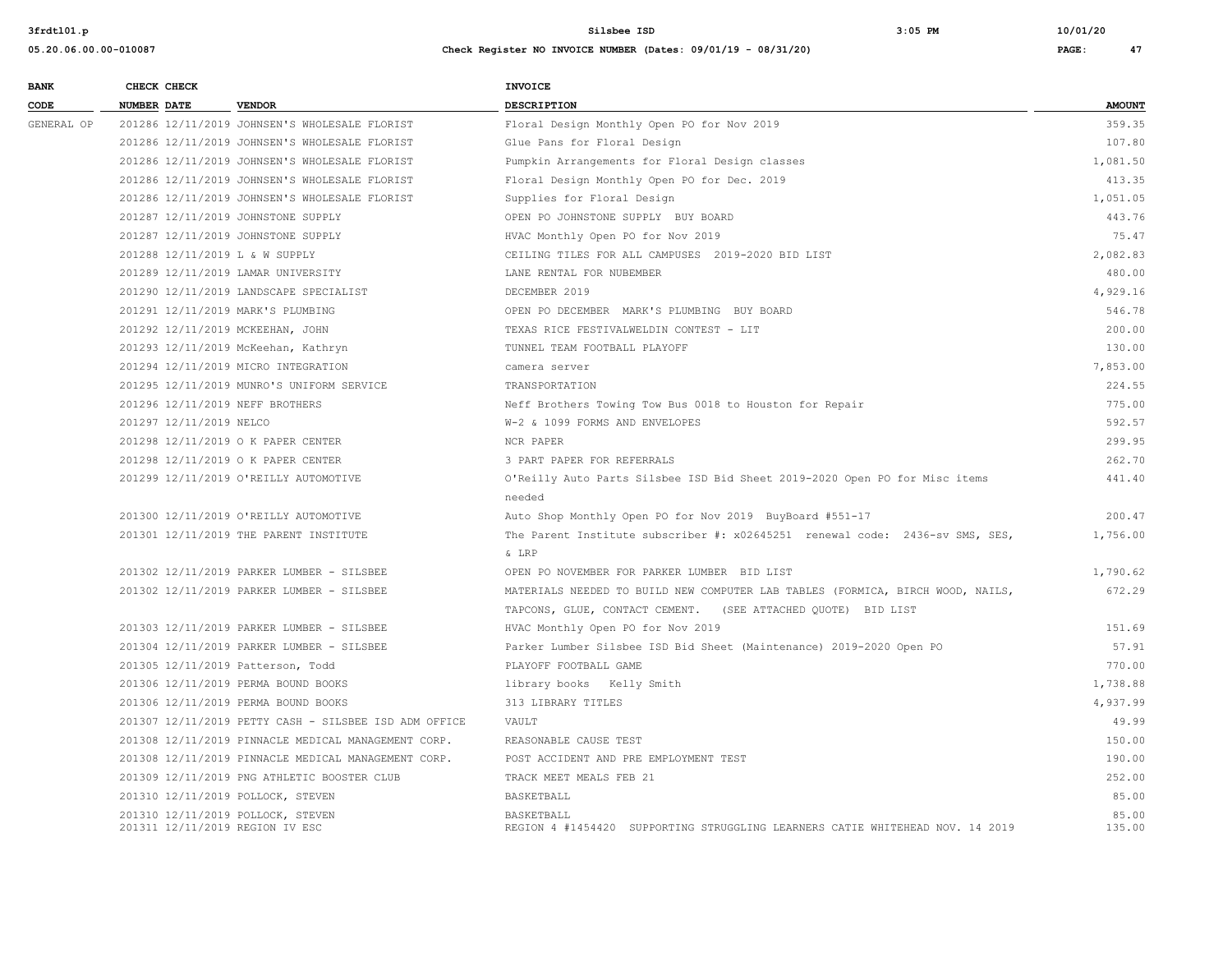| <b>BANK</b> | CHECK CHECK                                                          | <b>INVOICE</b>                                                                              |                 |
|-------------|----------------------------------------------------------------------|---------------------------------------------------------------------------------------------|-----------------|
| CODE        | <b>NUMBER DATE</b><br><b>VENDOR</b>                                  | <b>DESCRIPTION</b>                                                                          | <b>AMOUNT</b>   |
| GENERAL OP  | 201286 12/11/2019 JOHNSEN'S WHOLESALE FLORIST                        | Floral Design Monthly Open PO for Nov 2019                                                  | 359.35          |
|             | 201286 12/11/2019 JOHNSEN'S WHOLESALE FLORIST                        | Glue Pans for Floral Design                                                                 | 107.80          |
|             | 201286 12/11/2019 JOHNSEN'S WHOLESALE FLORIST                        | Pumpkin Arrangements for Floral Design classes                                              | 1,081.50        |
|             | 201286 12/11/2019 JOHNSEN'S WHOLESALE FLORIST                        | Floral Design Monthly Open PO for Dec. 2019                                                 | 413.35          |
|             | 201286 12/11/2019 JOHNSEN'S WHOLESALE FLORIST                        | Supplies for Floral Design                                                                  | 1,051.05        |
|             | 201287 12/11/2019 JOHNSTONE SUPPLY                                   | OPEN PO JOHNSTONE SUPPLY BUY BOARD                                                          | 443.76          |
|             | 201287 12/11/2019 JOHNSTONE SUPPLY                                   | HVAC Monthly Open PO for Nov 2019                                                           | 75.47           |
|             | 201288 12/11/2019 L & W SUPPLY                                       | CEILING TILES FOR ALL CAMPUSES 2019-2020 BID LIST                                           | 2,082.83        |
|             | 201289 12/11/2019 LAMAR UNIVERSITY                                   | LANE RENTAL FOR NUBEMBER                                                                    | 480.00          |
|             | 201290 12/11/2019 LANDSCAPE SPECIALIST                               | DECEMBER 2019                                                                               | 4,929.16        |
|             | 201291 12/11/2019 MARK'S PLUMBING                                    | OPEN PO DECEMBER MARK'S PLUMBING BUY BOARD                                                  | 546.78          |
|             | 201292 12/11/2019 MCKEEHAN, JOHN                                     | TEXAS RICE FESTIVALWELDIN CONTEST - LIT                                                     | 200.00          |
|             | 201293 12/11/2019 McKeehan, Kathryn                                  | TUNNEL TEAM FOOTBALL PLAYOFF                                                                | 130.00          |
|             | 201294 12/11/2019 MICRO INTEGRATION                                  | camera server                                                                               | 7,853.00        |
|             | 201295 12/11/2019 MUNRO'S UNIFORM SERVICE                            | TRANSPORTATION                                                                              | 224.55          |
|             | 201296 12/11/2019 NEFF BROTHERS                                      | Neff Brothers Towing Tow Bus 0018 to Houston for Repair                                     | 775.00          |
|             | 201297 12/11/2019 NELCO                                              | W-2 & 1099 FORMS AND ENVELOPES                                                              | 592.57          |
|             | 201298 12/11/2019 O K PAPER CENTER                                   | NCR PAPER                                                                                   | 299.95          |
|             | 201298 12/11/2019 O K PAPER CENTER                                   | 3 PART PAPER FOR REFERRALS                                                                  | 262.70          |
|             | 201299 12/11/2019 O'REILLY AUTOMOTIVE                                | O'Reilly Auto Parts Silsbee ISD Bid Sheet 2019-2020 Open PO for Misc items                  | 441.40          |
|             |                                                                      | needed                                                                                      |                 |
|             | 201300 12/11/2019 O'REILLY AUTOMOTIVE                                | Auto Shop Monthly Open PO for Nov 2019 BuyBoard #551-17                                     | 200.47          |
|             | 201301 12/11/2019 THE PARENT INSTITUTE                               | The Parent Institute subscriber #: x02645251 renewal code: 2436-sv SMS, SES,                | 1,756.00        |
|             |                                                                      | & LRP                                                                                       |                 |
|             | 201302 12/11/2019 PARKER LUMBER - SILSBEE                            | OPEN PO NOVEMBER FOR PARKER LUMBER BID LIST                                                 | 1,790.62        |
|             | 201302 12/11/2019 PARKER LUMBER - SILSBEE                            | MATERIALS NEEDED TO BUILD NEW COMPUTER LAB TABLES (FORMICA, BIRCH WOOD, NAILS,              | 672.29          |
|             |                                                                      | TAPCONS, GLUE, CONTACT CEMENT. (SEE ATTACHED QUOTE) BID LIST                                |                 |
|             | 201303 12/11/2019 PARKER LUMBER - SILSBEE                            | HVAC Monthly Open PO for Nov 2019                                                           | 151.69          |
|             | 201304 12/11/2019 PARKER LUMBER - SILSBEE                            | Parker Lumber Silsbee ISD Bid Sheet (Maintenance) 2019-2020 Open PO                         | 57.91           |
|             | 201305 12/11/2019 Patterson, Todd                                    | PLAYOFF FOOTBALL GAME                                                                       | 770.00          |
|             | 201306 12/11/2019 PERMA BOUND BOOKS                                  | library books Kelly Smith                                                                   | 1,738.88        |
|             | 201306 12/11/2019 PERMA BOUND BOOKS                                  | 313 LIBRARY TITLES                                                                          | 4,937.99        |
|             | 201307 12/11/2019 PETTY CASH - SILSBEE ISD ADM OFFICE                | VAULT                                                                                       | 49.99           |
|             | 201308 12/11/2019 PINNACLE MEDICAL MANAGEMENT CORP.                  | REASONABLE CAUSE TEST                                                                       | 150.00          |
|             | 201308 12/11/2019 PINNACLE MEDICAL MANAGEMENT CORP.                  | POST ACCIDENT AND PRE EMPLOYMENT TEST                                                       | 190.00          |
|             | 201309 12/11/2019 PNG ATHLETIC BOOSTER CLUB                          | TRACK MEET MEALS FEB 21                                                                     | 252.00          |
|             | 201310 12/11/2019 POLLOCK, STEVEN                                    | BASKETBALL                                                                                  | 85.00           |
|             | 201310 12/11/2019 POLLOCK, STEVEN<br>201311 12/11/2019 REGION IV ESC | BASKETBALL<br>REGION 4 #1454420 SUPPORTING STRUGGLING LEARNERS CATIE WHITEHEAD NOV. 14 2019 | 85.00<br>135.00 |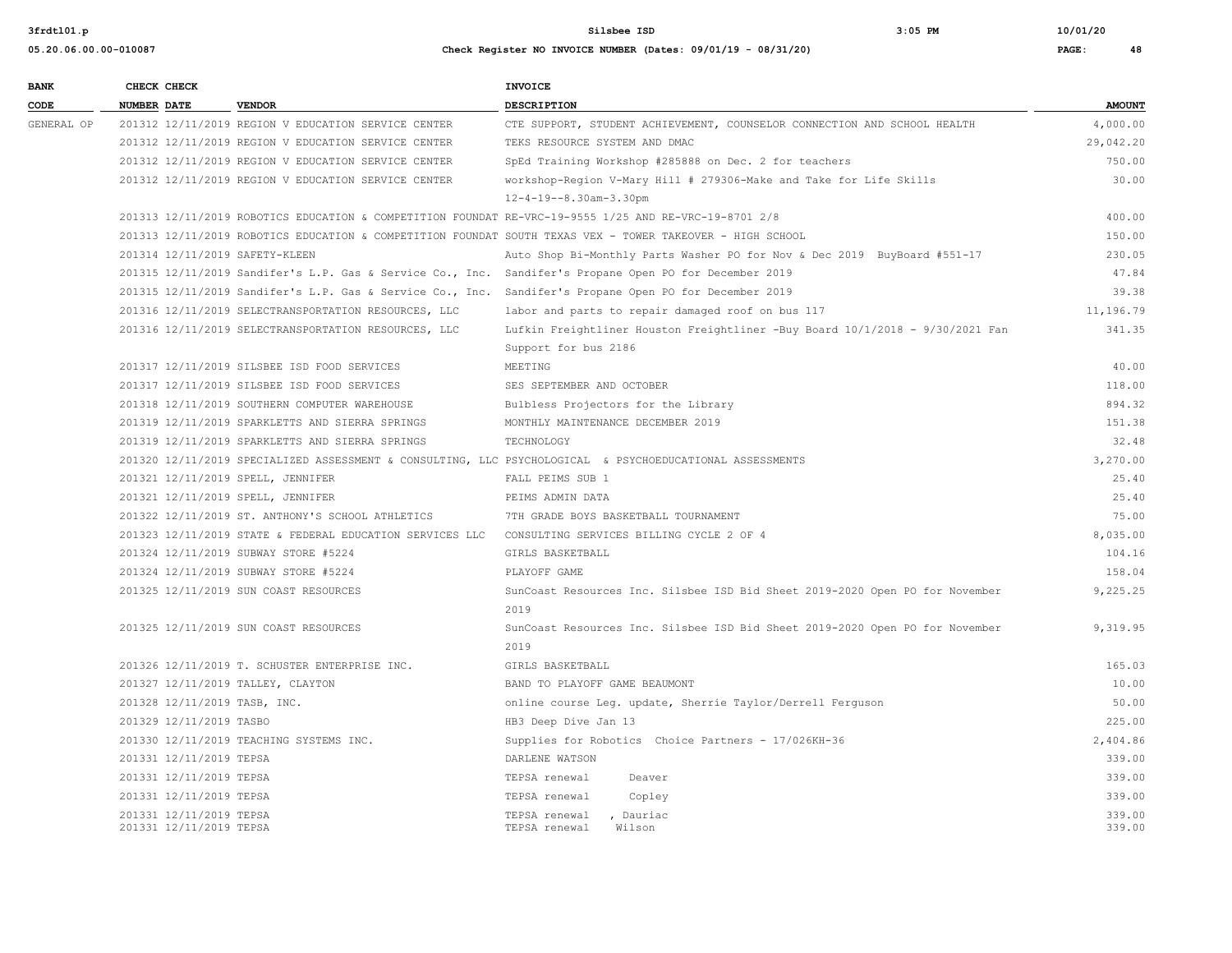**3frdtl01.p Silsbee ISD 3:05 PM 10/01/20**

| <b>BANK</b> | CHECK CHECK                                        |                                                          | <b>INVOICE</b>                                                                                            |                  |
|-------------|----------------------------------------------------|----------------------------------------------------------|-----------------------------------------------------------------------------------------------------------|------------------|
| CODE        | <b>NUMBER DATE</b>                                 | <b>VENDOR</b>                                            | <b>DESCRIPTION</b>                                                                                        | <b>AMOUNT</b>    |
| GENERAL OP  |                                                    | 201312 12/11/2019 REGION V EDUCATION SERVICE CENTER      | CTE SUPPORT, STUDENT ACHIEVEMENT, COUNSELOR CONNECTION AND SCHOOL HEALTH                                  | 4,000.00         |
|             |                                                    | 201312 12/11/2019 REGION V EDUCATION SERVICE CENTER      | TEKS RESOURCE SYSTEM AND DMAC                                                                             | 29,042.20        |
|             |                                                    | 201312 12/11/2019 REGION V EDUCATION SERVICE CENTER      | SpEd Training Workshop #285888 on Dec. 2 for teachers                                                     | 750.00           |
|             |                                                    | 201312 12/11/2019 REGION V EDUCATION SERVICE CENTER      | workshop-Region V-Mary Hill # 279306-Make and Take for Life Skills                                        | 30.00            |
|             |                                                    |                                                          | $12 - 4 - 19 - -8.30$ am-3.30pm                                                                           |                  |
|             |                                                    |                                                          | 201313 12/11/2019 ROBOTICS EDUCATION & COMPETITION FOUNDAT RE-VRC-19-9555 1/25 AND RE-VRC-19-8701 2/8     | 400.00           |
|             |                                                    |                                                          | 201313 12/11/2019 ROBOTICS EDUCATION & COMPETITION FOUNDAT SOUTH TEXAS VEX - TOWER TAKEOVER - HIGH SCHOOL | 150.00           |
|             | 201314 12/11/2019 SAFETY-KLEEN                     |                                                          | Auto Shop Bi-Monthly Parts Washer PO for Nov & Dec 2019 BuyBoard #551-17                                  | 230.05           |
|             |                                                    |                                                          | 201315 12/11/2019 Sandifer's L.P. Gas & Service Co., Inc. Sandifer's Propane Open PO for December 2019    | 47.84            |
|             |                                                    |                                                          | 201315 12/11/2019 Sandifer's L.P. Gas & Service Co., Inc. Sandifer's Propane Open PO for December 2019    | 39.38            |
|             |                                                    | 201316 12/11/2019 SELECTRANSPORTATION RESOURCES, LLC     | labor and parts to repair damaged roof on bus 117                                                         | 11,196.79        |
|             |                                                    | 201316 12/11/2019 SELECTRANSPORTATION RESOURCES, LLC     | Lufkin Freightliner Houston Freightliner -Buy Board 10/1/2018 - 9/30/2021 Fan                             | 341.35           |
|             |                                                    |                                                          | Support for bus 2186                                                                                      |                  |
|             |                                                    | 201317 12/11/2019 SILSBEE ISD FOOD SERVICES              | MEETING                                                                                                   | 40.00            |
|             |                                                    | 201317 12/11/2019 SILSBEE ISD FOOD SERVICES              | SES SEPTEMBER AND OCTOBER                                                                                 | 118.00           |
|             |                                                    | 201318 12/11/2019 SOUTHERN COMPUTER WAREHOUSE            | Bulbless Projectors for the Library                                                                       | 894.32           |
|             |                                                    | 201319 12/11/2019 SPARKLETTS AND SIERRA SPRINGS          | MONTHLY MAINTENANCE DECEMBER 2019                                                                         | 151.38           |
|             |                                                    | 201319 12/11/2019 SPARKLETTS AND SIERRA SPRINGS          | TECHNOLOGY                                                                                                | 32.48            |
|             |                                                    |                                                          | 201320 12/11/2019 SPECIALIZED ASSESSMENT & CONSULTING, LLC PSYCHOLOGICAL & PSYCHOEDUCATIONAL ASSESSMENTS  | 3,270.00         |
|             | 201321 12/11/2019 SPELL, JENNIFER                  |                                                          | FALL PEIMS SUB 1                                                                                          | 25.40            |
|             | 201321 12/11/2019 SPELL, JENNIFER                  |                                                          | PEIMS ADMIN DATA                                                                                          | 25.40            |
|             |                                                    | 201322 12/11/2019 ST. ANTHONY'S SCHOOL ATHLETICS         | 7TH GRADE BOYS BASKETBALL TOURNAMENT                                                                      | 75.00            |
|             |                                                    | 201323 12/11/2019 STATE & FEDERAL EDUCATION SERVICES LLC | CONSULTING SERVICES BILLING CYCLE 2 OF 4                                                                  | 8,035.00         |
|             |                                                    | 201324 12/11/2019 SUBWAY STORE #5224                     | GIRLS BASKETBALL                                                                                          | 104.16           |
|             |                                                    | 201324 12/11/2019 SUBWAY STORE #5224                     | PLAYOFF GAME                                                                                              | 158.04           |
|             |                                                    | 201325 12/11/2019 SUN COAST RESOURCES                    | SunCoast Resources Inc. Silsbee ISD Bid Sheet 2019-2020 Open PO for November                              | 9,225.25         |
|             |                                                    |                                                          | 2019                                                                                                      |                  |
|             |                                                    | 201325 12/11/2019 SUN COAST RESOURCES                    | SunCoast Resources Inc. Silsbee ISD Bid Sheet 2019-2020 Open PO for November                              | 9,319.95         |
|             |                                                    |                                                          | 2019                                                                                                      |                  |
|             |                                                    | 201326 12/11/2019 T. SCHUSTER ENTERPRISE INC.            | GIRLS BASKETBALL                                                                                          | 165.03           |
|             | 201327 12/11/2019 TALLEY, CLAYTON                  |                                                          | BAND TO PLAYOFF GAME BEAUMONT                                                                             | 10.00            |
|             | 201328 12/11/2019 TASB, INC.                       |                                                          | online course Leg. update, Sherrie Taylor/Derrell Ferguson                                                | 50.00            |
|             | 201329 12/11/2019 TASBO                            |                                                          | HB3 Deep Dive Jan 13                                                                                      | 225.00           |
|             |                                                    | 201330 12/11/2019 TEACHING SYSTEMS INC.                  | Supplies for Robotics Choice Partners - 17/026KH-36                                                       | 2,404.86         |
|             | 201331 12/11/2019 TEPSA                            |                                                          | DARLENE WATSON                                                                                            | 339.00           |
|             | 201331 12/11/2019 TEPSA                            |                                                          | TEPSA renewal<br>Deaver                                                                                   | 339.00           |
|             | 201331 12/11/2019 TEPSA                            |                                                          | TEPSA renewal<br>Copley                                                                                   | 339.00           |
|             | 201331 12/11/2019 TEPSA<br>201331 12/11/2019 TEPSA |                                                          | TEPSA renewal<br>, Dauriac<br>TEPSA renewal<br>Wilson                                                     | 339.00<br>339.00 |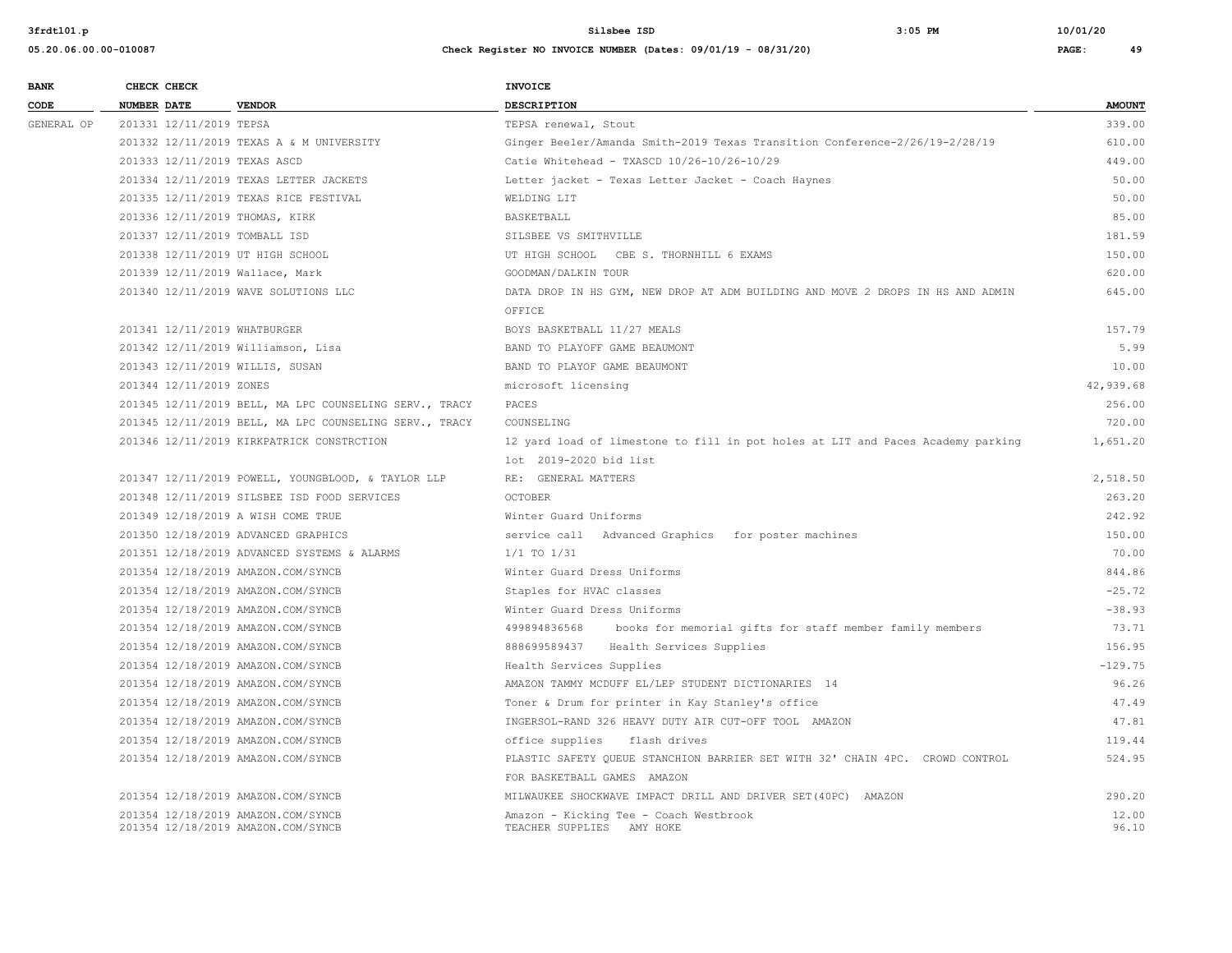| <b>BANK</b> | CHECK CHECK             |                                                                          | <b>INVOICE</b>                                                                                              |                |
|-------------|-------------------------|--------------------------------------------------------------------------|-------------------------------------------------------------------------------------------------------------|----------------|
| CODE        | <b>NUMBER DATE</b>      | <b>VENDOR</b>                                                            | DESCRIPTION                                                                                                 | <b>AMOUNT</b>  |
| GENERAL OP  | 201331 12/11/2019 TEPSA |                                                                          | TEPSA renewal, Stout                                                                                        | 339.00         |
|             |                         | 201332 12/11/2019 TEXAS A & M UNIVERSITY                                 | Ginger Beeler/Amanda Smith-2019 Texas Transition Conference-2/26/19-2/28/19                                 | 610.00         |
|             |                         | 201333 12/11/2019 TEXAS ASCD                                             | Catie Whitehead - TXASCD 10/26-10/26-10/29                                                                  | 449.00         |
|             |                         | 201334 12/11/2019 TEXAS LETTER JACKETS                                   | Letter jacket - Texas Letter Jacket - Coach Haynes                                                          | 50.00          |
|             |                         | 201335 12/11/2019 TEXAS RICE FESTIVAL                                    | WELDING LIT                                                                                                 | 50.00          |
|             |                         | 201336 12/11/2019 THOMAS, KIRK                                           | <b>BASKETBALL</b>                                                                                           | 85.00          |
|             |                         | 201337 12/11/2019 TOMBALL ISD                                            | SILSBEE VS SMITHVILLE                                                                                       | 181.59         |
|             |                         | 201338 12/11/2019 UT HIGH SCHOOL                                         | UT HIGH SCHOOL CBE S. THORNHILL 6 EXAMS                                                                     | 150.00         |
|             |                         | 201339 12/11/2019 Wallace, Mark                                          | GOODMAN/DALKIN TOUR                                                                                         | 620.00         |
|             |                         | 201340 12/11/2019 WAVE SOLUTIONS LLC                                     | DATA DROP IN HS GYM, NEW DROP AT ADM BUILDING AND MOVE 2 DROPS IN HS AND ADMIN                              | 645.00         |
|             |                         |                                                                          | OFFICE                                                                                                      |                |
|             |                         | 201341 12/11/2019 WHATBURGER                                             | BOYS BASKETBALL 11/27 MEALS                                                                                 | 157.79         |
|             |                         | 201342 12/11/2019 Williamson, Lisa                                       | BAND TO PLAYOFF GAME BEAUMONT                                                                               | 5.99           |
|             |                         | 201343 12/11/2019 WILLIS, SUSAN                                          | BAND TO PLAYOF GAME BEAUMONT                                                                                | 10.00          |
|             | 201344 12/11/2019 ZONES |                                                                          | microsoft licensing                                                                                         | 42,939.68      |
|             |                         | 201345 12/11/2019 BELL, MA LPC COUNSELING SERV., TRACY                   | PACES                                                                                                       | 256.00         |
|             |                         | 201345 12/11/2019 BELL, MA LPC COUNSELING SERV., TRACY                   | COUNSELING                                                                                                  | 720.00         |
|             |                         | 201346 12/11/2019 KIRKPATRICK CONSTRCTION                                | 12 yard load of limestone to fill in pot holes at LIT and Paces Academy parking                             | 1,651.20       |
|             |                         |                                                                          | lot 2019-2020 bid list                                                                                      |                |
|             |                         | 201347 12/11/2019 POWELL, YOUNGBLOOD, & TAYLOR LLP                       | RE: GENERAL MATTERS                                                                                         | 2,518.50       |
|             |                         | 201348 12/11/2019 SILSBEE ISD FOOD SERVICES                              | <b>OCTOBER</b>                                                                                              | 263.20         |
|             |                         | 201349 12/18/2019 A WISH COME TRUE                                       | Winter Guard Uniforms                                                                                       | 242.92         |
|             |                         | 201350 12/18/2019 ADVANCED GRAPHICS                                      | service call Advanced Graphics for poster machines                                                          | 150.00         |
|             |                         | 201351 12/18/2019 ADVANCED SYSTEMS & ALARMS                              | $1/1$ TO $1/31$                                                                                             | 70.00          |
|             |                         | 201354 12/18/2019 AMAZON.COM/SYNCB                                       | Winter Guard Dress Uniforms                                                                                 | 844.86         |
|             |                         | 201354 12/18/2019 AMAZON.COM/SYNCB                                       | Staples for HVAC classes                                                                                    | $-25.72$       |
|             |                         | 201354 12/18/2019 AMAZON.COM/SYNCB                                       | Winter Guard Dress Uniforms                                                                                 | $-38.93$       |
|             |                         | 201354 12/18/2019 AMAZON.COM/SYNCB                                       | 499894836568<br>books for memorial gifts for staff member family members                                    | 73.71          |
|             |                         | 201354 12/18/2019 AMAZON.COM/SYNCB                                       | 888699589437 Health Services Supplies                                                                       | 156.95         |
|             |                         | 201354 12/18/2019 AMAZON.COM/SYNCB                                       | Health Services Supplies                                                                                    | $-129.75$      |
|             |                         | 201354 12/18/2019 AMAZON.COM/SYNCB                                       | AMAZON TAMMY MCDUFF EL/LEP STUDENT DICTIONARIES 14                                                          | 96.26          |
|             |                         | 201354 12/18/2019 AMAZON.COM/SYNCB                                       | Toner & Drum for printer in Kay Stanley's office                                                            | 47.49          |
|             |                         | 201354 12/18/2019 AMAZON.COM/SYNCB                                       | INGERSOL-RAND 326 HEAVY DUTY AIR CUT-OFF TOOL AMAZON                                                        | 47.81          |
|             |                         | 201354 12/18/2019 AMAZON.COM/SYNCB                                       | office supplies<br>flash drives                                                                             | 119.44         |
|             |                         | 201354 12/18/2019 AMAZON.COM/SYNCB                                       | PLASTIC SAFETY QUEUE STANCHION BARRIER SET WITH 32' CHAIN 4PC. CROWD CONTROL<br>FOR BASKETBALL GAMES AMAZON | 524.95         |
|             |                         | 201354 12/18/2019 AMAZON.COM/SYNCB                                       | MILWAUKEE SHOCKWAVE IMPACT DRILL AND DRIVER SET (40PC) AMAZON                                               | 290.20         |
|             |                         | 201354 12/18/2019 AMAZON.COM/SYNCB<br>201354 12/18/2019 AMAZON.COM/SYNCB | Amazon - Kicking Tee - Coach Westbrook<br>TEACHER SUPPLIES AMY HOKE                                         | 12.00<br>96.10 |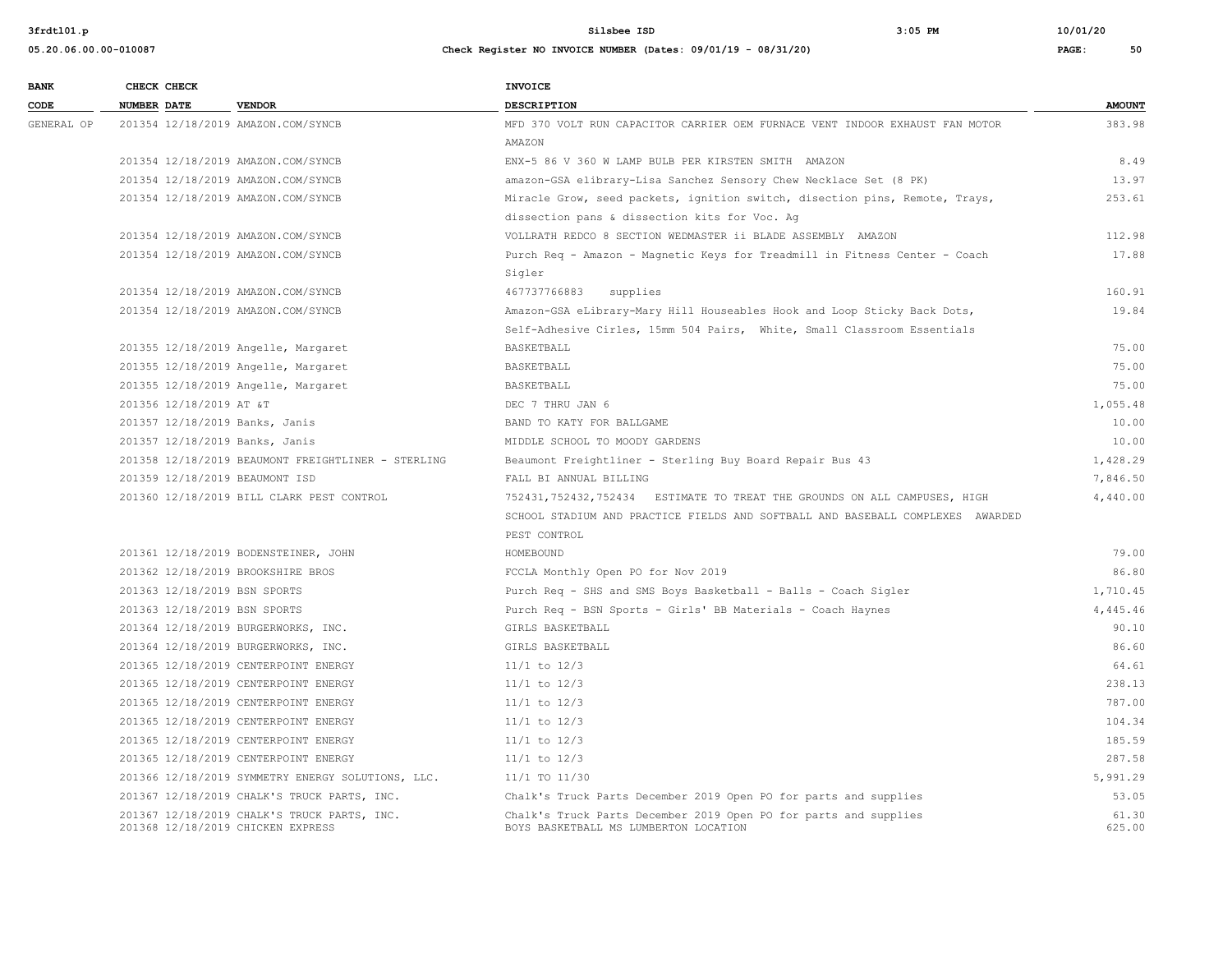| <b>BANK</b> | CHECK CHECK                        |                                                    | <b>INVOICE</b>                                                                                            |                 |
|-------------|------------------------------------|----------------------------------------------------|-----------------------------------------------------------------------------------------------------------|-----------------|
| CODE        | <b>NUMBER DATE</b>                 | <b>VENDOR</b>                                      | <b>DESCRIPTION</b>                                                                                        | <b>AMOUNT</b>   |
| GENERAL OP  | 201354 12/18/2019 AMAZON.COM/SYNCB |                                                    | MFD 370 VOLT RUN CAPACITOR CARRIER OEM FURNACE VENT INDOOR EXHAUST FAN MOTOR                              | 383.98          |
|             |                                    |                                                    | AMAZON                                                                                                    |                 |
|             | 201354 12/18/2019 AMAZON.COM/SYNCB |                                                    | ENX-5 86 V 360 W LAMP BULB PER KIRSTEN SMITH AMAZON                                                       | 8.49            |
|             | 201354 12/18/2019 AMAZON.COM/SYNCB |                                                    | amazon-GSA elibrary-Lisa Sanchez Sensory Chew Necklace Set (8 PK)                                         | 13.97           |
|             | 201354 12/18/2019 AMAZON.COM/SYNCB |                                                    | Miracle Grow, seed packets, ignition switch, disection pins, Remote, Trays,                               | 253.61          |
|             |                                    |                                                    | dissection pans & dissection kits for Voc. Ag                                                             |                 |
|             | 201354 12/18/2019 AMAZON.COM/SYNCB |                                                    | VOLLRATH REDCO 8 SECTION WEDMASTER ii BLADE ASSEMBLY AMAZON                                               | 112.98          |
|             | 201354 12/18/2019 AMAZON.COM/SYNCB |                                                    | Purch Req - Amazon - Magnetic Keys for Treadmill in Fitness Center - Coach                                | 17.88           |
|             |                                    |                                                    | Sigler                                                                                                    |                 |
|             | 201354 12/18/2019 AMAZON.COM/SYNCB |                                                    | 467737766883<br>supplies                                                                                  | 160.91          |
|             | 201354 12/18/2019 AMAZON.COM/SYNCB |                                                    | Amazon-GSA eLibrary-Mary Hill Houseables Hook and Loop Sticky Back Dots,                                  | 19.84           |
|             |                                    |                                                    | Self-Adhesive Cirles, 15mm 504 Pairs, White, Small Classroom Essentials                                   |                 |
|             |                                    | 201355 12/18/2019 Angelle, Margaret                | BASKETBALL                                                                                                | 75.00           |
|             |                                    | 201355 12/18/2019 Angelle, Margaret                | BASKETBALL                                                                                                | 75.00           |
|             |                                    | 201355 12/18/2019 Angelle, Margaret                | BASKETBALL                                                                                                | 75.00           |
|             | 201356 12/18/2019 AT &T            |                                                    | DEC 7 THRU JAN 6                                                                                          | 1,055.48        |
|             | 201357 12/18/2019 Banks, Janis     |                                                    | BAND TO KATY FOR BALLGAME                                                                                 | 10.00           |
|             | 201357 12/18/2019 Banks, Janis     |                                                    | MIDDLE SCHOOL TO MOODY GARDENS                                                                            | 10.00           |
|             |                                    | 201358 12/18/2019 BEAUMONT FREIGHTLINER - STERLING | Beaumont Freightliner - Sterling Buy Board Repair Bus 43                                                  | 1,428.29        |
|             | 201359 12/18/2019 BEAUMONT ISD     |                                                    | FALL BI ANNUAL BILLING                                                                                    | 7,846.50        |
|             |                                    | 201360 12/18/2019 BILL CLARK PEST CONTROL          | 752431,752432,752434 ESTIMATE TO TREAT THE GROUNDS ON ALL CAMPUSES, HIGH                                  | 4,440.00        |
|             |                                    |                                                    | SCHOOL STADIUM AND PRACTICE FIELDS AND SOFTBALL AND BASEBALL COMPLEXES AWARDED                            |                 |
|             |                                    |                                                    | PEST CONTROL                                                                                              |                 |
|             |                                    | 201361 12/18/2019 BODENSTEINER, JOHN               | HOMEBOUND                                                                                                 | 79.00           |
|             | 201362 12/18/2019 BROOKSHIRE BROS  |                                                    | FCCLA Monthly Open PO for Nov 2019                                                                        | 86.80           |
|             | 201363 12/18/2019 BSN SPORTS       |                                                    | Purch Req - SHS and SMS Boys Basketball - Balls - Coach Sigler                                            | 1,710.45        |
|             | 201363 12/18/2019 BSN SPORTS       |                                                    | Purch Req - BSN Sports - Girls' BB Materials - Coach Haynes                                               | 4,445.46        |
|             |                                    | 201364 12/18/2019 BURGERWORKS, INC.                | GIRLS BASKETBALL                                                                                          | 90.10           |
|             |                                    | 201364 12/18/2019 BURGERWORKS, INC.                | GIRLS BASKETBALL                                                                                          | 86.60           |
|             |                                    | 201365 12/18/2019 CENTERPOINT ENERGY               | $11/1$ to $12/3$                                                                                          | 64.61           |
|             |                                    | 201365 12/18/2019 CENTERPOINT ENERGY               | $11/1$ to $12/3$                                                                                          | 238.13          |
|             |                                    | 201365 12/18/2019 CENTERPOINT ENERGY               | $11/1$ to $12/3$                                                                                          | 787.00          |
|             |                                    | 201365 12/18/2019 CENTERPOINT ENERGY               | $11/1$ to $12/3$                                                                                          | 104.34          |
|             |                                    | 201365 12/18/2019 CENTERPOINT ENERGY               | $11/1$ to $12/3$                                                                                          | 185.59          |
|             |                                    | 201365 12/18/2019 CENTERPOINT ENERGY               | $11/1$ to $12/3$                                                                                          | 287.58          |
|             |                                    | 201366 12/18/2019 SYMMETRY ENERGY SOLUTIONS, LLC.  | 11/1 TO 11/30                                                                                             | 5,991.29        |
|             |                                    | 201367 12/18/2019 CHALK'S TRUCK PARTS, INC.        | Chalk's Truck Parts December 2019 Open PO for parts and supplies                                          | 53.05           |
|             | 201368 12/18/2019 CHICKEN EXPRESS  | 201367 12/18/2019 CHALK'S TRUCK PARTS, INC.        | Chalk's Truck Parts December 2019 Open PO for parts and supplies<br>BOYS BASKETBALL MS LUMBERTON LOCATION | 61.30<br>625.00 |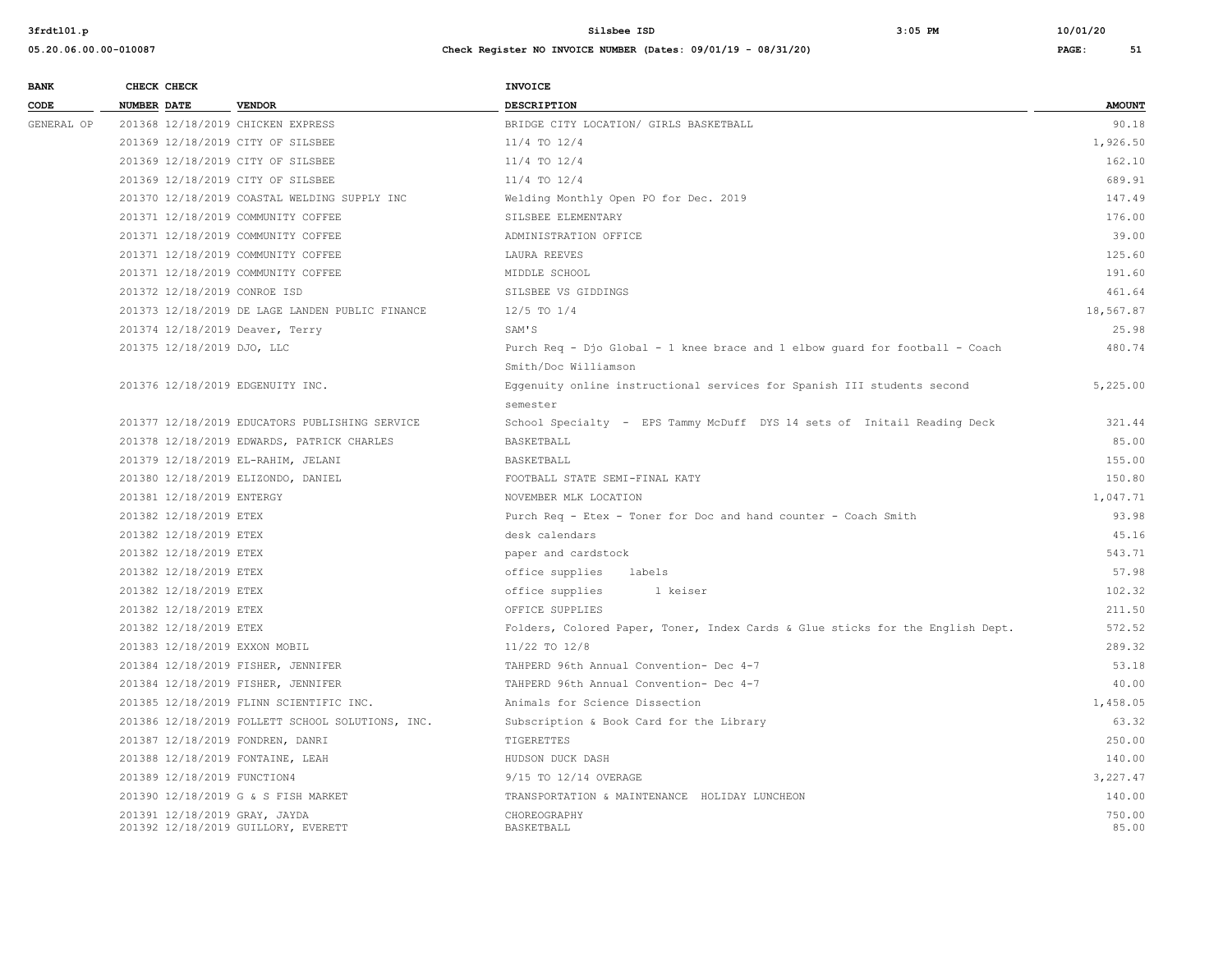| <b>BANK</b> |                    | CHECK CHECK                 |                                                                      | <b>INVOICE</b>                                                                 |                 |
|-------------|--------------------|-----------------------------|----------------------------------------------------------------------|--------------------------------------------------------------------------------|-----------------|
| CODE        | <b>NUMBER DATE</b> |                             | <b>VENDOR</b>                                                        | <b>DESCRIPTION</b>                                                             | <b>AMOUNT</b>   |
| GENERAL OP  |                    |                             | 201368 12/18/2019 CHICKEN EXPRESS                                    | BRIDGE CITY LOCATION/ GIRLS BASKETBALL                                         | 90.18           |
|             |                    |                             | 201369 12/18/2019 CITY OF SILSBEE                                    | $11/4$ TO $12/4$                                                               | 1,926.50        |
|             |                    |                             | 201369 12/18/2019 CITY OF SILSBEE                                    | $11/4$ TO $12/4$                                                               | 162.10          |
|             |                    |                             | 201369 12/18/2019 CITY OF SILSBEE                                    | $11/4$ TO $12/4$                                                               | 689.91          |
|             |                    |                             | 201370 12/18/2019 COASTAL WELDING SUPPLY INC                         | Welding Monthly Open PO for Dec. 2019                                          | 147.49          |
|             |                    |                             | 201371 12/18/2019 COMMUNITY COFFEE                                   | SILSBEE ELEMENTARY                                                             | 176.00          |
|             |                    |                             | 201371 12/18/2019 COMMUNITY COFFEE                                   | ADMINISTRATION OFFICE                                                          | 39.00           |
|             |                    |                             | 201371 12/18/2019 COMMUNITY COFFEE                                   | LAURA REEVES                                                                   | 125.60          |
|             |                    |                             | 201371 12/18/2019 COMMUNITY COFFEE                                   | MIDDLE SCHOOL                                                                  | 191.60          |
|             |                    |                             | 201372 12/18/2019 CONROE ISD                                         | SILSBEE VS GIDDINGS                                                            | 461.64          |
|             |                    |                             | 201373 12/18/2019 DE LAGE LANDEN PUBLIC FINANCE                      | $12/5$ TO $1/4$                                                                | 18,567.87       |
|             |                    |                             | 201374 12/18/2019 Deaver, Terry                                      | SAM'S                                                                          | 25.98           |
|             |                    | 201375 12/18/2019 DJO, LLC  |                                                                      | Purch Req - Djo Global - 1 knee brace and 1 elbow guard for football - Coach   | 480.74          |
|             |                    |                             |                                                                      | Smith/Doc Williamson                                                           |                 |
|             |                    |                             | 201376 12/18/2019 EDGENUITY INC.                                     | Eggenuity online instructional services for Spanish III students second        | 5,225.00        |
|             |                    |                             |                                                                      | semester                                                                       |                 |
|             |                    |                             | 201377 12/18/2019 EDUCATORS PUBLISHING SERVICE                       | School Specialty - EPS Tammy McDuff DYS 14 sets of Initail Reading Deck        | 321.44          |
|             |                    |                             | 201378 12/18/2019 EDWARDS, PATRICK CHARLES                           | BASKETBALL                                                                     | 85.00           |
|             |                    |                             | 201379 12/18/2019 EL-RAHIM, JELANI                                   | BASKETBALL                                                                     | 155.00          |
|             |                    |                             | 201380 12/18/2019 ELIZONDO, DANIEL                                   | FOOTBALL STATE SEMI-FINAL KATY                                                 | 150.80          |
|             |                    | 201381 12/18/2019 ENTERGY   |                                                                      | NOVEMBER MLK LOCATION                                                          | 1,047.71        |
|             |                    | 201382 12/18/2019 ETEX      |                                                                      | Purch Req - Etex - Toner for Doc and hand counter - Coach Smith                | 93.98           |
|             |                    | 201382 12/18/2019 ETEX      |                                                                      | desk calendars                                                                 | 45.16           |
|             |                    | 201382 12/18/2019 ETEX      |                                                                      | paper and cardstock                                                            | 543.71          |
|             |                    | 201382 12/18/2019 ETEX      |                                                                      | office supplies<br>labels                                                      | 57.98           |
|             |                    | 201382 12/18/2019 ETEX      |                                                                      | office supplies<br>1 keiser                                                    | 102.32          |
|             |                    | 201382 12/18/2019 ETEX      |                                                                      | OFFICE SUPPLIES                                                                | 211.50          |
|             |                    | 201382 12/18/2019 ETEX      |                                                                      | Folders, Colored Paper, Toner, Index Cards & Glue sticks for the English Dept. | 572.52          |
|             |                    |                             | 201383 12/18/2019 EXXON MOBIL                                        | 11/22 TO 12/8                                                                  | 289.32          |
|             |                    |                             | 201384 12/18/2019 FISHER, JENNIFER                                   | TAHPERD 96th Annual Convention- Dec 4-7                                        | 53.18           |
|             |                    |                             | 201384 12/18/2019 FISHER, JENNIFER                                   | TAHPERD 96th Annual Convention- Dec 4-7                                        | 40.00           |
|             |                    |                             | 201385 12/18/2019 FLINN SCIENTIFIC INC.                              | Animals for Science Dissection                                                 | 1,458.05        |
|             |                    |                             | 201386 12/18/2019 FOLLETT SCHOOL SOLUTIONS, INC.                     | Subscription & Book Card for the Library                                       | 63.32           |
|             |                    |                             | 201387 12/18/2019 FONDREN, DANRI                                     | TIGERETTES                                                                     | 250.00          |
|             |                    |                             | 201388 12/18/2019 FONTAINE, LEAH                                     | HUDSON DUCK DASH                                                               | 140.00          |
|             |                    | 201389 12/18/2019 FUNCTION4 |                                                                      | 9/15 TO 12/14 OVERAGE                                                          | 3,227.47        |
|             |                    |                             | 201390 12/18/2019 G & S FISH MARKET                                  | TRANSPORTATION & MAINTENANCE HOLIDAY LUNCHEON                                  | 140.00          |
|             |                    |                             | 201391 12/18/2019 GRAY, JAYDA<br>201392 12/18/2019 GUILLORY, EVERETT | CHOREOGRAPHY<br>BASKETBALL                                                     | 750.00<br>85.00 |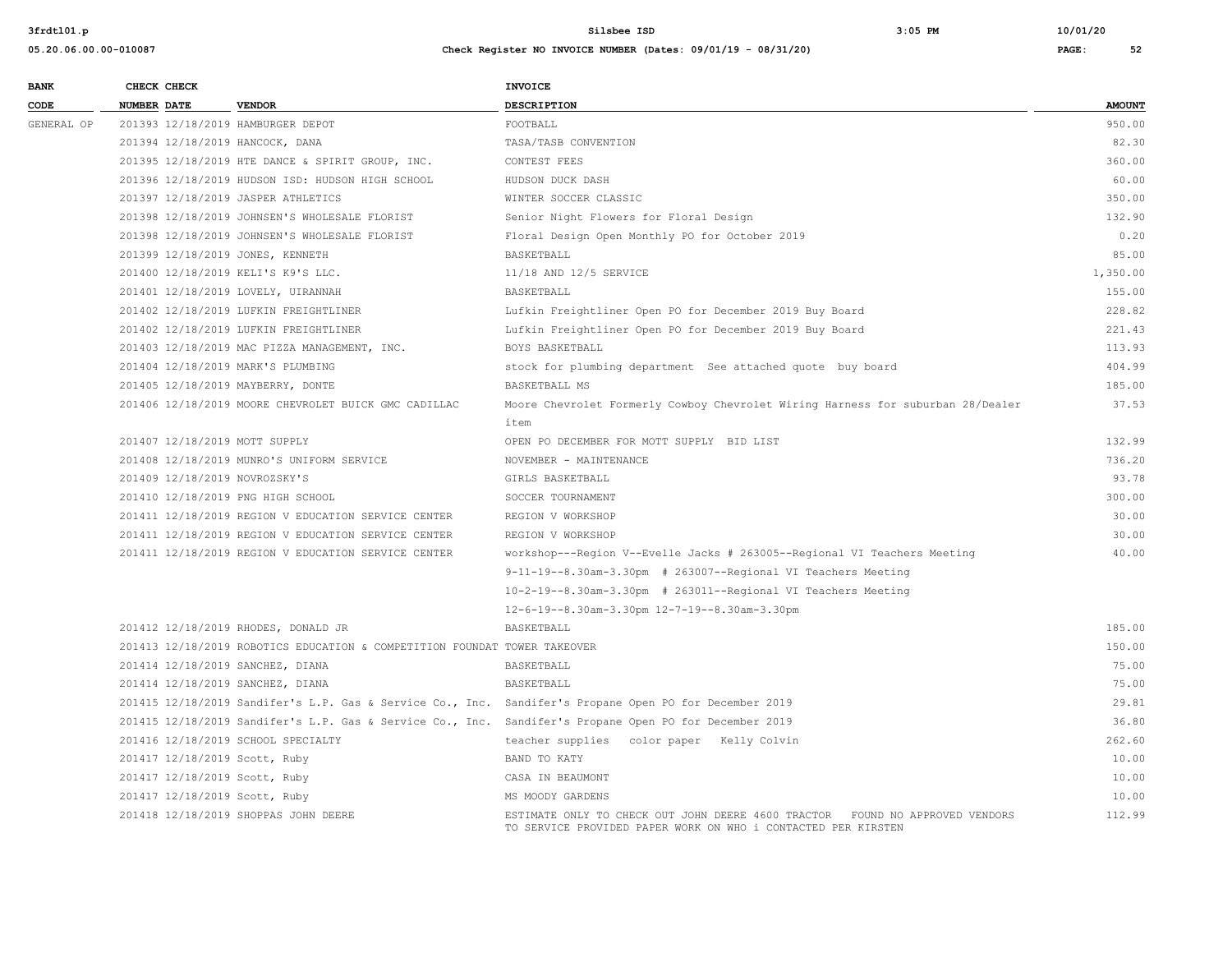| <b>BANK</b> | CHECK CHECK                       |                                                                           | INVOICE                                                                                                                                       |               |
|-------------|-----------------------------------|---------------------------------------------------------------------------|-----------------------------------------------------------------------------------------------------------------------------------------------|---------------|
| CODE        | NUMBER DATE                       | <b>VENDOR</b>                                                             | <b>DESCRIPTION</b>                                                                                                                            | <b>AMOUNT</b> |
| GENERAL OP  | 201393 12/18/2019 HAMBURGER DEPOT |                                                                           | FOOTBALL                                                                                                                                      | 950.00        |
|             | 201394 12/18/2019 HANCOCK, DANA   |                                                                           | TASA/TASB CONVENTION                                                                                                                          | 82.30         |
|             |                                   | 201395 12/18/2019 HTE DANCE & SPIRIT GROUP, INC.                          | CONTEST FEES                                                                                                                                  | 360.00        |
|             |                                   | 201396 12/18/2019 HUDSON ISD: HUDSON HIGH SCHOOL                          | HUDSON DUCK DASH                                                                                                                              | 60.00         |
|             |                                   | 201397 12/18/2019 JASPER ATHLETICS                                        | WINTER SOCCER CLASSIC                                                                                                                         | 350.00        |
|             |                                   | 201398 12/18/2019 JOHNSEN'S WHOLESALE FLORIST                             | Senior Night Flowers for Floral Design                                                                                                        | 132.90        |
|             |                                   | 201398 12/18/2019 JOHNSEN'S WHOLESALE FLORIST                             | Floral Design Open Monthly PO for October 2019                                                                                                | 0.20          |
|             | 201399 12/18/2019 JONES, KENNETH  |                                                                           | BASKETBALL                                                                                                                                    | 85.00         |
|             |                                   | 201400 12/18/2019 KELI'S K9'S LLC.                                        | 11/18 AND 12/5 SERVICE                                                                                                                        | 1,350.00      |
|             |                                   | 201401 12/18/2019 LOVELY, UIRANNAH                                        | BASKETBALL                                                                                                                                    | 155.00        |
|             |                                   | 201402 12/18/2019 LUFKIN FREIGHTLINER                                     | Lufkin Freightliner Open PO for December 2019 Buy Board                                                                                       | 228.82        |
|             |                                   | 201402 12/18/2019 LUFKIN FREIGHTLINER                                     | Lufkin Freightliner Open PO for December 2019 Buy Board                                                                                       | 221.43        |
|             |                                   | 201403 12/18/2019 MAC PIZZA MANAGEMENT, INC.                              | BOYS BASKETBALL                                                                                                                               | 113.93        |
|             | 201404 12/18/2019 MARK'S PLUMBING |                                                                           | stock for plumbing department See attached quote buy board                                                                                    | 404.99        |
|             | 201405 12/18/2019 MAYBERRY, DONTE |                                                                           | BASKETBALL MS                                                                                                                                 | 185.00        |
|             |                                   | 201406 12/18/2019 MOORE CHEVROLET BUICK GMC CADILLAC                      | Moore Chevrolet Formerly Cowboy Chevrolet Wiring Harness for suburban 28/Dealer                                                               | 37.53         |
|             |                                   |                                                                           | item                                                                                                                                          |               |
|             | 201407 12/18/2019 MOTT SUPPLY     |                                                                           | OPEN PO DECEMBER FOR MOTT SUPPLY BID LIST                                                                                                     | 132.99        |
|             |                                   | 201408 12/18/2019 MUNRO'S UNIFORM SERVICE                                 | NOVEMBER - MAINTENANCE                                                                                                                        | 736.20        |
|             | 201409 12/18/2019 NOVROZSKY'S     |                                                                           | GIRLS BASKETBALL                                                                                                                              | 93.78         |
|             | 201410 12/18/2019 PNG HIGH SCHOOL |                                                                           | SOCCER TOURNAMENT                                                                                                                             | 300.00        |
|             |                                   | 201411 12/18/2019 REGION V EDUCATION SERVICE CENTER                       | REGION V WORKSHOP                                                                                                                             | 30.00         |
|             |                                   | 201411 12/18/2019 REGION V EDUCATION SERVICE CENTER                       | REGION V WORKSHOP                                                                                                                             | 30.00         |
|             |                                   | 201411 12/18/2019 REGION V EDUCATION SERVICE CENTER                       | workshop---Region V--Evelle Jacks # 263005--Regional VI Teachers Meeting                                                                      | 40.00         |
|             |                                   |                                                                           | $9-11-19-8.30$ am-3.30pm # 263007--Regional VI Teachers Meeting                                                                               |               |
|             |                                   |                                                                           | 10-2-19--8.30am-3.30pm # 263011--Regional VI Teachers Meeting                                                                                 |               |
|             |                                   |                                                                           | 12-6-19--8.30am-3.30pm 12-7-19--8.30am-3.30pm                                                                                                 |               |
|             |                                   | 201412 12/18/2019 RHODES, DONALD JR                                       | BASKETBALL                                                                                                                                    | 185.00        |
|             |                                   | 201413 12/18/2019 ROBOTICS EDUCATION & COMPETITION FOUNDAT TOWER TAKEOVER |                                                                                                                                               | 150.00        |
|             | 201414 12/18/2019 SANCHEZ, DIANA  |                                                                           | BASKETBALL                                                                                                                                    | 75.00         |
|             | 201414 12/18/2019 SANCHEZ, DIANA  |                                                                           | BASKETBALL                                                                                                                                    | 75.00         |
|             |                                   |                                                                           | 201415 12/18/2019 Sandifer's L.P. Gas & Service Co., Inc. Sandifer's Propane Open PO for December 2019                                        | 29.81         |
|             |                                   |                                                                           | 201415 12/18/2019 Sandifer's L.P. Gas & Service Co., Inc. Sandifer's Propane Open PO for December 2019                                        | 36.80         |
|             |                                   | 201416 12/18/2019 SCHOOL SPECIALTY                                        | teacher supplies color paper Kelly Colvin                                                                                                     | 262.60        |
|             | 201417 12/18/2019 Scott, Ruby     |                                                                           | BAND TO KATY                                                                                                                                  | 10.00         |
|             | 201417 12/18/2019 Scott, Ruby     |                                                                           | CASA IN BEAUMONT                                                                                                                              | 10.00         |
|             | 201417 12/18/2019 Scott, Ruby     |                                                                           | MS MOODY GARDENS                                                                                                                              | 10.00         |
|             |                                   | 201418 12/18/2019 SHOPPAS JOHN DEERE                                      | ESTIMATE ONLY TO CHECK OUT JOHN DEERE 4600 TRACTOR FOUND NO APPROVED VENDORS<br>TO SERVICE PROVIDED PAPER WORK ON WHO i CONTACTED PER KIRSTEN | 112.99        |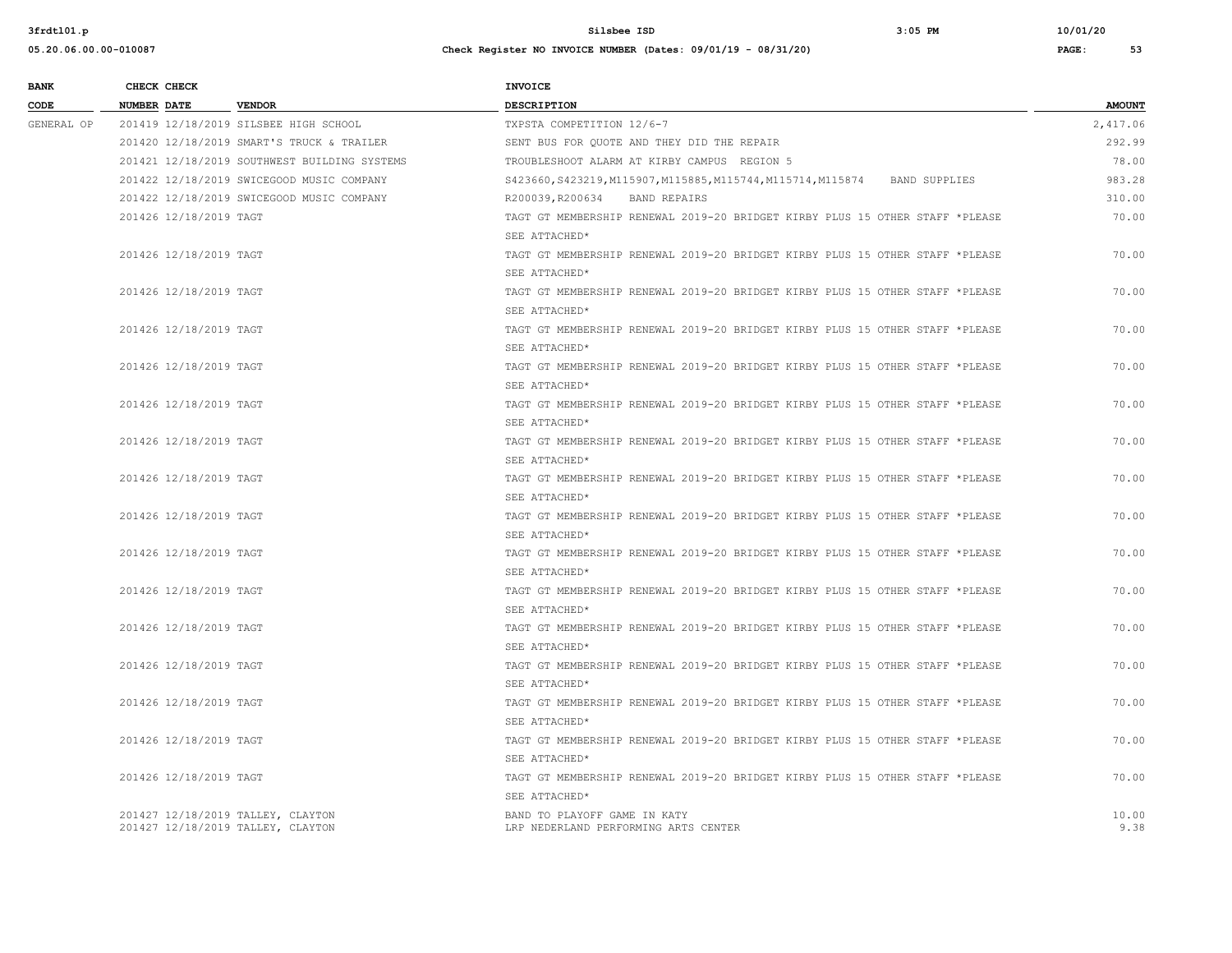| <b>BANK</b>            | CHECK CHECK            |                                                                              | <b>INVOICE</b>                                                                        |               |
|------------------------|------------------------|------------------------------------------------------------------------------|---------------------------------------------------------------------------------------|---------------|
| CODE                   | <b>NUMBER DATE</b>     | <b>VENDOR</b>                                                                | DESCRIPTION                                                                           | <b>AMOUNT</b> |
| GENERAL OP             |                        | 201419 12/18/2019 SILSBEE HIGH SCHOOL                                        | TXPSTA COMPETITION 12/6-7                                                             | 2,417.06      |
|                        |                        | 201420 12/18/2019 SMART'S TRUCK & TRAILER                                    | SENT BUS FOR QUOTE AND THEY DID THE REPAIR                                            | 292.99        |
|                        |                        | 201421 12/18/2019 SOUTHWEST BUILDING SYSTEMS                                 | TROUBLESHOOT ALARM AT KIRBY CAMPUS REGION 5                                           | 78.00         |
|                        |                        | 201422 12/18/2019 SWICEGOOD MUSIC COMPANY                                    | S423660, S423219, M115907, M115885, M115744, M115714, M115874<br><b>BAND SUPPLIES</b> | 983.28        |
|                        |                        | 201422 12/18/2019 SWICEGOOD MUSIC COMPANY                                    | R200039, R200634<br>BAND REPAIRS                                                      | 310.00        |
|                        | 201426 12/18/2019 TAGT |                                                                              | TAGT GT MEMBERSHIP RENEWAL 2019-20 BRIDGET KIRBY PLUS 15 OTHER STAFF *PLEASE          | 70.00         |
|                        |                        |                                                                              | SEE ATTACHED*                                                                         |               |
|                        | 201426 12/18/2019 TAGT |                                                                              | TAGT GT MEMBERSHIP RENEWAL 2019-20 BRIDGET KIRBY PLUS 15 OTHER STAFF *PLEASE          | 70.00         |
|                        |                        |                                                                              | SEE ATTACHED*                                                                         |               |
|                        | 201426 12/18/2019 TAGT |                                                                              | TAGT GT MEMBERSHIP RENEWAL 2019-20 BRIDGET KIRBY PLUS 15 OTHER STAFF *PLEASE          | 70.00         |
|                        |                        |                                                                              | SEE ATTACHED*                                                                         |               |
|                        | 201426 12/18/2019 TAGT |                                                                              | TAGT GT MEMBERSHIP RENEWAL 2019-20 BRIDGET KIRBY PLUS 15 OTHER STAFF *PLEASE          | 70.00         |
|                        |                        |                                                                              | SEE ATTACHED*                                                                         |               |
|                        | 201426 12/18/2019 TAGT |                                                                              | TAGT GT MEMBERSHIP RENEWAL 2019-20 BRIDGET KIRBY PLUS 15 OTHER STAFF *PLEASE          | 70.00         |
|                        |                        |                                                                              | SEE ATTACHED*                                                                         |               |
| 201426 12/18/2019 TAGT |                        | TAGT GT MEMBERSHIP RENEWAL 2019-20 BRIDGET KIRBY PLUS 15 OTHER STAFF *PLEASE | 70.00                                                                                 |               |
|                        |                        | SEE ATTACHED*                                                                |                                                                                       |               |
|                        | 201426 12/18/2019 TAGT |                                                                              | TAGT GT MEMBERSHIP RENEWAL 2019-20 BRIDGET KIRBY PLUS 15 OTHER STAFF *PLEASE          | 70.00         |
|                        |                        | SEE ATTACHED*                                                                |                                                                                       |               |
|                        | 201426 12/18/2019 TAGT |                                                                              | TAGT GT MEMBERSHIP RENEWAL 2019-20 BRIDGET KIRBY PLUS 15 OTHER STAFF *PLEASE          | 70.00         |
|                        |                        |                                                                              | SEE ATTACHED*                                                                         |               |
|                        | 201426 12/18/2019 TAGT |                                                                              | TAGT GT MEMBERSHIP RENEWAL 2019-20 BRIDGET KIRBY PLUS 15 OTHER STAFF *PLEASE          | 70.00         |
|                        |                        |                                                                              | SEE ATTACHED*                                                                         |               |
|                        | 201426 12/18/2019 TAGT |                                                                              | TAGT GT MEMBERSHIP RENEWAL 2019-20 BRIDGET KIRBY PLUS 15 OTHER STAFF *PLEASE          | 70.00         |
|                        |                        |                                                                              | SEE ATTACHED*                                                                         |               |
|                        | 201426 12/18/2019 TAGT |                                                                              | TAGT GT MEMBERSHIP RENEWAL 2019-20 BRIDGET KIRBY PLUS 15 OTHER STAFF *PLEASE          | 70.00         |
|                        |                        |                                                                              | SEE ATTACHED*                                                                         |               |
|                        | 201426 12/18/2019 TAGT |                                                                              | TAGT GT MEMBERSHIP RENEWAL 2019-20 BRIDGET KIRBY PLUS 15 OTHER STAFF *PLEASE          | 70.00         |
|                        |                        |                                                                              | SEE ATTACHED*                                                                         |               |
|                        | 201426 12/18/2019 TAGT |                                                                              | TAGT GT MEMBERSHIP RENEWAL 2019-20 BRIDGET KIRBY PLUS 15 OTHER STAFF *PLEASE          | 70.00         |
|                        |                        |                                                                              | SEE ATTACHED*                                                                         |               |
|                        | 201426 12/18/2019 TAGT |                                                                              | TAGT GT MEMBERSHIP RENEWAL 2019-20 BRIDGET KIRBY PLUS 15 OTHER STAFF *PLEASE          | 70.00         |
|                        |                        |                                                                              | SEE ATTACHED*                                                                         |               |
|                        | 201426 12/18/2019 TAGT |                                                                              | TAGT GT MEMBERSHIP RENEWAL 2019-20 BRIDGET KIRBY PLUS 15 OTHER STAFF *PLEASE          | 70.00         |
|                        |                        |                                                                              | SEE ATTACHED*                                                                         |               |
|                        | 201426 12/18/2019 TAGT |                                                                              | TAGT GT MEMBERSHIP RENEWAL 2019-20 BRIDGET KIRBY PLUS 15 OTHER STAFF *PLEASE          | 70.00         |
|                        |                        |                                                                              | SEE ATTACHED*                                                                         |               |
|                        |                        | 201427 12/18/2019 TALLEY, CLAYTON                                            | BAND TO PLAYOFF GAME IN KATY                                                          | 10.00         |
|                        |                        | 201427 12/18/2019 TALLEY, CLAYTON                                            | LRP NEDERLAND PERFORMING ARTS CENTER                                                  | 9.38          |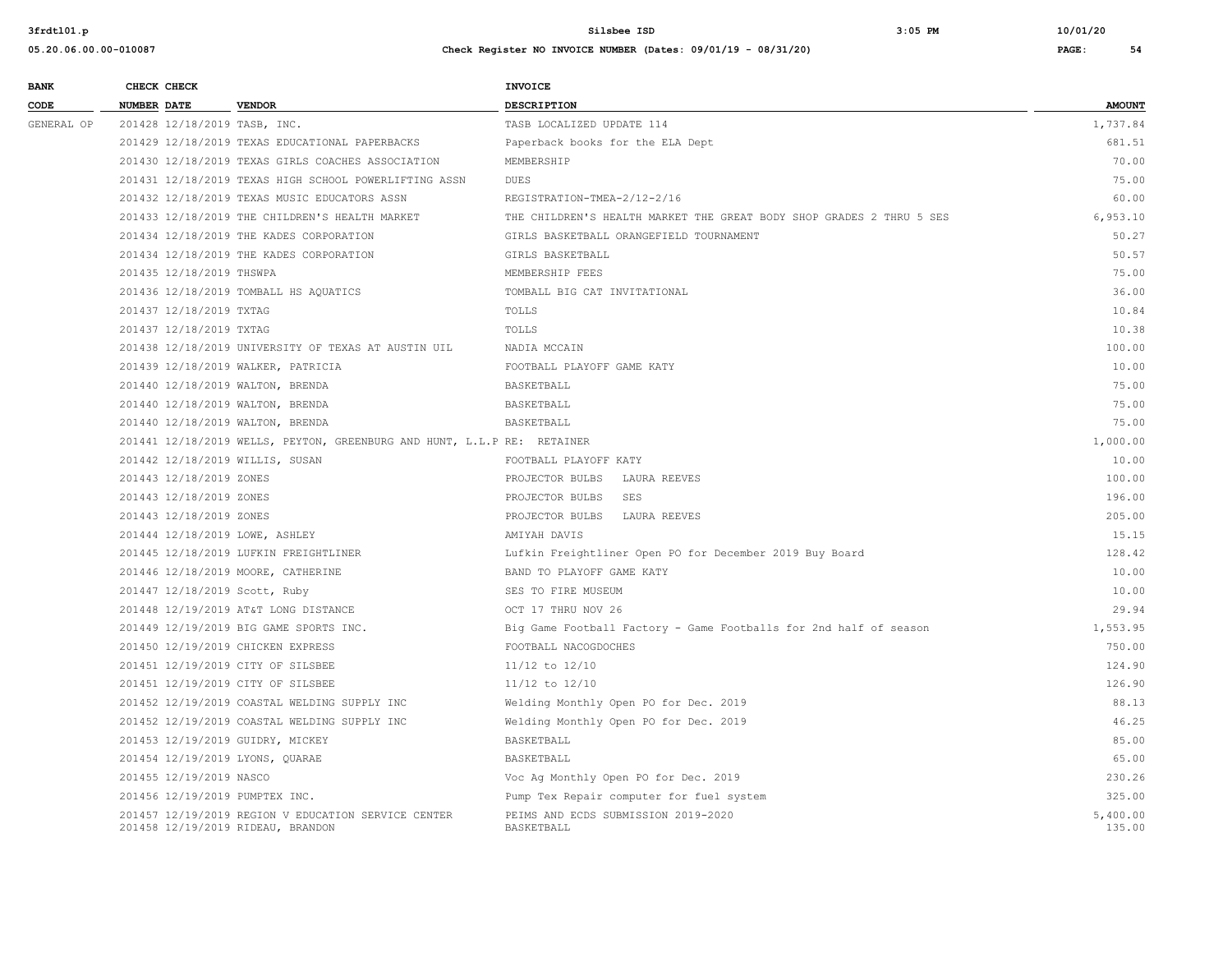| <b>BANK</b> | CHECK CHECK                        |                                                                         | <b>INVOICE</b>                                                       |                    |
|-------------|------------------------------------|-------------------------------------------------------------------------|----------------------------------------------------------------------|--------------------|
| CODE        | NUMBER DATE                        | <b>VENDOR</b>                                                           | DESCRIPTION                                                          | <b>AMOUNT</b>      |
| GENERAL OP  | 201428 12/18/2019 TASB, INC.       |                                                                         | TASB LOCALIZED UPDATE 114                                            | 1,737.84           |
|             |                                    | 201429 12/18/2019 TEXAS EDUCATIONAL PAPERBACKS                          | Paperback books for the ELA Dept                                     | 681.51             |
|             |                                    | 201430 12/18/2019 TEXAS GIRLS COACHES ASSOCIATION                       | MEMBERSHIP                                                           | 70.00              |
|             |                                    | 201431 12/18/2019 TEXAS HIGH SCHOOL POWERLIFTING ASSN                   | <b>DUES</b>                                                          | 75.00              |
|             |                                    | 201432 12/18/2019 TEXAS MUSIC EDUCATORS ASSN                            | REGISTRATION-TMEA-2/12-2/16                                          | 60.00              |
|             |                                    | 201433 12/18/2019 THE CHILDREN'S HEALTH MARKET                          | THE CHILDREN'S HEALTH MARKET THE GREAT BODY SHOP GRADES 2 THRU 5 SES | 6,953.10           |
|             |                                    | 201434 12/18/2019 THE KADES CORPORATION                                 | GIRLS BASKETBALL ORANGEFIELD TOURNAMENT                              | 50.27              |
|             |                                    | 201434 12/18/2019 THE KADES CORPORATION                                 | GIRLS BASKETBALL                                                     | 50.57              |
|             | 201435 12/18/2019 THSWPA           |                                                                         | MEMBERSHIP FEES                                                      | 75.00              |
|             |                                    | 201436 12/18/2019 TOMBALL HS AQUATICS                                   | TOMBALL BIG CAT INVITATIONAL                                         | 36.00              |
|             | 201437 12/18/2019 TXTAG            |                                                                         | TOLLS                                                                | 10.84              |
|             | 201437 12/18/2019 TXTAG            |                                                                         | TOLLS                                                                | 10.38              |
|             |                                    | 201438 12/18/2019 UNIVERSITY OF TEXAS AT AUSTIN UIL                     | NADIA MCCAIN                                                         | 100.00             |
|             |                                    | 201439 12/18/2019 WALKER, PATRICIA                                      | FOOTBALL PLAYOFF GAME KATY                                           | 10.00              |
|             | 201440 12/18/2019 WALTON, BRENDA   |                                                                         | BASKETBALL                                                           | 75.00              |
|             | 201440 12/18/2019 WALTON, BRENDA   |                                                                         | BASKETBALL                                                           | 75.00              |
|             | 201440 12/18/2019 WALTON, BRENDA   |                                                                         | BASKETBALL                                                           | 75.00              |
|             |                                    | 201441 12/18/2019 WELLS, PEYTON, GREENBURG AND HUNT, L.L.P RE: RETAINER |                                                                      | 1,000.00           |
|             | 201442 12/18/2019 WILLIS, SUSAN    |                                                                         | FOOTBALL PLAYOFF KATY                                                | 10.00              |
|             | 201443 12/18/2019 ZONES            |                                                                         | LAURA REEVES<br>PROJECTOR BULBS                                      | 100.00             |
|             | 201443 12/18/2019 ZONES            |                                                                         | PROJECTOR BULBS<br>SES                                               | 196.00             |
|             | 201443 12/18/2019 ZONES            |                                                                         | PROJECTOR BULBS<br>LAURA REEVES                                      | 205.00             |
|             | 201444 12/18/2019 LOWE, ASHLEY     |                                                                         | AMIYAH DAVIS                                                         | 15.15              |
|             |                                    | 201445 12/18/2019 LUFKIN FREIGHTLINER                                   | Lufkin Freightliner Open PO for December 2019 Buy Board              | 128.42             |
|             | 201446 12/18/2019 MOORE, CATHERINE |                                                                         | BAND TO PLAYOFF GAME KATY                                            | 10.00              |
|             | 201447 12/18/2019 Scott, Ruby      |                                                                         | SES TO FIRE MUSEUM                                                   | 10.00              |
|             |                                    | 201448 12/19/2019 AT&T LONG DISTANCE                                    | OCT 17 THRU NOV 26                                                   | 29.94              |
|             |                                    | 201449 12/19/2019 BIG GAME SPORTS INC.                                  | Big Game Football Factory - Game Footballs for 2nd half of season    | 1,553.95           |
|             | 201450 12/19/2019 CHICKEN EXPRESS  |                                                                         | FOOTBALL NACOGDOCHES                                                 | 750.00             |
|             | 201451 12/19/2019 CITY OF SILSBEE  |                                                                         | $11/12$ to $12/10$                                                   | 124.90             |
|             | 201451 12/19/2019 CITY OF SILSBEE  |                                                                         | $11/12$ to $12/10$                                                   | 126.90             |
|             |                                    | 201452 12/19/2019 COASTAL WELDING SUPPLY INC                            | Welding Monthly Open PO for Dec. 2019                                | 88.13              |
|             |                                    | 201452 12/19/2019 COASTAL WELDING SUPPLY INC                            | Welding Monthly Open PO for Dec. 2019                                | 46.25              |
|             | 201453 12/19/2019 GUIDRY, MICKEY   |                                                                         | BASKETBALL                                                           | 85.00              |
|             | 201454 12/19/2019 LYONS, QUARAE    |                                                                         | BASKETBALL                                                           | 65.00              |
|             | 201455 12/19/2019 NASCO            |                                                                         | Voc Ag Monthly Open PO for Dec. 2019                                 | 230.26             |
|             | 201456 12/19/2019 PUMPTEX INC.     |                                                                         | Pump Tex Repair computer for fuel system                             | 325.00             |
|             | 201458 12/19/2019 RIDEAU, BRANDON  | 201457 12/19/2019 REGION V EDUCATION SERVICE CENTER                     | PEIMS AND ECDS SUBMISSION 2019-2020<br>BASKETBALL                    | 5,400.00<br>135.00 |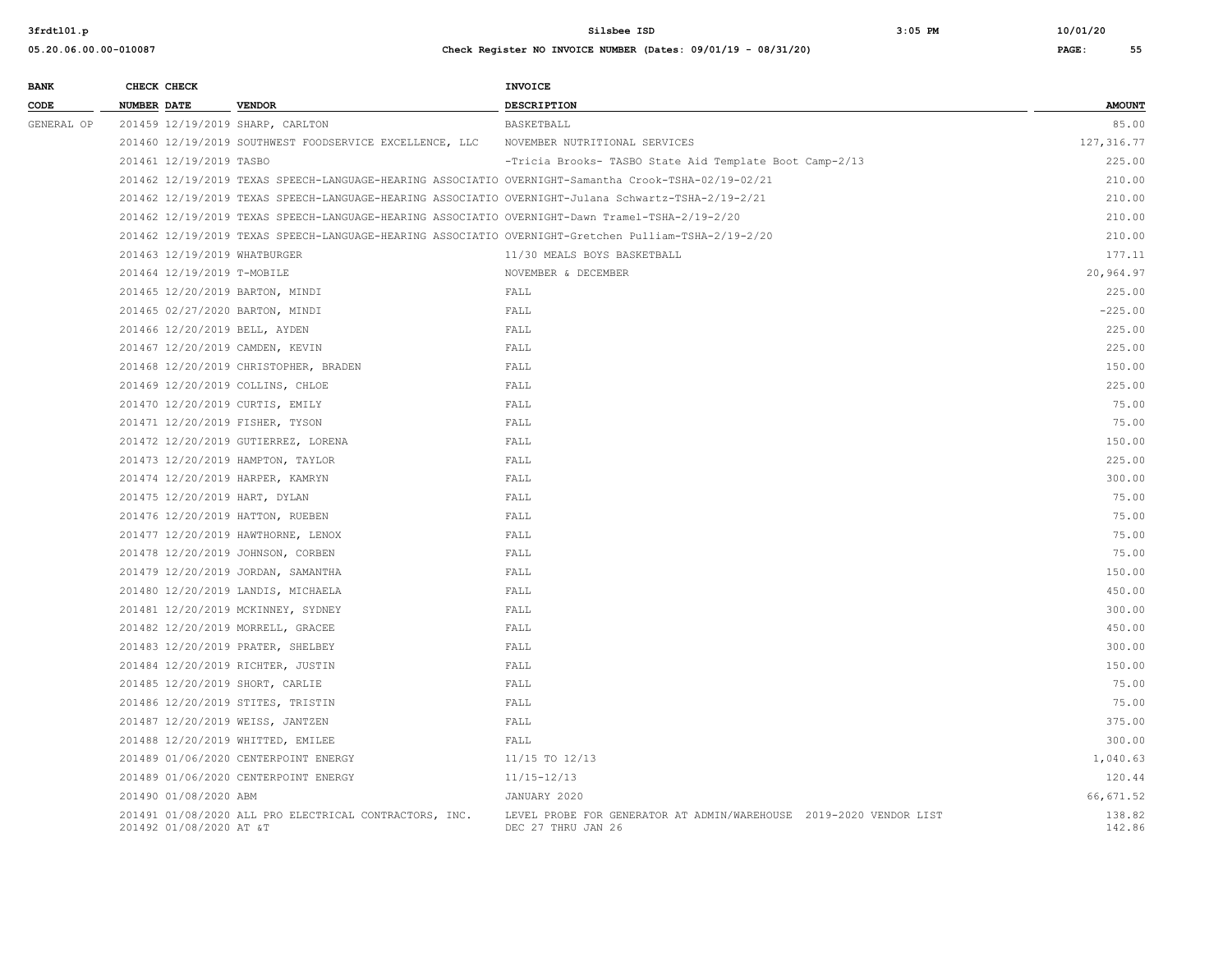# **05.20.06.00.00-010087 Check Register NO INVOICE NUMBER (Dates: 09/01/19 - 08/31/20) PAGE: 55 BANK CHECK CHECK CHECK**

| CODE       | <b>NUMBER DATE</b>                 | <b>VENDOR</b>                                                                                   | <b>DESCRIPTION</b>                                                                                   | <b>AMOUNT</b>    |
|------------|------------------------------------|-------------------------------------------------------------------------------------------------|------------------------------------------------------------------------------------------------------|------------------|
| GENERAL OP | 201459 12/19/2019 SHARP, CARLTON   |                                                                                                 | BASKETBALL                                                                                           | 85.00            |
|            |                                    | 201460 12/19/2019 SOUTHWEST FOODSERVICE EXCELLENCE, LLC                                         | NOVEMBER NUTRITIONAL SERVICES                                                                        | 127, 316.77      |
|            | 201461 12/19/2019 TASBO            |                                                                                                 | -Tricia Brooks- TASBO State Aid Template Boot Camp-2/13                                              | 225.00           |
|            |                                    |                                                                                                 | 201462 12/19/2019 TEXAS SPEECH-LANGUAGE-HEARING ASSOCIATIO OVERNIGHT-Samantha Crook-TSHA-02/19-02/21 | 210.00           |
|            |                                    |                                                                                                 | 201462 12/19/2019 TEXAS SPEECH-LANGUAGE-HEARING ASSOCIATIO OVERNIGHT-Julana Schwartz-TSHA-2/19-2/21  | 210.00           |
|            |                                    | 201462 12/19/2019 TEXAS SPEECH-LANGUAGE-HEARING ASSOCIATIO OVERNIGHT-Dawn Tramel-TSHA-2/19-2/20 |                                                                                                      | 210.00           |
|            |                                    |                                                                                                 | 201462 12/19/2019 TEXAS SPEECH-LANGUAGE-HEARING ASSOCIATIO OVERNIGHT-Gretchen Pulliam-TSHA-2/19-2/20 | 210.00           |
|            | 201463 12/19/2019 WHATBURGER       |                                                                                                 | 11/30 MEALS BOYS BASKETBALL                                                                          | 177.11           |
|            | 201464 12/19/2019 T-MOBILE         |                                                                                                 | NOVEMBER & DECEMBER                                                                                  | 20,964.97        |
|            | 201465 12/20/2019 BARTON, MINDI    |                                                                                                 | FALL                                                                                                 | 225.00           |
|            | 201465 02/27/2020 BARTON, MINDI    |                                                                                                 | FALL                                                                                                 | $-225.00$        |
|            | 201466 12/20/2019 BELL, AYDEN      |                                                                                                 | FALL                                                                                                 | 225.00           |
|            | 201467 12/20/2019 CAMDEN, KEVIN    |                                                                                                 | FALL                                                                                                 | 225.00           |
|            |                                    | 201468 12/20/2019 CHRISTOPHER, BRADEN                                                           | FALL                                                                                                 | 150.00           |
|            | 201469 12/20/2019 COLLINS, CHLOE   |                                                                                                 | FALL                                                                                                 | 225.00           |
|            | 201470 12/20/2019 CURTIS, EMILY    |                                                                                                 | FALL                                                                                                 | 75.00            |
|            | 201471 12/20/2019 FISHER, TYSON    |                                                                                                 | FALL                                                                                                 | 75.00            |
|            |                                    | 201472 12/20/2019 GUTIERREZ, LORENA                                                             | FALL                                                                                                 | 150.00           |
|            | 201473 12/20/2019 HAMPTON, TAYLOR  |                                                                                                 | FALL                                                                                                 | 225.00           |
|            | 201474 12/20/2019 HARPER, KAMRYN   |                                                                                                 | FALL                                                                                                 | 300.00           |
|            | 201475 12/20/2019 HART, DYLAN      |                                                                                                 | FALL                                                                                                 | 75.00            |
|            | 201476 12/20/2019 HATTON, RUEBEN   |                                                                                                 | FALL                                                                                                 | 75.00            |
|            | 201477 12/20/2019 HAWTHORNE, LENOX |                                                                                                 | FALL                                                                                                 | 75.00            |
|            | 201478 12/20/2019 JOHNSON, CORBEN  |                                                                                                 | FALL                                                                                                 | 75.00            |
|            | 201479 12/20/2019 JORDAN, SAMANTHA |                                                                                                 | FALL                                                                                                 | 150.00           |
|            | 201480 12/20/2019 LANDIS, MICHAELA |                                                                                                 | FALL                                                                                                 | 450.00           |
|            | 201481 12/20/2019 MCKINNEY, SYDNEY |                                                                                                 | FALL                                                                                                 | 300.00           |
|            | 201482 12/20/2019 MORRELL, GRACEE  |                                                                                                 | FALL                                                                                                 | 450.00           |
|            | 201483 12/20/2019 PRATER, SHELBEY  |                                                                                                 | FALL                                                                                                 | 300.00           |
|            | 201484 12/20/2019 RICHTER, JUSTIN  |                                                                                                 | FALL                                                                                                 | 150.00           |
|            | 201485 12/20/2019 SHORT, CARLIE    |                                                                                                 | FALL                                                                                                 | 75.00            |
|            | 201486 12/20/2019 STITES, TRISTIN  |                                                                                                 | FALL                                                                                                 | 75.00            |
|            | 201487 12/20/2019 WEISS, JANTZEN   |                                                                                                 | FALL                                                                                                 | 375.00           |
|            | 201488 12/20/2019 WHITTED, EMILEE  |                                                                                                 | FALL                                                                                                 | 300.00           |
|            |                                    | 201489 01/06/2020 CENTERPOINT ENERGY                                                            | 11/15 TO 12/13                                                                                       | 1,040.63         |
|            |                                    | 201489 01/06/2020 CENTERPOINT ENERGY                                                            | $11/15 - 12/13$                                                                                      | 120.44           |
|            | 201490 01/08/2020 ABM              |                                                                                                 | JANUARY 2020                                                                                         | 66,671.52        |
|            | 201492 01/08/2020 AT &T            | 201491 01/08/2020 ALL PRO ELECTRICAL CONTRACTORS, INC.                                          | LEVEL PROBE FOR GENERATOR AT ADMIN/WAREHOUSE 2019-2020 VENDOR LIST<br>DEC 27 THRU JAN 26             | 138.82<br>142.86 |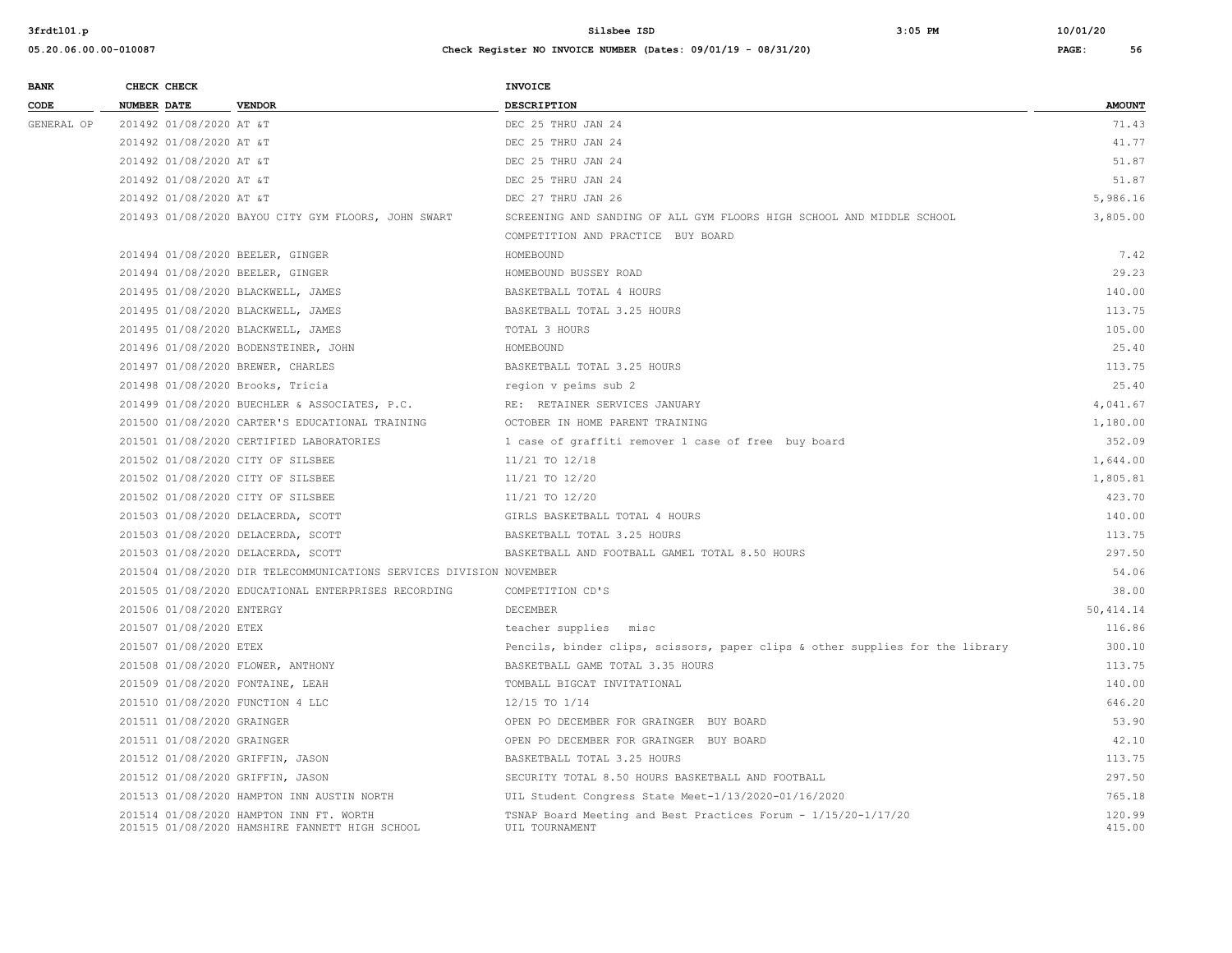| <b>BANK</b> | CHECK CHECK                       |                                                                                           | <b>INVOICE</b>                                                                   |                  |
|-------------|-----------------------------------|-------------------------------------------------------------------------------------------|----------------------------------------------------------------------------------|------------------|
| CODE        | <b>NUMBER DATE</b>                | <b>VENDOR</b>                                                                             | DESCRIPTION                                                                      | <b>AMOUNT</b>    |
| GENERAL OP  | 201492 01/08/2020 AT &T           |                                                                                           | DEC 25 THRU JAN 24                                                               | 71.43            |
|             | 201492 01/08/2020 AT &T           |                                                                                           | DEC 25 THRU JAN 24                                                               | 41.77            |
|             | 201492 01/08/2020 AT &T           |                                                                                           | DEC 25 THRU JAN 24                                                               | 51.87            |
|             | 201492 01/08/2020 AT &T           |                                                                                           | DEC 25 THRU JAN 24                                                               | 51.87            |
|             | 201492 01/08/2020 AT &T           |                                                                                           | DEC 27 THRU JAN 26                                                               | 5,986.16         |
|             |                                   | 201493 01/08/2020 BAYOU CITY GYM FLOORS, JOHN SWART                                       | SCREENING AND SANDING OF ALL GYM FLOORS HIGH SCHOOL AND MIDDLE SCHOOL            | 3,805.00         |
|             |                                   |                                                                                           | COMPETITION AND PRACTICE BUY BOARD                                               |                  |
|             | 201494 01/08/2020 BEELER, GINGER  |                                                                                           | HOMEBOUND                                                                        | 7.42             |
|             | 201494 01/08/2020 BEELER, GINGER  |                                                                                           | HOMEBOUND BUSSEY ROAD                                                            | 29.23            |
|             |                                   | 201495 01/08/2020 BLACKWELL, JAMES                                                        | BASKETBALL TOTAL 4 HOURS                                                         | 140.00           |
|             |                                   | 201495 01/08/2020 BLACKWELL, JAMES                                                        | BASKETBALL TOTAL 3.25 HOURS                                                      | 113.75           |
|             |                                   | 201495 01/08/2020 BLACKWELL, JAMES                                                        | TOTAL 3 HOURS                                                                    | 105.00           |
|             |                                   | 201496 01/08/2020 BODENSTEINER, JOHN                                                      | HOMEBOUND                                                                        | 25.40            |
|             | 201497 01/08/2020 BREWER, CHARLES |                                                                                           | BASKETBALL TOTAL 3.25 HOURS                                                      | 113.75           |
|             | 201498 01/08/2020 Brooks, Tricia  |                                                                                           | region v peims sub 2                                                             | 25.40            |
|             |                                   | 201499 01/08/2020 BUECHLER & ASSOCIATES, P.C.                                             | RE: RETAINER SERVICES JANUARY                                                    | 4,041.67         |
|             |                                   | 201500 01/08/2020 CARTER'S EDUCATIONAL TRAINING                                           | OCTOBER IN HOME PARENT TRAINING                                                  | 1,180.00         |
|             |                                   | 201501 01/08/2020 CERTIFIED LABORATORIES                                                  | 1 case of graffiti remover 1 case of free buy board                              | 352.09           |
|             | 201502 01/08/2020 CITY OF SILSBEE |                                                                                           | 11/21 TO 12/18                                                                   | 1,644.00         |
|             |                                   | 201502 01/08/2020 CITY OF SILSBEE                                                         | 11/21 TO 12/20                                                                   | 1,805.81         |
|             |                                   | 201502 01/08/2020 CITY OF SILSBEE                                                         | 11/21 TO 12/20                                                                   | 423.70           |
|             |                                   | 201503 01/08/2020 DELACERDA, SCOTT                                                        | GIRLS BASKETBALL TOTAL 4 HOURS                                                   | 140.00           |
|             |                                   | 201503 01/08/2020 DELACERDA, SCOTT                                                        | BASKETBALL TOTAL 3.25 HOURS                                                      | 113.75           |
|             |                                   | 201503 01/08/2020 DELACERDA, SCOTT                                                        | BASKETBALL AND FOOTBALL GAMEL TOTAL 8.50 HOURS                                   | 297.50           |
|             |                                   | 201504 01/08/2020 DIR TELECOMMUNICATIONS SERVICES DIVISION NOVEMBER                       |                                                                                  | 54.06            |
|             |                                   | 201505 01/08/2020 EDUCATIONAL ENTERPRISES RECORDING                                       | COMPETITION CD'S                                                                 | 38.00            |
|             | 201506 01/08/2020 ENTERGY         |                                                                                           | <b>DECEMBER</b>                                                                  | 50, 414.14       |
|             | 201507 01/08/2020 ETEX            |                                                                                           | teacher supplies misc                                                            | 116.86           |
|             | 201507 01/08/2020 ETEX            |                                                                                           | Pencils, binder clips, scissors, paper clips & other supplies for the library    | 300.10           |
|             | 201508 01/08/2020 FLOWER, ANTHONY |                                                                                           | BASKETBALL GAME TOTAL 3.35 HOURS                                                 | 113.75           |
|             | 201509 01/08/2020 FONTAINE, LEAH  |                                                                                           | TOMBALL BIGCAT INVITATIONAL                                                      | 140.00           |
|             | 201510 01/08/2020 FUNCTION 4 LLC  |                                                                                           | 12/15 TO 1/14                                                                    | 646.20           |
|             | 201511 01/08/2020 GRAINGER        |                                                                                           | OPEN PO DECEMBER FOR GRAINGER BUY BOARD                                          | 53.90            |
|             | 201511 01/08/2020 GRAINGER        |                                                                                           | OPEN PO DECEMBER FOR GRAINGER BUY BOARD                                          | 42.10            |
|             | 201512 01/08/2020 GRIFFIN, JASON  |                                                                                           | BASKETBALL TOTAL 3.25 HOURS                                                      | 113.75           |
|             | 201512 01/08/2020 GRIFFIN, JASON  |                                                                                           | SECURITY TOTAL 8.50 HOURS BASKETBALL AND FOOTBALL                                | 297.50           |
|             |                                   | 201513 01/08/2020 HAMPTON INN AUSTIN NORTH                                                | UIL Student Congress State Meet-1/13/2020-01/16/2020                             | 765.18           |
|             |                                   | 201514 01/08/2020 HAMPTON INN FT. WORTH<br>201515 01/08/2020 HAMSHIRE FANNETT HIGH SCHOOL | TSNAP Board Meeting and Best Practices Forum - 1/15/20-1/17/20<br>UIL TOURNAMENT | 120.99<br>415.00 |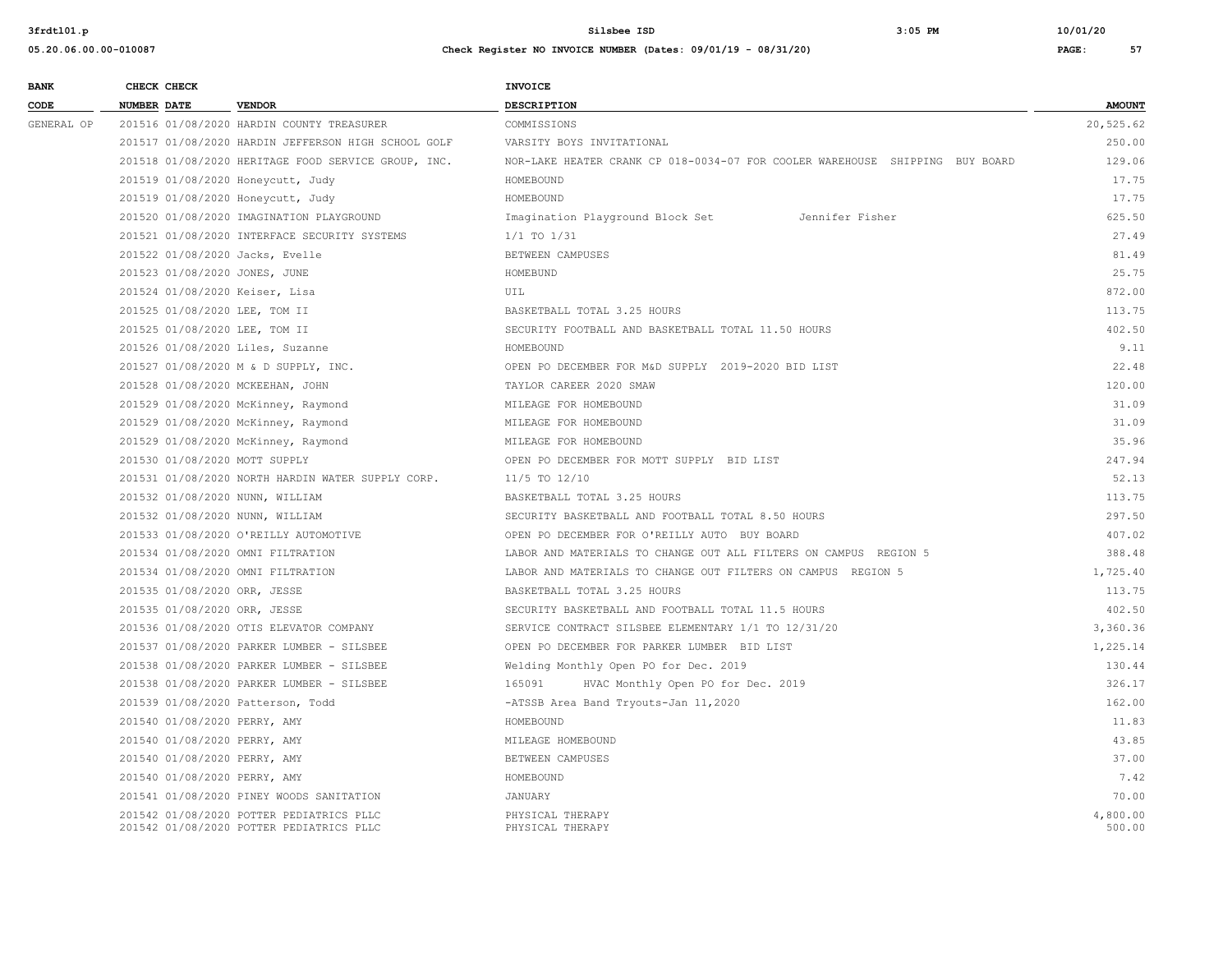| <b>BANK</b> | CHECK CHECK |                                                                                      | <b>INVOICE</b>                                                               |                    |
|-------------|-------------|--------------------------------------------------------------------------------------|------------------------------------------------------------------------------|--------------------|
| CODE        | NUMBER DATE | <b>VENDOR</b>                                                                        | <b>DESCRIPTION</b>                                                           | <b>AMOUNT</b>      |
| GENERAL OP  |             | 201516 01/08/2020 HARDIN COUNTY TREASURER                                            | COMMISSIONS                                                                  | 20,525.62          |
|             |             | 201517 01/08/2020 HARDIN JEFFERSON HIGH SCHOOL GOLF                                  | VARSITY BOYS INVITATIONAL                                                    | 250.00             |
|             |             | 201518 01/08/2020 HERITAGE FOOD SERVICE GROUP, INC.                                  | NOR-LAKE HEATER CRANK CP 018-0034-07 FOR COOLER WAREHOUSE SHIPPING BUY BOARD | 129.06             |
|             |             | 201519 01/08/2020 Honeycutt, Judy                                                    | HOMEBOUND                                                                    | 17.75              |
|             |             | 201519 01/08/2020 Honeycutt, Judy                                                    | HOMEBOUND                                                                    | 17.75              |
|             |             | 201520 01/08/2020 IMAGINATION PLAYGROUND                                             | Imagination Playground Block Set<br>Jennifer Fisher                          | 625.50             |
|             |             | 201521 01/08/2020 INTERFACE SECURITY SYSTEMS                                         | $1/1$ TO $1/31$                                                              | 27.49              |
|             |             | 201522 01/08/2020 Jacks, Evelle                                                      | BETWEEN CAMPUSES                                                             | 81.49              |
|             |             | 201523 01/08/2020 JONES, JUNE                                                        | HOMEBUND                                                                     | 25.75              |
|             |             | 201524 01/08/2020 Keiser, Lisa                                                       | UIL                                                                          | 872.00             |
|             |             | 201525 01/08/2020 LEE, TOM II                                                        | BASKETBALL TOTAL 3.25 HOURS                                                  | 113.75             |
|             |             | 201525 01/08/2020 LEE, TOM II                                                        | SECURITY FOOTBALL AND BASKETBALL TOTAL 11.50 HOURS                           | 402.50             |
|             |             | 201526 01/08/2020 Liles, Suzanne                                                     | HOMEBOUND                                                                    | 9.11               |
|             |             | 201527 01/08/2020 M & D SUPPLY, INC.                                                 | OPEN PO DECEMBER FOR M&D SUPPLY 2019-2020 BID LIST                           | 22.48              |
|             |             | 201528 01/08/2020 MCKEEHAN, JOHN                                                     | TAYLOR CAREER 2020 SMAW                                                      | 120.00             |
|             |             | 201529 01/08/2020 McKinney, Raymond                                                  | MILEAGE FOR HOMEBOUND                                                        | 31.09              |
|             |             | 201529 01/08/2020 McKinney, Raymond                                                  | MILEAGE FOR HOMEBOUND                                                        | 31.09              |
|             |             | 201529 01/08/2020 McKinney, Raymond                                                  | MILEAGE FOR HOMEBOUND                                                        | 35.96              |
|             |             | 201530 01/08/2020 MOTT SUPPLY                                                        | OPEN PO DECEMBER FOR MOTT SUPPLY BID LIST                                    | 247.94             |
|             |             | 201531 01/08/2020 NORTH HARDIN WATER SUPPLY CORP.                                    | 11/5 TO 12/10                                                                | 52.13              |
|             |             | 201532 01/08/2020 NUNN, WILLIAM                                                      | BASKETBALL TOTAL 3.25 HOURS                                                  | 113.75             |
|             |             | 201532 01/08/2020 NUNN, WILLIAM                                                      | SECURITY BASKETBALL AND FOOTBALL TOTAL 8.50 HOURS                            | 297.50             |
|             |             | 201533 01/08/2020 O'REILLY AUTOMOTIVE                                                | OPEN PO DECEMBER FOR O'REILLY AUTO BUY BOARD                                 | 407.02             |
|             |             | 201534 01/08/2020 OMNI FILTRATION                                                    | LABOR AND MATERIALS TO CHANGE OUT ALL FILTERS ON CAMPUS REGION 5             | 388.48             |
|             |             | 201534 01/08/2020 OMNI FILTRATION                                                    | LABOR AND MATERIALS TO CHANGE OUT FILTERS ON CAMPUS REGION 5                 | 1,725.40           |
|             |             | 201535 01/08/2020 ORR, JESSE                                                         | BASKETBALL TOTAL 3.25 HOURS                                                  | 113.75             |
|             |             | 201535 01/08/2020 ORR, JESSE                                                         | SECURITY BASKETBALL AND FOOTBALL TOTAL 11.5 HOURS                            | 402.50             |
|             |             | 201536 01/08/2020 OTIS ELEVATOR COMPANY                                              | SERVICE CONTRACT SILSBEE ELEMENTARY 1/1 TO 12/31/20                          | 3,360.36           |
|             |             | 201537 01/08/2020 PARKER LUMBER - SILSBEE                                            | OPEN PO DECEMBER FOR PARKER LUMBER BID LIST                                  | 1,225.14           |
|             |             | 201538 01/08/2020 PARKER LUMBER - SILSBEE                                            | Welding Monthly Open PO for Dec. 2019                                        | 130.44             |
|             |             | 201538 01/08/2020 PARKER LUMBER - SILSBEE                                            | 165091<br>HVAC Monthly Open PO for Dec. 2019                                 | 326.17             |
|             |             | 201539 01/08/2020 Patterson, Todd                                                    | -ATSSB Area Band Tryouts-Jan 11,2020                                         | 162.00             |
|             |             | 201540 01/08/2020 PERRY, AMY                                                         | HOMEBOUND                                                                    | 11.83              |
|             |             | 201540 01/08/2020 PERRY, AMY                                                         | MILEAGE HOMEBOUND                                                            | 43.85              |
|             |             | 201540 01/08/2020 PERRY, AMY                                                         | BETWEEN CAMPUSES                                                             | 37.00              |
|             |             | 201540 01/08/2020 PERRY, AMY                                                         | HOMEBOUND                                                                    | 7.42               |
|             |             | 201541 01/08/2020 PINEY WOODS SANITATION                                             | JANUARY                                                                      | 70.00              |
|             |             | 201542 01/08/2020 POTTER PEDIATRICS PLLC<br>201542 01/08/2020 POTTER PEDIATRICS PLLC | PHYSICAL THERAPY<br>PHYSICAL THERAPY                                         | 4,800.00<br>500.00 |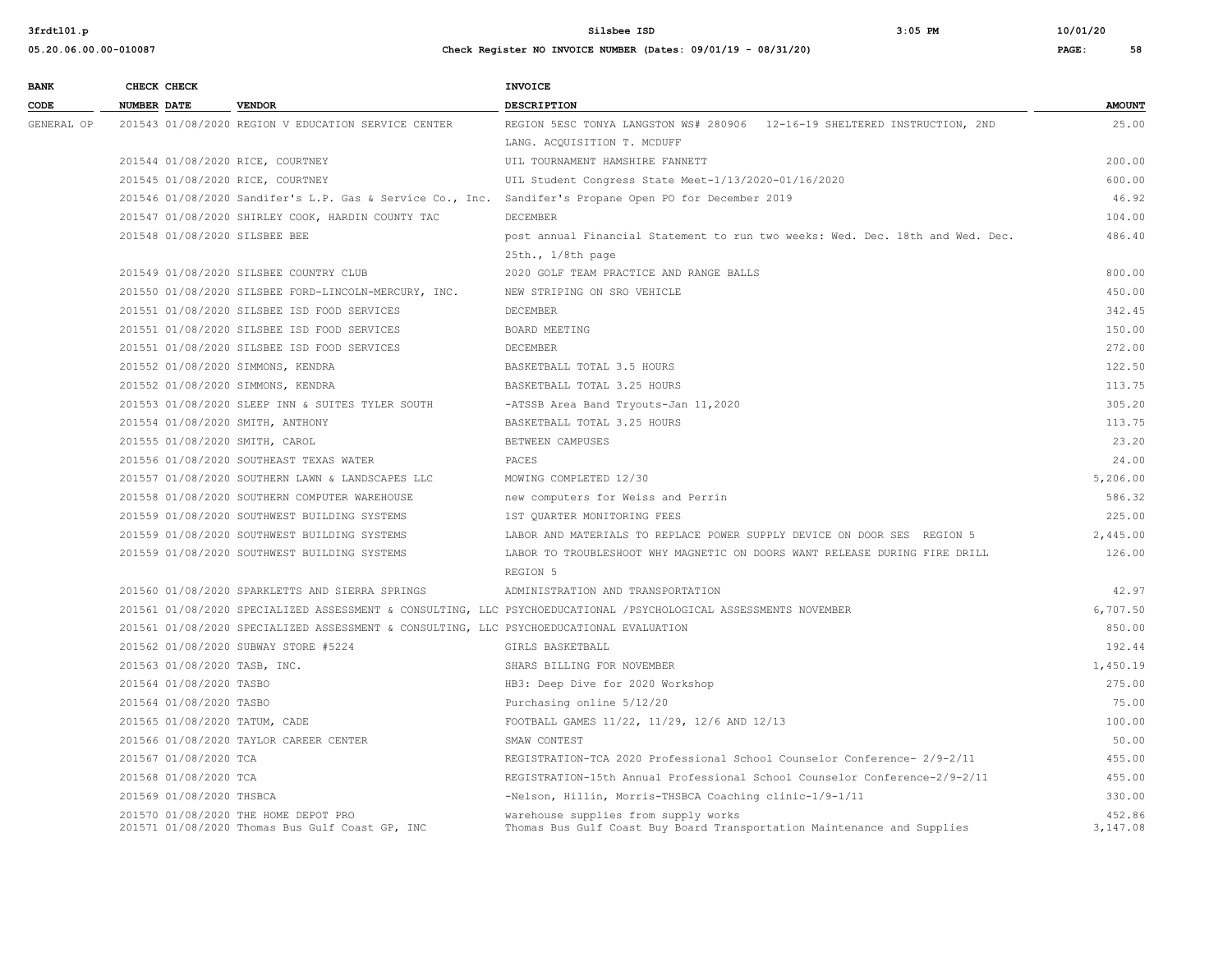**3frdtl01.p Silsbee ISD 3:05 PM 10/01/20**

| <b>BANK</b> | CHECK CHECK                    |                                                                                         | <b>INVOICE</b>                                                                                                   |                    |
|-------------|--------------------------------|-----------------------------------------------------------------------------------------|------------------------------------------------------------------------------------------------------------------|--------------------|
| CODE        | NUMBER DATE                    | <b>VENDOR</b>                                                                           | <b>DESCRIPTION</b>                                                                                               | <b>AMOUNT</b>      |
| GENERAL OP  |                                | 201543 01/08/2020 REGION V EDUCATION SERVICE CENTER                                     | REGION 5ESC TONYA LANGSTON WS# 280906 12-16-19 SHELTERED INSTRUCTION, 2ND                                        | 25.00              |
|             |                                |                                                                                         | LANG. ACOUISITION T. MCDUFF                                                                                      |                    |
|             |                                | 201544 01/08/2020 RICE, COURTNEY                                                        | UIL TOURNAMENT HAMSHIRE FANNETT                                                                                  | 200.00             |
|             |                                | 201545 01/08/2020 RICE, COURTNEY                                                        | UIL Student Congress State Meet-1/13/2020-01/16/2020                                                             | 600.00             |
|             |                                |                                                                                         | 201546 01/08/2020 Sandifer's L.P. Gas & Service Co., Inc. Sandifer's Propane Open PO for December 2019           | 46.92              |
|             |                                | 201547 01/08/2020 SHIRLEY COOK, HARDIN COUNTY TAC                                       | DECEMBER                                                                                                         | 104.00             |
|             | 201548 01/08/2020 SILSBEE BEE  |                                                                                         | post annual Financial Statement to run two weeks: Wed. Dec. 18th and Wed. Dec.                                   | 486.40             |
|             |                                |                                                                                         | $25th.$ , $1/8th$ page                                                                                           |                    |
|             |                                | 201549 01/08/2020 SILSBEE COUNTRY CLUB                                                  | 2020 GOLF TEAM PRACTICE AND RANGE BALLS                                                                          | 800.00             |
|             |                                | 201550 01/08/2020 SILSBEE FORD-LINCOLN-MERCURY, INC.                                    | NEW STRIPING ON SRO VEHICLE                                                                                      | 450.00             |
|             |                                | 201551 01/08/2020 SILSBEE ISD FOOD SERVICES                                             | DECEMBER                                                                                                         | 342.45             |
|             |                                | 201551 01/08/2020 SILSBEE ISD FOOD SERVICES                                             | BOARD MEETING                                                                                                    | 150.00             |
|             |                                | 201551 01/08/2020 SILSBEE ISD FOOD SERVICES                                             | DECEMBER                                                                                                         | 272.00             |
|             |                                | 201552 01/08/2020 SIMMONS, KENDRA                                                       | BASKETBALL TOTAL 3.5 HOURS                                                                                       | 122.50             |
|             |                                | 201552 01/08/2020 SIMMONS, KENDRA                                                       | BASKETBALL TOTAL 3.25 HOURS                                                                                      | 113.75             |
|             |                                | 201553 01/08/2020 SLEEP INN & SUITES TYLER SOUTH                                        | -ATSSB Area Band Tryouts-Jan 11,2020                                                                             | 305.20             |
|             |                                | 201554 01/08/2020 SMITH, ANTHONY                                                        | BASKETBALL TOTAL 3.25 HOURS                                                                                      | 113.75             |
|             | 201555 01/08/2020 SMITH, CAROL |                                                                                         | BETWEEN CAMPUSES                                                                                                 | 23.20              |
|             |                                | 201556 01/08/2020 SOUTHEAST TEXAS WATER                                                 | PACES                                                                                                            | 24.00              |
|             |                                | 201557 01/08/2020 SOUTHERN LAWN & LANDSCAPES LLC                                        | MOWING COMPLETED 12/30                                                                                           | 5,206.00           |
|             |                                | 201558 01/08/2020 SOUTHERN COMPUTER WAREHOUSE                                           | new computers for Weiss and Perrin                                                                               | 586.32             |
|             |                                | 201559 01/08/2020 SOUTHWEST BUILDING SYSTEMS                                            | 1ST OUARTER MONITORING FEES                                                                                      | 225.00             |
|             |                                | 201559 01/08/2020 SOUTHWEST BUILDING SYSTEMS                                            | LABOR AND MATERIALS TO REPLACE POWER SUPPLY DEVICE ON DOOR SES REGION 5                                          | 2,445.00           |
|             |                                | 201559 01/08/2020 SOUTHWEST BUILDING SYSTEMS                                            | LABOR TO TROUBLESHOOT WHY MAGNETIC ON DOORS WANT RELEASE DURING FIRE DRILL                                       | 126.00             |
|             |                                |                                                                                         | REGION 5                                                                                                         |                    |
|             |                                | 201560 01/08/2020 SPARKLETTS AND SIERRA SPRINGS                                         | ADMINISTRATION AND TRANSPORTATION                                                                                | 42.97              |
|             |                                |                                                                                         | 201561 01/08/2020 SPECIALIZED ASSESSMENT & CONSULTING, LLC PSYCHOEDUCATIONAL /PSYCHOLOGICAL ASSESSMENTS NOVEMBER | 6,707.50           |
|             |                                | 201561 01/08/2020 SPECIALIZED ASSESSMENT & CONSULTING, LLC PSYCHOEDUCATIONAL EVALUATION |                                                                                                                  | 850.00             |
|             |                                | 201562 01/08/2020 SUBWAY STORE #5224                                                    | GIRLS BASKETBALL                                                                                                 | 192.44             |
|             | 201563 01/08/2020 TASB, INC.   |                                                                                         | SHARS BILLING FOR NOVEMBER                                                                                       | 1,450.19           |
|             | 201564 01/08/2020 TASBO        |                                                                                         | HB3: Deep Dive for 2020 Workshop                                                                                 | 275.00             |
|             | 201564 01/08/2020 TASBO        |                                                                                         | Purchasing online 5/12/20                                                                                        | 75.00              |
|             | 201565 01/08/2020 TATUM, CADE  |                                                                                         | FOOTBALL GAMES 11/22, 11/29, 12/6 AND 12/13                                                                      | 100.00             |
|             |                                | 201566 01/08/2020 TAYLOR CAREER CENTER                                                  | SMAW CONTEST                                                                                                     | 50.00              |
|             | 201567 01/08/2020 TCA          |                                                                                         | REGISTRATION-TCA 2020 Professional School Counselor Conference- 2/9-2/11                                         | 455.00             |
|             | 201568 01/08/2020 TCA          |                                                                                         | REGISTRATION-15th Annual Professional School Counselor Conference-2/9-2/11                                       | 455.00             |
|             | 201569 01/08/2020 THSBCA       |                                                                                         | -Nelson, Hillin, Morris-THSBCA Coaching clinic-1/9-1/11                                                          | 330.00             |
|             |                                | 201570 01/08/2020 THE HOME DEPOT PRO<br>201571 01/08/2020 Thomas Bus Gulf Coast GP, INC | warehouse supplies from supply works<br>Thomas Bus Gulf Coast Buy Board Transportation Maintenance and Supplies  | 452.86<br>3,147.08 |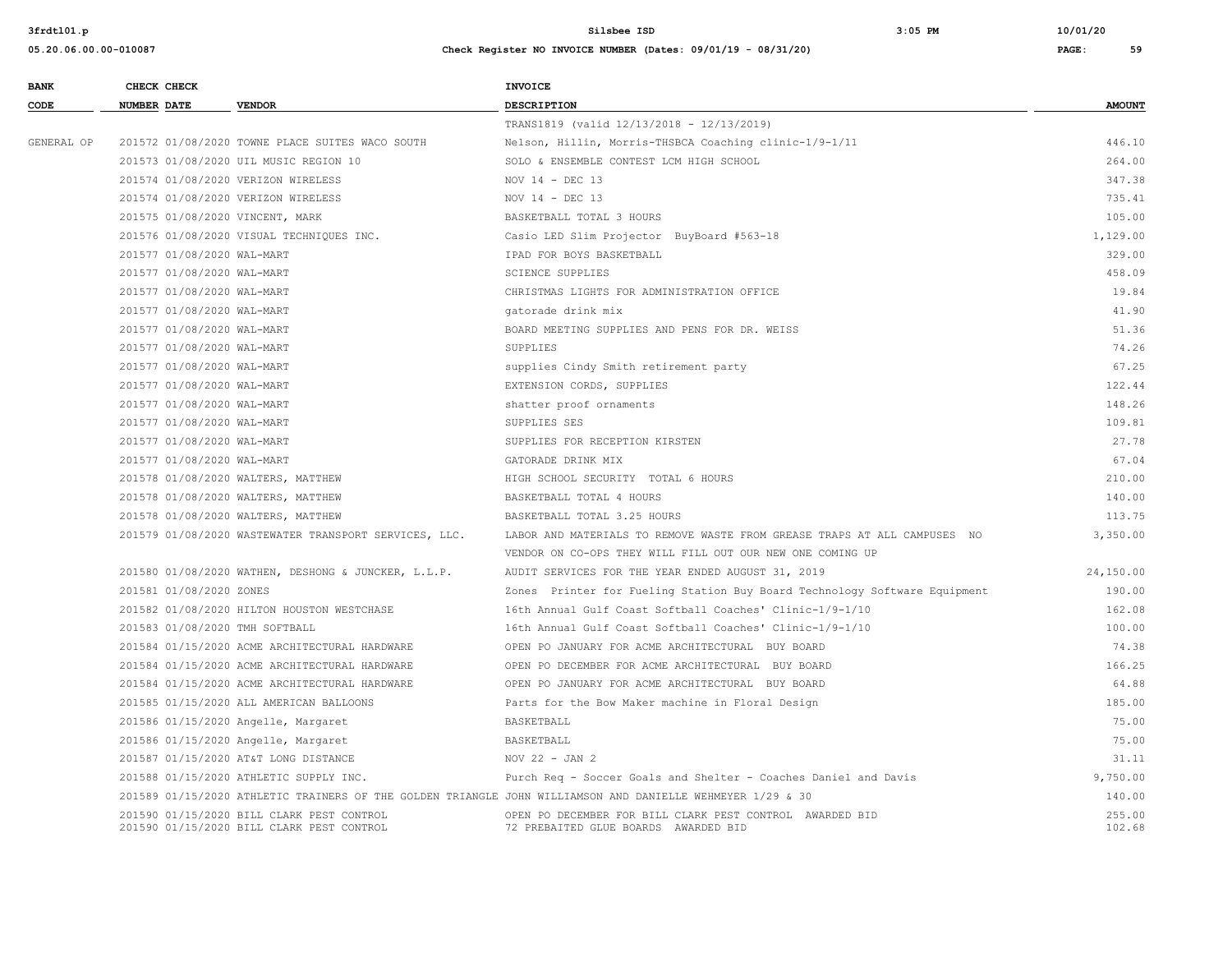**3frdtl01.p Silsbee ISD 3:05 PM 10/01/20**

| <b>BANK</b> | CHECK CHECK        |                            |                                                                                        | <b>INVOICE</b>                                                                                             |                  |
|-------------|--------------------|----------------------------|----------------------------------------------------------------------------------------|------------------------------------------------------------------------------------------------------------|------------------|
| CODE        | <b>NUMBER DATE</b> |                            | <b>VENDOR</b>                                                                          | <b>DESCRIPTION</b>                                                                                         | <b>AMOUNT</b>    |
|             |                    |                            |                                                                                        | TRANS1819 (valid 12/13/2018 - 12/13/2019)                                                                  |                  |
| GENERAL OP  |                    |                            | 201572 01/08/2020 TOWNE PLACE SUITES WACO SOUTH                                        | Nelson, Hillin, Morris-THSBCA Coaching clinic-1/9-1/11                                                     | 446.10           |
|             |                    |                            | 201573 01/08/2020 UIL MUSIC REGION 10                                                  | SOLO & ENSEMBLE CONTEST LCM HIGH SCHOOL                                                                    | 264.00           |
|             |                    |                            | 201574 01/08/2020 VERIZON WIRELESS                                                     | NOV 14 - DEC 13                                                                                            | 347.38           |
|             |                    |                            | 201574 01/08/2020 VERIZON WIRELESS                                                     | NOV $14$ - DEC 13                                                                                          | 735.41           |
|             |                    |                            | 201575 01/08/2020 VINCENT, MARK                                                        | BASKETBALL TOTAL 3 HOURS                                                                                   | 105.00           |
|             |                    |                            | 201576 01/08/2020 VISUAL TECHNIQUES INC.                                               | Casio LED Slim Projector BuyBoard #563-18                                                                  | 1,129.00         |
|             |                    | 201577 01/08/2020 WAL-MART |                                                                                        | IPAD FOR BOYS BASKETBALL                                                                                   | 329.00           |
|             |                    | 201577 01/08/2020 WAL-MART |                                                                                        | <b>SCIENCE SUPPLIES</b>                                                                                    | 458.09           |
|             |                    | 201577 01/08/2020 WAL-MART |                                                                                        | CHRISTMAS LIGHTS FOR ADMINISTRATION OFFICE                                                                 | 19.84            |
|             |                    | 201577 01/08/2020 WAL-MART |                                                                                        | qatorade drink mix                                                                                         | 41.90            |
|             |                    | 201577 01/08/2020 WAL-MART |                                                                                        | BOARD MEETING SUPPLIES AND PENS FOR DR. WEISS                                                              | 51.36            |
|             |                    | 201577 01/08/2020 WAL-MART |                                                                                        | SUPPLIES                                                                                                   | 74.26            |
|             |                    | 201577 01/08/2020 WAL-MART |                                                                                        | supplies Cindy Smith retirement party                                                                      | 67.25            |
|             |                    | 201577 01/08/2020 WAL-MART |                                                                                        | EXTENSION CORDS, SUPPLIES                                                                                  | 122.44           |
|             |                    | 201577 01/08/2020 WAL-MART |                                                                                        | shatter proof ornaments                                                                                    | 148.26           |
|             |                    | 201577 01/08/2020 WAL-MART |                                                                                        | SUPPLIES SES                                                                                               | 109.81           |
|             |                    | 201577 01/08/2020 WAL-MART |                                                                                        | SUPPLIES FOR RECEPTION KIRSTEN                                                                             | 27.78            |
|             |                    | 201577 01/08/2020 WAL-MART |                                                                                        | GATORADE DRINK MIX                                                                                         | 67.04            |
|             |                    |                            | 201578 01/08/2020 WALTERS, MATTHEW                                                     | HIGH SCHOOL SECURITY TOTAL 6 HOURS                                                                         | 210.00           |
|             |                    |                            | 201578 01/08/2020 WALTERS, MATTHEW                                                     | BASKETBALL TOTAL 4 HOURS                                                                                   | 140.00           |
|             |                    |                            | 201578 01/08/2020 WALTERS, MATTHEW                                                     | BASKETBALL TOTAL 3.25 HOURS                                                                                | 113.75           |
|             |                    |                            | 201579 01/08/2020 WASTEWATER TRANSPORT SERVICES, LLC.                                  | LABOR AND MATERIALS TO REMOVE WASTE FROM GREASE TRAPS AT ALL CAMPUSES NO                                   | 3,350.00         |
|             |                    |                            |                                                                                        | VENDOR ON CO-OPS THEY WILL FILL OUT OUR NEW ONE COMING UP                                                  |                  |
|             |                    |                            | 201580 01/08/2020 WATHEN, DESHONG & JUNCKER, L.L.P.                                    | AUDIT SERVICES FOR THE YEAR ENDED AUGUST 31, 2019                                                          | 24,150.00        |
|             |                    | 201581 01/08/2020 ZONES    |                                                                                        | Zones Printer for Fueling Station Buy Board Technology Software Equipment                                  | 190.00           |
|             |                    |                            | 201582 01/08/2020 HILTON HOUSTON WESTCHASE                                             | 16th Annual Gulf Coast Softball Coaches' Clinic-1/9-1/10                                                   | 162.08           |
|             |                    |                            | 201583 01/08/2020 TMH SOFTBALL                                                         | 16th Annual Gulf Coast Softball Coaches' Clinic-1/9-1/10                                                   | 100.00           |
|             |                    |                            | 201584 01/15/2020 ACME ARCHITECTURAL HARDWARE                                          | OPEN PO JANUARY FOR ACME ARCHITECTURAL BUY BOARD                                                           | 74.38            |
|             |                    |                            | 201584 01/15/2020 ACME ARCHITECTURAL HARDWARE                                          | OPEN PO DECEMBER FOR ACME ARCHITECTURAL BUY BOARD                                                          | 166.25           |
|             |                    |                            | 201584 01/15/2020 ACME ARCHITECTURAL HARDWARE                                          | OPEN PO JANUARY FOR ACME ARCHITECTURAL BUY BOARD                                                           | 64.88            |
|             |                    |                            | 201585 01/15/2020 ALL AMERICAN BALLOONS                                                | Parts for the Bow Maker machine in Floral Design                                                           | 185.00           |
|             |                    |                            | 201586 01/15/2020 Angelle, Margaret                                                    | BASKETBALL                                                                                                 | 75.00            |
|             |                    |                            | 201586 01/15/2020 Angelle, Margaret                                                    | BASKETBALL                                                                                                 | 75.00            |
|             |                    |                            | 201587 01/15/2020 AT&T LONG DISTANCE                                                   | NOV 22 - JAN 2                                                                                             | 31.11            |
|             |                    |                            | 201588 01/15/2020 ATHLETIC SUPPLY INC.                                                 | Purch Req - Soccer Goals and Shelter - Coaches Daniel and Davis                                            | 9,750.00         |
|             |                    |                            |                                                                                        | 201589 01/15/2020 ATHLETIC TRAINERS OF THE GOLDEN TRIANGLE JOHN WILLIAMSON AND DANIELLE WEHMEYER 1/29 & 30 | 140.00           |
|             |                    |                            | 201590 01/15/2020 BILL CLARK PEST CONTROL<br>201590 01/15/2020 BILL CLARK PEST CONTROL | OPEN PO DECEMBER FOR BILL CLARK PEST CONTROL AWARDED BID<br>72 PREBAITED GLUE BOARDS AWARDED BID           | 255.00<br>102.68 |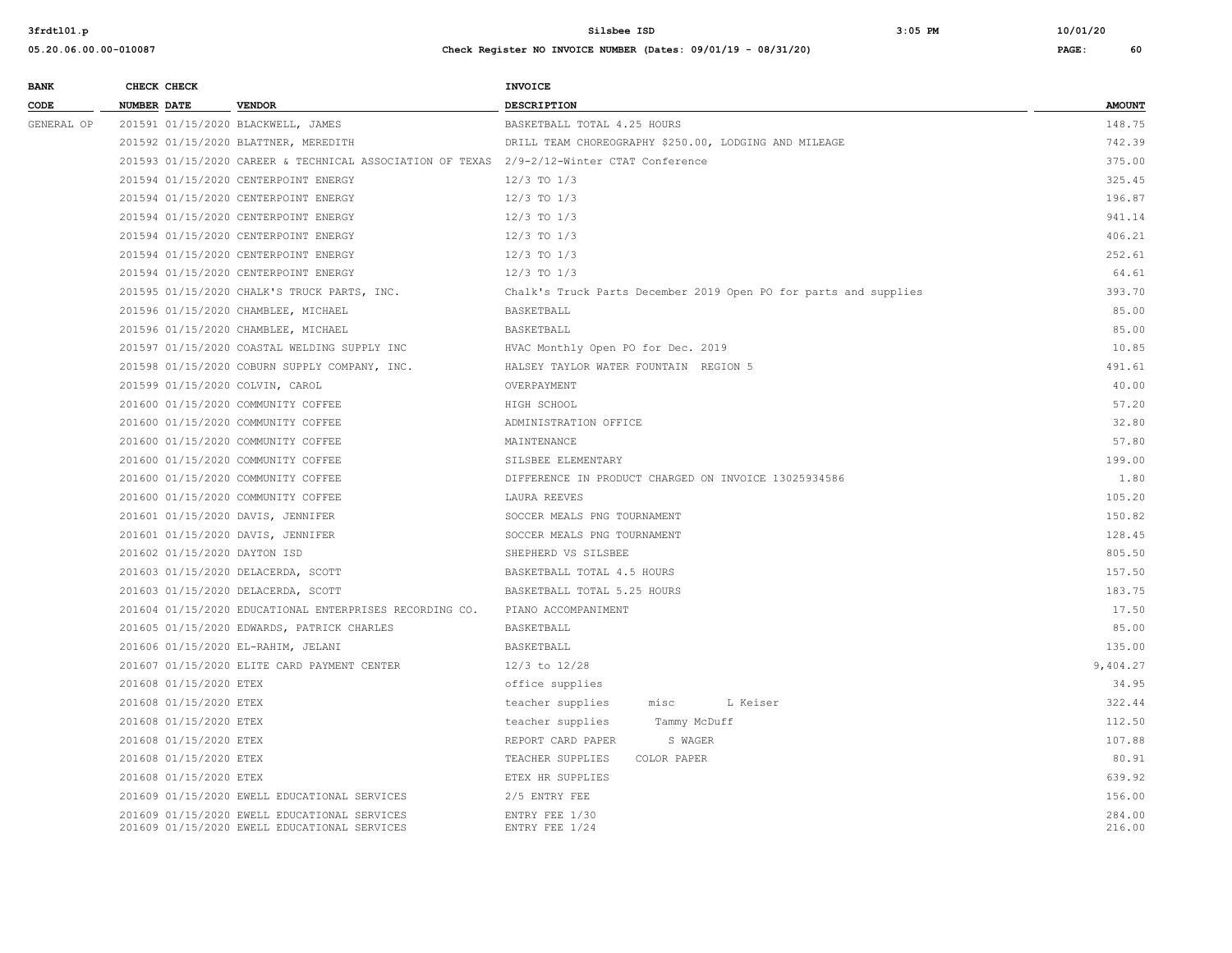**05.20.06.00.00-010087 Check Register NO INVOICE NUMBER (Dates: 09/01/19 - 08/31/20) PAGE: 60**

# **BANK** CHECK CHECK **CHECK CODE NUMBER DATE VENDOR DESCRIPTION AMOUNT** GENERAL OP 201591 01/15/2020 BLACKWELL, JAMES BASKETBALL TOTAL 4.25 HOURS 148.75 201592 01/15/2020 BLATTNER, MEREDITH DRILL TEAM CHOREOGRAPHY \$250.00, LODGING AND MILEAGE 742.39 201593 01/15/2020 CAREER & TECHNICAL ASSOCIATION OF TEXAS 2/9-2/12-Winter CTAT Conference 375.00 201594 01/15/2020 CENTERPOINT ENERGY 12/3 TO 1/3 325.45 201594 01/15/2020 CENTERPOINT ENERGY 12/3 TO 1/3 12/3 TO 1/3 196.87 201594 01/15/2020 CENTERPOINT ENERGY 12/3 TO 1/3 941.14 201594 01/15/2020 CENTERPOINT ENERGY 12/3 TO 1/3 406.21 201594 01/15/2020 CENTERPOINT ENERGY 12/3 TO 1/3 252.61 201594 01/15/2020 CENTERPOINT ENERGY 12/3 TO 1/3 64.61 201595 01/15/2020 CHALK'S TRUCK PARTS, INC. Chalk's Truck Parts December 2019 Open PO for parts and supplies 393.70 201596 01/15/2020 CHAMBLEE, MICHAEL BASKETBALL 85.00 201596 01/15/2020 CHAMBLEE, MICHAEL BASKETBALL 85.00 201597 01/15/2020 COASTAL WELDING SUPPLY INC HVAC Monthly Open PO for Dec. 2019 10.85 201598 01/15/2020 COBURN SUPPLY COMPANY, INC. HALSEY TAYLOR WATER FOUNTAIN REGION 5 491.61 201599 01/15/2020 COLVIN, CAROL OVERPAYMENT 40.00 201600 01/15/2020 COMMUNITY COFFEE HIGH SCHOOL 57.20 201600 01/15/2020 COMMUNITY COFFEE AND ADMINISTRATION OFFICE AND ASSESSED AND ARREST AND A SOLUTION OFFICE 32.80 201600 01/15/2020 COMMUNITY COFFEE MAINTENANCE 57.80 201600 01/15/2020 COMMUNITY COFFEE SILSBEE ELEMENTARY 199.00 201600 01/15/2020 COMMUNITY COFFEE DIFFERENCE IN PRODUCT CHARGED ON INVOICE 13025934586 1.80 201600 01/15/2020 COMMUNITY COFFEE LAURA REEVES 105.20 201601 01/15/2020 DAVIS, JENNIFER SOCCER MEALS PNG TOURNAMENT SOCCER MEALS POST SOCCER SOCCER MEALS PNG TOURNAMENT 201601 01/15/2020 DAVIS, JENNIFER SOCCER MEALS PNG TOURNAMENT SOCCER MEALS POST SOCCER SOCCER SOCIETY AND THE SOCCER SOCIETY AND THE SOCCER SOCIETY AND THE SOCCER SOCIETY AND THE SOCIETY OF SOCIETY AND THE SOCIETY OF SOCIE 201602 01/15/2020 DAYTON ISD 805.50 SHEPHERD VS SILSBEE STEED SO SOURCE AND SHEPHERD VS SILSBEE 201603 01/15/2020 DELACERDA, SCOTT BASKETBALL TOTAL 4.5 HOURS 157.50 201603 01/15/2020 DELACERDA, SCOTT BASKETBALL TOTAL 5.25 HOURS 183.75 201604 01/15/2020 EDUCATIONAL ENTERPRISES RECORDING CO. PIANO ACCOMPANIMENT 17.50 201605 01/15/2020 EDWARDS, PATRICK CHARLES BASKETBALL BASKETBALL 85.00 201606 01/15/2020 EL-RAHIM, JELANI BASKETBALL 135.00 201607 01/15/2020 ELITE CARD PAYMENT CENTER 12/3 to 12/28 9,404.27 201608 01/15/2020 ETEX office supplies 34.95 201608 01/15/2020 ETEX teacher supplies misc L Keiser 322.44 201608 01/15/2020 ETEX teacher supplies Tammy McDuff 112.50 201608 01/15/2020 ETEX 107.88 201608 01/15/2020 ETEX 60.91 COLOR ENERGIES COLOR PAPER 80.91 COLOR PAPER 80.91 201608 01/15/2020 ETEX ETEX HR SUPPLIES 639.92 201609 01/15/2020 EWELL EDUCATIONAL SERVICES 2/5 ENTRY FEE 156.00 201609 01/15/2020 EWELL EDUCATIONAL SERVICES ENTRY FEE 1/30 284.00 201609 01/15/2020 EWELL EDUCATIONAL SERVICES ENTRY FEE 1/24 216.00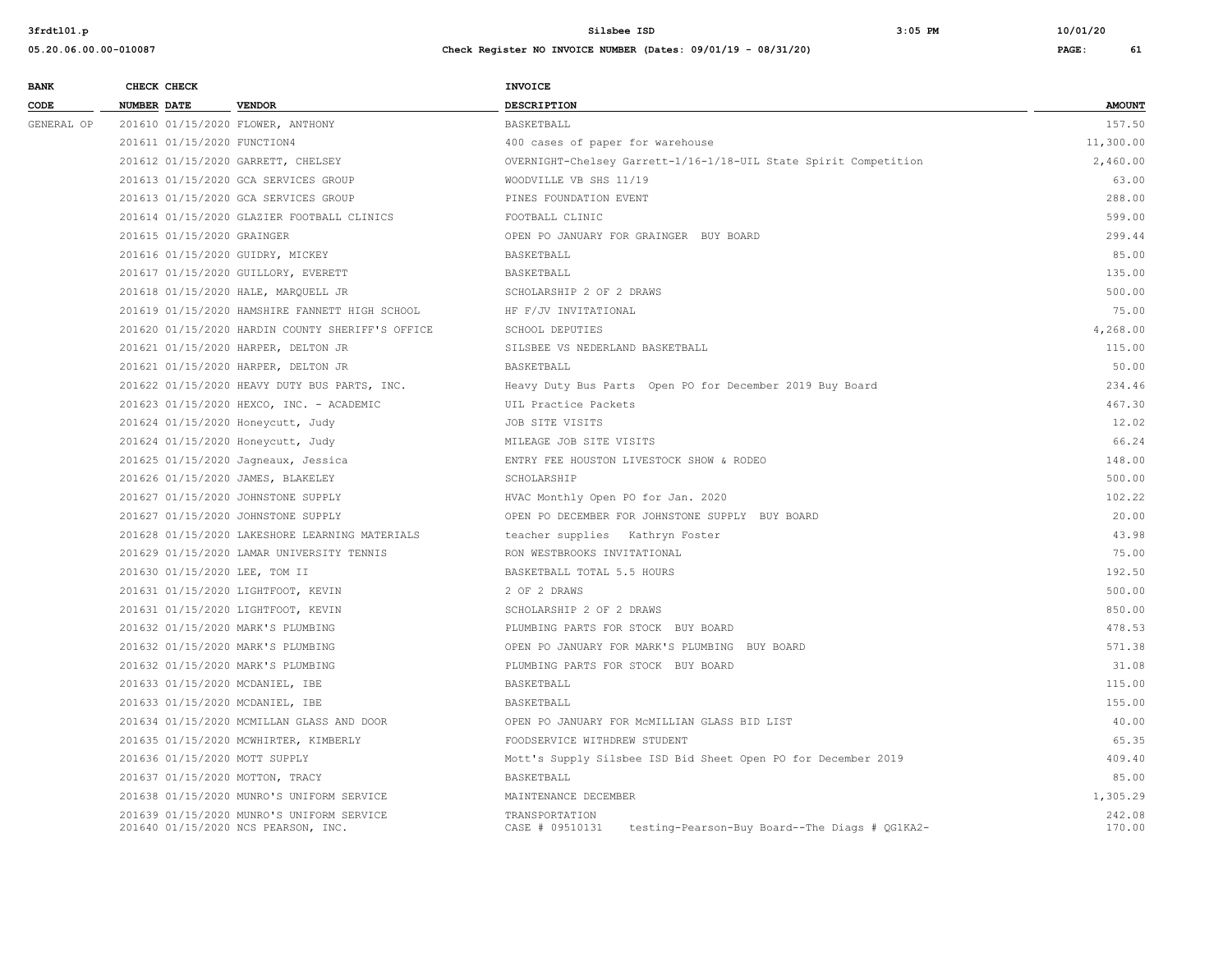| <b>BANK</b> | CHECK CHECK                 |                                                                                  | <b>INVOICE</b>                                                                      |                  |
|-------------|-----------------------------|----------------------------------------------------------------------------------|-------------------------------------------------------------------------------------|------------------|
| CODE        | <b>NUMBER DATE</b>          | <b>VENDOR</b>                                                                    | <b>DESCRIPTION</b>                                                                  | <b>AMOUNT</b>    |
| GENERAL OP  |                             | 201610 01/15/2020 FLOWER, ANTHONY                                                | <b>BASKETBALL</b>                                                                   | 157.50           |
|             | 201611 01/15/2020 FUNCTION4 |                                                                                  | 400 cases of paper for warehouse                                                    | 11,300.00        |
|             |                             | 201612 01/15/2020 GARRETT, CHELSEY                                               | OVERNIGHT-Chelsey Garrett-1/16-1/18-UIL State Spirit Competition                    | 2,460.00         |
|             |                             | 201613 01/15/2020 GCA SERVICES GROUP                                             | WOODVILLE VB SHS 11/19                                                              | 63.00            |
|             |                             | 201613 01/15/2020 GCA SERVICES GROUP                                             | PINES FOUNDATION EVENT                                                              | 288.00           |
|             |                             | 201614 01/15/2020 GLAZIER FOOTBALL CLINICS                                       | FOOTBALL CLINIC                                                                     | 599.00           |
|             | 201615 01/15/2020 GRAINGER  |                                                                                  | OPEN PO JANUARY FOR GRAINGER BUY BOARD                                              | 299.44           |
|             |                             | 201616 01/15/2020 GUIDRY, MICKEY                                                 | <b>BASKETBALL</b>                                                                   | 85.00            |
|             |                             | 201617 01/15/2020 GUILLORY, EVERETT                                              | BASKETBALL                                                                          | 135.00           |
|             |                             | 201618 01/15/2020 HALE, MARQUELL JR                                              | SCHOLARSHIP 2 OF 2 DRAWS                                                            | 500.00           |
|             |                             | 201619 01/15/2020 HAMSHIRE FANNETT HIGH SCHOOL                                   | HF F/JV INVITATIONAL                                                                | 75.00            |
|             |                             | 201620 01/15/2020 HARDIN COUNTY SHERIFF'S OFFICE                                 | SCHOOL DEPUTIES                                                                     | 4,268.00         |
|             |                             | 201621 01/15/2020 HARPER, DELTON JR                                              | SILSBEE VS NEDERLAND BASKETBALL                                                     | 115.00           |
|             |                             | 201621 01/15/2020 HARPER, DELTON JR                                              | BASKETBALL                                                                          | 50.00            |
|             |                             | 201622 01/15/2020 HEAVY DUTY BUS PARTS, INC.                                     | Heavy Duty Bus Parts Open PO for December 2019 Buy Board                            | 234.46           |
|             |                             | 201623 01/15/2020 HEXCO, INC. - ACADEMIC                                         | UIL Practice Packets                                                                | 467.30           |
|             |                             | 201624 01/15/2020 Honeycutt, Judy                                                | JOB SITE VISITS                                                                     | 12.02            |
|             |                             | 201624 01/15/2020 Honeycutt, Judy                                                | MILEAGE JOB SITE VISITS                                                             | 66.24            |
|             |                             | 201625 01/15/2020 Jagneaux, Jessica                                              | ENTRY FEE HOUSTON LIVESTOCK SHOW & RODEO                                            | 148.00           |
|             |                             | 201626 01/15/2020 JAMES, BLAKELEY                                                | SCHOLARSHIP                                                                         | 500.00           |
|             |                             | 201627 01/15/2020 JOHNSTONE SUPPLY                                               | HVAC Monthly Open PO for Jan. 2020                                                  | 102.22           |
|             |                             | 201627 01/15/2020 JOHNSTONE SUPPLY                                               | OPEN PO DECEMBER FOR JOHNSTONE SUPPLY BUY BOARD                                     | 20.00            |
|             |                             | 201628 01/15/2020 LAKESHORE LEARNING MATERIALS                                   | teacher supplies Kathryn Foster                                                     | 43.98            |
|             |                             | 201629 01/15/2020 LAMAR UNIVERSITY TENNIS                                        | RON WESTBROOKS INVITATIONAL                                                         | 75.00            |
|             |                             | 201630 01/15/2020 LEE, TOM II                                                    | BASKETBALL TOTAL 5.5 HOURS                                                          | 192.50           |
|             |                             | 201631 01/15/2020 LIGHTFOOT, KEVIN                                               | 2 OF 2 DRAWS                                                                        | 500.00           |
|             |                             | 201631 01/15/2020 LIGHTFOOT, KEVIN                                               | SCHOLARSHIP 2 OF 2 DRAWS                                                            | 850.00           |
|             |                             | 201632 01/15/2020 MARK'S PLUMBING                                                | PLUMBING PARTS FOR STOCK BUY BOARD                                                  | 478.53           |
|             |                             | 201632 01/15/2020 MARK'S PLUMBING                                                | OPEN PO JANUARY FOR MARK'S PLUMBING BUY BOARD                                       | 571.38           |
|             |                             | 201632 01/15/2020 MARK'S PLUMBING                                                | PLUMBING PARTS FOR STOCK BUY BOARD                                                  | 31.08            |
|             |                             | 201633 01/15/2020 MCDANIEL, IBE                                                  | BASKETBALL                                                                          | 115.00           |
|             |                             | 201633 01/15/2020 MCDANIEL, IBE                                                  | BASKETBALL                                                                          | 155.00           |
|             |                             | 201634 01/15/2020 MCMILLAN GLASS AND DOOR                                        | OPEN PO JANUARY FOR MCMILLIAN GLASS BID LIST                                        | 40.00            |
|             |                             | 201635 01/15/2020 MCWHIRTER, KIMBERLY                                            | FOODSERVICE WITHDREW STUDENT                                                        | 65.35            |
|             |                             | 201636 01/15/2020 MOTT SUPPLY                                                    | Mott's Supply Silsbee ISD Bid Sheet Open PO for December 2019                       | 409.40           |
|             |                             | 201637 01/15/2020 MOTTON, TRACY                                                  | BASKETBALL                                                                          | 85.00            |
|             |                             | 201638 01/15/2020 MUNRO'S UNIFORM SERVICE                                        | MAINTENANCE DECEMBER                                                                | 1,305.29         |
|             |                             | 201639 01/15/2020 MUNRO'S UNIFORM SERVICE<br>201640 01/15/2020 NCS PEARSON, INC. | TRANSPORTATION<br>CASE # 09510131<br>testing-Pearson-Buy Board--The Diags # QG1KA2- | 242.08<br>170.00 |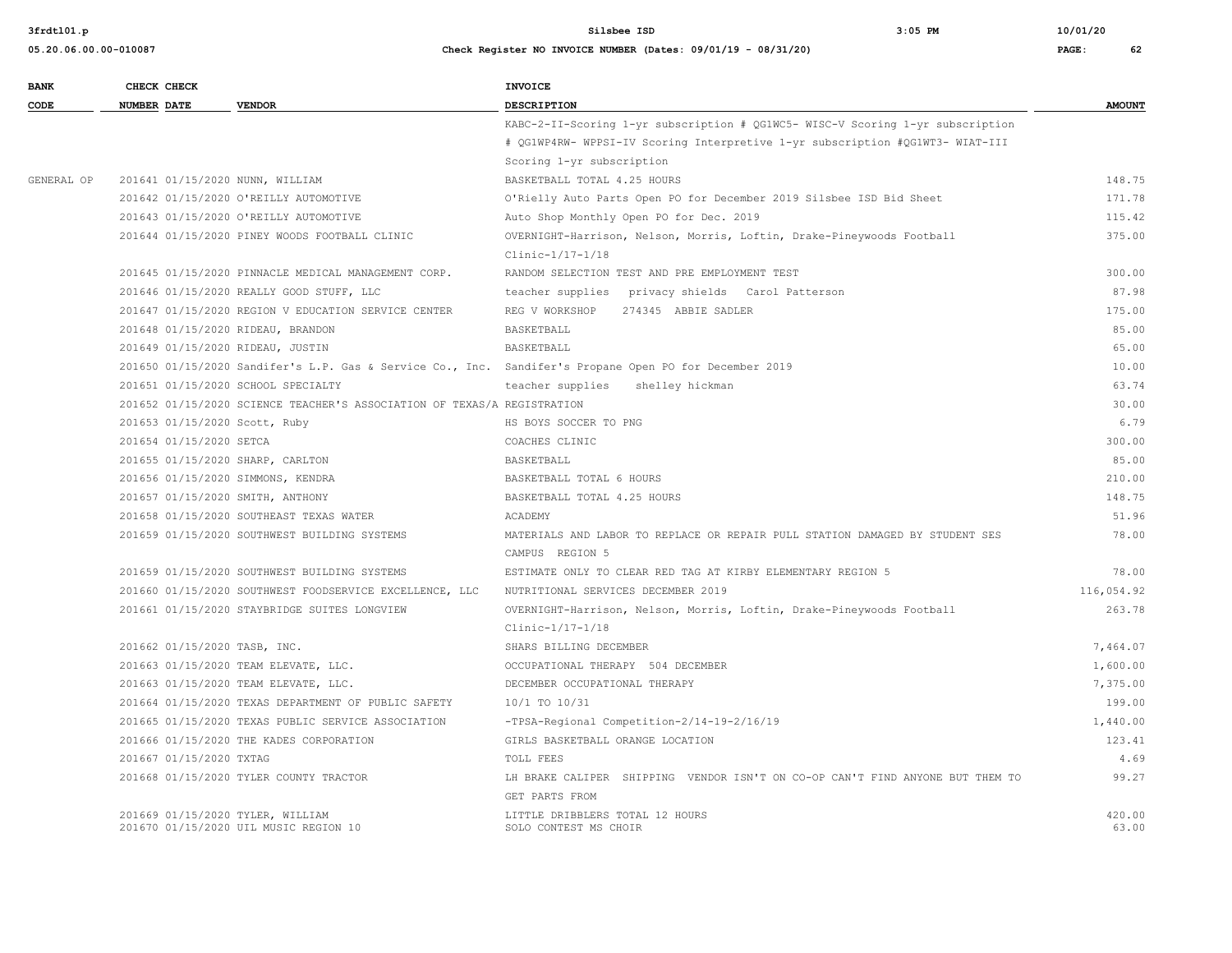| 05.20.06.00.00-010087 | Check Register NO INVOICE NUMBER (Dates: 09/01/19 - 08/31/20) | PAGE: | 62 |
|-----------------------|---------------------------------------------------------------|-------|----|
|                       |                                                               |       |    |

| <b>BANK</b> | CHECK CHECK                        |                                                                         | <b>INVOICE</b>                                                                                         |                 |
|-------------|------------------------------------|-------------------------------------------------------------------------|--------------------------------------------------------------------------------------------------------|-----------------|
| CODE        | <b>NUMBER DATE</b>                 | <b>VENDOR</b>                                                           | <b>DESCRIPTION</b>                                                                                     | <b>AMOUNT</b>   |
|             |                                    |                                                                         | KABC-2-II-Scoring 1-yr subscription # QG1WC5- WISC-V Scoring 1-yr subscription                         |                 |
|             |                                    |                                                                         | # QG1WP4RW- WPPSI-IV Scoring Interpretive 1-yr subscription #QG1WT3- WIAT-III                          |                 |
|             |                                    |                                                                         | Scoring 1-yr subscription                                                                              |                 |
| GENERAL OP  | 201641 01/15/2020 NUNN, WILLIAM    |                                                                         | BASKETBALL TOTAL 4.25 HOURS                                                                            | 148.75          |
|             |                                    | 201642 01/15/2020 O'REILLY AUTOMOTIVE                                   | O'Rielly Auto Parts Open PO for December 2019 Silsbee ISD Bid Sheet                                    | 171.78          |
|             |                                    | 201643 01/15/2020 O'REILLY AUTOMOTIVE                                   | Auto Shop Monthly Open PO for Dec. 2019                                                                | 115.42          |
|             |                                    | 201644 01/15/2020 PINEY WOODS FOOTBALL CLINIC                           | OVERNIGHT-Harrison, Nelson, Morris, Loftin, Drake-Pineywoods Football                                  | 375.00          |
|             |                                    |                                                                         | Clinic-1/17-1/18                                                                                       |                 |
|             |                                    | 201645 01/15/2020 PINNACLE MEDICAL MANAGEMENT CORP.                     | RANDOM SELECTION TEST AND PRE EMPLOYMENT TEST                                                          | 300.00          |
|             |                                    | 201646 01/15/2020 REALLY GOOD STUFF, LLC                                | teacher supplies  privacy shields  Carol Patterson                                                     | 87.98           |
|             |                                    | 201647 01/15/2020 REGION V EDUCATION SERVICE CENTER                     | REG V WORKSHOP<br>274345 ABBIE SADLER                                                                  | 175.00          |
|             | 201648 01/15/2020 RIDEAU, BRANDON  |                                                                         | BASKETBALL                                                                                             | 85.00           |
|             | 201649 01/15/2020 RIDEAU, JUSTIN   |                                                                         | BASKETBALL                                                                                             | 65.00           |
|             |                                    |                                                                         | 201650 01/15/2020 Sandifer's L.P. Gas & Service Co., Inc. Sandifer's Propane Open PO for December 2019 | 10.00           |
|             | 201651 01/15/2020 SCHOOL SPECIALTY |                                                                         | teacher supplies shelley hickman                                                                       | 63.74           |
|             |                                    | 201652 01/15/2020 SCIENCE TEACHER'S ASSOCIATION OF TEXAS/A REGISTRATION |                                                                                                        | 30.00           |
|             | 201653 01/15/2020 Scott, Ruby      |                                                                         | HS BOYS SOCCER TO PNG                                                                                  | 6.79            |
|             | 201654 01/15/2020 SETCA            |                                                                         | COACHES CLINIC                                                                                         | 300.00          |
|             | 201655 01/15/2020 SHARP, CARLTON   |                                                                         | BASKETBALL                                                                                             | 85.00           |
|             | 201656 01/15/2020 SIMMONS, KENDRA  |                                                                         | BASKETBALL TOTAL 6 HOURS                                                                               | 210.00          |
|             | 201657 01/15/2020 SMITH, ANTHONY   |                                                                         | BASKETBALL TOTAL 4.25 HOURS                                                                            | 148.75          |
|             |                                    | 201658 01/15/2020 SOUTHEAST TEXAS WATER                                 | ACADEMY                                                                                                | 51.96           |
|             |                                    | 201659 01/15/2020 SOUTHWEST BUILDING SYSTEMS                            | MATERIALS AND LABOR TO REPLACE OR REPAIR PULL STATION DAMAGED BY STUDENT SES                           | 78.00           |
|             |                                    |                                                                         | CAMPUS REGION 5                                                                                        |                 |
|             |                                    | 201659 01/15/2020 SOUTHWEST BUILDING SYSTEMS                            | ESTIMATE ONLY TO CLEAR RED TAG AT KIRBY ELEMENTARY REGION 5                                            | 78.00           |
|             |                                    | 201660 01/15/2020 SOUTHWEST FOODSERVICE EXCELLENCE, LLC                 | NUTRITIONAL SERVICES DECEMBER 2019                                                                     | 116,054.92      |
|             |                                    | 201661 01/15/2020 STAYBRIDGE SUITES LONGVIEW                            | OVERNIGHT-Harrison, Nelson, Morris, Loftin, Drake-Pineywoods Football                                  | 263.78          |
|             |                                    |                                                                         | Clinic-1/17-1/18                                                                                       |                 |
|             | 201662 01/15/2020 TASB, INC.       |                                                                         | SHARS BILLING DECEMBER                                                                                 | 7,464.07        |
|             |                                    | 201663 01/15/2020 TEAM ELEVATE, LLC.                                    | OCCUPATIONAL THERAPY 504 DECEMBER                                                                      | 1,600.00        |
|             |                                    | 201663 01/15/2020 TEAM ELEVATE, LLC.                                    | DECEMBER OCCUPATIONAL THERAPY                                                                          | 7,375.00        |
|             |                                    | 201664 01/15/2020 TEXAS DEPARTMENT OF PUBLIC SAFETY                     | 10/1 TO 10/31                                                                                          | 199.00          |
|             |                                    | 201665 01/15/2020 TEXAS PUBLIC SERVICE ASSOCIATION                      | -TPSA-Regional Competition-2/14-19-2/16/19                                                             | 1,440.00        |
|             |                                    | 201666 01/15/2020 THE KADES CORPORATION                                 | GIRLS BASKETBALL ORANGE LOCATION                                                                       | 123.41          |
|             | 201667 01/15/2020 TXTAG            |                                                                         | TOLL FEES                                                                                              | 4.69            |
|             |                                    | 201668 01/15/2020 TYLER COUNTY TRACTOR                                  | LH BRAKE CALIPER SHIPPING VENDOR ISN'T ON CO-OP CAN'T FIND ANYONE BUT THEM TO                          | 99.27           |
|             |                                    |                                                                         | GET PARTS FROM                                                                                         |                 |
|             | 201669 01/15/2020 TYLER, WILLIAM   | 201670 01/15/2020 UIL MUSIC REGION 10                                   | LITTLE DRIBBLERS TOTAL 12 HOURS<br>SOLO CONTEST MS CHOIR                                               | 420.00<br>63.00 |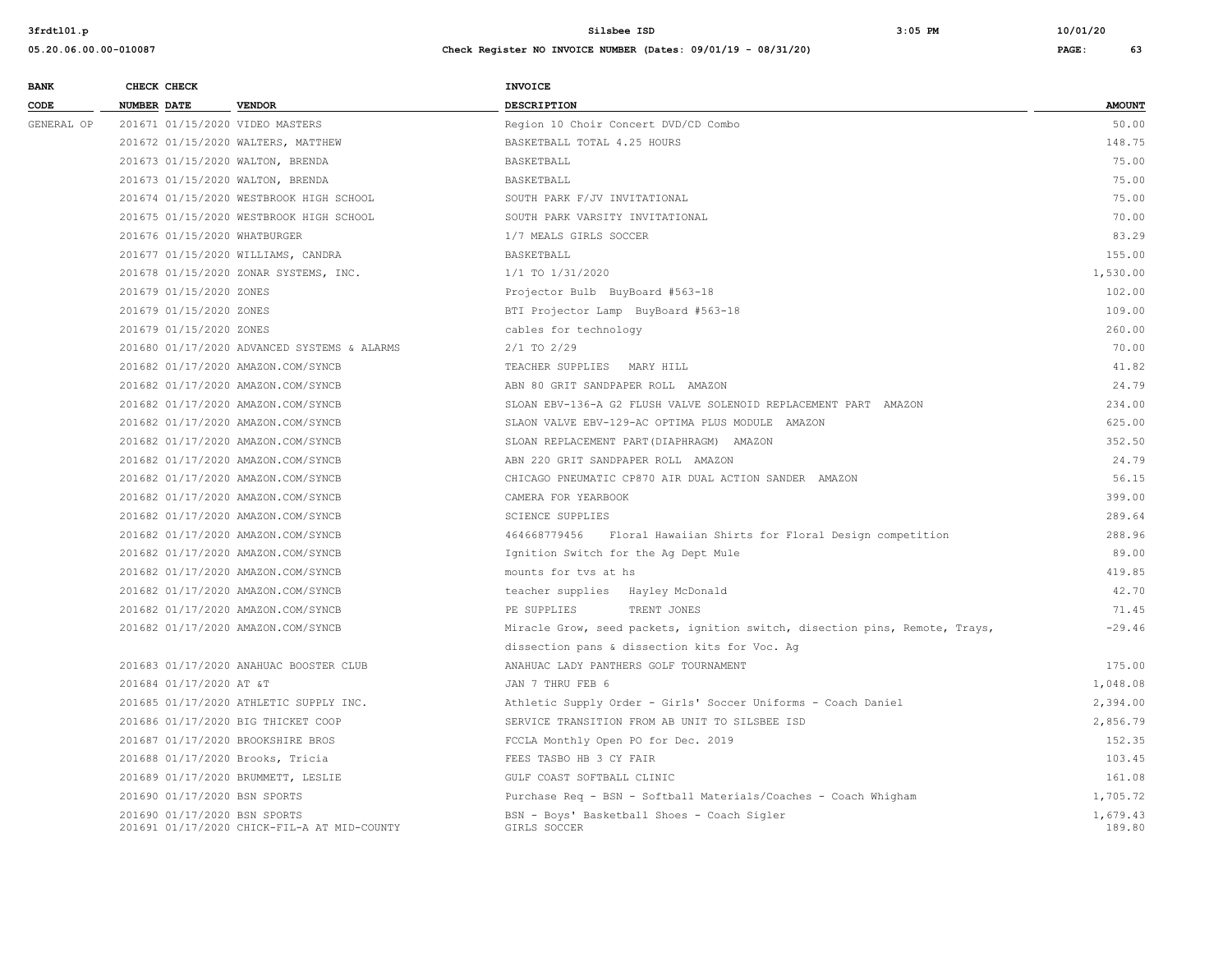| <b>BANK</b> |                    | CHECK CHECK                             |                                                                             | <b>INVOICE</b>                                                              |                    |
|-------------|--------------------|-----------------------------------------|-----------------------------------------------------------------------------|-----------------------------------------------------------------------------|--------------------|
| CODE        | <b>NUMBER DATE</b> |                                         | <b>VENDOR</b>                                                               | <b>DESCRIPTION</b>                                                          | <b>AMOUNT</b>      |
| GENERAL OP  |                    |                                         | 201671 01/15/2020 VIDEO MASTERS                                             | Region 10 Choir Concert DVD/CD Combo                                        | 50.00              |
|             |                    |                                         | 201672 01/15/2020 WALTERS, MATTHEW                                          | BASKETBALL TOTAL 4.25 HOURS                                                 | 148.75             |
|             |                    |                                         | 201673 01/15/2020 WALTON, BRENDA                                            | BASKETBALL                                                                  | 75.00              |
|             |                    |                                         | 201673 01/15/2020 WALTON, BRENDA                                            | BASKETBALL                                                                  | 75.00              |
|             |                    | 201674 01/15/2020 WESTBROOK HIGH SCHOOL | SOUTH PARK F/JV INVITATIONAL                                                | 75.00                                                                       |                    |
|             |                    |                                         | 201675 01/15/2020 WESTBROOK HIGH SCHOOL                                     | SOUTH PARK VARSITY INVITATIONAL                                             | 70.00              |
|             |                    |                                         | 201676 01/15/2020 WHATBURGER                                                | 1/7 MEALS GIRLS SOCCER                                                      | 83.29              |
|             |                    |                                         | 201677 01/15/2020 WILLIAMS, CANDRA                                          | BASKETBALL                                                                  | 155.00             |
|             |                    |                                         | 201678 01/15/2020 ZONAR SYSTEMS, INC.                                       | 1/1 TO 1/31/2020                                                            | 1,530.00           |
|             |                    | 201679 01/15/2020 ZONES                 |                                                                             | Projector Bulb BuyBoard #563-18                                             | 102.00             |
|             |                    | 201679 01/15/2020 ZONES                 |                                                                             | BTI Projector Lamp BuyBoard #563-18                                         | 109.00             |
|             |                    | 201679 01/15/2020 ZONES                 |                                                                             | cables for technology                                                       | 260.00             |
|             |                    |                                         | 201680 01/17/2020 ADVANCED SYSTEMS & ALARMS                                 | $2/1$ TO $2/29$                                                             | 70.00              |
|             |                    |                                         | 201682 01/17/2020 AMAZON.COM/SYNCB                                          | TEACHER SUPPLIES MARY HILL                                                  | 41.82              |
|             |                    |                                         | 201682 01/17/2020 AMAZON.COM/SYNCB                                          | ABN 80 GRIT SANDPAPER ROLL AMAZON                                           | 24.79              |
|             |                    |                                         | 201682 01/17/2020 AMAZON.COM/SYNCB                                          | SLOAN EBV-136-A G2 FLUSH VALVE SOLENOID REPLACEMENT PART AMAZON             | 234.00             |
|             |                    |                                         | 201682 01/17/2020 AMAZON.COM/SYNCB                                          | SLAON VALVE EBV-129-AC OPTIMA PLUS MODULE AMAZON                            | 625.00             |
|             |                    |                                         | 201682 01/17/2020 AMAZON.COM/SYNCB                                          | SLOAN REPLACEMENT PART (DIAPHRAGM) AMAZON                                   | 352.50             |
|             |                    |                                         | 201682 01/17/2020 AMAZON.COM/SYNCB                                          | ABN 220 GRIT SANDPAPER ROLL AMAZON                                          | 24.79              |
|             |                    |                                         | 201682 01/17/2020 AMAZON.COM/SYNCB                                          | CHICAGO PNEUMATIC CP870 AIR DUAL ACTION SANDER AMAZON                       | 56.15              |
|             |                    |                                         | 201682 01/17/2020 AMAZON.COM/SYNCB                                          | CAMERA FOR YEARBOOK                                                         | 399.00             |
|             |                    |                                         | 201682 01/17/2020 AMAZON.COM/SYNCB                                          | <b>SCIENCE SUPPLIES</b>                                                     | 289.64             |
|             |                    |                                         | 201682 01/17/2020 AMAZON.COM/SYNCB                                          | 464668779456 Floral Hawaiian Shirts for Floral Design competition           | 288.96             |
|             |                    |                                         | 201682 01/17/2020 AMAZON.COM/SYNCB                                          | Ignition Switch for the Ag Dept Mule                                        | 89.00              |
|             |                    |                                         | 201682 01/17/2020 AMAZON.COM/SYNCB                                          | mounts for tvs at hs                                                        | 419.85             |
|             |                    |                                         | 201682 01/17/2020 AMAZON.COM/SYNCB                                          | teacher supplies Hayley McDonald                                            | 42.70              |
|             |                    |                                         | 201682 01/17/2020 AMAZON.COM/SYNCB                                          | PE SUPPLIES<br>TRENT JONES                                                  | 71.45              |
|             |                    |                                         | 201682 01/17/2020 AMAZON.COM/SYNCB                                          | Miracle Grow, seed packets, ignition switch, disection pins, Remote, Trays, | $-29.46$           |
|             |                    |                                         |                                                                             | dissection pans & dissection kits for Voc. Ag                               |                    |
|             |                    |                                         | 201683 01/17/2020 ANAHUAC BOOSTER CLUB                                      | ANAHUAC LADY PANTHERS GOLF TOURNAMENT                                       | 175.00             |
|             |                    | 201684 01/17/2020 AT &T                 |                                                                             | JAN 7 THRU FEB 6                                                            | 1,048.08           |
|             |                    |                                         | 201685 01/17/2020 ATHLETIC SUPPLY INC.                                      | Athletic Supply Order - Girls' Soccer Uniforms - Coach Daniel               | 2,394.00           |
|             |                    |                                         | 201686 01/17/2020 BIG THICKET COOP                                          | SERVICE TRANSITION FROM AB UNIT TO SILSBEE ISD                              | 2,856.79           |
|             |                    |                                         | 201687 01/17/2020 BROOKSHIRE BROS                                           | FCCLA Monthly Open PO for Dec. 2019                                         | 152.35             |
|             |                    |                                         | 201688 01/17/2020 Brooks, Tricia                                            | FEES TASBO HB 3 CY FAIR                                                     | 103.45             |
|             |                    |                                         | 201689 01/17/2020 BRUMMETT, LESLIE                                          | GULF COAST SOFTBALL CLINIC                                                  | 161.08             |
|             |                    |                                         | 201690 01/17/2020 BSN SPORTS                                                | Purchase Req - BSN - Softball Materials/Coaches - Coach Whigham             | 1,705.72           |
|             |                    |                                         | 201690 01/17/2020 BSN SPORTS<br>201691 01/17/2020 CHICK-FIL-A AT MID-COUNTY | BSN - Boys' Basketball Shoes - Coach Sigler<br>GIRLS SOCCER                 | 1,679.43<br>189.80 |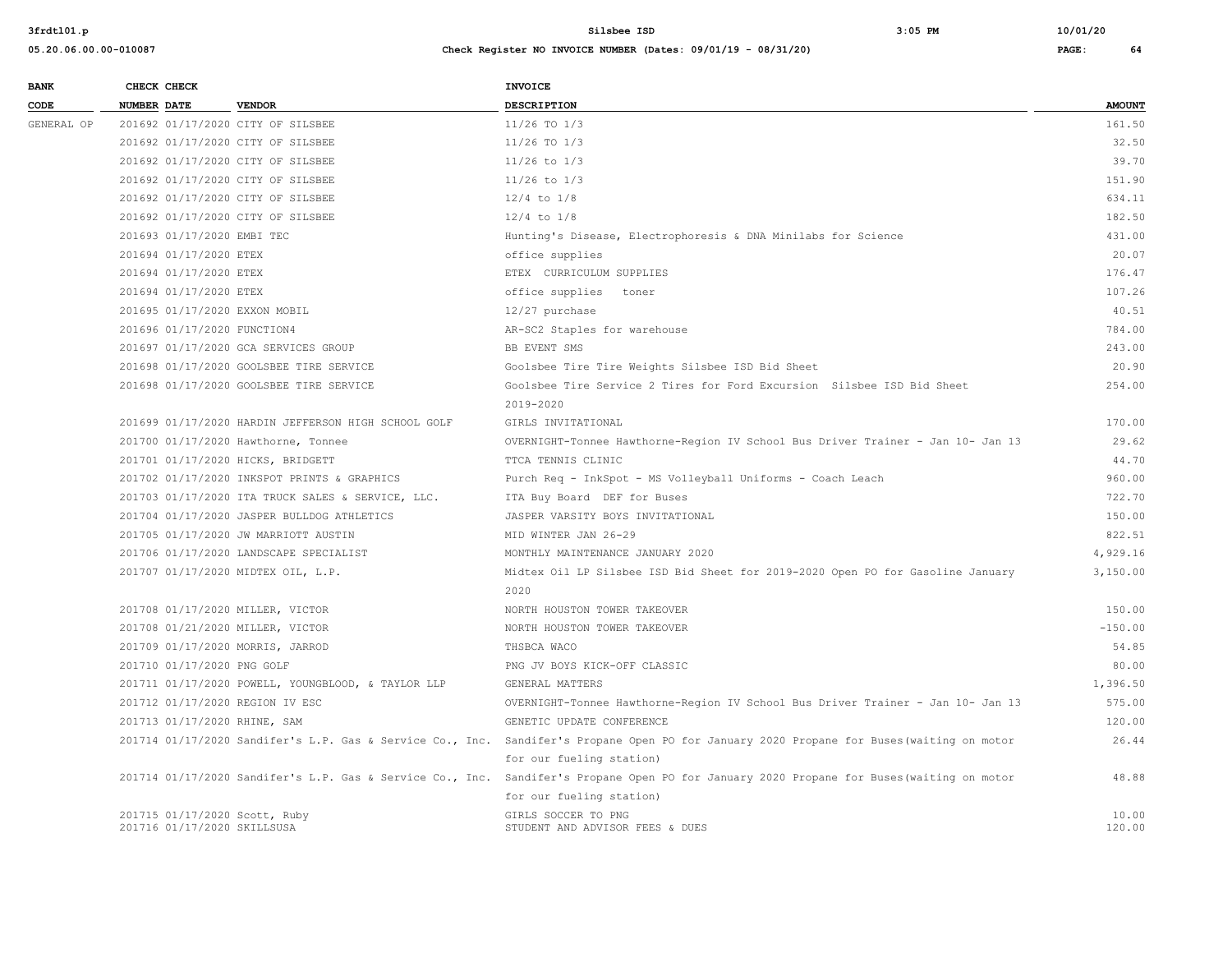| <b>BANK</b> |                    | CHECK CHECK                 |                                                     | <b>INVOICE</b>                                                                                                                            |                 |
|-------------|--------------------|-----------------------------|-----------------------------------------------------|-------------------------------------------------------------------------------------------------------------------------------------------|-----------------|
| CODE        | <b>NUMBER DATE</b> |                             | <b>VENDOR</b>                                       | <b>DESCRIPTION</b>                                                                                                                        | <b>AMOUNT</b>   |
| GENERAL OP  |                    |                             | 201692 01/17/2020 CITY OF SILSBEE                   | 11/26 TO 1/3                                                                                                                              | 161.50          |
|             |                    |                             | 201692 01/17/2020 CITY OF SILSBEE                   | $11/26$ TO $1/3$                                                                                                                          | 32.50           |
|             |                    |                             | 201692 01/17/2020 CITY OF SILSBEE                   | $11/26$ to $1/3$                                                                                                                          | 39.70           |
|             |                    |                             | 201692 01/17/2020 CITY OF SILSBEE                   | $11/26$ to $1/3$                                                                                                                          | 151.90          |
|             |                    |                             | 201692 01/17/2020 CITY OF SILSBEE                   | $12/4$ to $1/8$                                                                                                                           | 634.11          |
|             |                    |                             | 201692 01/17/2020 CITY OF SILSBEE                   | $12/4$ to $1/8$                                                                                                                           | 182.50          |
|             |                    | 201693 01/17/2020 EMBI TEC  |                                                     | Hunting's Disease, Electrophoresis & DNA Minilabs for Science                                                                             | 431.00          |
|             |                    | 201694 01/17/2020 ETEX      |                                                     | office supplies                                                                                                                           | 20.07           |
|             |                    | 201694 01/17/2020 ETEX      |                                                     | ETEX CURRICULUM SUPPLIES                                                                                                                  | 176.47          |
|             |                    | 201694 01/17/2020 ETEX      |                                                     | office supplies toner                                                                                                                     | 107.26          |
|             |                    |                             | 201695 01/17/2020 EXXON MOBIL                       | 12/27 purchase                                                                                                                            | 40.51           |
|             |                    | 201696 01/17/2020 FUNCTION4 |                                                     | AR-SC2 Staples for warehouse                                                                                                              | 784.00          |
|             |                    |                             | 201697 01/17/2020 GCA SERVICES GROUP                | BB EVENT SMS                                                                                                                              | 243.00          |
|             |                    |                             | 201698 01/17/2020 GOOLSBEE TIRE SERVICE             | Goolsbee Tire Tire Weights Silsbee ISD Bid Sheet                                                                                          | 20.90           |
|             |                    |                             | 201698 01/17/2020 GOOLSBEE TIRE SERVICE             | Goolsbee Tire Service 2 Tires for Ford Excursion Silsbee ISD Bid Sheet                                                                    | 254.00          |
|             |                    |                             |                                                     | 2019-2020                                                                                                                                 |                 |
|             |                    |                             | 201699 01/17/2020 HARDIN JEFFERSON HIGH SCHOOL GOLF | GIRLS INVITATIONAL                                                                                                                        | 170.00          |
|             |                    |                             | 201700 01/17/2020 Hawthorne, Tonnee                 | OVERNIGHT-Tonnee Hawthorne-Region IV School Bus Driver Trainer - Jan 10- Jan 13                                                           | 29.62           |
|             |                    |                             | 201701 01/17/2020 HICKS, BRIDGETT                   | TTCA TENNIS CLINIC                                                                                                                        | 44.70           |
|             |                    |                             | 201702 01/17/2020 INKSPOT PRINTS & GRAPHICS         | Purch Req - InkSpot - MS Volleyball Uniforms - Coach Leach                                                                                | 960.00          |
|             |                    |                             | 201703 01/17/2020 ITA TRUCK SALES & SERVICE, LLC.   | ITA Buy Board DEF for Buses                                                                                                               | 722.70          |
|             |                    |                             | 201704 01/17/2020 JASPER BULLDOG ATHLETICS          | JASPER VARSITY BOYS INVITATIONAL                                                                                                          | 150.00          |
|             |                    |                             | 201705 01/17/2020 JW MARRIOTT AUSTIN                | MID WINTER JAN 26-29                                                                                                                      | 822.51          |
|             |                    |                             | 201706 01/17/2020 LANDSCAPE SPECIALIST              | MONTHLY MAINTENANCE JANUARY 2020                                                                                                          | 4,929.16        |
|             |                    |                             | 201707 01/17/2020 MIDTEX OIL, L.P.                  | Midtex Oil LP Silsbee ISD Bid Sheet for 2019-2020 Open PO for Gasoline January                                                            | 3,150.00        |
|             |                    |                             |                                                     | 2020                                                                                                                                      |                 |
|             |                    |                             | 201708 01/17/2020 MILLER, VICTOR                    | NORTH HOUSTON TOWER TAKEOVER                                                                                                              | 150.00          |
|             |                    |                             | 201708 01/21/2020 MILLER, VICTOR                    | NORTH HOUSTON TOWER TAKEOVER                                                                                                              | $-150.00$       |
|             |                    |                             | 201709 01/17/2020 MORRIS, JARROD                    | THSBCA WACO                                                                                                                               | 54.85           |
|             |                    | 201710 01/17/2020 PNG GOLF  |                                                     | PNG JV BOYS KICK-OFF CLASSIC                                                                                                              | 80.00           |
|             |                    |                             | 201711 01/17/2020 POWELL, YOUNGBLOOD, & TAYLOR LLP  | GENERAL MATTERS                                                                                                                           | 1,396.50        |
|             |                    |                             | 201712 01/17/2020 REGION IV ESC                     | OVERNIGHT-Tonnee Hawthorne-Region IV School Bus Driver Trainer - Jan 10- Jan 13                                                           | 575.00          |
|             |                    |                             | 201713 01/17/2020 RHINE, SAM                        | GENETIC UPDATE CONFERENCE                                                                                                                 | 120.00          |
|             |                    |                             |                                                     | 201714 01/17/2020 Sandifer's L.P. Gas & Service Co., Inc. Sandifer's Propane Open PO for January 2020 Propane for Buses (waiting on motor | 26.44           |
|             |                    |                             |                                                     | for our fueling station)                                                                                                                  |                 |
|             |                    |                             |                                                     | 201714 01/17/2020 Sandifer's L.P. Gas & Service Co., Inc. Sandifer's Propane Open PO for January 2020 Propane for Buses (waiting on motor | 48.88           |
|             |                    |                             |                                                     | for our fueling station)                                                                                                                  |                 |
|             |                    | 201716 01/17/2020 SKILLSUSA | 201715 01/17/2020 Scott, Ruby                       | GIRLS SOCCER TO PNG<br>STUDENT AND ADVISOR FEES & DUES                                                                                    | 10.00<br>120.00 |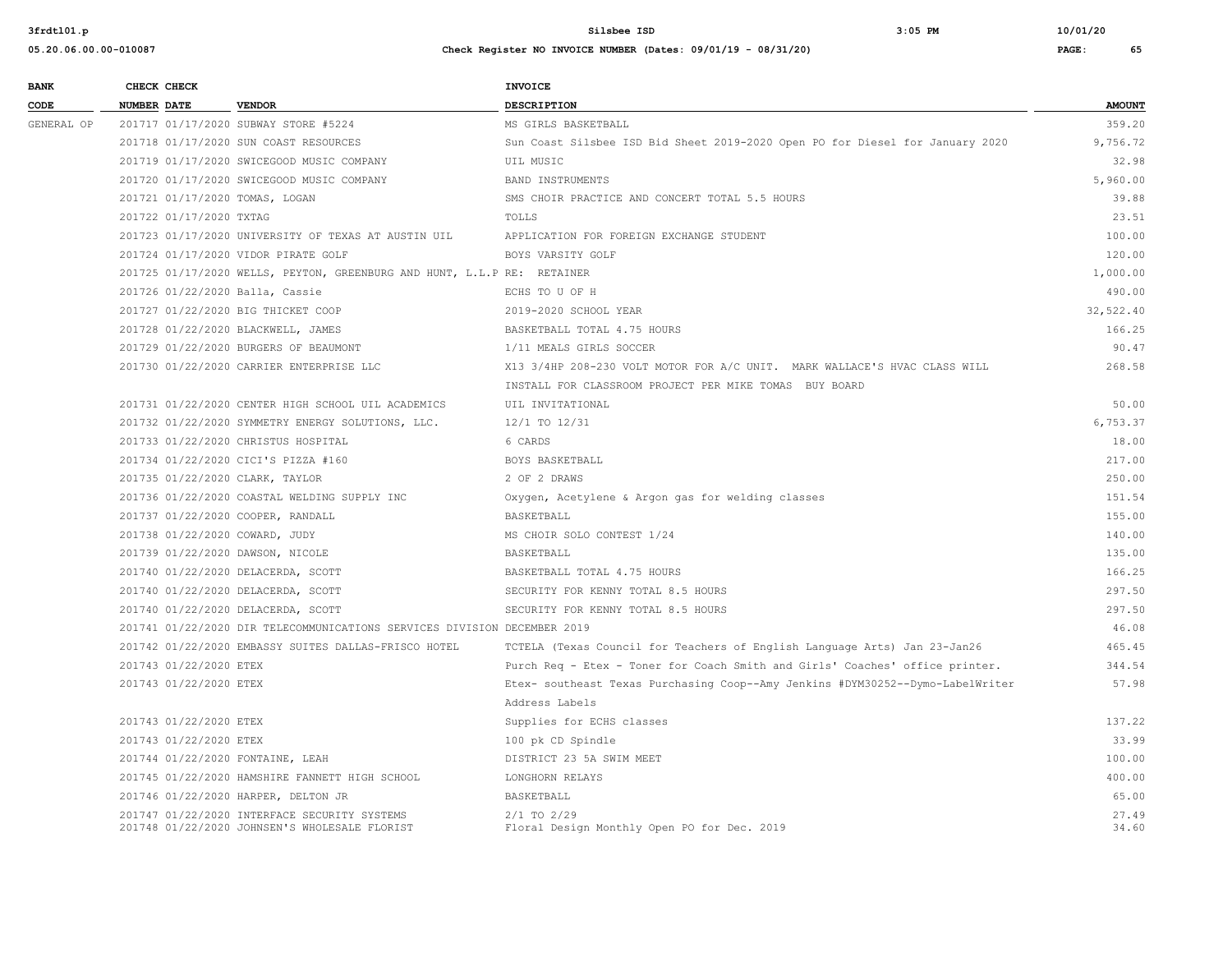| <b>BANK</b> |                    | CHECK CHECK             |                                                                          | <b>INVOICE</b>                                                                 |               |
|-------------|--------------------|-------------------------|--------------------------------------------------------------------------|--------------------------------------------------------------------------------|---------------|
| CODE        | <b>NUMBER DATE</b> |                         | <b>VENDOR</b>                                                            | <b>DESCRIPTION</b>                                                             | <b>AMOUNT</b> |
| GENERAL OP  |                    |                         | 201717 01/17/2020 SUBWAY STORE #5224                                     | MS GIRLS BASKETBALL                                                            | 359.20        |
|             |                    |                         | 201718 01/17/2020 SUN COAST RESOURCES                                    | Sun Coast Silsbee ISD Bid Sheet 2019-2020 Open PO for Diesel for January 2020  | 9,756.72      |
|             |                    |                         | 201719 01/17/2020 SWICEGOOD MUSIC COMPANY                                | UIL MUSIC                                                                      | 32.98         |
|             |                    |                         | 201720 01/17/2020 SWICEGOOD MUSIC COMPANY                                | BAND INSTRUMENTS                                                               | 5,960.00      |
|             |                    |                         | 201721 01/17/2020 TOMAS, LOGAN                                           | SMS CHOIR PRACTICE AND CONCERT TOTAL 5.5 HOURS                                 | 39.88         |
|             |                    | 201722 01/17/2020 TXTAG |                                                                          | TOLLS                                                                          | 23.51         |
|             |                    |                         | 201723 01/17/2020 UNIVERSITY OF TEXAS AT AUSTIN UIL                      | APPLICATION FOR FOREIGN EXCHANGE STUDENT                                       | 100.00        |
|             |                    |                         | 201724 01/17/2020 VIDOR PIRATE GOLF                                      | BOYS VARSITY GOLF                                                              | 120.00        |
|             |                    |                         | 201725 01/17/2020 WELLS, PEYTON, GREENBURG AND HUNT, L.L.P RE: RETAINER  |                                                                                | 1,000.00      |
|             |                    |                         | 201726 01/22/2020 Balla, Cassie                                          | ECHS TO U OF H                                                                 | 490.00        |
|             |                    |                         | 201727 01/22/2020 BIG THICKET COOP                                       | 2019-2020 SCHOOL YEAR                                                          | 32,522.40     |
|             |                    |                         | 201728 01/22/2020 BLACKWELL, JAMES                                       | BASKETBALL TOTAL 4.75 HOURS                                                    | 166.25        |
|             |                    |                         | 201729 01/22/2020 BURGERS OF BEAUMONT                                    | 1/11 MEALS GIRLS SOCCER                                                        | 90.47         |
|             |                    |                         | 201730 01/22/2020 CARRIER ENTERPRISE LLC                                 | X13 3/4HP 208-230 VOLT MOTOR FOR A/C UNIT. MARK WALLACE'S HVAC CLASS WILL      | 268.58        |
|             |                    |                         |                                                                          | INSTALL FOR CLASSROOM PROJECT PER MIKE TOMAS BUY BOARD                         |               |
|             |                    |                         | 201731 01/22/2020 CENTER HIGH SCHOOL UIL ACADEMICS                       | UIL INVITATIONAL                                                               | 50.00         |
|             |                    |                         | 201732 01/22/2020 SYMMETRY ENERGY SOLUTIONS, LLC.                        | 12/1 TO 12/31                                                                  | 6.753.37      |
|             |                    |                         | 201733 01/22/2020 CHRISTUS HOSPITAL                                      | 6 CARDS                                                                        | 18.00         |
|             |                    |                         | 201734 01/22/2020 CICI'S PIZZA #160                                      | BOYS BASKETBALL                                                                | 217.00        |
|             |                    |                         | 201735 01/22/2020 CLARK, TAYLOR                                          | 2 OF 2 DRAWS                                                                   | 250.00        |
|             |                    |                         | 201736 01/22/2020 COASTAL WELDING SUPPLY INC                             | Oxygen, Acetylene & Argon gas for welding classes                              | 151.54        |
|             |                    |                         | 201737 01/22/2020 COOPER, RANDALL                                        | BASKETBALL                                                                     | 155.00        |
|             |                    |                         | 201738 01/22/2020 COWARD, JUDY                                           | MS CHOIR SOLO CONTEST 1/24                                                     | 140.00        |
|             |                    |                         | 201739 01/22/2020 DAWSON, NICOLE                                         | BASKETBALL                                                                     | 135.00        |
|             |                    |                         | 201740 01/22/2020 DELACERDA, SCOTT                                       | BASKETBALL TOTAL 4.75 HOURS                                                    | 166.25        |
|             |                    |                         | 201740 01/22/2020 DELACERDA, SCOTT                                       | SECURITY FOR KENNY TOTAL 8.5 HOURS                                             | 297.50        |
|             |                    |                         | 201740 01/22/2020 DELACERDA, SCOTT                                       | SECURITY FOR KENNY TOTAL 8.5 HOURS                                             | 297.50        |
|             |                    |                         | 201741 01/22/2020 DIR TELECOMMUNICATIONS SERVICES DIVISION DECEMBER 2019 |                                                                                | 46.08         |
|             |                    |                         | 201742 01/22/2020 EMBASSY SUITES DALLAS-FRISCO HOTEL                     | TCTELA (Texas Council for Teachers of English Language Arts) Jan 23-Jan26      | 465.45        |
|             |                    | 201743 01/22/2020 ETEX  |                                                                          | Purch Req - Etex - Toner for Coach Smith and Girls' Coaches' office printer.   | 344.54        |
|             |                    | 201743 01/22/2020 ETEX  |                                                                          | Etex- southeast Texas Purchasing Coop--Amy Jenkins #DYM30252--Dymo-LabelWriter | 57.98         |
|             |                    |                         |                                                                          | Address Labels                                                                 |               |
|             |                    | 201743 01/22/2020 ETEX  |                                                                          | Supplies for ECHS classes                                                      | 137.22        |
|             |                    | 201743 01/22/2020 ETEX  |                                                                          | 100 pk CD Spindle                                                              | 33.99         |
|             |                    |                         | 201744 01/22/2020 FONTAINE, LEAH                                         | DISTRICT 23 5A SWIM MEET                                                       | 100.00        |
|             |                    |                         | 201745 01/22/2020 HAMSHIRE FANNETT HIGH SCHOOL                           | LONGHORN RELAYS                                                                | 400.00        |
|             |                    |                         | 201746 01/22/2020 HARPER, DELTON JR                                      | BASKETBALL                                                                     | 65.00         |
|             |                    |                         | 201747 01/22/2020 INTERFACE SECURITY SYSTEMS                             | $2/1$ TO $2/29$                                                                | 27.49         |
|             |                    |                         | 201748 01/22/2020 JOHNSEN'S WHOLESALE FLORIST                            | Floral Design Monthly Open PO for Dec. 2019                                    | 34.60         |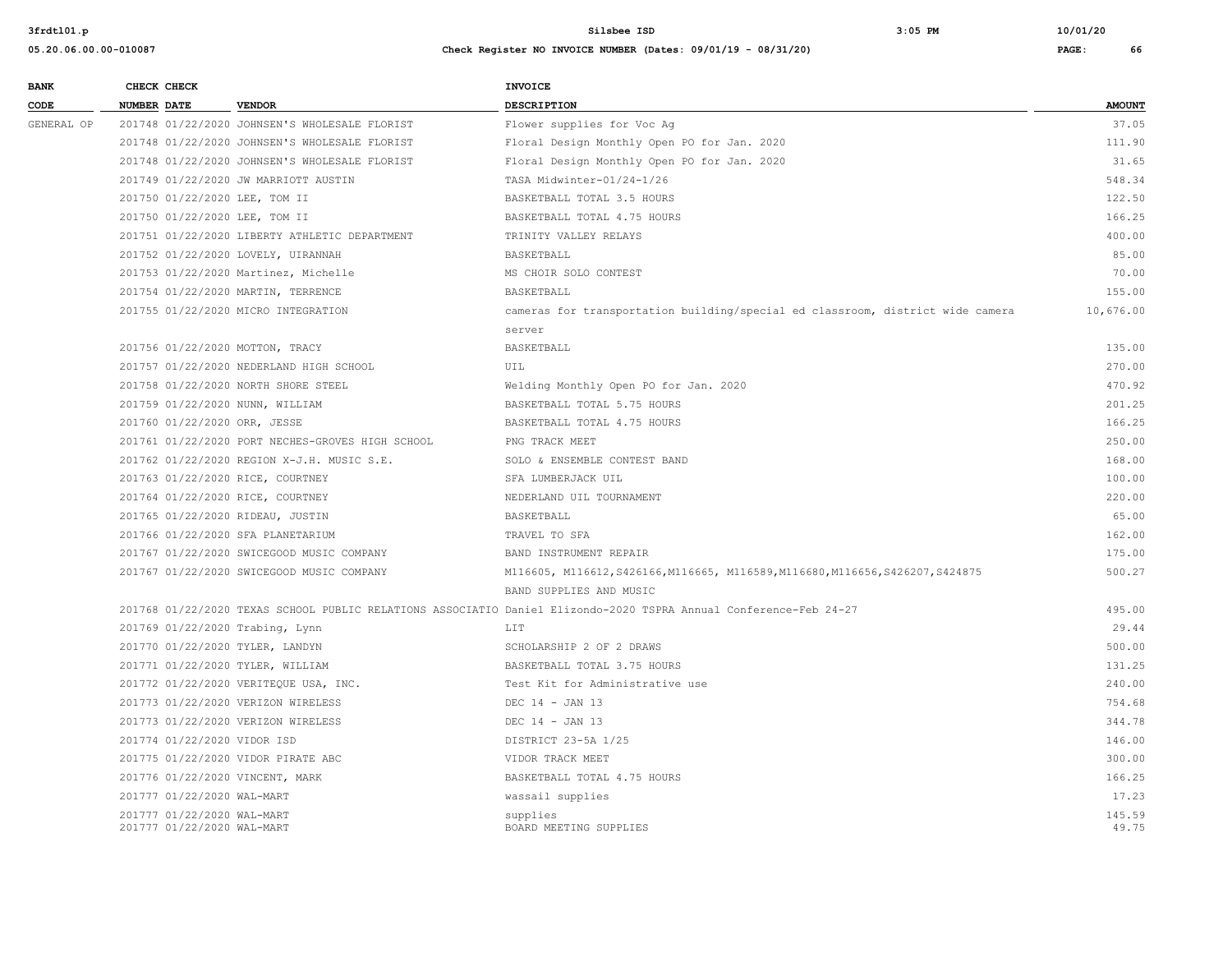| 3frdt101.p            |                                    |                                                  | Silsbee ISD<br>$3:05$ PM                                                                                          | 10/01/20      |
|-----------------------|------------------------------------|--------------------------------------------------|-------------------------------------------------------------------------------------------------------------------|---------------|
| 05.20.06.00.00-010087 |                                    |                                                  | Check Register NO INVOICE NUMBER (Dates: 09/01/19 - 08/31/20)                                                     | PAGE:<br>66   |
| <b>BANK</b>           | CHECK CHECK                        |                                                  | <b>INVOICE</b>                                                                                                    |               |
| CODE                  | <b>NUMBER DATE</b>                 | <b>VENDOR</b>                                    | DESCRIPTION                                                                                                       | <b>AMOUNT</b> |
| GENERAL OP            |                                    | 201748 01/22/2020 JOHNSEN'S WHOLESALE FLORIST    | Flower supplies for Voc Ag                                                                                        | 37.05         |
|                       |                                    | 201748 01/22/2020 JOHNSEN'S WHOLESALE FLORIST    | Floral Design Monthly Open PO for Jan. 2020                                                                       | 111.90        |
|                       |                                    | 201748 01/22/2020 JOHNSEN'S WHOLESALE FLORIST    | Floral Design Monthly Open PO for Jan. 2020                                                                       | 31.65         |
|                       |                                    | 201749 01/22/2020 JW MARRIOTT AUSTIN             | TASA Midwinter-01/24-1/26                                                                                         | 548.34        |
|                       | 201750 01/22/2020 LEE, TOM II      |                                                  | BASKETBALL TOTAL 3.5 HOURS                                                                                        | 122.50        |
|                       | 201750 01/22/2020 LEE, TOM II      |                                                  | BASKETBALL TOTAL 4.75 HOURS                                                                                       | 166.25        |
|                       |                                    | 201751 01/22/2020 LIBERTY ATHLETIC DEPARTMENT    | TRINITY VALLEY RELAYS                                                                                             | 400.00        |
|                       | 201752 01/22/2020 LOVELY, UIRANNAH |                                                  | BASKETBALL                                                                                                        | 85.00         |
|                       |                                    | 201753 01/22/2020 Martinez, Michelle             | MS CHOIR SOLO CONTEST                                                                                             | 70.00         |
|                       | 201754 01/22/2020 MARTIN, TERRENCE |                                                  | BASKETBALL                                                                                                        | 155.00        |
|                       |                                    | 201755 01/22/2020 MICRO INTEGRATION              | cameras for transportation building/special ed classroom, district wide camera                                    | 10,676.00     |
|                       |                                    |                                                  | server                                                                                                            |               |
|                       | 201756 01/22/2020 MOTTON, TRACY    |                                                  | BASKETBALL                                                                                                        | 135.00        |
|                       |                                    | 201757 01/22/2020 NEDERLAND HIGH SCHOOL          | UIL                                                                                                               | 270.00        |
|                       |                                    | 201758 01/22/2020 NORTH SHORE STEEL              | Welding Monthly Open PO for Jan. 2020                                                                             | 470.92        |
|                       | 201759 01/22/2020 NUNN, WILLIAM    |                                                  | BASKETBALL TOTAL 5.75 HOURS                                                                                       | 201.25        |
|                       | 201760 01/22/2020 ORR, JESSE       |                                                  | BASKETBALL TOTAL 4.75 HOURS                                                                                       | 166.25        |
|                       |                                    | 201761 01/22/2020 PORT NECHES-GROVES HIGH SCHOOL | PNG TRACK MEET                                                                                                    | 250.00        |
|                       |                                    | 201762 01/22/2020 REGION X-J.H. MUSIC S.E.       | SOLO & ENSEMBLE CONTEST BAND                                                                                      | 168.00        |
|                       | 201763 01/22/2020 RICE, COURTNEY   |                                                  | SFA LUMBERJACK UIL                                                                                                | 100.00        |
|                       | 201764 01/22/2020 RICE, COURTNEY   |                                                  | NEDERLAND UIL TOURNAMENT                                                                                          | 220.00        |
|                       | 201765 01/22/2020 RIDEAU, JUSTIN   |                                                  | BASKETBALL                                                                                                        | 65.00         |
|                       | 201766 01/22/2020 SFA PLANETARIUM  |                                                  | TRAVEL TO SFA                                                                                                     | 162.00        |
|                       |                                    | 201767 01/22/2020 SWICEGOOD MUSIC COMPANY        | BAND INSTRUMENT REPAIR                                                                                            | 175.00        |
|                       |                                    | 201767 01/22/2020 SWICEGOOD MUSIC COMPANY        | M116605, M116612, S426166, M116665, M116589, M116680, M116656, S426207, S424875                                   | 500.27        |
|                       |                                    |                                                  | BAND SUPPLIES AND MUSIC                                                                                           |               |
|                       |                                    |                                                  | 201768 01/22/2020 TEXAS SCHOOL PUBLIC RELATIONS ASSOCIATIO Daniel Elizondo-2020 TSPRA Annual Conference-Feb 24-27 | 495.00        |
|                       | 201769 01/22/2020 Trabing, Lynn    |                                                  | LIT.                                                                                                              | 29.44         |
|                       | 201770 01/22/2020 TYLER, LANDYN    |                                                  | SCHOLARSHIP 2 OF 2 DRAWS                                                                                          | 500.00        |
|                       | 201771 01/22/2020 TYLER, WILLIAM   |                                                  | BASKETBALL TOTAL 3.75 HOURS                                                                                       | 131.25        |
|                       |                                    | 201772.01/22/2020 UPDIREQUE HCA INC              | $Each: V_i + f_{i} and h_{i}$                                                                                     | $240.00$      |

| 201750 01/22/2020 LEE, TOM II     |                                                  | BASKETBALL TOTAL 3.5 HOURS                                                                                        | 122.50    |
|-----------------------------------|--------------------------------------------------|-------------------------------------------------------------------------------------------------------------------|-----------|
| 201750 01/22/2020 LEE, TOM II     |                                                  | BASKETBALL TOTAL 4.75 HOURS                                                                                       | 166.25    |
|                                   | 201751 01/22/2020 LIBERTY ATHLETIC DEPARTMENT    | TRINITY VALLEY RELAYS                                                                                             | 400.00    |
|                                   | 201752 01/22/2020 LOVELY, UIRANNAH               | BASKETBALL                                                                                                        | 85.00     |
|                                   | 201753 01/22/2020 Martinez, Michelle             | MS CHOIR SOLO CONTEST                                                                                             | 70.00     |
|                                   | 201754 01/22/2020 MARTIN, TERRENCE               | BASKETBALL                                                                                                        | 155.00    |
|                                   | 201755 01/22/2020 MICRO INTEGRATION              | cameras for transportation building/special ed classroom, district wide camera                                    | 10,676.00 |
|                                   |                                                  | server                                                                                                            |           |
| 201756 01/22/2020 MOTTON, TRACY   |                                                  | BASKETBALL                                                                                                        | 135.00    |
|                                   | 201757 01/22/2020 NEDERLAND HIGH SCHOOL          | UIL                                                                                                               | 270.00    |
|                                   | 201758 01/22/2020 NORTH SHORE STEEL              | Welding Monthly Open PO for Jan. 2020                                                                             | 470.92    |
| 201759 01/22/2020 NUNN, WILLIAM   |                                                  | BASKETBALL TOTAL 5.75 HOURS                                                                                       | 201.25    |
| 201760 01/22/2020 ORR, JESSE      |                                                  | BASKETBALL TOTAL 4.75 HOURS                                                                                       | 166.25    |
|                                   | 201761 01/22/2020 PORT NECHES-GROVES HIGH SCHOOL | PNG TRACK MEET                                                                                                    | 250.00    |
|                                   | 201762 01/22/2020 REGION X-J.H. MUSIC S.E.       | SOLO & ENSEMBLE CONTEST BAND                                                                                      | 168.00    |
| 201763 01/22/2020 RICE, COURTNEY  |                                                  | SFA LUMBERJACK UIL                                                                                                | 100.00    |
| 201764 01/22/2020 RICE, COURTNEY  |                                                  | NEDERLAND UIL TOURNAMENT                                                                                          | 220.00    |
| 201765 01/22/2020 RIDEAU, JUSTIN  |                                                  | BASKETBALL                                                                                                        | 65.00     |
| 201766 01/22/2020 SFA PLANETARIUM |                                                  | TRAVEL TO SFA                                                                                                     | 162.00    |
|                                   | 201767 01/22/2020 SWICEGOOD MUSIC COMPANY        | BAND INSTRUMENT REPAIR                                                                                            | 175.00    |
|                                   | 201767 01/22/2020 SWICEGOOD MUSIC COMPANY        | M116605, M116612, S426166, M116665, M116589, M116680, M116656, S426207, S424875                                   | 500.27    |
|                                   |                                                  | BAND SUPPLIES AND MUSIC                                                                                           |           |
|                                   |                                                  | 201768 01/22/2020 TEXAS SCHOOL PUBLIC RELATIONS ASSOCIATIO Daniel Elizondo-2020 TSPRA Annual Conference-Feb 24-27 | 495.00    |
| 201769 01/22/2020 Trabing, Lynn   |                                                  | LIT                                                                                                               | 29.44     |
| 201770 01/22/2020 TYLER, LANDYN   |                                                  | SCHOLARSHIP 2 OF 2 DRAWS                                                                                          | 500.00    |
| 201771 01/22/2020 TYLER, WILLIAM  |                                                  | BASKETBALL TOTAL 3.75 HOURS                                                                                       | 131.25    |
|                                   | 201772 01/22/2020 VERITEQUE USA, INC.            | Test Kit for Administrative use                                                                                   | 240.00    |
|                                   | 201773 01/22/2020 VERIZON WIRELESS               | DEC $14 - JAN$ 13                                                                                                 | 754.68    |
|                                   | 201773 01/22/2020 VERIZON WIRELESS               | DEC 14 - JAN 13                                                                                                   | 344.78    |
| 201774 01/22/2020 VIDOR ISD       |                                                  | DISTRICT 23-5A 1/25                                                                                               | 146.00    |
|                                   | 201775 01/22/2020 VIDOR PIRATE ABC               | VIDOR TRACK MEET                                                                                                  | 300.00    |
| 201776 01/22/2020 VINCENT, MARK   |                                                  | BASKETBALL TOTAL 4.75 HOURS                                                                                       | 166.25    |
| 201777 01/22/2020 WAL-MART        |                                                  | wassail supplies                                                                                                  | 17.23     |
| 201777 01/22/2020 WAL-MART        |                                                  | supplies                                                                                                          | 145.59    |
| 201777 01/22/2020 WAL-MART        |                                                  | BOARD MEETING SUPPLIES                                                                                            | 49.75     |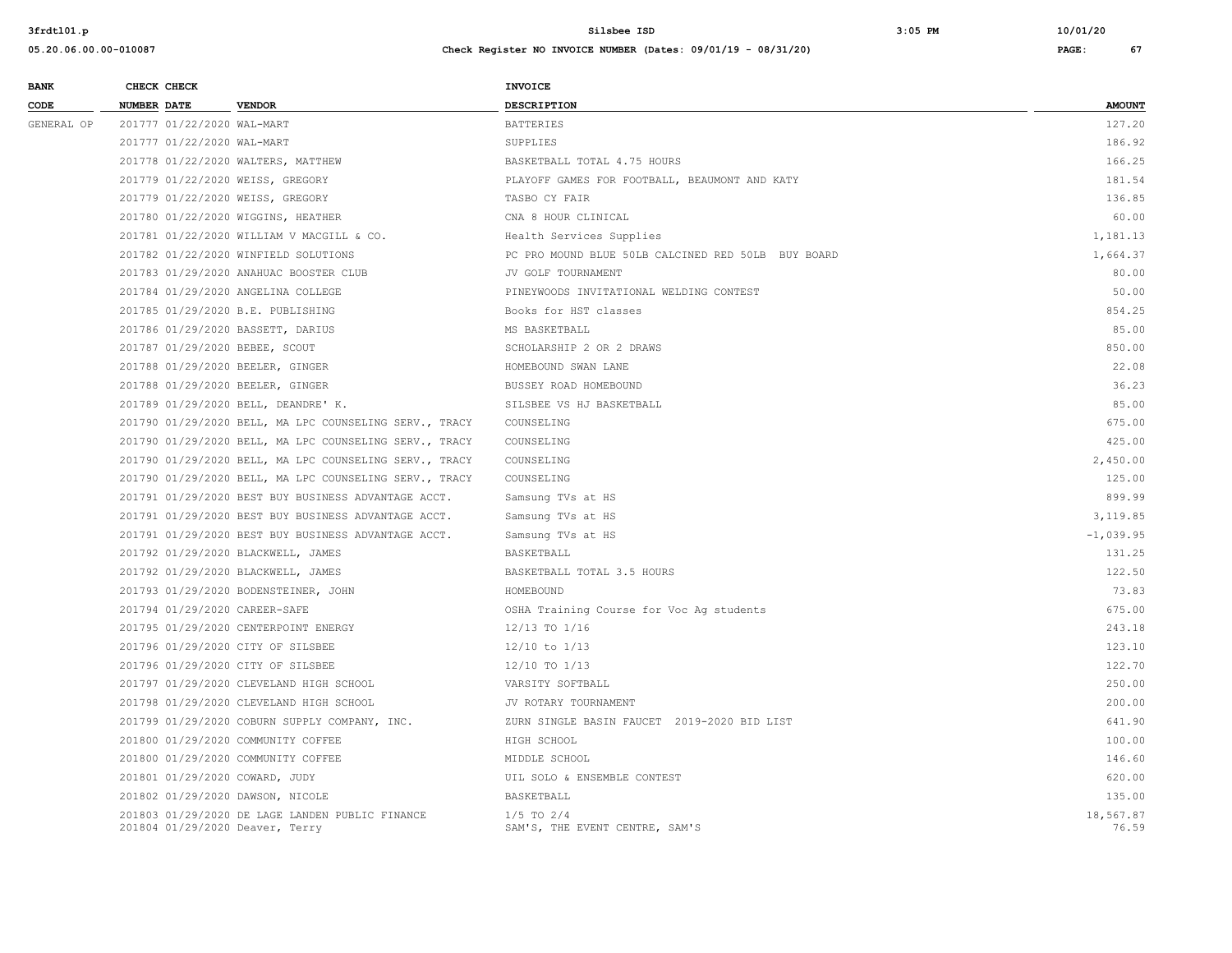| <b>BANK</b> | CHECK CHECK                                                                        | <b>INVOICE</b>                                     |                    |
|-------------|------------------------------------------------------------------------------------|----------------------------------------------------|--------------------|
| CODE        | <b>NUMBER DATE</b><br><b>VENDOR</b>                                                | <b>DESCRIPTION</b>                                 | <b>AMOUNT</b>      |
| GENERAL OP  | 201777 01/22/2020 WAL-MART                                                         | <b>BATTERIES</b>                                   | 127.20             |
|             | 201777 01/22/2020 WAL-MART                                                         | SUPPLIES                                           | 186.92             |
|             | 201778 01/22/2020 WALTERS, MATTHEW                                                 | BASKETBALL TOTAL 4.75 HOURS                        | 166.25             |
|             | 201779 01/22/2020 WEISS, GREGORY                                                   | PLAYOFF GAMES FOR FOOTBALL, BEAUMONT AND KATY      | 181.54             |
|             | 201779 01/22/2020 WEISS, GREGORY                                                   | TASBO CY FAIR                                      | 136.85             |
|             | 201780 01/22/2020 WIGGINS, HEATHER                                                 | CNA 8 HOUR CLINICAL                                | 60.00              |
|             | 201781 01/22/2020 WILLIAM V MACGILL & CO.                                          | Health Services Supplies                           | 1,181.13           |
|             | 201782 01/22/2020 WINFIELD SOLUTIONS                                               | PC PRO MOUND BLUE 50LB CALCINED RED 50LB BUY BOARD | 1,664.37           |
|             | 201783 01/29/2020 ANAHUAC BOOSTER CLUB                                             | JV GOLF TOURNAMENT                                 | 80.00              |
|             | 201784 01/29/2020 ANGELINA COLLEGE                                                 | PINEYWOODS INVITATIONAL WELDING CONTEST            | 50.00              |
|             | 201785 01/29/2020 B.E. PUBLISHING                                                  | Books for HST classes                              | 854.25             |
|             | 201786 01/29/2020 BASSETT, DARIUS                                                  | MS BASKETBALL                                      | 85.00              |
|             | 201787 01/29/2020 BEBEE, SCOUT                                                     | SCHOLARSHIP 2 OR 2 DRAWS                           | 850.00             |
|             | 201788 01/29/2020 BEELER, GINGER                                                   | HOMEBOUND SWAN LANE                                | 22.08              |
|             | 201788 01/29/2020 BEELER, GINGER                                                   | BUSSEY ROAD HOMEBOUND                              | 36.23              |
|             | 201789 01/29/2020 BELL, DEANDRE' K.                                                | SILSBEE VS HJ BASKETBALL                           | 85.00              |
|             | 201790 01/29/2020 BELL, MA LPC COUNSELING SERV., TRACY                             | COUNSELING                                         | 675.00             |
|             | 201790 01/29/2020 BELL, MA LPC COUNSELING SERV., TRACY                             | COUNSELING                                         | 425.00             |
|             | 201790 01/29/2020 BELL, MA LPC COUNSELING SERV., TRACY                             | COUNSELING                                         | 2,450.00           |
|             | 201790 01/29/2020 BELL, MA LPC COUNSELING SERV., TRACY                             | COUNSELING                                         | 125.00             |
|             | 201791 01/29/2020 BEST BUY BUSINESS ADVANTAGE ACCT.                                | Samsung TVs at HS                                  | 899.99             |
|             | 201791 01/29/2020 BEST BUY BUSINESS ADVANTAGE ACCT.                                | Samsung TVs at HS                                  | 3,119.85           |
|             | 201791 01/29/2020 BEST BUY BUSINESS ADVANTAGE ACCT.                                | Samsung TVs at HS                                  | $-1,039.95$        |
|             | 201792 01/29/2020 BLACKWELL, JAMES                                                 | BASKETBALL                                         | 131.25             |
|             | 201792 01/29/2020 BLACKWELL, JAMES                                                 | BASKETBALL TOTAL 3.5 HOURS                         | 122.50             |
|             | 201793 01/29/2020 BODENSTEINER, JOHN                                               | HOMEBOUND                                          | 73.83              |
|             | 201794 01/29/2020 CAREER-SAFE                                                      | OSHA Training Course for Voc Ag students           | 675.00             |
|             | 201795 01/29/2020 CENTERPOINT ENERGY                                               | 12/13 TO 1/16                                      | 243.18             |
|             | 201796 01/29/2020 CITY OF SILSBEE                                                  | $12/10$ to $1/13$                                  | 123.10             |
|             | 201796 01/29/2020 CITY OF SILSBEE                                                  | 12/10 TO 1/13                                      | 122.70             |
|             | 201797 01/29/2020 CLEVELAND HIGH SCHOOL                                            | VARSITY SOFTBALL                                   | 250.00             |
|             | 201798 01/29/2020 CLEVELAND HIGH SCHOOL                                            | JV ROTARY TOURNAMENT                               | 200.00             |
|             | 201799 01/29/2020 COBURN SUPPLY COMPANY, INC.                                      | ZURN SINGLE BASIN FAUCET 2019-2020 BID LIST        | 641.90             |
|             | 201800 01/29/2020 COMMUNITY COFFEE                                                 | HIGH SCHOOL                                        | 100.00             |
|             | 201800 01/29/2020 COMMUNITY COFFEE                                                 | MIDDLE SCHOOL                                      | 146.60             |
|             | 201801 01/29/2020 COWARD, JUDY                                                     | UIL SOLO & ENSEMBLE CONTEST                        | 620.00             |
|             | 201802 01/29/2020 DAWSON, NICOLE                                                   | BASKETBALL                                         | 135.00             |
|             | 201803 01/29/2020 DE LAGE LANDEN PUBLIC FINANCE<br>201804 01/29/2020 Deaver, Terry | $1/5$ TO $2/4$<br>SAM'S, THE EVENT CENTRE, SAM'S   | 18,567.87<br>76.59 |
|             |                                                                                    |                                                    |                    |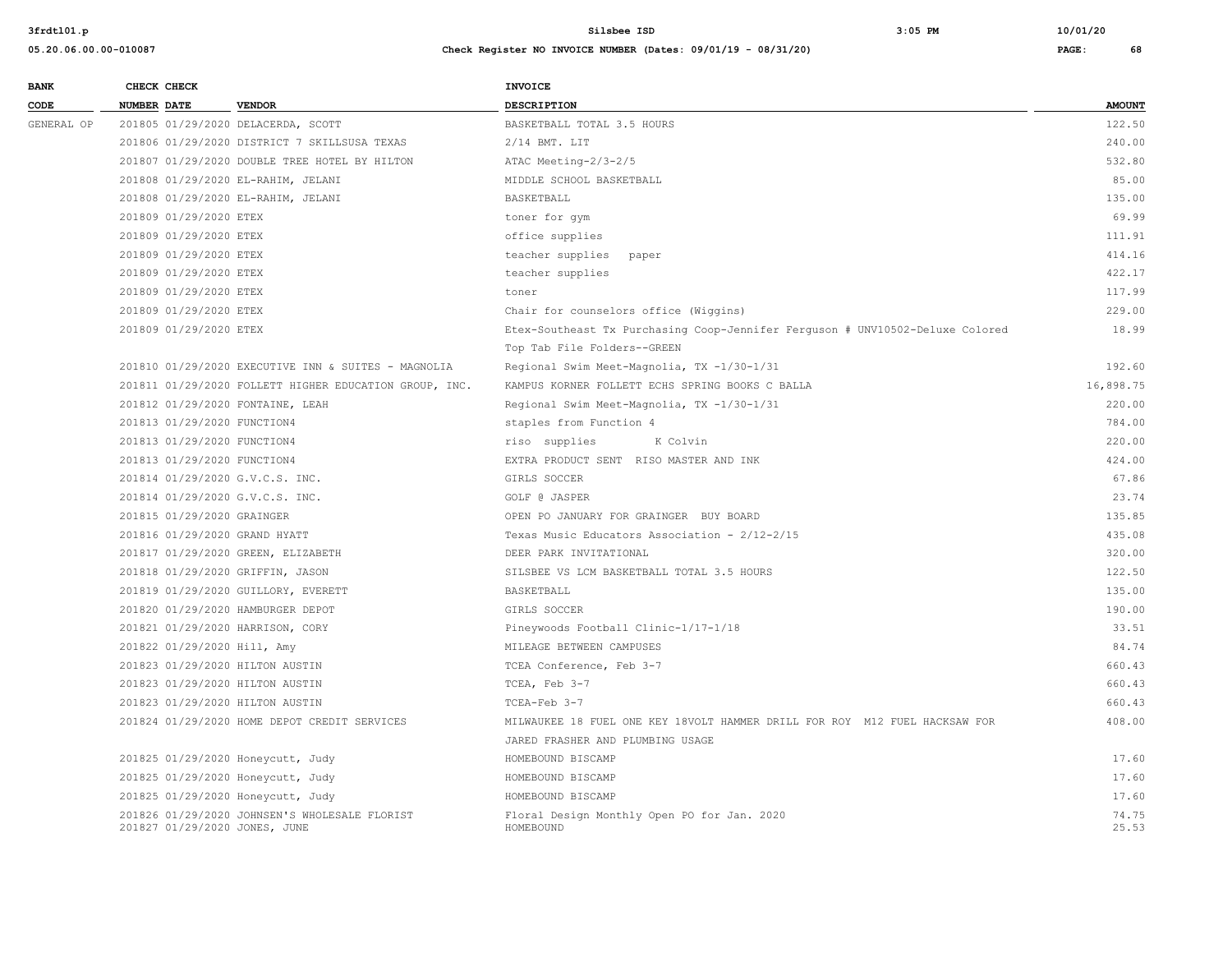| <b>BANK</b> |                    | CHECK CHECK                 |                                                                                | INVOICE                                                                       |                |
|-------------|--------------------|-----------------------------|--------------------------------------------------------------------------------|-------------------------------------------------------------------------------|----------------|
| CODE        | <b>NUMBER DATE</b> |                             | <b>VENDOR</b>                                                                  | <b>DESCRIPTION</b>                                                            | <b>AMOUNT</b>  |
| GENERAL OP  |                    |                             | 201805 01/29/2020 DELACERDA, SCOTT                                             | BASKETBALL TOTAL 3.5 HOURS                                                    | 122.50         |
|             |                    |                             | 201806 01/29/2020 DISTRICT 7 SKILLSUSA TEXAS                                   | $2/14$ BMT. LIT                                                               | 240.00         |
|             |                    |                             | 201807 01/29/2020 DOUBLE TREE HOTEL BY HILTON                                  | ATAC Meeting-2/3-2/5                                                          | 532.80         |
|             |                    |                             | 201808 01/29/2020 EL-RAHIM, JELANI                                             | MIDDLE SCHOOL BASKETBALL                                                      | 85.00          |
|             |                    |                             | 201808 01/29/2020 EL-RAHIM, JELANI                                             | BASKETBALL                                                                    | 135.00         |
|             |                    | 201809 01/29/2020 ETEX      |                                                                                | toner for gym                                                                 | 69.99          |
|             |                    | 201809 01/29/2020 ETEX      |                                                                                | office supplies                                                               | 111.91         |
|             |                    | 201809 01/29/2020 ETEX      |                                                                                | teacher supplies<br>paper                                                     | 414.16         |
|             |                    | 201809 01/29/2020 ETEX      |                                                                                | teacher supplies                                                              | 422.17         |
|             |                    | 201809 01/29/2020 ETEX      |                                                                                | toner                                                                         | 117.99         |
|             |                    | 201809 01/29/2020 ETEX      |                                                                                | Chair for counselors office (Wiggins)                                         | 229.00         |
|             |                    | 201809 01/29/2020 ETEX      |                                                                                | Etex-Southeast Tx Purchasing Coop-Jennifer Ferguson # UNV10502-Deluxe Colored | 18.99          |
|             |                    |                             |                                                                                | Top Tab File Folders--GREEN                                                   |                |
|             |                    |                             | 201810 01/29/2020 EXECUTIVE INN & SUITES - MAGNOLIA                            | Regional Swim Meet-Magnolia, TX -1/30-1/31                                    | 192.60         |
|             |                    |                             | 201811 01/29/2020 FOLLETT HIGHER EDUCATION GROUP, INC.                         | KAMPUS KORNER FOLLETT ECHS SPRING BOOKS C BALLA                               | 16,898.75      |
|             |                    |                             | 201812 01/29/2020 FONTAINE, LEAH                                               | Regional Swim Meet-Magnolia, TX -1/30-1/31                                    | 220.00         |
|             |                    | 201813 01/29/2020 FUNCTION4 |                                                                                | staples from Function 4                                                       | 784.00         |
|             |                    | 201813 01/29/2020 FUNCTION4 |                                                                                | riso supplies<br>K Colvin                                                     | 220.00         |
|             |                    | 201813 01/29/2020 FUNCTION4 |                                                                                | EXTRA PRODUCT SENT RISO MASTER AND INK                                        | 424.00         |
|             |                    |                             | 201814 01/29/2020 G.V.C.S. INC.                                                | GIRLS SOCCER                                                                  | 67.86          |
|             |                    |                             | 201814 01/29/2020 G.V.C.S. INC.                                                | GOLF @ JASPER                                                                 | 23.74          |
|             |                    | 201815 01/29/2020 GRAINGER  |                                                                                | OPEN PO JANUARY FOR GRAINGER BUY BOARD                                        | 135.85         |
|             |                    |                             | 201816 01/29/2020 GRAND HYATT                                                  | Texas Music Educators Association - 2/12-2/15                                 | 435.08         |
|             |                    |                             | 201817 01/29/2020 GREEN, ELIZABETH                                             | DEER PARK INVITATIONAL                                                        | 320.00         |
|             |                    |                             | 201818 01/29/2020 GRIFFIN, JASON                                               | SILSBEE VS LCM BASKETBALL TOTAL 3.5 HOURS                                     | 122.50         |
|             |                    |                             | 201819 01/29/2020 GUILLORY, EVERETT                                            | BASKETBALL                                                                    | 135.00         |
|             |                    |                             | 201820 01/29/2020 HAMBURGER DEPOT                                              | GIRLS SOCCER                                                                  | 190.00         |
|             |                    |                             | 201821 01/29/2020 HARRISON, CORY                                               | Pineywoods Football Clinic-1/17-1/18                                          | 33.51          |
|             |                    | 201822 01/29/2020 Hill, Amy |                                                                                | MILEAGE BETWEEN CAMPUSES                                                      | 84.74          |
|             |                    |                             | 201823 01/29/2020 HILTON AUSTIN                                                | TCEA Conference, Feb 3-7                                                      | 660.43         |
|             |                    |                             | 201823 01/29/2020 HILTON AUSTIN                                                | TCEA, Feb 3-7                                                                 | 660.43         |
|             |                    |                             | 201823 01/29/2020 HILTON AUSTIN                                                | TCEA-Feb 3-7                                                                  | 660.43         |
|             |                    |                             | 201824 01/29/2020 HOME DEPOT CREDIT SERVICES                                   | MILWAUKEE 18 FUEL ONE KEY 18VOLT HAMMER DRILL FOR ROY M12 FUEL HACKSAW FOR    | 408.00         |
|             |                    |                             |                                                                                | JARED FRASHER AND PLUMBING USAGE                                              |                |
|             |                    |                             | 201825 01/29/2020 Honeycutt, Judy                                              | HOMEBOUND BISCAMP                                                             | 17.60          |
|             |                    |                             | 201825 01/29/2020 Honeycutt, Judy                                              | HOMEBOUND BISCAMP                                                             | 17.60          |
|             |                    |                             | 201825 01/29/2020 Honeycutt, Judy                                              | HOMEBOUND BISCAMP                                                             | 17.60          |
|             |                    |                             | 201826 01/29/2020 JOHNSEN'S WHOLESALE FLORIST<br>201827 01/29/2020 JONES, JUNE | Floral Design Monthly Open PO for Jan. 2020<br>HOMEBOUND                      | 74.75<br>25.53 |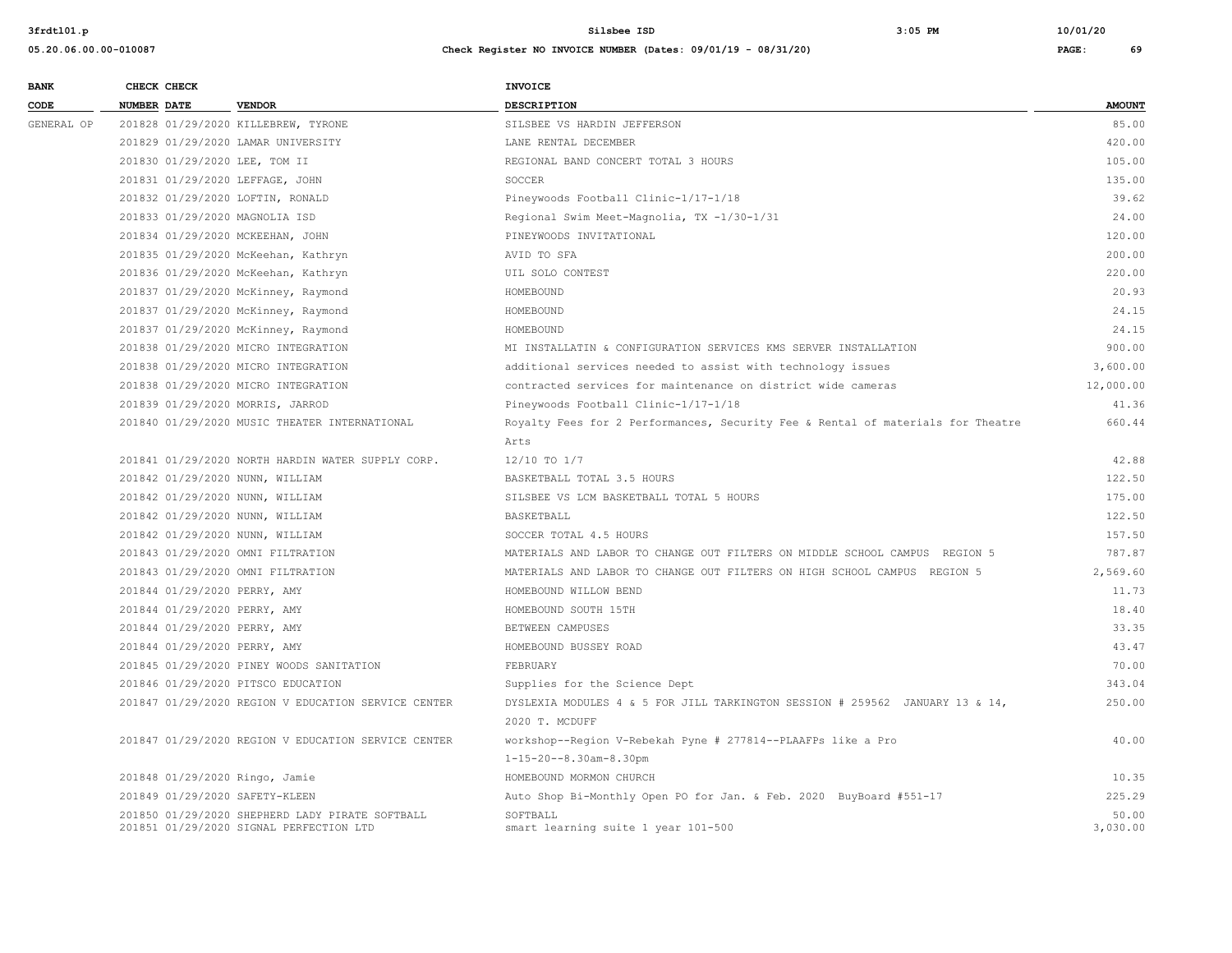| <b>BANK</b> | CHECK CHECK                     |                                                                            | <b>INVOICE</b>                                                                  |               |
|-------------|---------------------------------|----------------------------------------------------------------------------|---------------------------------------------------------------------------------|---------------|
| CODE        | <b>NUMBER DATE</b>              | <b>VENDOR</b>                                                              | <b>DESCRIPTION</b>                                                              | <b>AMOUNT</b> |
| GENERAL OP  |                                 | 201828 01/29/2020 KILLEBREW, TYRONE                                        | SILSBEE VS HARDIN JEFFERSON                                                     | 85.00         |
|             |                                 | 201829 01/29/2020 LAMAR UNIVERSITY                                         | LANE RENTAL DECEMBER                                                            | 420.00        |
|             | 201830 01/29/2020 LEE, TOM II   |                                                                            | REGIONAL BAND CONCERT TOTAL 3 HOURS                                             | 105.00        |
|             | 201831 01/29/2020 LEFFAGE, JOHN |                                                                            | SOCCER                                                                          | 135.00        |
|             |                                 | 201832 01/29/2020 LOFTIN, RONALD                                           | Pineywoods Football Clinic-1/17-1/18                                            | 39.62         |
|             | 201833 01/29/2020 MAGNOLIA ISD  |                                                                            | Regional Swim Meet-Magnolia, TX -1/30-1/31                                      | 24.00         |
|             |                                 | 201834 01/29/2020 MCKEEHAN, JOHN                                           | PINEYWOODS INVITATIONAL                                                         | 120.00        |
|             |                                 | 201835 01/29/2020 McKeehan, Kathryn                                        | AVID TO SFA                                                                     | 200.00        |
|             |                                 | 201836 01/29/2020 McKeehan, Kathryn                                        | UIL SOLO CONTEST                                                                | 220.00        |
|             |                                 | 201837 01/29/2020 McKinney, Raymond                                        | HOMEBOUND                                                                       | 20.93         |
|             |                                 | 201837 01/29/2020 McKinney, Raymond                                        | HOMEBOUND                                                                       | 24.15         |
|             |                                 | 201837 01/29/2020 McKinney, Raymond                                        | HOMEBOUND                                                                       | 24.15         |
|             |                                 | 201838 01/29/2020 MICRO INTEGRATION                                        | MI INSTALLATIN & CONFIGURATION SERVICES KMS SERVER INSTALLATION                 | 900.00        |
|             |                                 | 201838 01/29/2020 MICRO INTEGRATION<br>201838 01/29/2020 MICRO INTEGRATION | additional services needed to assist with technology issues                     | 3,600.00      |
|             |                                 |                                                                            | contracted services for maintenance on district wide cameras                    | 12,000.00     |
|             |                                 | 201839 01/29/2020 MORRIS, JARROD                                           | Pineywoods Football Clinic-1/17-1/18                                            | 41.36         |
|             |                                 | 201840 01/29/2020 MUSIC THEATER INTERNATIONAL                              | Royalty Fees for 2 Performances, Security Fee & Rental of materials for Theatre | 660.44        |
|             |                                 |                                                                            | Arts                                                                            |               |
|             |                                 | 201841 01/29/2020 NORTH HARDIN WATER SUPPLY CORP.                          | 12/10 TO 1/7                                                                    | 42.88         |
|             | 201842 01/29/2020 NUNN, WILLIAM |                                                                            | BASKETBALL TOTAL 3.5 HOURS                                                      | 122.50        |
|             | 201842 01/29/2020 NUNN, WILLIAM |                                                                            | SILSBEE VS LCM BASKETBALL TOTAL 5 HOURS                                         | 175.00        |
|             | 201842 01/29/2020 NUNN, WILLIAM |                                                                            | BASKETBALL                                                                      | 122.50        |
|             | 201842 01/29/2020 NUNN, WILLIAM |                                                                            | SOCCER TOTAL 4.5 HOURS                                                          | 157.50        |
|             |                                 | 201843 01/29/2020 OMNI FILTRATION                                          | MATERIALS AND LABOR TO CHANGE OUT FILTERS ON MIDDLE SCHOOL CAMPUS REGION 5      | 787.87        |
|             |                                 | 201843 01/29/2020 OMNI FILTRATION                                          | MATERIALS AND LABOR TO CHANGE OUT FILTERS ON HIGH SCHOOL CAMPUS REGION 5        | 2,569.60      |
|             | 201844 01/29/2020 PERRY, AMY    |                                                                            | HOMEBOUND WILLOW BEND                                                           | 11.73         |
|             | 201844 01/29/2020 PERRY, AMY    |                                                                            | HOMEBOUND SOUTH 15TH                                                            | 18.40         |
|             | 201844 01/29/2020 PERRY, AMY    |                                                                            | BETWEEN CAMPUSES                                                                | 33.35         |
|             | 201844 01/29/2020 PERRY, AMY    |                                                                            | HOMEBOUND BUSSEY ROAD                                                           | 43.47         |
|             |                                 | 201845 01/29/2020 PINEY WOODS SANITATION                                   | FEBRUARY                                                                        | 70.00         |
|             |                                 | 201846 01/29/2020 PITSCO EDUCATION                                         | Supplies for the Science Dept                                                   | 343.04        |
|             |                                 | 201847 01/29/2020 REGION V EDUCATION SERVICE CENTER                        | DYSLEXIA MODULES 4 & 5 FOR JILL TARKINGTON SESSION # 259562 JANUARY 13 & 14,    | 250.00        |
|             |                                 |                                                                            | 2020 T. MCDUFF                                                                  |               |
|             |                                 | 201847 01/29/2020 REGION V EDUCATION SERVICE CENTER                        | workshop--Region V-Rebekah Pyne # 277814--PLAAFPs like a Pro                    | 40.00         |
|             |                                 |                                                                            | $1 - 15 - 20 - -8.30$ am-8.30pm                                                 |               |
|             | 201848 01/29/2020 Ringo, Jamie  |                                                                            | HOMEBOUND MORMON CHURCH                                                         | 10.35         |
|             | 201849 01/29/2020 SAFETY-KLEEN  |                                                                            | Auto Shop Bi-Monthly Open PO for Jan. & Feb. 2020 BuyBoard #551-17              | 225.29        |
|             |                                 | 201850 01/29/2020 SHEPHERD LADY PIRATE SOFTBALL                            | SOFTBALL                                                                        | 50.00         |
|             |                                 | 201851 01/29/2020 SIGNAL PERFECTION LTD                                    | smart learning suite 1 year 101-500                                             | 3,030.00      |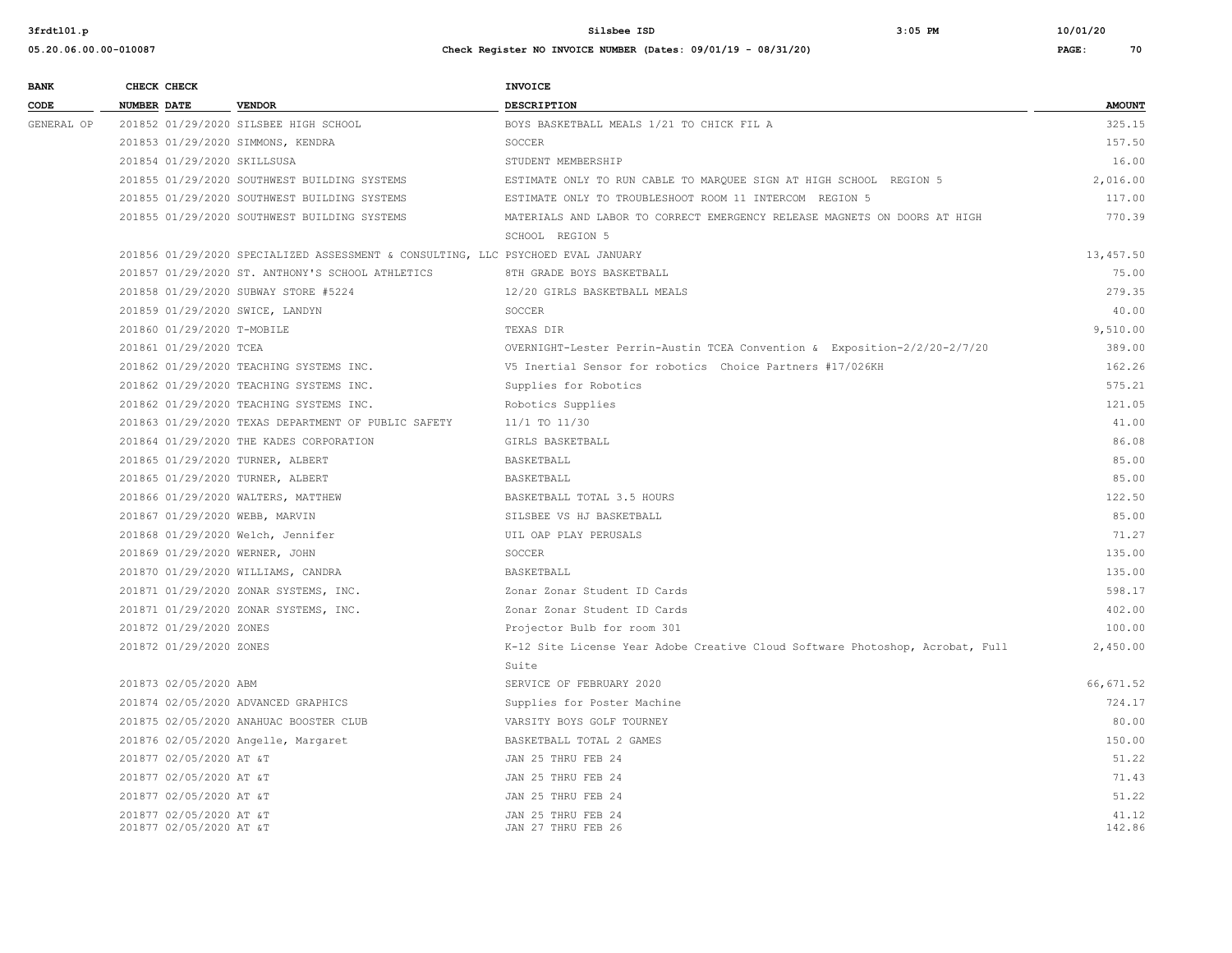**05.20.06.00.00-010087 Check Register NO INVOICE NUMBER (Dates: 09/01/19 - 08/31/20) PAGE: 70 BANK CHECK CHECK CHECK** 

| CODE       | <b>NUMBER DATE</b>                                 | <b>VENDOR</b>                                                                    | <b>DESCRIPTION</b>                                                            | <b>AMOUNT</b>   |
|------------|----------------------------------------------------|----------------------------------------------------------------------------------|-------------------------------------------------------------------------------|-----------------|
| GENERAL OP |                                                    | 201852 01/29/2020 SILSBEE HIGH SCHOOL                                            | BOYS BASKETBALL MEALS 1/21 TO CHICK FIL A                                     | 325.15          |
|            | 201853 01/29/2020 SIMMONS, KENDRA                  |                                                                                  | SOCCER                                                                        | 157.50          |
|            | 201854 01/29/2020 SKILLSUSA                        |                                                                                  | STUDENT MEMBERSHIP                                                            | 16.00           |
|            |                                                    | 201855 01/29/2020 SOUTHWEST BUILDING SYSTEMS                                     | ESTIMATE ONLY TO RUN CABLE TO MARQUEE SIGN AT HIGH SCHOOL REGION 5            | 2,016.00        |
|            |                                                    | 201855 01/29/2020 SOUTHWEST BUILDING SYSTEMS                                     | ESTIMATE ONLY TO TROUBLESHOOT ROOM 11 INTERCOM REGION 5                       | 117.00          |
|            |                                                    | 201855 01/29/2020 SOUTHWEST BUILDING SYSTEMS                                     | MATERIALS AND LABOR TO CORRECT EMERGENCY RELEASE MAGNETS ON DOORS AT HIGH     | 770.39          |
|            |                                                    |                                                                                  | SCHOOL REGION 5                                                               |                 |
|            |                                                    | 201856 01/29/2020 SPECIALIZED ASSESSMENT & CONSULTING, LLC PSYCHOED EVAL JANUARY |                                                                               | 13,457.50       |
|            |                                                    | 201857 01/29/2020 ST. ANTHONY'S SCHOOL ATHLETICS                                 | 8TH GRADE BOYS BASKETBALL                                                     | 75.00           |
|            |                                                    | 201858 01/29/2020 SUBWAY STORE #5224                                             | 12/20 GIRLS BASKETBALL MEALS                                                  | 279.35          |
|            | 201859 01/29/2020 SWICE, LANDYN                    |                                                                                  | SOCCER                                                                        | 40.00           |
|            | 201860 01/29/2020 T-MOBILE                         |                                                                                  | TEXAS DIR                                                                     | 9,510.00        |
|            | 201861 01/29/2020 TCEA                             |                                                                                  | OVERNIGHT-Lester Perrin-Austin TCEA Convention & Exposition-2/2/20-2/7/20     | 389.00          |
|            |                                                    | 201862 01/29/2020 TEACHING SYSTEMS INC.                                          | V5 Inertial Sensor for robotics Choice Partners #17/026KH                     | 162.26          |
|            |                                                    | 201862 01/29/2020 TEACHING SYSTEMS INC.                                          | Supplies for Robotics                                                         | 575.21          |
|            |                                                    | 201862 01/29/2020 TEACHING SYSTEMS INC.                                          | Robotics Supplies                                                             | 121.05          |
|            |                                                    | 201863 01/29/2020 TEXAS DEPARTMENT OF PUBLIC SAFETY                              | 11/1 TO 11/30                                                                 | 41.00           |
|            |                                                    | 201864 01/29/2020 THE KADES CORPORATION                                          | GIRLS BASKETBALL                                                              | 86.08           |
|            | 201865 01/29/2020 TURNER, ALBERT                   |                                                                                  | BASKETBALL                                                                    | 85.00           |
|            | 201865 01/29/2020 TURNER, ALBERT                   |                                                                                  | BASKETBALL                                                                    | 85.00           |
|            |                                                    | 201866 01/29/2020 WALTERS, MATTHEW                                               | BASKETBALL TOTAL 3.5 HOURS                                                    | 122.50          |
|            | 201867 01/29/2020 WEBB, MARVIN                     |                                                                                  | SILSBEE VS HJ BASKETBALL                                                      | 85.00           |
|            | 201868 01/29/2020 Welch, Jennifer                  |                                                                                  | UIL OAP PLAY PERUSALS                                                         | 71.27           |
|            | 201869 01/29/2020 WERNER, JOHN                     |                                                                                  | SOCCER                                                                        | 135.00          |
|            |                                                    | 201870 01/29/2020 WILLIAMS, CANDRA                                               | BASKETBALL                                                                    | 135.00          |
|            |                                                    | 201871 01/29/2020 ZONAR SYSTEMS, INC.                                            | Zonar Zonar Student ID Cards                                                  | 598.17          |
|            |                                                    | 201871 01/29/2020 ZONAR SYSTEMS, INC.                                            | Zonar Zonar Student ID Cards                                                  | 402.00          |
|            | 201872 01/29/2020 ZONES                            |                                                                                  | Projector Bulb for room 301                                                   | 100.00          |
|            | 201872 01/29/2020 ZONES                            |                                                                                  | K-12 Site License Year Adobe Creative Cloud Software Photoshop, Acrobat, Full | 2,450.00        |
|            |                                                    |                                                                                  | Suite                                                                         |                 |
|            | 201873 02/05/2020 ABM                              |                                                                                  | SERVICE OF FEBRUARY 2020                                                      | 66,671.52       |
|            |                                                    | 201874 02/05/2020 ADVANCED GRAPHICS                                              | Supplies for Poster Machine                                                   | 724.17          |
|            |                                                    | 201875 02/05/2020 ANAHUAC BOOSTER CLUB                                           | VARSITY BOYS GOLF TOURNEY                                                     | 80.00           |
|            |                                                    | 201876 02/05/2020 Angelle, Margaret                                              | BASKETBALL TOTAL 2 GAMES                                                      | 150.00          |
|            | 201877 02/05/2020 AT &T                            |                                                                                  | JAN 25 THRU FEB 24                                                            | 51.22           |
|            | 201877 02/05/2020 AT &T                            |                                                                                  | JAN 25 THRU FEB 24                                                            | 71.43           |
|            | 201877 02/05/2020 AT &T                            |                                                                                  | JAN 25 THRU FEB 24                                                            | 51.22           |
|            | 201877 02/05/2020 AT &T<br>201877 02/05/2020 AT &T |                                                                                  | JAN 25 THRU FEB 24<br>JAN 27 THRU FEB 26                                      | 41.12<br>142.86 |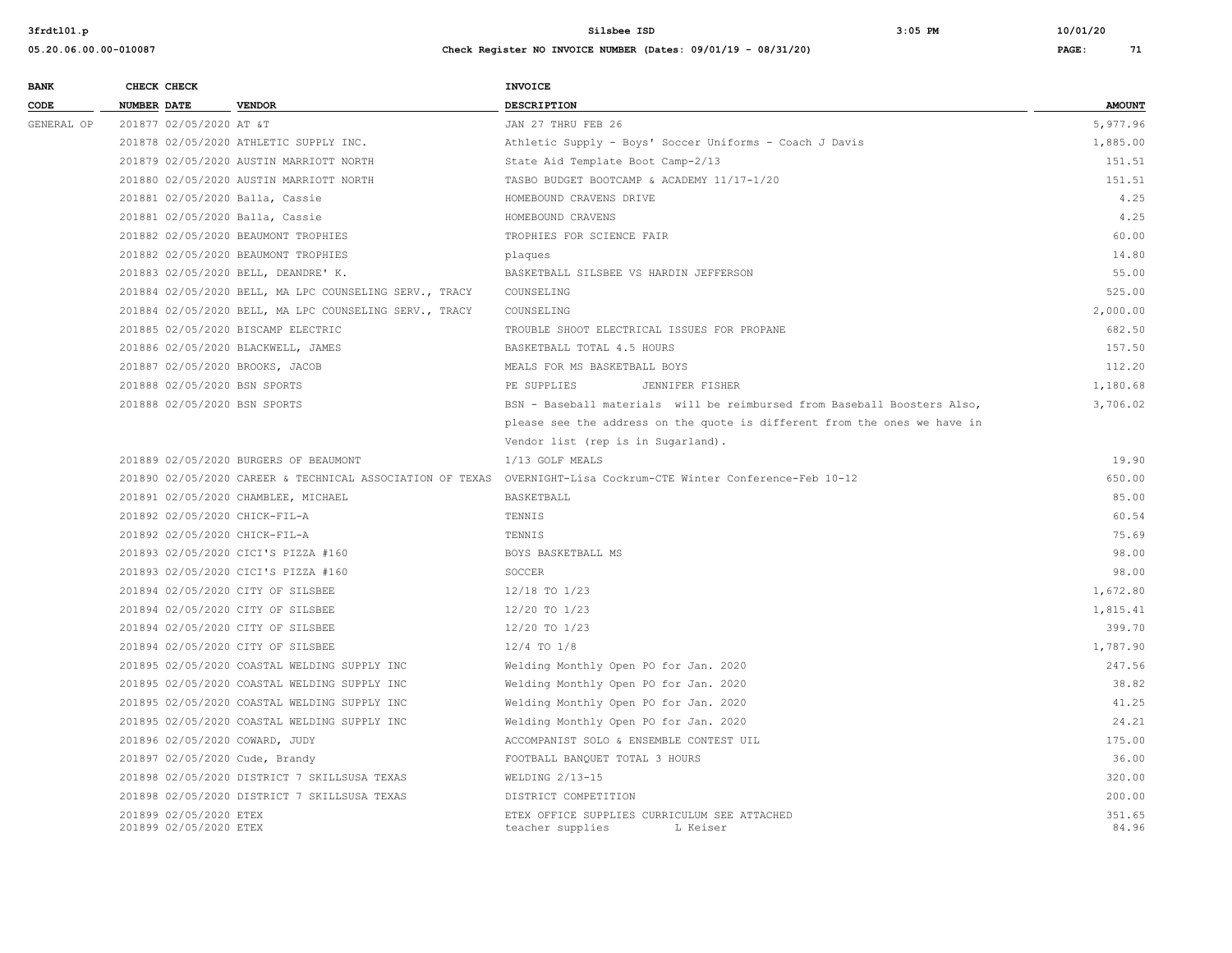| <b>BANK</b> |             | CHECK CHECK                                      |                                                        | <b>INVOICE</b>                                                                                                   |                 |
|-------------|-------------|--------------------------------------------------|--------------------------------------------------------|------------------------------------------------------------------------------------------------------------------|-----------------|
| CODE        | NUMBER DATE |                                                  | <b>VENDOR</b>                                          | <b>DESCRIPTION</b>                                                                                               | <b>AMOUNT</b>   |
| GENERAL OP  |             | 201877 02/05/2020 AT &T                          |                                                        | JAN 27 THRU FEB 26                                                                                               | 5,977.96        |
|             |             |                                                  | 201878 02/05/2020 ATHLETIC SUPPLY INC.                 | Athletic Supply - Boys' Soccer Uniforms - Coach J Davis                                                          | 1,885.00        |
|             |             |                                                  | 201879 02/05/2020 AUSTIN MARRIOTT NORTH                | State Aid Template Boot Camp-2/13                                                                                | 151.51          |
|             |             |                                                  | 201880 02/05/2020 AUSTIN MARRIOTT NORTH                | TASBO BUDGET BOOTCAMP & ACADEMY 11/17-1/20                                                                       | 151.51          |
|             |             |                                                  | 201881 02/05/2020 Balla, Cassie                        | HOMEBOUND CRAVENS DRIVE                                                                                          | 4.25            |
|             |             |                                                  | 201881 02/05/2020 Balla, Cassie                        | HOMEBOUND CRAVENS                                                                                                | 4.25            |
|             |             |                                                  | 201882 02/05/2020 BEAUMONT TROPHIES                    | TROPHIES FOR SCIENCE FAIR                                                                                        | 60.00           |
|             |             |                                                  | 201882 02/05/2020 BEAUMONT TROPHIES                    | plaques                                                                                                          | 14.80           |
|             |             |                                                  | 201883 02/05/2020 BELL, DEANDRE' K.                    | BASKETBALL SILSBEE VS HARDIN JEFFERSON                                                                           | 55.00           |
|             |             |                                                  | 201884 02/05/2020 BELL, MA LPC COUNSELING SERV., TRACY | COUNSELING                                                                                                       | 525.00          |
|             |             |                                                  | 201884 02/05/2020 BELL, MA LPC COUNSELING SERV., TRACY | COUNSELING                                                                                                       | 2,000.00        |
|             |             |                                                  | 201885 02/05/2020 BISCAMP ELECTRIC                     | TROUBLE SHOOT ELECTRICAL ISSUES FOR PROPANE                                                                      | 682.50          |
|             |             |                                                  | 201886 02/05/2020 BLACKWELL, JAMES                     | BASKETBALL TOTAL 4.5 HOURS                                                                                       | 157.50          |
|             |             |                                                  | 201887 02/05/2020 BROOKS, JACOB                        | MEALS FOR MS BASKETBALL BOYS                                                                                     | 112.20          |
|             |             |                                                  | 201888 02/05/2020 BSN SPORTS                           | PE SUPPLIES<br>JENNIFER FISHER                                                                                   | 1,180.68        |
|             |             |                                                  | 201888 02/05/2020 BSN SPORTS                           | BSN - Baseball materials will be reimbursed from Baseball Boosters Also,                                         | 3,706.02        |
|             |             |                                                  |                                                        | please see the address on the quote is different from the ones we have in                                        |                 |
|             |             |                                                  |                                                        | Vendor list (rep is in Sugarland).                                                                               |                 |
|             |             |                                                  | 201889 02/05/2020 BURGERS OF BEAUMONT                  | 1/13 GOLF MEALS                                                                                                  | 19.90           |
|             |             |                                                  |                                                        | 201890 02/05/2020 CAREER & TECHNICAL ASSOCIATION OF TEXAS OVERNIGHT-Lisa Cockrum-CTE Winter Conference-Feb 10-12 | 650.00          |
|             |             |                                                  | 201891 02/05/2020 CHAMBLEE, MICHAEL                    | BASKETBALL                                                                                                       | 85.00           |
|             |             |                                                  | 201892 02/05/2020 CHICK-FIL-A                          | TENNIS                                                                                                           | 60.54           |
|             |             |                                                  | 201892 02/05/2020 CHICK-FIL-A                          | TENNIS                                                                                                           | 75.69           |
|             |             |                                                  | 201893 02/05/2020 CICI'S PIZZA #160                    | BOYS BASKETBALL MS                                                                                               | 98.00           |
|             |             |                                                  | 201893 02/05/2020 CICI'S PIZZA #160                    | SOCCER                                                                                                           | 98.00           |
|             |             |                                                  | 201894 02/05/2020 CITY OF SILSBEE                      | 12/18 TO 1/23                                                                                                    | 1,672.80        |
|             |             |                                                  | 201894 02/05/2020 CITY OF SILSBEE                      | 12/20 TO 1/23                                                                                                    | 1,815.41        |
|             |             |                                                  | 201894 02/05/2020 CITY OF SILSBEE                      | 12/20 TO 1/23                                                                                                    | 399.70          |
|             |             |                                                  | 201894 02/05/2020 CITY OF SILSBEE                      | $12/4$ TO $1/8$                                                                                                  | 1,787.90        |
|             |             |                                                  | 201895 02/05/2020 COASTAL WELDING SUPPLY INC           | Welding Monthly Open PO for Jan. 2020                                                                            | 247.56          |
|             |             |                                                  | 201895 02/05/2020 COASTAL WELDING SUPPLY INC           | Welding Monthly Open PO for Jan. 2020                                                                            | 38.82           |
|             |             |                                                  | 201895 02/05/2020 COASTAL WELDING SUPPLY INC           | Welding Monthly Open PO for Jan. 2020                                                                            | 41.25           |
|             |             |                                                  | 201895 02/05/2020 COASTAL WELDING SUPPLY INC           | Welding Monthly Open PO for Jan. 2020                                                                            | 24.21           |
|             |             |                                                  | 201896 02/05/2020 COWARD, JUDY                         | ACCOMPANIST SOLO & ENSEMBLE CONTEST UIL                                                                          | 175.00          |
|             |             |                                                  | 201897 02/05/2020 Cude, Brandy                         | FOOTBALL BANQUET TOTAL 3 HOURS                                                                                   | 36.00           |
|             |             |                                                  | 201898 02/05/2020 DISTRICT 7 SKILLSUSA TEXAS           | WELDING 2/13-15                                                                                                  | 320.00          |
|             |             |                                                  | 201898 02/05/2020 DISTRICT 7 SKILLSUSA TEXAS           | DISTRICT COMPETITION                                                                                             | 200.00          |
|             |             | 201899 02/05/2020 ETEX<br>201899 02/05/2020 ETEX |                                                        | ETEX OFFICE SUPPLIES CURRICULUM SEE ATTACHED<br>teacher supplies<br>L Keiser                                     | 351.65<br>84.96 |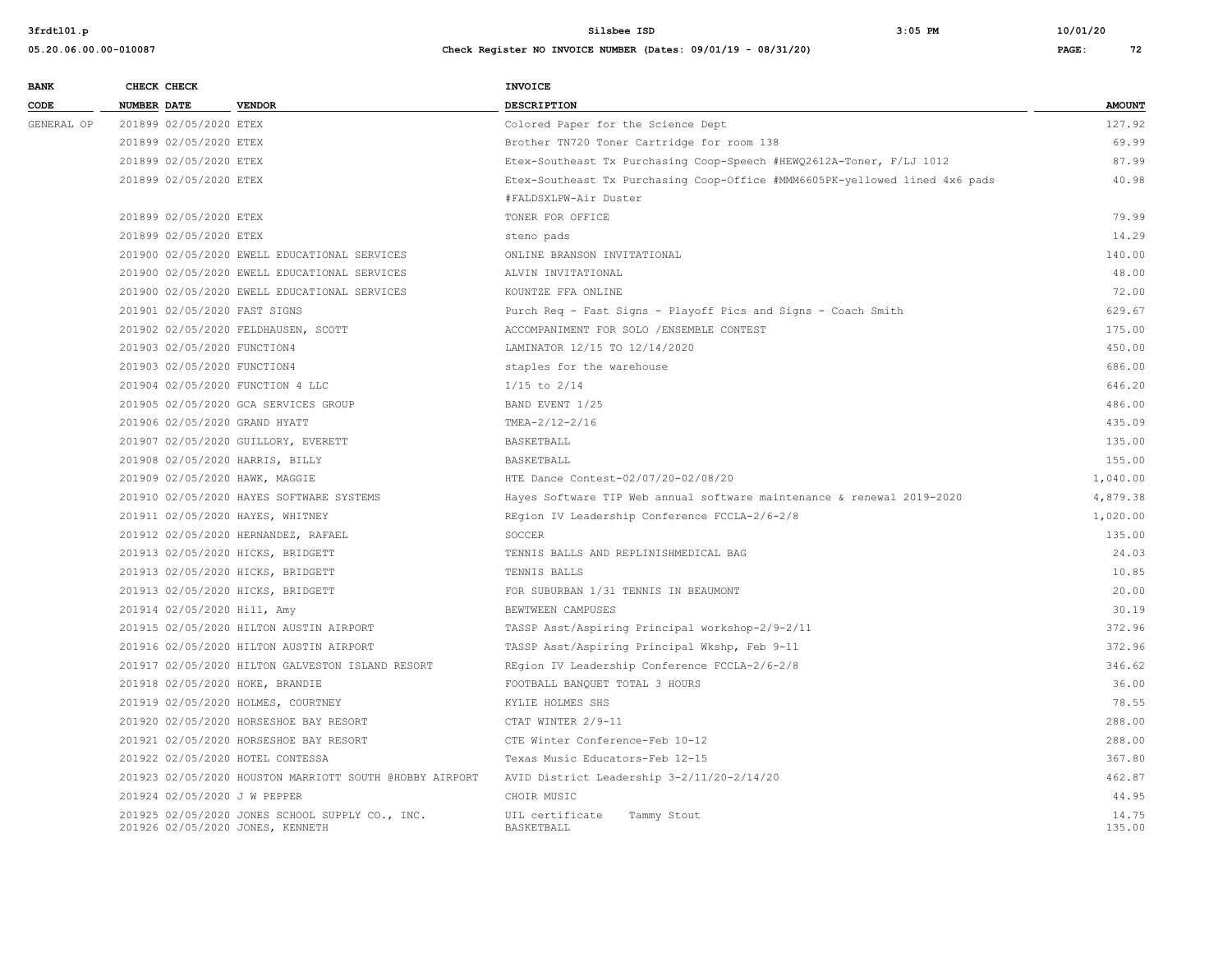| <b>BANK</b><br>CODE | CHECK CHECK        |                             | <b>VENDOR</b>                                                                       | INVOICE                                                                     | <b>AMOUNT</b>   |
|---------------------|--------------------|-----------------------------|-------------------------------------------------------------------------------------|-----------------------------------------------------------------------------|-----------------|
|                     | <b>NUMBER DATE</b> |                             |                                                                                     | <b>DESCRIPTION</b>                                                          |                 |
| GENERAL OP          |                    | 201899 02/05/2020 ETEX      |                                                                                     | Colored Paper for the Science Dept                                          | 127.92          |
|                     |                    | 201899 02/05/2020 ETEX      |                                                                                     | Brother TN720 Toner Cartridge for room 138                                  | 69.99           |
|                     |                    | 201899 02/05/2020 ETEX      |                                                                                     | Etex-Southeast Tx Purchasing Coop-Speech #HEWQ2612A-Toner, F/LJ 1012        | 87.99           |
|                     |                    | 201899 02/05/2020 ETEX      |                                                                                     | Etex-Southeast Tx Purchasing Coop-Office #MMM6605PK-yellowed lined 4x6 pads | 40.98           |
|                     |                    |                             |                                                                                     | #FALDSXLPW-Air Duster                                                       |                 |
|                     |                    | 201899 02/05/2020 ETEX      |                                                                                     | TONER FOR OFFICE                                                            | 79.99           |
|                     |                    | 201899 02/05/2020 ETEX      |                                                                                     | steno pads                                                                  | 14.29           |
|                     |                    |                             | 201900 02/05/2020 EWELL EDUCATIONAL SERVICES                                        | ONLINE BRANSON INVITATIONAL                                                 | 140.00          |
|                     |                    |                             | 201900 02/05/2020 EWELL EDUCATIONAL SERVICES                                        | ALVIN INVITATIONAL                                                          | 48.00           |
|                     |                    |                             | 201900 02/05/2020 EWELL EDUCATIONAL SERVICES                                        | KOUNTZE FFA ONLINE                                                          | 72.00           |
|                     |                    |                             | 201901 02/05/2020 FAST SIGNS                                                        | Purch Req - Fast Signs - Playoff Pics and Signs - Coach Smith               | 629.67          |
|                     |                    |                             | 201902 02/05/2020 FELDHAUSEN, SCOTT                                                 | ACCOMPANIMENT FOR SOLO / ENSEMBLE CONTEST                                   | 175.00          |
|                     |                    | 201903 02/05/2020 FUNCTION4 |                                                                                     | LAMINATOR 12/15 TO 12/14/2020                                               | 450.00          |
|                     |                    | 201903 02/05/2020 FUNCTION4 |                                                                                     | staples for the warehouse                                                   | 686.00          |
|                     |                    |                             | 201904 02/05/2020 FUNCTION 4 LLC                                                    | $1/15$ to $2/14$                                                            | 646.20          |
|                     |                    |                             | 201905 02/05/2020 GCA SERVICES GROUP                                                | BAND EVENT 1/25                                                             | 486.00          |
|                     |                    |                             | 201906 02/05/2020 GRAND HYATT                                                       | TMEA-2/12-2/16                                                              | 435.09          |
|                     |                    |                             | 201907 02/05/2020 GUILLORY, EVERETT                                                 | BASKETBALL                                                                  | 135.00          |
|                     |                    |                             | 201908 02/05/2020 HARRIS, BILLY                                                     | BASKETBALL                                                                  | 155.00          |
|                     |                    |                             | 201909 02/05/2020 HAWK, MAGGIE                                                      | HTE Dance Contest-02/07/20-02/08/20                                         | 1,040.00        |
|                     |                    |                             | 201910 02/05/2020 HAYES SOFTWARE SYSTEMS                                            | Hayes Software TIP Web annual software maintenance & renewal 2019-2020      | 4,879.38        |
|                     |                    |                             | 201911 02/05/2020 HAYES, WHITNEY                                                    | REgion IV Leadership Conference FCCLA-2/6-2/8                               | 1,020.00        |
|                     |                    |                             | 201912 02/05/2020 HERNANDEZ, RAFAEL                                                 | SOCCER                                                                      | 135.00          |
|                     |                    |                             | 201913 02/05/2020 HICKS, BRIDGETT                                                   | TENNIS BALLS AND REPLINISHMEDICAL BAG                                       | 24.03           |
|                     |                    |                             | 201913 02/05/2020 HICKS, BRIDGETT                                                   | TENNIS BALLS                                                                | 10.85           |
|                     |                    |                             | 201913 02/05/2020 HICKS, BRIDGETT                                                   | FOR SUBURBAN 1/31 TENNIS IN BEAUMONT                                        | 20.00           |
|                     |                    |                             | 201914 02/05/2020 Hill, Amy                                                         | BEWTWEEN CAMPUSES                                                           | 30.19           |
|                     |                    |                             | 201915 02/05/2020 HILTON AUSTIN AIRPORT                                             | TASSP Asst/Aspiring Principal workshop-2/9-2/11                             | 372.96          |
|                     |                    |                             | 201916 02/05/2020 HILTON AUSTIN AIRPORT                                             | TASSP Asst/Aspiring Principal Wkshp, Feb 9-11                               | 372.96          |
|                     |                    |                             | 201917 02/05/2020 HILTON GALVESTON ISLAND RESORT                                    | REgion IV Leadership Conference FCCLA-2/6-2/8                               | 346.62          |
|                     |                    |                             | 201918 02/05/2020 HOKE, BRANDIE                                                     | FOOTBALL BANQUET TOTAL 3 HOURS                                              | 36.00           |
|                     |                    |                             | 201919 02/05/2020 HOLMES, COURTNEY                                                  | KYLIE HOLMES SHS                                                            | 78.55           |
|                     |                    |                             | 201920 02/05/2020 HORSESHOE BAY RESORT                                              | CTAT WINTER 2/9-11                                                          | 288.00          |
|                     |                    |                             | 201921 02/05/2020 HORSESHOE BAY RESORT                                              | CTE Winter Conference-Feb 10-12                                             | 288.00          |
|                     |                    |                             | 201922 02/05/2020 HOTEL CONTESSA                                                    | Texas Music Educators-Feb 12-15                                             | 367.80          |
|                     |                    |                             | 201923 02/05/2020 HOUSTON MARRIOTT SOUTH @HOBBY AIRPORT                             | AVID District Leadership 3-2/11/20-2/14/20                                  | 462.87          |
|                     |                    |                             | 201924 02/05/2020 J W PEPPER                                                        | CHOIR MUSIC                                                                 | 44.95           |
|                     |                    |                             | 201925 02/05/2020 JONES SCHOOL SUPPLY CO., INC.<br>201926 02/05/2020 JONES, KENNETH | UIL certificate<br>Tammy Stout<br>BASKETBALL                                | 14.75<br>135.00 |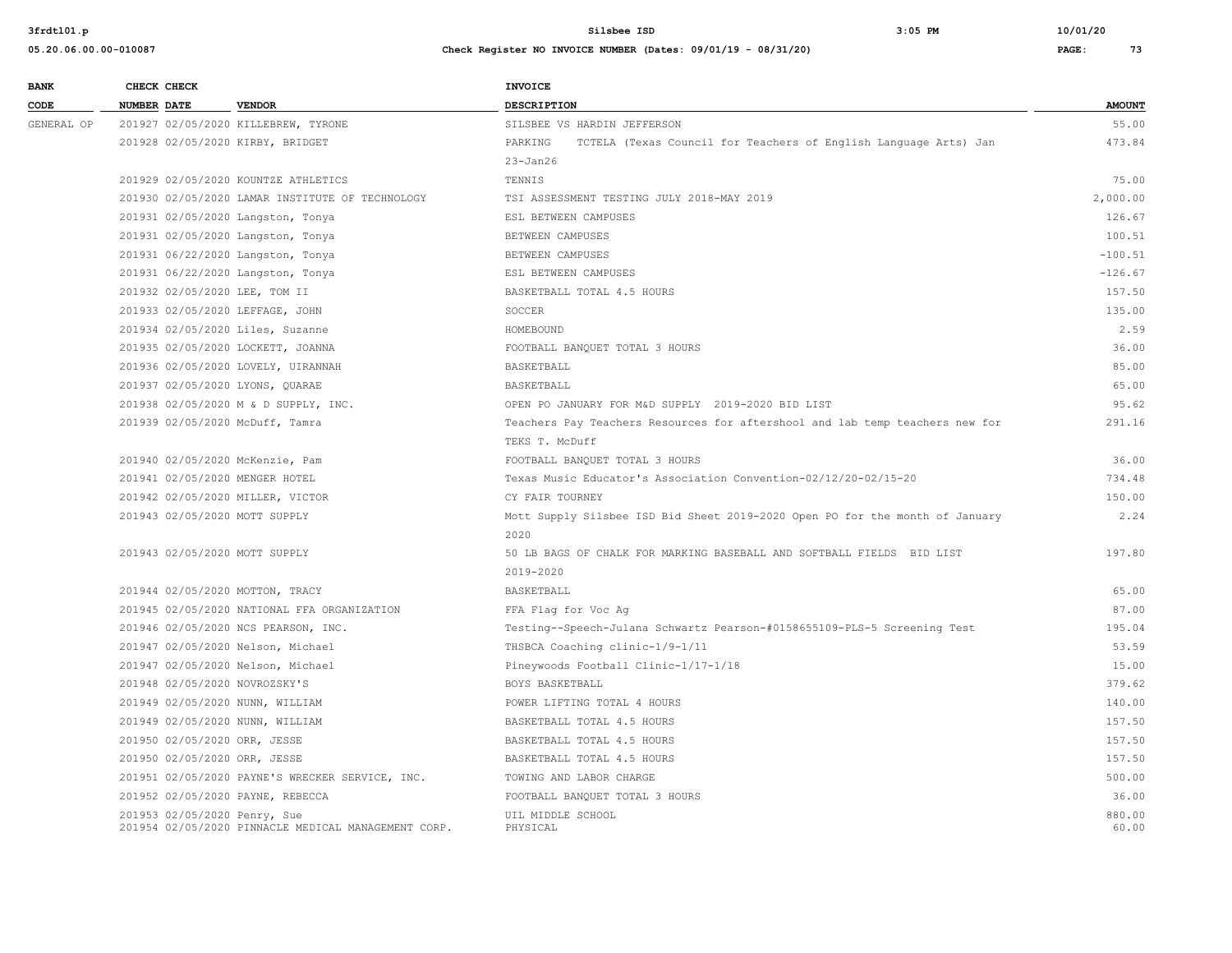**05.20.06.00.00-010087 Check Register NO INVOICE NUMBER (Dates: 09/01/19 - 08/31/20) PAGE: 73**

**BANK CHECK CHECK CHECK CODE NUMBER DATE VENDOR DESCRIPTION AMOUNT** GENERAL OP 201927 02/05/2020 KILLEBREW, TYRONE SILSBEE VS HARDIN JEFFERSON STARD STARD SS.00 201928 02/05/2020 KIRBY, BRIDGET PARKING TCTELA (Texas Council for Teachers of English Language Arts) Jan 473.84 23-Jan26 201929 02/05/2020 KOUNTZE ATHLETICS TENNIS 75.00 201930 02/05/2020 LAMAR INSTITUTE OF TECHNOLOGY TSI ASSESSMENT TESTING JULY 2018-MAY 2019 2,000.00 201931 02/05/2020 Langston, Tonya ESL BETWEEN CAMPUSES 126.67 201931 02/05/2020 Langston, Tonya BETWEEN CAMPUSES 100.51 201931 06/22/2020 Langston, Tonya **BETWEEN CAMPUSES** -100.51 -100.51 -100.51 -100.51 -100.51 -100.51 -100.51 -100 201931 06/22/2020 Langston, Tonya ESL BETWEEN CAMPUSES -126.67 201932 02/05/2020 LEE, TOM II BASKETBALL TOTAL 4.5 HOURS 157.50 201933 02/05/2020 LEFFAGE, JOHN SOCCER 135.00 201934 02/05/2020 Liles, Suzanne HOMEBOUND 2.59 201935 02/05/2020 LOCKETT, JOANNA SAN SAN SERVIT RESERVED BANQUET TOTAL 3 HOURS 36.00 201936 02/05/2020 LOVELY, UIRANNAH BASKETBALL 85.00 201937 02/05/2020 LYONS, QUARAE BASKETBALL 65.00 201938 02/05/2020 M & D SUPPLY, INC. OPEN PO JANUARY FOR M&D SUPPLY 2019-2020 BID LIST 95.62 201939 02/05/2020 McDuff, Tamra Teachers Pay Teachers Resources for aftershool and lab temp teachers new for 291.16 TEKS T. McDuff 201940 02/05/2020 McKenzie, Pam FOOTBALL BANQUET TOTAL 3 HOURS 36.00 201941 02/05/2020 MENGER HOTEL Texas Music Educator's Association Convention-02/12/20-02/15-20 734.48 201942 02/05/2020 MILLER, VICTOR CY FAIR TOURNEY 150.00 201943 02/05/2020 MOTT SUPPLY Mott Supply Silsbee ISD Bid Sheet 2019-2020 Open PO for the month of January 2.24 2020 201943 02/05/2020 MOTT SUPPLY 50 LB BAGS OF CHALK FOR MARKING BASEBALL AND SOFTBALL FIELDS BID LIST 197.80 2019-2020 201944 02/05/2020 MOTTON, TRACY BASKETBALL 65.00 201945 02/05/2020 NATIONAL FFA ORGANIZATION FFA Flag for Voc Ag 87.00 201946 02/05/2020 NCS PEARSON, INC. Testing--Speech-Julana Schwartz Pearson-#0158655109-PLS-5 Screening Test 195.04 201947 02/05/2020 Nelson, Michael THSBCA Coaching clinic-1/9-1/11 53.59 201947 02/05/2020 Nelson, Michael Pineywoods Football Clinic-1/17-1/18 15.00 201948 02/05/2020 NOVROZSKY'S CONSULTED BOYS BASKETBALL 379.62 201949 02/05/2020 NUNN, WILLIAM POWER LIFTING TOTAL 4 HOURS 140.00 201949 02/05/2020 NUNN, WILLIAM BASKETBALL TOTAL 4.5 HOURS 157.50 201950 02/05/2020 ORR, JESSE BASKETBALL TOTAL 4.5 HOURS 157.50 201950 02/05/2020 ORR, JESSE BASKETBALL TOTAL 4.5 HOURS 157.50 201951 02/05/2020 PAYNE'S WRECKER SERVICE, INC. TOWING AND LABOR CHARGE 500.00 201952 02/05/2020 PAYNE, REBECCA FOOTBALL BANQUET TOTAL 3 HOURS 36.00 201953 02/05/2020 Penry, Sue UIL MIDDLE SCHOOL 880.00 201954 02/05/2020 PINNACLE MEDICAL MANAGEMENT CORP. PHYSICAL 60.00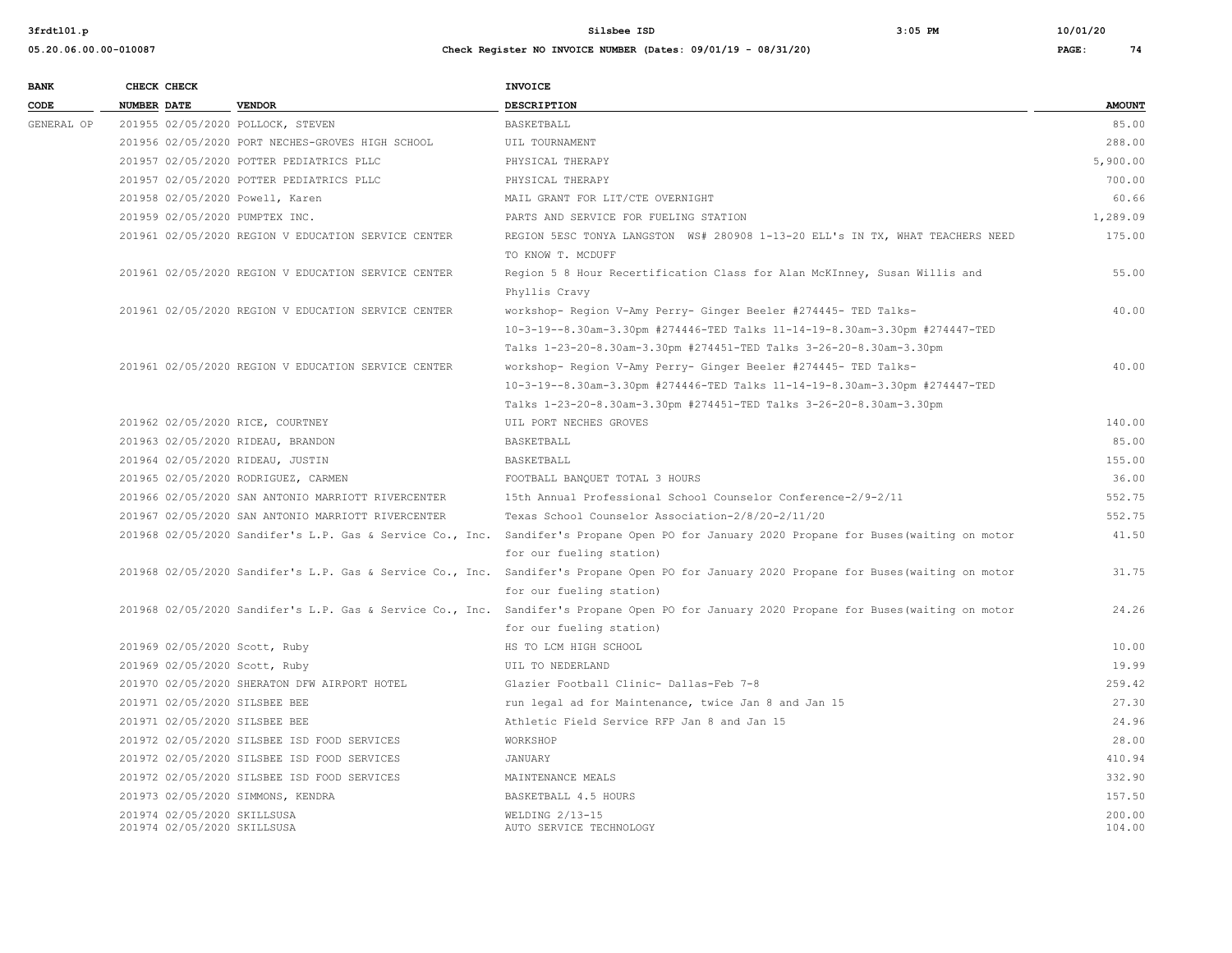| <b>BANK</b> | CHECK CHECK        |                             |                                                           | INVOICE                                                                                                                                   |               |
|-------------|--------------------|-----------------------------|-----------------------------------------------------------|-------------------------------------------------------------------------------------------------------------------------------------------|---------------|
| CODE        | <b>NUMBER DATE</b> |                             | <b>VENDOR</b>                                             | <b>DESCRIPTION</b>                                                                                                                        | <b>AMOUNT</b> |
| GENERAL OP  |                    |                             | 201955 02/05/2020 POLLOCK, STEVEN                         | <b>BASKETBALL</b>                                                                                                                         | 85.00         |
|             |                    |                             | 201956 02/05/2020 PORT NECHES-GROVES HIGH SCHOOL          | UIL TOURNAMENT                                                                                                                            | 288.00        |
|             |                    |                             | 201957 02/05/2020 POTTER PEDIATRICS PLLC                  | PHYSICAL THERAPY                                                                                                                          | 5,900.00      |
|             |                    |                             | 201957 02/05/2020 POTTER PEDIATRICS PLLC                  | PHYSICAL THERAPY                                                                                                                          | 700.00        |
|             |                    |                             | 201958 02/05/2020 Powell, Karen                           | MAIL GRANT FOR LIT/CTE OVERNIGHT                                                                                                          | 60.66         |
|             |                    |                             | 201959 02/05/2020 PUMPTEX INC.                            | PARTS AND SERVICE FOR FUELING STATION                                                                                                     | 1,289.09      |
|             |                    |                             | 201961 02/05/2020 REGION V EDUCATION SERVICE CENTER       | REGION 5ESC TONYA LANGSTON WS# 280908 1-13-20 ELL'S IN TX, WHAT TEACHERS NEED                                                             | 175.00        |
|             |                    |                             |                                                           | TO KNOW T. MCDUFF                                                                                                                         |               |
|             |                    |                             | 201961 02/05/2020 REGION V EDUCATION SERVICE CENTER       | Region 5 8 Hour Recertification Class for Alan McKInney, Susan Willis and                                                                 | 55.00         |
|             |                    |                             |                                                           | Phyllis Cravy                                                                                                                             |               |
|             |                    |                             | 201961 02/05/2020 REGION V EDUCATION SERVICE CENTER       | workshop- Region V-Amy Perry- Ginger Beeler #274445- TED Talks-                                                                           | 40.00         |
|             |                    |                             |                                                           | 10-3-19--8.30am-3.30pm #274446-TED Talks 11-14-19-8.30am-3.30pm #274447-TED                                                               |               |
|             |                    |                             |                                                           | Talks 1-23-20-8.30am-3.30pm #274451-TED Talks 3-26-20-8.30am-3.30pm                                                                       |               |
|             |                    |                             | 201961 02/05/2020 REGION V EDUCATION SERVICE CENTER       | workshop- Region V-Amy Perry- Ginger Beeler #274445- TED Talks-                                                                           | 40.00         |
|             |                    |                             |                                                           | 10-3-19--8.30am-3.30pm #274446-TED Talks 11-14-19-8.30am-3.30pm #274447-TED                                                               |               |
|             |                    |                             |                                                           | Talks 1-23-20-8.30am-3.30pm #274451-TED Talks 3-26-20-8.30am-3.30pm                                                                       |               |
|             |                    |                             | 201962 02/05/2020 RICE, COURTNEY                          | UIL PORT NECHES GROVES                                                                                                                    | 140.00        |
|             |                    |                             | 201963 02/05/2020 RIDEAU, BRANDON                         | BASKETBALL                                                                                                                                | 85.00         |
|             |                    |                             | 201964 02/05/2020 RIDEAU, JUSTIN                          | BASKETBALL                                                                                                                                | 155.00        |
|             |                    |                             | 201965 02/05/2020 RODRIGUEZ, CARMEN                       | FOOTBALL BANQUET TOTAL 3 HOURS                                                                                                            | 36.00         |
|             |                    |                             | 201966 02/05/2020 SAN ANTONIO MARRIOTT RIVERCENTER        | 15th Annual Professional School Counselor Conference-2/9-2/11                                                                             | 552.75        |
|             |                    |                             | 201967 02/05/2020 SAN ANTONIO MARRIOTT RIVERCENTER        | Texas School Counselor Association-2/8/20-2/11/20                                                                                         | 552.75        |
|             |                    |                             |                                                           | 201968 02/05/2020 Sandifer's L.P. Gas & Service Co., Inc. Sandifer's Propane Open PO for January 2020 Propane for Buses (waiting on motor | 41.50         |
|             |                    |                             |                                                           | for our fueling station)                                                                                                                  |               |
|             |                    |                             |                                                           | 201968 02/05/2020 Sandifer's L.P. Gas & Service Co., Inc. Sandifer's Propane Open PO for January 2020 Propane for Buses (waiting on motor | 31.75         |
|             |                    |                             |                                                           | for our fueling station)                                                                                                                  |               |
|             |                    |                             | 201968 02/05/2020 Sandifer's L.P. Gas & Service Co., Inc. | Sandifer's Propane Open PO for January 2020 Propane for Buses (waiting on motor                                                           | 24.26         |
|             |                    |                             |                                                           | for our fueling station)                                                                                                                  |               |
|             |                    |                             | 201969 02/05/2020 Scott, Ruby                             | HS TO LCM HIGH SCHOOL                                                                                                                     | 10.00         |
|             |                    |                             | 201969 02/05/2020 Scott, Ruby                             | UIL TO NEDERLAND                                                                                                                          | 19.99         |
|             |                    |                             | 201970 02/05/2020 SHERATON DFW AIRPORT HOTEL              | Glazier Football Clinic- Dallas-Feb 7-8                                                                                                   | 259.42        |
|             |                    |                             | 201971 02/05/2020 SILSBEE BEE                             | run legal ad for Maintenance, twice Jan 8 and Jan 15                                                                                      | 27.30         |
|             |                    |                             | 201971 02/05/2020 SILSBEE BEE                             | Athletic Field Service RFP Jan 8 and Jan 15                                                                                               | 24.96         |
|             |                    |                             | 201972 02/05/2020 SILSBEE ISD FOOD SERVICES               | WORKSHOP                                                                                                                                  | 28.00         |
|             |                    |                             | 201972 02/05/2020 SILSBEE ISD FOOD SERVICES               | JANUARY                                                                                                                                   | 410.94        |
|             |                    |                             | 201972 02/05/2020 SILSBEE ISD FOOD SERVICES               | MAINTENANCE MEALS                                                                                                                         | 332.90        |
|             |                    |                             | 201973 02/05/2020 SIMMONS, KENDRA                         | BASKETBALL 4.5 HOURS                                                                                                                      | 157.50        |
|             |                    | 201974 02/05/2020 SKILLSUSA |                                                           | WELDING $2/13-15$                                                                                                                         | 200.00        |
|             |                    | 201974 02/05/2020 SKILLSUSA |                                                           | AUTO SERVICE TECHNOLOGY                                                                                                                   | 104.00        |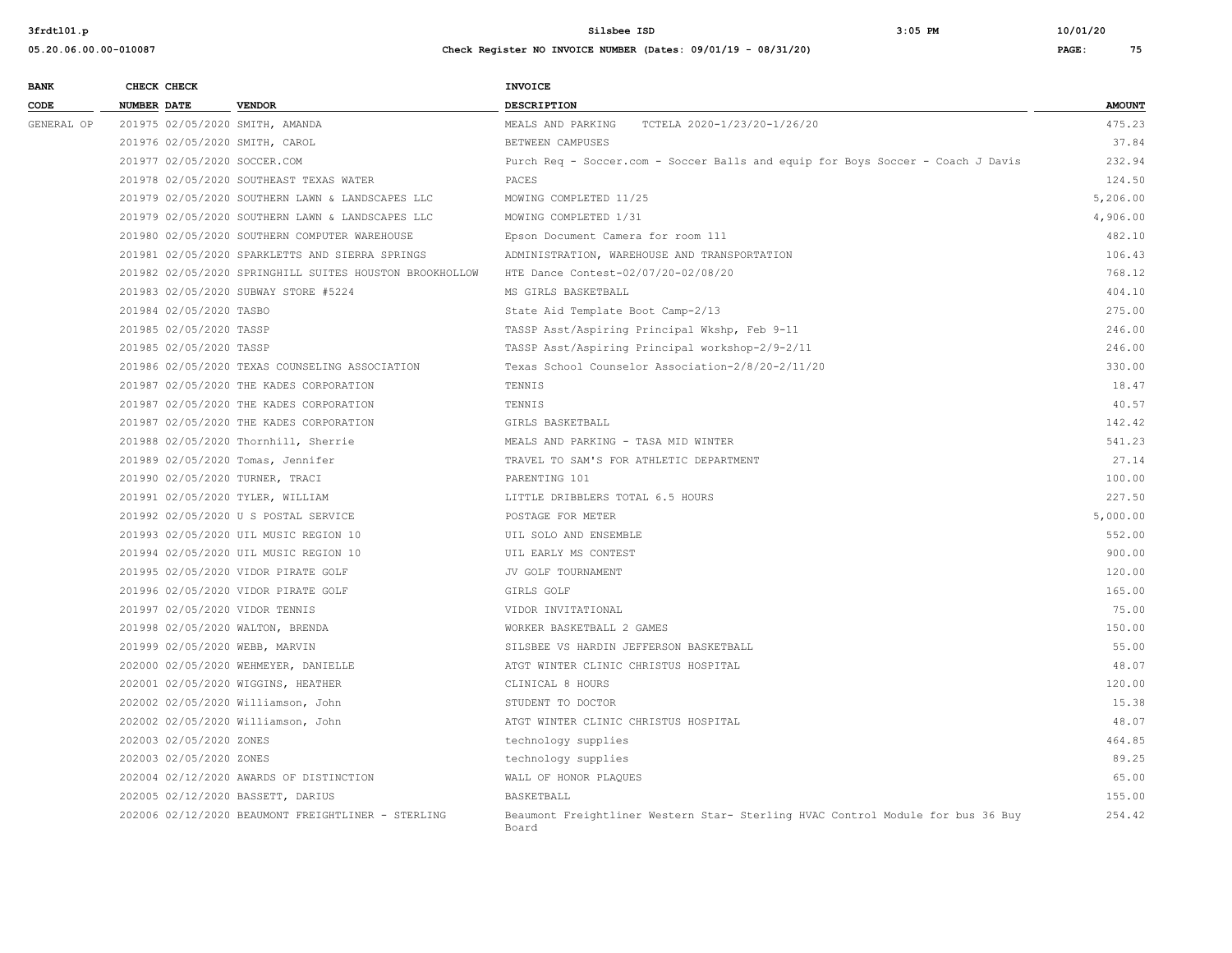| 05.20.06.00.00-010087 | Check Register NO INVOICE NUMBER (Dates: 09/01/19 - 08/31/20)<br>ни производство на предлагата на селото на селото на селото на селото на селото на селото на селото на селото | <b>PAGE</b> | 75 |
|-----------------------|--------------------------------------------------------------------------------------------------------------------------------------------------------------------------------|-------------|----|
|                       |                                                                                                                                                                                |             |    |

| <b>BANK</b> |                    | CHECK CHECK             |                                                         | <b>INVOICE</b>                                                                           |               |
|-------------|--------------------|-------------------------|---------------------------------------------------------|------------------------------------------------------------------------------------------|---------------|
| CODE        | <b>NUMBER DATE</b> |                         | <b>VENDOR</b>                                           | DESCRIPTION                                                                              | <b>AMOUNT</b> |
| GENERAL OP  |                    |                         | 201975 02/05/2020 SMITH, AMANDA                         | MEALS AND PARKING<br>TCTELA 2020-1/23/20-1/26/20                                         | 475.23        |
|             |                    |                         | 201976 02/05/2020 SMITH, CAROL                          | BETWEEN CAMPUSES                                                                         | 37.84         |
|             |                    |                         | 201977 02/05/2020 SOCCER.COM                            | Purch Req - Soccer.com - Soccer Balls and equip for Boys Soccer - Coach J Davis          | 232.94        |
|             |                    |                         | 201978 02/05/2020 SOUTHEAST TEXAS WATER                 | PACES                                                                                    | 124.50        |
|             |                    |                         | 201979 02/05/2020 SOUTHERN LAWN & LANDSCAPES LLC        | MOWING COMPLETED 11/25                                                                   | 5,206.00      |
|             |                    |                         | 201979 02/05/2020 SOUTHERN LAWN & LANDSCAPES LLC        | MOWING COMPLETED 1/31                                                                    | 4,906.00      |
|             |                    |                         | 201980 02/05/2020 SOUTHERN COMPUTER WAREHOUSE           | Epson Document Camera for room 111                                                       | 482.10        |
|             |                    |                         | 201981 02/05/2020 SPARKLETTS AND SIERRA SPRINGS         | ADMINISTRATION, WAREHOUSE AND TRANSPORTATION                                             | 106.43        |
|             |                    |                         | 201982 02/05/2020 SPRINGHILL SUITES HOUSTON BROOKHOLLOW | HTE Dance Contest-02/07/20-02/08/20                                                      | 768.12        |
|             |                    |                         | 201983 02/05/2020 SUBWAY STORE #5224                    | MS GIRLS BASKETBALL                                                                      | 404.10        |
|             |                    | 201984 02/05/2020 TASBO |                                                         | State Aid Template Boot Camp-2/13                                                        | 275.00        |
|             |                    | 201985 02/05/2020 TASSP |                                                         | TASSP Asst/Aspiring Principal Wkshp, Feb 9-11                                            | 246.00        |
|             |                    | 201985 02/05/2020 TASSP |                                                         | TASSP Asst/Aspiring Principal workshop-2/9-2/11                                          | 246.00        |
|             |                    |                         | 201986 02/05/2020 TEXAS COUNSELING ASSOCIATION          | Texas School Counselor Association-2/8/20-2/11/20                                        | 330.00        |
|             |                    |                         | 201987 02/05/2020 THE KADES CORPORATION                 | TENNIS                                                                                   | 18.47         |
|             |                    |                         | 201987 02/05/2020 THE KADES CORPORATION                 | TENNIS                                                                                   | 40.57         |
|             |                    |                         | 201987 02/05/2020 THE KADES CORPORATION                 | GIRLS BASKETBALL                                                                         | 142.42        |
|             |                    |                         | 201988 02/05/2020 Thornhill, Sherrie                    | MEALS AND PARKING - TASA MID WINTER                                                      | 541.23        |
|             |                    |                         | 201989 02/05/2020 Tomas, Jennifer                       | TRAVEL TO SAM'S FOR ATHLETIC DEPARTMENT                                                  | 27.14         |
|             |                    |                         | 201990 02/05/2020 TURNER, TRACI                         | PARENTING 101                                                                            | 100.00        |
|             |                    |                         | 201991 02/05/2020 TYLER, WILLIAM                        | LITTLE DRIBBLERS TOTAL 6.5 HOURS                                                         | 227.50        |
|             |                    |                         | 201992 02/05/2020 U S POSTAL SERVICE                    | POSTAGE FOR METER                                                                        | 5,000.00      |
|             |                    |                         | 201993 02/05/2020 UIL MUSIC REGION 10                   | UIL SOLO AND ENSEMBLE                                                                    | 552.00        |
|             |                    |                         | 201994 02/05/2020 UIL MUSIC REGION 10                   | UIL EARLY MS CONTEST                                                                     | 900.00        |
|             |                    |                         | 201995 02/05/2020 VIDOR PIRATE GOLF                     | JV GOLF TOURNAMENT                                                                       | 120.00        |
|             |                    |                         | 201996 02/05/2020 VIDOR PIRATE GOLF                     | GIRLS GOLF                                                                               | 165.00        |
|             |                    |                         | 201997 02/05/2020 VIDOR TENNIS                          | VIDOR INVITATIONAL                                                                       | 75.00         |
|             |                    |                         | 201998 02/05/2020 WALTON, BRENDA                        | WORKER BASKETBALL 2 GAMES                                                                | 150.00        |
|             |                    |                         | 201999 02/05/2020 WEBB, MARVIN                          | SILSBEE VS HARDIN JEFFERSON BASKETBALL                                                   | 55.00         |
|             |                    |                         | 202000 02/05/2020 WEHMEYER, DANIELLE                    | ATGT WINTER CLINIC CHRISTUS HOSPITAL                                                     | 48.07         |
|             |                    |                         | 202001 02/05/2020 WIGGINS, HEATHER                      | CLINICAL 8 HOURS                                                                         | 120.00        |
|             |                    |                         | 202002 02/05/2020 Williamson, John                      | STUDENT TO DOCTOR                                                                        | 15.38         |
|             |                    |                         | 202002 02/05/2020 Williamson, John                      | ATGT WINTER CLINIC CHRISTUS HOSPITAL                                                     | 48.07         |
|             |                    | 202003 02/05/2020 ZONES |                                                         | technology supplies                                                                      | 464.85        |
|             |                    | 202003 02/05/2020 ZONES |                                                         | technology supplies                                                                      | 89.25         |
|             |                    |                         | 202004 02/12/2020 AWARDS OF DISTINCTION                 | WALL OF HONOR PLAQUES                                                                    | 65.00         |
|             |                    |                         | 202005 02/12/2020 BASSETT, DARIUS                       | BASKETBALL                                                                               | 155.00        |
|             |                    |                         | 202006 02/12/2020 BEAUMONT FREIGHTLINER - STERLING      | Beaumont Freightliner Western Star- Sterling HVAC Control Module for bus 36 Buy<br>Board | 254.42        |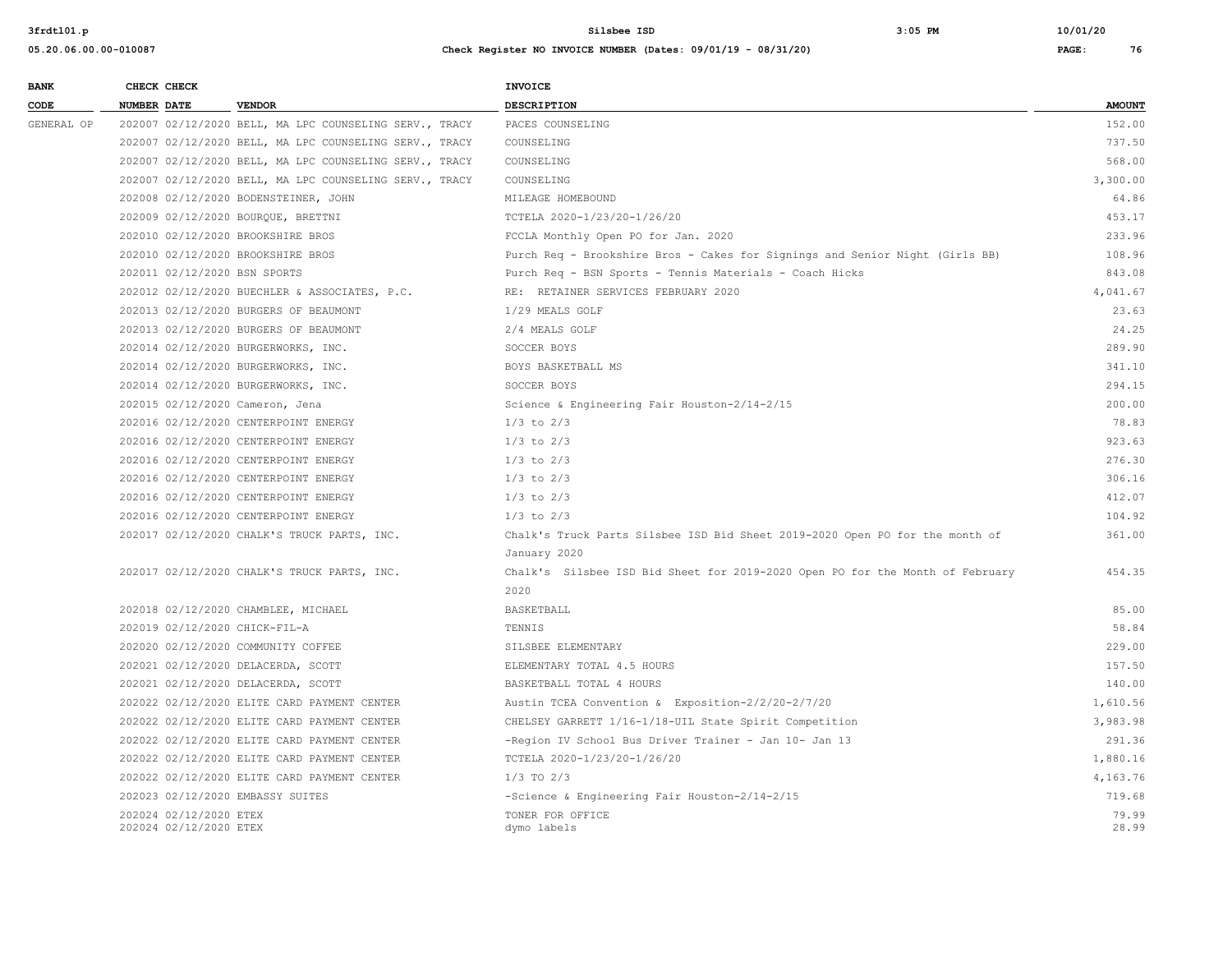| <b>BANK</b> | CHECK CHECK                                      |                                                        | INVOICE                                                                       |                |
|-------------|--------------------------------------------------|--------------------------------------------------------|-------------------------------------------------------------------------------|----------------|
| CODE        | NUMBER DATE                                      | <b>VENDOR</b>                                          | <b>DESCRIPTION</b>                                                            | <b>AMOUNT</b>  |
| GENERAL OP  |                                                  | 202007 02/12/2020 BELL, MA LPC COUNSELING SERV., TRACY | PACES COUNSELING                                                              | 152.00         |
|             |                                                  | 202007 02/12/2020 BELL, MA LPC COUNSELING SERV., TRACY | COUNSELING                                                                    | 737.50         |
|             |                                                  | 202007 02/12/2020 BELL, MA LPC COUNSELING SERV., TRACY | COUNSELING                                                                    | 568.00         |
|             |                                                  | 202007 02/12/2020 BELL, MA LPC COUNSELING SERV., TRACY | COUNSELING                                                                    | 3,300.00       |
|             |                                                  | 202008 02/12/2020 BODENSTEINER, JOHN                   | MILEAGE HOMEBOUND                                                             | 64.86          |
|             |                                                  | 202009 02/12/2020 BOURQUE, BRETTNI                     | TCTELA 2020-1/23/20-1/26/20                                                   | 453.17         |
|             |                                                  | 202010 02/12/2020 BROOKSHIRE BROS                      | FCCLA Monthly Open PO for Jan. 2020                                           | 233.96         |
|             |                                                  | 202010 02/12/2020 BROOKSHIRE BROS                      | Purch Req - Brookshire Bros - Cakes for Signings and Senior Night (Girls BB)  | 108.96         |
|             | 202011 02/12/2020 BSN SPORTS                     |                                                        | Purch Req - BSN Sports - Tennis Materials - Coach Hicks                       | 843.08         |
|             |                                                  | 202012 02/12/2020 BUECHLER & ASSOCIATES, P.C.          | RE: RETAINER SERVICES FEBRUARY 2020                                           | 4,041.67       |
|             |                                                  | 202013 02/12/2020 BURGERS OF BEAUMONT                  | 1/29 MEALS GOLF                                                               | 23.63          |
|             |                                                  | 202013 02/12/2020 BURGERS OF BEAUMONT                  | 2/4 MEALS GOLF                                                                | 24.25          |
|             |                                                  | 202014 02/12/2020 BURGERWORKS, INC.                    | SOCCER BOYS                                                                   | 289.90         |
|             |                                                  | 202014 02/12/2020 BURGERWORKS, INC.                    | BOYS BASKETBALL MS                                                            | 341.10         |
|             |                                                  | 202014 02/12/2020 BURGERWORKS, INC.                    | SOCCER BOYS                                                                   | 294.15         |
|             | 202015 02/12/2020 Cameron, Jena                  |                                                        | Science & Engineering Fair Houston-2/14-2/15                                  | 200.00         |
|             |                                                  | 202016 02/12/2020 CENTERPOINT ENERGY                   | $1/3$ to $2/3$                                                                | 78.83          |
|             |                                                  | 202016 02/12/2020 CENTERPOINT ENERGY                   | $1/3$ to $2/3$                                                                | 923.63         |
|             |                                                  | 202016 02/12/2020 CENTERPOINT ENERGY                   | $1/3$ to $2/3$                                                                | 276.30         |
|             |                                                  | 202016 02/12/2020 CENTERPOINT ENERGY                   | $1/3$ to $2/3$                                                                | 306.16         |
|             |                                                  | 202016 02/12/2020 CENTERPOINT ENERGY                   | $1/3$ to $2/3$                                                                | 412.07         |
|             |                                                  | 202016 02/12/2020 CENTERPOINT ENERGY                   | $1/3$ to $2/3$                                                                | 104.92         |
|             |                                                  | 202017 02/12/2020 CHALK'S TRUCK PARTS, INC.            | Chalk's Truck Parts Silsbee ISD Bid Sheet 2019-2020 Open PO for the month of  | 361.00         |
|             |                                                  |                                                        | January 2020                                                                  |                |
|             |                                                  | 202017 02/12/2020 CHALK'S TRUCK PARTS, INC.            | Chalk's Silsbee ISD Bid Sheet for 2019-2020 Open PO for the Month of February | 454.35         |
|             |                                                  |                                                        | 2020                                                                          |                |
|             |                                                  | 202018 02/12/2020 CHAMBLEE, MICHAEL                    | <b>BASKETBALL</b>                                                             | 85.00          |
|             | 202019 02/12/2020 CHICK-FIL-A                    |                                                        | TENNIS                                                                        | 58.84          |
|             |                                                  | 202020 02/12/2020 COMMUNITY COFFEE                     | SILSBEE ELEMENTARY                                                            | 229.00         |
|             |                                                  | 202021 02/12/2020 DELACERDA, SCOTT                     | ELEMENTARY TOTAL 4.5 HOURS                                                    | 157.50         |
|             |                                                  | 202021 02/12/2020 DELACERDA, SCOTT                     | BASKETBALL TOTAL 4 HOURS                                                      | 140.00         |
|             |                                                  | 202022 02/12/2020 ELITE CARD PAYMENT CENTER            | Austin TCEA Convention & Exposition-2/2/20-2/7/20                             | 1,610.56       |
|             |                                                  | 202022 02/12/2020 ELITE CARD PAYMENT CENTER            | CHELSEY GARRETT 1/16-1/18-UIL State Spirit Competition                        | 3,983.98       |
|             |                                                  | 202022 02/12/2020 ELITE CARD PAYMENT CENTER            | -Region IV School Bus Driver Trainer - Jan 10- Jan 13                         | 291.36         |
|             |                                                  | 202022 02/12/2020 ELITE CARD PAYMENT CENTER            | TCTELA 2020-1/23/20-1/26/20                                                   | 1,880.16       |
|             |                                                  | 202022 02/12/2020 ELITE CARD PAYMENT CENTER            | $1/3$ TO $2/3$                                                                | 4.163.76       |
|             | 202023 02/12/2020 EMBASSY SUITES                 |                                                        | -Science & Engineering Fair Houston-2/14-2/15                                 | 719.68         |
|             | 202024 02/12/2020 ETEX<br>202024 02/12/2020 ETEX |                                                        | TONER FOR OFFICE<br>dymo labels                                               | 79.99<br>28.99 |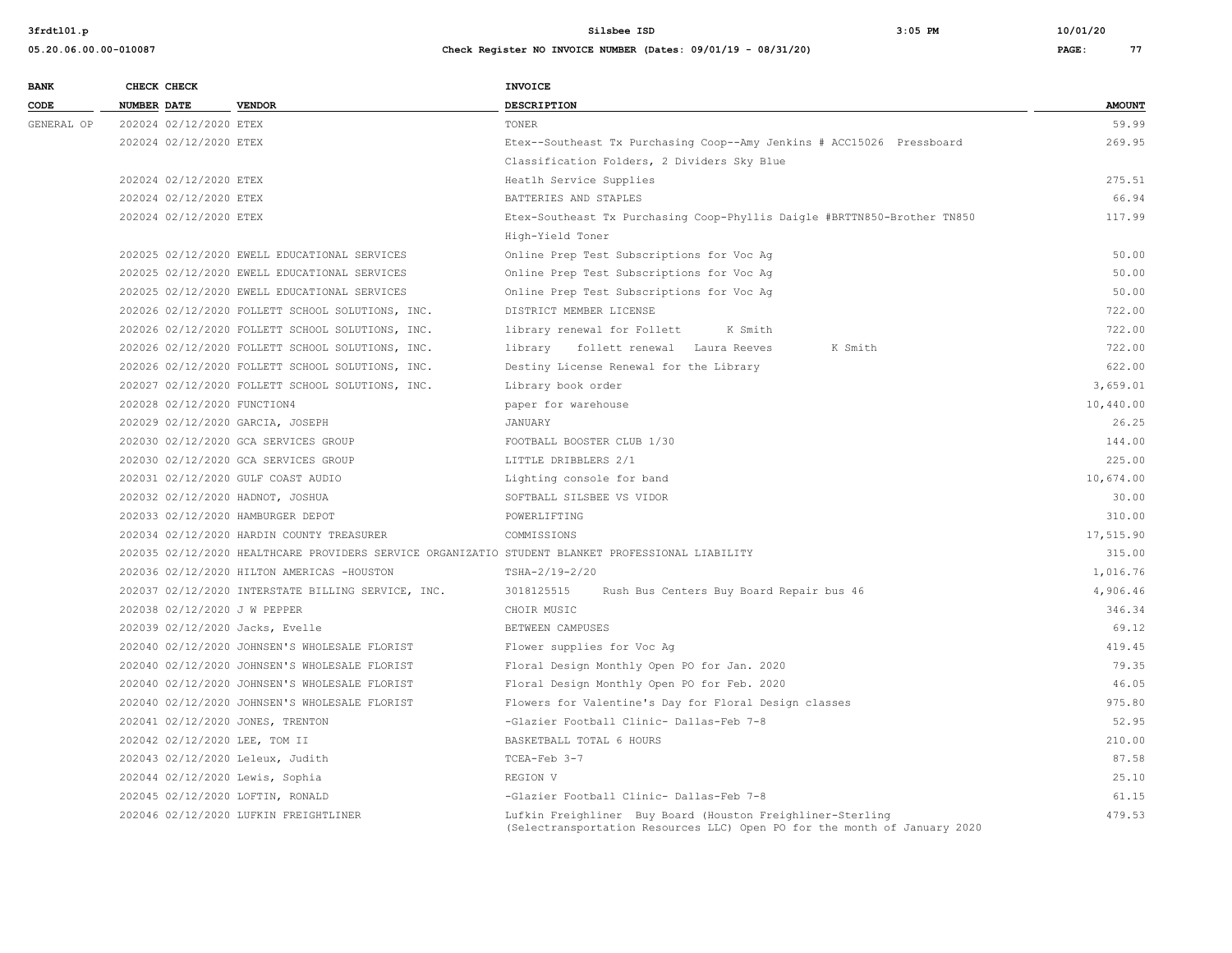| <b>BANK</b> | CHECK CHECK        |                        |                                                                                                   | <b>INVOICE</b>                                                                                                                          |               |
|-------------|--------------------|------------------------|---------------------------------------------------------------------------------------------------|-----------------------------------------------------------------------------------------------------------------------------------------|---------------|
| CODE        | <b>NUMBER DATE</b> |                        | <b>VENDOR</b>                                                                                     | <b>DESCRIPTION</b>                                                                                                                      | <b>AMOUNT</b> |
| GENERAL OP  |                    | 202024 02/12/2020 ETEX |                                                                                                   | TONER                                                                                                                                   | 59.99         |
|             |                    | 202024 02/12/2020 ETEX |                                                                                                   | Etex--Southeast Tx Purchasing Coop--Amy Jenkins # ACC15026 Pressboard                                                                   | 269.95        |
|             |                    |                        |                                                                                                   | Classification Folders, 2 Dividers Sky Blue                                                                                             |               |
|             |                    | 202024 02/12/2020 ETEX |                                                                                                   | Heatlh Service Supplies                                                                                                                 | 275.51        |
|             |                    | 202024 02/12/2020 ETEX |                                                                                                   | BATTERIES AND STAPLES                                                                                                                   | 66.94         |
|             |                    | 202024 02/12/2020 ETEX |                                                                                                   | Etex-Southeast Tx Purchasing Coop-Phyllis Daigle #BRTTN850-Brother TN850                                                                | 117.99        |
|             |                    |                        |                                                                                                   | High-Yield Toner                                                                                                                        |               |
|             |                    |                        | 202025 02/12/2020 EWELL EDUCATIONAL SERVICES                                                      | Online Prep Test Subscriptions for Voc Aq                                                                                               | 50.00         |
|             |                    |                        | 202025 02/12/2020 EWELL EDUCATIONAL SERVICES                                                      | Online Prep Test Subscriptions for Voc Ag                                                                                               | 50.00         |
|             |                    |                        | 202025 02/12/2020 EWELL EDUCATIONAL SERVICES                                                      | Online Prep Test Subscriptions for Voc Ag                                                                                               | 50.00         |
|             |                    |                        | 202026 02/12/2020 FOLLETT SCHOOL SOLUTIONS, INC.                                                  | DISTRICT MEMBER LICENSE                                                                                                                 | 722.00        |
|             |                    |                        | 202026 02/12/2020 FOLLETT SCHOOL SOLUTIONS, INC.                                                  | library renewal for Follett<br>K Smith                                                                                                  | 722.00        |
|             |                    |                        | 202026 02/12/2020 FOLLETT SCHOOL SOLUTIONS, INC.                                                  | library follett renewal Laura Reeves<br>K Smith                                                                                         | 722.00        |
|             |                    |                        | 202026 02/12/2020 FOLLETT SCHOOL SOLUTIONS, INC.                                                  | Destiny License Renewal for the Library                                                                                                 | 622.00        |
|             |                    |                        | 202027 02/12/2020 FOLLETT SCHOOL SOLUTIONS, INC.                                                  | Library book order                                                                                                                      | 3,659.01      |
|             |                    |                        | 202028 02/12/2020 FUNCTION4                                                                       | paper for warehouse                                                                                                                     | 10,440.00     |
|             |                    |                        | 202029 02/12/2020 GARCIA, JOSEPH                                                                  | JANUARY                                                                                                                                 | 26.25         |
|             |                    |                        | 202030 02/12/2020 GCA SERVICES GROUP                                                              | FOOTBALL BOOSTER CLUB 1/30                                                                                                              | 144.00        |
|             |                    |                        | 202030 02/12/2020 GCA SERVICES GROUP                                                              | LITTLE DRIBBLERS 2/1                                                                                                                    | 225.00        |
|             |                    |                        | 202031 02/12/2020 GULF COAST AUDIO                                                                | Lighting console for band                                                                                                               | 10,674.00     |
|             |                    |                        | 202032 02/12/2020 HADNOT, JOSHUA                                                                  | SOFTBALL SILSBEE VS VIDOR                                                                                                               | 30.00         |
|             |                    |                        | 202033 02/12/2020 HAMBURGER DEPOT                                                                 | POWERLIFTING                                                                                                                            | 310.00        |
|             |                    |                        | 202034 02/12/2020 HARDIN COUNTY TREASURER                                                         | COMMISSIONS                                                                                                                             | 17,515.90     |
|             |                    |                        | 202035 02/12/2020 HEALTHCARE PROVIDERS SERVICE ORGANIZATIO STUDENT BLANKET PROFESSIONAL LIABILITY |                                                                                                                                         | 315.00        |
|             |                    |                        | 202036 02/12/2020 HILTON AMERICAS -HOUSTON                                                        | TSHA-2/19-2/20                                                                                                                          | 1,016.76      |
|             |                    |                        | 202037 02/12/2020 INTERSTATE BILLING SERVICE, INC.                                                | 3018125515<br>Rush Bus Centers Buy Board Repair bus 46                                                                                  | 4,906.46      |
|             |                    |                        | 202038 02/12/2020 J W PEPPER                                                                      | CHOIR MUSIC                                                                                                                             | 346.34        |
|             |                    |                        | 202039 02/12/2020 Jacks, Evelle                                                                   | BETWEEN CAMPUSES                                                                                                                        | 69.12         |
|             |                    |                        | 202040 02/12/2020 JOHNSEN'S WHOLESALE FLORIST                                                     | Flower supplies for Voc Ag                                                                                                              | 419.45        |
|             |                    |                        | 202040 02/12/2020 JOHNSEN'S WHOLESALE FLORIST                                                     | Floral Design Monthly Open PO for Jan. 2020                                                                                             | 79.35         |
|             |                    |                        | 202040 02/12/2020 JOHNSEN'S WHOLESALE FLORIST                                                     | Floral Design Monthly Open PO for Feb. 2020                                                                                             | 46.05         |
|             |                    |                        | 202040 02/12/2020 JOHNSEN'S WHOLESALE FLORIST                                                     | Flowers for Valentine's Day for Floral Design classes                                                                                   | 975.80        |
|             |                    |                        | 202041 02/12/2020 JONES, TRENTON                                                                  | -Glazier Football Clinic- Dallas-Feb 7-8                                                                                                | 52.95         |
|             |                    |                        | 202042 02/12/2020 LEE, TOM II                                                                     | BASKETBALL TOTAL 6 HOURS                                                                                                                | 210.00        |
|             |                    |                        | 202043 02/12/2020 Leleux, Judith                                                                  | TCEA-Feb 3-7                                                                                                                            | 87.58         |
|             |                    |                        | 202044 02/12/2020 Lewis, Sophia                                                                   | REGION V                                                                                                                                | 25.10         |
|             |                    |                        | 202045 02/12/2020 LOFTIN, RONALD                                                                  | -Glazier Football Clinic- Dallas-Feb 7-8                                                                                                | 61.15         |
|             |                    |                        | 202046 02/12/2020 LUFKIN FREIGHTLINER                                                             | Lufkin Freighliner Buy Board (Houston Freighliner-Sterling<br>(Selectransportation Resources LLC) Open PO for the month of January 2020 | 479.53        |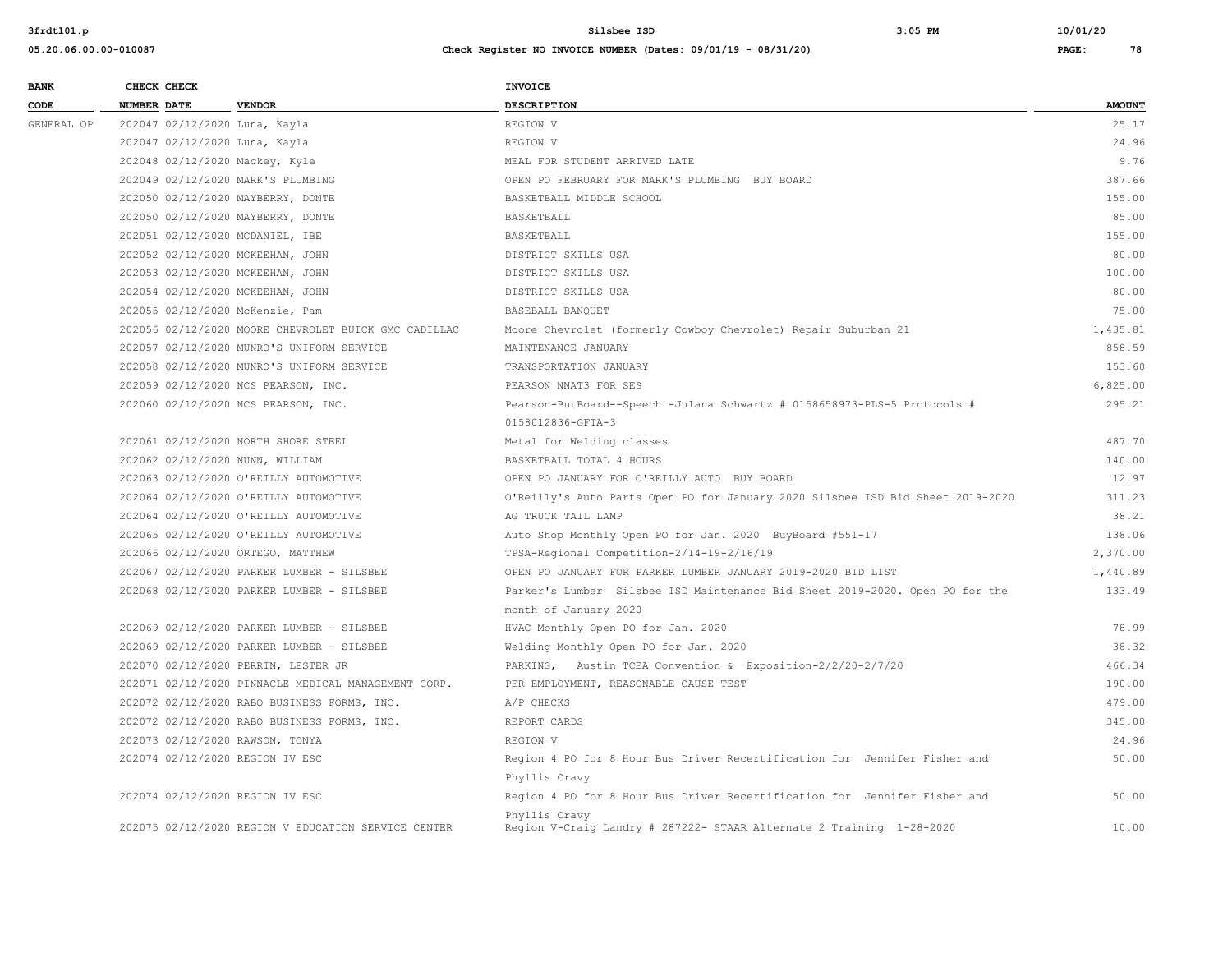| <b>BANK</b> | CHECK CHECK        |                                                      | INVOICE                                                                        |               |
|-------------|--------------------|------------------------------------------------------|--------------------------------------------------------------------------------|---------------|
| CODE        | <b>NUMBER DATE</b> | <b>VENDOR</b>                                        | DESCRIPTION                                                                    | <b>AMOUNT</b> |
| GENERAL OP  |                    | 202047 02/12/2020 Luna, Kayla                        | REGION V                                                                       | 25.17         |
|             |                    | 202047 02/12/2020 Luna, Kayla                        | REGION V                                                                       | 24.96         |
|             |                    | 202048 02/12/2020 Mackey, Kyle                       | MEAL FOR STUDENT ARRIVED LATE                                                  | 9.76          |
|             |                    | 202049 02/12/2020 MARK'S PLUMBING                    | OPEN PO FEBRUARY FOR MARK'S PLUMBING BUY BOARD                                 | 387.66        |
|             |                    | 202050 02/12/2020 MAYBERRY, DONTE                    | BASKETBALL MIDDLE SCHOOL                                                       | 155.00        |
|             |                    | 202050 02/12/2020 MAYBERRY, DONTE                    | BASKETBALL                                                                     | 85.00         |
|             |                    | 202051 02/12/2020 MCDANIEL, IBE                      | BASKETBALL                                                                     | 155.00        |
|             |                    | 202052 02/12/2020 MCKEEHAN, JOHN                     | DISTRICT SKILLS USA                                                            | 80.00         |
|             |                    | 202053 02/12/2020 MCKEEHAN, JOHN                     | DISTRICT SKILLS USA                                                            | 100.00        |
|             |                    | 202054 02/12/2020 MCKEEHAN, JOHN                     | DISTRICT SKILLS USA                                                            | 80.00         |
|             |                    | 202055 02/12/2020 McKenzie, Pam                      | BASEBALL BANQUET                                                               | 75.00         |
|             |                    | 202056 02/12/2020 MOORE CHEVROLET BUICK GMC CADILLAC | Moore Chevrolet (formerly Cowboy Chevrolet) Repair Suburban 21                 | 1,435.81      |
|             |                    | 202057 02/12/2020 MUNRO'S UNIFORM SERVICE            | MAINTENANCE JANUARY                                                            | 858.59        |
|             |                    | 202058 02/12/2020 MUNRO'S UNIFORM SERVICE            | TRANSPORTATION JANUARY                                                         | 153.60        |
|             |                    | 202059 02/12/2020 NCS PEARSON, INC.                  | PEARSON NNAT3 FOR SES                                                          | 6,825.00      |
|             |                    | 202060 02/12/2020 NCS PEARSON, INC.                  | Pearson-ButBoard--Speech -Julana Schwartz # 0158658973-PLS-5 Protocols #       | 295.21        |
|             |                    |                                                      | 0158012836-GFTA-3                                                              |               |
|             |                    | 202061 02/12/2020 NORTH SHORE STEEL                  | Metal for Welding classes                                                      | 487.70        |
|             |                    | 202062 02/12/2020 NUNN, WILLIAM                      | BASKETBALL TOTAL 4 HOURS                                                       | 140.00        |
|             |                    | 202063 02/12/2020 O'REILLY AUTOMOTIVE                | OPEN PO JANUARY FOR O'REILLY AUTO BUY BOARD                                    | 12.97         |
|             |                    | 202064 02/12/2020 O'REILLY AUTOMOTIVE                | O'Reilly's Auto Parts Open PO for January 2020 Silsbee ISD Bid Sheet 2019-2020 | 311.23        |
|             |                    | 202064 02/12/2020 O'REILLY AUTOMOTIVE                | AG TRUCK TAIL LAMP                                                             | 38.21         |
|             |                    | 202065 02/12/2020 O'REILLY AUTOMOTIVE                | Auto Shop Monthly Open PO for Jan. 2020 BuyBoard #551-17                       | 138.06        |
|             |                    | 202066 02/12/2020 ORTEGO, MATTHEW                    | TPSA-Regional Competition-2/14-19-2/16/19                                      | 2,370.00      |
|             |                    | 202067 02/12/2020 PARKER LUMBER - SILSBEE            | OPEN PO JANUARY FOR PARKER LUMBER JANUARY 2019-2020 BID LIST                   | 1,440.89      |
|             |                    | 202068 02/12/2020 PARKER LUMBER - SILSBEE            | Parker's Lumber Silsbee ISD Maintenance Bid Sheet 2019-2020. Open PO for the   | 133.49        |
|             |                    |                                                      | month of January 2020                                                          |               |
|             |                    | 202069 02/12/2020 PARKER LUMBER - SILSBEE            | HVAC Monthly Open PO for Jan. 2020                                             | 78.99         |
|             |                    | 202069 02/12/2020 PARKER LUMBER - SILSBEE            | Welding Monthly Open PO for Jan. 2020                                          | 38.32         |
|             |                    | 202070 02/12/2020 PERRIN, LESTER JR                  | PARKING, Austin TCEA Convention & Exposition-2/2/20-2/7/20                     | 466.34        |
|             |                    | 202071 02/12/2020 PINNACLE MEDICAL MANAGEMENT CORP.  | PER EMPLOYMENT, REASONABLE CAUSE TEST                                          | 190.00        |
|             |                    | 202072 02/12/2020 RABO BUSINESS FORMS, INC.          | A/P CHECKS                                                                     | 479.00        |
|             |                    | 202072 02/12/2020 RABO BUSINESS FORMS, INC.          | REPORT CARDS                                                                   | 345.00        |
|             |                    | 202073 02/12/2020 RAWSON, TONYA                      | REGION V                                                                       | 24.96         |
|             |                    | 202074 02/12/2020 REGION IV ESC                      | Region 4 PO for 8 Hour Bus Driver Recertification for Jennifer Fisher and      | 50.00         |
|             |                    |                                                      | Phyllis Cravy                                                                  |               |
|             |                    | 202074 02/12/2020 REGION IV ESC                      | Region 4 PO for 8 Hour Bus Driver Recertification for Jennifer Fisher and      | 50.00         |
|             |                    |                                                      | Phyllis Cravy                                                                  |               |
|             |                    | 202075 02/12/2020 REGION V EDUCATION SERVICE CENTER  | Region V-Craig Landry # 287222- STAAR Alternate 2 Training 1-28-2020           | 10.00         |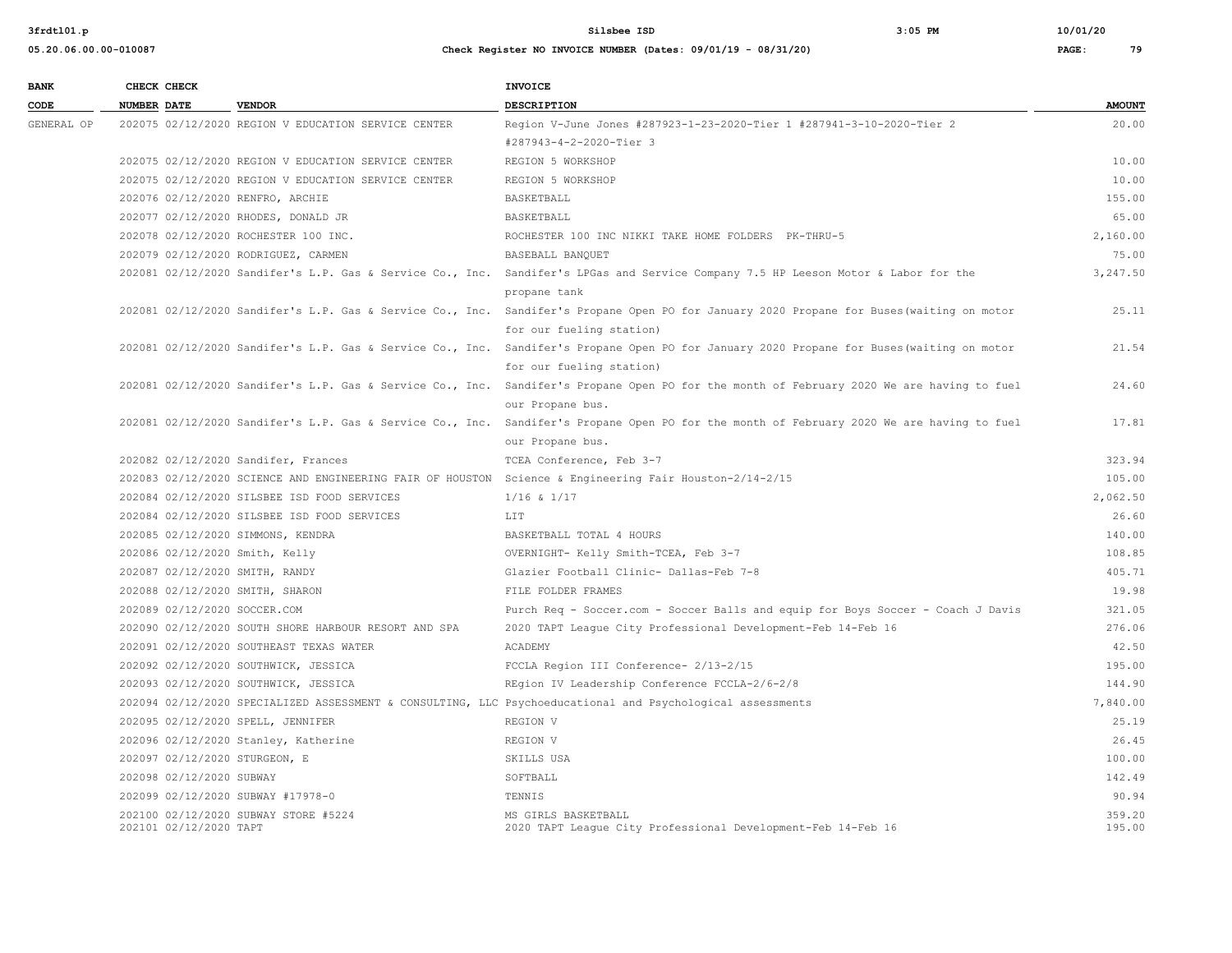| <b>BANK</b> | CHECK CHECK        |                          |                                                      | INVOICE                                                                                                                                                               |                  |
|-------------|--------------------|--------------------------|------------------------------------------------------|-----------------------------------------------------------------------------------------------------------------------------------------------------------------------|------------------|
| CODE        | <b>NUMBER DATE</b> |                          | <b>VENDOR</b>                                        | <b>DESCRIPTION</b>                                                                                                                                                    | <b>AMOUNT</b>    |
| GENERAL OP  |                    |                          | 202075 02/12/2020 REGION V EDUCATION SERVICE CENTER  | Region V-June Jones #287923-1-23-2020-Tier 1 #287941-3-10-2020-Tier 2                                                                                                 | 20.00            |
|             |                    |                          |                                                      | #287943-4-2-2020-Tier 3                                                                                                                                               |                  |
|             |                    |                          | 202075 02/12/2020 REGION V EDUCATION SERVICE CENTER  | REGION 5 WORKSHOP                                                                                                                                                     | 10.00            |
|             |                    |                          | 202075 02/12/2020 REGION V EDUCATION SERVICE CENTER  | REGION 5 WORKSHOP                                                                                                                                                     | 10.00            |
|             |                    |                          | 202076 02/12/2020 RENFRO, ARCHIE                     | BASKETBALL                                                                                                                                                            | 155.00           |
|             |                    |                          | 202077 02/12/2020 RHODES, DONALD JR                  | BASKETBALL                                                                                                                                                            | 65.00            |
|             |                    |                          | 202078 02/12/2020 ROCHESTER 100 INC.                 | ROCHESTER 100 INC NIKKI TAKE HOME FOLDERS PK-THRU-5                                                                                                                   | 2,160.00         |
|             |                    |                          | 202079 02/12/2020 RODRIGUEZ, CARMEN                  | BASEBALL BANQUET                                                                                                                                                      | 75.00            |
|             |                    |                          |                                                      | 202081 02/12/2020 Sandifer's L.P. Gas & Service Co., Inc. Sandifer's LPGas and Service Company 7.5 HP Leeson Motor & Labor for the                                    | 3,247.50         |
|             |                    |                          |                                                      | propane tank                                                                                                                                                          |                  |
|             |                    |                          |                                                      | 202081 02/12/2020 Sandifer's L.P. Gas & Service Co., Inc. Sandifer's Propane Open PO for January 2020 Propane for Buses (waiting on motor                             | 25.11            |
|             |                    |                          |                                                      | for our fueling station)                                                                                                                                              |                  |
|             |                    |                          |                                                      | 202081 02/12/2020 Sandifer's L.P. Gas & Service Co., Inc. Sandifer's Propane Open PO for January 2020 Propane for Buses (waiting on motor<br>for our fueling station) | 21.54            |
|             |                    |                          |                                                      | 202081 02/12/2020 Sandifer's L.P. Gas & Service Co., Inc. Sandifer's Propane Open PO for the month of February 2020 We are having to fuel                             | 24.60            |
|             |                    |                          |                                                      | our Propane bus.                                                                                                                                                      |                  |
|             |                    |                          |                                                      | 202081 02/12/2020 Sandifer's L.P. Gas & Service Co., Inc. Sandifer's Propane Open PO for the month of February 2020 We are having to fuel                             | 17.81            |
|             |                    |                          |                                                      | our Propane bus.                                                                                                                                                      |                  |
|             |                    |                          | 202082 02/12/2020 Sandifer, Frances                  | TCEA Conference, Feb 3-7                                                                                                                                              | 323.94           |
|             |                    |                          |                                                      | 202083 02/12/2020 SCIENCE AND ENGINEERING FAIR OF HOUSTON Science & Engineering Fair Houston-2/14-2/15                                                                | 105.00           |
|             |                    |                          | 202084 02/12/2020 SILSBEE ISD FOOD SERVICES          | $1/16$ & $1/17$                                                                                                                                                       | 2,062.50         |
|             |                    |                          | 202084 02/12/2020 SILSBEE ISD FOOD SERVICES          | LIT                                                                                                                                                                   | 26.60            |
|             |                    |                          | 202085 02/12/2020 SIMMONS, KENDRA                    | BASKETBALL TOTAL 4 HOURS                                                                                                                                              | 140.00           |
|             |                    |                          | 202086 02/12/2020 Smith, Kelly                       | OVERNIGHT- Kelly Smith-TCEA, Feb 3-7                                                                                                                                  | 108.85           |
|             |                    |                          | 202087 02/12/2020 SMITH, RANDY                       | Glazier Football Clinic- Dallas-Feb 7-8                                                                                                                               | 405.71           |
|             |                    |                          | 202088 02/12/2020 SMITH, SHARON                      | FILE FOLDER FRAMES                                                                                                                                                    | 19.98            |
|             |                    |                          | 202089 02/12/2020 SOCCER.COM                         | Purch Req - Soccer.com - Soccer Balls and equip for Boys Soccer - Coach J Davis                                                                                       | 321.05           |
|             |                    |                          | 202090 02/12/2020 SOUTH SHORE HARBOUR RESORT AND SPA | 2020 TAPT League City Professional Development-Feb 14-Feb 16                                                                                                          | 276.06           |
|             |                    |                          | 202091 02/12/2020 SOUTHEAST TEXAS WATER              | ACADEMY                                                                                                                                                               | 42.50            |
|             |                    |                          | 202092 02/12/2020 SOUTHWICK, JESSICA                 | FCCLA Region III Conference- 2/13-2/15                                                                                                                                | 195.00           |
|             |                    |                          | 202093 02/12/2020 SOUTHWICK, JESSICA                 | REgion IV Leadership Conference FCCLA-2/6-2/8                                                                                                                         | 144.90           |
|             |                    |                          |                                                      | 202094 02/12/2020 SPECIALIZED ASSESSMENT & CONSULTING, LLC Psychoeducational and Psychological assessments                                                            | 7,840.00         |
|             |                    |                          | 202095 02/12/2020 SPELL, JENNIFER                    | REGION V                                                                                                                                                              | 25.19            |
|             |                    |                          | 202096 02/12/2020 Stanley, Katherine                 | REGION V                                                                                                                                                              | 26.45            |
|             |                    |                          | 202097 02/12/2020 STURGEON, E                        | SKILLS USA                                                                                                                                                            | 100.00           |
|             |                    | 202098 02/12/2020 SUBWAY |                                                      | SOFTBALL                                                                                                                                                              | 142.49           |
|             |                    |                          | 202099 02/12/2020 SUBWAY #17978-0                    | TENNIS                                                                                                                                                                | 90.94            |
|             |                    | 202101 02/12/2020 TAPT   | 202100 02/12/2020 SUBWAY STORE #5224                 | MS GIRLS BASKETBALL<br>2020 TAPT League City Professional Development-Feb 14-Feb 16                                                                                   | 359.20<br>195.00 |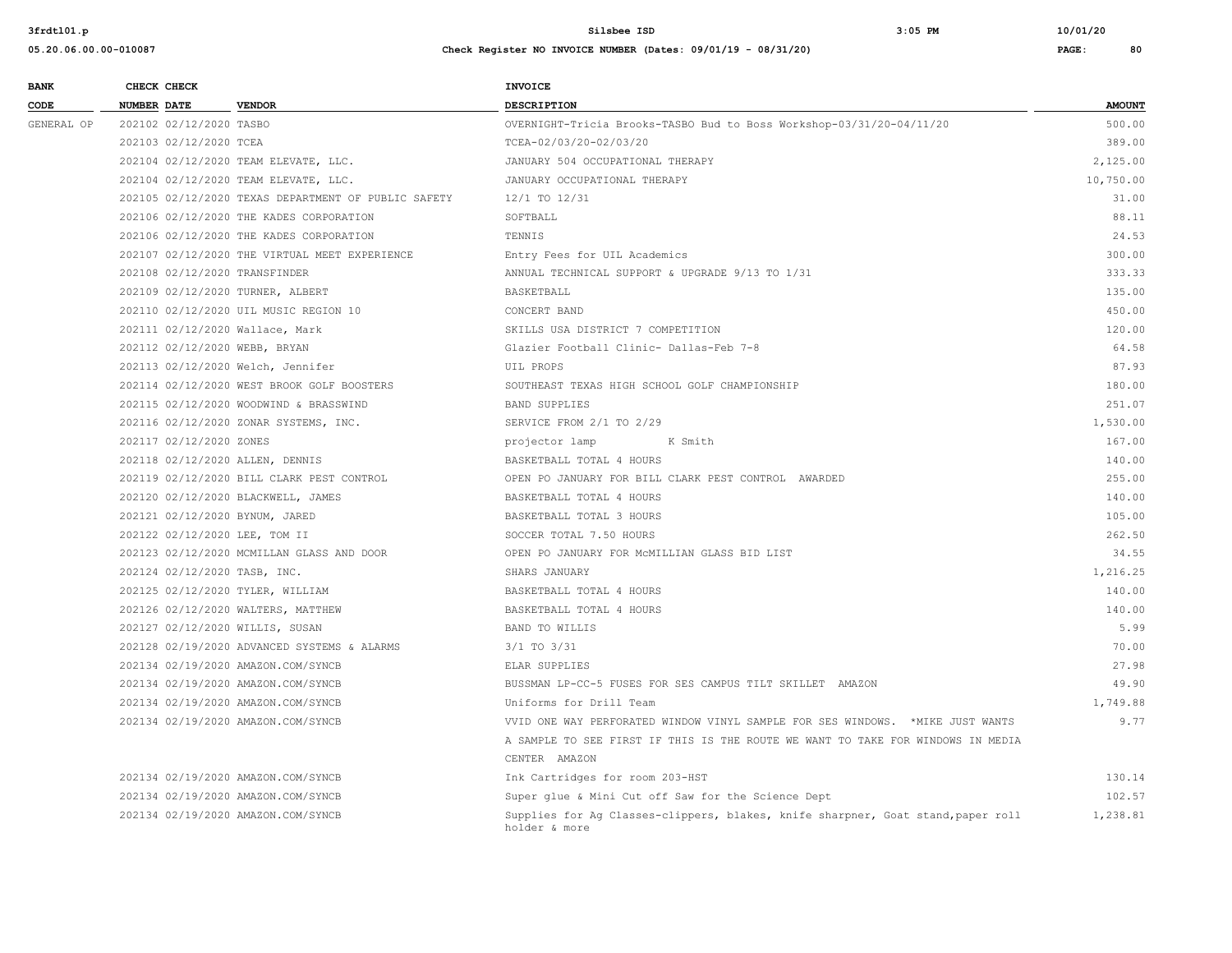| <b>BANK</b> | CHECK CHECK                       |                                                     | <b>INVOICE</b>                                                                                    |               |
|-------------|-----------------------------------|-----------------------------------------------------|---------------------------------------------------------------------------------------------------|---------------|
| CODE        | <b>NUMBER DATE</b>                | <b>VENDOR</b>                                       | <b>DESCRIPTION</b>                                                                                | <b>AMOUNT</b> |
| GENERAL OP  | 202102 02/12/2020 TASBO           |                                                     | OVERNIGHT-Tricia Brooks-TASBO Bud to Boss Workshop-03/31/20-04/11/20                              | 500.00        |
|             | 202103 02/12/2020 TCEA            |                                                     | TCEA-02/03/20-02/03/20                                                                            | 389.00        |
|             |                                   | 202104 02/12/2020 TEAM ELEVATE, LLC.                | JANUARY 504 OCCUPATIONAL THERAPY                                                                  | 2,125.00      |
|             |                                   | 202104 02/12/2020 TEAM ELEVATE, LLC.                | JANUARY OCCUPATIONAL THERAPY                                                                      | 10,750.00     |
|             |                                   | 202105 02/12/2020 TEXAS DEPARTMENT OF PUBLIC SAFETY | 12/1 TO 12/31                                                                                     | 31.00         |
|             |                                   | 202106 02/12/2020 THE KADES CORPORATION             | SOFTBALL                                                                                          | 88.11         |
|             |                                   | 202106 02/12/2020 THE KADES CORPORATION             | TENNIS                                                                                            | 24.53         |
|             |                                   | 202107 02/12/2020 THE VIRTUAL MEET EXPERIENCE       | Entry Fees for UIL Academics                                                                      | 300.00        |
|             | 202108 02/12/2020 TRANSFINDER     |                                                     | ANNUAL TECHNICAL SUPPORT & UPGRADE 9/13 TO 1/31                                                   | 333.33        |
|             | 202109 02/12/2020 TURNER, ALBERT  |                                                     | <b>BASKETBALL</b>                                                                                 | 135.00        |
|             |                                   | 202110 02/12/2020 UIL MUSIC REGION 10               | CONCERT BAND                                                                                      | 450.00        |
|             | 202111 02/12/2020 Wallace, Mark   |                                                     | SKILLS USA DISTRICT 7 COMPETITION                                                                 | 120.00        |
|             | 202112 02/12/2020 WEBB, BRYAN     |                                                     | Glazier Football Clinic- Dallas-Feb 7-8                                                           | 64.58         |
|             | 202113 02/12/2020 Welch, Jennifer |                                                     | UIL PROPS                                                                                         | 87.93         |
|             |                                   | 202114 02/12/2020 WEST BROOK GOLF BOOSTERS          | SOUTHEAST TEXAS HIGH SCHOOL GOLF CHAMPIONSHIP                                                     | 180.00        |
|             |                                   | 202115 02/12/2020 WOODWIND & BRASSWIND              | <b>BAND SUPPLIES</b>                                                                              | 251.07        |
|             |                                   | 202116 02/12/2020 ZONAR SYSTEMS, INC.               | SERVICE FROM 2/1 TO 2/29                                                                          | 1,530.00      |
|             | 202117 02/12/2020 ZONES           |                                                     | projector lamp<br>K Smith                                                                         | 167.00        |
|             | 202118 02/12/2020 ALLEN, DENNIS   |                                                     | BASKETBALL TOTAL 4 HOURS                                                                          | 140.00        |
|             |                                   | 202119 02/12/2020 BILL CLARK PEST CONTROL           | OPEN PO JANUARY FOR BILL CLARK PEST CONTROL AWARDED                                               | 255.00        |
|             |                                   | 202120 02/12/2020 BLACKWELL, JAMES                  | BASKETBALL TOTAL 4 HOURS                                                                          | 140.00        |
|             | 202121 02/12/2020 BYNUM, JARED    |                                                     | BASKETBALL TOTAL 3 HOURS                                                                          | 105.00        |
|             | 202122 02/12/2020 LEE, TOM II     |                                                     | SOCCER TOTAL 7.50 HOURS                                                                           | 262.50        |
|             |                                   | 202123 02/12/2020 MCMILLAN GLASS AND DOOR           | OPEN PO JANUARY FOR MCMILLIAN GLASS BID LIST                                                      | 34.55         |
|             | 202124 02/12/2020 TASB, INC.      |                                                     | SHARS JANUARY                                                                                     | 1,216.25      |
|             | 202125 02/12/2020 TYLER, WILLIAM  |                                                     | BASKETBALL TOTAL 4 HOURS                                                                          | 140.00        |
|             |                                   | 202126 02/12/2020 WALTERS, MATTHEW                  | BASKETBALL TOTAL 4 HOURS                                                                          | 140.00        |
|             | 202127 02/12/2020 WILLIS, SUSAN   |                                                     | <b>BAND TO WILLIS</b>                                                                             | 5.99          |
|             |                                   | 202128 02/19/2020 ADVANCED SYSTEMS & ALARMS         | $3/1$ TO $3/31$                                                                                   | 70.00         |
|             |                                   | 202134 02/19/2020 AMAZON.COM/SYNCB                  | ELAR SUPPLIES                                                                                     | 27.98         |
|             |                                   | 202134 02/19/2020 AMAZON.COM/SYNCB                  | BUSSMAN LP-CC-5 FUSES FOR SES CAMPUS TILT SKILLET AMAZON                                          | 49.90         |
|             |                                   | 202134 02/19/2020 AMAZON.COM/SYNCB                  | Uniforms for Drill Team                                                                           | 1,749.88      |
|             |                                   | 202134 02/19/2020 AMAZON.COM/SYNCB                  | VVID ONE WAY PERFORATED WINDOW VINYL SAMPLE FOR SES WINDOWS. * MIKE JUST WANTS                    | 9.77          |
|             |                                   |                                                     | A SAMPLE TO SEE FIRST IF THIS IS THE ROUTE WE WANT TO TAKE FOR WINDOWS IN MEDIA                   |               |
|             |                                   |                                                     | CENTER AMAZON                                                                                     |               |
|             |                                   | 202134 02/19/2020 AMAZON.COM/SYNCB                  | Ink Cartridges for room 203-HST                                                                   | 130.14        |
|             |                                   | 202134 02/19/2020 AMAZON.COM/SYNCB                  | Super glue & Mini Cut off Saw for the Science Dept                                                | 102.57        |
|             |                                   | 202134 02/19/2020 AMAZON.COM/SYNCB                  | Supplies for Ag Classes-clippers, blakes, knife sharpner, Goat stand, paper roll<br>holder & more | 1,238.81      |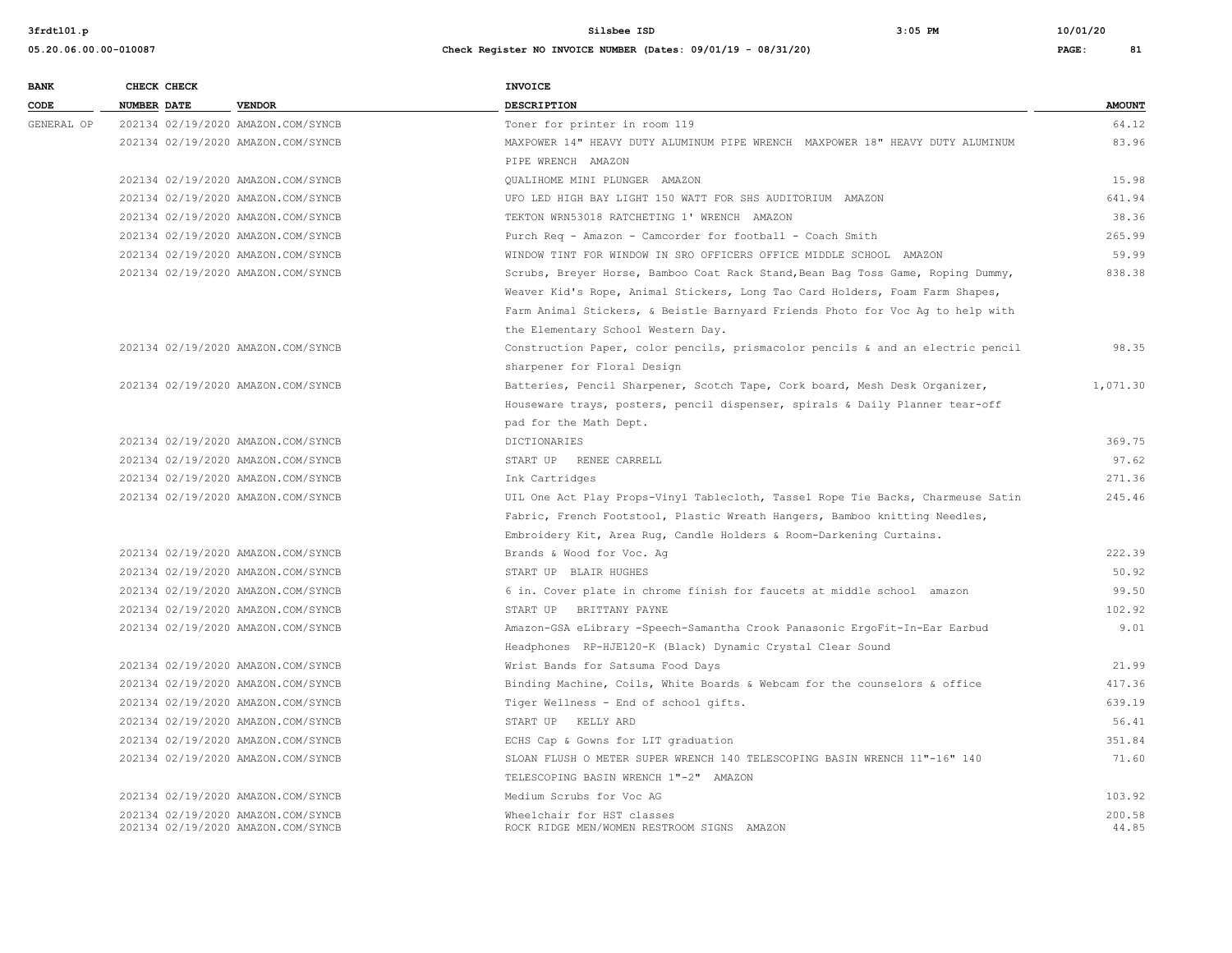**05.20.06.00.00-010087 Check Register NO INVOICE NUMBER (Dates: 09/01/19 - 08/31/20) PAGE: 81**

# **BANK CHECK CHECK CHECK CODE NUMBER DATE VENDOR DESCRIPTION AMOUNT** GENERAL OP 202134 02/19/2020 AMAZON.COM/SYNCB Toner for printer in room 119 64.12 202134 02/19/2020 AMAZON.COM/SYNCB MAXPOWER 14" HEAVY DUTY ALUMINUM PIPE WRENCH MAXPOWER 18" HEAVY DUTY ALUMINUM 83.96 PIPE WRENCH AMAZON 202134 02/19/2020 AMAZON.COM/SYNCB QUALIHOME MINI PLUNGER AMAZON 15.98 202134 02/19/2020 AMAZON.COM/SYNCB UFO LED HIGH BAY LIGHT 150 WATT FOR SHS AUDITORIUM AMAZON 641.94 202134 02/19/2020 AMAZON.COM/SYNCB TEKTON WRN53018 RATCHETING 1' WRENCH AMAZON 38.36 202134 02/19/2020 AMAZON.COM/SYNCB Purch Req - Amazon - Camcorder for football - Coach Smith 265.99 202134 02/19/2020 AMAZON.COM/SYNCB WINDOW TINT FOR WINDOW IN SRO OFFICERS OFFICE MIDDLE SCHOOL AMAZON 59.99 202134 02/19/2020 AMAZON.COM/SYNCB Scrubs, Breyer Horse, Bamboo Coat Rack Stand,Bean Bag Toss Game, Roping Dummy, 838.38 Weaver Kid's Rope, Animal Stickers, Long Tao Card Holders, Foam Farm Shapes, Farm Animal Stickers, & Beistle Barnyard Friends Photo for Voc Ag to help with the Elementary School Western Day. 202134 02/19/2020 AMAZON.COM/SYNCB Construction Paper, color pencils, prismacolor pencils & and an electric pencil 98.35 sharpener for Floral Design 202134 02/19/2020 AMAZON.COM/SYNCB Batteries, Pencil Sharpener, Scotch Tape, Cork board, Mesh Desk Organizer, 1,071.30 Houseware trays, posters, pencil dispenser, spirals & Daily Planner tear-off pad for the Math Dept. 202134 02/19/2020 AMAZON.COM/SYNCB DICTIONARIES 369.75 202134 02/19/2020 AMAZON.COM/SYNCB START UP RENEE CARRELL 97.62 202134 02/19/2020 AMAZON.COM/SYNCB Ink Cartridges 271.36 202134 02/19/2020 AMAZON.COM/SYNCB UIL One Act Play Props-Vinyl Tablecloth, Tassel Rope Tie Backs, Charmeuse Satin 245.46 Fabric, French Footstool, Plastic Wreath Hangers, Bamboo knitting Needles, Embroidery Kit, Area Rug, Candle Holders & Room-Darkening Curtains. 202134 02/19/2020 AMAZON.COM/SYNCB Brands & Wood for Voc. Ag 222.39 202134 02/19/2020 AMAZON.COM/SYNCB START UP BLAIR HUGHES 50.92 202134 02/19/2020 AMAZON.COM/SYNCB 6 in. Cover plate in chrome finish for faucets at middle school amazon 99.50 202134 02/19/2020 AMAZON.COM/SYNCB START UP BRITTANY PAYNE 102.92 202134 02/19/2020 AMAZON.COM/SYNCB Amazon-GSA eLibrary -Speech-Samantha Crook Panasonic ErgoFit-In-Ear Earbud 9.01 Headphones RP-HJE120-K (Black) Dynamic Crystal Clear Sound 202134 02/19/2020 AMAZON.COM/SYNCB Wrist Bands for Satsuma Food Days 21.99 202134 02/19/2020 AMAZON.COM/SYNCB Binding Machine, Coils, White Boards & Webcam for the counselors & office 417.36 202134 02/19/2020 AMAZON.COM/SYNCB Tiger Wellness - End of school gifts. 639.19 202134 02/19/2020 AMAZON.COM/SYNCB START UP KELLY ARD 56.41 202134 02/19/2020 AMAZON.COM/SYNCB EXAMPLE ECHS Cap & Gowns for LIT graduation 351.84 202134 02/19/2020 AMAZON.COM/SYNCB SLOAN FLUSH O METER SUPER WRENCH 140 TELESCOPING BASIN WRENCH 11"-16" 140 71.60 TELESCOPING BASIN WRENCH 1"-2" AMAZON 202134 02/19/2020 AMAZON.COM/SYNCB Medium Scrubs for Voc AG 103.92 202134 02/19/2020 AMAZON.COM/SYNCB Wheelchair for HST classes 200.58 202134 02/19/2020 AMAZON.COM/SYNCB ROCK RIDGE MEN/WOMEN RESTROOM SIGNS AMAZON 44.85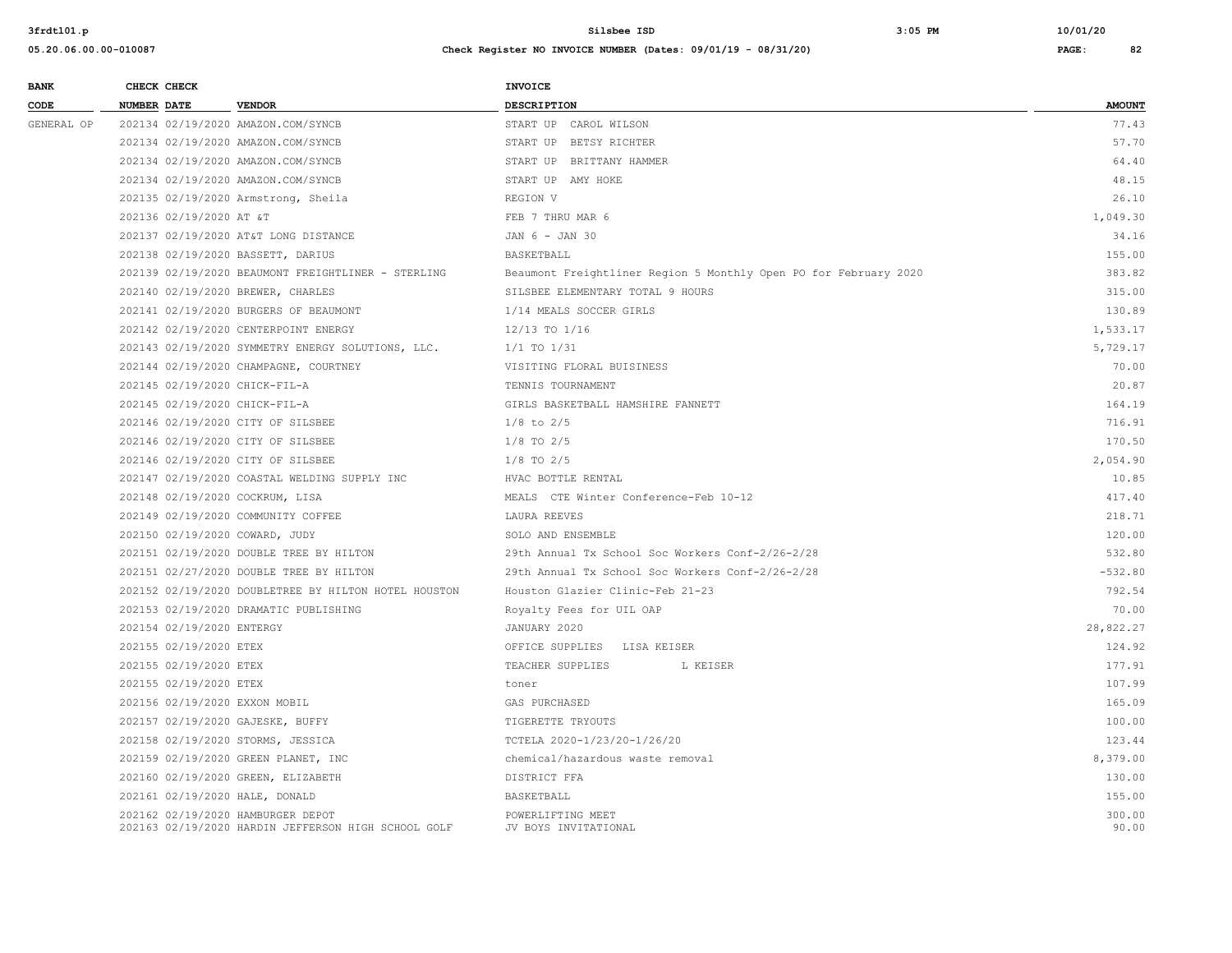| 3frdt101.p  |                                    |                                                    | $3:05$ PM<br>Silsbee ISD                                         | 10/01/20      |
|-------------|------------------------------------|----------------------------------------------------|------------------------------------------------------------------|---------------|
|             | 05.20.06.00.00-010087              |                                                    | Check Register NO INVOICE NUMBER (Dates: 09/01/19 - 08/31/20)    | PAGE:<br>82   |
| <b>BANK</b> | CHECK CHECK                        |                                                    | <b>INVOICE</b>                                                   |               |
| CODE        | <b>NUMBER DATE</b>                 | <b>VENDOR</b>                                      | <b>DESCRIPTION</b>                                               | <b>AMOUNT</b> |
| GENERAL OP  | 202134 02/19/2020 AMAZON.COM/SYNCB |                                                    | START UP CAROL WILSON                                            | 77.43         |
|             | 202134 02/19/2020 AMAZON.COM/SYNCB |                                                    | START UP BETSY RICHTER                                           | 57.70         |
|             |                                    | 202134 02/19/2020 AMAZON.COM/SYNCB                 | START UP BRITTANY HAMMER                                         | 64.40         |
|             | 202134 02/19/2020 AMAZON.COM/SYNCB |                                                    | START UP AMY HOKE                                                | 48.15         |
|             |                                    | 202135 02/19/2020 Armstrong, Sheila                | REGION V                                                         | 26.10         |
|             | 202136 02/19/2020 AT &T            |                                                    | FEB 7 THRU MAR 6                                                 | 1,049.30      |
|             |                                    | 202137 02/19/2020 AT&T LONG DISTANCE               | JAN 6 - JAN 30                                                   | 34.16         |
|             | 202138 02/19/2020 BASSETT, DARIUS  |                                                    | BASKETBALL                                                       | 155.00        |
|             |                                    | 202139 02/19/2020 BEAUMONT FREIGHTLINER - STERLING | Beaumont Freightliner Region 5 Monthly Open PO for February 2020 | 383.82        |
|             | 202140 02/19/2020 BREWER, CHARLES  |                                                    | SILSBEE ELEMENTARY TOTAL 9 HOURS                                 | 315.00        |
|             |                                    | 202141 02/19/2020 BURGERS OF BEAUMONT              | 1/14 MEALS SOCCER GIRLS                                          | 130.89        |
|             |                                    | 202142 02/19/2020 CENTERPOINT ENERGY               | 12/13 TO 1/16                                                    | 1,533.17      |
|             |                                    | 202143 02/19/2020 SYMMETRY ENERGY SOLUTIONS, LLC.  | $1/1$ TO $1/31$                                                  | 5,729.17      |
|             |                                    | 202144 02/19/2020 CHAMPAGNE, COURTNEY              | VISITING FLORAL BUISINESS                                        | 70.00         |
|             | 202145 02/19/2020 CHICK-FIL-A      |                                                    | TENNIS TOURNAMENT                                                | 20.87         |
|             | 202145 02/19/2020 CHICK-FIL-A      |                                                    | GIRLS BASKETBALL HAMSHIRE FANNETT                                | 164.19        |
|             | 202146 02/19/2020 CITY OF SILSBEE  |                                                    | $1/8$ to $2/5$                                                   | 716.91        |
|             | 202146 02/19/2020 CITY OF SILSBEE  |                                                    | $1/8$ TO $2/5$                                                   | 170.50        |
|             | 202146 02/19/2020 CITY OF SILSBEE  |                                                    | $1/8$ TO $2/5$                                                   | 2,054.90      |
|             |                                    | 202147 02/19/2020 COASTAL WELDING SUPPLY INC       | HVAC BOTTLE RENTAL                                               | 10.85         |
|             | 202148 02/19/2020 COCKRUM, LISA    |                                                    | MEALS CTE Winter Conference-Feb 10-12                            | 417.40        |
|             |                                    | 202149 02/19/2020 COMMUNITY COFFEE                 | LAURA REEVES                                                     | 218.71        |
|             | 202150 02/19/2020 COWARD, JUDY     |                                                    | SOLO AND ENSEMBLE                                                | 120.00        |
|             |                                    | 202151 02/19/2020 DOUBLE TREE BY HILTON            | 29th Annual Tx School Soc Workers Conf-2/26-2/28                 | 532.80        |

| 202144 02/19/2020 CHAMPAGNE, COURTNEY                | VISITING FLORAL BUISINESS                        | 70.00     |
|------------------------------------------------------|--------------------------------------------------|-----------|
| 202145 02/19/2020 CHICK-FIL-A                        | TENNIS TOURNAMENT                                | 20.87     |
| 202145 02/19/2020 CHICK-FIL-A                        | GIRLS BASKETBALL HAMSHIRE FANNETT                | 164.19    |
| 202146 02/19/2020 CITY OF SILSBEE                    | $1/8$ to $2/5$                                   | 716.91    |
| 202146 02/19/2020 CITY OF SILSBEE                    | $1/8$ TO $2/5$                                   | 170.50    |
| 202146 02/19/2020 CITY OF SILSBEE                    | $1/8$ TO $2/5$                                   | 2,054.90  |
| 202147 02/19/2020 COASTAL WELDING SUPPLY INC         | HVAC BOTTLE RENTAL                               | 10.85     |
| 202148 02/19/2020 COCKRUM, LISA                      | MEALS CTE Winter Conference-Feb 10-12            | 417.40    |
| 202149 02/19/2020 COMMUNITY COFFEE                   | LAURA REEVES                                     | 218.71    |
| 202150 02/19/2020 COWARD, JUDY                       | SOLO AND ENSEMBLE                                | 120.00    |
| 202151 02/19/2020 DOUBLE TREE BY HILTON              | 29th Annual Tx School Soc Workers Conf-2/26-2/28 | 532.80    |
| 202151 02/27/2020 DOUBLE TREE BY HILTON              | 29th Annual Tx School Soc Workers Conf-2/26-2/28 | $-532.80$ |
| 202152 02/19/2020 DOUBLETREE BY HILTON HOTEL HOUSTON | Houston Glazier Clinic-Feb 21-23                 | 792.54    |
| 202153 02/19/2020 DRAMATIC PUBLISHING                | Royalty Fees for UIL OAP                         | 70.00     |
| 202154 02/19/2020 ENTERGY                            | JANUARY 2020                                     | 28,822.27 |
| 202155 02/19/2020 ETEX                               | OFFICE SUPPLIES LISA KEISER                      | 124.92    |
| 202155 02/19/2020 ETEX                               | TEACHER SUPPLIES<br>L KEISER                     | 177.91    |
| 202155 02/19/2020 ETEX                               | toner                                            | 107.99    |
| 202156 02/19/2020 EXXON MOBIL                        | GAS PURCHASED                                    | 165.09    |
| 202157 02/19/2020 GAJESKE, BUFFY                     | TIGERETTE TRYOUTS                                | 100.00    |
| 202158 02/19/2020 STORMS, JESSICA                    | TCTELA 2020-1/23/20-1/26/20                      | 123.44    |
| 202159 02/19/2020 GREEN PLANET, INC                  | chemical/hazardous waste removal                 | 8,379.00  |
| 202160 02/19/2020 GREEN, ELIZABETH                   | DISTRICT FFA                                     | 130.00    |
| 202161 02/19/2020 HALE, DONALD                       | BASKETBALL                                       | 155.00    |
| 202162 02/19/2020 HAMBURGER DEPOT                    | POWERLIFTING MEET                                | 300.00    |
| 202163 02/19/2020 HARDIN JEFFERSON HIGH SCHOOL GOLF  | JV BOYS INVITATIONAL                             | 90.00     |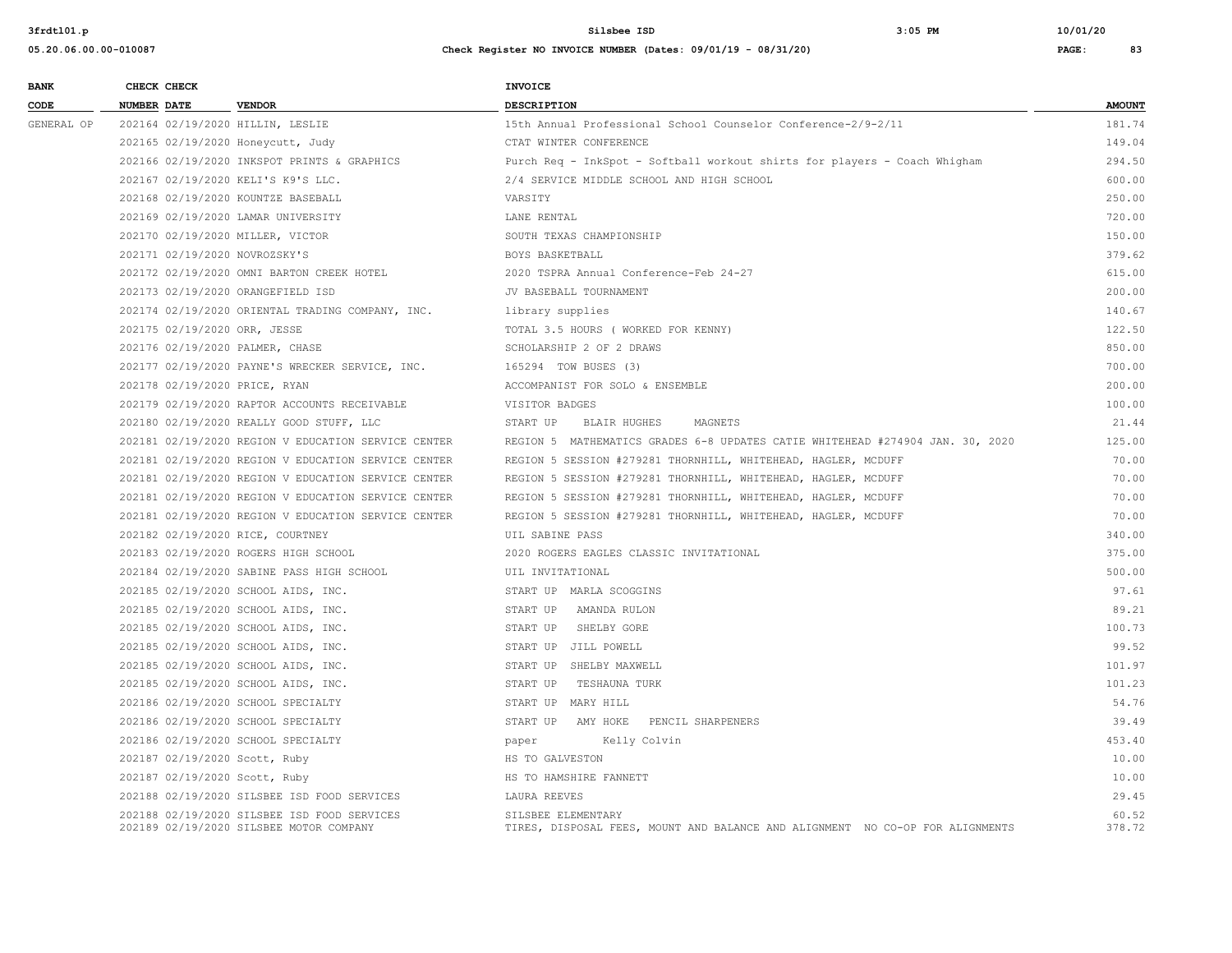| <b>BANK</b> | CHECK CHECK                   |                                                                                        | <b>INVOICE</b>                                                                                      |                 |
|-------------|-------------------------------|----------------------------------------------------------------------------------------|-----------------------------------------------------------------------------------------------------|-----------------|
| CODE        | <b>NUMBER DATE</b>            | <b>VENDOR</b>                                                                          | <b>DESCRIPTION</b>                                                                                  | <b>AMOUNT</b>   |
| GENERAL OP  |                               | 202164 02/19/2020 HILLIN, LESLIE                                                       | 15th Annual Professional School Counselor Conference-2/9-2/11                                       | 181.74          |
|             |                               | 202165 02/19/2020 Honeycutt, Judy                                                      | CTAT WINTER CONFERENCE                                                                              | 149.04          |
|             |                               | 202166 02/19/2020 INKSPOT PRINTS & GRAPHICS                                            | Purch Req - InkSpot - Softball workout shirts for players - Coach Whigham                           | 294.50          |
|             |                               | 202167 02/19/2020 KELI'S K9'S LLC.                                                     | 2/4 SERVICE MIDDLE SCHOOL AND HIGH SCHOOL                                                           | 600.00          |
|             |                               | 202168 02/19/2020 KOUNTZE BASEBALL                                                     | VARSITY                                                                                             | 250.00          |
|             |                               | 202169 02/19/2020 LAMAR UNIVERSITY                                                     | LANE RENTAL                                                                                         | 720.00          |
|             |                               | 202170 02/19/2020 MILLER, VICTOR                                                       | SOUTH TEXAS CHAMPIONSHIP                                                                            | 150.00          |
|             | 202171 02/19/2020 NOVROZSKY'S |                                                                                        | BOYS BASKETBALL                                                                                     | 379.62          |
|             |                               | 202172 02/19/2020 OMNI BARTON CREEK HOTEL                                              | 2020 TSPRA Annual Conference-Feb 24-27                                                              | 615.00          |
|             |                               | 202173 02/19/2020 ORANGEFIELD ISD                                                      | JV BASEBALL TOURNAMENT                                                                              | 200.00          |
|             |                               | 202174 02/19/2020 ORIENTAL TRADING COMPANY, INC.                                       | library supplies                                                                                    | 140.67          |
|             | 202175 02/19/2020 ORR, JESSE  |                                                                                        | TOTAL 3.5 HOURS ( WORKED FOR KENNY)                                                                 | 122.50          |
|             |                               | 202176 02/19/2020 PALMER, CHASE                                                        | SCHOLARSHIP 2 OF 2 DRAWS                                                                            | 850.00          |
|             |                               | 202177 02/19/2020 PAYNE'S WRECKER SERVICE, INC.                                        | 165294 TOW BUSES (3)                                                                                | 700.00          |
|             | 202178 02/19/2020 PRICE, RYAN |                                                                                        | ACCOMPANIST FOR SOLO & ENSEMBLE                                                                     | 200.00          |
|             |                               | 202179 02/19/2020 RAPTOR ACCOUNTS RECEIVABLE                                           | VISITOR BADGES                                                                                      | 100.00          |
|             |                               | 202180 02/19/2020 REALLY GOOD STUFF, LLC                                               | START UP<br>BLAIR HUGHES<br>MAGNETS                                                                 | 21.44           |
|             |                               | 202181 02/19/2020 REGION V EDUCATION SERVICE CENTER                                    | REGION 5 MATHEMATICS GRADES 6-8 UPDATES CATIE WHITEHEAD #274904 JAN. 30, 2020                       | 125.00          |
|             |                               | 202181 02/19/2020 REGION V EDUCATION SERVICE CENTER                                    | REGION 5 SESSION #279281 THORNHILL, WHITEHEAD, HAGLER, MCDUFF                                       | 70.00           |
|             |                               | 202181 02/19/2020 REGION V EDUCATION SERVICE CENTER                                    | REGION 5 SESSION #279281 THORNHILL, WHITEHEAD, HAGLER, MCDUFF                                       | 70.00           |
|             |                               | 202181 02/19/2020 REGION V EDUCATION SERVICE CENTER                                    | REGION 5 SESSION #279281 THORNHILL, WHITEHEAD, HAGLER, MCDUFF                                       | 70.00           |
|             |                               | 202181 02/19/2020 REGION V EDUCATION SERVICE CENTER                                    | REGION 5 SESSION #279281 THORNHILL, WHITEHEAD, HAGLER, MCDUFF                                       | 70.00           |
|             |                               | 202182 02/19/2020 RICE, COURTNEY                                                       | UIL SABINE PASS                                                                                     | 340.00          |
|             |                               | 202183 02/19/2020 ROGERS HIGH SCHOOL                                                   | 2020 ROGERS EAGLES CLASSIC INVITATIONAL                                                             | 375.00          |
|             |                               | 202184 02/19/2020 SABINE PASS HIGH SCHOOL                                              | UIL INVITATIONAL                                                                                    | 500.00          |
|             |                               | 202185 02/19/2020 SCHOOL AIDS, INC.                                                    | START UP MARLA SCOGGINS                                                                             | 97.61           |
|             |                               | 202185 02/19/2020 SCHOOL AIDS, INC.                                                    | START UP<br>AMANDA RULON                                                                            | 89.21           |
|             |                               | 202185 02/19/2020 SCHOOL AIDS, INC.                                                    | START UP<br>SHELBY GORE                                                                             | 100.73          |
|             |                               | 202185 02/19/2020 SCHOOL AIDS, INC.                                                    | START UP JILL POWELL                                                                                | 99.52           |
|             |                               | 202185 02/19/2020 SCHOOL AIDS, INC.                                                    | START UP SHELBY MAXWELL                                                                             | 101.97          |
|             |                               | 202185 02/19/2020 SCHOOL AIDS, INC.                                                    | START UP<br>TESHAUNA TURK                                                                           | 101.23          |
|             |                               | 202186 02/19/2020 SCHOOL SPECIALTY                                                     | START UP MARY HILL                                                                                  | 54.76           |
|             |                               | 202186 02/19/2020 SCHOOL SPECIALTY                                                     | START UP<br>AMY HOKE PENCIL SHARPENERS                                                              | 39.49           |
|             |                               | 202186 02/19/2020 SCHOOL SPECIALTY                                                     | Kelly Colvin<br>paper                                                                               | 453.40          |
|             | 202187 02/19/2020 Scott, Ruby |                                                                                        | HS TO GALVESTON                                                                                     | 10.00           |
|             | 202187 02/19/2020 Scott, Ruby |                                                                                        | HS TO HAMSHIRE FANNETT                                                                              | 10.00           |
|             |                               | 202188 02/19/2020 SILSBEE ISD FOOD SERVICES                                            | LAURA REEVES                                                                                        | 29.45           |
|             |                               | 202188 02/19/2020 SILSBEE ISD FOOD SERVICES<br>202189 02/19/2020 SILSBEE MOTOR COMPANY | SILSBEE ELEMENTARY<br>TIRES, DISPOSAL FEES, MOUNT AND BALANCE AND ALIGNMENT NO CO-OP FOR ALIGNMENTS | 60.52<br>378.72 |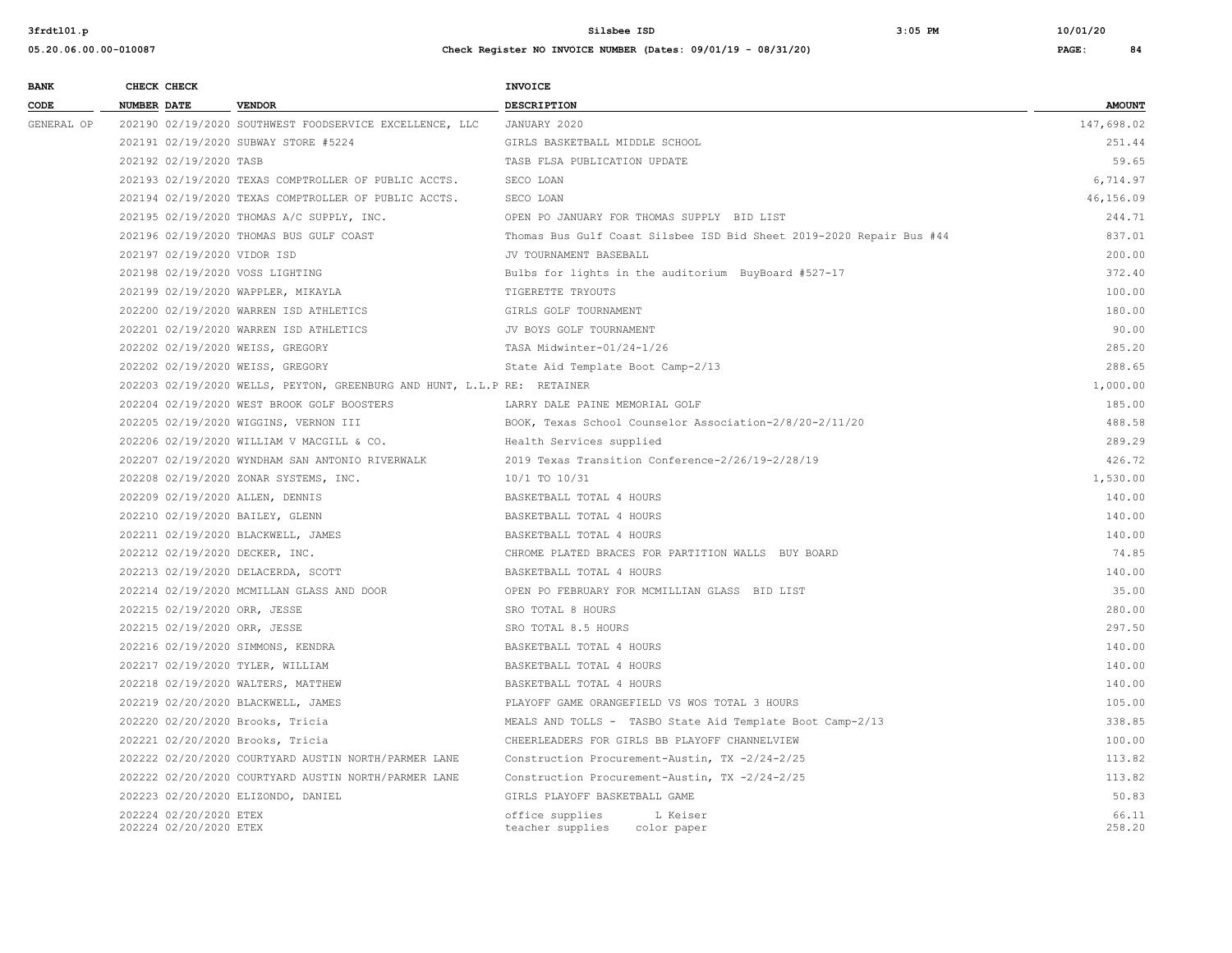**BANK CHECK CHECK CHECK** 

#### **3frdtl01.p Silsbee ISD 3:05 PM 10/01/20**

| CODE       | <b>NUMBER DATE</b>                               | <b>VENDOR</b>                                                           | DESCRIPTION                                                          | <b>AMOUNT</b>   |
|------------|--------------------------------------------------|-------------------------------------------------------------------------|----------------------------------------------------------------------|-----------------|
| GENERAL OP |                                                  | 202190 02/19/2020 SOUTHWEST FOODSERVICE EXCELLENCE, LLC                 | JANUARY 2020                                                         | 147,698.02      |
|            |                                                  | 202191 02/19/2020 SUBWAY STORE #5224                                    | GIRLS BASKETBALL MIDDLE SCHOOL                                       | 251.44          |
|            | 202192 02/19/2020 TASB                           |                                                                         | TASB FLSA PUBLICATION UPDATE                                         | 59.65           |
|            |                                                  | 202193 02/19/2020 TEXAS COMPTROLLER OF PUBLIC ACCTS.                    | SECO LOAN                                                            | 6.714.97        |
|            |                                                  | 202194 02/19/2020 TEXAS COMPTROLLER OF PUBLIC ACCTS.                    | SECO LOAN                                                            | 46,156.09       |
|            |                                                  | 202195 02/19/2020 THOMAS A/C SUPPLY, INC.                               | OPEN PO JANUARY FOR THOMAS SUPPLY BID LIST                           | 244.71          |
|            |                                                  | 202196 02/19/2020 THOMAS BUS GULF COAST                                 | Thomas Bus Gulf Coast Silsbee ISD Bid Sheet 2019-2020 Repair Bus #44 | 837.01          |
|            | 202197 02/19/2020 VIDOR ISD                      |                                                                         | JV TOURNAMENT BASEBALL                                               | 200.00          |
|            | 202198 02/19/2020 VOSS LIGHTING                  |                                                                         | Bulbs for lights in the auditorium BuyBoard #527-17                  | 372.40          |
|            | 202199 02/19/2020 WAPPLER, MIKAYLA               |                                                                         | TIGERETTE TRYOUTS                                                    | 100.00          |
|            |                                                  | 202200 02/19/2020 WARREN ISD ATHLETICS                                  | GIRLS GOLF TOURNAMENT                                                | 180.00          |
|            |                                                  | 202201 02/19/2020 WARREN ISD ATHLETICS                                  | JV BOYS GOLF TOURNAMENT                                              | 90.00           |
|            | 202202 02/19/2020 WEISS, GREGORY                 |                                                                         | TASA Midwinter-01/24-1/26                                            | 285.20          |
|            | 202202 02/19/2020 WEISS, GREGORY                 |                                                                         | State Aid Template Boot Camp-2/13                                    | 288.65          |
|            |                                                  | 202203 02/19/2020 WELLS, PEYTON, GREENBURG AND HUNT, L.L.P RE: RETAINER |                                                                      | 1,000.00        |
|            |                                                  | 202204 02/19/2020 WEST BROOK GOLF BOOSTERS                              | LARRY DALE PAINE MEMORIAL GOLF                                       | 185.00          |
|            |                                                  | 202205 02/19/2020 WIGGINS, VERNON III                                   | BOOK, Texas School Counselor Association-2/8/20-2/11/20              | 488.58          |
|            |                                                  | 202206 02/19/2020 WILLIAM V MACGILL & CO.                               | Health Services supplied                                             | 289.29          |
|            |                                                  | 202207 02/19/2020 WYNDHAM SAN ANTONIO RIVERWALK                         | 2019 Texas Transition Conference-2/26/19-2/28/19                     | 426.72          |
|            |                                                  | 202208 02/19/2020 ZONAR SYSTEMS, INC.                                   | 10/1 TO 10/31                                                        | 1,530.00        |
|            | 202209 02/19/2020 ALLEN, DENNIS                  |                                                                         | BASKETBALL TOTAL 4 HOURS                                             | 140.00          |
|            | 202210 02/19/2020 BAILEY, GLENN                  |                                                                         | BASKETBALL TOTAL 4 HOURS                                             | 140.00          |
|            | 202211 02/19/2020 BLACKWELL, JAMES               |                                                                         | BASKETBALL TOTAL 4 HOURS                                             | 140.00          |
|            | 202212 02/19/2020 DECKER, INC.                   |                                                                         | CHROME PLATED BRACES FOR PARTITION WALLS BUY BOARD                   | 74.85           |
|            | 202213 02/19/2020 DELACERDA, SCOTT               |                                                                         | BASKETBALL TOTAL 4 HOURS                                             | 140.00          |
|            |                                                  | 202214 02/19/2020 MCMILLAN GLASS AND DOOR                               | OPEN PO FEBRUARY FOR MCMILLIAN GLASS BID LIST                        | 35.00           |
|            | 202215 02/19/2020 ORR, JESSE                     |                                                                         | SRO TOTAL 8 HOURS                                                    | 280.00          |
|            | 202215 02/19/2020 ORR, JESSE                     |                                                                         | SRO TOTAL 8.5 HOURS                                                  | 297.50          |
|            | 202216 02/19/2020 SIMMONS, KENDRA                |                                                                         | BASKETBALL TOTAL 4 HOURS                                             | 140.00          |
|            | 202217 02/19/2020 TYLER, WILLIAM                 |                                                                         | BASKETBALL TOTAL 4 HOURS                                             | 140.00          |
|            | 202218 02/19/2020 WALTERS, MATTHEW               |                                                                         | BASKETBALL TOTAL 4 HOURS                                             | 140.00          |
|            | 202219 02/20/2020 BLACKWELL, JAMES               |                                                                         | PLAYOFF GAME ORANGEFIELD VS WOS TOTAL 3 HOURS                        | 105.00          |
|            | 202220 02/20/2020 Brooks, Tricia                 |                                                                         | MEALS AND TOLLS - TASBO State Aid Template Boot Camp-2/13            | 338.85          |
|            | 202221 02/20/2020 Brooks, Tricia                 |                                                                         | CHEERLEADERS FOR GIRLS BB PLAYOFF CHANNELVIEW                        | 100.00          |
|            |                                                  | 202222 02/20/2020 COURTYARD AUSTIN NORTH/PARMER LANE                    | Construction Procurement-Austin, TX -2/24-2/25                       | 113.82          |
|            |                                                  | 202222 02/20/2020 COURTYARD AUSTIN NORTH/PARMER LANE                    | Construction Procurement-Austin, TX -2/24-2/25                       | 113.82          |
|            | 202223 02/20/2020 ELIZONDO, DANIEL               |                                                                         | GIRLS PLAYOFF BASKETBALL GAME                                        | 50.83           |
|            | 202224 02/20/2020 ETEX<br>202224 02/20/2020 ETEX |                                                                         | office supplies<br>L Keiser<br>teacher supplies color paper          | 66.11<br>258.20 |
|            |                                                  |                                                                         |                                                                      |                 |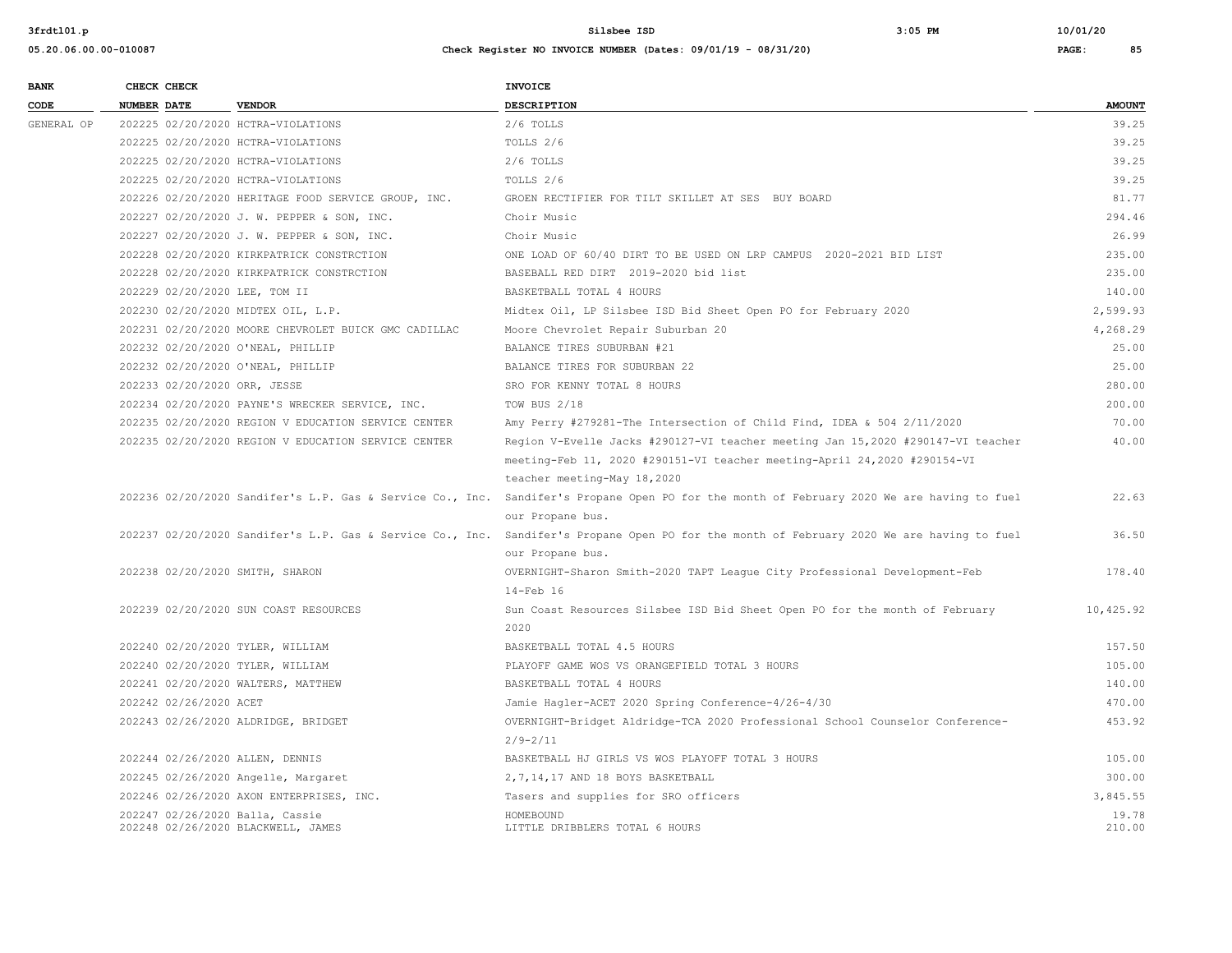| <b>BANK</b> | CHECK CHECK                        |                                                      | <b>INVOICE</b>                                                                                                                            |                 |
|-------------|------------------------------------|------------------------------------------------------|-------------------------------------------------------------------------------------------------------------------------------------------|-----------------|
| CODE        | <b>NUMBER DATE</b>                 | <b>VENDOR</b>                                        | DESCRIPTION                                                                                                                               | <b>AMOUNT</b>   |
| GENERAL OP  | 202225 02/20/2020 HCTRA-VIOLATIONS |                                                      | 2/6 TOLLS                                                                                                                                 | 39.25           |
|             | 202225 02/20/2020 HCTRA-VIOLATIONS |                                                      | TOLLS 2/6                                                                                                                                 | 39.25           |
|             | 202225 02/20/2020 HCTRA-VIOLATIONS |                                                      | $2/6$ TOLLS                                                                                                                               | 39.25           |
|             | 202225 02/20/2020 HCTRA-VIOLATIONS |                                                      | TOLLS 2/6                                                                                                                                 | 39.25           |
|             |                                    | 202226 02/20/2020 HERITAGE FOOD SERVICE GROUP, INC.  | GROEN RECTIFIER FOR TILT SKILLET AT SES BUY BOARD                                                                                         | 81.77           |
|             |                                    | 202227 02/20/2020 J. W. PEPPER & SON, INC.           | Choir Music                                                                                                                               | 294.46          |
|             |                                    | 202227 02/20/2020 J. W. PEPPER & SON, INC.           | Choir Music                                                                                                                               | 26.99           |
|             |                                    | 202228 02/20/2020 KIRKPATRICK CONSTRCTION            | ONE LOAD OF 60/40 DIRT TO BE USED ON LRP CAMPUS 2020-2021 BID LIST                                                                        | 235.00          |
|             |                                    | 202228 02/20/2020 KIRKPATRICK CONSTRCTION            | BASEBALL RED DIRT 2019-2020 bid list                                                                                                      | 235.00          |
|             | 202229 02/20/2020 LEE, TOM II      |                                                      | BASKETBALL TOTAL 4 HOURS                                                                                                                  | 140.00          |
|             |                                    | 202230 02/20/2020 MIDTEX OIL, L.P.                   | Midtex Oil, LP Silsbee ISD Bid Sheet Open PO for February 2020                                                                            | 2,599.93        |
|             |                                    | 202231 02/20/2020 MOORE CHEVROLET BUICK GMC CADILLAC | Moore Chevrolet Repair Suburban 20                                                                                                        | 4,268.29        |
|             | 202232 02/20/2020 O'NEAL, PHILLIP  |                                                      | BALANCE TIRES SUBURBAN #21                                                                                                                | 25.00           |
|             | 202232 02/20/2020 O'NEAL, PHILLIP  |                                                      | BALANCE TIRES FOR SUBURBAN 22                                                                                                             | 25.00           |
|             | 202233 02/20/2020 ORR, JESSE       |                                                      | SRO FOR KENNY TOTAL 8 HOURS                                                                                                               | 280.00          |
|             |                                    | 202234 02/20/2020 PAYNE'S WRECKER SERVICE, INC.      | TOW BUS 2/18                                                                                                                              | 200.00          |
|             |                                    | 202235 02/20/2020 REGION V EDUCATION SERVICE CENTER  | Amy Perry #279281-The Intersection of Child Find, IDEA & 504 2/11/2020                                                                    | 70.00           |
|             |                                    | 202235 02/20/2020 REGION V EDUCATION SERVICE CENTER  | Region V-Evelle Jacks #290127-VI teacher meeting Jan 15,2020 #290147-VI teacher                                                           | 40.00           |
|             |                                    |                                                      | meeting-Feb 11, 2020 #290151-VI teacher meeting-April 24,2020 #290154-VI                                                                  |                 |
|             |                                    |                                                      | teacher meeting-May 18,2020                                                                                                               |                 |
|             |                                    |                                                      | 202236 02/20/2020 Sandifer's L.P. Gas & Service Co., Inc. Sandifer's Propane Open PO for the month of February 2020 We are having to fuel | 22.63           |
|             |                                    |                                                      | our Propane bus.                                                                                                                          |                 |
|             |                                    |                                                      | 202237 02/20/2020 Sandifer's L.P. Gas & Service Co., Inc. Sandifer's Propane Open PO for the month of February 2020 We are having to fuel | 36.50           |
|             |                                    |                                                      | our Propane bus.                                                                                                                          |                 |
|             | 202238 02/20/2020 SMITH, SHARON    |                                                      | OVERNIGHT-Sharon Smith-2020 TAPT League City Professional Development-Feb                                                                 | 178.40          |
|             |                                    |                                                      | $14-Feb$ 16                                                                                                                               |                 |
|             |                                    | 202239 02/20/2020 SUN COAST RESOURCES                | Sun Coast Resources Silsbee ISD Bid Sheet Open PO for the month of February                                                               | 10,425.92       |
|             |                                    |                                                      | 2020                                                                                                                                      |                 |
|             | 202240 02/20/2020 TYLER, WILLIAM   |                                                      | BASKETBALL TOTAL 4.5 HOURS                                                                                                                | 157.50          |
|             | 202240 02/20/2020 TYLER, WILLIAM   |                                                      | PLAYOFF GAME WOS VS ORANGEFIELD TOTAL 3 HOURS                                                                                             | 105.00          |
|             |                                    | 202241 02/20/2020 WALTERS, MATTHEW                   | BASKETBALL TOTAL 4 HOURS                                                                                                                  | 140.00          |
|             | 202242 02/26/2020 ACET             |                                                      | Jamie Hagler-ACET 2020 Spring Conference-4/26-4/30                                                                                        | 470.00          |
|             |                                    | 202243 02/26/2020 ALDRIDGE, BRIDGET                  | OVERNIGHT-Bridget Aldridge-TCA 2020 Professional School Counselor Conference-                                                             | 453.92          |
|             |                                    |                                                      | $2/9 - 2/11$                                                                                                                              |                 |
|             | 202244 02/26/2020 ALLEN, DENNIS    |                                                      | BASKETBALL HJ GIRLS VS WOS PLAYOFF TOTAL 3 HOURS                                                                                          | 105.00          |
|             |                                    | 202245 02/26/2020 Angelle, Margaret                  | 2, 7, 14, 17 AND 18 BOYS BASKETBALL                                                                                                       | 300.00          |
|             |                                    | 202246 02/26/2020 AXON ENTERPRISES, INC.             | Tasers and supplies for SRO officers                                                                                                      | 3,845.55        |
|             | 202247 02/26/2020 Balla, Cassie    | 202248 02/26/2020 BLACKWELL, JAMES                   | HOMEBOUND<br>LITTLE DRIBBLERS TOTAL 6 HOURS                                                                                               | 19.78<br>210.00 |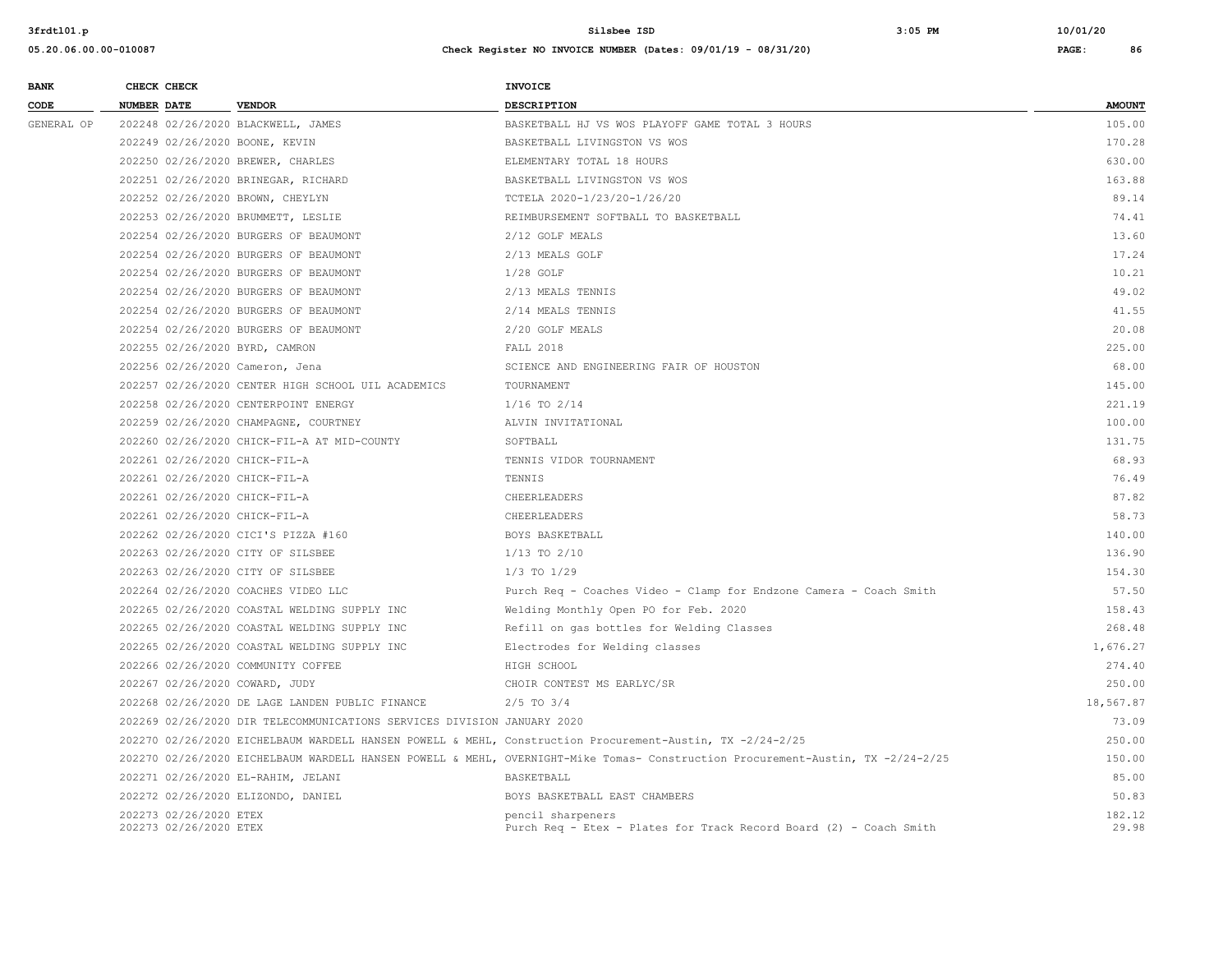**05.20.06.00.00-010087 Check Register NO INVOICE NUMBER (Dates: 09/01/19 - 08/31/20) PAGE: 86**

# **BANK** CHECK CHECK **CHECK CODE NUMBER DATE VENDOR DESCRIPTION AMOUNT** GENERAL OP 202248 02/26/2020 BLACKWELL, JAMES SANG BASKETBALL HJ VS WOS PLAYOFF GAME TOTAL 3 HOURS SANG PORT AND MASS AND MASS OF THE SANG HARRY OF THE SANG HARRY OF THE SANG HARRY OF THE SANG HARRY OF THE SANG HARRY OF TH 202249 02/26/2020 BOONE, KEVIN BASKETBALL LIVINGSTON VS WOS 170.28 202250 02/26/2020 BREWER, CHARLES ELEMENTARY TOTAL 18 HOURS 630.00 202251 02/26/2020 BRINEGAR, RICHARD BASKETBALL LIVINGSTON VS WOS 163.88 202252 02/26/2020 BROWN, CHEYLYN TCTELA 2020-1/23/20-1/26/20 89.14 202253 02/26/2020 BRUMMETT, LESLIE REIMBURSEMENT SOFTBALL TO BASKETBALL 74.41 202254 02/26/2020 BURGERS OF BEAUMONT 2/12 GOLF MEALS 13.60 202254 02/26/2020 BURGERS OF BEAUMONT 2/13 MEALS GOLF 17.24 202254 02/26/2020 BURGERS OF BEAUMONT 1/28 GOLF 10.21 202254 02/26/2020 BURGERS OF BEAUMONT 2/13 MEALS TENNIS 49.02 202254 02/26/2020 BURGERS OF BEAUMONT 2/14 MEALS TENNIS 41.55 202254 02/26/2020 BURGERS OF BEAUMONT 2/20 GOLF MEALS 20.08 202255 02/26/2020 BYRD, CAMRON FALL 2018 225.00 202256 02/26/2020 Cameron, Jena SCIENCE AND ENGINEERING FAIR OF HOUSTON 68.00 202257 02/26/2020 CENTER HIGH SCHOOL UIL ACADEMICS TOURNAMENT 145.00 202258 02/26/2020 CENTERPOINT ENERGY 1/16 TO 2/14 221.19 202259 02/26/2020 CHAMPAGNE, COURTNEY ALVIN INVITATIONAL 100.00 202260 02/26/2020 CHICK-FIL-A AT MID-COUNTY SOFTBALL 131.75 202261 02/26/2020 CHICK-FIL-A TENNIS VIDOR TOURNAMENT 68.93 202261 02/26/2020 CHICK-FIL-A TENNIS 76.49 202261 02/26/2020 CHICK-FIL-A CHEERLEADERS 87.82 202261 02/26/2020 CHICK-FIL-A CHEERLEADERS 58.73 202262 02/26/2020 CICI'S PIZZA #160 BOYS BASKETBALL 140.00 202263 02/26/2020 CITY OF SILSBEE 17 1/13 TO 2/10 136.90 136.90 136.90 136.90 136.90 202263 02/26/2020 CITY OF SILSBEE 154.30 1/3 TO 1/29 154.30 154.30 154.30 154.30 154.30 154.30 154.30 154.30 154.30 154.30 154.30 154.30 154.30 154.30 154.30 154.30 154.30 154.30 154.30 154.30 154.30 154.30 154.30 154.30 1 202264 02/26/2020 COACHES VIDEO LLC Purch Req - Coaches Video - Clamp for Endzone Camera - Coach Smith 57.50 202265 02/26/2020 COASTAL WELDING SUPPLY INC Welding Monthly Open PO for Feb. 2020 158.43 202265 02/26/2020 COASTAL WELDING SUPPLY INC Refill on gas bottles for Welding Classes 268.48 202265 02/26/2020 COASTAL WELDING SUPPLY INC Electrodes for Welding classes 1,676.27 202266 02/26/2020 COMMUNITY COFFEE HIGH SCHOOL 274.40 202267 02/26/2020 COWARD, JUDY CHOIR CONTEST MS EARLYC/SR 250.00 202268 02/26/2020 DE LAGE LANDEN PUBLIC FINANCE 2/5 TO 3/4 18,567.87 202269 02/26/2020 DIR TELECOMMUNICATIONS SERVICES DIVISION JANUARY 2020 73.09 202270 02/26/2020 EICHELBAUM WARDELL HANSEN POWELL & MEHL, Construction Procurement-Austin, TX -2/24-2/25 250.00 202270 02/26/2020 EICHELBAUM WARDELL HANSEN POWELL & MEHL, OVERNIGHT-Mike Tomas- Construction Procurement-Austin, TX -2/24-2/25 150.00 202271 02/26/2020 EL-RAHIM, JELANI BASKETBALL 85.00 202272 02/26/2020 ELIZONDO, DANIEL BOYS BASKETBALL EAST CHAMBERS 50.83 202273 02/26/2020 ETEX pencil sharpeners 182.12 202273 02/26/2020 ETEX Purch Req - Etex - Plates for Track Record Board (2) - Coach Smith 29.98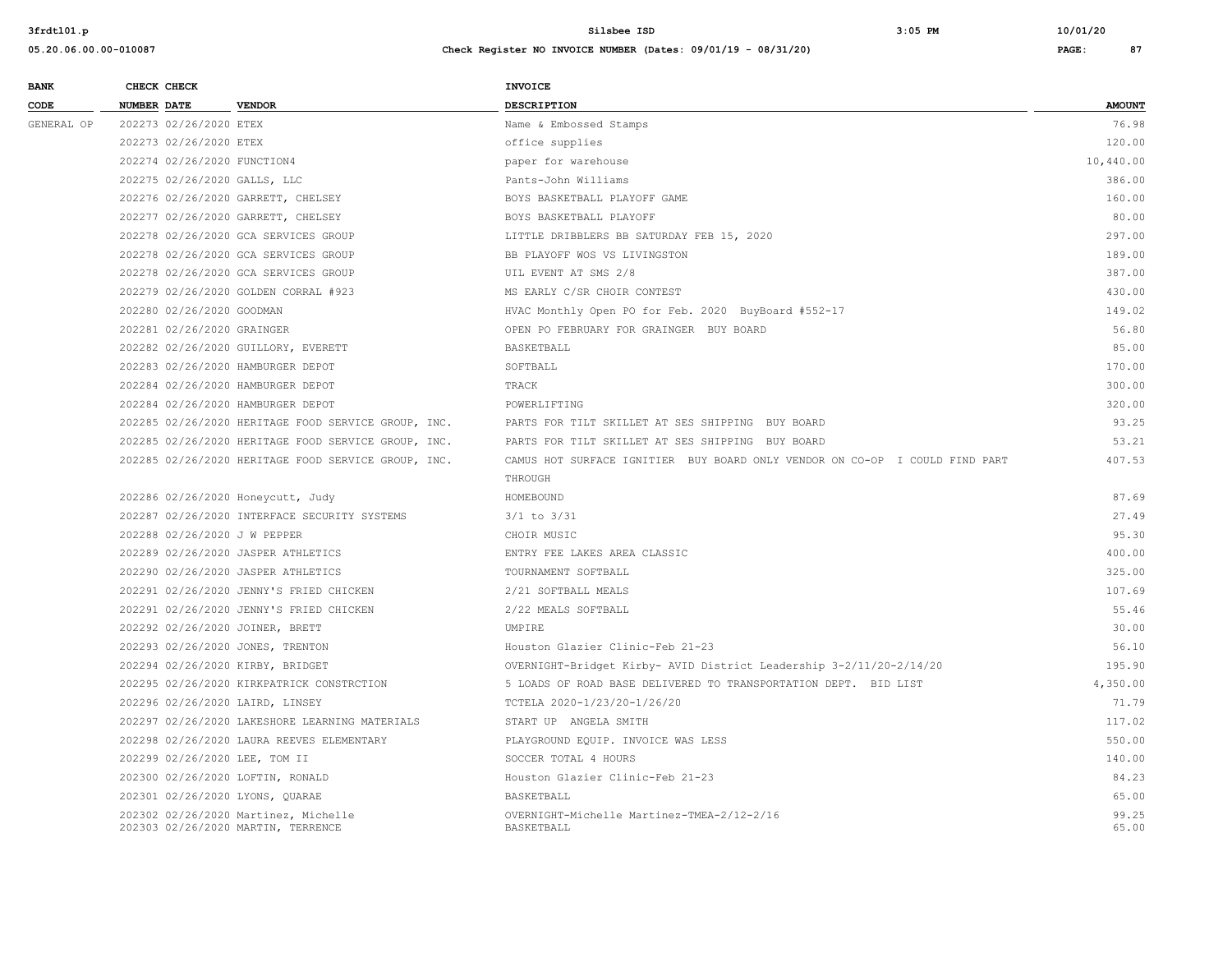|            |                    | CHECK CHECK                 |                                                                            | INVOICE                                                                     |                |
|------------|--------------------|-----------------------------|----------------------------------------------------------------------------|-----------------------------------------------------------------------------|----------------|
| CODE       | <b>NUMBER DATE</b> |                             | <b>VENDOR</b>                                                              | DESCRIPTION                                                                 | <b>AMOUNT</b>  |
| GENERAL OP |                    | 202273 02/26/2020 ETEX      |                                                                            | Name & Embossed Stamps                                                      | 76.98          |
|            |                    | 202273 02/26/2020 ETEX      |                                                                            | office supplies                                                             | 120.00         |
|            |                    | 202274 02/26/2020 FUNCTION4 |                                                                            | paper for warehouse                                                         | 10,440.00      |
|            |                    |                             | 202275 02/26/2020 GALLS, LLC                                               | Pants-John Williams                                                         | 386.00         |
|            |                    |                             | 202276 02/26/2020 GARRETT, CHELSEY                                         | BOYS BASKETBALL PLAYOFF GAME                                                | 160.00         |
|            |                    |                             | 202277 02/26/2020 GARRETT, CHELSEY                                         | BOYS BASKETBALL PLAYOFF                                                     | 80.00          |
|            |                    |                             | 202278 02/26/2020 GCA SERVICES GROUP                                       | LITTLE DRIBBLERS BB SATURDAY FEB 15, 2020                                   | 297.00         |
|            |                    |                             | 202278 02/26/2020 GCA SERVICES GROUP                                       | BB PLAYOFF WOS VS LIVINGSTON                                                | 189.00         |
|            |                    |                             | 202278 02/26/2020 GCA SERVICES GROUP                                       | UIL EVENT AT SMS 2/8                                                        | 387.00         |
|            |                    |                             | 202279 02/26/2020 GOLDEN CORRAL #923                                       | MS EARLY C/SR CHOIR CONTEST                                                 | 430.00         |
|            |                    | 202280 02/26/2020 GOODMAN   |                                                                            | HVAC Monthly Open PO for Feb. 2020 BuyBoard #552-17                         | 149.02         |
|            |                    | 202281 02/26/2020 GRAINGER  |                                                                            | OPEN PO FEBRUARY FOR GRAINGER BUY BOARD                                     | 56.80          |
|            |                    |                             | 202282 02/26/2020 GUILLORY, EVERETT                                        | BASKETBALL                                                                  | 85.00          |
|            |                    |                             | 202283 02/26/2020 HAMBURGER DEPOT                                          | SOFTBALL                                                                    | 170.00         |
|            |                    |                             | 202284 02/26/2020 HAMBURGER DEPOT                                          | TRACK                                                                       | 300.00         |
|            |                    |                             | 202284 02/26/2020 HAMBURGER DEPOT                                          | POWERLIFTING                                                                | 320.00         |
|            |                    |                             | 202285 02/26/2020 HERITAGE FOOD SERVICE GROUP, INC.                        | PARTS FOR TILT SKILLET AT SES SHIPPING BUY BOARD                            | 93.25          |
|            |                    |                             | 202285 02/26/2020 HERITAGE FOOD SERVICE GROUP, INC.                        | PARTS FOR TILT SKILLET AT SES SHIPPING BUY BOARD                            | 53.21          |
|            |                    |                             | 202285 02/26/2020 HERITAGE FOOD SERVICE GROUP, INC.                        | CAMUS HOT SURFACE IGNITIER BUY BOARD ONLY VENDOR ON CO-OP I COULD FIND PART | 407.53         |
|            |                    |                             |                                                                            | THROUGH                                                                     |                |
|            |                    |                             | 202286 02/26/2020 Honeycutt, Judy                                          | HOMEBOUND                                                                   | 87.69          |
|            |                    |                             | 202287 02/26/2020 INTERFACE SECURITY SYSTEMS                               | $3/1$ to $3/31$                                                             | 27.49          |
|            |                    |                             | 202288 02/26/2020 J W PEPPER                                               | CHOIR MUSIC                                                                 | 95.30          |
|            |                    |                             | 202289 02/26/2020 JASPER ATHLETICS                                         | ENTRY FEE LAKES AREA CLASSIC                                                | 400.00         |
|            |                    |                             | 202290 02/26/2020 JASPER ATHLETICS                                         | TOURNAMENT SOFTBALL                                                         | 325.00         |
|            |                    |                             | 202291 02/26/2020 JENNY'S FRIED CHICKEN                                    | 2/21 SOFTBALL MEALS                                                         | 107.69         |
|            |                    |                             | 202291 02/26/2020 JENNY'S FRIED CHICKEN                                    | 2/22 MEALS SOFTBALL                                                         | 55.46          |
|            |                    |                             | 202292 02/26/2020 JOINER, BRETT                                            | UMPIRE                                                                      | 30.00          |
|            |                    |                             | 202293 02/26/2020 JONES, TRENTON                                           | Houston Glazier Clinic-Feb 21-23                                            | 56.10          |
|            |                    |                             | 202294 02/26/2020 KIRBY, BRIDGET                                           | OVERNIGHT-Bridget Kirby- AVID District Leadership 3-2/11/20-2/14/20         | 195.90         |
|            |                    |                             | 202295 02/26/2020 KIRKPATRICK CONSTRCTION                                  | 5 LOADS OF ROAD BASE DELIVERED TO TRANSPORTATION DEPT. BID LIST             | 4,350.00       |
|            |                    |                             | 202296 02/26/2020 LAIRD, LINSEY                                            | TCTELA 2020-1/23/20-1/26/20                                                 | 71.79          |
|            |                    |                             | 202297 02/26/2020 LAKESHORE LEARNING MATERIALS                             | START UP ANGELA SMITH                                                       | 117.02         |
|            |                    |                             | 202298 02/26/2020 LAURA REEVES ELEMENTARY                                  | PLAYGROUND EQUIP. INVOICE WAS LESS                                          | 550.00         |
|            |                    |                             | 202299 02/26/2020 LEE, TOM II                                              | SOCCER TOTAL 4 HOURS                                                        | 140.00         |
|            |                    |                             | 202300 02/26/2020 LOFTIN, RONALD                                           | Houston Glazier Clinic-Feb 21-23                                            | 84.23          |
|            |                    |                             | 202301 02/26/2020 LYONS, QUARAE                                            | BASKETBALL                                                                  | 65.00          |
|            |                    |                             | 202302 02/26/2020 Martinez, Michelle<br>202303 02/26/2020 MARTIN, TERRENCE | OVERNIGHT-Michelle Martinez-TMEA-2/12-2/16<br>BASKETBALL.                   | 99.25<br>65.00 |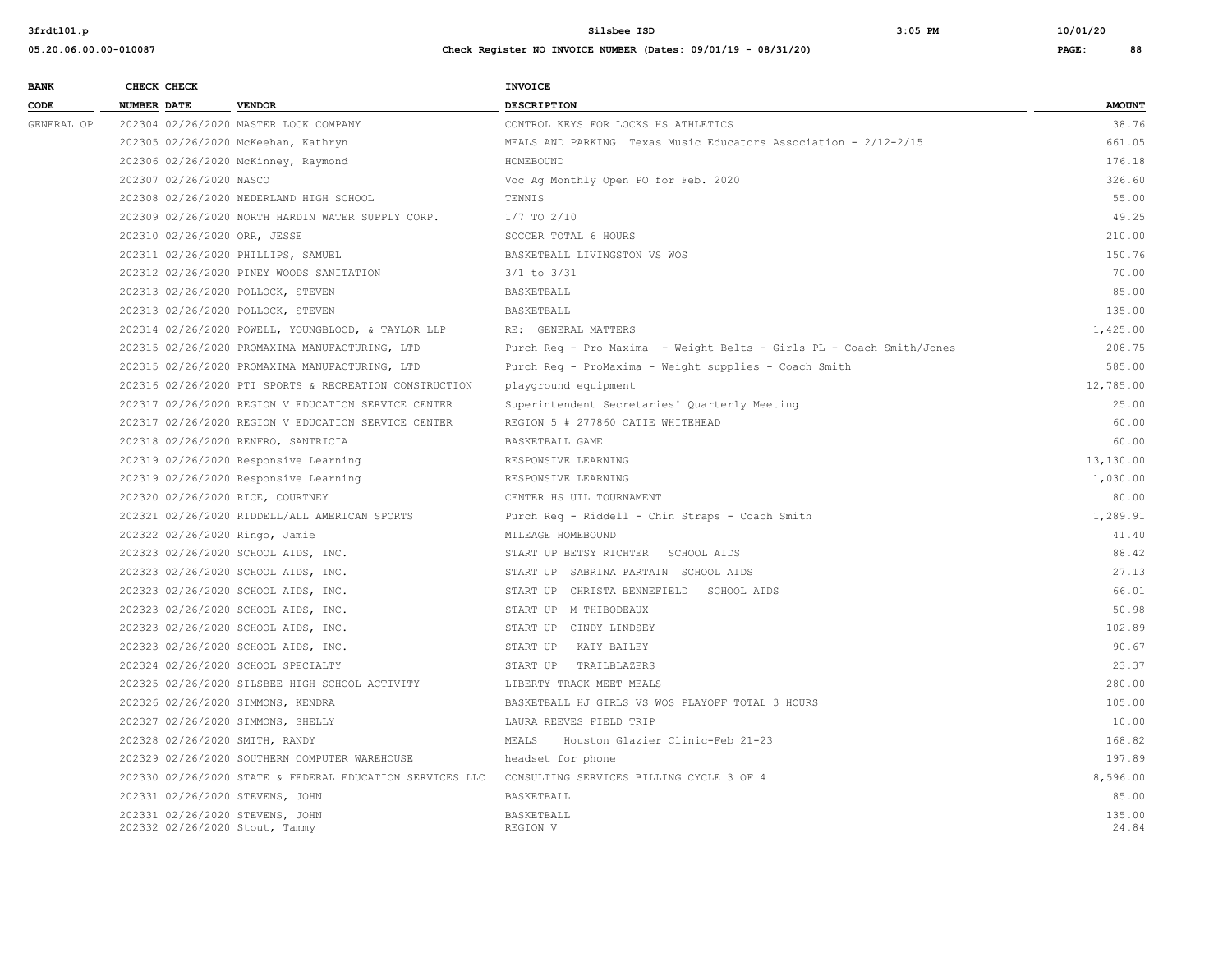| <b>BANK</b> | CHECK CHECK        |                         |                                                                   | <b>INVOICE</b>                                                       |                 |
|-------------|--------------------|-------------------------|-------------------------------------------------------------------|----------------------------------------------------------------------|-----------------|
| CODE        | <b>NUMBER DATE</b> |                         | <b>VENDOR</b>                                                     | <b>DESCRIPTION</b>                                                   | <b>AMOUNT</b>   |
| GENERAL OP  |                    |                         | 202304 02/26/2020 MASTER LOCK COMPANY                             | CONTROL KEYS FOR LOCKS HS ATHLETICS                                  | 38.76           |
|             |                    |                         | 202305 02/26/2020 McKeehan, Kathryn                               | MEALS AND PARKING Texas Music Educators Association - 2/12-2/15      | 661.05          |
|             |                    |                         | 202306 02/26/2020 McKinney, Raymond                               | HOMEBOUND                                                            | 176.18          |
|             |                    | 202307 02/26/2020 NASCO |                                                                   | Voc Ag Monthly Open PO for Feb. 2020                                 | 326.60          |
|             |                    |                         | 202308 02/26/2020 NEDERLAND HIGH SCHOOL                           | TENNIS                                                               | 55.00           |
|             |                    |                         | 202309 02/26/2020 NORTH HARDIN WATER SUPPLY CORP.                 | $1/7$ TO $2/10$                                                      | 49.25           |
|             |                    |                         | 202310 02/26/2020 ORR, JESSE                                      | SOCCER TOTAL 6 HOURS                                                 | 210.00          |
|             |                    |                         | 202311 02/26/2020 PHILLIPS, SAMUEL                                | BASKETBALL LIVINGSTON VS WOS                                         | 150.76          |
|             |                    |                         | 202312 02/26/2020 PINEY WOODS SANITATION                          | $3/1$ to $3/31$                                                      | 70.00           |
|             |                    |                         | 202313 02/26/2020 POLLOCK, STEVEN                                 | BASKETBALL                                                           | 85.00           |
|             |                    |                         | 202313 02/26/2020 POLLOCK, STEVEN                                 | BASKETBALL                                                           | 135.00          |
|             |                    |                         | 202314 02/26/2020 POWELL, YOUNGBLOOD, & TAYLOR LLP                | RE: GENERAL MATTERS                                                  | 1,425.00        |
|             |                    |                         | 202315 02/26/2020 PROMAXIMA MANUFACTURING, LTD                    | Purch Req - Pro Maxima - Weight Belts - Girls PL - Coach Smith/Jones | 208.75          |
|             |                    |                         | 202315 02/26/2020 PROMAXIMA MANUFACTURING, LTD                    | Purch Req - ProMaxima - Weight supplies - Coach Smith                | 585.00          |
|             |                    |                         | 202316 02/26/2020 PTI SPORTS & RECREATION CONSTRUCTION            | playground equipment                                                 | 12,785.00       |
|             |                    |                         | 202317 02/26/2020 REGION V EDUCATION SERVICE CENTER               | Superintendent Secretaries' Quarterly Meeting                        | 25.00           |
|             |                    |                         | 202317 02/26/2020 REGION V EDUCATION SERVICE CENTER               | REGION 5 # 277860 CATIE WHITEHEAD                                    | 60.00           |
|             |                    |                         | 202318 02/26/2020 RENFRO, SANTRICIA                               | BASKETBALL GAME                                                      | 60.00           |
|             |                    |                         | 202319 02/26/2020 Responsive Learning                             | RESPONSIVE LEARNING                                                  | 13,130.00       |
|             |                    |                         | 202319 02/26/2020 Responsive Learning                             | RESPONSIVE LEARNING                                                  | 1,030.00        |
|             |                    |                         | 202320 02/26/2020 RICE, COURTNEY                                  | CENTER HS UIL TOURNAMENT                                             | 80.00           |
|             |                    |                         | 202321 02/26/2020 RIDDELL/ALL AMERICAN SPORTS                     | Purch Req - Riddell - Chin Straps - Coach Smith                      | 1,289.91        |
|             |                    |                         | 202322 02/26/2020 Ringo, Jamie                                    | MILEAGE HOMEBOUND                                                    | 41.40           |
|             |                    |                         | 202323 02/26/2020 SCHOOL AIDS, INC.                               | START UP BETSY RICHTER SCHOOL AIDS                                   | 88.42           |
|             |                    |                         | 202323 02/26/2020 SCHOOL AIDS, INC.                               | START UP SABRINA PARTAIN SCHOOL AIDS                                 | 27.13           |
|             |                    |                         | 202323 02/26/2020 SCHOOL AIDS, INC.                               | START UP CHRISTA BENNEFIELD SCHOOL AIDS                              | 66.01           |
|             |                    |                         | 202323 02/26/2020 SCHOOL AIDS, INC.                               | START UP M THIBODEAUX                                                | 50.98           |
|             |                    |                         | 202323 02/26/2020 SCHOOL AIDS, INC.                               | START UP CINDY LINDSEY                                               | 102.89          |
|             |                    |                         | 202323 02/26/2020 SCHOOL AIDS, INC.                               | START UP KATY BAILEY                                                 | 90.67           |
|             |                    |                         | 202324 02/26/2020 SCHOOL SPECIALTY                                | START UP TRAILBLAZERS                                                | 23.37           |
|             |                    |                         | 202325 02/26/2020 SILSBEE HIGH SCHOOL ACTIVITY                    | LIBERTY TRACK MEET MEALS                                             | 280.00          |
|             |                    |                         | 202326 02/26/2020 SIMMONS, KENDRA                                 | BASKETBALL HJ GIRLS VS WOS PLAYOFF TOTAL 3 HOURS                     | 105.00          |
|             |                    |                         | 202327 02/26/2020 SIMMONS, SHELLY                                 | LAURA REEVES FIELD TRIP                                              | 10.00           |
|             |                    |                         | 202328 02/26/2020 SMITH, RANDY                                    | MEALS<br>Houston Glazier Clinic-Feb 21-23                            | 168.82          |
|             |                    |                         | 202329 02/26/2020 SOUTHERN COMPUTER WAREHOUSE                     | headset for phone                                                    | 197.89          |
|             |                    |                         | 202330 02/26/2020 STATE & FEDERAL EDUCATION SERVICES LLC          | CONSULTING SERVICES BILLING CYCLE 3 OF 4                             | 8,596.00        |
|             |                    |                         | 202331 02/26/2020 STEVENS, JOHN                                   | <b>BASKETBALL</b>                                                    | 85.00           |
|             |                    |                         | 202331 02/26/2020 STEVENS, JOHN<br>202332 02/26/2020 Stout, Tammy | BASKETBALL<br>REGION V                                               | 135.00<br>24.84 |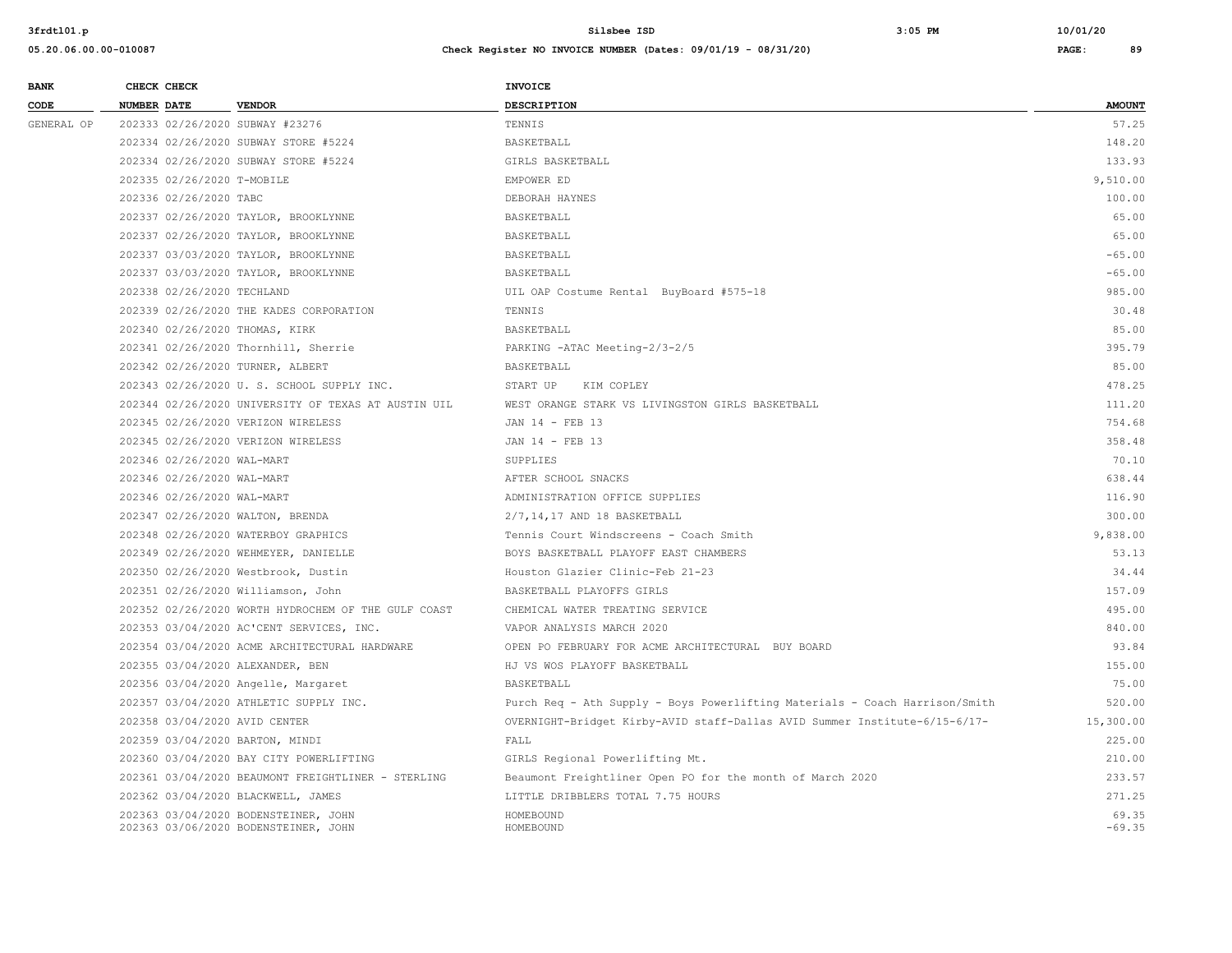| <b>BANK</b><br>CHECK CHECK                                                   | <b>INVOICE</b>                                                                          |
|------------------------------------------------------------------------------|-----------------------------------------------------------------------------------------|
| CODE<br>NUMBER DATE<br><b>VENDOR</b>                                         | <b>DESCRIPTION</b><br><b>AMOUNT</b>                                                     |
| GENERAL OP<br>202333 02/26/2020 SUBWAY #23276                                | 57.25<br>TENNIS                                                                         |
| 202334 02/26/2020 SUBWAY STORE #5224                                         | 148.20<br>BASKETBALL                                                                    |
| 202334 02/26/2020 SUBWAY STORE #5224                                         | 133.93<br>GIRLS BASKETBALL                                                              |
| 202335 02/26/2020 T-MOBILE                                                   | 9,510.00<br>EMPOWER ED                                                                  |
| 202336 02/26/2020 TABC                                                       | 100.00<br>DEBORAH HAYNES                                                                |
| 202337 02/26/2020 TAYLOR, BROOKLYNNE                                         | 65.00<br>BASKETBALL                                                                     |
| 202337 02/26/2020 TAYLOR, BROOKLYNNE                                         | 65.00<br>BASKETBALL                                                                     |
| 202337 03/03/2020 TAYLOR, BROOKLYNNE                                         | $-65.00$<br>BASKETBALL                                                                  |
| 202337 03/03/2020 TAYLOR, BROOKLYNNE                                         | $-65.00$<br>BASKETBALL                                                                  |
| 202338 02/26/2020 TECHLAND                                                   | 985.00<br>UIL OAP Costume Rental BuyBoard #575-18                                       |
| 202339 02/26/2020 THE KADES CORPORATION                                      | 30.48<br>TENNIS                                                                         |
| 202340 02/26/2020 THOMAS, KIRK                                               | 85.00<br>BASKETBALL                                                                     |
| 202341 02/26/2020 Thornhill, Sherrie                                         | 395.79<br>PARKING -ATAC Meeting-2/3-2/5                                                 |
| 202342 02/26/2020 TURNER, ALBERT                                             | 85.00<br>BASKETBALL                                                                     |
| 202343 02/26/2020 U. S. SCHOOL SUPPLY INC.                                   | 478.25<br>START UP<br>KIM COPLEY                                                        |
| 202344 02/26/2020 UNIVERSITY OF TEXAS AT AUSTIN UIL                          | 111.20<br>WEST ORANGE STARK VS LIVINGSTON GIRLS BASKETBALL                              |
| 202345 02/26/2020 VERIZON WIRELESS                                           | 754.68<br>JAN 14 - FEB 13                                                               |
| 202345 02/26/2020 VERIZON WIRELESS                                           | 358.48<br>JAN 14 - FEB 13                                                               |
| 202346 02/26/2020 WAL-MART                                                   | 70.10<br>SUPPLIES                                                                       |
| 202346 02/26/2020 WAL-MART                                                   | 638.44<br>AFTER SCHOOL SNACKS                                                           |
| 202346 02/26/2020 WAL-MART                                                   | 116.90<br>ADMINISTRATION OFFICE SUPPLIES                                                |
| 202347 02/26/2020 WALTON, BRENDA                                             | 300.00<br>2/7,14,17 AND 18 BASKETBALL                                                   |
| 202348 02/26/2020 WATERBOY GRAPHICS                                          | 9,838.00<br>Tennis Court Windscreens - Coach Smith                                      |
| 202349 02/26/2020 WEHMEYER, DANIELLE                                         | BOYS BASKETBALL PLAYOFF EAST CHAMBERS<br>53.13                                          |
| 202350 02/26/2020 Westbrook, Dustin                                          | 34.44<br>Houston Glazier Clinic-Feb 21-23                                               |
| 202351 02/26/2020 Williamson, John                                           | 157.09<br>BASKETBALL PLAYOFFS GIRLS                                                     |
| 202352 02/26/2020 WORTH HYDROCHEM OF THE GULF COAST                          | 495.00<br>CHEMICAL WATER TREATING SERVICE                                               |
| 202353 03/04/2020 AC'CENT SERVICES, INC.                                     | 840.00<br>VAPOR ANALYSIS MARCH 2020                                                     |
| 202354 03/04/2020 ACME ARCHITECTURAL HARDWARE                                | OPEN PO FEBRUARY FOR ACME ARCHITECTURAL BUY BOARD<br>93.84                              |
| 202355 03/04/2020 ALEXANDER, BEN                                             | 155.00<br>HJ VS WOS PLAYOFF BASKETBALL                                                  |
| 202356 03/04/2020 Angelle, Margaret                                          | 75.00<br>BASKETBALL                                                                     |
| 202357 03/04/2020 ATHLETIC SUPPLY INC.                                       | 520.00<br>Purch Req - Ath Supply - Boys Powerlifting Materials - Coach Harrison/Smith   |
| 202358 03/04/2020 AVID CENTER                                                | OVERNIGHT-Bridget Kirby-AVID staff-Dallas AVID Summer Institute-6/15-6/17-<br>15,300.00 |
| 202359 03/04/2020 BARTON, MINDI                                              | FALL<br>225.00                                                                          |
| 202360 03/04/2020 BAY CITY POWERLIFTING                                      | 210.00<br>GIRLS Regional Powerlifting Mt.                                               |
| 202361 03/04/2020 BEAUMONT FREIGHTLINER - STERLING                           | 233.57<br>Beaumont Freightliner Open PO for the month of March 2020                     |
| 202362 03/04/2020 BLACKWELL, JAMES                                           | 271.25<br>LITTLE DRIBBLERS TOTAL 7.75 HOURS                                             |
| 202363 03/04/2020 BODENSTEINER, JOHN<br>202363 03/06/2020 BODENSTEINER, JOHN | 69.35<br>HOMEBOUND                                                                      |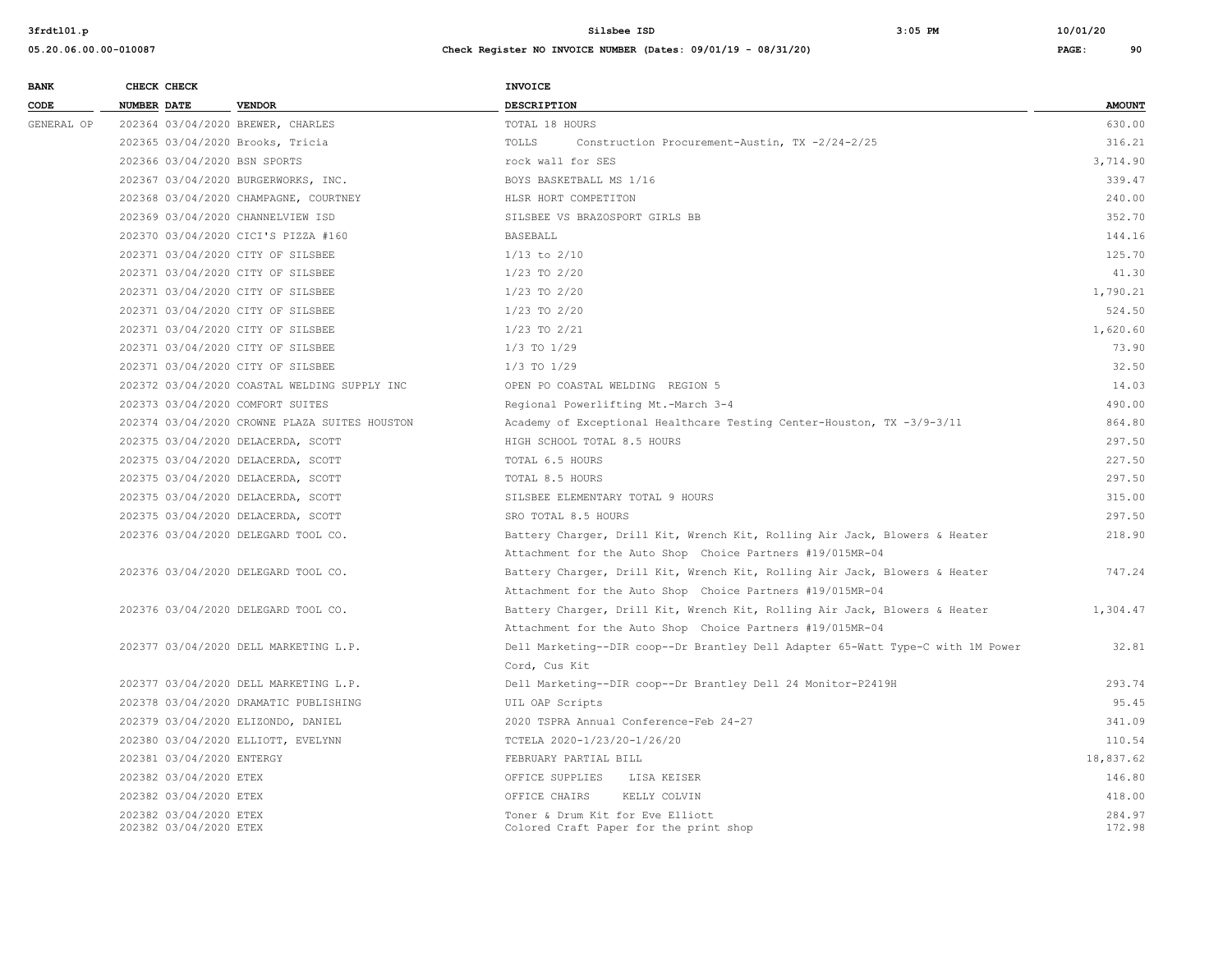| <b>BANK</b> | CHECK CHECK                                      |                                               | <b>INVOICE</b>                                                                  |                  |
|-------------|--------------------------------------------------|-----------------------------------------------|---------------------------------------------------------------------------------|------------------|
| CODE        | NUMBER DATE                                      | <b>VENDOR</b>                                 | <b>DESCRIPTION</b>                                                              | <b>AMOUNT</b>    |
| GENERAL OP  |                                                  | 202364 03/04/2020 BREWER, CHARLES             | TOTAL 18 HOURS                                                                  | 630.00           |
|             |                                                  | 202365 03/04/2020 Brooks, Tricia              | TOLLS<br>Construction Procurement-Austin, TX -2/24-2/25                         | 316.21           |
|             |                                                  | 202366 03/04/2020 BSN SPORTS                  | rock wall for SES                                                               | 3,714.90         |
|             |                                                  | 202367 03/04/2020 BURGERWORKS, INC.           | BOYS BASKETBALL MS 1/16                                                         | 339.47           |
|             |                                                  | 202368 03/04/2020 CHAMPAGNE, COURTNEY         | HLSR HORT COMPETITON                                                            | 240.00           |
|             |                                                  | 202369 03/04/2020 CHANNELVIEW ISD             | SILSBEE VS BRAZOSPORT GIRLS BB                                                  | 352.70           |
|             |                                                  | 202370 03/04/2020 CICI'S PIZZA #160           | <b>BASEBALL</b>                                                                 | 144.16           |
|             |                                                  | 202371 03/04/2020 CITY OF SILSBEE             | $1/13$ to $2/10$                                                                | 125.70           |
|             |                                                  | 202371 03/04/2020 CITY OF SILSBEE             | 1/23 TO 2/20                                                                    | 41.30            |
|             |                                                  | 202371 03/04/2020 CITY OF SILSBEE             | $1/23$ TO $2/20$                                                                | 1,790.21         |
|             |                                                  | 202371 03/04/2020 CITY OF SILSBEE             | $1/23$ TO $2/20$                                                                | 524.50           |
|             |                                                  | 202371 03/04/2020 CITY OF SILSBEE             | $1/23$ TO $2/21$                                                                | 1,620.60         |
|             |                                                  | 202371 03/04/2020 CITY OF SILSBEE             | $1/3$ TO $1/29$                                                                 | 73.90            |
|             |                                                  | 202371 03/04/2020 CITY OF SILSBEE             | $1/3$ TO $1/29$                                                                 | 32.50            |
|             |                                                  | 202372 03/04/2020 COASTAL WELDING SUPPLY INC  | OPEN PO COASTAL WELDING REGION 5                                                | 14.03            |
|             |                                                  | 202373 03/04/2020 COMFORT SUITES              | Regional Powerlifting Mt.-March 3-4                                             | 490.00           |
|             |                                                  | 202374 03/04/2020 CROWNE PLAZA SUITES HOUSTON | Academy of Exceptional Healthcare Testing Center-Houston, TX -3/9-3/11          | 864.80           |
|             |                                                  | 202375 03/04/2020 DELACERDA, SCOTT            | HIGH SCHOOL TOTAL 8.5 HOURS                                                     | 297.50           |
|             |                                                  | 202375 03/04/2020 DELACERDA, SCOTT            | TOTAL 6.5 HOURS                                                                 | 227.50           |
|             |                                                  | 202375 03/04/2020 DELACERDA, SCOTT            | TOTAL 8.5 HOURS                                                                 | 297.50           |
|             |                                                  | 202375 03/04/2020 DELACERDA, SCOTT            | SILSBEE ELEMENTARY TOTAL 9 HOURS                                                | 315.00           |
|             |                                                  | 202375 03/04/2020 DELACERDA, SCOTT            | SRO TOTAL 8.5 HOURS                                                             | 297.50           |
|             |                                                  | 202376 03/04/2020 DELEGARD TOOL CO.           | Battery Charger, Drill Kit, Wrench Kit, Rolling Air Jack, Blowers & Heater      | 218.90           |
|             |                                                  |                                               | Attachment for the Auto Shop Choice Partners #19/015MR-04                       |                  |
|             |                                                  | 202376 03/04/2020 DELEGARD TOOL CO.           | Battery Charger, Drill Kit, Wrench Kit, Rolling Air Jack, Blowers & Heater      | 747.24           |
|             |                                                  |                                               | Attachment for the Auto Shop Choice Partners #19/015MR-04                       |                  |
|             |                                                  | 202376 03/04/2020 DELEGARD TOOL CO.           | Battery Charger, Drill Kit, Wrench Kit, Rolling Air Jack, Blowers & Heater      | 1,304.47         |
|             |                                                  |                                               | Attachment for the Auto Shop Choice Partners #19/015MR-04                       |                  |
|             |                                                  | 202377 03/04/2020 DELL MARKETING L.P.         | Dell Marketing--DIR coop--Dr Brantley Dell Adapter 65-Watt Type-C with 1M Power | 32.81            |
|             |                                                  |                                               | Cord, Cus Kit                                                                   |                  |
|             |                                                  | 202377 03/04/2020 DELL MARKETING L.P.         | Dell Marketing--DIR coop--Dr Brantley Dell 24 Monitor-P2419H                    | 293.74           |
|             |                                                  | 202378 03/04/2020 DRAMATIC PUBLISHING         | UIL OAP Scripts                                                                 | 95.45            |
|             |                                                  | 202379 03/04/2020 ELIZONDO, DANIEL            | 2020 TSPRA Annual Conference-Feb 24-27                                          | 341.09           |
|             |                                                  | 202380 03/04/2020 ELLIOTT, EVELYNN            | TCTELA 2020-1/23/20-1/26/20                                                     | 110.54           |
|             | 202381 03/04/2020 ENTERGY                        |                                               | FEBRUARY PARTIAL BILL                                                           | 18,837.62        |
|             | 202382 03/04/2020 ETEX                           |                                               | OFFICE SUPPLIES<br>LISA KEISER                                                  | 146.80           |
|             | 202382 03/04/2020 ETEX                           |                                               | OFFICE CHAIRS<br>KELLY COLVIN                                                   | 418.00           |
|             | 202382 03/04/2020 ETEX<br>202382 03/04/2020 ETEX |                                               | Toner & Drum Kit for Eve Elliott<br>Colored Craft Paper for the print shop      | 284.97<br>172.98 |
|             |                                                  |                                               |                                                                                 |                  |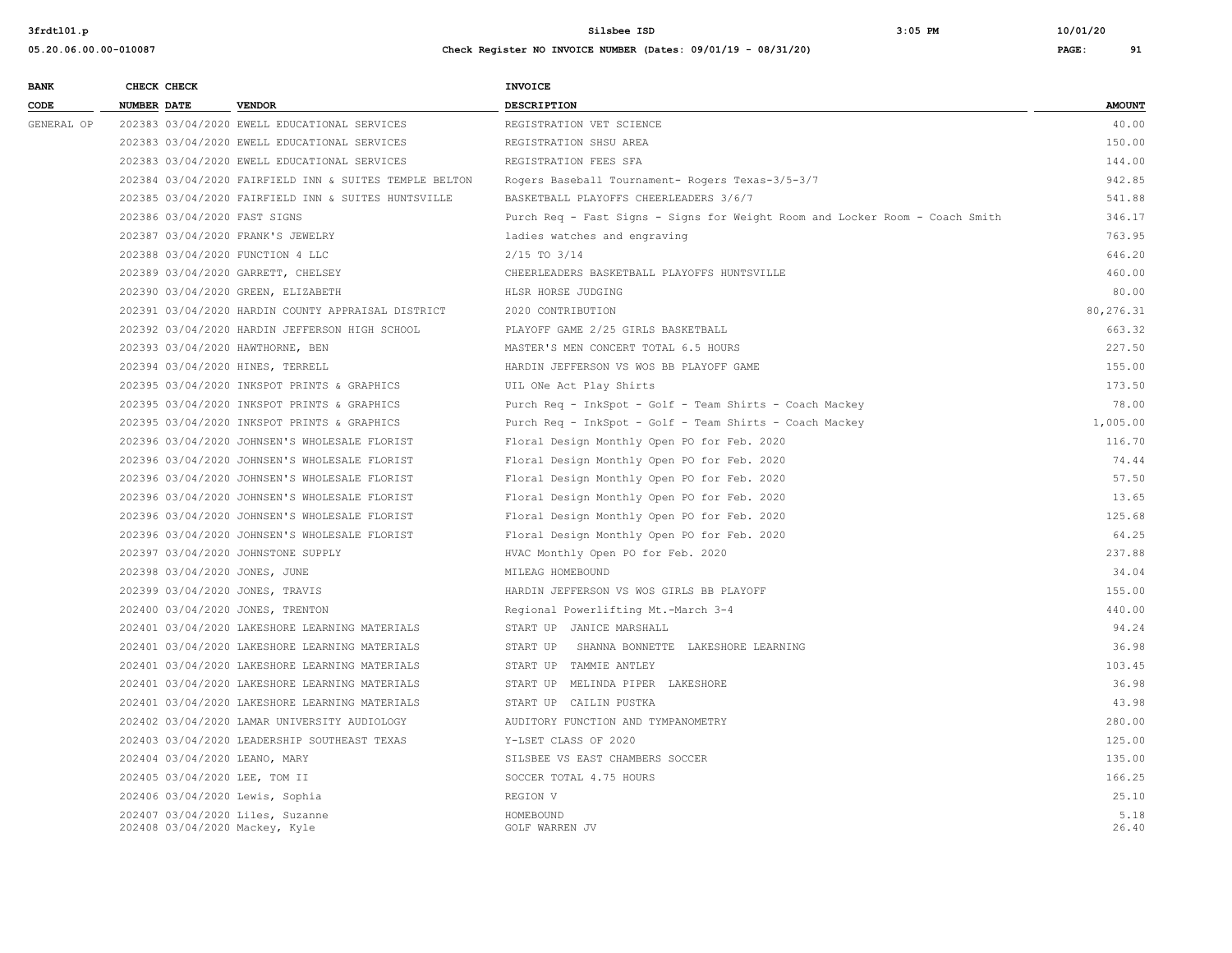| <b>BANK</b> |                    | CHECK CHECK |                                                        | <b>INVOICE</b>                                                               |               |
|-------------|--------------------|-------------|--------------------------------------------------------|------------------------------------------------------------------------------|---------------|
| CODE        | <b>NUMBER DATE</b> |             | <b>VENDOR</b>                                          | <b>DESCRIPTION</b>                                                           | <b>AMOUNT</b> |
| GENERAL OP  |                    |             | 202383 03/04/2020 EWELL EDUCATIONAL SERVICES           | REGISTRATION VET SCIENCE                                                     | 40.00         |
|             |                    |             | 202383 03/04/2020 EWELL EDUCATIONAL SERVICES           | REGISTRATION SHSU AREA                                                       | 150.00        |
|             |                    |             | 202383 03/04/2020 EWELL EDUCATIONAL SERVICES           | REGISTRATION FEES SFA                                                        | 144.00        |
|             |                    |             | 202384 03/04/2020 FAIRFIELD INN & SUITES TEMPLE BELTON | Rogers Baseball Tournament- Rogers Texas-3/5-3/7                             | 942.85        |
|             |                    |             | 202385 03/04/2020 FAIRFIELD INN & SUITES HUNTSVILLE    | BASKETBALL PLAYOFFS CHEERLEADERS 3/6/7                                       | 541.88        |
|             |                    |             | 202386 03/04/2020 FAST SIGNS                           | Purch Req - Fast Signs - Signs for Weight Room and Locker Room - Coach Smith | 346.17        |
|             |                    |             | 202387 03/04/2020 FRANK'S JEWELRY                      | ladies watches and engraving                                                 | 763.95        |
|             |                    |             | 202388 03/04/2020 FUNCTION 4 LLC                       | $2/15$ TO $3/14$                                                             | 646.20        |
|             |                    |             | 202389 03/04/2020 GARRETT, CHELSEY                     | CHEERLEADERS BASKETBALL PLAYOFFS HUNTSVILLE                                  | 460.00        |
|             |                    |             | 202390 03/04/2020 GREEN, ELIZABETH                     | HLSR HORSE JUDGING                                                           | 80.00         |
|             |                    |             | 202391 03/04/2020 HARDIN COUNTY APPRAISAL DISTRICT     | 2020 CONTRIBUTION                                                            | 80, 276.31    |
|             |                    |             | 202392 03/04/2020 HARDIN JEFFERSON HIGH SCHOOL         | PLAYOFF GAME 2/25 GIRLS BASKETBALL                                           | 663.32        |
|             |                    |             | 202393 03/04/2020 HAWTHORNE, BEN                       | MASTER'S MEN CONCERT TOTAL 6.5 HOURS                                         | 227.50        |
|             |                    |             | 202394 03/04/2020 HINES, TERRELL                       | HARDIN JEFFERSON VS WOS BB PLAYOFF GAME                                      | 155.00        |
|             |                    |             | 202395 03/04/2020 INKSPOT PRINTS & GRAPHICS            | UIL ONe Act Play Shirts                                                      | 173.50        |
|             |                    |             | 202395 03/04/2020 INKSPOT PRINTS & GRAPHICS            | Purch Req - InkSpot - Golf - Team Shirts - Coach Mackey                      | 78.00         |
|             |                    |             | 202395 03/04/2020 INKSPOT PRINTS & GRAPHICS            | Purch Req - InkSpot - Golf - Team Shirts - Coach Mackey                      | 1,005.00      |
|             |                    |             | 202396 03/04/2020 JOHNSEN'S WHOLESALE FLORIST          | Floral Design Monthly Open PO for Feb. 2020                                  | 116.70        |
|             |                    |             | 202396 03/04/2020 JOHNSEN'S WHOLESALE FLORIST          | Floral Design Monthly Open PO for Feb. 2020                                  | 74.44         |
|             |                    |             | 202396 03/04/2020 JOHNSEN'S WHOLESALE FLORIST          | Floral Design Monthly Open PO for Feb. 2020                                  | 57.50         |
|             |                    |             | 202396 03/04/2020 JOHNSEN'S WHOLESALE FLORIST          | Floral Design Monthly Open PO for Feb. 2020                                  | 13.65         |
|             |                    |             | 202396 03/04/2020 JOHNSEN'S WHOLESALE FLORIST          | Floral Design Monthly Open PO for Feb. 2020                                  | 125.68        |
|             |                    |             | 202396 03/04/2020 JOHNSEN'S WHOLESALE FLORIST          | Floral Design Monthly Open PO for Feb. 2020                                  | 64.25         |
|             |                    |             | 202397 03/04/2020 JOHNSTONE SUPPLY                     | HVAC Monthly Open PO for Feb. 2020                                           | 237.88        |
|             |                    |             | 202398 03/04/2020 JONES, JUNE                          | MILEAG HOMEBOUND                                                             | 34.04         |
|             |                    |             | 202399 03/04/2020 JONES, TRAVIS                        | HARDIN JEFFERSON VS WOS GIRLS BB PLAYOFF                                     | 155.00        |
|             |                    |             | 202400 03/04/2020 JONES, TRENTON                       | Regional Powerlifting Mt.-March 3-4                                          | 440.00        |
|             |                    |             | 202401 03/04/2020 LAKESHORE LEARNING MATERIALS         | START UP JANICE MARSHALL                                                     | 94.24         |
|             |                    |             | 202401 03/04/2020 LAKESHORE LEARNING MATERIALS         | SHANNA BONNETTE LAKESHORE LEARNING<br>START UP                               | 36.98         |
|             |                    |             | 202401 03/04/2020 LAKESHORE LEARNING MATERIALS         | START UP TAMMIE ANTLEY                                                       | 103.45        |
|             |                    |             | 202401 03/04/2020 LAKESHORE LEARNING MATERIALS         | START UP MELINDA PIPER LAKESHORE                                             | 36.98         |
|             |                    |             | 202401 03/04/2020 LAKESHORE LEARNING MATERIALS         | START UP CAILIN PUSTKA                                                       | 43.98         |
|             |                    |             | 202402 03/04/2020 LAMAR UNIVERSITY AUDIOLOGY           | AUDITORY FUNCTION AND TYMPANOMETRY                                           | 280.00        |
|             |                    |             | 202403 03/04/2020 LEADERSHIP SOUTHEAST TEXAS           | Y-LSET CLASS OF 2020                                                         | 125.00        |
|             |                    |             | 202404 03/04/2020 LEANO, MARY                          | SILSBEE VS EAST CHAMBERS SOCCER                                              | 135.00        |
|             |                    |             | 202405 03/04/2020 LEE, TOM II                          | SOCCER TOTAL 4.75 HOURS                                                      | 166.25        |
|             |                    |             | 202406 03/04/2020 Lewis, Sophia                        | REGION V                                                                     | 25.10         |
|             |                    |             | 202407 03/04/2020 Liles, Suzanne                       | HOMEBOUND                                                                    | 5.18          |
|             |                    |             | 202408 03/04/2020 Mackey, Kyle                         | GOLF WARREN JV                                                               | 26.40         |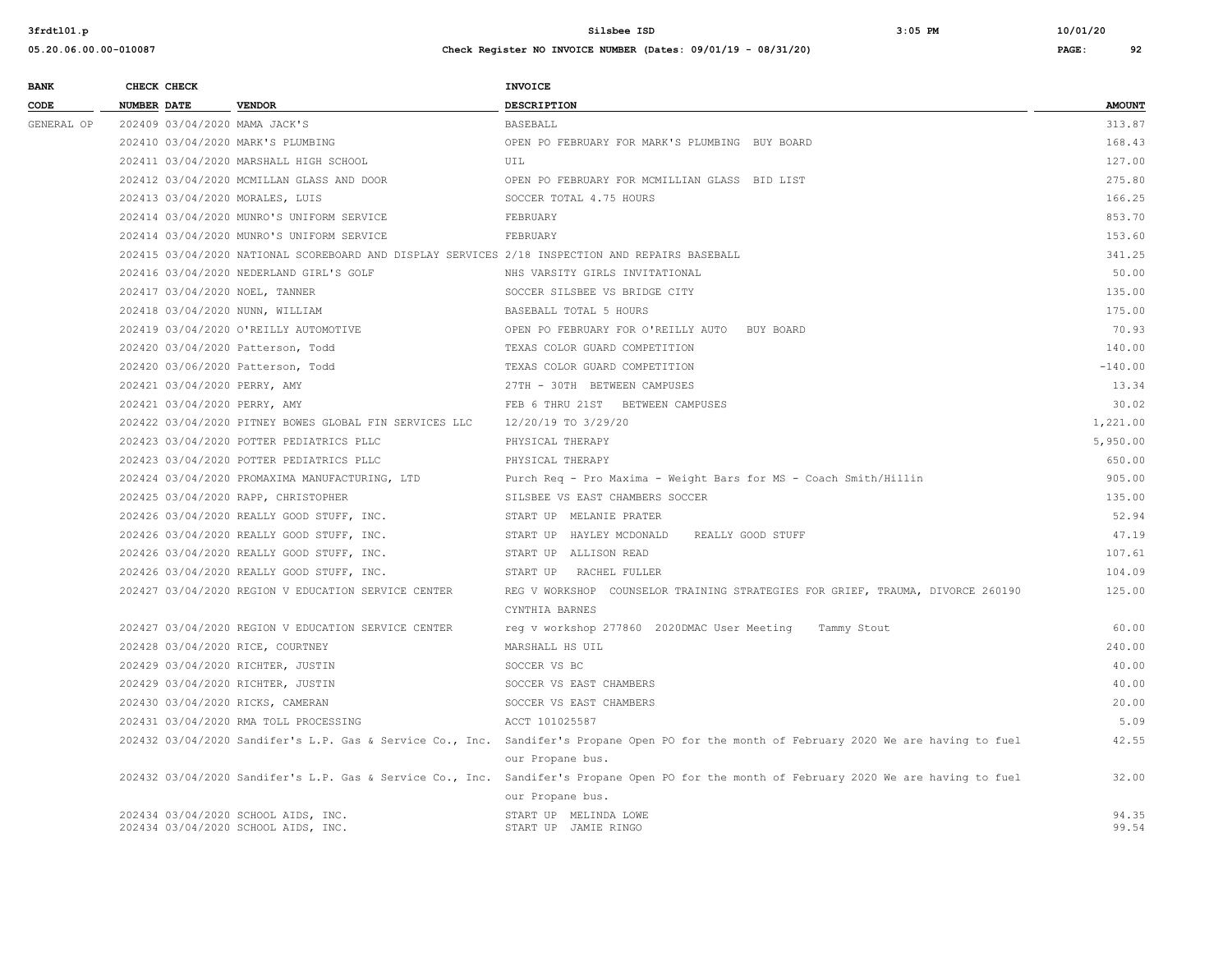| <b>BANK</b> |                    | CHECK CHECK                  |                                                                                                 | INVOICE                                                                                                                                                       |               |
|-------------|--------------------|------------------------------|-------------------------------------------------------------------------------------------------|---------------------------------------------------------------------------------------------------------------------------------------------------------------|---------------|
| CODE        | <b>NUMBER DATE</b> |                              | <b>VENDOR</b>                                                                                   | <b>DESCRIPTION</b>                                                                                                                                            | <b>AMOUNT</b> |
| GENERAL OP  |                    |                              | 202409 03/04/2020 MAMA JACK'S                                                                   | <b>BASEBALL</b>                                                                                                                                               | 313.87        |
|             |                    |                              | 202410 03/04/2020 MARK'S PLUMBING                                                               | OPEN PO FEBRUARY FOR MARK'S PLUMBING BUY BOARD                                                                                                                | 168.43        |
|             |                    |                              | 202411 03/04/2020 MARSHALL HIGH SCHOOL                                                          | UIL                                                                                                                                                           | 127.00        |
|             |                    |                              | 202412 03/04/2020 MCMILLAN GLASS AND DOOR                                                       | OPEN PO FEBRUARY FOR MCMILLIAN GLASS BID LIST                                                                                                                 | 275.80        |
|             |                    |                              | 202413 03/04/2020 MORALES, LUIS                                                                 | SOCCER TOTAL 4.75 HOURS                                                                                                                                       | 166.25        |
|             |                    |                              | 202414 03/04/2020 MUNRO'S UNIFORM SERVICE                                                       | FEBRUARY                                                                                                                                                      | 853.70        |
|             |                    |                              | 202414 03/04/2020 MUNRO'S UNIFORM SERVICE                                                       | FEBRUARY                                                                                                                                                      | 153.60        |
|             |                    |                              | 202415 03/04/2020 NATIONAL SCOREBOARD AND DISPLAY SERVICES 2/18 INSPECTION AND REPAIRS BASEBALL |                                                                                                                                                               | 341.25        |
|             |                    |                              | 202416 03/04/2020 NEDERLAND GIRL'S GOLF                                                         | NHS VARSITY GIRLS INVITATIONAL                                                                                                                                | 50.00         |
|             |                    |                              | 202417 03/04/2020 NOEL, TANNER                                                                  | SOCCER SILSBEE VS BRIDGE CITY                                                                                                                                 | 135.00        |
|             |                    |                              | 202418 03/04/2020 NUNN, WILLIAM                                                                 | BASEBALL TOTAL 5 HOURS                                                                                                                                        | 175.00        |
|             |                    |                              | 202419 03/04/2020 O'REILLY AUTOMOTIVE                                                           | OPEN PO FEBRUARY FOR O'REILLY AUTO<br>BUY BOARD                                                                                                               | 70.93         |
|             |                    |                              | 202420 03/04/2020 Patterson, Todd                                                               | TEXAS COLOR GUARD COMPETITION                                                                                                                                 | 140.00        |
|             |                    |                              | 202420 03/06/2020 Patterson, Todd                                                               | TEXAS COLOR GUARD COMPETITION                                                                                                                                 | $-140.00$     |
|             |                    | 202421 03/04/2020 PERRY, AMY |                                                                                                 | 27TH - 30TH BETWEEN CAMPUSES                                                                                                                                  | 13.34         |
|             |                    | 202421 03/04/2020 PERRY, AMY |                                                                                                 | FEB 6 THRU 21ST BETWEEN CAMPUSES                                                                                                                              | 30.02         |
|             |                    |                              | 202422 03/04/2020 PITNEY BOWES GLOBAL FIN SERVICES LLC                                          | 12/20/19 TO 3/29/20                                                                                                                                           | 1,221.00      |
|             |                    |                              | 202423 03/04/2020 POTTER PEDIATRICS PLLC                                                        | PHYSICAL THERAPY                                                                                                                                              | 5,950.00      |
|             |                    |                              | 202423 03/04/2020 POTTER PEDIATRICS PLLC                                                        | PHYSICAL THERAPY                                                                                                                                              | 650.00        |
|             |                    |                              | 202424 03/04/2020 PROMAXIMA MANUFACTURING, LTD                                                  | Purch Req - Pro Maxima - Weight Bars for MS - Coach Smith/Hillin                                                                                              | 905.00        |
|             |                    |                              | 202425 03/04/2020 RAPP, CHRISTOPHER                                                             | SILSBEE VS EAST CHAMBERS SOCCER                                                                                                                               | 135.00        |
|             |                    |                              | 202426 03/04/2020 REALLY GOOD STUFF, INC.                                                       | START UP MELANIE PRATER                                                                                                                                       | 52.94         |
|             |                    |                              | 202426 03/04/2020 REALLY GOOD STUFF, INC.                                                       | START UP HAYLEY MCDONALD<br>REALLY GOOD STUFF                                                                                                                 | 47.19         |
|             |                    |                              | 202426 03/04/2020 REALLY GOOD STUFF, INC.                                                       | START UP ALLISON READ                                                                                                                                         | 107.61        |
|             |                    |                              | 202426 03/04/2020 REALLY GOOD STUFF, INC.                                                       | START UP RACHEL FULLER                                                                                                                                        | 104.09        |
|             |                    |                              | 202427 03/04/2020 REGION V EDUCATION SERVICE CENTER                                             | REG V WORKSHOP COUNSELOR TRAINING STRATEGIES FOR GRIEF, TRAUMA, DIVORCE 260190<br>CYNTHIA BARNES                                                              | 125.00        |
|             |                    |                              | 202427 03/04/2020 REGION V EDUCATION SERVICE CENTER                                             | req v workshop 277860 2020DMAC User Meeting Tammy Stout                                                                                                       | 60.00         |
|             |                    |                              | 202428 03/04/2020 RICE, COURTNEY                                                                | MARSHALL HS UIL                                                                                                                                               | 240.00        |
|             |                    |                              | 202429 03/04/2020 RICHTER, JUSTIN                                                               | SOCCER VS BC                                                                                                                                                  | 40.00         |
|             |                    |                              | 202429 03/04/2020 RICHTER, JUSTIN                                                               | SOCCER VS EAST CHAMBERS                                                                                                                                       | 40.00         |
|             |                    |                              | 202430 03/04/2020 RICKS, CAMERAN                                                                | SOCCER VS EAST CHAMBERS                                                                                                                                       | 20.00         |
|             |                    |                              | 202431 03/04/2020 RMA TOLL PROCESSING                                                           | ACCT 101025587                                                                                                                                                | 5.09          |
|             |                    |                              |                                                                                                 | 202432 03/04/2020 Sandifer's L.P. Gas & Service Co., Inc. Sandifer's Propane Open PO for the month of February 2020 We are having to fuel                     | 42.55         |
|             |                    |                              |                                                                                                 | our Propane bus.                                                                                                                                              |               |
|             |                    |                              |                                                                                                 | 202432 03/04/2020 Sandifer's L.P. Gas & Service Co., Inc. Sandifer's Propane Open PO for the month of February 2020 We are having to fuel<br>our Propane bus. | 32.00         |
|             |                    |                              | 202434 03/04/2020 SCHOOL AIDS, INC.                                                             | START UP MELINDA LOWE                                                                                                                                         | 94.35         |
|             |                    |                              | 202434 03/04/2020 SCHOOL AIDS, INC.                                                             | START UP JAMIE RINGO                                                                                                                                          | 99.54         |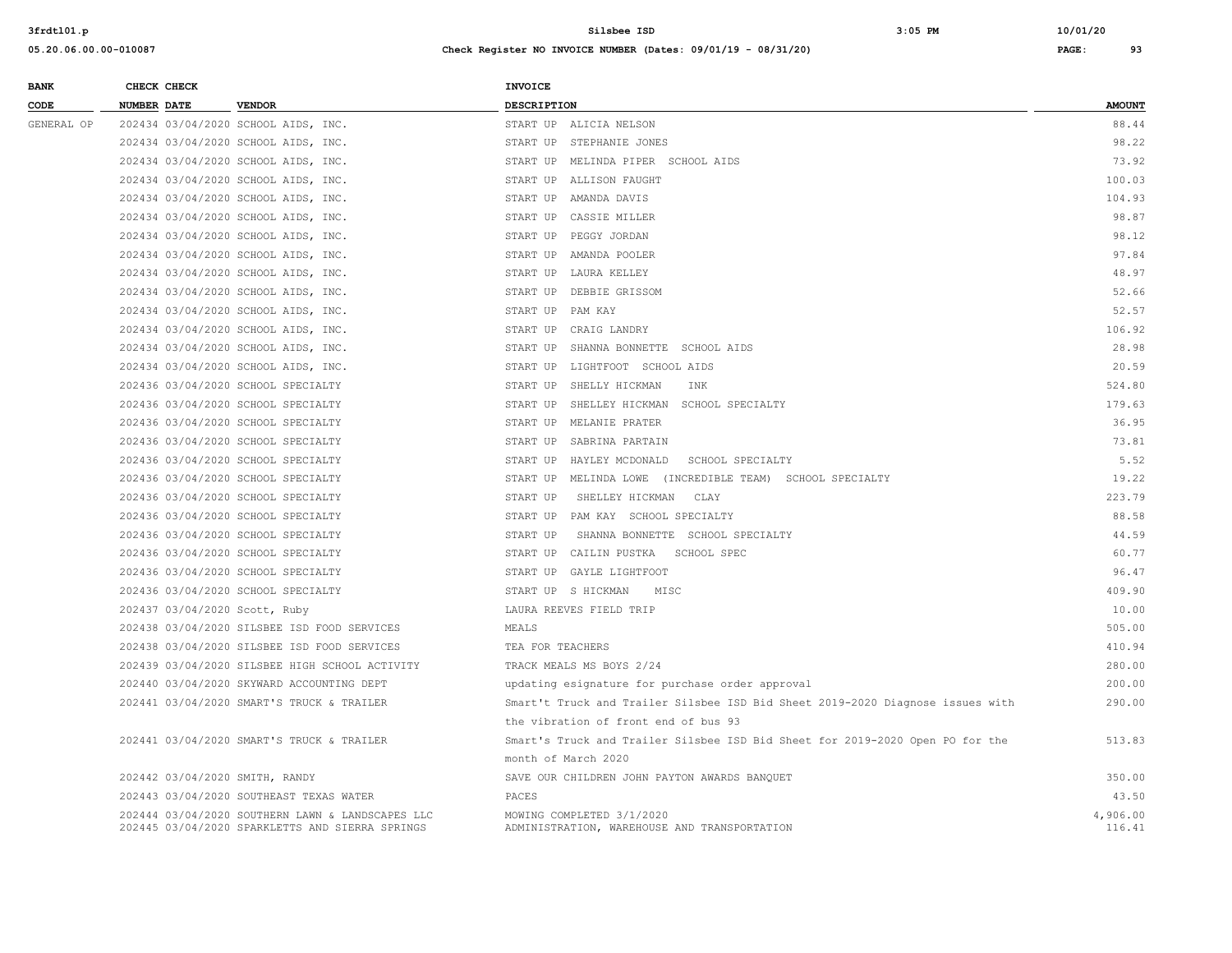| <b>BANK</b> | CHECK CHECK                    |                                                                                                     | <b>INVOICE</b>                                                                 |                    |
|-------------|--------------------------------|-----------------------------------------------------------------------------------------------------|--------------------------------------------------------------------------------|--------------------|
| CODE        | NUMBER DATE                    | <b>VENDOR</b>                                                                                       | <b>DESCRIPTION</b>                                                             | <b>AMOUNT</b>      |
| GENERAL OP  |                                | 202434 03/04/2020 SCHOOL AIDS, INC.                                                                 | START UP ALICIA NELSON                                                         | 88.44              |
|             |                                | 202434 03/04/2020 SCHOOL AIDS, INC.                                                                 | START UP STEPHANIE JONES                                                       | 98.22              |
|             |                                | 202434 03/04/2020 SCHOOL AIDS, INC.                                                                 | START UP MELINDA PIPER SCHOOL AIDS                                             | 73.92              |
|             |                                | 202434 03/04/2020 SCHOOL AIDS, INC.                                                                 | START UP ALLISON FAUGHT                                                        | 100.03             |
|             |                                | 202434 03/04/2020 SCHOOL AIDS, INC.                                                                 | START UP AMANDA DAVIS                                                          | 104.93             |
|             |                                | 202434 03/04/2020 SCHOOL AIDS, INC.                                                                 | START UP CASSIE MILLER                                                         | 98.87              |
|             |                                | 202434 03/04/2020 SCHOOL AIDS, INC.                                                                 | START UP PEGGY JORDAN                                                          | 98.12              |
|             |                                | 202434 03/04/2020 SCHOOL AIDS, INC.                                                                 | START UP AMANDA POOLER                                                         | 97.84              |
|             |                                | 202434 03/04/2020 SCHOOL AIDS, INC.                                                                 | START UP LAURA KELLEY                                                          | 48.97              |
|             |                                | 202434 03/04/2020 SCHOOL AIDS, INC.                                                                 | START UP DEBBIE GRISSOM                                                        | 52.66              |
|             |                                | 202434 03/04/2020 SCHOOL AIDS, INC.                                                                 | START UP PAM KAY                                                               | 52.57              |
|             |                                | 202434 03/04/2020 SCHOOL AIDS, INC.                                                                 | START UP CRAIG LANDRY                                                          | 106.92             |
|             |                                | 202434 03/04/2020 SCHOOL AIDS, INC.                                                                 | START UP SHANNA BONNETTE SCHOOL AIDS                                           | 28.98              |
|             |                                | 202434 03/04/2020 SCHOOL AIDS, INC.                                                                 | START UP LIGHTFOOT SCHOOL AIDS                                                 | 20.59              |
|             |                                | 202436 03/04/2020 SCHOOL SPECIALTY                                                                  | START UP<br>SHELLY HICKMAN<br>INK                                              | 524.80             |
|             |                                | 202436 03/04/2020 SCHOOL SPECIALTY                                                                  | START UP SHELLEY HICKMAN SCHOOL SPECIALTY                                      | 179.63             |
|             |                                | 202436 03/04/2020 SCHOOL SPECIALTY                                                                  | START UP MELANIE PRATER                                                        | 36.95              |
|             |                                | 202436 03/04/2020 SCHOOL SPECIALTY                                                                  | START UP SABRINA PARTAIN                                                       | 73.81              |
|             |                                | 202436 03/04/2020 SCHOOL SPECIALTY                                                                  | START UP HAYLEY MCDONALD<br>SCHOOL SPECIALTY                                   | 5.52               |
|             |                                | 202436 03/04/2020 SCHOOL SPECIALTY                                                                  | START UP MELINDA LOWE (INCREDIBLE TEAM) SCHOOL SPECIALTY                       | 19.22              |
|             |                                | 202436 03/04/2020 SCHOOL SPECIALTY                                                                  | START UP<br>SHELLEY HICKMAN<br>CLAY                                            | 223.79             |
|             |                                | 202436 03/04/2020 SCHOOL SPECIALTY                                                                  | START UP PAM KAY SCHOOL SPECIALTY                                              | 88.58              |
|             |                                | 202436 03/04/2020 SCHOOL SPECIALTY                                                                  | START UP<br>SHANNA BONNETTE SCHOOL SPECIALTY                                   | 44.59              |
|             |                                | 202436 03/04/2020 SCHOOL SPECIALTY                                                                  | START UP CAILIN PUSTKA SCHOOL SPEC                                             | 60.77              |
|             |                                | 202436 03/04/2020 SCHOOL SPECIALTY                                                                  | START UP GAYLE LIGHTFOOT                                                       | 96.47              |
|             |                                | 202436 03/04/2020 SCHOOL SPECIALTY                                                                  | START UP S HICKMAN<br>MISC                                                     | 409.90             |
|             | 202437 03/04/2020 Scott, Ruby  |                                                                                                     | LAURA REEVES FIELD TRIP                                                        | 10.00              |
|             |                                | 202438 03/04/2020 SILSBEE ISD FOOD SERVICES                                                         | MEALS                                                                          | 505.00             |
|             |                                | 202438 03/04/2020 SILSBEE ISD FOOD SERVICES                                                         | TEA FOR TEACHERS                                                               | 410.94             |
|             |                                | 202439 03/04/2020 SILSBEE HIGH SCHOOL ACTIVITY                                                      | TRACK MEALS MS BOYS 2/24                                                       | 280.00             |
|             |                                | 202440 03/04/2020 SKYWARD ACCOUNTING DEPT                                                           | updating esignature for purchase order approval                                | 200.00             |
|             |                                | 202441 03/04/2020 SMART'S TRUCK & TRAILER                                                           | Smart't Truck and Trailer Silsbee ISD Bid Sheet 2019-2020 Diagnose issues with | 290.00             |
|             |                                |                                                                                                     | the vibration of front end of bus 93                                           |                    |
|             |                                | 202441 03/04/2020 SMART'S TRUCK & TRAILER                                                           | Smart's Truck and Trailer Silsbee ISD Bid Sheet for 2019-2020 Open PO for the  | 513.83             |
|             |                                |                                                                                                     | month of March 2020                                                            |                    |
|             | 202442 03/04/2020 SMITH, RANDY |                                                                                                     | SAVE OUR CHILDREN JOHN PAYTON AWARDS BANQUET                                   | 350.00             |
|             |                                | 202443 03/04/2020 SOUTHEAST TEXAS WATER                                                             | PACES                                                                          | 43.50              |
|             |                                | 202444 03/04/2020 SOUTHERN LAWN & LANDSCAPES LLC<br>202445 03/04/2020 SPARKLETTS AND SIERRA SPRINGS | MOWING COMPLETED 3/1/2020<br>ADMINISTRATION, WAREHOUSE AND TRANSPORTATION      | 4,906.00<br>116.41 |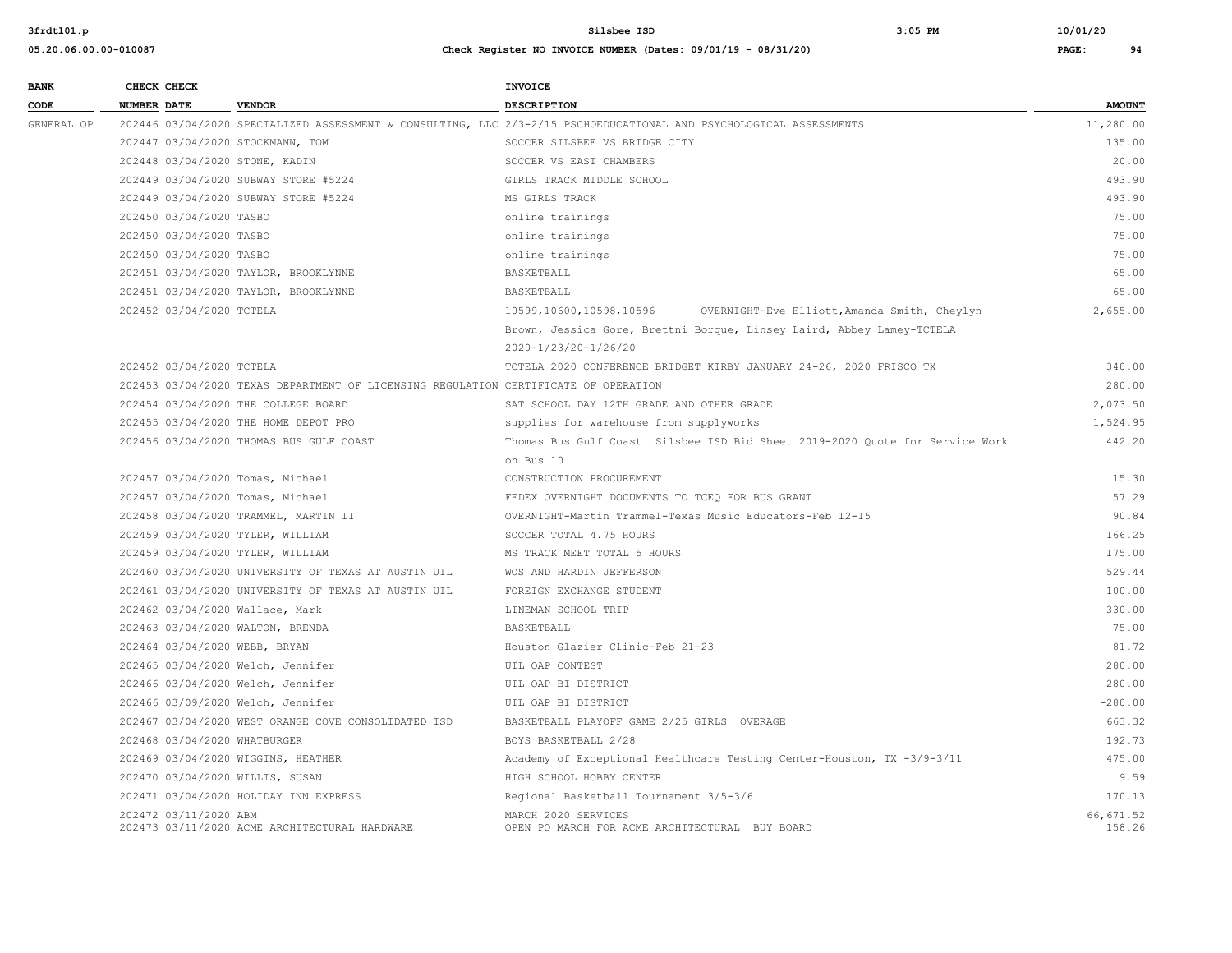| <b>BANK</b> | CHECK CHECK                     |                                                                                     | <b>INVOICE</b>                                                                                                     |                     |
|-------------|---------------------------------|-------------------------------------------------------------------------------------|--------------------------------------------------------------------------------------------------------------------|---------------------|
| CODE        | <b>NUMBER DATE</b>              | <b>VENDOR</b>                                                                       | <b>DESCRIPTION</b>                                                                                                 | <b>AMOUNT</b>       |
| GENERAL OP  |                                 |                                                                                     | 202446 03/04/2020 SPECIALIZED ASSESSMENT & CONSULTING, LLC 2/3-2/15 PSCHOEDUCATIONAL AND PSYCHOLOGICAL ASSESSMENTS | 11,280.00           |
|             |                                 | 202447 03/04/2020 STOCKMANN, TOM                                                    | SOCCER SILSBEE VS BRIDGE CITY                                                                                      | 135.00              |
|             | 202448 03/04/2020 STONE, KADIN  |                                                                                     | SOCCER VS EAST CHAMBERS                                                                                            | 20.00               |
|             |                                 | 202449 03/04/2020 SUBWAY STORE #5224                                                | GIRLS TRACK MIDDLE SCHOOL                                                                                          | 493.90              |
|             |                                 | 202449 03/04/2020 SUBWAY STORE #5224                                                | MS GIRLS TRACK                                                                                                     | 493.90              |
|             | 202450 03/04/2020 TASBO         |                                                                                     | online trainings                                                                                                   | 75.00               |
|             | 202450 03/04/2020 TASBO         |                                                                                     | online trainings                                                                                                   | 75.00               |
|             | 202450 03/04/2020 TASBO         |                                                                                     | online trainings                                                                                                   | 75.00               |
|             |                                 | 202451 03/04/2020 TAYLOR, BROOKLYNNE                                                | BASKETBALL                                                                                                         | 65.00               |
|             |                                 | 202451 03/04/2020 TAYLOR, BROOKLYNNE                                                | BASKETBALL                                                                                                         | 65.00               |
|             | 202452 03/04/2020 TCTELA        |                                                                                     | 10599,10600,10598,10596<br>OVERNIGHT-Eve Elliott, Amanda Smith, Cheylyn                                            | 2,655.00            |
|             |                                 |                                                                                     | Brown, Jessica Gore, Brettni Borque, Linsey Laird, Abbey Lamey-TCTELA                                              |                     |
|             |                                 |                                                                                     | 2020-1/23/20-1/26/20                                                                                               |                     |
|             | 202452 03/04/2020 TCTELA        |                                                                                     | TCTELA 2020 CONFERENCE BRIDGET KIRBY JANUARY 24-26, 2020 FRISCO TX                                                 | 340.00              |
|             |                                 | 202453 03/04/2020 TEXAS DEPARTMENT OF LICENSING REGULATION CERTIFICATE OF OPERATION |                                                                                                                    | 280.00              |
|             |                                 | 202454 03/04/2020 THE COLLEGE BOARD                                                 | SAT SCHOOL DAY 12TH GRADE AND OTHER GRADE                                                                          | 2,073.50            |
|             |                                 | 202455 03/04/2020 THE HOME DEPOT PRO                                                | supplies for warehouse from supplyworks                                                                            | 1,524.95            |
|             |                                 | 202456 03/04/2020 THOMAS BUS GULF COAST                                             | Thomas Bus Gulf Coast Silsbee ISD Bid Sheet 2019-2020 Quote for Service Work                                       | 442.20              |
|             |                                 |                                                                                     | on Bus 10                                                                                                          |                     |
|             |                                 | 202457 03/04/2020 Tomas, Michael                                                    | CONSTRUCTION PROCUREMENT                                                                                           | 15.30               |
|             |                                 | 202457 03/04/2020 Tomas, Michael                                                    | FEDEX OVERNIGHT DOCUMENTS TO TCEO FOR BUS GRANT                                                                    | 57.29               |
|             |                                 | 202458 03/04/2020 TRAMMEL, MARTIN II                                                | OVERNIGHT-Martin Trammel-Texas Music Educators-Feb 12-15                                                           | 90.84               |
|             |                                 | 202459 03/04/2020 TYLER, WILLIAM                                                    | SOCCER TOTAL 4.75 HOURS                                                                                            | 166.25              |
|             |                                 | 202459 03/04/2020 TYLER, WILLIAM                                                    | MS TRACK MEET TOTAL 5 HOURS                                                                                        | 175.00              |
|             |                                 | 202460 03/04/2020 UNIVERSITY OF TEXAS AT AUSTIN UIL                                 | WOS AND HARDIN JEFFERSON                                                                                           | 529.44              |
|             |                                 | 202461 03/04/2020 UNIVERSITY OF TEXAS AT AUSTIN UIL                                 | FOREIGN EXCHANGE STUDENT                                                                                           | 100.00              |
|             | 202462 03/04/2020 Wallace, Mark |                                                                                     | LINEMAN SCHOOL TRIP                                                                                                | 330.00              |
|             |                                 | 202463 03/04/2020 WALTON, BRENDA                                                    | BASKETBALL                                                                                                         | 75.00               |
|             | 202464 03/04/2020 WEBB, BRYAN   |                                                                                     | Houston Glazier Clinic-Feb 21-23                                                                                   | 81.72               |
|             |                                 | 202465 03/04/2020 Welch, Jennifer                                                   | UIL OAP CONTEST                                                                                                    | 280.00              |
|             |                                 | 202466 03/04/2020 Welch, Jennifer                                                   | UIL OAP BI DISTRICT                                                                                                | 280.00              |
|             |                                 | 202466 03/09/2020 Welch, Jennifer                                                   | UIL OAP BI DISTRICT                                                                                                | $-280.00$           |
|             |                                 | 202467 03/04/2020 WEST ORANGE COVE CONSOLIDATED ISD                                 | BASKETBALL PLAYOFF GAME 2/25 GIRLS OVERAGE                                                                         | 663.32              |
|             | 202468 03/04/2020 WHATBURGER    |                                                                                     | BOYS BASKETBALL 2/28                                                                                               | 192.73              |
|             |                                 | 202469 03/04/2020 WIGGINS, HEATHER                                                  | Academy of Exceptional Healthcare Testing Center-Houston, TX -3/9-3/11                                             | 475.00              |
|             | 202470 03/04/2020 WILLIS, SUSAN |                                                                                     | HIGH SCHOOL HOBBY CENTER                                                                                           | 9.59                |
|             |                                 | 202471 03/04/2020 HOLIDAY INN EXPRESS                                               | Regional Basketball Tournament 3/5-3/6                                                                             | 170.13              |
|             | 202472 03/11/2020 ABM           | 202473 03/11/2020 ACME ARCHITECTURAL HARDWARE                                       | MARCH 2020 SERVICES<br>OPEN PO MARCH FOR ACME ARCHITECTURAL BUY BOARD                                              | 66,671.52<br>158.26 |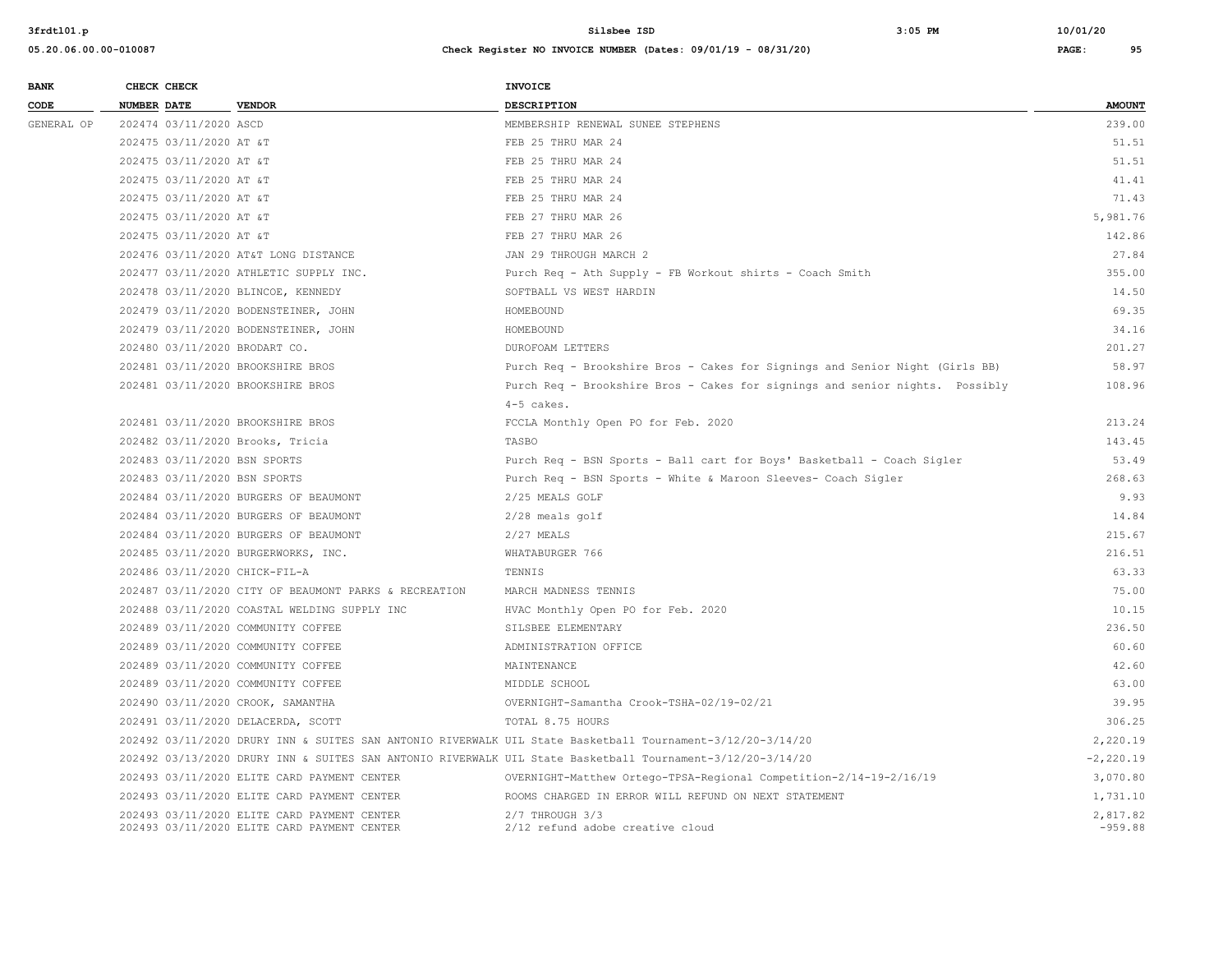| <b>BANK</b> | CHECK CHECK                       |                                                                                            | <b>INVOICE</b>                                                                                             |                       |
|-------------|-----------------------------------|--------------------------------------------------------------------------------------------|------------------------------------------------------------------------------------------------------------|-----------------------|
| CODE        | <b>NUMBER DATE</b>                | <b>VENDOR</b>                                                                              | DESCRIPTION                                                                                                | <b>AMOUNT</b>         |
| GENERAL OP  | 202474 03/11/2020 ASCD            |                                                                                            | MEMBERSHIP RENEWAL SUNEE STEPHENS                                                                          | 239.00                |
|             | 202475 03/11/2020 AT &T           |                                                                                            | FEB 25 THRU MAR 24                                                                                         | 51.51                 |
|             | 202475 03/11/2020 AT &T           |                                                                                            | FEB 25 THRU MAR 24                                                                                         | 51.51                 |
|             | 202475 03/11/2020 AT &T           |                                                                                            | FEB 25 THRU MAR 24                                                                                         | 41.41                 |
|             | 202475 03/11/2020 AT &T           |                                                                                            | FEB 25 THRU MAR 24                                                                                         | 71.43                 |
|             | 202475 03/11/2020 AT &T           |                                                                                            | FEB 27 THRU MAR 26                                                                                         | 5,981.76              |
|             | 202475 03/11/2020 AT &T           |                                                                                            | FEB 27 THRU MAR 26                                                                                         | 142.86                |
|             |                                   | 202476 03/11/2020 AT&T LONG DISTANCE                                                       | JAN 29 THROUGH MARCH 2                                                                                     | 27.84                 |
|             |                                   | 202477 03/11/2020 ATHLETIC SUPPLY INC.                                                     | Purch Req - Ath Supply - FB Workout shirts - Coach Smith                                                   | 355.00                |
|             |                                   | 202478 03/11/2020 BLINCOE, KENNEDY                                                         | SOFTBALL VS WEST HARDIN                                                                                    | 14.50                 |
|             |                                   | 202479 03/11/2020 BODENSTEINER, JOHN                                                       | HOMEBOUND                                                                                                  | 69.35                 |
|             |                                   | 202479 03/11/2020 BODENSTEINER, JOHN                                                       | HOMEBOUND                                                                                                  | 34.16                 |
|             | 202480 03/11/2020 BRODART CO.     |                                                                                            | <b>DUROFOAM LETTERS</b>                                                                                    | 201.27                |
|             | 202481 03/11/2020 BROOKSHIRE BROS |                                                                                            | Purch Req - Brookshire Bros - Cakes for Signings and Senior Night (Girls BB)                               | 58.97                 |
|             | 202481 03/11/2020 BROOKSHIRE BROS |                                                                                            | Purch Req - Brookshire Bros - Cakes for signings and senior nights. Possibly                               | 108.96                |
|             |                                   |                                                                                            | $4-5$ cakes.                                                                                               |                       |
|             | 202481 03/11/2020 BROOKSHIRE BROS |                                                                                            | FCCLA Monthly Open PO for Feb. 2020                                                                        | 213.24                |
|             | 202482 03/11/2020 Brooks, Tricia  |                                                                                            | TASBO                                                                                                      | 143.45                |
|             | 202483 03/11/2020 BSN SPORTS      |                                                                                            | Purch Req - BSN Sports - Ball cart for Boys' Basketball - Coach Sigler                                     | 53.49                 |
|             | 202483 03/11/2020 BSN SPORTS      |                                                                                            | Purch Req - BSN Sports - White & Maroon Sleeves- Coach Sigler                                              | 268.63                |
|             |                                   | 202484 03/11/2020 BURGERS OF BEAUMONT                                                      | 2/25 MEALS GOLF                                                                                            | 9.93                  |
|             |                                   | 202484 03/11/2020 BURGERS OF BEAUMONT                                                      | $2/28$ meals golf                                                                                          | 14.84                 |
|             |                                   | 202484 03/11/2020 BURGERS OF BEAUMONT                                                      | $2/27$ MEALS                                                                                               | 215.67                |
|             |                                   | 202485 03/11/2020 BURGERWORKS, INC.                                                        | WHATABURGER 766                                                                                            | 216.51                |
|             | 202486 03/11/2020 CHICK-FIL-A     |                                                                                            | TENNIS                                                                                                     | 63.33                 |
|             |                                   | 202487 03/11/2020 CITY OF BEAUMONT PARKS & RECREATION                                      | MARCH MADNESS TENNIS                                                                                       | 75.00                 |
|             |                                   | 202488 03/11/2020 COASTAL WELDING SUPPLY INC                                               | HVAC Monthly Open PO for Feb. 2020                                                                         | 10.15                 |
|             |                                   | 202489 03/11/2020 COMMUNITY COFFEE                                                         | SILSBEE ELEMENTARY                                                                                         | 236.50                |
|             |                                   | 202489 03/11/2020 COMMUNITY COFFEE                                                         | ADMINISTRATION OFFICE                                                                                      | 60.60                 |
|             |                                   | 202489 03/11/2020 COMMUNITY COFFEE                                                         | MAINTENANCE                                                                                                | 42.60                 |
|             |                                   | 202489 03/11/2020 COMMUNITY COFFEE                                                         | MIDDLE SCHOOL                                                                                              | 63.00                 |
|             | 202490 03/11/2020 CROOK, SAMANTHA |                                                                                            | OVERNIGHT-Samantha Crook-TSHA-02/19-02/21                                                                  | 39.95                 |
|             |                                   | 202491 03/11/2020 DELACERDA, SCOTT                                                         | TOTAL 8.75 HOURS                                                                                           | 306.25                |
|             |                                   |                                                                                            | 202492 03/11/2020 DRURY INN & SUITES SAN ANTONIO RIVERWALK UIL State Basketball Tournament-3/12/20-3/14/20 | 2,220.19              |
|             |                                   |                                                                                            | 202492 03/13/2020 DRURY INN & SUITES SAN ANTONIO RIVERWALK UIL State Basketball Tournament-3/12/20-3/14/20 | $-2, 220.19$          |
|             |                                   | 202493 03/11/2020 ELITE CARD PAYMENT CENTER                                                | OVERNIGHT-Matthew Ortego-TPSA-Regional Competition-2/14-19-2/16/19                                         | 3,070.80              |
|             |                                   | 202493 03/11/2020 ELITE CARD PAYMENT CENTER                                                | ROOMS CHARGED IN ERROR WILL REFUND ON NEXT STATEMENT                                                       | 1,731.10              |
|             |                                   | 202493 03/11/2020 ELITE CARD PAYMENT CENTER<br>202493 03/11/2020 ELITE CARD PAYMENT CENTER | 2/7 THROUGH 3/3<br>2/12 refund adobe creative cloud                                                        | 2.817.82<br>$-959.88$ |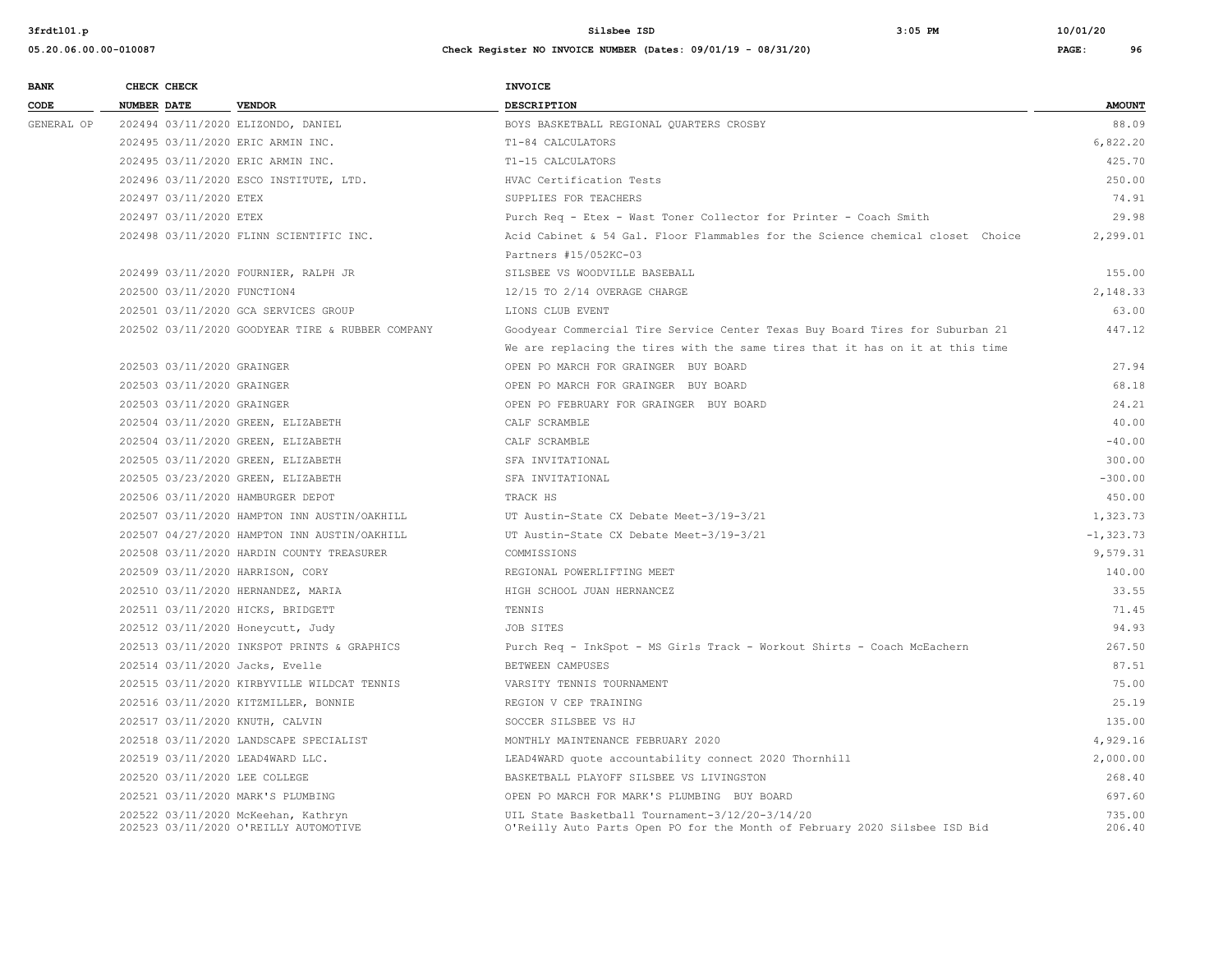| <b>BANK</b> | CHECK CHECK                       |                                                                              | <b>INVOICE</b>                                                                                                                |                  |
|-------------|-----------------------------------|------------------------------------------------------------------------------|-------------------------------------------------------------------------------------------------------------------------------|------------------|
| CODE        | <b>NUMBER DATE</b>                | <b>VENDOR</b>                                                                | <b>DESCRIPTION</b>                                                                                                            | <b>AMOUNT</b>    |
| GENERAL OP  |                                   | 202494 03/11/2020 ELIZONDO, DANIEL                                           | BOYS BASKETBALL REGIONAL QUARTERS CROSBY                                                                                      | 88.09            |
|             | 202495 03/11/2020 ERIC ARMIN INC. |                                                                              | T1-84 CALCULATORS                                                                                                             | 6.822.20         |
|             | 202495 03/11/2020 ERIC ARMIN INC. |                                                                              | T1-15 CALCULATORS                                                                                                             | 425.70           |
|             |                                   | 202496 03/11/2020 ESCO INSTITUTE, LTD.                                       | HVAC Certification Tests                                                                                                      | 250.00           |
|             | 202497 03/11/2020 ETEX            |                                                                              | SUPPLIES FOR TEACHERS                                                                                                         | 74.91            |
|             | 202497 03/11/2020 ETEX            |                                                                              | Purch Req - Etex - Wast Toner Collector for Printer - Coach Smith                                                             | 29.98            |
|             |                                   | 202498 03/11/2020 FLINN SCIENTIFIC INC.                                      | Acid Cabinet & 54 Gal. Floor Flammables for the Science chemical closet Choice                                                | 2,299.01         |
|             |                                   |                                                                              | Partners #15/052KC-03                                                                                                         |                  |
|             |                                   | 202499 03/11/2020 FOURNIER, RALPH JR                                         | SILSBEE VS WOODVILLE BASEBALL                                                                                                 | 155.00           |
|             | 202500 03/11/2020 FUNCTION4       |                                                                              | 12/15 TO 2/14 OVERAGE CHARGE                                                                                                  | 2,148.33         |
|             |                                   | 202501 03/11/2020 GCA SERVICES GROUP                                         | LIONS CLUB EVENT                                                                                                              | 63.00            |
|             |                                   | 202502 03/11/2020 GOODYEAR TIRE & RUBBER COMPANY                             | Goodyear Commercial Tire Service Center Texas Buy Board Tires for Suburban 21                                                 | 447.12           |
|             |                                   |                                                                              | We are replacing the tires with the same tires that it has on it at this time                                                 |                  |
|             | 202503 03/11/2020 GRAINGER        |                                                                              | OPEN PO MARCH FOR GRAINGER BUY BOARD                                                                                          | 27.94            |
|             | 202503 03/11/2020 GRAINGER        |                                                                              | OPEN PO MARCH FOR GRAINGER BUY BOARD                                                                                          | 68.18            |
|             | 202503 03/11/2020 GRAINGER        |                                                                              | OPEN PO FEBRUARY FOR GRAINGER BUY BOARD                                                                                       | 24.21            |
|             |                                   | 202504 03/11/2020 GREEN, ELIZABETH                                           | CALF SCRAMBLE                                                                                                                 | 40.00            |
|             |                                   | 202504 03/11/2020 GREEN, ELIZABETH                                           | CALF SCRAMBLE                                                                                                                 | $-40.00$         |
|             |                                   | 202505 03/11/2020 GREEN, ELIZABETH                                           | SFA INVITATIONAL                                                                                                              | 300.00           |
|             |                                   | 202505 03/23/2020 GREEN, ELIZABETH                                           | SFA INVITATIONAL                                                                                                              | $-300.00$        |
|             | 202506 03/11/2020 HAMBURGER DEPOT |                                                                              | TRACK HS                                                                                                                      | 450.00           |
|             |                                   | 202507 03/11/2020 HAMPTON INN AUSTIN/OAKHILL                                 | UT Austin-State CX Debate Meet-3/19-3/21                                                                                      | 1,323.73         |
|             |                                   | 202507 04/27/2020 HAMPTON INN AUSTIN/OAKHILL                                 | UT Austin-State CX Debate Meet-3/19-3/21                                                                                      | $-1, 323.73$     |
|             |                                   | 202508 03/11/2020 HARDIN COUNTY TREASURER                                    | COMMISSIONS                                                                                                                   | 9,579.31         |
|             | 202509 03/11/2020 HARRISON, CORY  |                                                                              | REGIONAL POWERLIFTING MEET                                                                                                    | 140.00           |
|             |                                   | 202510 03/11/2020 HERNANDEZ, MARIA                                           | HIGH SCHOOL JUAN HERNANCEZ                                                                                                    | 33.55            |
|             | 202511 03/11/2020 HICKS, BRIDGETT |                                                                              | TENNIS                                                                                                                        | 71.45            |
|             | 202512 03/11/2020 Honeycutt, Judy |                                                                              | JOB SITES                                                                                                                     | 94.93            |
|             |                                   | 202513 03/11/2020 INKSPOT PRINTS & GRAPHICS                                  | Purch Req - InkSpot - MS Girls Track - Workout Shirts - Coach McEachern                                                       | 267.50           |
|             | 202514 03/11/2020 Jacks, Evelle   |                                                                              | BETWEEN CAMPUSES                                                                                                              | 87.51            |
|             |                                   | 202515 03/11/2020 KIRBYVILLE WILDCAT TENNIS                                  | VARSITY TENNIS TOURNAMENT                                                                                                     | 75.00            |
|             |                                   | 202516 03/11/2020 KITZMILLER, BONNIE                                         | REGION V CEP TRAINING                                                                                                         | 25.19            |
|             | 202517 03/11/2020 KNUTH, CALVIN   |                                                                              | SOCCER SILSBEE VS HJ                                                                                                          | 135.00           |
|             |                                   | 202518 03/11/2020 LANDSCAPE SPECIALIST                                       | MONTHLY MAINTENANCE FEBRUARY 2020                                                                                             | 4,929.16         |
|             | 202519 03/11/2020 LEAD4WARD LLC.  |                                                                              | LEAD4WARD quote accountability connect 2020 Thornhill                                                                         | 2,000.00         |
|             | 202520 03/11/2020 LEE COLLEGE     |                                                                              | BASKETBALL PLAYOFF SILSBEE VS LIVINGSTON                                                                                      | 268.40           |
|             | 202521 03/11/2020 MARK'S PLUMBING |                                                                              | OPEN PO MARCH FOR MARK'S PLUMBING BUY BOARD                                                                                   | 697.60           |
|             |                                   | 202522 03/11/2020 McKeehan, Kathryn<br>202523 03/11/2020 O'REILLY AUTOMOTIVE | UIL State Basketball Tournament-3/12/20-3/14/20<br>O'Reilly Auto Parts Open PO for the Month of February 2020 Silsbee ISD Bid | 735.00<br>206.40 |
|             |                                   |                                                                              |                                                                                                                               |                  |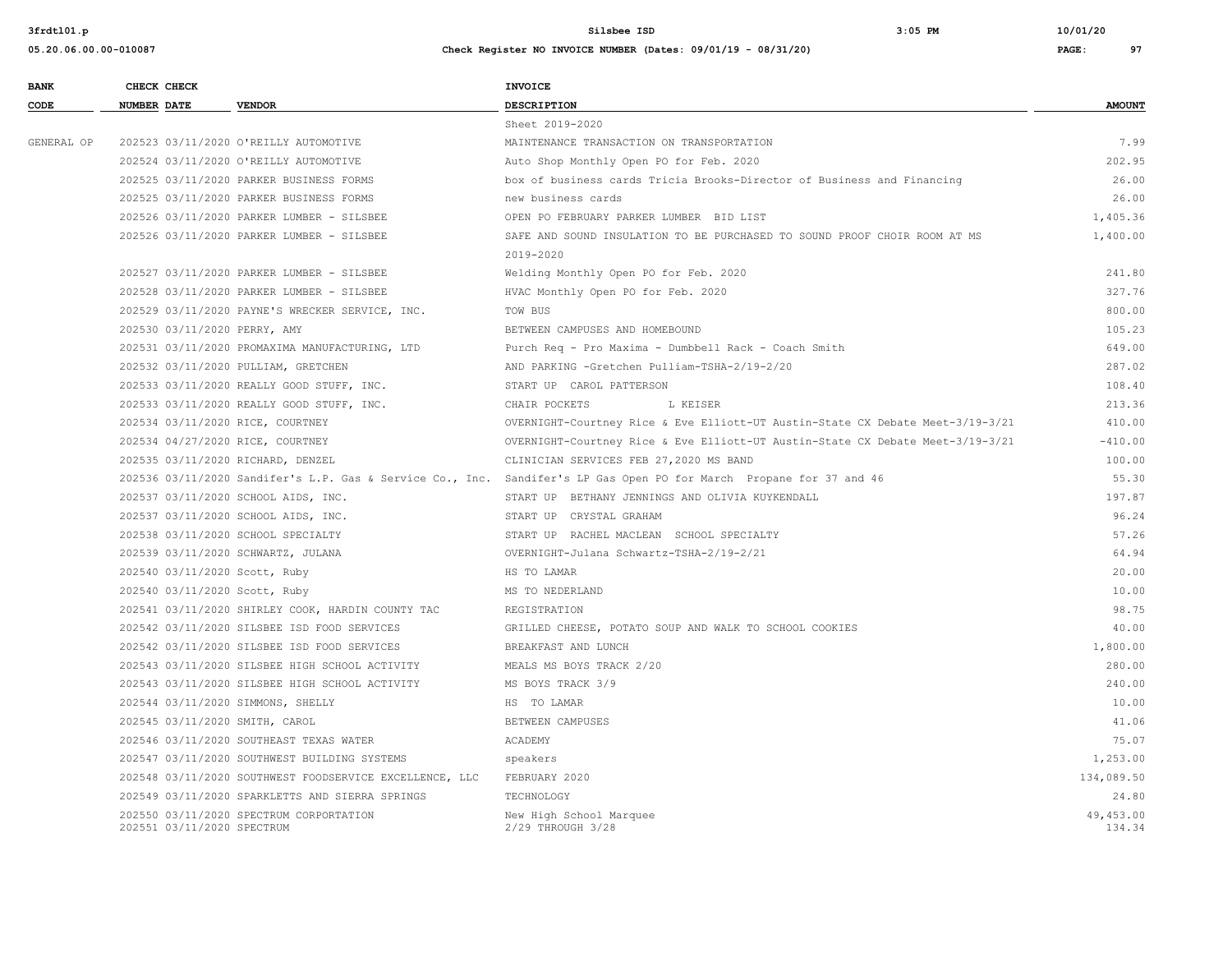**05.20.06.00.00-010087 Check Register NO INVOICE NUMBER (Dates: 09/01/19 - 08/31/20) PAGE: 97**

**BANK** CHECK CHECK **CHECK CODE NUMBER DATE VENDOR DESCRIPTION AMOUNT** Sheet 2019-2020 GENERAL OP 202523 03/11/2020 O'REILLY AUTOMOTIVE MAINTENANCE TRANSACTION ON TRANSPORTATION (7.99 202524 03/11/2020 O'REILLY AUTOMOTIVE Auto Shop Monthly Open PO for Feb. 2020 202.95 202525 03/11/2020 PARKER BUSINESS FORMS box of business cards Tricia Brooks-Director of Business and Financing 26.00 202525 03/11/2020 PARKER BUSINESS FORMS new business cards 26.00 202526 03/11/2020 PARKER LUMBER - SILSBEE OPEN PO FEBRUARY PARKER LUMBER BID LIST 1,405.36 202526 03/11/2020 PARKER LUMBER - SILSBEE SAFE AND SOUND INSULATION TO BE PURCHASED TO SOUND PROOF CHOIR ROOM AT MS 1,400.00 2019-2020 202527 03/11/2020 PARKER LUMBER - SILSBEE Welding Monthly Open PO for Feb. 2020 241.80 202528 03/11/2020 PARKER LUMBER - SILSBEE HVAC Monthly Open PO for Feb. 2020 327.76 202529 03/11/2020 PAYNE'S WRECKER SERVICE, INC. TOW BUS 800.00 202530 03/11/2020 PERRY, AMY BETWEEN CAMPUSES AND HOMEBOUND 105.23 202531 03/11/2020 PROMAXIMA MANUFACTURING, LTD Purch Req - Pro Maxima - Dumbbell Rack - Coach Smith 649.00 202532 03/11/2020 PULLIAM, GRETCHEN AND PARKING -Gretchen Pulliam-TSHA-2/19-2/20 287.02 202533 03/11/2020 REALLY GOOD STUFF, INC. START UP CAROL PATTERSON 108.40 202533 03/11/2020 REALLY GOOD STUFF, INC. CHAIR POCKETS L KEISER 213.36 202534 03/11/2020 RICE, COURTNEY OVERNIGHT-Courtney Rice & Eve Elliott-UT Austin-State CX Debate Meet-3/19-3/21 410.00 202534 04/27/2020 RICE, COURTNEY OVERNIGHT-Courtney Rice & Eve Elliott-UT Austin-State CX Debate Meet-3/19-3/21 -410.00 202535 03/11/2020 RICHARD, DENZEL CLINICIAN SERVICES FEB 27,2020 MS BAND 100.00 202536 03/11/2020 Sandifer's L.P. Gas & Service Co., Inc. Sandifer's LP Gas Open PO for March Propane for 37 and 46 55.30 202537 03/11/2020 SCHOOL AIDS, INC. START UP BETHANY JENNINGS AND OLIVIA KUYKENDALL 197.87 202537 03/11/2020 SCHOOL AIDS, INC. START UP CRYSTAL GRAHAM START OF CONSTRAINS AND START OF CRYSTAL GRAHAM START OF CRYSTAL GRAHAM 202538 03/11/2020 SCHOOL SPECIALTY START UP RACHEL MACLEAN SCHOOL SPECIALTY START START START START UP RACHEL MACLEAN SCHOOL SPECIALTY 202539 03/11/2020 SCHWARTZ, JULANA OVERNIGHT-Julana Schwartz-TSHA-2/19-2/21 64.94 202540 03/11/2020 Scott, Ruby HS TO LAMAR 20.00 202540 03/11/2020 Scott, Ruby 10.00 MS TO NEDERLAND 10.00 MS TO NEOFINIAL METAL CONTRACT AND METAL OF METAL CO 202541 03/11/2020 SHIRLEY COOK, HARDIN COUNTY TAC REGISTRATION 98.75 202542 03/11/2020 SILSBEE ISD FOOD SERVICES GRILLED CHEESE, POTATO SOUP AND WALK TO SCHOOL COOKIES 40.00 202542 03/11/2020 SILSBEE ISD FOOD SERVICES BREAKFAST AND LUNCH 1,800.00 202543 03/11/2020 SILSBEE HIGH SCHOOL ACTIVITY MEALS MS BOYS TRACK 2/20 280.00 202543 03/11/2020 SILSBEE HIGH SCHOOL ACTIVITY MS BOYS TRACK 3/9 240.00 202544 03/11/2020 SIMMONS, SHELLY HS TO LAMAR 10.00 202545 03/11/2020 SMITH, CAROL BETWEEN CAMPUSES 41.06 202546 03/11/2020 SOUTHEAST TEXAS WATER A ACADEMY ACADEMY ACADEMY 75.07 202547 03/11/2020 SOUTHWEST BUILDING SYSTEMS speakers 1,253.00 202548 03/11/2020 SOUTHWEST FOODSERVICE EXCELLENCE, LLC FEBRUARY 2020 134,089.50 202549 03/11/2020 SPARKLETTS AND SIERRA SPRINGS TECHNOLOGY 24.80 202550 03/11/2020 SPECTRUM CORPORTATION New High School Marquee 49,453.00

202551 03/11/2020 SPECTRUM 2000 CONSUMER 2029 THROUGH 3/28 134.34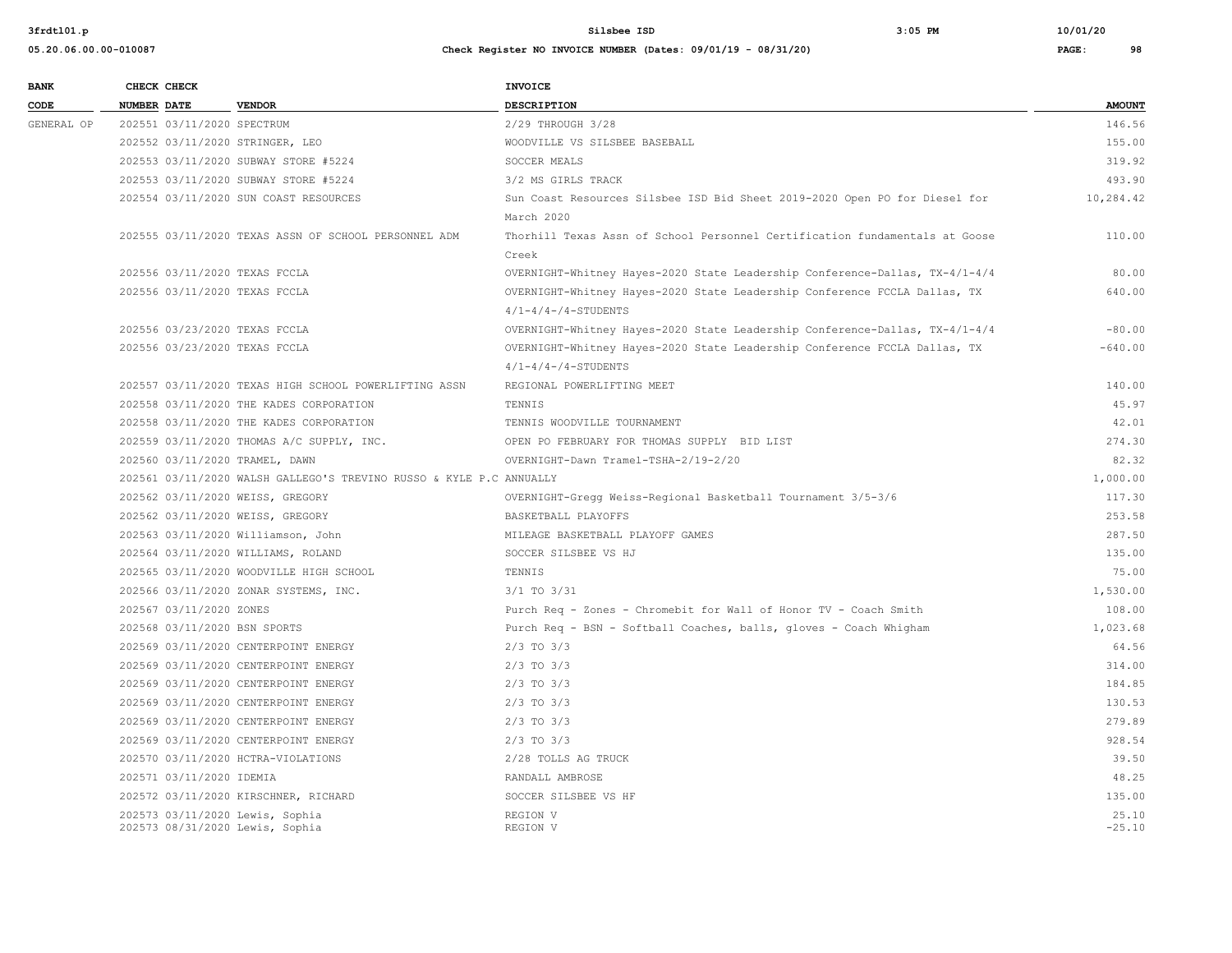| <b>BANK</b> |                    | CHECK CHECK                |                                                                     | <b>INVOICE</b>                                                                                      |                   |
|-------------|--------------------|----------------------------|---------------------------------------------------------------------|-----------------------------------------------------------------------------------------------------|-------------------|
| CODE        | <b>NUMBER DATE</b> |                            | <b>VENDOR</b>                                                       | DESCRIPTION                                                                                         | <b>AMOUNT</b>     |
| GENERAL OP  |                    | 202551 03/11/2020 SPECTRUM |                                                                     | 2/29 THROUGH 3/28                                                                                   | 146.56            |
|             |                    |                            | 202552 03/11/2020 STRINGER, LEO                                     | WOODVILLE VS SILSBEE BASEBALL                                                                       | 155.00            |
|             |                    |                            | 202553 03/11/2020 SUBWAY STORE #5224                                | SOCCER MEALS                                                                                        | 319.92            |
|             |                    |                            | 202553 03/11/2020 SUBWAY STORE #5224                                | 3/2 MS GIRLS TRACK                                                                                  | 493.90            |
|             |                    |                            | 202554 03/11/2020 SUN COAST RESOURCES                               | Sun Coast Resources Silsbee ISD Bid Sheet 2019-2020 Open PO for Diesel for<br>March 2020            | 10,284.42         |
|             |                    |                            | 202555 03/11/2020 TEXAS ASSN OF SCHOOL PERSONNEL ADM                | Thorhill Texas Assn of School Personnel Certification fundamentals at Goose<br>Creek                | 110.00            |
|             |                    |                            | 202556 03/11/2020 TEXAS FCCLA                                       | OVERNIGHT-Whitney Hayes-2020 State Leadership Conference-Dallas, TX-4/1-4/4                         | 80.00             |
|             |                    |                            | 202556 03/11/2020 TEXAS FCCLA                                       | OVERNIGHT-Whitney Hayes-2020 State Leadership Conference FCCLA Dallas, TX<br>$4/1-4/4-74-STUDENTS$  | 640.00            |
|             |                    |                            | 202556 03/23/2020 TEXAS FCCLA                                       | OVERNIGHT-Whitney Hayes-2020 State Leadership Conference-Dallas, TX-4/1-4/4                         | $-80.00$          |
|             |                    |                            | 202556 03/23/2020 TEXAS FCCLA                                       | OVERNIGHT-Whitney Hayes-2020 State Leadership Conference FCCLA Dallas, TX<br>$4/1-4/4-74$ -STUDENTS | $-640.00$         |
|             |                    |                            | 202557 03/11/2020 TEXAS HIGH SCHOOL POWERLIFTING ASSN               | REGIONAL POWERLIFTING MEET                                                                          | 140.00            |
|             |                    |                            | 202558 03/11/2020 THE KADES CORPORATION                             | TENNIS                                                                                              | 45.97             |
|             |                    |                            | 202558 03/11/2020 THE KADES CORPORATION                             | TENNIS WOODVILLE TOURNAMENT                                                                         | 42.01             |
|             |                    |                            | 202559 03/11/2020 THOMAS A/C SUPPLY, INC.                           | OPEN PO FEBRUARY FOR THOMAS SUPPLY BID LIST                                                         | 274.30            |
|             |                    |                            | 202560 03/11/2020 TRAMEL, DAWN                                      | OVERNIGHT-Dawn Tramel-TSHA-2/19-2/20                                                                | 82.32             |
|             |                    |                            | 202561 03/11/2020 WALSH GALLEGO'S TREVINO RUSSO & KYLE P.C ANNUALLY |                                                                                                     | 1,000.00          |
|             |                    |                            | 202562 03/11/2020 WEISS, GREGORY                                    | OVERNIGHT-Gregg Weiss-Regional Basketball Tournament 3/5-3/6                                        | 117.30            |
|             |                    |                            | 202562 03/11/2020 WEISS, GREGORY                                    | BASKETBALL PLAYOFFS                                                                                 | 253.58            |
|             |                    |                            | 202563 03/11/2020 Williamson, John                                  | MILEAGE BASKETBALL PLAYOFF GAMES                                                                    | 287.50            |
|             |                    |                            | 202564 03/11/2020 WILLIAMS, ROLAND                                  | SOCCER SILSBEE VS HJ                                                                                | 135.00            |
|             |                    |                            | 202565 03/11/2020 WOODVILLE HIGH SCHOOL                             | TENNIS                                                                                              | 75.00             |
|             |                    |                            | 202566 03/11/2020 ZONAR SYSTEMS, INC.                               | 3/1 TO 3/31                                                                                         | 1,530.00          |
|             |                    | 202567 03/11/2020 ZONES    |                                                                     | Purch Req - Zones - Chromebit for Wall of Honor TV - Coach Smith                                    | 108.00            |
|             |                    |                            | 202568 03/11/2020 BSN SPORTS                                        | Purch Req - BSN - Softball Coaches, balls, gloves - Coach Whigham                                   | 1,023.68          |
|             |                    |                            | 202569 03/11/2020 CENTERPOINT ENERGY                                | $2/3$ TO $3/3$                                                                                      | 64.56             |
|             |                    |                            | 202569 03/11/2020 CENTERPOINT ENERGY                                | $2/3$ TO $3/3$                                                                                      | 314.00            |
|             |                    |                            | 202569 03/11/2020 CENTERPOINT ENERGY                                | $2/3$ TO $3/3$                                                                                      | 184.85            |
|             |                    |                            | 202569 03/11/2020 CENTERPOINT ENERGY                                | $2/3$ TO $3/3$                                                                                      | 130.53            |
|             |                    |                            | 202569 03/11/2020 CENTERPOINT ENERGY                                | $2/3$ TO $3/3$                                                                                      | 279.89            |
|             |                    |                            | 202569 03/11/2020 CENTERPOINT ENERGY                                | $2/3$ TO $3/3$                                                                                      | 928.54            |
|             |                    |                            | 202570 03/11/2020 HCTRA-VIOLATIONS                                  | 2/28 TOLLS AG TRUCK                                                                                 | 39.50             |
|             |                    | 202571 03/11/2020 IDEMIA   |                                                                     | RANDALL AMBROSE                                                                                     | 48.25             |
|             |                    |                            | 202572 03/11/2020 KIRSCHNER, RICHARD                                | SOCCER SILSBEE VS HF                                                                                | 135.00            |
|             |                    |                            | 202573 03/11/2020 Lewis, Sophia<br>202573 08/31/2020 Lewis, Sophia  | REGION V<br>REGION V                                                                                | 25.10<br>$-25.10$ |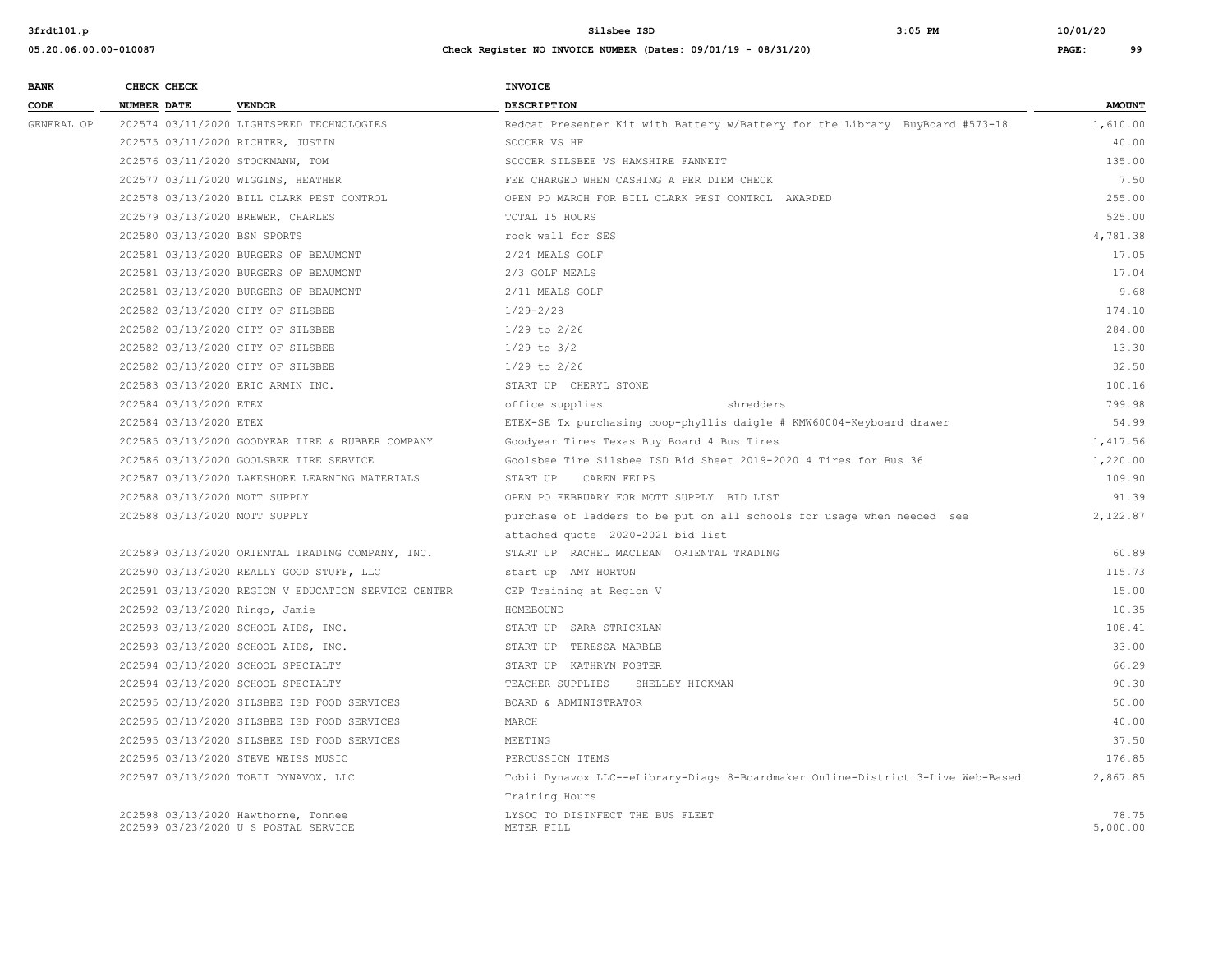| <b>BANK</b> | CHECK CHECK                    |                                                     | <b>INVOICE</b>                                                                  |               |
|-------------|--------------------------------|-----------------------------------------------------|---------------------------------------------------------------------------------|---------------|
| CODE        | <b>NUMBER DATE</b>             | <b>VENDOR</b>                                       | <b>DESCRIPTION</b>                                                              | <b>AMOUNT</b> |
| GENERAL OP  |                                | 202574 03/11/2020 LIGHTSPEED TECHNOLOGIES           | Redcat Presenter Kit with Battery w/Battery for the Library BuyBoard #573-18    | 1,610.00      |
|             |                                | 202575 03/11/2020 RICHTER, JUSTIN                   | SOCCER VS HF                                                                    | 40.00         |
|             |                                | 202576 03/11/2020 STOCKMANN, TOM                    | SOCCER SILSBEE VS HAMSHIRE FANNETT                                              | 135.00        |
|             |                                | 202577 03/11/2020 WIGGINS, HEATHER                  | FEE CHARGED WHEN CASHING A PER DIEM CHECK                                       | 7.50          |
|             |                                | 202578 03/13/2020 BILL CLARK PEST CONTROL           | OPEN PO MARCH FOR BILL CLARK PEST CONTROL AWARDED                               | 255.00        |
|             |                                | 202579 03/13/2020 BREWER, CHARLES                   | TOTAL 15 HOURS                                                                  | 525.00        |
|             | 202580 03/13/2020 BSN SPORTS   |                                                     | rock wall for SES                                                               | 4,781.38      |
|             |                                | 202581 03/13/2020 BURGERS OF BEAUMONT               | 2/24 MEALS GOLF                                                                 | 17.05         |
|             |                                | 202581 03/13/2020 BURGERS OF BEAUMONT               | 2/3 GOLF MEALS                                                                  | 17.04         |
|             |                                | 202581 03/13/2020 BURGERS OF BEAUMONT               | 2/11 MEALS GOLF                                                                 | 9.68          |
|             |                                | 202582 03/13/2020 CITY OF SILSBEE                   | $1/29 - 2/28$                                                                   | 174.10        |
|             |                                | 202582 03/13/2020 CITY OF SILSBEE                   | $1/29$ to $2/26$                                                                | 284.00        |
|             |                                | 202582 03/13/2020 CITY OF SILSBEE                   | $1/29$ to $3/2$                                                                 | 13.30         |
|             |                                | 202582 03/13/2020 CITY OF SILSBEE                   | $1/29$ to $2/26$                                                                | 32.50         |
|             |                                | 202583 03/13/2020 ERIC ARMIN INC.                   | START UP CHERYL STONE                                                           | 100.16        |
|             | 202584 03/13/2020 ETEX         |                                                     | shredders<br>office supplies                                                    | 799.98        |
|             | 202584 03/13/2020 ETEX         |                                                     | ETEX-SE Tx purchasing coop-phyllis daigle # KMW60004-Keyboard drawer            | 54.99         |
|             |                                | 202585 03/13/2020 GOODYEAR TIRE & RUBBER COMPANY    | Goodyear Tires Texas Buy Board 4 Bus Tires                                      | 1,417.56      |
|             |                                | 202586 03/13/2020 GOOLSBEE TIRE SERVICE             | Goolsbee Tire Silsbee ISD Bid Sheet 2019-2020 4 Tires for Bus 36                | 1,220.00      |
|             |                                | 202587 03/13/2020 LAKESHORE LEARNING MATERIALS      | START UP<br>CAREN FELPS                                                         | 109.90        |
|             | 202588 03/13/2020 MOTT SUPPLY  |                                                     | OPEN PO FEBRUARY FOR MOTT SUPPLY BID LIST                                       | 91.39         |
|             | 202588 03/13/2020 MOTT SUPPLY  |                                                     | purchase of ladders to be put on all schools for usage when needed see          | 2,122.87      |
|             |                                |                                                     | attached quote 2020-2021 bid list                                               |               |
|             |                                | 202589 03/13/2020 ORIENTAL TRADING COMPANY, INC.    | START UP RACHEL MACLEAN ORIENTAL TRADING                                        | 60.89         |
|             |                                | 202590 03/13/2020 REALLY GOOD STUFF, LLC            | start up AMY HORTON                                                             | 115.73        |
|             |                                | 202591 03/13/2020 REGION V EDUCATION SERVICE CENTER | CEP Training at Region V                                                        | 15.00         |
|             | 202592 03/13/2020 Ringo, Jamie |                                                     | HOMEBOUND                                                                       | 10.35         |
|             |                                | 202593 03/13/2020 SCHOOL AIDS, INC.                 | START UP SARA STRICKLAN                                                         | 108.41        |
|             |                                | 202593 03/13/2020 SCHOOL AIDS, INC.                 | START UP TERESSA MARBLE                                                         | 33.00         |
|             |                                | 202594 03/13/2020 SCHOOL SPECIALTY                  | START UP KATHRYN FOSTER                                                         | 66.29         |
|             |                                | 202594 03/13/2020 SCHOOL SPECIALTY                  | TEACHER SUPPLIES<br>SHELLEY HICKMAN                                             | 90.30         |
|             |                                | 202595 03/13/2020 SILSBEE ISD FOOD SERVICES         | BOARD & ADMINISTRATOR                                                           | 50.00         |
|             |                                | 202595 03/13/2020 SILSBEE ISD FOOD SERVICES         | MARCH                                                                           | 40.00         |
|             |                                | 202595 03/13/2020 SILSBEE ISD FOOD SERVICES         | MEETING                                                                         | 37.50         |
|             |                                | 202596 03/13/2020 STEVE WEISS MUSIC                 | PERCUSSION ITEMS                                                                | 176.85        |
|             |                                | 202597 03/13/2020 TOBII DYNAVOX, LLC                | Tobii Dynavox LLC--eLibrary-Diags 8-Boardmaker Online-District 3-Live Web-Based | 2,867.85      |
|             |                                |                                                     | Training Hours                                                                  |               |
|             |                                | 202598 03/13/2020 Hawthorne, Tonnee                 | LYSOC TO DISINFECT THE BUS FLEET                                                | 78.75         |
|             |                                | 202599 03/23/2020 U S POSTAL SERVICE                | METER FILL                                                                      | 5,000.00      |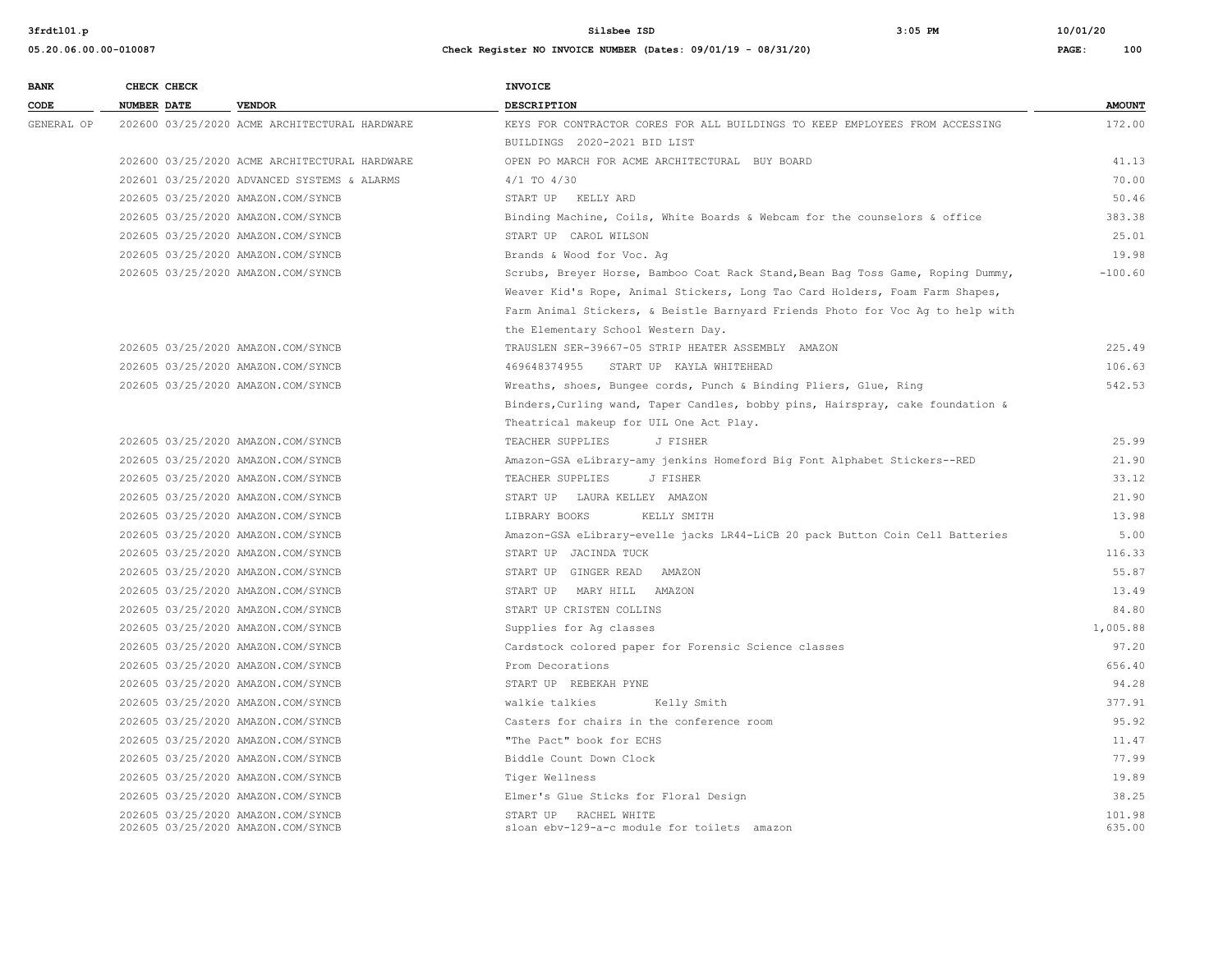| <b>BANK</b> | CHECK CHECK                                                              |                                               | <b>INVOICE</b>                                                                  |                  |
|-------------|--------------------------------------------------------------------------|-----------------------------------------------|---------------------------------------------------------------------------------|------------------|
| CODE        | <b>NUMBER DATE</b>                                                       | <b>VENDOR</b>                                 | DESCRIPTION                                                                     | <b>AMOUNT</b>    |
| GENERAL OP  |                                                                          | 202600 03/25/2020 ACME ARCHITECTURAL HARDWARE | KEYS FOR CONTRACTOR CORES FOR ALL BUILDINGS TO KEEP EMPLOYEES FROM ACCESSING    | 172.00           |
|             |                                                                          |                                               | BUILDINGS 2020-2021 BID LIST                                                    |                  |
|             |                                                                          | 202600 03/25/2020 ACME ARCHITECTURAL HARDWARE | OPEN PO MARCH FOR ACME ARCHITECTURAL BUY BOARD                                  | 41.13            |
|             |                                                                          | 202601 03/25/2020 ADVANCED SYSTEMS & ALARMS   | $4/1$ TO $4/30$                                                                 | 70.00            |
|             | 202605 03/25/2020 AMAZON.COM/SYNCB                                       |                                               | START UP KELLY ARD                                                              | 50.46            |
|             | 202605 03/25/2020 AMAZON.COM/SYNCB                                       |                                               | Binding Machine, Coils, White Boards & Webcam for the counselors & office       | 383.38           |
|             | 202605 03/25/2020 AMAZON.COM/SYNCB                                       |                                               | START UP CAROL WILSON                                                           | 25.01            |
|             | 202605 03/25/2020 AMAZON.COM/SYNCB                                       |                                               | Brands & Wood for Voc. Aq                                                       | 19.98            |
|             | 202605 03/25/2020 AMAZON.COM/SYNCB                                       |                                               | Scrubs, Breyer Horse, Bamboo Coat Rack Stand, Bean Bag Toss Game, Roping Dummy, | $-100.60$        |
|             |                                                                          |                                               | Weaver Kid's Rope, Animal Stickers, Long Tao Card Holders, Foam Farm Shapes,    |                  |
|             |                                                                          |                                               | Farm Animal Stickers, & Beistle Barnyard Friends Photo for Voc Ag to help with  |                  |
|             |                                                                          |                                               | the Elementary School Western Day.                                              |                  |
|             | 202605 03/25/2020 AMAZON.COM/SYNCB                                       |                                               | TRAUSLEN SER-39667-05 STRIP HEATER ASSEMBLY AMAZON                              | 225.49           |
|             | 202605 03/25/2020 AMAZON.COM/SYNCB                                       |                                               | 469648374955 START UP KAYLA WHITEHEAD                                           | 106.63           |
|             | 202605 03/25/2020 AMAZON.COM/SYNCB                                       |                                               | Wreaths, shoes, Bungee cords, Punch & Binding Pliers, Glue, Ring                | 542.53           |
|             |                                                                          |                                               | Binders, Curling wand, Taper Candles, bobby pins, Hairspray, cake foundation &  |                  |
|             |                                                                          |                                               | Theatrical makeup for UIL One Act Play.                                         |                  |
|             | 202605 03/25/2020 AMAZON.COM/SYNCB                                       |                                               | TEACHER SUPPLIES<br>J FISHER                                                    | 25.99            |
|             | 202605 03/25/2020 AMAZON.COM/SYNCB                                       |                                               | Amazon-GSA eLibrary-amy jenkins Homeford Big Font Alphabet Stickers--RED        | 21.90            |
|             | 202605 03/25/2020 AMAZON.COM/SYNCB                                       |                                               | TEACHER SUPPLIES<br>J FISHER                                                    | 33.12            |
|             | 202605 03/25/2020 AMAZON.COM/SYNCB                                       |                                               | START UP LAURA KELLEY AMAZON                                                    | 21.90            |
|             | 202605 03/25/2020 AMAZON.COM/SYNCB                                       |                                               | LIBRARY BOOKS<br>KELLY SMITH                                                    | 13.98            |
|             | 202605 03/25/2020 AMAZON.COM/SYNCB                                       |                                               | Amazon-GSA eLibrary-evelle jacks LR44-LiCB 20 pack Button Coin Cell Batteries   | 5.00             |
|             | 202605 03/25/2020 AMAZON.COM/SYNCB                                       |                                               | START UP JACINDA TUCK                                                           | 116.33           |
|             | 202605 03/25/2020 AMAZON.COM/SYNCB                                       |                                               | START UP GINGER READ AMAZON                                                     | 55.87            |
|             | 202605 03/25/2020 AMAZON.COM/SYNCB                                       |                                               | START UP MARY HILL AMAZON                                                       | 13.49            |
|             | 202605 03/25/2020 AMAZON.COM/SYNCB                                       |                                               | START UP CRISTEN COLLINS                                                        | 84.80            |
|             | 202605 03/25/2020 AMAZON.COM/SYNCB                                       |                                               | Supplies for Ag classes                                                         | 1,005.88         |
|             | 202605 03/25/2020 AMAZON.COM/SYNCB                                       |                                               | Cardstock colored paper for Forensic Science classes                            | 97.20            |
|             | 202605 03/25/2020 AMAZON.COM/SYNCB                                       |                                               | Prom Decorations                                                                | 656.40           |
|             | 202605 03/25/2020 AMAZON.COM/SYNCB                                       |                                               | START UP REBEKAH PYNE                                                           | 94.28            |
|             | 202605 03/25/2020 AMAZON.COM/SYNCB                                       |                                               | walkie talkies<br>Kelly Smith                                                   | 377.91           |
|             | 202605 03/25/2020 AMAZON.COM/SYNCB                                       |                                               | Casters for chairs in the conference room                                       | 95.92            |
|             | 202605 03/25/2020 AMAZON.COM/SYNCB                                       |                                               | "The Pact" book for ECHS                                                        | 11.47            |
|             | 202605 03/25/2020 AMAZON.COM/SYNCB                                       |                                               | Biddle Count Down Clock                                                         | 77.99            |
|             | 202605 03/25/2020 AMAZON.COM/SYNCB                                       |                                               | Tiger Wellness                                                                  | 19.89            |
|             | 202605 03/25/2020 AMAZON.COM/SYNCB                                       |                                               | Elmer's Glue Sticks for Floral Design                                           | 38.25            |
|             | 202605 03/25/2020 AMAZON.COM/SYNCB<br>202605 03/25/2020 AMAZON.COM/SYNCB |                                               | START UP RACHEL WHITE<br>sloan ebv-129-a-c module for toilets amazon            | 101.98<br>635.00 |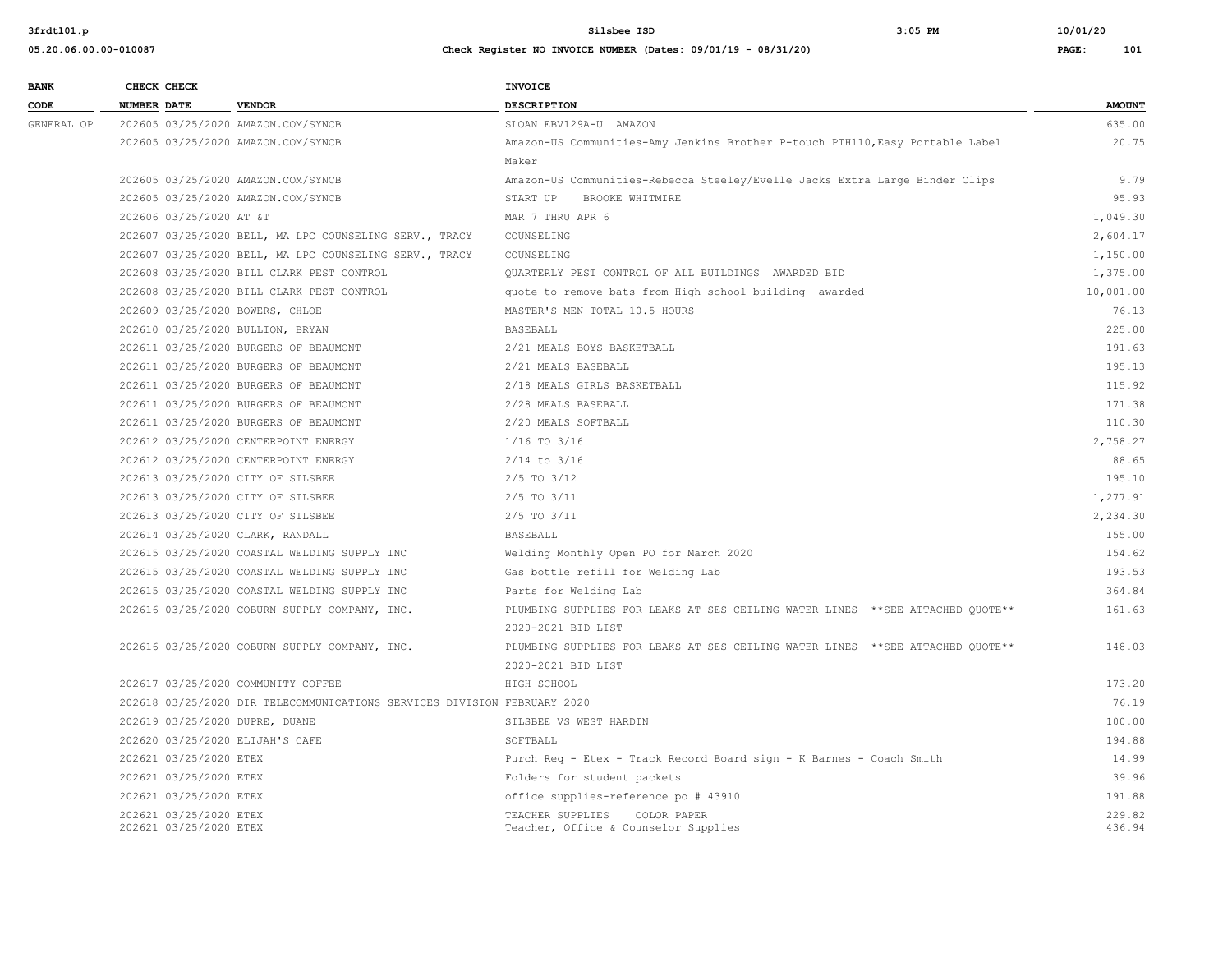| <b>BANK</b> | CHECK CHECK        |                         |                                                                          | <b>INVOICE</b>                                                                 |               |
|-------------|--------------------|-------------------------|--------------------------------------------------------------------------|--------------------------------------------------------------------------------|---------------|
| CODE        | <b>NUMBER DATE</b> |                         | <b>VENDOR</b>                                                            | <b>DESCRIPTION</b>                                                             | <b>AMOUNT</b> |
| GENERAL OP  |                    |                         | 202605 03/25/2020 AMAZON.COM/SYNCB                                       | SLOAN EBV129A-U AMAZON                                                         | 635.00        |
|             |                    |                         | 202605 03/25/2020 AMAZON.COM/SYNCB                                       | Amazon-US Communities-Amy Jenkins Brother P-touch PTH110, Easy Portable Label  | 20.75         |
|             |                    |                         |                                                                          | Maker                                                                          |               |
|             |                    |                         | 202605 03/25/2020 AMAZON.COM/SYNCB                                       | Amazon-US Communities-Rebecca Steeley/Evelle Jacks Extra Large Binder Clips    | 9.79          |
|             |                    |                         | 202605 03/25/2020 AMAZON.COM/SYNCB                                       | BROOKE WHITMIRE<br>START UP                                                    | 95.93         |
|             |                    | 202606 03/25/2020 AT &T |                                                                          | MAR 7 THRU APR 6                                                               | 1,049.30      |
|             |                    |                         | 202607 03/25/2020 BELL, MA LPC COUNSELING SERV., TRACY                   | COUNSELING                                                                     | 2,604.17      |
|             |                    |                         | 202607 03/25/2020 BELL, MA LPC COUNSELING SERV., TRACY                   | COUNSELING                                                                     | 1,150.00      |
|             |                    |                         | 202608 03/25/2020 BILL CLARK PEST CONTROL                                | QUARTERLY PEST CONTROL OF ALL BUILDINGS AWARDED BID                            | 1,375.00      |
|             |                    |                         | 202608 03/25/2020 BILL CLARK PEST CONTROL                                | quote to remove bats from High school building awarded                         | 10,001.00     |
|             |                    |                         | 202609 03/25/2020 BOWERS, CHLOE                                          | MASTER'S MEN TOTAL 10.5 HOURS                                                  | 76.13         |
|             |                    |                         | 202610 03/25/2020 BULLION, BRYAN                                         | <b>BASEBALL</b>                                                                | 225.00        |
|             |                    |                         | 202611 03/25/2020 BURGERS OF BEAUMONT                                    | 2/21 MEALS BOYS BASKETBALL                                                     | 191.63        |
|             |                    |                         | 202611 03/25/2020 BURGERS OF BEAUMONT                                    | 2/21 MEALS BASEBALL                                                            | 195.13        |
|             |                    |                         | 202611 03/25/2020 BURGERS OF BEAUMONT                                    | 2/18 MEALS GIRLS BASKETBALL                                                    | 115.92        |
|             |                    |                         | 202611 03/25/2020 BURGERS OF BEAUMONT                                    | 2/28 MEALS BASEBALL                                                            | 171.38        |
|             |                    |                         | 202611 03/25/2020 BURGERS OF BEAUMONT                                    | 2/20 MEALS SOFTBALL                                                            | 110.30        |
|             |                    |                         | 202612 03/25/2020 CENTERPOINT ENERGY                                     | $1/16$ TO $3/16$                                                               | 2,758.27      |
|             |                    |                         | 202612 03/25/2020 CENTERPOINT ENERGY                                     | $2/14$ to $3/16$                                                               | 88.65         |
|             |                    |                         | 202613 03/25/2020 CITY OF SILSBEE                                        | $2/5$ TO $3/12$                                                                | 195.10        |
|             |                    |                         | 202613 03/25/2020 CITY OF SILSBEE                                        | $2/5$ TO $3/11$                                                                | 1,277.91      |
|             |                    |                         | 202613 03/25/2020 CITY OF SILSBEE                                        | 2/5 TO 3/11                                                                    | 2,234.30      |
|             |                    |                         | 202614 03/25/2020 CLARK, RANDALL                                         | <b>BASEBALL</b>                                                                | 155.00        |
|             |                    |                         | 202615 03/25/2020 COASTAL WELDING SUPPLY INC                             | Welding Monthly Open PO for March 2020                                         | 154.62        |
|             |                    |                         | 202615 03/25/2020 COASTAL WELDING SUPPLY INC                             | Gas bottle refill for Welding Lab                                              | 193.53        |
|             |                    |                         | 202615 03/25/2020 COASTAL WELDING SUPPLY INC                             | Parts for Welding Lab                                                          | 364.84        |
|             |                    |                         | 202616 03/25/2020 COBURN SUPPLY COMPANY, INC.                            | PLUMBING SUPPLIES FOR LEAKS AT SES CEILING WATER LINES **SEE ATTACHED QUOTE**  | 161.63        |
|             |                    |                         |                                                                          | 2020-2021 BID LIST                                                             |               |
|             |                    |                         | 202616 03/25/2020 COBURN SUPPLY COMPANY, INC.                            | PLUMBING SUPPLIES FOR LEAKS AT SES CEILING WATER LINES ** SEE ATTACHED OUOTE** | 148.03        |
|             |                    |                         |                                                                          | 2020-2021 BID LIST                                                             |               |
|             |                    |                         | 202617 03/25/2020 COMMUNITY COFFEE                                       | HIGH SCHOOL                                                                    | 173.20        |
|             |                    |                         | 202618 03/25/2020 DIR TELECOMMUNICATIONS SERVICES DIVISION FEBRUARY 2020 |                                                                                | 76.19         |
|             |                    |                         | 202619 03/25/2020 DUPRE, DUANE                                           | SILSBEE VS WEST HARDIN                                                         | 100.00        |
|             |                    |                         | 202620 03/25/2020 ELIJAH'S CAFE                                          | SOFTBALL                                                                       | 194.88        |
|             |                    | 202621 03/25/2020 ETEX  |                                                                          | Purch Req - Etex - Track Record Board sign - K Barnes - Coach Smith            | 14.99         |
|             |                    | 202621 03/25/2020 ETEX  |                                                                          | Folders for student packets                                                    | 39.96         |
|             |                    | 202621 03/25/2020 ETEX  |                                                                          | office supplies-reference po # 43910                                           | 191.88        |
|             |                    | 202621 03/25/2020 ETEX  |                                                                          | TEACHER SUPPLIES<br>COLOR PAPER                                                | 229.82        |
|             |                    | 202621 03/25/2020 ETEX  |                                                                          | Teacher, Office & Counselor Supplies                                           | 436.94        |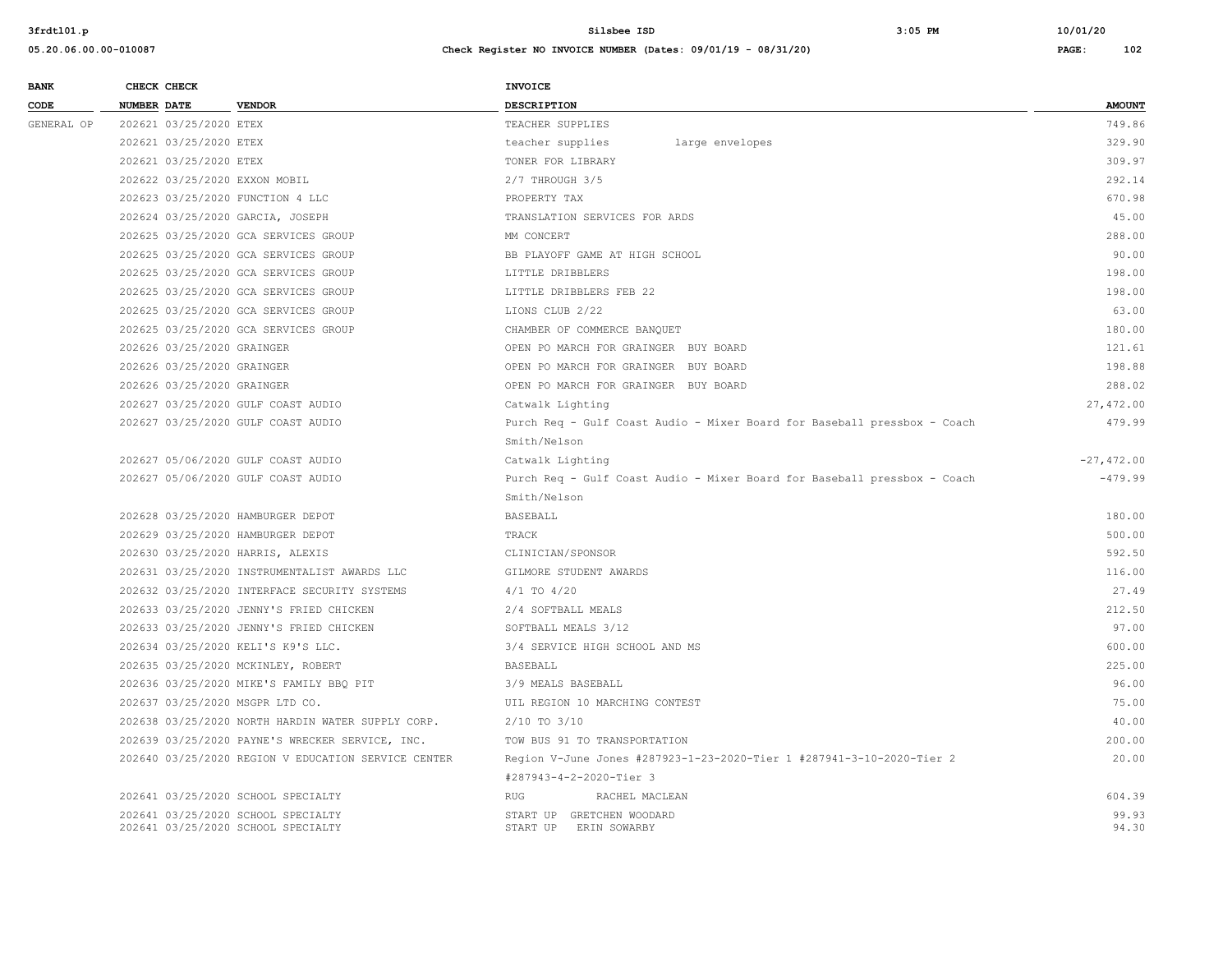| <b>BANK</b> | CHECK CHECK                |                                                                          | <b>INVOICE</b>                                                           |                |
|-------------|----------------------------|--------------------------------------------------------------------------|--------------------------------------------------------------------------|----------------|
| CODE        | <b>NUMBER DATE</b>         | <b>VENDOR</b>                                                            | DESCRIPTION                                                              | <b>AMOUNT</b>  |
| GENERAL OP  | 202621 03/25/2020 ETEX     |                                                                          | TEACHER SUPPLIES                                                         | 749.86         |
|             | 202621 03/25/2020 ETEX     |                                                                          | teacher supplies<br>large envelopes                                      | 329.90         |
|             | 202621 03/25/2020 ETEX     |                                                                          | TONER FOR LIBRARY                                                        | 309.97         |
|             |                            | 202622 03/25/2020 EXXON MOBIL                                            | 2/7 THROUGH 3/5                                                          | 292.14         |
|             |                            | 202623 03/25/2020 FUNCTION 4 LLC                                         | PROPERTY TAX                                                             | 670.98         |
|             |                            | 202624 03/25/2020 GARCIA, JOSEPH                                         | TRANSLATION SERVICES FOR ARDS                                            | 45.00          |
|             |                            | 202625 03/25/2020 GCA SERVICES GROUP                                     | MM CONCERT                                                               | 288.00         |
|             |                            | 202625 03/25/2020 GCA SERVICES GROUP                                     | BB PLAYOFF GAME AT HIGH SCHOOL                                           | 90.00          |
|             |                            | 202625 03/25/2020 GCA SERVICES GROUP                                     | LITTLE DRIBBLERS                                                         | 198.00         |
|             |                            | 202625 03/25/2020 GCA SERVICES GROUP                                     | LITTLE DRIBBLERS FEB 22                                                  | 198.00         |
|             |                            | 202625 03/25/2020 GCA SERVICES GROUP                                     | LIONS CLUB 2/22                                                          | 63.00          |
|             |                            | 202625 03/25/2020 GCA SERVICES GROUP                                     | CHAMBER OF COMMERCE BANQUET                                              | 180.00         |
|             | 202626 03/25/2020 GRAINGER |                                                                          | OPEN PO MARCH FOR GRAINGER BUY BOARD                                     | 121.61         |
|             | 202626 03/25/2020 GRAINGER |                                                                          | OPEN PO MARCH FOR GRAINGER BUY BOARD                                     | 198.88         |
|             | 202626 03/25/2020 GRAINGER |                                                                          | OPEN PO MARCH FOR GRAINGER BUY BOARD                                     | 288.02         |
|             |                            | 202627 03/25/2020 GULF COAST AUDIO                                       | Catwalk Lighting                                                         | 27,472.00      |
|             |                            | 202627 03/25/2020 GULF COAST AUDIO                                       | Purch Req - Gulf Coast Audio - Mixer Board for Baseball pressbox - Coach | 479.99         |
|             |                            |                                                                          | Smith/Nelson                                                             |                |
|             |                            | 202627 05/06/2020 GULF COAST AUDIO                                       | Catwalk Lighting                                                         | $-27,472.00$   |
|             |                            | 202627 05/06/2020 GULF COAST AUDIO                                       | Purch Req - Gulf Coast Audio - Mixer Board for Baseball pressbox - Coach | $-479.99$      |
|             |                            |                                                                          | Smith/Nelson                                                             |                |
|             |                            | 202628 03/25/2020 HAMBURGER DEPOT                                        | BASEBALL                                                                 | 180.00         |
|             |                            | 202629 03/25/2020 HAMBURGER DEPOT                                        | TRACK                                                                    | 500.00         |
|             |                            | 202630 03/25/2020 HARRIS, ALEXIS                                         | CLINICIAN/SPONSOR                                                        | 592.50         |
|             |                            | 202631 03/25/2020 INSTRUMENTALIST AWARDS LLC                             | GILMORE STUDENT AWARDS                                                   | 116.00         |
|             |                            | 202632 03/25/2020 INTERFACE SECURITY SYSTEMS                             | $4/1$ TO $4/20$                                                          | 27.49          |
|             |                            | 202633 03/25/2020 JENNY'S FRIED CHICKEN                                  | 2/4 SOFTBALL MEALS                                                       | 212.50         |
|             |                            | 202633 03/25/2020 JENNY'S FRIED CHICKEN                                  | SOFTBALL MEALS 3/12                                                      | 97.00          |
|             |                            | 202634 03/25/2020 KELI'S K9'S LLC.                                       | 3/4 SERVICE HIGH SCHOOL AND MS                                           | 600.00         |
|             |                            | 202635 03/25/2020 MCKINLEY, ROBERT                                       | <b>BASEBALL</b>                                                          | 225.00         |
|             |                            | 202636 03/25/2020 MIKE'S FAMILY BBO PIT                                  | 3/9 MEALS BASEBALL                                                       | 96.00          |
|             |                            | 202637 03/25/2020 MSGPR LTD CO.                                          | UIL REGION 10 MARCHING CONTEST                                           | 75.00          |
|             |                            | 202638 03/25/2020 NORTH HARDIN WATER SUPPLY CORP.                        | $2/10$ TO $3/10$                                                         | 40.00          |
|             |                            | 202639 03/25/2020 PAYNE'S WRECKER SERVICE, INC.                          | TOW BUS 91 TO TRANSPORTATION                                             | 200.00         |
|             |                            | 202640 03/25/2020 REGION V EDUCATION SERVICE CENTER                      | Region V-June Jones #287923-1-23-2020-Tier 1 #287941-3-10-2020-Tier 2    | 20.00          |
|             |                            |                                                                          | #287943-4-2-2020-Tier 3                                                  |                |
|             |                            | 202641 03/25/2020 SCHOOL SPECIALTY                                       | <b>RUG</b><br>RACHEL MACLEAN                                             | 604.39         |
|             |                            | 202641 03/25/2020 SCHOOL SPECIALTY<br>202641 03/25/2020 SCHOOL SPECIALTY | START UP GRETCHEN WOODARD<br>START UP<br>ERIN SOWARBY                    | 99.93<br>94.30 |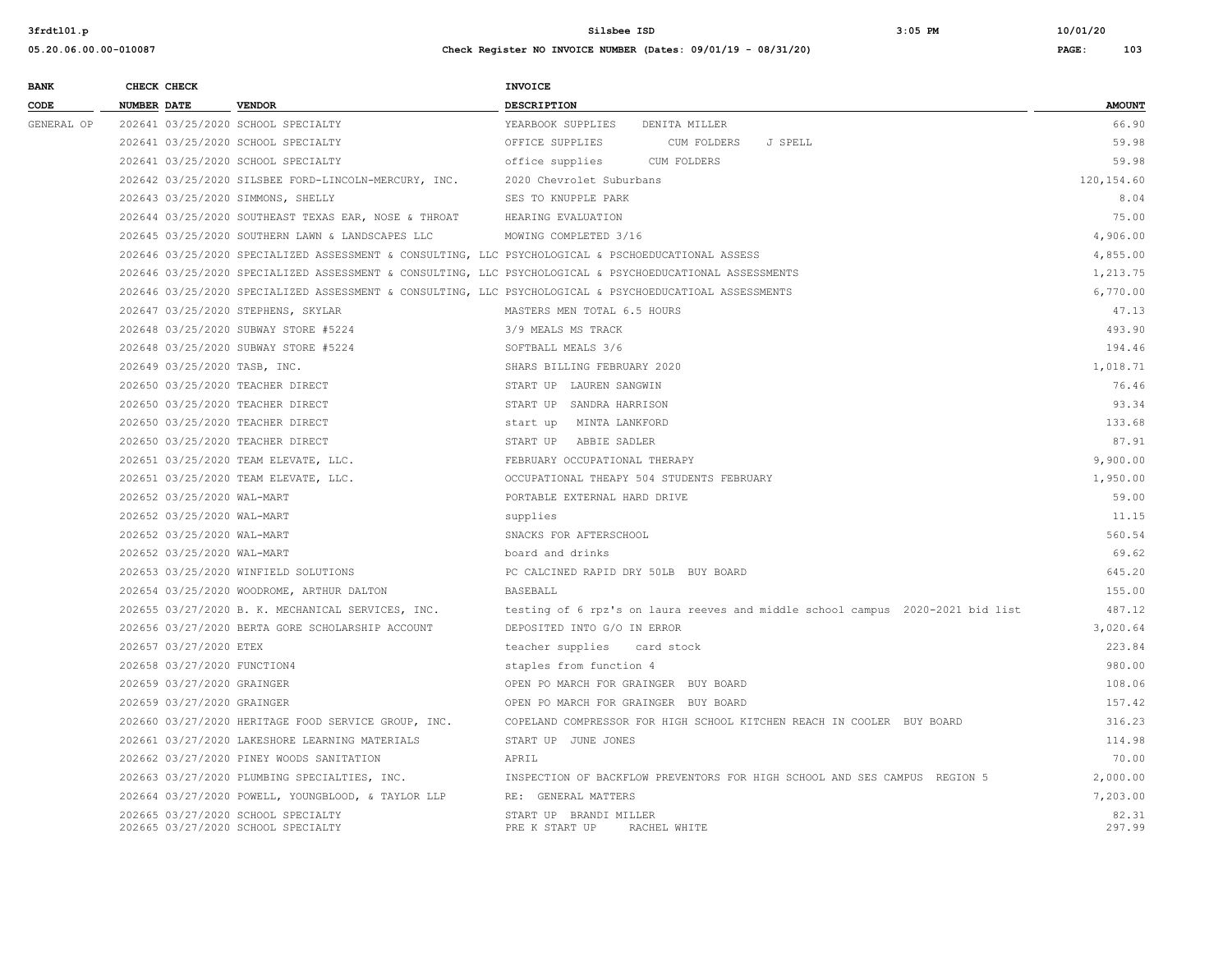| <b>BANK</b> |                    | CHECK CHECK                 |                                                                                                    | <b>INVOICE</b>                                                                                           |                 |
|-------------|--------------------|-----------------------------|----------------------------------------------------------------------------------------------------|----------------------------------------------------------------------------------------------------------|-----------------|
| CODE        | <b>NUMBER DATE</b> |                             | <b>VENDOR</b>                                                                                      | <b>DESCRIPTION</b>                                                                                       | <b>AMOUNT</b>   |
| GENERAL OP  |                    |                             | 202641 03/25/2020 SCHOOL SPECIALTY                                                                 | YEARBOOK SUPPLIES DENITA MILLER                                                                          | 66.90           |
|             |                    |                             | 202641 03/25/2020 SCHOOL SPECIALTY                                                                 | J SPELL<br>OFFICE SUPPLIES<br>CUM FOLDERS                                                                | 59.98           |
|             |                    |                             | 202641 03/25/2020 SCHOOL SPECIALTY                                                                 | office supplies<br>CUM FOLDERS                                                                           | 59.98           |
|             |                    |                             | 202642 03/25/2020 SILSBEE FORD-LINCOLN-MERCURY, INC.                                               | 2020 Chevrolet Suburbans                                                                                 | 120, 154.60     |
|             |                    |                             | 202643 03/25/2020 SIMMONS, SHELLY                                                                  | SES TO KNUPPLE PARK                                                                                      | 8.04            |
|             |                    |                             | 202644 03/25/2020 SOUTHEAST TEXAS EAR, NOSE & THROAT                                               | HEARING EVALUATION                                                                                       | 75.00           |
|             |                    |                             | 202645 03/25/2020 SOUTHERN LAWN & LANDSCAPES LLC                                                   | MOWING COMPLETED 3/16                                                                                    | 4,906.00        |
|             |                    |                             | 202646 03/25/2020 SPECIALIZED ASSESSMENT & CONSULTING, LLC PSYCHOLOGICAL & PSCHOEDUCATIONAL ASSESS |                                                                                                          | 4,855.00        |
|             |                    |                             |                                                                                                    | 202646 03/25/2020 SPECIALIZED ASSESSMENT & CONSULTING, LLC PSYCHOLOGICAL & PSYCHOEDUCATIONAL ASSESSMENTS | 1,213.75        |
|             |                    |                             |                                                                                                    | 202646 03/25/2020 SPECIALIZED ASSESSMENT & CONSULTING, LLC PSYCHOLOGICAL & PSYCHOEDUCATIOAL ASSESSMENTS  | 6,770.00        |
|             |                    |                             | 202647 03/25/2020 STEPHENS, SKYLAR                                                                 | MASTERS MEN TOTAL 6.5 HOURS                                                                              | 47.13           |
|             |                    |                             | 202648 03/25/2020 SUBWAY STORE #5224                                                               | 3/9 MEALS MS TRACK                                                                                       | 493.90          |
|             |                    |                             | 202648 03/25/2020 SUBWAY STORE #5224                                                               | SOFTBALL MEALS 3/6                                                                                       | 194.46          |
|             |                    |                             | 202649 03/25/2020 TASB, INC.                                                                       | SHARS BILLING FEBRUARY 2020                                                                              | 1,018.71        |
|             |                    |                             | 202650 03/25/2020 TEACHER DIRECT                                                                   | START UP LAUREN SANGWIN                                                                                  | 76.46           |
|             |                    |                             | 202650 03/25/2020 TEACHER DIRECT                                                                   | START UP SANDRA HARRISON                                                                                 | 93.34           |
|             |                    |                             | 202650 03/25/2020 TEACHER DIRECT                                                                   | start up MINTA LANKFORD                                                                                  | 133.68          |
|             |                    |                             | 202650 03/25/2020 TEACHER DIRECT                                                                   | START UP ABBIE SADLER                                                                                    | 87.91           |
|             |                    |                             | 202651 03/25/2020 TEAM ELEVATE, LLC.                                                               | FEBRUARY OCCUPATIONAL THERAPY                                                                            | 9,900.00        |
|             |                    |                             | 202651 03/25/2020 TEAM ELEVATE, LLC.                                                               | OCCUPATIONAL THEAPY 504 STUDENTS FEBRUARY                                                                | 1,950.00        |
|             |                    | 202652 03/25/2020 WAL-MART  |                                                                                                    | PORTABLE EXTERNAL HARD DRIVE                                                                             | 59.00           |
|             |                    | 202652 03/25/2020 WAL-MART  |                                                                                                    | supplies                                                                                                 | 11.15           |
|             |                    | 202652 03/25/2020 WAL-MART  |                                                                                                    | SNACKS FOR AFTERSCHOOL                                                                                   | 560.54          |
|             |                    | 202652 03/25/2020 WAL-MART  |                                                                                                    | board and drinks                                                                                         | 69.62           |
|             |                    |                             | 202653 03/25/2020 WINFIELD SOLUTIONS                                                               | PC CALCINED RAPID DRY 50LB BUY BOARD                                                                     | 645.20          |
|             |                    |                             | 202654 03/25/2020 WOODROME, ARTHUR DALTON                                                          | <b>BASEBALL</b>                                                                                          | 155.00          |
|             |                    |                             | 202655 03/27/2020 B. K. MECHANICAL SERVICES, INC.                                                  | testing of 6 rpz's on laura reeves and middle school campus 2020-2021 bid list                           | 487.12          |
|             |                    |                             | 202656 03/27/2020 BERTA GORE SCHOLARSHIP ACCOUNT                                                   | DEPOSITED INTO G/O IN ERROR                                                                              | 3,020.64        |
|             |                    | 202657 03/27/2020 ETEX      |                                                                                                    | teacher supplies card stock                                                                              | 223.84          |
|             |                    | 202658 03/27/2020 FUNCTION4 |                                                                                                    | staples from function 4                                                                                  | 980.00          |
|             |                    | 202659 03/27/2020 GRAINGER  |                                                                                                    | OPEN PO MARCH FOR GRAINGER BUY BOARD                                                                     | 108.06          |
|             |                    | 202659 03/27/2020 GRAINGER  |                                                                                                    | OPEN PO MARCH FOR GRAINGER BUY BOARD                                                                     | 157.42          |
|             |                    |                             | 202660 03/27/2020 HERITAGE FOOD SERVICE GROUP, INC.                                                | COPELAND COMPRESSOR FOR HIGH SCHOOL KITCHEN REACH IN COOLER BUY BOARD                                    | 316.23          |
|             |                    |                             | 202661 03/27/2020 LAKESHORE LEARNING MATERIALS                                                     | START UP JUNE JONES                                                                                      | 114.98          |
|             |                    |                             | 202662 03/27/2020 PINEY WOODS SANITATION                                                           | APRIL                                                                                                    | 70.00           |
|             |                    |                             | 202663 03/27/2020 PLUMBING SPECIALTIES, INC.                                                       | INSPECTION OF BACKFLOW PREVENTORS FOR HIGH SCHOOL AND SES CAMPUS REGION 5                                | 2,000.00        |
|             |                    |                             | 202664 03/27/2020 POWELL, YOUNGBLOOD, & TAYLOR LLP                                                 | RE: GENERAL MATTERS                                                                                      | 7,203.00        |
|             |                    |                             | 202665 03/27/2020 SCHOOL SPECIALTY<br>202665 03/27/2020 SCHOOL SPECIALTY                           | START UP BRANDI MILLER<br>PRE K START UP<br>RACHEL WHITE                                                 | 82.31<br>297.99 |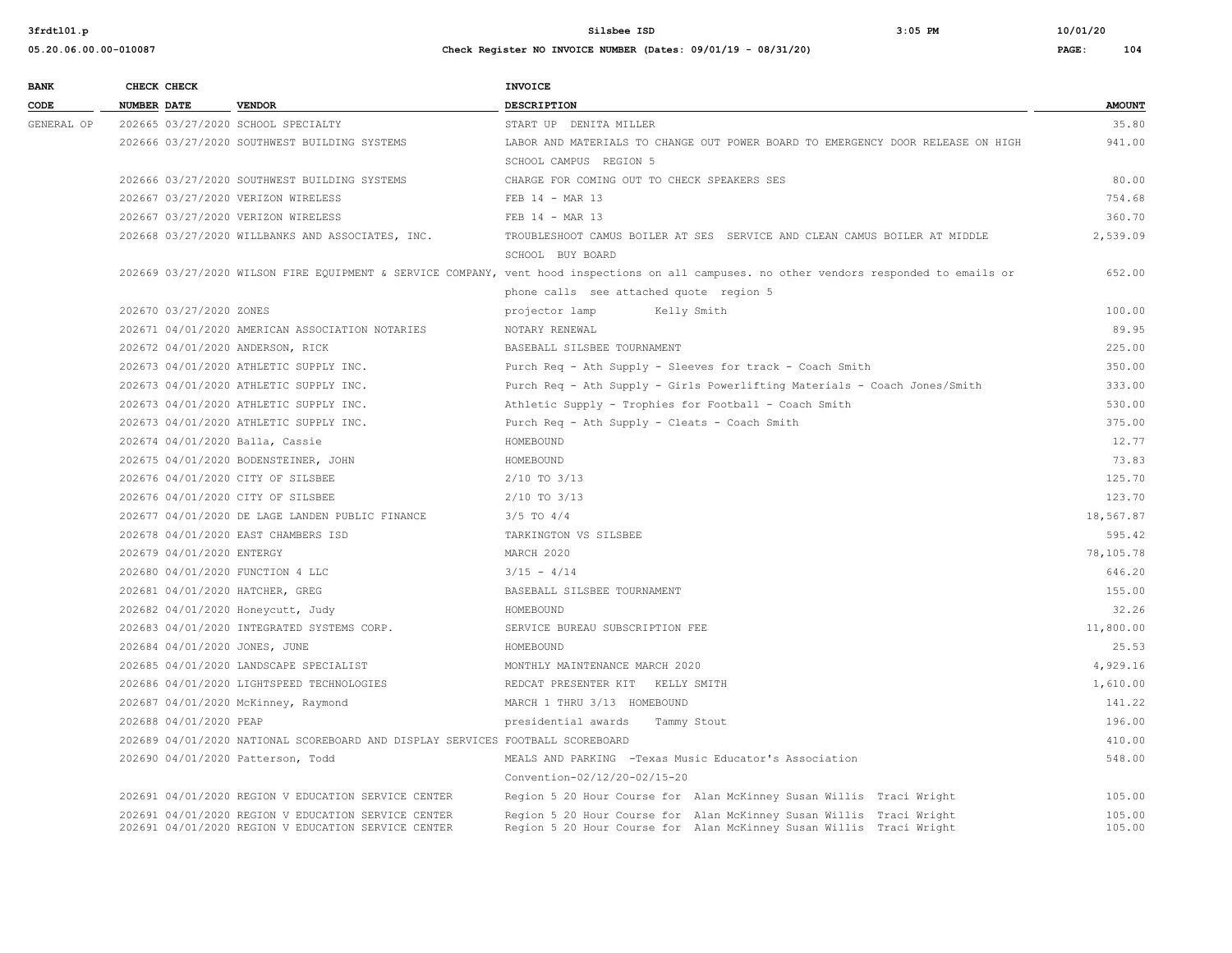| <b>BANK</b> |             | CHECK CHECK               |                                                                                                            | <b>INVOICE</b>                                                                                                                             |                  |
|-------------|-------------|---------------------------|------------------------------------------------------------------------------------------------------------|--------------------------------------------------------------------------------------------------------------------------------------------|------------------|
| CODE        | NUMBER DATE |                           | <b>VENDOR</b>                                                                                              | <b>DESCRIPTION</b>                                                                                                                         | <b>AMOUNT</b>    |
| GENERAL OP  |             |                           | 202665 03/27/2020 SCHOOL SPECIALTY                                                                         | START UP DENITA MILLER                                                                                                                     | 35.80            |
|             |             |                           | 202666 03/27/2020 SOUTHWEST BUILDING SYSTEMS                                                               | LABOR AND MATERIALS TO CHANGE OUT POWER BOARD TO EMERGENCY DOOR RELEASE ON HIGH                                                            | 941.00           |
|             |             |                           |                                                                                                            | SCHOOL CAMPUS REGION 5                                                                                                                     |                  |
|             |             |                           | 202666 03/27/2020 SOUTHWEST BUILDING SYSTEMS                                                               | CHARGE FOR COMING OUT TO CHECK SPEAKERS SES                                                                                                | 80.00            |
|             |             |                           | 202667 03/27/2020 VERIZON WIRELESS                                                                         | FEB 14 - MAR 13                                                                                                                            | 754.68           |
|             |             |                           | 202667 03/27/2020 VERIZON WIRELESS                                                                         | FEB 14 - MAR 13                                                                                                                            | 360.70           |
|             |             |                           | 202668 03/27/2020 WILLBANKS AND ASSOCIATES, INC.                                                           | TROUBLESHOOT CAMUS BOILER AT SES SERVICE AND CLEAN CAMUS BOILER AT MIDDLE                                                                  | 2,539.09         |
|             |             |                           |                                                                                                            | SCHOOL BUY BOARD                                                                                                                           |                  |
|             |             |                           |                                                                                                            | 202669 03/27/2020 WILSON FIRE EQUIPMENT & SERVICE COMPANY, vent hood inspections on all campuses. no other vendors responded to emails or  | 652.00           |
|             |             |                           |                                                                                                            | phone calls see attached quote region 5                                                                                                    |                  |
|             |             | 202670 03/27/2020 ZONES   |                                                                                                            | projector lamp<br>Kelly Smith                                                                                                              | 100.00           |
|             |             |                           | 202671 04/01/2020 AMERICAN ASSOCIATION NOTARIES                                                            | NOTARY RENEWAL                                                                                                                             | 89.95            |
|             |             |                           | 202672 04/01/2020 ANDERSON, RICK                                                                           | BASEBALL SILSBEE TOURNAMENT                                                                                                                | 225.00           |
|             |             |                           | 202673 04/01/2020 ATHLETIC SUPPLY INC.                                                                     | Purch Req - Ath Supply - Sleeves for track - Coach Smith                                                                                   | 350.00           |
|             |             |                           | 202673 04/01/2020 ATHLETIC SUPPLY INC.                                                                     | Purch Req - Ath Supply - Girls Powerlifting Materials - Coach Jones/Smith                                                                  | 333.00           |
|             |             |                           | 202673 04/01/2020 ATHLETIC SUPPLY INC.                                                                     | Athletic Supply - Trophies for Football - Coach Smith                                                                                      | 530.00           |
|             |             |                           | 202673 04/01/2020 ATHLETIC SUPPLY INC.                                                                     | Purch Req - Ath Supply - Cleats - Coach Smith                                                                                              | 375.00           |
|             |             |                           | 202674 04/01/2020 Balla, Cassie                                                                            | HOMEBOUND                                                                                                                                  | 12.77            |
|             |             |                           | 202675 04/01/2020 BODENSTEINER, JOHN                                                                       | HOMEBOUND                                                                                                                                  | 73.83            |
|             |             |                           | 202676 04/01/2020 CITY OF SILSBEE                                                                          | $2/10$ TO $3/13$                                                                                                                           | 125.70           |
|             |             |                           | 202676 04/01/2020 CITY OF SILSBEE                                                                          | $2/10$ TO $3/13$                                                                                                                           | 123.70           |
|             |             |                           | 202677 04/01/2020 DE LAGE LANDEN PUBLIC FINANCE                                                            | $3/5$ TO $4/4$                                                                                                                             | 18,567.87        |
|             |             |                           | 202678 04/01/2020 EAST CHAMBERS ISD                                                                        | TARKINGTON VS SILSBEE                                                                                                                      | 595.42           |
|             |             | 202679 04/01/2020 ENTERGY |                                                                                                            | MARCH 2020                                                                                                                                 | 78,105.78        |
|             |             |                           | 202680 04/01/2020 FUNCTION 4 LLC                                                                           | $3/15 - 4/14$                                                                                                                              | 646.20           |
|             |             |                           | 202681 04/01/2020 HATCHER, GREG                                                                            | BASEBALL SILSBEE TOURNAMENT                                                                                                                | 155.00           |
|             |             |                           | 202682 04/01/2020 Honeycutt, Judy                                                                          | HOMEBOUND                                                                                                                                  | 32.26            |
|             |             |                           | 202683 04/01/2020 INTEGRATED SYSTEMS CORP.                                                                 | SERVICE BUREAU SUBSCRIPTION FEE                                                                                                            | 11,800.00        |
|             |             |                           | 202684 04/01/2020 JONES, JUNE                                                                              | HOMEBOUND                                                                                                                                  | 25.53            |
|             |             |                           | 202685 04/01/2020 LANDSCAPE SPECIALIST                                                                     | MONTHLY MAINTENANCE MARCH 2020                                                                                                             | 4,929.16         |
|             |             |                           | 202686 04/01/2020 LIGHTSPEED TECHNOLOGIES                                                                  | REDCAT PRESENTER KIT KELLY SMITH                                                                                                           | 1,610.00         |
|             |             |                           | 202687 04/01/2020 McKinney, Raymond                                                                        | MARCH 1 THRU 3/13 HOMEBOUND                                                                                                                | 141.22           |
|             |             | 202688 04/01/2020 PEAP    |                                                                                                            | presidential awards<br>Tammy Stout                                                                                                         | 196.00           |
|             |             |                           | 202689 04/01/2020 NATIONAL SCOREBOARD AND DISPLAY SERVICES FOOTBALL SCOREBOARD                             |                                                                                                                                            | 410.00           |
|             |             |                           | 202690 04/01/2020 Patterson, Todd                                                                          | MEALS AND PARKING -Texas Music Educator's Association                                                                                      | 548.00           |
|             |             |                           |                                                                                                            | Convention-02/12/20-02/15-20                                                                                                               |                  |
|             |             |                           | 202691 04/01/2020 REGION V EDUCATION SERVICE CENTER                                                        | Region 5 20 Hour Course for Alan McKinney Susan Willis Traci Wright                                                                        | 105.00           |
|             |             |                           | 202691 04/01/2020 REGION V EDUCATION SERVICE CENTER<br>202691 04/01/2020 REGION V EDUCATION SERVICE CENTER | Region 5 20 Hour Course for Alan McKinney Susan Willis Traci Wright<br>Region 5 20 Hour Course for Alan McKinney Susan Willis Traci Wright | 105.00<br>105.00 |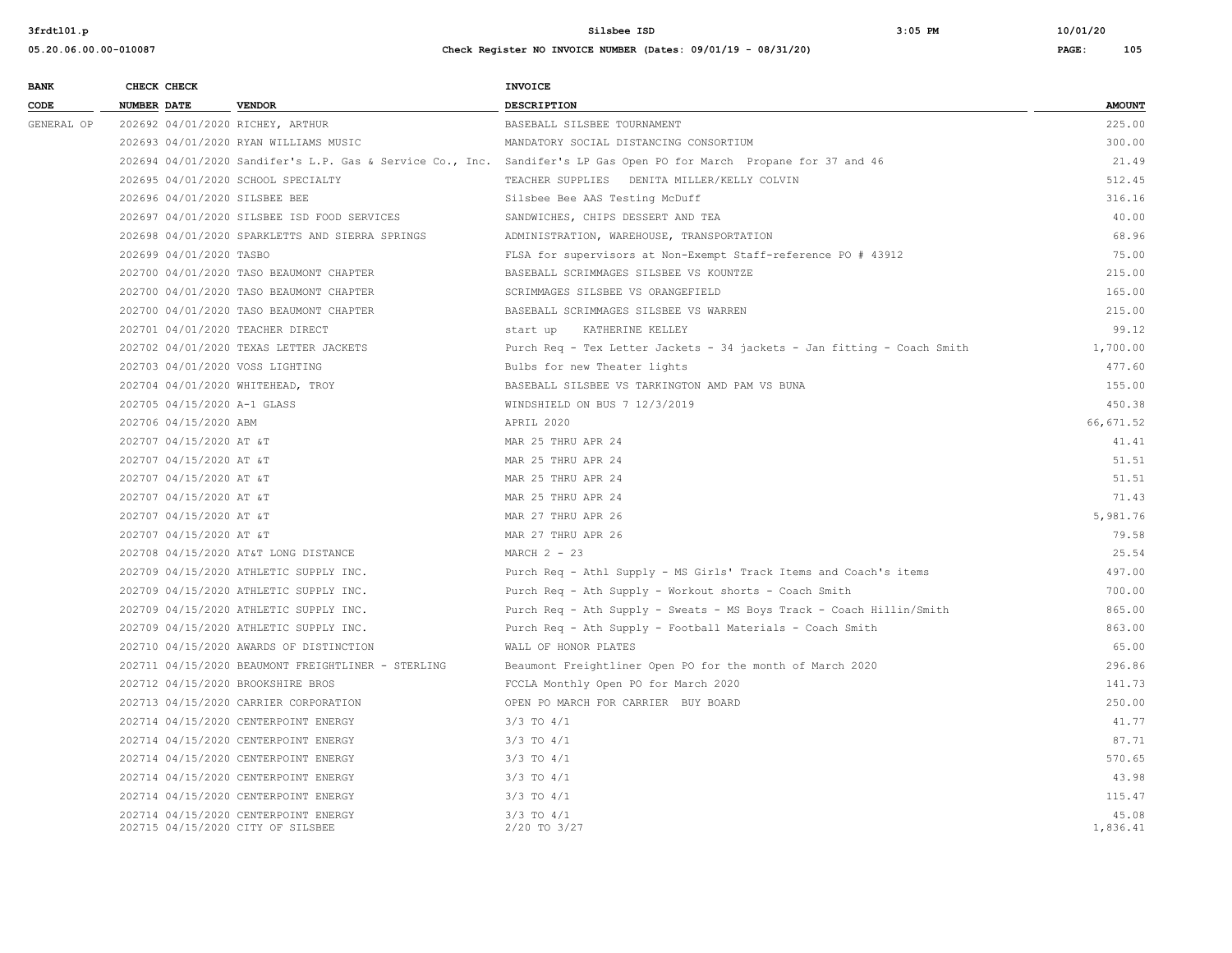| <b>BANK</b> | CHECK CHECK                      |                                                                           | <b>INVOICE</b>                                                                                                      |                   |
|-------------|----------------------------------|---------------------------------------------------------------------------|---------------------------------------------------------------------------------------------------------------------|-------------------|
| CODE        | <b>NUMBER DATE</b>               | <b>VENDOR</b>                                                             | <b>DESCRIPTION</b>                                                                                                  | <b>AMOUNT</b>     |
| GENERAL OP  | 202692 04/01/2020 RICHEY, ARTHUR |                                                                           | BASEBALL SILSBEE TOURNAMENT                                                                                         | 225.00            |
|             |                                  | 202693 04/01/2020 RYAN WILLIAMS MUSIC                                     | MANDATORY SOCIAL DISTANCING CONSORTIUM                                                                              | 300.00            |
|             |                                  |                                                                           | 202694 04/01/2020 Sandifer's L.P. Gas & Service Co., Inc. Sandifer's LP Gas Open PO for March Propane for 37 and 46 | 21.49             |
|             |                                  | 202695 04/01/2020 SCHOOL SPECIALTY                                        | TEACHER SUPPLIES DENITA MILLER/KELLY COLVIN                                                                         | 512.45            |
|             | 202696 04/01/2020 SILSBEE BEE    |                                                                           | Silsbee Bee AAS Testing McDuff                                                                                      | 316.16            |
|             |                                  | 202697 04/01/2020 SILSBEE ISD FOOD SERVICES                               | SANDWICHES, CHIPS DESSERT AND TEA                                                                                   | 40.00             |
|             |                                  | 202698 04/01/2020 SPARKLETTS AND SIERRA SPRINGS                           | ADMINISTRATION, WAREHOUSE, TRANSPORTATION                                                                           | 68.96             |
|             | 202699 04/01/2020 TASBO          |                                                                           | FLSA for supervisors at Non-Exempt Staff-reference PO # 43912                                                       | 75.00             |
|             |                                  | 202700 04/01/2020 TASO BEAUMONT CHAPTER                                   | BASEBALL SCRIMMAGES SILSBEE VS KOUNTZE                                                                              | 215.00            |
|             |                                  | 202700 04/01/2020 TASO BEAUMONT CHAPTER                                   | SCRIMMAGES SILSBEE VS ORANGEFIELD                                                                                   | 165.00            |
|             |                                  | 202700 04/01/2020 TASO BEAUMONT CHAPTER                                   | BASEBALL SCRIMMAGES SILSBEE VS WARREN                                                                               | 215.00            |
|             | 202701 04/01/2020 TEACHER DIRECT |                                                                           | start up KATHERINE KELLEY                                                                                           | 99.12             |
|             |                                  | 202702 04/01/2020 TEXAS LETTER JACKETS                                    | Purch Req - Tex Letter Jackets - 34 jackets - Jan fitting - Coach Smith                                             | 1,700.00          |
|             | 202703 04/01/2020 VOSS LIGHTING  |                                                                           | Bulbs for new Theater lights                                                                                        | 477.60            |
|             |                                  | 202704 04/01/2020 WHITEHEAD, TROY                                         | BASEBALL SILSBEE VS TARKINGTON AMD PAM VS BUNA                                                                      | 155.00            |
|             | 202705 04/15/2020 A-1 GLASS      |                                                                           | WINDSHIELD ON BUS 7 12/3/2019                                                                                       | 450.38            |
|             | 202706 04/15/2020 ABM            |                                                                           | APRIL 2020                                                                                                          | 66, 671.52        |
|             | 202707 04/15/2020 AT &T          |                                                                           | MAR 25 THRU APR 24                                                                                                  | 41.41             |
|             | 202707 04/15/2020 AT &T          |                                                                           | MAR 25 THRU APR 24                                                                                                  | 51.51             |
|             | 202707 04/15/2020 AT &T          |                                                                           | MAR 25 THRU APR 24                                                                                                  | 51.51             |
|             | 202707 04/15/2020 AT &T          |                                                                           | MAR 25 THRU APR 24                                                                                                  | 71.43             |
|             | 202707 04/15/2020 AT &T          |                                                                           | MAR 27 THRU APR 26                                                                                                  | 5,981.76          |
|             | 202707 04/15/2020 AT &T          |                                                                           | MAR 27 THRU APR 26                                                                                                  | 79.58             |
|             |                                  | 202708 04/15/2020 AT&T LONG DISTANCE                                      | MARCH $2 - 23$                                                                                                      | 25.54             |
|             |                                  | 202709 04/15/2020 ATHLETIC SUPPLY INC.                                    | Purch Req - Athl Supply - MS Girls' Track Items and Coach's items                                                   | 497.00            |
|             |                                  | 202709 04/15/2020 ATHLETIC SUPPLY INC.                                    | Purch Req - Ath Supply - Workout shorts - Coach Smith                                                               | 700.00            |
|             |                                  | 202709 04/15/2020 ATHLETIC SUPPLY INC.                                    | Purch Req - Ath Supply - Sweats - MS Boys Track - Coach Hillin/Smith                                                | 865.00            |
|             |                                  | 202709 04/15/2020 ATHLETIC SUPPLY INC.                                    | Purch Req - Ath Supply - Football Materials - Coach Smith                                                           | 863.00            |
|             |                                  | 202710 04/15/2020 AWARDS OF DISTINCTION                                   | WALL OF HONOR PLATES                                                                                                | 65.00             |
|             |                                  | 202711 04/15/2020 BEAUMONT FREIGHTLINER - STERLING                        | Beaumont Freightliner Open PO for the month of March 2020                                                           | 296.86            |
|             |                                  | 202712 04/15/2020 BROOKSHIRE BROS                                         | FCCLA Monthly Open PO for March 2020                                                                                | 141.73            |
|             |                                  | 202713 04/15/2020 CARRIER CORPORATION                                     | OPEN PO MARCH FOR CARRIER BUY BOARD                                                                                 | 250.00            |
|             |                                  | 202714 04/15/2020 CENTERPOINT ENERGY                                      | $3/3$ TO $4/1$                                                                                                      | 41.77             |
|             |                                  | 202714 04/15/2020 CENTERPOINT ENERGY                                      | $3/3$ TO $4/1$                                                                                                      | 87.71             |
|             |                                  | 202714 04/15/2020 CENTERPOINT ENERGY                                      | $3/3$ TO $4/1$                                                                                                      | 570.65            |
|             |                                  | 202714 04/15/2020 CENTERPOINT ENERGY                                      | $3/3$ TO $4/1$                                                                                                      | 43.98             |
|             |                                  | 202714 04/15/2020 CENTERPOINT ENERGY                                      | $3/3$ TO $4/1$                                                                                                      | 115.47            |
|             |                                  | 202714 04/15/2020 CENTERPOINT ENERGY<br>202715 04/15/2020 CITY OF SILSBEE | $3/3$ TO $4/1$<br>2/20 TO 3/27                                                                                      | 45.08<br>1,836.41 |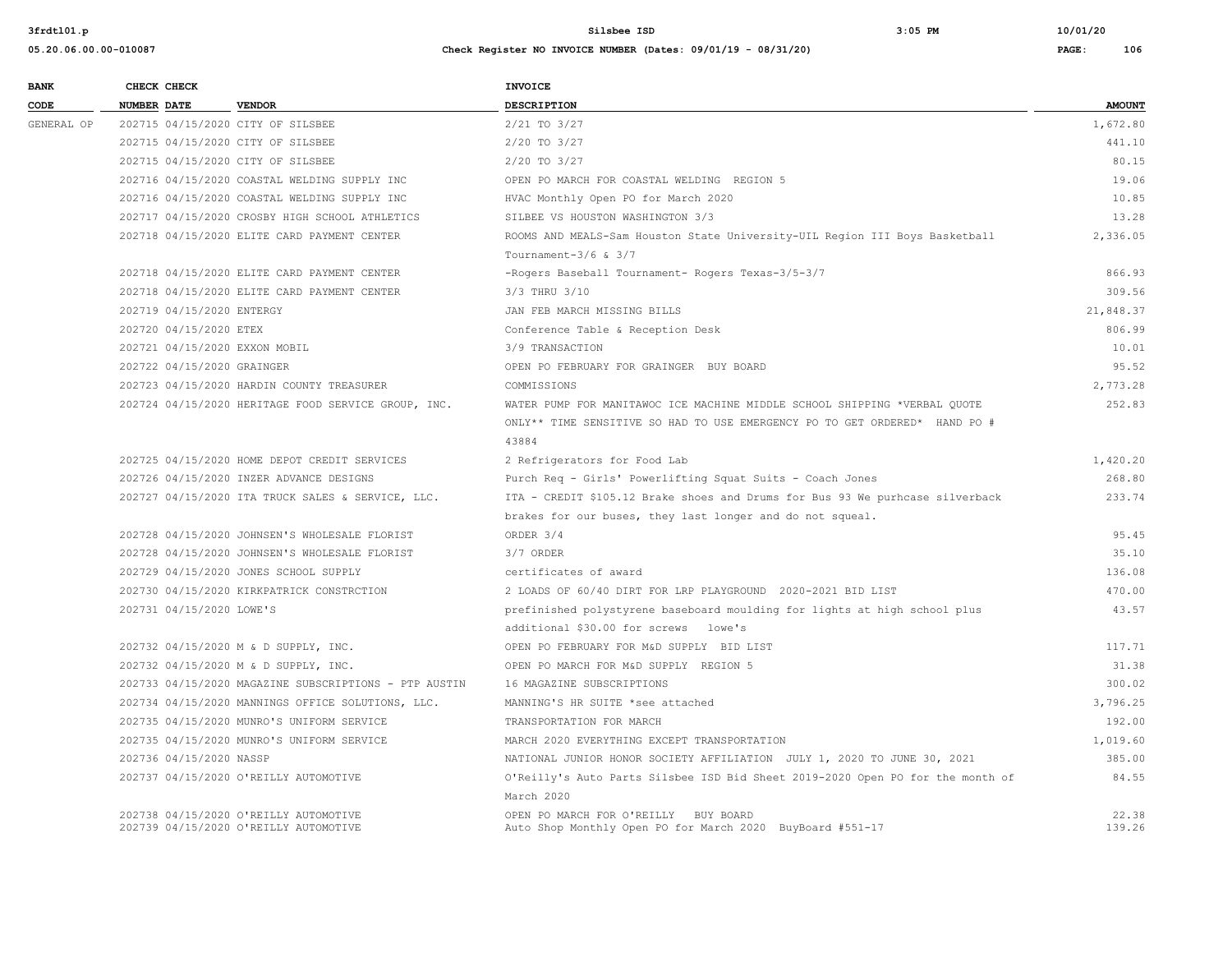| <b>BANK</b> | CHECK CHECK                   |                                                                                | <b>INVOICE</b>                                                                                    |                 |
|-------------|-------------------------------|--------------------------------------------------------------------------------|---------------------------------------------------------------------------------------------------|-----------------|
| CODE        | NUMBER DATE                   | <b>VENDOR</b>                                                                  | <b>DESCRIPTION</b>                                                                                | <b>AMOUNT</b>   |
| GENERAL OP  |                               | 202715 04/15/2020 CITY OF SILSBEE                                              | $2/21$ TO $3/27$                                                                                  | 1,672.80        |
|             |                               | 202715 04/15/2020 CITY OF SILSBEE                                              | $2/20$ TO $3/27$                                                                                  | 441.10          |
|             |                               | 202715 04/15/2020 CITY OF SILSBEE                                              | 2/20 TO 3/27                                                                                      | 80.15           |
|             |                               | 202716 04/15/2020 COASTAL WELDING SUPPLY INC                                   | OPEN PO MARCH FOR COASTAL WELDING REGION 5                                                        | 19.06           |
|             |                               | 202716 04/15/2020 COASTAL WELDING SUPPLY INC                                   | HVAC Monthly Open PO for March 2020                                                               | 10.85           |
|             |                               | 202717 04/15/2020 CROSBY HIGH SCHOOL ATHLETICS                                 | SILBEE VS HOUSTON WASHINGTON 3/3                                                                  | 13.28           |
|             |                               | 202718 04/15/2020 ELITE CARD PAYMENT CENTER                                    | ROOMS AND MEALS-Sam Houston State University-UIL Region III Boys Basketball                       | 2,336.05        |
|             |                               |                                                                                | Tournament- $3/6$ & $3/7$                                                                         |                 |
|             |                               | 202718 04/15/2020 ELITE CARD PAYMENT CENTER                                    | -Rogers Baseball Tournament- Rogers Texas-3/5-3/7                                                 | 866.93          |
|             |                               | 202718 04/15/2020 ELITE CARD PAYMENT CENTER                                    | 3/3 THRU 3/10                                                                                     | 309.56          |
|             | 202719 04/15/2020 ENTERGY     |                                                                                | JAN FEB MARCH MISSING BILLS                                                                       | 21,848.37       |
|             | 202720 04/15/2020 ETEX        |                                                                                | Conference Table & Reception Desk                                                                 | 806.99          |
|             | 202721 04/15/2020 EXXON MOBIL |                                                                                | 3/9 TRANSACTION                                                                                   | 10.01           |
|             | 202722 04/15/2020 GRAINGER    |                                                                                | OPEN PO FEBRUARY FOR GRAINGER BUY BOARD                                                           | 95.52           |
|             |                               | 202723 04/15/2020 HARDIN COUNTY TREASURER                                      | COMMISSIONS                                                                                       | 2,773.28        |
|             |                               | 202724 04/15/2020 HERITAGE FOOD SERVICE GROUP, INC.                            | WATER PUMP FOR MANITAWOC ICE MACHINE MIDDLE SCHOOL SHIPPING *VERBAL OUOTE                         | 252.83          |
|             |                               |                                                                                | ONLY** TIME SENSITIVE SO HAD TO USE EMERGENCY PO TO GET ORDERED* HAND PO #                        |                 |
|             |                               |                                                                                | 43884                                                                                             |                 |
|             |                               | 202725 04/15/2020 HOME DEPOT CREDIT SERVICES                                   | 2 Refrigerators for Food Lab                                                                      | 1,420.20        |
|             |                               | 202726 04/15/2020 INZER ADVANCE DESIGNS                                        | Purch Req - Girls' Powerlifting Squat Suits - Coach Jones                                         | 268.80          |
|             |                               | 202727 04/15/2020 ITA TRUCK SALES & SERVICE, LLC.                              | ITA - CREDIT \$105.12 Brake shoes and Drums for Bus 93 We purhcase silverback                     | 233.74          |
|             |                               |                                                                                | brakes for our buses, they last longer and do not squeal.                                         |                 |
|             |                               | 202728 04/15/2020 JOHNSEN'S WHOLESALE FLORIST                                  | ORDER 3/4                                                                                         | 95.45           |
|             |                               | 202728 04/15/2020 JOHNSEN'S WHOLESALE FLORIST                                  | 3/7 ORDER                                                                                         | 35.10           |
|             |                               | 202729 04/15/2020 JONES SCHOOL SUPPLY                                          | certificates of award                                                                             | 136.08          |
|             |                               | 202730 04/15/2020 KIRKPATRICK CONSTRCTION                                      | 2 LOADS OF 60/40 DIRT FOR LRP PLAYGROUND 2020-2021 BID LIST                                       | 470.00          |
|             | 202731 04/15/2020 LOWE'S      |                                                                                | prefinished polystyrene baseboard moulding for lights at high school plus                         | 43.57           |
|             |                               |                                                                                | additional \$30.00 for screws lowe's                                                              |                 |
|             |                               | 202732 04/15/2020 M & D SUPPLY, INC.                                           | OPEN PO FEBRUARY FOR M&D SUPPLY BID LIST                                                          | 117.71          |
|             |                               | 202732 04/15/2020 M & D SUPPLY, INC.                                           | OPEN PO MARCH FOR M&D SUPPLY REGION 5                                                             | 31.38           |
|             |                               | 202733 04/15/2020 MAGAZINE SUBSCRIPTIONS - PTP AUSTIN                          | 16 MAGAZINE SUBSCRIPTIONS                                                                         | 300.02          |
|             |                               | 202734 04/15/2020 MANNINGS OFFICE SOLUTIONS, LLC.                              | MANNING'S HR SUITE *see attached                                                                  | 3,796.25        |
|             |                               | 202735 04/15/2020 MUNRO'S UNIFORM SERVICE                                      | TRANSPORTATION FOR MARCH                                                                          | 192.00          |
|             |                               | 202735 04/15/2020 MUNRO'S UNIFORM SERVICE                                      | MARCH 2020 EVERYTHING EXCEPT TRANSPORTATION                                                       | 1,019.60        |
|             | 202736 04/15/2020 NASSP       |                                                                                | NATIONAL JUNIOR HONOR SOCIETY AFFILIATION JULY 1, 2020 TO JUNE 30, 2021                           | 385.00          |
|             |                               | 202737 04/15/2020 O'REILLY AUTOMOTIVE                                          | O'Reilly's Auto Parts Silsbee ISD Bid Sheet 2019-2020 Open PO for the month of<br>March 2020      | 84.55           |
|             |                               | 202738 04/15/2020 O'REILLY AUTOMOTIVE<br>202739 04/15/2020 O'REILLY AUTOMOTIVE | OPEN PO MARCH FOR O'REILLY BUY BOARD<br>Auto Shop Monthly Open PO for March 2020 BuyBoard #551-17 | 22.38<br>139.26 |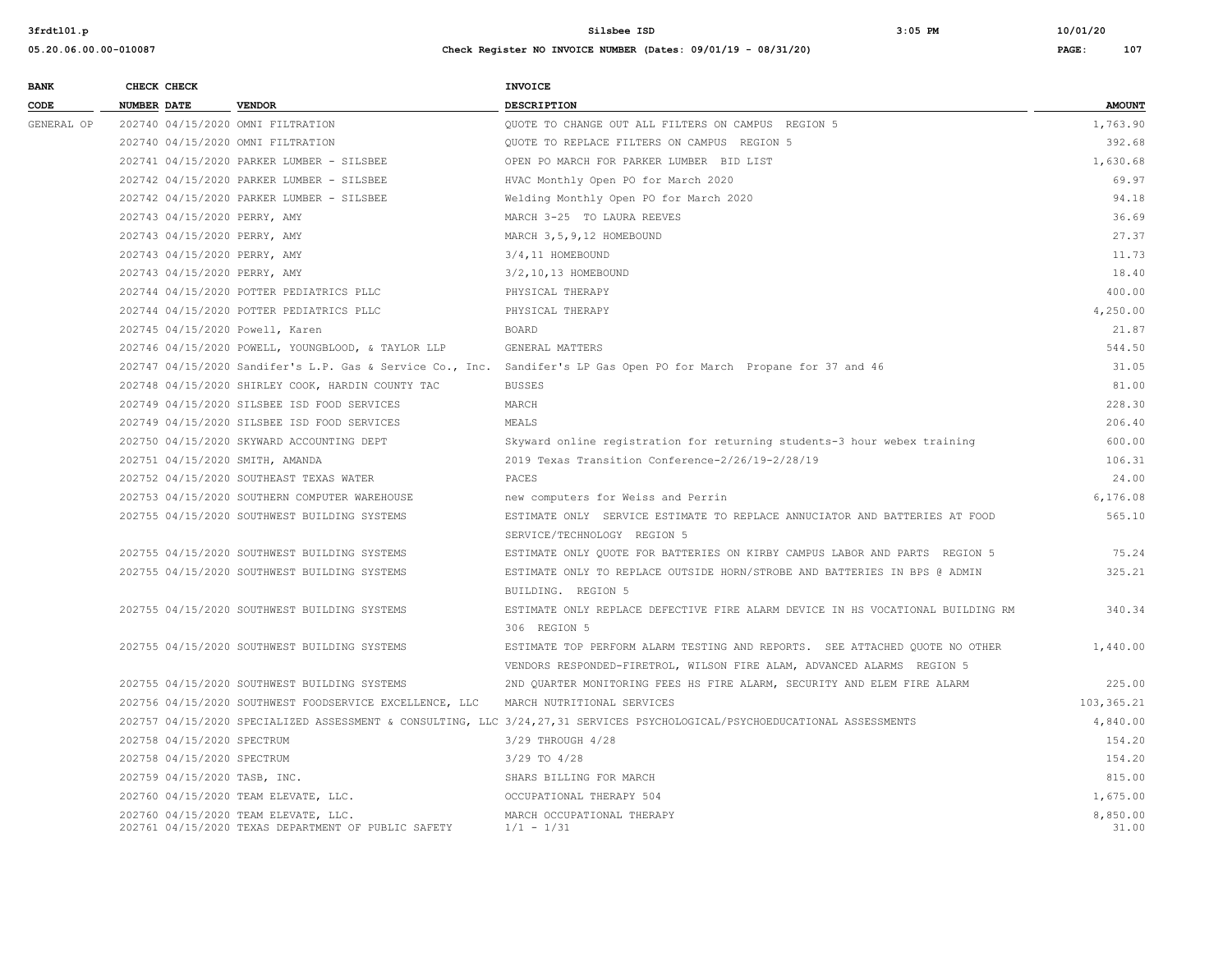| <b>BANK</b> | CHECK CHECK |                            |                                                                                             | <b>INVOICE</b>                                                                                                             |                   |
|-------------|-------------|----------------------------|---------------------------------------------------------------------------------------------|----------------------------------------------------------------------------------------------------------------------------|-------------------|
| CODE        | NUMBER DATE |                            | <b>VENDOR</b>                                                                               | DESCRIPTION                                                                                                                | <b>AMOUNT</b>     |
| GENERAL OP  |             |                            | 202740 04/15/2020 OMNI FILTRATION                                                           | OUOTE TO CHANGE OUT ALL FILTERS ON CAMPUS REGION 5                                                                         | 1,763.90          |
|             |             |                            | 202740 04/15/2020 OMNI FILTRATION                                                           | QUOTE TO REPLACE FILTERS ON CAMPUS REGION 5                                                                                | 392.68            |
|             |             |                            | 202741 04/15/2020 PARKER LUMBER - SILSBEE                                                   | OPEN PO MARCH FOR PARKER LUMBER BID LIST                                                                                   | 1,630.68          |
|             |             |                            | 202742 04/15/2020 PARKER LUMBER - SILSBEE                                                   | HVAC Monthly Open PO for March 2020                                                                                        | 69.97             |
|             |             |                            | 202742 04/15/2020 PARKER LUMBER - SILSBEE                                                   | Welding Monthly Open PO for March 2020                                                                                     | 94.18             |
|             |             |                            | 202743 04/15/2020 PERRY, AMY                                                                | MARCH 3-25 TO LAURA REEVES                                                                                                 | 36.69             |
|             |             |                            | 202743 04/15/2020 PERRY, AMY                                                                | MARCH 3, 5, 9, 12 HOMEBOUND                                                                                                | 27.37             |
|             |             |                            | 202743 04/15/2020 PERRY, AMY                                                                | 3/4,11 HOMEBOUND                                                                                                           | 11.73             |
|             |             |                            | 202743 04/15/2020 PERRY, AMY                                                                | 3/2,10,13 HOMEBOUND                                                                                                        | 18.40             |
|             |             |                            | 202744 04/15/2020 POTTER PEDIATRICS PLLC                                                    | PHYSICAL THERAPY                                                                                                           | 400.00            |
|             |             |                            | 202744 04/15/2020 POTTER PEDIATRICS PLLC                                                    | PHYSICAL THERAPY                                                                                                           | 4,250.00          |
|             |             |                            | 202745 04/15/2020 Powell, Karen                                                             | BOARD                                                                                                                      | 21.87             |
|             |             |                            | 202746 04/15/2020 POWELL, YOUNGBLOOD, & TAYLOR LLP                                          | GENERAL MATTERS                                                                                                            | 544.50            |
|             |             |                            |                                                                                             | 202747 04/15/2020 Sandifer's L.P. Gas & Service Co., Inc. Sandifer's LP Gas Open PO for March Propane for 37 and 46        | 31.05             |
|             |             |                            | 202748 04/15/2020 SHIRLEY COOK, HARDIN COUNTY TAC                                           | <b>BUSSES</b>                                                                                                              | 81.00             |
|             |             |                            | 202749 04/15/2020 SILSBEE ISD FOOD SERVICES                                                 | MARCH                                                                                                                      | 228.30            |
|             |             |                            | 202749 04/15/2020 SILSBEE ISD FOOD SERVICES                                                 | MEALS                                                                                                                      | 206.40            |
|             |             |                            | 202750 04/15/2020 SKYWARD ACCOUNTING DEPT                                                   | Skyward online registration for returning students-3 hour webex training                                                   | 600.00            |
|             |             |                            | 202751 04/15/2020 SMITH, AMANDA                                                             | 2019 Texas Transition Conference-2/26/19-2/28/19                                                                           | 106.31            |
|             |             |                            | 202752 04/15/2020 SOUTHEAST TEXAS WATER                                                     | PACES                                                                                                                      | 24.00             |
|             |             |                            | 202753 04/15/2020 SOUTHERN COMPUTER WAREHOUSE                                               | new computers for Weiss and Perrin                                                                                         | 6,176.08          |
|             |             |                            | 202755 04/15/2020 SOUTHWEST BUILDING SYSTEMS                                                | ESTIMATE ONLY SERVICE ESTIMATE TO REPLACE ANNUCIATOR AND BATTERIES AT FOOD                                                 | 565.10            |
|             |             |                            |                                                                                             | SERVICE/TECHNOLOGY REGION 5                                                                                                |                   |
|             |             |                            | 202755 04/15/2020 SOUTHWEST BUILDING SYSTEMS                                                | ESTIMATE ONLY QUOTE FOR BATTERIES ON KIRBY CAMPUS LABOR AND PARTS REGION 5                                                 | 75.24             |
|             |             |                            | 202755 04/15/2020 SOUTHWEST BUILDING SYSTEMS                                                | ESTIMATE ONLY TO REPLACE OUTSIDE HORN/STROBE AND BATTERIES IN BPS @ ADMIN                                                  | 325.21            |
|             |             |                            |                                                                                             | BUILDING. REGION 5                                                                                                         |                   |
|             |             |                            | 202755 04/15/2020 SOUTHWEST BUILDING SYSTEMS                                                | ESTIMATE ONLY REPLACE DEFECTIVE FIRE ALARM DEVICE IN HS VOCATIONAL BUILDING RM                                             | 340.34            |
|             |             |                            |                                                                                             | 306 REGION 5                                                                                                               |                   |
|             |             |                            | 202755 04/15/2020 SOUTHWEST BUILDING SYSTEMS                                                | ESTIMATE TOP PERFORM ALARM TESTING AND REPORTS. SEE ATTACHED QUOTE NO OTHER                                                | 1,440.00          |
|             |             |                            |                                                                                             | VENDORS RESPONDED-FIRETROL, WILSON FIRE ALAM, ADVANCED ALARMS REGION 5                                                     |                   |
|             |             |                            | 202755 04/15/2020 SOUTHWEST BUILDING SYSTEMS                                                | 2ND QUARTER MONITORING FEES HS FIRE ALARM, SECURITY AND ELEM FIRE ALARM                                                    | 225.00            |
|             |             |                            | 202756 04/15/2020 SOUTHWEST FOODSERVICE EXCELLENCE, LLC                                     | MARCH NUTRITIONAL SERVICES                                                                                                 | 103,365.21        |
|             |             |                            |                                                                                             | 202757 04/15/2020 SPECIALIZED ASSESSMENT & CONSULTING, LLC 3/24,27,31 SERVICES PSYCHOLOGICAL/PSYCHOEDUCATIONAL ASSESSMENTS | 4,840.00          |
|             |             | 202758 04/15/2020 SPECTRUM |                                                                                             | 3/29 THROUGH 4/28                                                                                                          | 154.20            |
|             |             | 202758 04/15/2020 SPECTRUM |                                                                                             | $3/29$ TO $4/28$                                                                                                           | 154.20            |
|             |             |                            | 202759 04/15/2020 TASB, INC.                                                                | SHARS BILLING FOR MARCH                                                                                                    | 815.00            |
|             |             |                            | 202760 04/15/2020 TEAM ELEVATE, LLC.                                                        | OCCUPATIONAL THERAPY 504                                                                                                   | 1,675.00          |
|             |             |                            | 202760 04/15/2020 TEAM ELEVATE, LLC.<br>202761 04/15/2020 TEXAS DEPARTMENT OF PUBLIC SAFETY | MARCH OCCUPATIONAL THERAPY<br>$1/1 - 1/31$                                                                                 | 8,850.00<br>31.00 |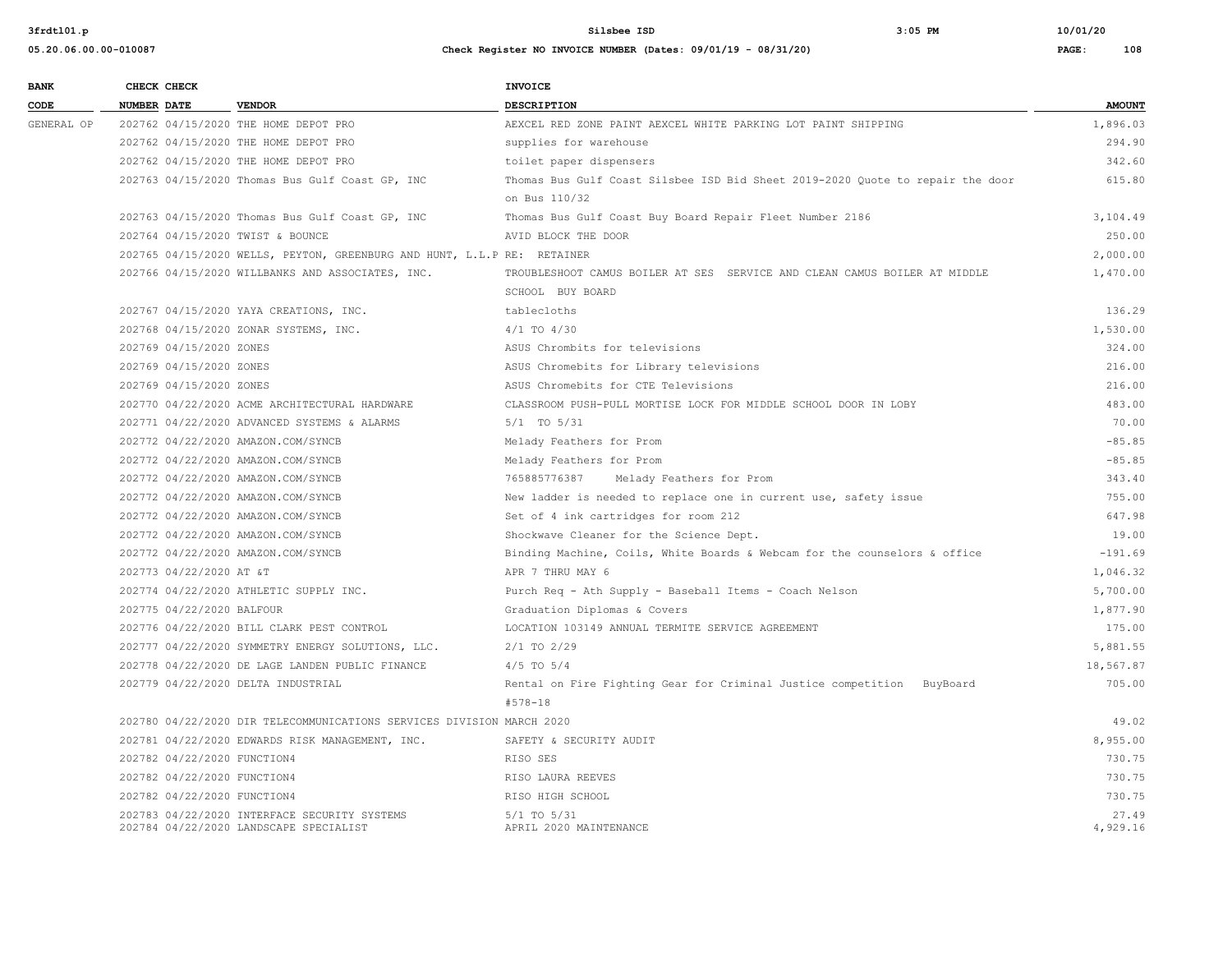**BANK CHECK CHECK CHECK** 

**3frdtl01.p Silsbee ISD 3:05 PM 10/01/20**

| CODE       | <b>NUMBER DATE</b>          | <b>VENDOR</b>                                                           | <b>DESCRIPTION</b>                                                             | <b>AMOUNT</b> |
|------------|-----------------------------|-------------------------------------------------------------------------|--------------------------------------------------------------------------------|---------------|
| GENERAL OP |                             | 202762 04/15/2020 THE HOME DEPOT PRO                                    | AEXCEL RED ZONE PAINT AEXCEL WHITE PARKING LOT PAINT SHIPPING                  | 1,896.03      |
|            |                             | 202762 04/15/2020 THE HOME DEPOT PRO                                    | supplies for warehouse                                                         | 294.90        |
|            |                             | 202762 04/15/2020 THE HOME DEPOT PRO                                    | toilet paper dispensers                                                        | 342.60        |
|            |                             | 202763 04/15/2020 Thomas Bus Gulf Coast GP, INC                         | Thomas Bus Gulf Coast Silsbee ISD Bid Sheet 2019-2020 Quote to repair the door | 615.80        |
|            |                             |                                                                         | on Bus 110/32                                                                  |               |
|            |                             | 202763 04/15/2020 Thomas Bus Gulf Coast GP, INC                         | Thomas Bus Gulf Coast Buy Board Repair Fleet Number 2186                       | 3,104.49      |
|            |                             | 202764 04/15/2020 TWIST & BOUNCE                                        | AVID BLOCK THE DOOR                                                            | 250.00        |
|            |                             | 202765 04/15/2020 WELLS, PEYTON, GREENBURG AND HUNT, L.L.P RE: RETAINER |                                                                                | 2,000.00      |
|            |                             | 202766 04/15/2020 WILLBANKS AND ASSOCIATES, INC.                        | TROUBLESHOOT CAMUS BOILER AT SES SERVICE AND CLEAN CAMUS BOILER AT MIDDLE      | 1,470.00      |
|            |                             |                                                                         | SCHOOL BUY BOARD                                                               |               |
|            |                             | 202767 04/15/2020 YAYA CREATIONS, INC.                                  | tablecloths                                                                    | 136.29        |
|            |                             | 202768 04/15/2020 ZONAR SYSTEMS, INC.                                   | $4/1$ TO $4/30$                                                                | 1,530.00      |
|            | 202769 04/15/2020 ZONES     |                                                                         | ASUS Chrombits for televisions                                                 | 324.00        |
|            | 202769 04/15/2020 ZONES     |                                                                         | ASUS Chromebits for Library televisions                                        | 216.00        |
|            | 202769 04/15/2020 ZONES     |                                                                         | ASUS Chromebits for CTE Televisions                                            | 216.00        |
|            |                             | 202770 04/22/2020 ACME ARCHITECTURAL HARDWARE                           | CLASSROOM PUSH-PULL MORTISE LOCK FOR MIDDLE SCHOOL DOOR IN LOBY                | 483.00        |
|            |                             | 202771 04/22/2020 ADVANCED SYSTEMS & ALARMS                             | $5/1$ TO $5/31$                                                                | 70.00         |
|            |                             | 202772 04/22/2020 AMAZON.COM/SYNCB                                      | Melady Feathers for Prom                                                       | $-85.85$      |
|            |                             | 202772 04/22/2020 AMAZON.COM/SYNCB                                      | Melady Feathers for Prom                                                       | $-85.85$      |
|            |                             | 202772 04/22/2020 AMAZON.COM/SYNCB                                      | 765885776387 Melady Feathers for Prom                                          | 343.40        |
|            |                             | 202772 04/22/2020 AMAZON.COM/SYNCB                                      | New ladder is needed to replace one in current use, safety issue               | 755.00        |
|            |                             | 202772 04/22/2020 AMAZON.COM/SYNCB                                      | Set of 4 ink cartridges for room 212                                           | 647.98        |
|            |                             | 202772 04/22/2020 AMAZON.COM/SYNCB                                      | Shockwave Cleaner for the Science Dept.                                        | 19.00         |
|            |                             | 202772 04/22/2020 AMAZON.COM/SYNCB                                      | Binding Machine, Coils, White Boards & Webcam for the counselors & office      | $-191.69$     |
|            | 202773 04/22/2020 AT &T     |                                                                         | APR 7 THRU MAY 6                                                               | 1,046.32      |
|            |                             | 202774 04/22/2020 ATHLETIC SUPPLY INC.                                  | Purch Req - Ath Supply - Baseball Items - Coach Nelson                         | 5,700.00      |
|            | 202775 04/22/2020 BALFOUR   |                                                                         | Graduation Diplomas & Covers                                                   | 1,877.90      |
|            |                             | 202776 04/22/2020 BILL CLARK PEST CONTROL                               | LOCATION 103149 ANNUAL TERMITE SERVICE AGREEMENT                               | 175.00        |
|            |                             | 202777 04/22/2020 SYMMETRY ENERGY SOLUTIONS, LLC.                       | $2/1$ TO $2/29$                                                                | 5,881.55      |
|            |                             | 202778 04/22/2020 DE LAGE LANDEN PUBLIC FINANCE                         | $4/5$ TO $5/4$                                                                 | 18,567.87     |
|            |                             | 202779 04/22/2020 DELTA INDUSTRIAL                                      | Rental on Fire Fighting Gear for Criminal Justice competition BuyBoard         | 705.00        |
|            |                             |                                                                         | $#578 - 18$                                                                    |               |
|            |                             | 202780 04/22/2020 DIR TELECOMMUNICATIONS SERVICES DIVISION MARCH 2020   |                                                                                | 49.02         |
|            |                             | 202781 04/22/2020 EDWARDS RISK MANAGEMENT, INC.                         | SAFETY & SECURITY AUDIT                                                        | 8,955.00      |
|            | 202782 04/22/2020 FUNCTION4 |                                                                         | RISO SES                                                                       | 730.75        |
|            | 202782 04/22/2020 FUNCTION4 |                                                                         | RISO LAURA REEVES                                                              | 730.75        |
|            | 202782 04/22/2020 FUNCTION4 |                                                                         | RISO HIGH SCHOOL                                                               | 730.75        |
|            |                             | 202783 04/22/2020 INTERFACE SECURITY SYSTEMS                            | 5/1 TO 5/31                                                                    | 27.49         |
|            |                             | 202784 04/22/2020 LANDSCAPE SPECIALIST                                  | APRIL 2020 MAINTENANCE                                                         | 4,929.16      |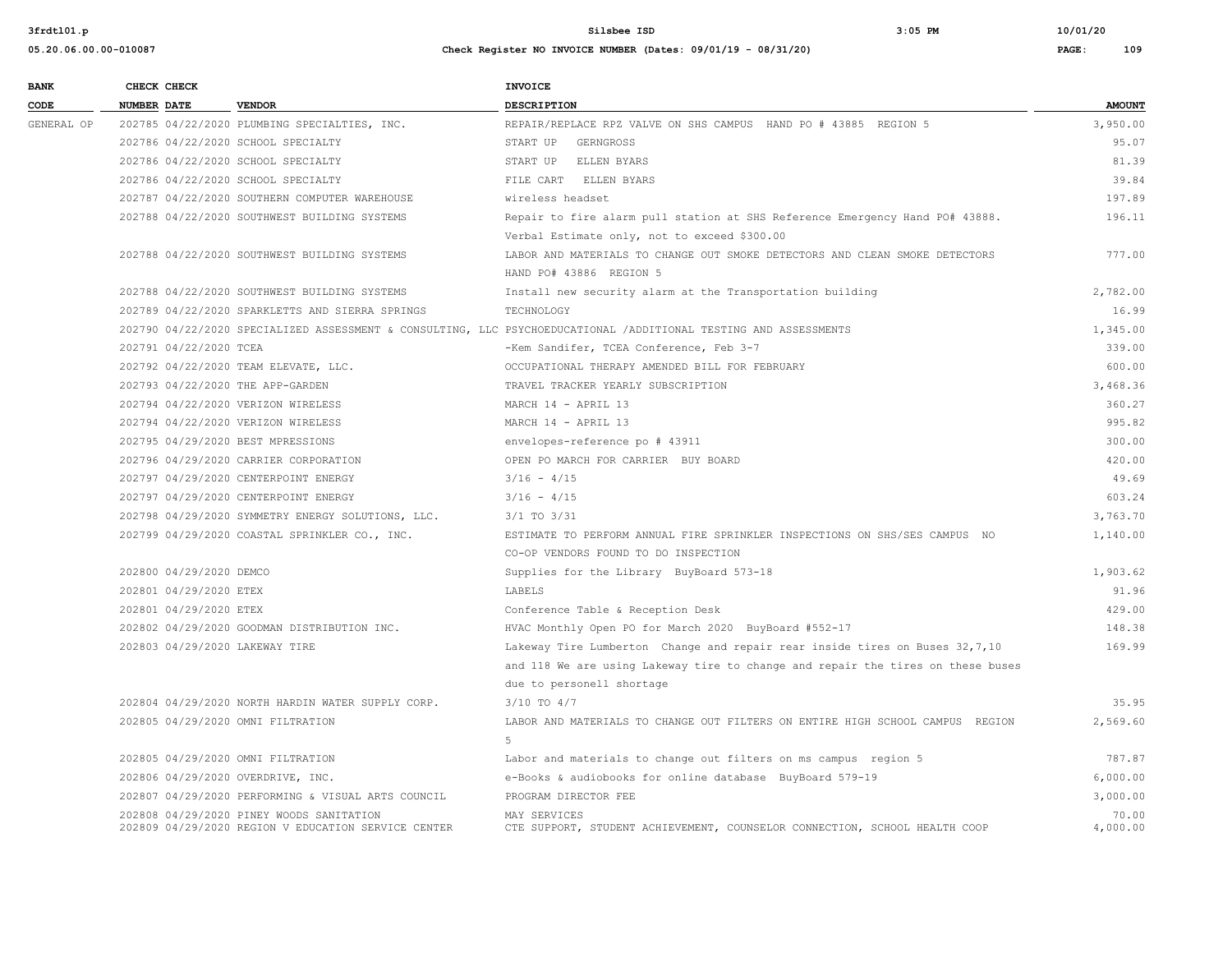| <b>BANK</b> | CHECK CHECK             |                                                     | <b>INVOICE</b>                                                                                                   |               |
|-------------|-------------------------|-----------------------------------------------------|------------------------------------------------------------------------------------------------------------------|---------------|
| CODE        | <b>NUMBER DATE</b>      | <b>VENDOR</b>                                       | <b>DESCRIPTION</b>                                                                                               | <b>AMOUNT</b> |
| GENERAL OP  |                         | 202785 04/22/2020 PLUMBING SPECIALTIES, INC.        | REPAIR/REPLACE RPZ VALVE ON SHS CAMPUS HAND PO # 43885 REGION 5                                                  | 3,950.00      |
|             |                         | 202786 04/22/2020 SCHOOL SPECIALTY                  | START UP GERNGROSS                                                                                               | 95.07         |
|             |                         | 202786 04/22/2020 SCHOOL SPECIALTY                  | START UP ELLEN BYARS                                                                                             | 81.39         |
|             |                         | 202786 04/22/2020 SCHOOL SPECIALTY                  | FILE CART ELLEN BYARS                                                                                            | 39.84         |
|             |                         | 202787 04/22/2020 SOUTHERN COMPUTER WAREHOUSE       | wireless headset                                                                                                 | 197.89        |
|             |                         | 202788 04/22/2020 SOUTHWEST BUILDING SYSTEMS        | Repair to fire alarm pull station at SHS Reference Emergency Hand PO# 43888.                                     | 196.11        |
|             |                         |                                                     | Verbal Estimate only, not to exceed \$300.00                                                                     |               |
|             |                         | 202788 04/22/2020 SOUTHWEST BUILDING SYSTEMS        | LABOR AND MATERIALS TO CHANGE OUT SMOKE DETECTORS AND CLEAN SMOKE DETECTORS                                      | 777.00        |
|             |                         |                                                     | HAND PO# 43886 REGION 5                                                                                          |               |
|             |                         | 202788 04/22/2020 SOUTHWEST BUILDING SYSTEMS        | Install new security alarm at the Transportation building                                                        | 2,782.00      |
|             |                         | 202789 04/22/2020 SPARKLETTS AND SIERRA SPRINGS     | TECHNOLOGY                                                                                                       | 16.99         |
|             |                         |                                                     | 202790 04/22/2020 SPECIALIZED ASSESSMENT & CONSULTING, LLC PSYCHOEDUCATIONAL /ADDITIONAL TESTING AND ASSESSMENTS | 1,345.00      |
|             | 202791 04/22/2020 TCEA  |                                                     | -Kem Sandifer, TCEA Conference, Feb 3-7                                                                          | 339.00        |
|             |                         | 202792 04/22/2020 TEAM ELEVATE, LLC.                | OCCUPATIONAL THERAPY AMENDED BILL FOR FEBRUARY                                                                   | 600.00        |
|             |                         | 202793 04/22/2020 THE APP-GARDEN                    | TRAVEL TRACKER YEARLY SUBSCRIPTION                                                                               | 3,468.36      |
|             |                         | 202794 04/22/2020 VERIZON WIRELESS                  | MARCH 14 - APRIL 13                                                                                              | 360.27        |
|             |                         | 202794 04/22/2020 VERIZON WIRELESS                  | MARCH 14 - APRIL 13                                                                                              | 995.82        |
|             |                         | 202795 04/29/2020 BEST MPRESSIONS                   | envelopes-reference po # 43911                                                                                   | 300.00        |
|             |                         | 202796 04/29/2020 CARRIER CORPORATION               | OPEN PO MARCH FOR CARRIER BUY BOARD                                                                              | 420.00        |
|             |                         | 202797 04/29/2020 CENTERPOINT ENERGY                | $3/16 - 4/15$                                                                                                    | 49.69         |
|             |                         | 202797 04/29/2020 CENTERPOINT ENERGY                | $3/16 - 4/15$                                                                                                    | 603.24        |
|             |                         | 202798 04/29/2020 SYMMETRY ENERGY SOLUTIONS, LLC.   | $3/1$ TO $3/31$                                                                                                  | 3,763.70      |
|             |                         | 202799 04/29/2020 COASTAL SPRINKLER CO., INC.       | ESTIMATE TO PERFORM ANNUAL FIRE SPRINKLER INSPECTIONS ON SHS/SES CAMPUS NO                                       | 1,140.00      |
|             |                         |                                                     | CO-OP VENDORS FOUND TO DO INSPECTION                                                                             |               |
|             | 202800 04/29/2020 DEMCO |                                                     | Supplies for the Library BuyBoard 573-18                                                                         | 1,903.62      |
|             | 202801 04/29/2020 ETEX  |                                                     | LABELS                                                                                                           | 91.96         |
|             | 202801 04/29/2020 ETEX  |                                                     | Conference Table & Reception Desk                                                                                | 429.00        |
|             |                         | 202802 04/29/2020 GOODMAN DISTRIBUTION INC.         | HVAC Monthly Open PO for March 2020 BuyBoard #552-17                                                             | 148.38        |
|             |                         | 202803 04/29/2020 LAKEWAY TIRE                      | Lakeway Tire Lumberton Change and repair rear inside tires on Buses 32,7,10                                      | 169.99        |
|             |                         |                                                     | and 118 We are using Lakeway tire to change and repair the tires on these buses                                  |               |
|             |                         |                                                     | due to personell shortage                                                                                        |               |
|             |                         | 202804 04/29/2020 NORTH HARDIN WATER SUPPLY CORP.   | 3/10 TO 4/7                                                                                                      | 35.95         |
|             |                         | 202805 04/29/2020 OMNI FILTRATION                   | LABOR AND MATERIALS TO CHANGE OUT FILTERS ON ENTIRE HIGH SCHOOL CAMPUS REGION                                    | 2,569.60      |
|             |                         |                                                     | 5                                                                                                                |               |
|             |                         | 202805 04/29/2020 OMNI FILTRATION                   | Labor and materials to change out filters on ms campus region 5                                                  | 787.87        |
|             |                         | 202806 04/29/2020 OVERDRIVE, INC.                   | e-Books & audiobooks for online database BuyBoard 579-19                                                         | 6,000.00      |
|             |                         | 202807 04/29/2020 PERFORMING & VISUAL ARTS COUNCIL  | PROGRAM DIRECTOR FEE                                                                                             | 3,000.00      |
|             |                         | 202808 04/29/2020 PINEY WOODS SANITATION            | MAY SERVICES                                                                                                     | 70.00         |
|             |                         | 202809 04/29/2020 REGION V EDUCATION SERVICE CENTER | CTE SUPPORT, STUDENT ACHIEVEMENT, COUNSELOR CONNECTION, SCHOOL HEALTH COOP                                       | 4,000.00      |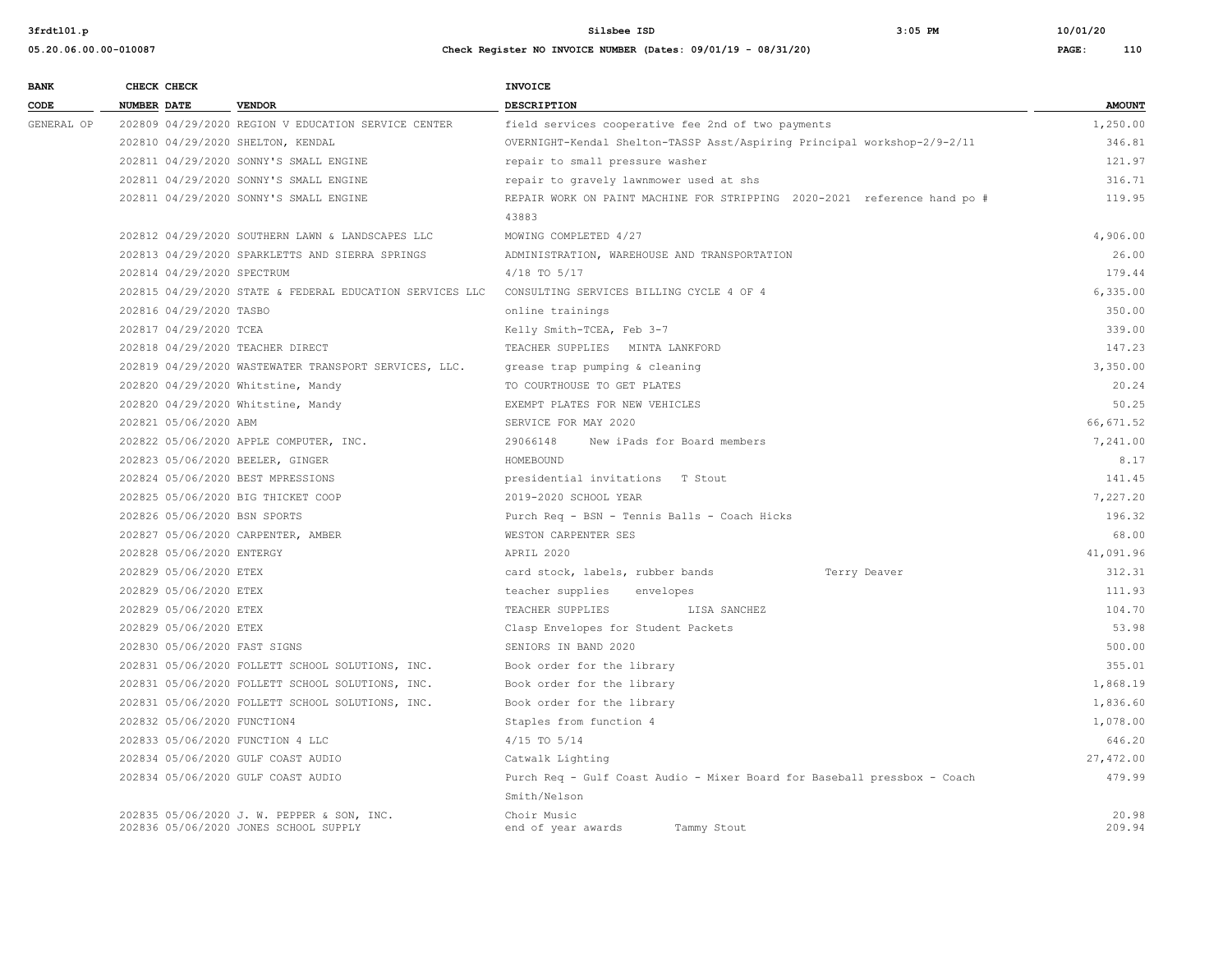**05.20.06.00.00-010087 Check Register NO INVOICE NUMBER (Dates: 09/01/19 - 08/31/20) PAGE: 110**

**3frdtl01.p Silsbee ISD 3:05 PM 10/01/20**

| <b>BANK</b> | CHECK CHECK                       |                                                                                     | <b>INVOICE</b>                                                           |                 |
|-------------|-----------------------------------|-------------------------------------------------------------------------------------|--------------------------------------------------------------------------|-----------------|
| CODE        | NUMBER DATE                       | <b>VENDOR</b>                                                                       | <b>DESCRIPTION</b>                                                       | <b>AMOUNT</b>   |
| GENERAL OP  |                                   | 202809 04/29/2020 REGION V EDUCATION SERVICE CENTER                                 | field services cooperative fee 2nd of two payments                       | 1,250.00        |
|             | 202810 04/29/2020 SHELTON, KENDAL |                                                                                     | OVERNIGHT-Kendal Shelton-TASSP Asst/Aspiring Principal workshop-2/9-2/11 | 346.81          |
|             |                                   | 202811 04/29/2020 SONNY'S SMALL ENGINE                                              | repair to small pressure washer                                          | 121.97          |
|             |                                   | 202811 04/29/2020 SONNY'S SMALL ENGINE                                              | repair to gravely lawnmower used at shs                                  | 316.71          |
|             |                                   | 202811 04/29/2020 SONNY'S SMALL ENGINE                                              | REPAIR WORK ON PAINT MACHINE FOR STRIPPING 2020-2021 reference hand po # | 119.95          |
|             |                                   |                                                                                     | 43883                                                                    |                 |
|             |                                   | 202812 04/29/2020 SOUTHERN LAWN & LANDSCAPES LLC                                    | MOWING COMPLETED 4/27                                                    | 4,906.00        |
|             |                                   | 202813 04/29/2020 SPARKLETTS AND SIERRA SPRINGS                                     | ADMINISTRATION, WAREHOUSE AND TRANSPORTATION                             | 26.00           |
|             | 202814 04/29/2020 SPECTRUM        |                                                                                     | $4/18$ TO $5/17$                                                         | 179.44          |
|             |                                   | 202815 04/29/2020 STATE & FEDERAL EDUCATION SERVICES LLC                            | CONSULTING SERVICES BILLING CYCLE 4 OF 4                                 | 6,335.00        |
|             | 202816 04/29/2020 TASBO           |                                                                                     | online trainings                                                         | 350.00          |
|             | 202817 04/29/2020 TCEA            |                                                                                     | Kelly Smith-TCEA, Feb 3-7                                                | 339.00          |
|             | 202818 04/29/2020 TEACHER DIRECT  |                                                                                     | TEACHER SUPPLIES MINTA LANKFORD                                          | 147.23          |
|             |                                   | 202819 04/29/2020 WASTEWATER TRANSPORT SERVICES, LLC.                               | grease trap pumping & cleaning                                           | 3,350.00        |
|             |                                   | 202820 04/29/2020 Whitstine, Mandy                                                  | TO COURTHOUSE TO GET PLATES                                              | 20.24           |
|             |                                   | 202820 04/29/2020 Whitstine, Mandy                                                  | EXEMPT PLATES FOR NEW VEHICLES                                           | 50.25           |
|             | 202821 05/06/2020 ABM             |                                                                                     | SERVICE FOR MAY 2020                                                     | 66,671.52       |
|             |                                   | 202822 05/06/2020 APPLE COMPUTER, INC.                                              | 29066148<br>New iPads for Board members                                  | 7,241.00        |
|             | 202823 05/06/2020 BEELER, GINGER  |                                                                                     | HOMEBOUND                                                                | 8.17            |
|             | 202824 05/06/2020 BEST MPRESSIONS |                                                                                     | presidential invitations T Stout                                         | 141.45          |
|             |                                   | 202825 05/06/2020 BIG THICKET COOP                                                  | 2019-2020 SCHOOL YEAR                                                    | 7.227.20        |
|             | 202826 05/06/2020 BSN SPORTS      |                                                                                     | Purch Req - BSN - Tennis Balls - Coach Hicks                             | 196.32          |
|             |                                   | 202827 05/06/2020 CARPENTER, AMBER                                                  | WESTON CARPENTER SES                                                     | 68.00           |
|             | 202828 05/06/2020 ENTERGY         |                                                                                     | APRTL 2020                                                               | 41,091.96       |
|             | 202829 05/06/2020 ETEX            |                                                                                     | card stock, labels, rubber bands<br>Terry Deaver                         | 312.31          |
|             | 202829 05/06/2020 ETEX            |                                                                                     | teacher supplies<br>envelopes                                            | 111.93          |
|             | 202829 05/06/2020 ETEX            |                                                                                     | TEACHER SUPPLIES<br>LISA SANCHEZ                                         | 104.70          |
|             | 202829 05/06/2020 ETEX            |                                                                                     | Clasp Envelopes for Student Packets                                      | 53.98           |
|             | 202830 05/06/2020 FAST SIGNS      |                                                                                     | SENIORS IN BAND 2020                                                     | 500.00          |
|             |                                   | 202831 05/06/2020 FOLLETT SCHOOL SOLUTIONS, INC.                                    | Book order for the library                                               | 355.01          |
|             |                                   | 202831 05/06/2020 FOLLETT SCHOOL SOLUTIONS, INC.                                    | Book order for the library                                               | 1,868.19        |
|             |                                   | 202831 05/06/2020 FOLLETT SCHOOL SOLUTIONS, INC.                                    | Book order for the library                                               | 1,836.60        |
|             | 202832 05/06/2020 FUNCTION4       |                                                                                     | Staples from function 4                                                  | 1,078.00        |
|             | 202833 05/06/2020 FUNCTION 4 LLC  |                                                                                     | $4/15$ TO $5/14$                                                         | 646.20          |
|             |                                   | 202834 05/06/2020 GULF COAST AUDIO                                                  | Catwalk Lighting                                                         | 27,472.00       |
|             |                                   | 202834 05/06/2020 GULF COAST AUDIO                                                  | Purch Req - Gulf Coast Audio - Mixer Board for Baseball pressbox - Coach | 479.99          |
|             |                                   |                                                                                     | Smith/Nelson                                                             |                 |
|             |                                   | 202835 05/06/2020 J. W. PEPPER & SON, INC.<br>202836 05/06/2020 JONES SCHOOL SUPPLY | Choir Music<br>Tammy Stout<br>end of year awards                         | 20.98<br>209.94 |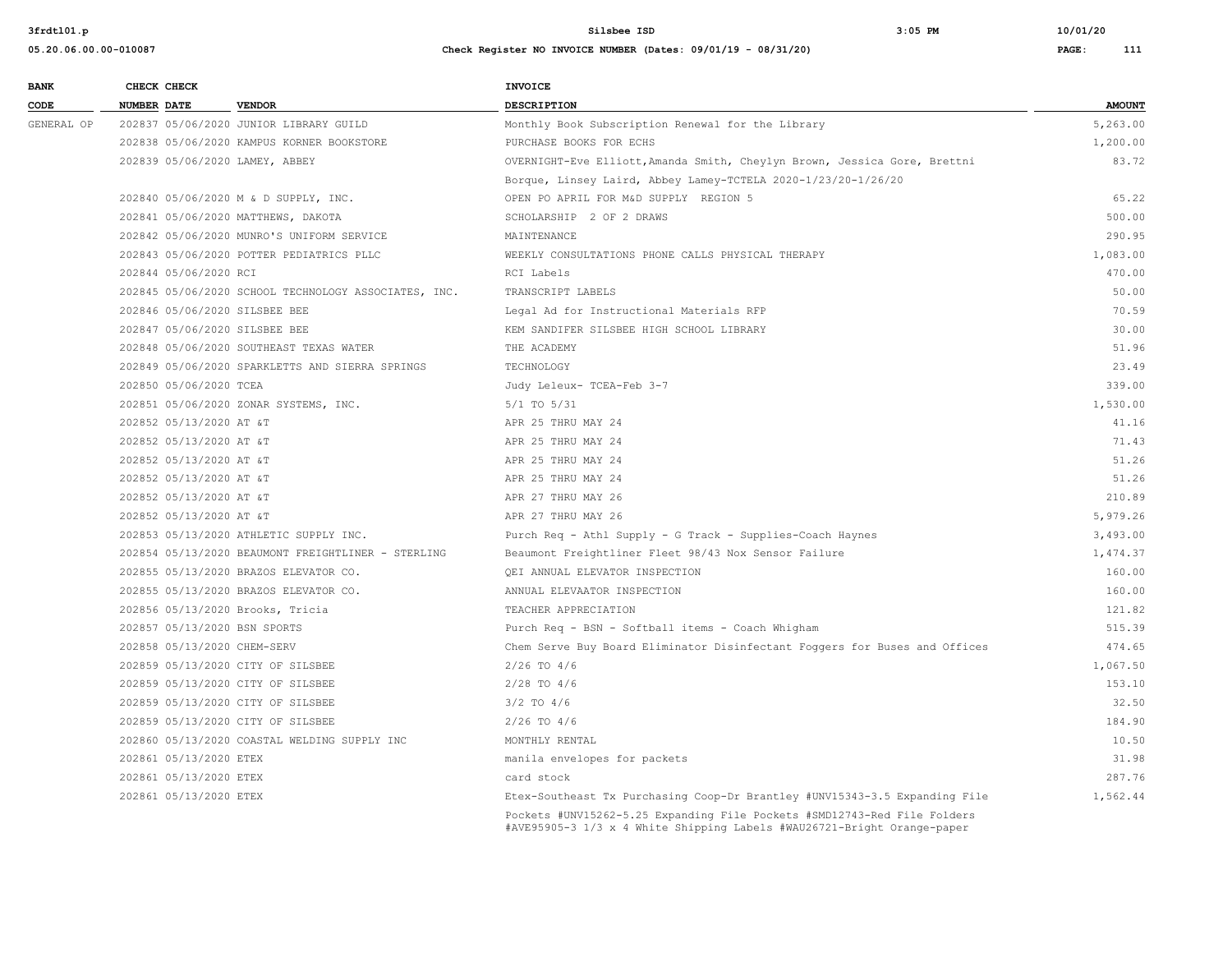| <b>BANK</b> |                    | CHECK CHECK                 |                                                      | <b>INVOICE</b>                                                                                                                                      |               |
|-------------|--------------------|-----------------------------|------------------------------------------------------|-----------------------------------------------------------------------------------------------------------------------------------------------------|---------------|
| CODE        | <b>NUMBER DATE</b> |                             | <b>VENDOR</b>                                        | <b>DESCRIPTION</b>                                                                                                                                  | <b>AMOUNT</b> |
| GENERAL OP  |                    |                             | 202837 05/06/2020 JUNIOR LIBRARY GUILD               | Monthly Book Subscription Renewal for the Library                                                                                                   | 5,263.00      |
|             |                    |                             | 202838 05/06/2020 KAMPUS KORNER BOOKSTORE            | PURCHASE BOOKS FOR ECHS                                                                                                                             | 1,200.00      |
|             |                    |                             | 202839 05/06/2020 LAMEY, ABBEY                       | OVERNIGHT-Eve Elliott, Amanda Smith, Cheylyn Brown, Jessica Gore, Brettni                                                                           | 83.72         |
|             |                    |                             |                                                      | Borque, Linsey Laird, Abbey Lamey-TCTELA 2020-1/23/20-1/26/20                                                                                       |               |
|             |                    |                             | 202840 05/06/2020 M & D SUPPLY, INC.                 | OPEN PO APRIL FOR M&D SUPPLY REGION 5                                                                                                               | 65.22         |
|             |                    |                             | 202841 05/06/2020 MATTHEWS, DAKOTA                   | SCHOLARSHIP 2 OF 2 DRAWS                                                                                                                            | 500.00        |
|             |                    |                             | 202842 05/06/2020 MUNRO'S UNIFORM SERVICE            | MAINTENANCE                                                                                                                                         | 290.95        |
|             |                    |                             | 202843 05/06/2020 POTTER PEDIATRICS PLLC             | WEEKLY CONSULTATIONS PHONE CALLS PHYSICAL THERAPY                                                                                                   | 1,083.00      |
|             |                    | 202844 05/06/2020 RCI       |                                                      | RCI Labels                                                                                                                                          | 470.00        |
|             |                    |                             | 202845 05/06/2020 SCHOOL TECHNOLOGY ASSOCIATES, INC. | TRANSCRIPT LABELS                                                                                                                                   | 50.00         |
|             |                    |                             | 202846 05/06/2020 SILSBEE BEE                        | Legal Ad for Instructional Materials RFP                                                                                                            | 70.59         |
|             |                    |                             | 202847 05/06/2020 SILSBEE BEE                        | KEM SANDIFER SILSBEE HIGH SCHOOL LIBRARY                                                                                                            | 30.00         |
|             |                    |                             | 202848 05/06/2020 SOUTHEAST TEXAS WATER              | THE ACADEMY                                                                                                                                         | 51.96         |
|             |                    |                             | 202849 05/06/2020 SPARKLETTS AND SIERRA SPRINGS      | TECHNOLOGY                                                                                                                                          | 23.49         |
|             |                    | 202850 05/06/2020 TCEA      |                                                      | Judy Leleux- TCEA-Feb 3-7                                                                                                                           | 339.00        |
|             |                    |                             | 202851 05/06/2020 ZONAR SYSTEMS, INC.                | $5/1$ TO $5/31$                                                                                                                                     | 1,530.00      |
|             |                    | 202852 05/13/2020 AT &T     |                                                      | APR 25 THRU MAY 24                                                                                                                                  | 41.16         |
|             |                    | 202852 05/13/2020 AT &T     |                                                      | APR 25 THRU MAY 24                                                                                                                                  | 71.43         |
|             |                    | 202852 05/13/2020 AT &T     |                                                      | APR 25 THRU MAY 24                                                                                                                                  | 51.26         |
|             |                    | 202852 05/13/2020 AT &T     |                                                      | APR 25 THRU MAY 24                                                                                                                                  | 51.26         |
|             |                    | 202852 05/13/2020 AT &T     |                                                      | APR 27 THRU MAY 26                                                                                                                                  | 210.89        |
|             |                    | 202852 05/13/2020 AT &T     |                                                      | APR 27 THRU MAY 26                                                                                                                                  | 5,979.26      |
|             |                    |                             | 202853 05/13/2020 ATHLETIC SUPPLY INC.               | Purch Req - Athl Supply - G Track - Supplies-Coach Haynes                                                                                           | 3,493.00      |
|             |                    |                             | 202854 05/13/2020 BEAUMONT FREIGHTLINER - STERLING   | Beaumont Freightliner Fleet 98/43 Nox Sensor Failure                                                                                                | 1,474.37      |
|             |                    |                             | 202855 05/13/2020 BRAZOS ELEVATOR CO.                | QEI ANNUAL ELEVATOR INSPECTION                                                                                                                      | 160.00        |
|             |                    |                             | 202855 05/13/2020 BRAZOS ELEVATOR CO.                | ANNUAL ELEVAATOR INSPECTION                                                                                                                         | 160.00        |
|             |                    |                             | 202856 05/13/2020 Brooks, Tricia                     | TEACHER APPRECIATION                                                                                                                                | 121.82        |
|             |                    |                             | 202857 05/13/2020 BSN SPORTS                         | Purch Req - BSN - Softball items - Coach Whigham                                                                                                    | 515.39        |
|             |                    | 202858 05/13/2020 CHEM-SERV |                                                      | Chem Serve Buy Board Eliminator Disinfectant Foggers for Buses and Offices                                                                          | 474.65        |
|             |                    |                             | 202859 05/13/2020 CITY OF SILSBEE                    | $2/26$ TO $4/6$                                                                                                                                     | 1,067.50      |
|             |                    |                             | 202859 05/13/2020 CITY OF SILSBEE                    | $2/28$ TO $4/6$                                                                                                                                     | 153.10        |
|             |                    |                             | 202859 05/13/2020 CITY OF SILSBEE                    | $3/2$ TO $4/6$                                                                                                                                      | 32.50         |
|             |                    |                             | 202859 05/13/2020 CITY OF SILSBEE                    | $2/26$ TO $4/6$                                                                                                                                     | 184.90        |
|             |                    |                             | 202860 05/13/2020 COASTAL WELDING SUPPLY INC         | MONTHLY RENTAL                                                                                                                                      | 10.50         |
|             |                    | 202861 05/13/2020 ETEX      |                                                      | manila envelopes for packets                                                                                                                        | 31.98         |
|             |                    | 202861 05/13/2020 ETEX      |                                                      | card stock                                                                                                                                          | 287.76        |
|             |                    | 202861 05/13/2020 ETEX      |                                                      | Etex-Southeast Tx Purchasing Coop-Dr Brantley #UNV15343-3.5 Expanding File                                                                          | 1,562.44      |
|             |                    |                             |                                                      | Pockets #UNV15262-5.25 Expanding File Pockets #SMD12743-Red File Folders<br>#AVE95905-3 1/3 x 4 White Shipping Labels #WAU26721-Bright Orange-paper |               |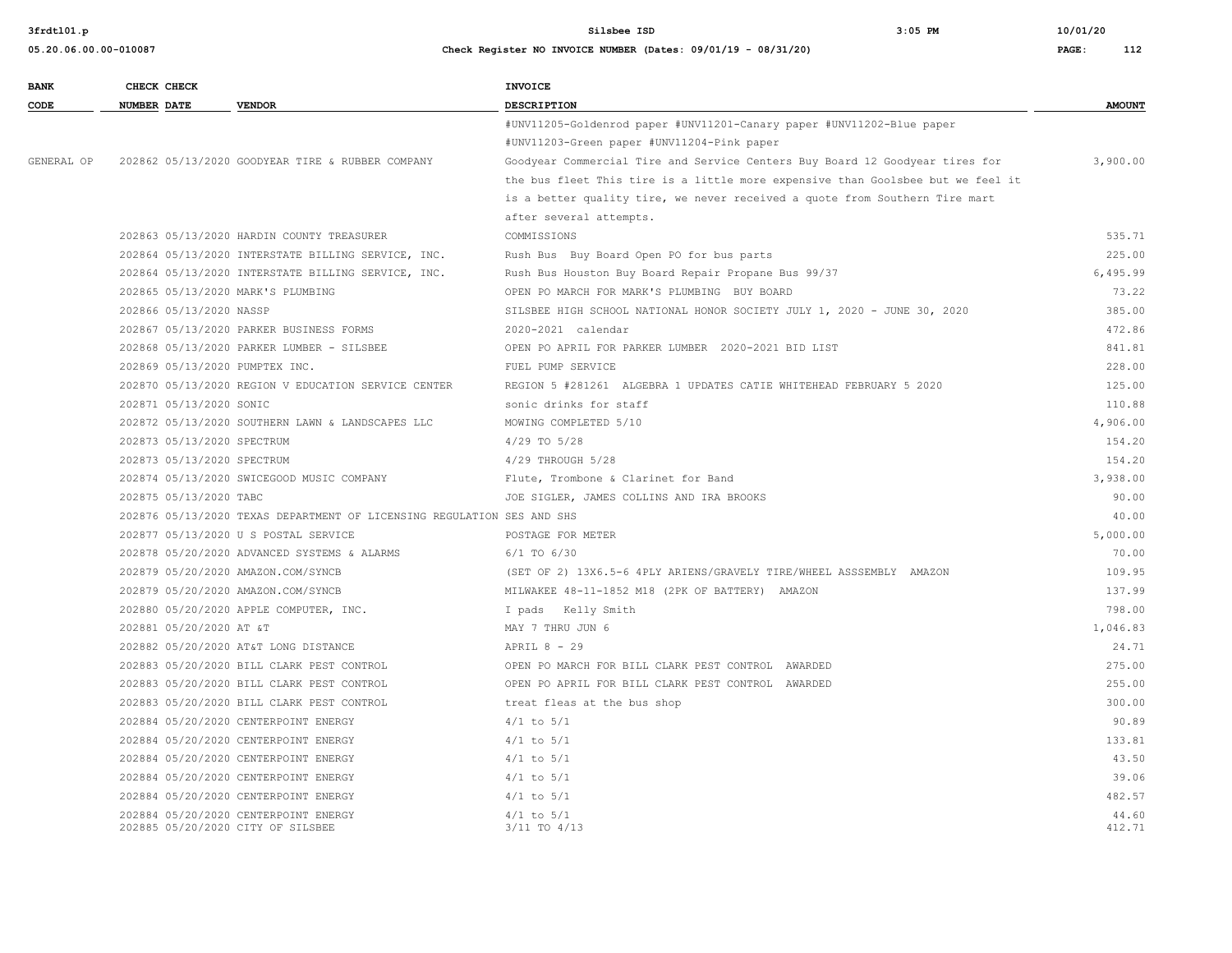| <b>BANK</b> | CHECK CHECK                    |                                                                           | <b>INVOICE</b>                                                                  |                 |
|-------------|--------------------------------|---------------------------------------------------------------------------|---------------------------------------------------------------------------------|-----------------|
| CODE        | <b>NUMBER DATE</b>             | <b>VENDOR</b>                                                             | <b>DESCRIPTION</b>                                                              | <b>AMOUNT</b>   |
|             |                                |                                                                           | #UNV11205-Goldenrod paper #UNV11201-Canary paper #UNV11202-Blue paper           |                 |
|             |                                |                                                                           | #UNV11203-Green paper #UNV11204-Pink paper                                      |                 |
| GENERAL OP  |                                | 202862 05/13/2020 GOODYEAR TIRE & RUBBER COMPANY                          | Goodyear Commercial Tire and Service Centers Buy Board 12 Goodyear tires for    | 3,900.00        |
|             |                                |                                                                           | the bus fleet This tire is a little more expensive than Goolsbee but we feel it |                 |
|             |                                |                                                                           | is a better quality tire, we never received a quote from Southern Tire mart     |                 |
|             |                                |                                                                           | after several attempts.                                                         |                 |
|             |                                | 202863 05/13/2020 HARDIN COUNTY TREASURER                                 | COMMISSIONS                                                                     | 535.71          |
|             |                                | 202864 05/13/2020 INTERSTATE BILLING SERVICE, INC.                        | Rush Bus Buy Board Open PO for bus parts                                        | 225.00          |
|             |                                | 202864 05/13/2020 INTERSTATE BILLING SERVICE, INC.                        | Rush Bus Houston Buy Board Repair Propane Bus 99/37                             | 6,495.99        |
|             |                                | 202865 05/13/2020 MARK'S PLUMBING                                         | OPEN PO MARCH FOR MARK'S PLUMBING BUY BOARD                                     | 73.22           |
|             | 202866 05/13/2020 NASSP        |                                                                           | SILSBEE HIGH SCHOOL NATIONAL HONOR SOCIETY JULY 1, 2020 - JUNE 30, 2020         | 385.00          |
|             |                                | 202867 05/13/2020 PARKER BUSINESS FORMS                                   | 2020-2021 calendar                                                              | 472.86          |
|             |                                | 202868 05/13/2020 PARKER LUMBER - SILSBEE                                 | OPEN PO APRIL FOR PARKER LUMBER 2020-2021 BID LIST                              | 841.81          |
|             | 202869 05/13/2020 PUMPTEX INC. |                                                                           | FUEL PUMP SERVICE                                                               | 228.00          |
|             |                                | 202870 05/13/2020 REGION V EDUCATION SERVICE CENTER                       | REGION 5 #281261 ALGEBRA 1 UPDATES CATIE WHITEHEAD FEBRUARY 5 2020              | 125.00          |
|             | 202871 05/13/2020 SONIC        |                                                                           | sonic drinks for staff                                                          | 110.88          |
|             |                                | 202872 05/13/2020 SOUTHERN LAWN & LANDSCAPES LLC                          | MOWING COMPLETED 5/10                                                           | 4,906.00        |
|             | 202873 05/13/2020 SPECTRUM     |                                                                           | $4/29$ TO $5/28$                                                                | 154.20          |
|             | 202873 05/13/2020 SPECTRUM     |                                                                           | 4/29 THROUGH 5/28                                                               | 154.20          |
|             |                                | 202874 05/13/2020 SWICEGOOD MUSIC COMPANY                                 | Flute, Trombone & Clarinet for Band                                             | 3,938.00        |
|             | 202875 05/13/2020 TABC         |                                                                           | JOE SIGLER, JAMES COLLINS AND IRA BROOKS                                        | 90.00           |
|             |                                | 202876 05/13/2020 TEXAS DEPARTMENT OF LICENSING REGULATION SES AND SHS    |                                                                                 | 40.00           |
|             |                                | 202877 05/13/2020 U S POSTAL SERVICE                                      | POSTAGE FOR METER                                                               | 5,000.00        |
|             |                                | 202878 05/20/2020 ADVANCED SYSTEMS & ALARMS                               | $6/1$ TO $6/30$                                                                 | 70.00           |
|             |                                | 202879 05/20/2020 AMAZON.COM/SYNCB                                        | (SET OF 2) 13X6.5-6 4PLY ARIENS/GRAVELY TIRE/WHEEL ASSSEMBLY AMAZON             | 109.95          |
|             |                                | 202879 05/20/2020 AMAZON.COM/SYNCB                                        | MILWAKEE 48-11-1852 M18 (2PK OF BATTERY) AMAZON                                 | 137.99          |
|             |                                | 202880 05/20/2020 APPLE COMPUTER, INC.                                    | I pads Kelly Smith                                                              | 798.00          |
|             | 202881 05/20/2020 AT &T        |                                                                           | MAY 7 THRU JUN 6                                                                | 1,046.83        |
|             |                                | 202882 05/20/2020 AT&T LONG DISTANCE                                      | APRIL 8 - 29                                                                    | 24.71           |
|             |                                | 202883 05/20/2020 BILL CLARK PEST CONTROL                                 | OPEN PO MARCH FOR BILL CLARK PEST CONTROL AWARDED                               | 275.00          |
|             |                                | 202883 05/20/2020 BILL CLARK PEST CONTROL                                 | OPEN PO APRIL FOR BILL CLARK PEST CONTROL AWARDED                               | 255.00          |
|             |                                | 202883 05/20/2020 BILL CLARK PEST CONTROL                                 | treat fleas at the bus shop                                                     | 300.00          |
|             |                                | 202884 05/20/2020 CENTERPOINT ENERGY                                      | $4/1$ to $5/1$                                                                  | 90.89           |
|             |                                | 202884 05/20/2020 CENTERPOINT ENERGY                                      | $4/1$ to $5/1$                                                                  | 133.81          |
|             |                                | 202884 05/20/2020 CENTERPOINT ENERGY                                      | $4/1$ to $5/1$                                                                  | 43.50           |
|             |                                | 202884 05/20/2020 CENTERPOINT ENERGY                                      | $4/1$ to $5/1$                                                                  | 39.06           |
|             |                                | 202884 05/20/2020 CENTERPOINT ENERGY                                      | $4/1$ to $5/1$                                                                  | 482.57          |
|             |                                | 202884 05/20/2020 CENTERPOINT ENERGY<br>202885 05/20/2020 CITY OF SILSBEE | $4/1$ to $5/1$<br>$3/11$ TO $4/13$                                              | 44.60<br>412.71 |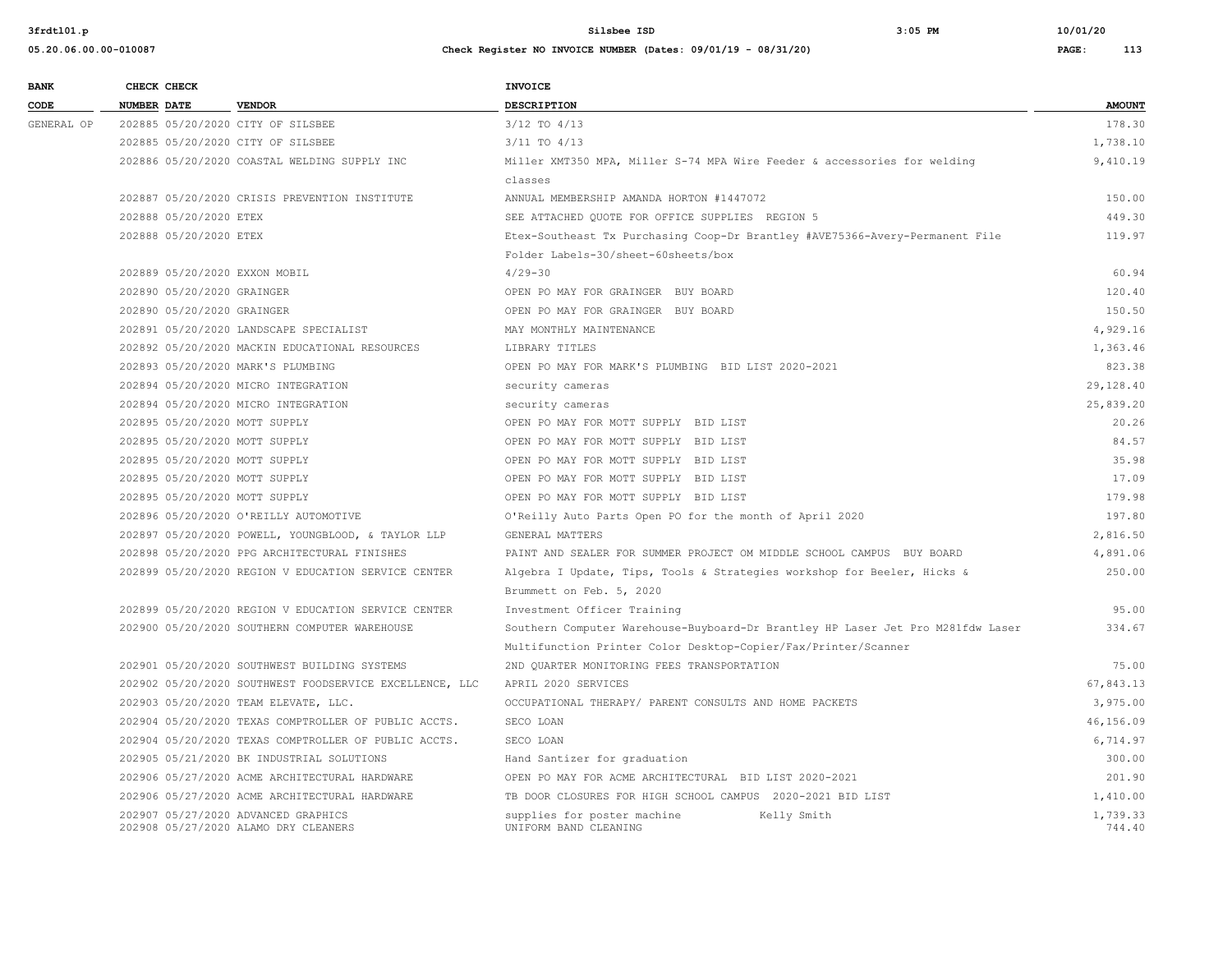| <b>BANK</b> |                    | CHECK CHECK                |                                                                             | <b>INVOICE</b>                                                                  |                    |
|-------------|--------------------|----------------------------|-----------------------------------------------------------------------------|---------------------------------------------------------------------------------|--------------------|
| CODE        | <b>NUMBER DATE</b> |                            | <b>VENDOR</b>                                                               | <b>DESCRIPTION</b>                                                              | <b>AMOUNT</b>      |
| GENERAL OP  |                    |                            | 202885 05/20/2020 CITY OF SILSBEE                                           | 3/12 TO 4/13                                                                    | 178.30             |
|             |                    |                            | 202885 05/20/2020 CITY OF SILSBEE                                           | $3/11$ TO $4/13$                                                                | 1,738.10           |
|             |                    |                            | 202886 05/20/2020 COASTAL WELDING SUPPLY INC                                | Miller XMT350 MPA, Miller S-74 MPA Wire Feeder & accessories for welding        | 9,410.19           |
|             |                    |                            |                                                                             | classes                                                                         |                    |
|             |                    |                            | 202887 05/20/2020 CRISIS PREVENTION INSTITUTE                               | ANNUAL MEMBERSHIP AMANDA HORTON #1447072                                        | 150.00             |
|             |                    | 202888 05/20/2020 ETEX     |                                                                             | SEE ATTACHED QUOTE FOR OFFICE SUPPLIES REGION 5                                 | 449.30             |
|             |                    | 202888 05/20/2020 ETEX     |                                                                             | Etex-Southeast Tx Purchasing Coop-Dr Brantley #AVE75366-Avery-Permanent File    | 119.97             |
|             |                    |                            |                                                                             | Folder Labels-30/sheet-60sheets/box                                             |                    |
|             |                    |                            | 202889 05/20/2020 EXXON MOBIL                                               | $4/29 - 30$                                                                     | 60.94              |
|             |                    | 202890 05/20/2020 GRAINGER |                                                                             | OPEN PO MAY FOR GRAINGER BUY BOARD                                              | 120.40             |
|             |                    | 202890 05/20/2020 GRAINGER |                                                                             | OPEN PO MAY FOR GRAINGER BUY BOARD                                              | 150.50             |
|             |                    |                            | 202891 05/20/2020 LANDSCAPE SPECIALIST                                      | MAY MONTHLY MAINTENANCE                                                         | 4,929.16           |
|             |                    |                            | 202892 05/20/2020 MACKIN EDUCATIONAL RESOURCES                              | LIBRARY TITLES                                                                  | 1,363.46           |
|             |                    |                            | 202893 05/20/2020 MARK'S PLUMBING                                           | OPEN PO MAY FOR MARK'S PLUMBING BID LIST 2020-2021                              | 823.38             |
|             |                    |                            | 202894 05/20/2020 MICRO INTEGRATION                                         | security cameras                                                                | 29,128.40          |
|             |                    |                            | 202894 05/20/2020 MICRO INTEGRATION                                         | security cameras                                                                | 25,839.20          |
|             |                    |                            | 202895 05/20/2020 MOTT SUPPLY                                               | OPEN PO MAY FOR MOTT SUPPLY BID LIST                                            | 20.26              |
|             |                    |                            | 202895 05/20/2020 MOTT SUPPLY                                               | OPEN PO MAY FOR MOTT SUPPLY BID LIST                                            | 84.57              |
|             |                    |                            | 202895 05/20/2020 MOTT SUPPLY                                               | OPEN PO MAY FOR MOTT SUPPLY BID LIST                                            | 35.98              |
|             |                    |                            | 202895 05/20/2020 MOTT SUPPLY                                               | OPEN PO MAY FOR MOTT SUPPLY BID LIST                                            | 17.09              |
|             |                    |                            | 202895 05/20/2020 MOTT SUPPLY                                               | OPEN PO MAY FOR MOTT SUPPLY BID LIST                                            | 179.98             |
|             |                    |                            | 202896 05/20/2020 O'REILLY AUTOMOTIVE                                       | O'Reilly Auto Parts Open PO for the month of April 2020                         | 197.80             |
|             |                    |                            | 202897 05/20/2020 POWELL, YOUNGBLOOD, & TAYLOR LLP                          | GENERAL MATTERS                                                                 | 2,816.50           |
|             |                    |                            | 202898 05/20/2020 PPG ARCHITECTURAL FINISHES                                | PAINT AND SEALER FOR SUMMER PROJECT OM MIDDLE SCHOOL CAMPUS BUY BOARD           | 4,891.06           |
|             |                    |                            | 202899 05/20/2020 REGION V EDUCATION SERVICE CENTER                         | Algebra I Update, Tips, Tools & Strategies workshop for Beeler, Hicks &         | 250.00             |
|             |                    |                            |                                                                             | Brummett on Feb. 5, 2020                                                        |                    |
|             |                    |                            | 202899 05/20/2020 REGION V EDUCATION SERVICE CENTER                         | Investment Officer Training                                                     | 95.00              |
|             |                    |                            | 202900 05/20/2020 SOUTHERN COMPUTER WAREHOUSE                               | Southern Computer Warehouse-Buyboard-Dr Brantley HP Laser Jet Pro M281fdw Laser | 334.67             |
|             |                    |                            |                                                                             | Multifunction Printer Color Desktop-Copier/Fax/Printer/Scanner                  |                    |
|             |                    |                            | 202901 05/20/2020 SOUTHWEST BUILDING SYSTEMS                                | 2ND QUARTER MONITORING FEES TRANSPORTATION                                      | 75.00              |
|             |                    |                            | 202902 05/20/2020 SOUTHWEST FOODSERVICE EXCELLENCE, LLC                     | APRIL 2020 SERVICES                                                             | 67,843.13          |
|             |                    |                            | 202903 05/20/2020 TEAM ELEVATE, LLC.                                        | OCCUPATIONAL THERAPY/ PARENT CONSULTS AND HOME PACKETS                          | 3,975.00           |
|             |                    |                            | 202904 05/20/2020 TEXAS COMPTROLLER OF PUBLIC ACCTS.                        | SECO LOAN                                                                       | 46,156.09          |
|             |                    |                            | 202904 05/20/2020 TEXAS COMPTROLLER OF PUBLIC ACCTS.                        | SECO LOAN                                                                       | 6,714.97           |
|             |                    |                            | 202905 05/21/2020 BK INDUSTRIAL SOLUTIONS                                   | Hand Santizer for graduation                                                    | 300.00             |
|             |                    |                            | 202906 05/27/2020 ACME ARCHITECTURAL HARDWARE                               | OPEN PO MAY FOR ACME ARCHITECTURAL BID LIST 2020-2021                           | 201.90             |
|             |                    |                            | 202906 05/27/2020 ACME ARCHITECTURAL HARDWARE                               | TB DOOR CLOSURES FOR HIGH SCHOOL CAMPUS 2020-2021 BID LIST                      | 1,410.00           |
|             |                    |                            | 202907 05/27/2020 ADVANCED GRAPHICS<br>202908 05/27/2020 ALAMO DRY CLEANERS | supplies for poster machine<br>Kelly Smith<br>UNIFORM BAND CLEANING             | 1,739.33<br>744.40 |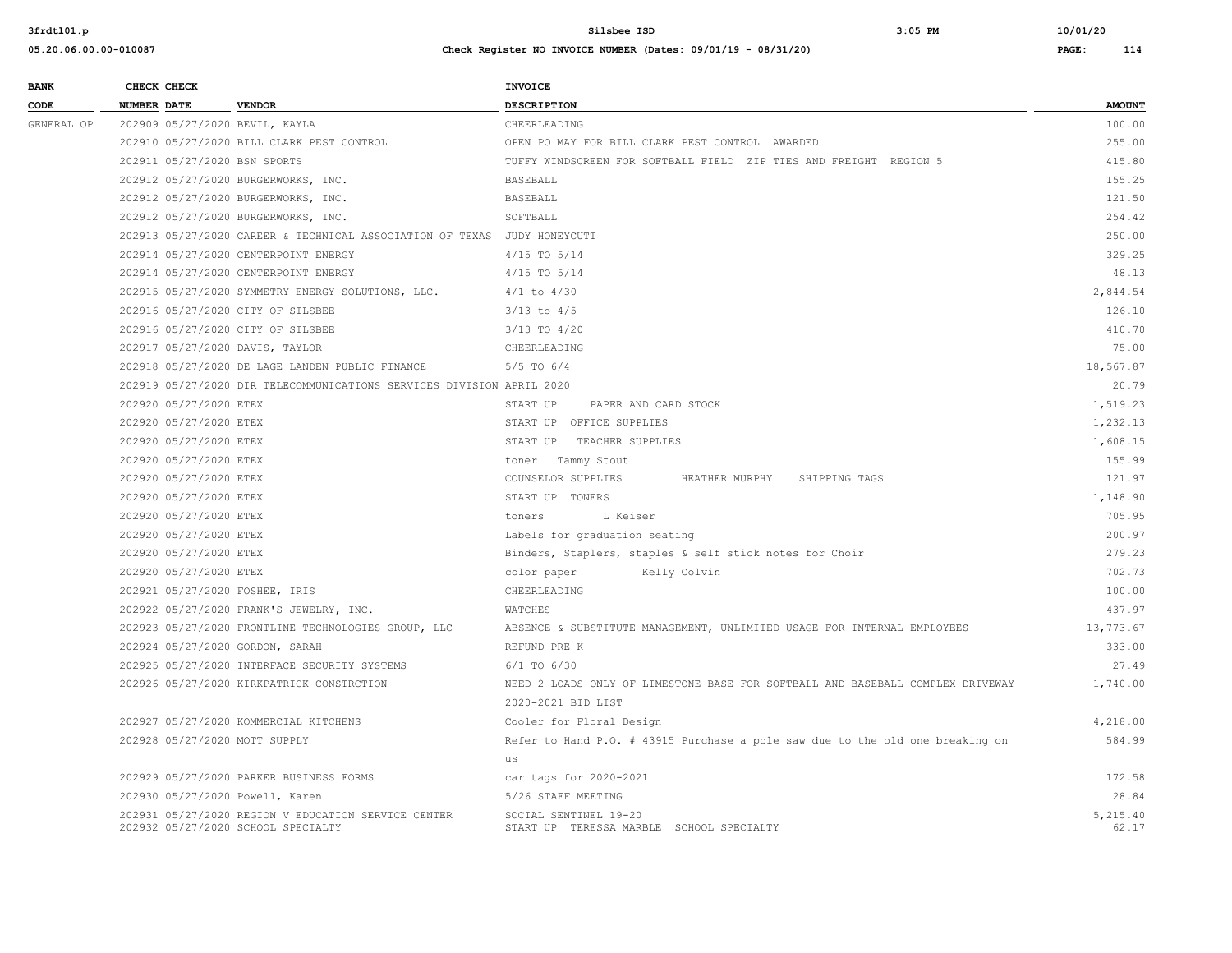| <b>BANK</b> | CHECK CHECK                       |                                                                          | INVOICE                                                                        |               |
|-------------|-----------------------------------|--------------------------------------------------------------------------|--------------------------------------------------------------------------------|---------------|
| CODE        | <b>NUMBER DATE</b>                | <b>VENDOR</b>                                                            | <b>DESCRIPTION</b>                                                             | <b>AMOUNT</b> |
| GENERAL OP  | 202909 05/27/2020 BEVIL, KAYLA    |                                                                          | CHEERLEADING                                                                   | 100.00        |
|             |                                   | 202910 05/27/2020 BILL CLARK PEST CONTROL                                | OPEN PO MAY FOR BILL CLARK PEST CONTROL AWARDED                                | 255.00        |
|             | 202911 05/27/2020 BSN SPORTS      |                                                                          | TUFFY WINDSCREEN FOR SOFTBALL FIELD ZIP TIES AND FREIGHT REGION 5              | 415.80        |
|             |                                   | 202912 05/27/2020 BURGERWORKS, INC.                                      | <b>BASEBALL</b>                                                                | 155.25        |
|             |                                   | 202912 05/27/2020 BURGERWORKS, INC.                                      | BASEBALL                                                                       | 121.50        |
|             |                                   | 202912 05/27/2020 BURGERWORKS, INC.                                      | SOFTBALL                                                                       | 254.42        |
|             |                                   | 202913 05/27/2020 CAREER & TECHNICAL ASSOCIATION OF TEXAS JUDY HONEYCUTT |                                                                                | 250.00        |
|             |                                   | 202914 05/27/2020 CENTERPOINT ENERGY                                     | $4/15$ TO $5/14$                                                               | 329.25        |
|             |                                   | 202914 05/27/2020 CENTERPOINT ENERGY                                     | $4/15$ TO $5/14$                                                               | 48.13         |
|             |                                   | 202915 05/27/2020 SYMMETRY ENERGY SOLUTIONS, LLC.                        | $4/1$ to $4/30$                                                                | 2,844.54      |
|             | 202916 05/27/2020 CITY OF SILSBEE |                                                                          | $3/13$ to $4/5$                                                                | 126.10        |
|             | 202916 05/27/2020 CITY OF SILSBEE |                                                                          | 3/13 TO 4/20                                                                   | 410.70        |
|             | 202917 05/27/2020 DAVIS, TAYLOR   |                                                                          | CHEERLEADING                                                                   | 75.00         |
|             |                                   | 202918 05/27/2020 DE LAGE LANDEN PUBLIC FINANCE                          | $5/5$ TO $6/4$                                                                 | 18,567.87     |
|             |                                   | 202919 05/27/2020 DIR TELECOMMUNICATIONS SERVICES DIVISION APRIL 2020    |                                                                                | 20.79         |
|             | 202920 05/27/2020 ETEX            |                                                                          | START UP<br>PAPER AND CARD STOCK                                               | 1,519.23      |
|             | 202920 05/27/2020 ETEX            |                                                                          | START UP OFFICE SUPPLIES                                                       | 1,232.13      |
|             | 202920 05/27/2020 ETEX            |                                                                          | START UP TEACHER SUPPLIES                                                      | 1,608.15      |
|             | 202920 05/27/2020 ETEX            |                                                                          | toner Tammy Stout                                                              | 155.99        |
|             | 202920 05/27/2020 ETEX            |                                                                          | COUNSELOR SUPPLIES<br>HEATHER MURPHY<br>SHIPPING TAGS                          | 121.97        |
|             | 202920 05/27/2020 ETEX            |                                                                          | START UP TONERS                                                                | 1,148.90      |
|             | 202920 05/27/2020 ETEX            |                                                                          | L Keiser<br>toners                                                             | 705.95        |
|             | 202920 05/27/2020 ETEX            |                                                                          | Labels for graduation seating                                                  | 200.97        |
|             | 202920 05/27/2020 ETEX            |                                                                          | Binders, Staplers, staples & self stick notes for Choir                        | 279.23        |
|             | 202920 05/27/2020 ETEX            |                                                                          | Kelly Colvin<br>color paper                                                    | 702.73        |
|             | 202921 05/27/2020 FOSHEE, IRIS    |                                                                          | CHEERLEADING                                                                   | 100.00        |
|             |                                   | 202922 05/27/2020 FRANK'S JEWELRY, INC.                                  | WATCHES                                                                        | 437.97        |
|             |                                   | 202923 05/27/2020 FRONTLINE TECHNOLOGIES GROUP, LLC                      | ABSENCE & SUBSTITUTE MANAGEMENT, UNLIMITED USAGE FOR INTERNAL EMPLOYEES        | 13,773.67     |
|             | 202924 05/27/2020 GORDON, SARAH   |                                                                          | REFUND PRE K                                                                   | 333.00        |
|             |                                   | 202925 05/27/2020 INTERFACE SECURITY SYSTEMS                             | $6/1$ TO $6/30$                                                                | 27.49         |
|             |                                   | 202926 05/27/2020 KIRKPATRICK CONSTRCTION                                | NEED 2 LOADS ONLY OF LIMESTONE BASE FOR SOFTBALL AND BASEBALL COMPLEX DRIVEWAY | 1,740.00      |
|             |                                   |                                                                          | 2020-2021 BID LIST                                                             |               |
|             |                                   | 202927 05/27/2020 KOMMERCIAL KITCHENS                                    | Cooler for Floral Design                                                       | 4,218.00      |
|             | 202928 05/27/2020 MOTT SUPPLY     |                                                                          | Refer to Hand P.O. # 43915 Purchase a pole saw due to the old one breaking on  | 584.99        |
|             |                                   |                                                                          | us                                                                             |               |
|             |                                   | 202929 05/27/2020 PARKER BUSINESS FORMS                                  | car tags for 2020-2021                                                         | 172.58        |
|             | 202930 05/27/2020 Powell, Karen   |                                                                          | 5/26 STAFF MEETING                                                             | 28.84         |
|             |                                   | 202931 05/27/2020 REGION V EDUCATION SERVICE CENTER                      | SOCIAL SENTINEL 19-20                                                          | 5,215.40      |
|             |                                   | 202932 05/27/2020 SCHOOL SPECIALTY                                       | START UP TERESSA MARBLE SCHOOL SPECIALTY                                       | 62.17         |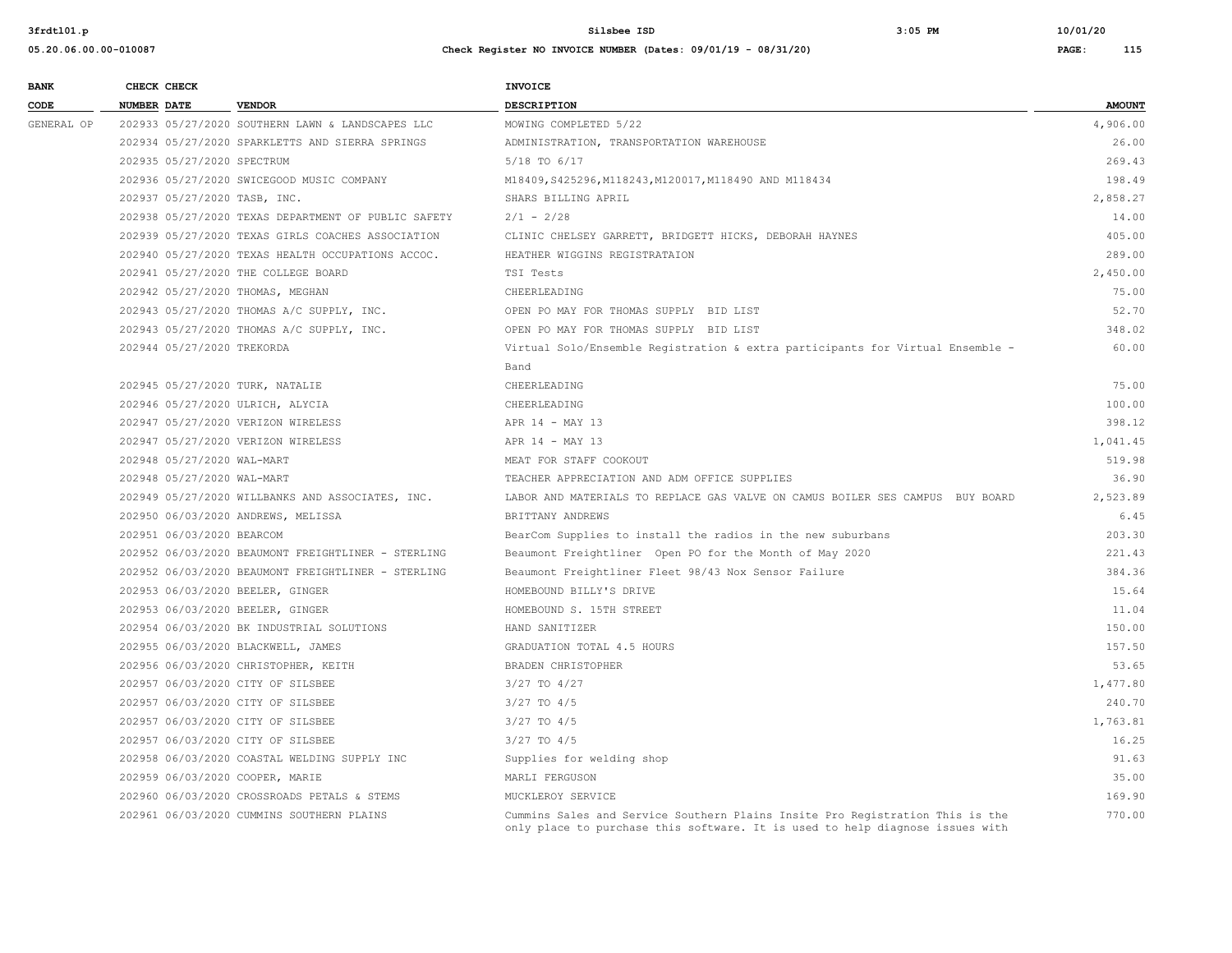**05.20.06.00.00-010087 Check Register NO INVOICE NUMBER (Dates: 09/01/19 - 08/31/20) PAGE: 115**

| <b>BANK</b> |                    | CHECK CHECK                  |                                                     | <b>INVOICE</b>                                                                 |               |
|-------------|--------------------|------------------------------|-----------------------------------------------------|--------------------------------------------------------------------------------|---------------|
| CODE        | <b>NUMBER DATE</b> |                              | <b>VENDOR</b>                                       | DESCRIPTION                                                                    | <b>AMOUNT</b> |
| GENERAL OP  |                    |                              | 202933 05/27/2020 SOUTHERN LAWN & LANDSCAPES LLC    | MOWING COMPLETED 5/22                                                          | 4,906.00      |
|             |                    |                              | 202934 05/27/2020 SPARKLETTS AND SIERRA SPRINGS     | ADMINISTRATION, TRANSPORTATION WAREHOUSE                                       | 26.00         |
|             |                    | 202935 05/27/2020 SPECTRUM   |                                                     | 5/18 TO 6/17                                                                   | 269.43        |
|             |                    |                              | 202936 05/27/2020 SWICEGOOD MUSIC COMPANY           | M18409, S425296, M118243, M120017, M118490 AND M118434                         | 198.49        |
|             |                    | 202937 05/27/2020 TASB, INC. |                                                     | SHARS BILLING APRIL                                                            | 2,858.27      |
|             |                    |                              | 202938 05/27/2020 TEXAS DEPARTMENT OF PUBLIC SAFETY | $2/1 - 2/28$                                                                   | 14.00         |
|             |                    |                              | 202939 05/27/2020 TEXAS GIRLS COACHES ASSOCIATION   | CLINIC CHELSEY GARRETT, BRIDGETT HICKS, DEBORAH HAYNES                         | 405.00        |
|             |                    |                              | 202940 05/27/2020 TEXAS HEALTH OCCUPATIONS ACCOC.   | HEATHER WIGGINS REGISTRATAION                                                  | 289.00        |
|             |                    |                              | 202941 05/27/2020 THE COLLEGE BOARD                 | TSI Tests                                                                      | 2,450.00      |
|             |                    |                              | 202942 05/27/2020 THOMAS, MEGHAN                    | CHEERLEADING                                                                   | 75.00         |
|             |                    |                              | 202943 05/27/2020 THOMAS A/C SUPPLY, INC.           | OPEN PO MAY FOR THOMAS SUPPLY BID LIST                                         | 52.70         |
|             |                    |                              | 202943 05/27/2020 THOMAS A/C SUPPLY, INC.           | OPEN PO MAY FOR THOMAS SUPPLY BID LIST                                         | 348.02        |
|             |                    | 202944 05/27/2020 TREKORDA   |                                                     | Virtual Solo/Ensemble Registration & extra participants for Virtual Ensemble - | 60.00         |
|             |                    |                              |                                                     | Band                                                                           |               |
|             |                    |                              | 202945 05/27/2020 TURK, NATALIE                     | CHEERLEADING                                                                   | 75.00         |
|             |                    |                              | 202946 05/27/2020 ULRICH, ALYCIA                    | CHEERLEADING                                                                   | 100.00        |
|             |                    |                              | 202947 05/27/2020 VERIZON WIRELESS                  | APR 14 - MAY 13                                                                | 398.12        |
|             |                    |                              | 202947 05/27/2020 VERIZON WIRELESS                  | APR 14 - MAY 13                                                                | 1,041.45      |
|             |                    | 202948 05/27/2020 WAL-MART   |                                                     | MEAT FOR STAFF COOKOUT                                                         | 519.98        |
|             |                    | 202948 05/27/2020 WAL-MART   |                                                     | TEACHER APPRECIATION AND ADM OFFICE SUPPLIES                                   | 36.90         |
|             |                    |                              | 202949 05/27/2020 WILLBANKS AND ASSOCIATES, INC.    | LABOR AND MATERIALS TO REPLACE GAS VALVE ON CAMUS BOILER SES CAMPUS BUY BOARD  | 2,523.89      |
|             |                    |                              | 202950 06/03/2020 ANDREWS, MELISSA                  | BRITTANY ANDREWS                                                               | 6.45          |
|             |                    | 202951 06/03/2020 BEARCOM    |                                                     | BearCom Supplies to install the radios in the new suburbans                    | 203.30        |
|             |                    |                              | 202952 06/03/2020 BEAUMONT FREIGHTLINER - STERLING  | Beaumont Freightliner Open PO for the Month of May 2020                        | 221.43        |
|             |                    |                              | 202952 06/03/2020 BEAUMONT FREIGHTLINER - STERLING  | Beaumont Freightliner Fleet 98/43 Nox Sensor Failure                           | 384.36        |
|             |                    |                              | 202953 06/03/2020 BEELER, GINGER                    | HOMEBOUND BILLY'S DRIVE                                                        | 15.64         |
|             |                    |                              | 202953 06/03/2020 BEELER, GINGER                    | HOMEBOUND S. 15TH STREET                                                       | 11.04         |
|             |                    |                              | 202954 06/03/2020 BK INDUSTRIAL SOLUTIONS           | HAND SANITIZER                                                                 | 150.00        |
|             |                    |                              | 202955 06/03/2020 BLACKWELL, JAMES                  | GRADUATION TOTAL 4.5 HOURS                                                     | 157.50        |
|             |                    |                              | 202956 06/03/2020 CHRISTOPHER, KEITH                | BRADEN CHRISTOPHER                                                             | 53.65         |
|             |                    |                              | 202957 06/03/2020 CITY OF SILSBEE                   | 3/27 TO 4/27                                                                   | 1,477.80      |
|             |                    |                              | 202957 06/03/2020 CITY OF SILSBEE                   | $3/27$ TO $4/5$                                                                | 240.70        |
|             |                    |                              | 202957 06/03/2020 CITY OF SILSBEE                   | $3/27$ TO $4/5$                                                                | 1,763.81      |
|             |                    |                              | 202957 06/03/2020 CITY OF SILSBEE                   | $3/27$ TO $4/5$                                                                | 16.25         |
|             |                    |                              | 202958 06/03/2020 COASTAL WELDING SUPPLY INC        | Supplies for welding shop                                                      | 91.63         |
|             |                    |                              | 202959 06/03/2020 COOPER, MARIE                     | MARLI FERGUSON                                                                 | 35.00         |
|             |                    |                              | 202960 06/03/2020 CROSSROADS PETALS & STEMS         | MUCKLEROY SERVICE                                                              | 169.90        |
|             |                    |                              | 202961 06/03/2020 CUMMINS SOUTHERN PLAINS           | Cummins Sales and Service Southern Plains Insite Pro Registration This is the  | 770.00        |

only place to purchase this software. It is used to help diagnose issues with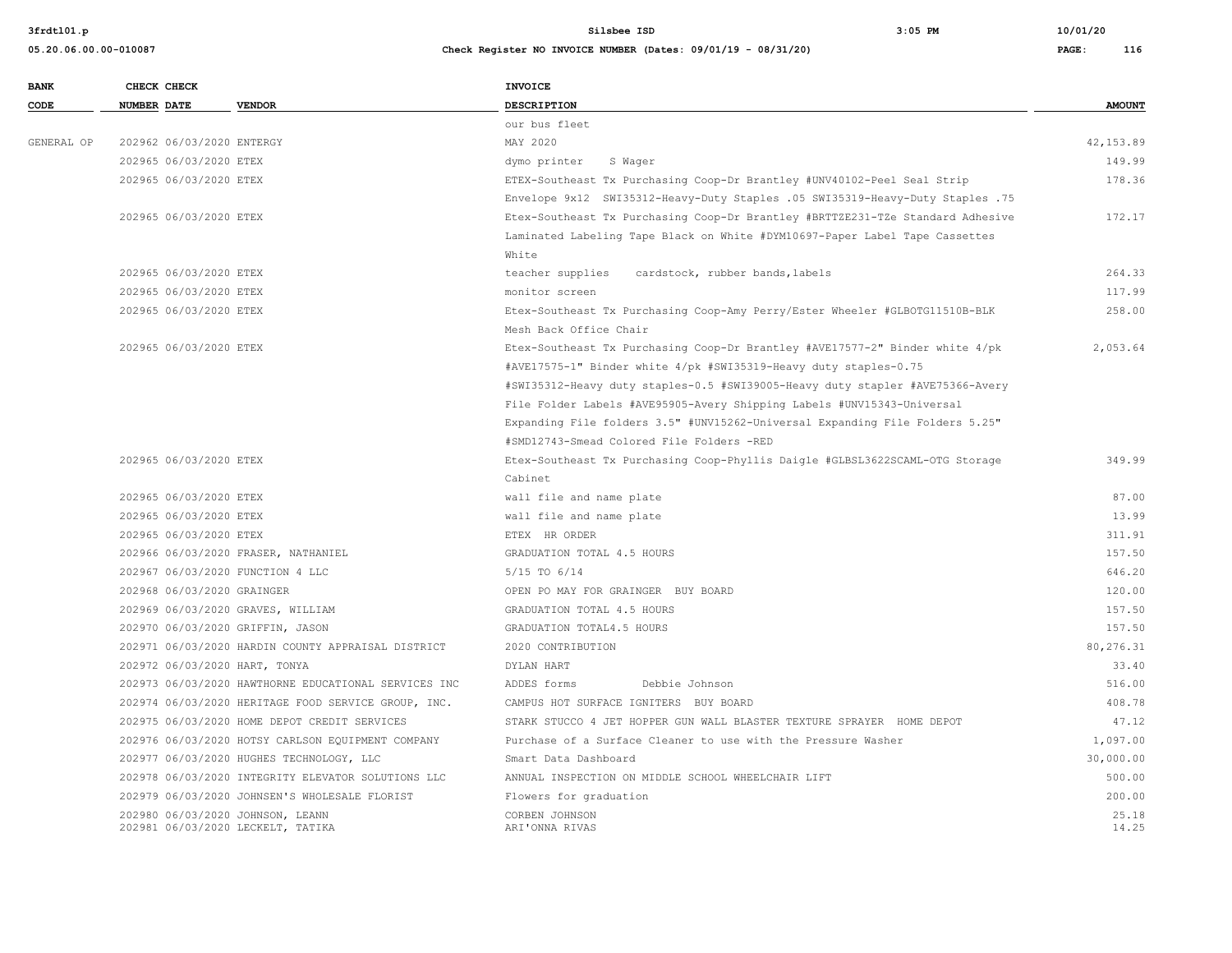| <b>BANK</b> | CHECK CHECK                      |                                                      | <b>INVOICE</b>                                                                 |               |
|-------------|----------------------------------|------------------------------------------------------|--------------------------------------------------------------------------------|---------------|
| CODE        | <b>NUMBER DATE</b>               | <b>VENDOR</b>                                        | <b>DESCRIPTION</b>                                                             | <b>AMOUNT</b> |
|             |                                  |                                                      | our bus fleet                                                                  |               |
| GENERAL OP  | 202962 06/03/2020 ENTERGY        |                                                      | MAY 2020                                                                       | 42, 153.89    |
|             | 202965 06/03/2020 ETEX           |                                                      | dymo printer<br>S Wager                                                        | 149.99        |
|             | 202965 06/03/2020 ETEX           |                                                      | ETEX-Southeast Tx Purchasing Coop-Dr Brantley #UNV40102-Peel Seal Strip        | 178.36        |
|             |                                  |                                                      | Envelope 9x12 SWI35312-Heavy-Duty Staples .05 SWI35319-Heavy-Duty Staples .75  |               |
|             | 202965 06/03/2020 ETEX           |                                                      | Etex-Southeast Tx Purchasing Coop-Dr Brantley #BRTTZE231-TZe Standard Adhesive | 172.17        |
|             |                                  |                                                      | Laminated Labeling Tape Black on White #DYM10697-Paper Label Tape Cassettes    |               |
|             |                                  |                                                      | White                                                                          |               |
|             | 202965 06/03/2020 ETEX           |                                                      | teacher supplies<br>cardstock, rubber bands, labels                            | 264.33        |
|             | 202965 06/03/2020 ETEX           |                                                      | monitor screen                                                                 | 117.99        |
|             | 202965 06/03/2020 ETEX           |                                                      | Etex-Southeast Tx Purchasing Coop-Amy Perry/Ester Wheeler #GLBOTG11510B-BLK    | 258.00        |
|             |                                  |                                                      | Mesh Back Office Chair                                                         |               |
|             | 202965 06/03/2020 ETEX           |                                                      | Etex-Southeast Tx Purchasing Coop-Dr Brantley #AVE17577-2" Binder white 4/pk   | 2,053.64      |
|             |                                  |                                                      | #AVE17575-1" Binder white 4/pk #SWI35319-Heavy duty staples-0.75               |               |
|             |                                  |                                                      | #SWI35312-Heavy duty staples-0.5 #SWI39005-Heavy duty stapler #AVE75366-Avery  |               |
|             |                                  |                                                      | File Folder Labels #AVE95905-Avery Shipping Labels #UNV15343-Universal         |               |
|             |                                  |                                                      | Expanding File folders 3.5" #UNV15262-Universal Expanding File Folders 5.25"   |               |
|             |                                  |                                                      | #SMD12743-Smead Colored File Folders -RED                                      |               |
|             | 202965 06/03/2020 ETEX           |                                                      | Etex-Southeast Tx Purchasing Coop-Phyllis Daigle #GLBSL3622SCAML-OTG Storage   | 349.99        |
|             |                                  |                                                      | Cabinet                                                                        |               |
|             | 202965 06/03/2020 ETEX           |                                                      | wall file and name plate                                                       | 87.00         |
|             | 202965 06/03/2020 ETEX           |                                                      | wall file and name plate                                                       | 13.99         |
|             | 202965 06/03/2020 ETEX           |                                                      | ETEX HR ORDER                                                                  | 311.91        |
|             |                                  | 202966 06/03/2020 FRASER, NATHANIEL                  | GRADUATION TOTAL 4.5 HOURS                                                     | 157.50        |
|             | 202967 06/03/2020 FUNCTION 4 LLC |                                                      | 5/15 TO 6/14                                                                   | 646.20        |
|             | 202968 06/03/2020 GRAINGER       |                                                      | OPEN PO MAY FOR GRAINGER BUY BOARD                                             | 120.00        |
|             |                                  | 202969 06/03/2020 GRAVES, WILLIAM                    | GRADUATION TOTAL 4.5 HOURS                                                     | 157.50        |
|             | 202970 06/03/2020 GRIFFIN, JASON |                                                      | GRADUATION TOTAL4.5 HOURS                                                      | 157.50        |
|             |                                  | 202971 06/03/2020 HARDIN COUNTY APPRAISAL DISTRICT   | 2020 CONTRIBUTION                                                              | 80,276.31     |
|             | 202972 06/03/2020 HART, TONYA    |                                                      | DYLAN HART                                                                     | 33.40         |
|             |                                  | 202973 06/03/2020 HAWTHORNE EDUCATIONAL SERVICES INC | ADDES forms<br>Debbie Johnson                                                  | 516.00        |
|             |                                  | 202974 06/03/2020 HERITAGE FOOD SERVICE GROUP, INC.  | CAMPUS HOT SURFACE IGNITERS BUY BOARD                                          | 408.78        |
|             |                                  | 202975 06/03/2020 HOME DEPOT CREDIT SERVICES         | STARK STUCCO 4 JET HOPPER GUN WALL BLASTER TEXTURE SPRAYER HOME DEPOT          | 47.12         |
|             |                                  | 202976 06/03/2020 HOTSY CARLSON EQUIPMENT COMPANY    | Purchase of a Surface Cleaner to use with the Pressure Washer                  | 1,097.00      |
|             |                                  | 202977 06/03/2020 HUGHES TECHNOLOGY, LLC             | Smart Data Dashboard                                                           | 30,000.00     |
|             |                                  | 202978 06/03/2020 INTEGRITY ELEVATOR SOLUTIONS LLC   | ANNUAL INSPECTION ON MIDDLE SCHOOL WHEELCHAIR LIFT                             | 500.00        |
|             |                                  | 202979 06/03/2020 JOHNSEN'S WHOLESALE FLORIST        | Flowers for graduation                                                         | 200.00        |
|             | 202980 06/03/2020 JOHNSON, LEANN |                                                      | CORBEN JOHNSON                                                                 | 25.18         |
|             |                                  | 202981 06/03/2020 LECKELT, TATIKA                    | ARI'ONNA RIVAS                                                                 | 14.25         |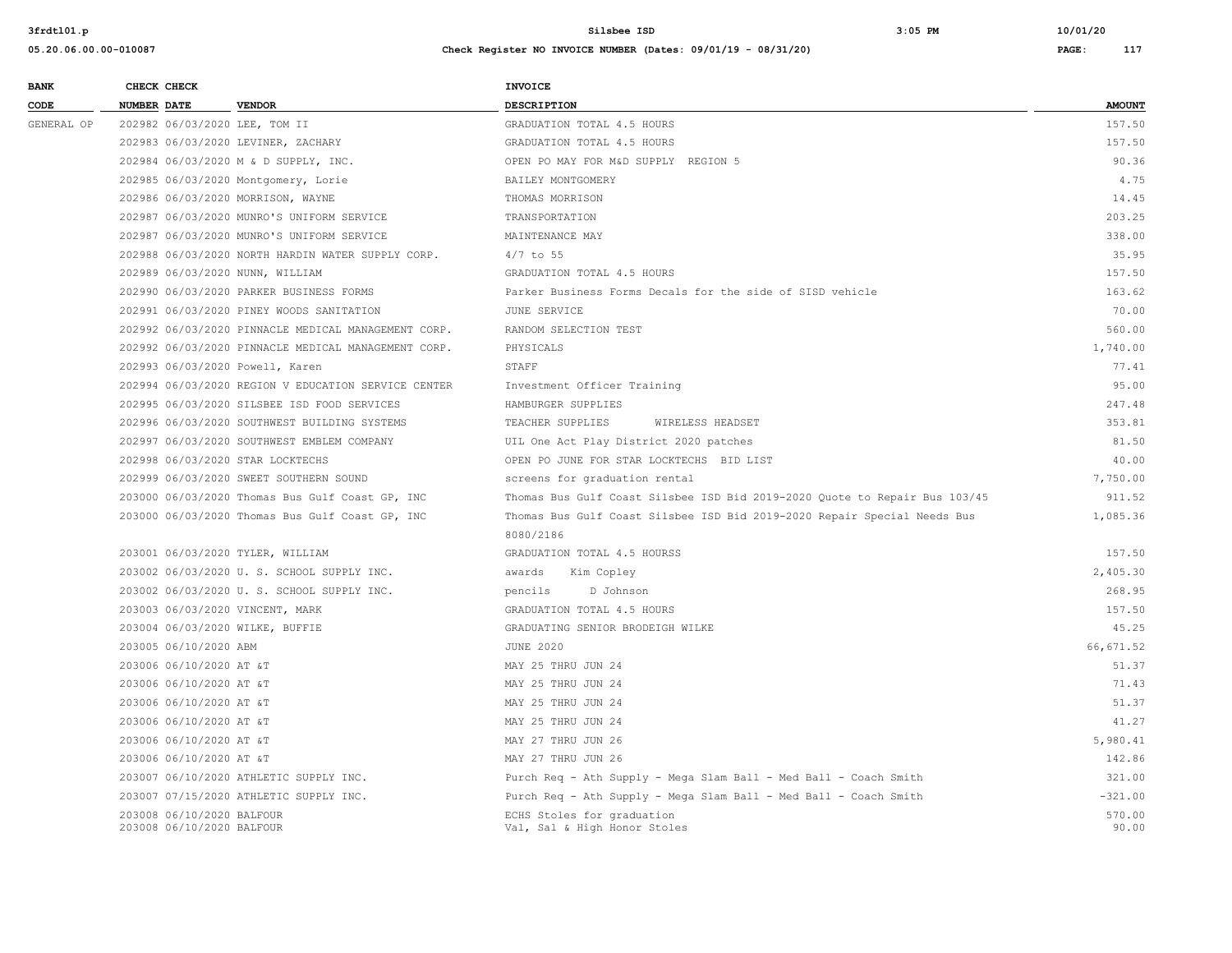| <b>BANK</b> | CHECK CHECK                                            |                                                     | <b>INVOICE</b>                                                             |                 |
|-------------|--------------------------------------------------------|-----------------------------------------------------|----------------------------------------------------------------------------|-----------------|
| CODE        | NUMBER DATE                                            | <b>VENDOR</b>                                       | <b>DESCRIPTION</b>                                                         | <b>AMOUNT</b>   |
| GENERAL OP  | 202982 06/03/2020 LEE, TOM II                          |                                                     | GRADUATION TOTAL 4.5 HOURS                                                 | 157.50          |
|             |                                                        | 202983 06/03/2020 LEVINER, ZACHARY                  | GRADUATION TOTAL 4.5 HOURS                                                 | 157.50          |
|             |                                                        | 202984 06/03/2020 M & D SUPPLY, INC.                | OPEN PO MAY FOR M&D SUPPLY REGION 5                                        | 90.36           |
|             |                                                        | 202985 06/03/2020 Montgomery, Lorie                 | BAILEY MONTGOMERY                                                          | 4.75            |
|             |                                                        | 202986 06/03/2020 MORRISON, WAYNE                   | THOMAS MORRISON                                                            | 14.45           |
|             |                                                        | 202987 06/03/2020 MUNRO'S UNIFORM SERVICE           | TRANSPORTATION                                                             | 203.25          |
|             |                                                        | 202987 06/03/2020 MUNRO'S UNIFORM SERVICE           | MAINTENANCE MAY                                                            | 338.00          |
|             |                                                        | 202988 06/03/2020 NORTH HARDIN WATER SUPPLY CORP.   | $4/7$ to 55                                                                | 35.95           |
|             | 202989 06/03/2020 NUNN, WILLIAM                        |                                                     | GRADUATION TOTAL 4.5 HOURS                                                 | 157.50          |
|             |                                                        | 202990 06/03/2020 PARKER BUSINESS FORMS             | Parker Business Forms Decals for the side of SISD vehicle                  | 163.62          |
|             |                                                        | 202991 06/03/2020 PINEY WOODS SANITATION            | JUNE SERVICE                                                               | 70.00           |
|             |                                                        | 202992 06/03/2020 PINNACLE MEDICAL MANAGEMENT CORP. | RANDOM SELECTION TEST                                                      | 560.00          |
|             |                                                        | 202992 06/03/2020 PINNACLE MEDICAL MANAGEMENT CORP. | PHYSICALS                                                                  | 1,740.00        |
|             | 202993 06/03/2020 Powell, Karen                        |                                                     | STAFF                                                                      | 77.41           |
|             |                                                        | 202994 06/03/2020 REGION V EDUCATION SERVICE CENTER | Investment Officer Training                                                | 95.00           |
|             |                                                        | 202995 06/03/2020 SILSBEE ISD FOOD SERVICES         | HAMBURGER SUPPLIES                                                         | 247.48          |
|             |                                                        | 202996 06/03/2020 SOUTHWEST BUILDING SYSTEMS        | TEACHER SUPPLIES<br>WIRELESS HEADSET                                       | 353.81          |
|             |                                                        | 202997 06/03/2020 SOUTHWEST EMBLEM COMPANY          | UIL One Act Play District 2020 patches                                     | 81.50           |
|             | 202998 06/03/2020 STAR LOCKTECHS                       |                                                     | OPEN PO JUNE FOR STAR LOCKTECHS BID LIST                                   | 40.00           |
|             |                                                        | 202999 06/03/2020 SWEET SOUTHERN SOUND              | screens for graduation rental                                              | 7,750.00        |
|             |                                                        | 203000 06/03/2020 Thomas Bus Gulf Coast GP, INC     | Thomas Bus Gulf Coast Silsbee ISD Bid 2019-2020 Quote to Repair Bus 103/45 | 911.52          |
|             |                                                        | 203000 06/03/2020 Thomas Bus Gulf Coast GP, INC     | Thomas Bus Gulf Coast Silsbee ISD Bid 2019-2020 Repair Special Needs Bus   | 1,085.36        |
|             |                                                        |                                                     | 8080/2186                                                                  |                 |
|             | 203001 06/03/2020 TYLER, WILLIAM                       |                                                     | GRADUATION TOTAL 4.5 HOURSS                                                | 157.50          |
|             |                                                        | 203002 06/03/2020 U.S. SCHOOL SUPPLY INC.           | awards<br>Kim Copley                                                       | 2,405.30        |
|             |                                                        | 203002 06/03/2020 U. S. SCHOOL SUPPLY INC.          | pencils<br>D Johnson                                                       | 268.95          |
|             | 203003 06/03/2020 VINCENT, MARK                        |                                                     | GRADUATION TOTAL 4.5 HOURS                                                 | 157.50          |
|             | 203004 06/03/2020 WILKE, BUFFIE                        |                                                     | GRADUATING SENIOR BRODEIGH WILKE                                           | 45.25           |
|             | 203005 06/10/2020 ABM                                  |                                                     | <b>JUNE 2020</b>                                                           | 66, 671.52      |
|             | 203006 06/10/2020 AT &T                                |                                                     | MAY 25 THRU JUN 24                                                         | 51.37           |
|             | 203006 06/10/2020 AT &T                                |                                                     | MAY 25 THRU JUN 24                                                         | 71.43           |
|             | 203006 06/10/2020 AT &T                                |                                                     | MAY 25 THRU JUN 24                                                         | 51.37           |
|             | 203006 06/10/2020 AT &T                                |                                                     | MAY 25 THRU JUN 24                                                         | 41.27           |
|             | 203006 06/10/2020 AT &T                                |                                                     | MAY 27 THRU JUN 26                                                         | 5,980.41        |
|             | 203006 06/10/2020 AT &T                                |                                                     | MAY 27 THRU JUN 26                                                         | 142.86          |
|             |                                                        | 203007 06/10/2020 ATHLETIC SUPPLY INC.              | Purch Req - Ath Supply - Mega Slam Ball - Med Ball - Coach Smith           | 321.00          |
|             |                                                        | 203007 07/15/2020 ATHLETIC SUPPLY INC.              | Purch Req - Ath Supply - Mega Slam Ball - Med Ball - Coach Smith           | $-321.00$       |
|             | 203008 06/10/2020 BALFOUR<br>203008 06/10/2020 BALFOUR |                                                     | ECHS Stoles for graduation<br>Val, Sal & High Honor Stoles                 | 570.00<br>90.00 |
|             |                                                        |                                                     |                                                                            |                 |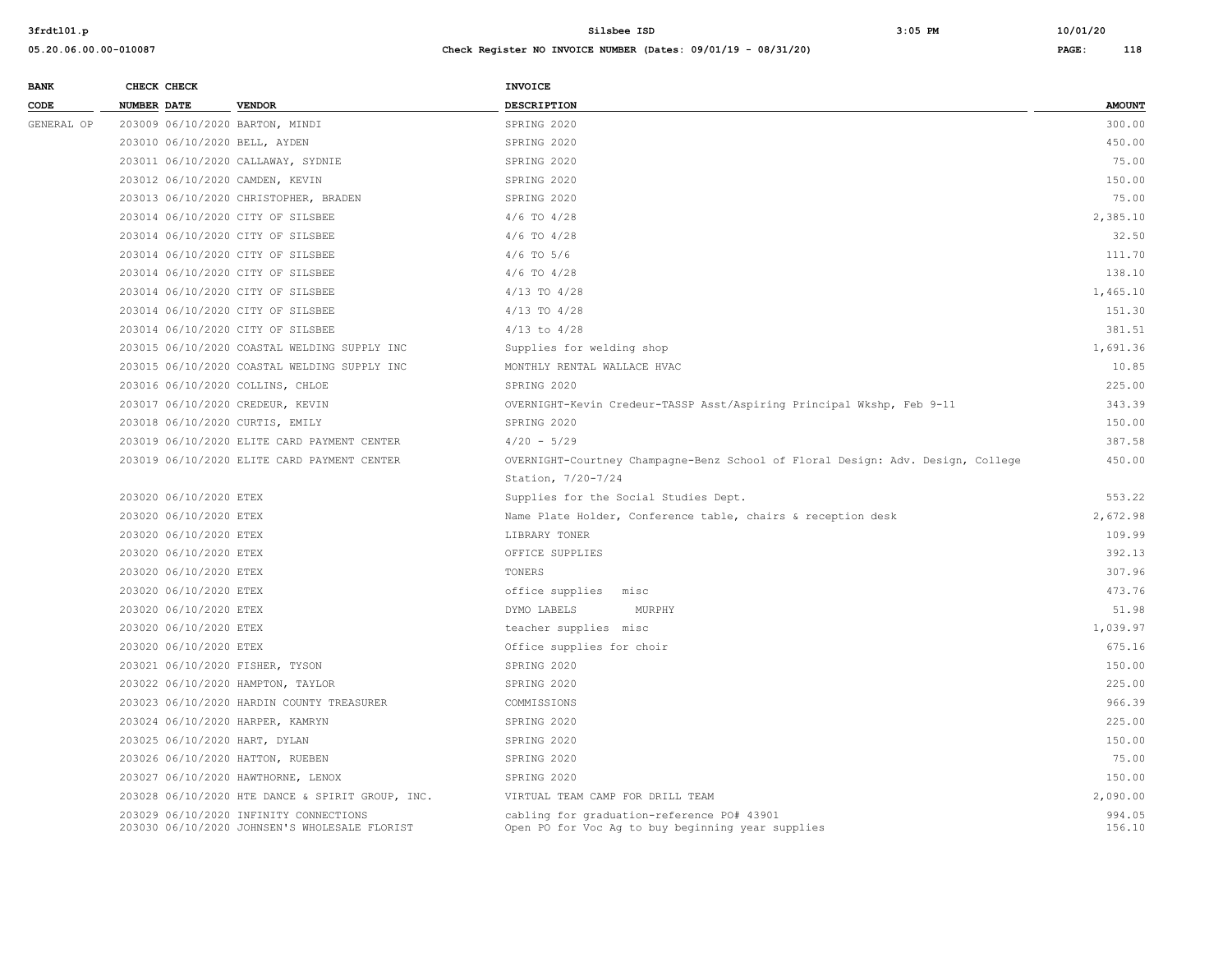| 05.20.06.00.00-010087 | Check Register NO INVOICE NUMBER (Dates: 09/01/19 - 08/31/20) | PAGE: | 118 |
|-----------------------|---------------------------------------------------------------|-------|-----|
|                       |                                                               |       |     |

| <b>BANK</b> | CHECK CHECK                     |                                                                                         | INVOICE                                                                                         |                  |
|-------------|---------------------------------|-----------------------------------------------------------------------------------------|-------------------------------------------------------------------------------------------------|------------------|
| CODE        | <b>NUMBER DATE</b>              | <b>VENDOR</b>                                                                           | <b>DESCRIPTION</b>                                                                              | <b>AMOUNT</b>    |
| GENERAL OP  | 203009 06/10/2020 BARTON, MINDI |                                                                                         | SPRING 2020                                                                                     | 300.00           |
|             | 203010 06/10/2020 BELL, AYDEN   |                                                                                         | SPRING 2020                                                                                     | 450.00           |
|             |                                 | 203011 06/10/2020 CALLAWAY, SYDNIE                                                      | SPRING 2020                                                                                     | 75.00            |
|             | 203012 06/10/2020 CAMDEN, KEVIN |                                                                                         | SPRING 2020                                                                                     | 150.00           |
|             |                                 | 203013 06/10/2020 CHRISTOPHER, BRADEN                                                   | SPRING 2020                                                                                     | 75.00            |
|             |                                 | 203014 06/10/2020 CITY OF SILSBEE                                                       | $4/6$ TO $4/28$                                                                                 | 2,385.10         |
|             |                                 | 203014 06/10/2020 CITY OF SILSBEE                                                       | $4/6$ TO $4/28$                                                                                 | 32.50            |
|             |                                 | 203014 06/10/2020 CITY OF SILSBEE                                                       | $4/6$ TO $5/6$                                                                                  | 111.70           |
|             |                                 | 203014 06/10/2020 CITY OF SILSBEE                                                       | $4/6$ TO $4/28$                                                                                 | 138.10           |
|             |                                 | 203014 06/10/2020 CITY OF SILSBEE                                                       | $4/13$ TO $4/28$                                                                                | 1,465.10         |
|             |                                 | 203014 06/10/2020 CITY OF SILSBEE                                                       | 4/13 TO 4/28                                                                                    | 151.30           |
|             |                                 | 203014 06/10/2020 CITY OF SILSBEE                                                       | $4/13$ to $4/28$                                                                                | 381.51           |
|             |                                 | 203015 06/10/2020 COASTAL WELDING SUPPLY INC                                            | Supplies for welding shop                                                                       | 1,691.36         |
|             |                                 | 203015 06/10/2020 COASTAL WELDING SUPPLY INC                                            | MONTHLY RENTAL WALLACE HVAC                                                                     | 10.85            |
|             |                                 | 203016 06/10/2020 COLLINS, CHLOE                                                        | SPRING 2020                                                                                     | 225.00           |
|             |                                 | 203017 06/10/2020 CREDEUR, KEVIN                                                        | OVERNIGHT-Kevin Credeur-TASSP Asst/Aspiring Principal Wkshp, Feb 9-11                           | 343.39           |
|             | 203018 06/10/2020 CURTIS, EMILY |                                                                                         | SPRING 2020                                                                                     | 150.00           |
|             |                                 | 203019 06/10/2020 ELITE CARD PAYMENT CENTER                                             | $4/20 - 5/29$                                                                                   | 387.58           |
|             |                                 | 203019 06/10/2020 ELITE CARD PAYMENT CENTER                                             | OVERNIGHT-Courtney Champagne-Benz School of Floral Design: Adv. Design, College                 | 450.00           |
|             |                                 |                                                                                         | Station, 7/20-7/24                                                                              |                  |
|             | 203020 06/10/2020 ETEX          |                                                                                         | Supplies for the Social Studies Dept.                                                           | 553.22           |
|             | 203020 06/10/2020 ETEX          |                                                                                         | Name Plate Holder, Conference table, chairs & reception desk                                    | 2,672.98         |
|             | 203020 06/10/2020 ETEX          |                                                                                         | LIBRARY TONER                                                                                   | 109.99           |
|             | 203020 06/10/2020 ETEX          |                                                                                         | OFFICE SUPPLIES                                                                                 | 392.13           |
|             | 203020 06/10/2020 ETEX          |                                                                                         | TONERS                                                                                          | 307.96           |
|             | 203020 06/10/2020 ETEX          |                                                                                         | office supplies<br>misc                                                                         | 473.76           |
|             | 203020 06/10/2020 ETEX          |                                                                                         | DYMO LABELS<br>MURPHY                                                                           | 51.98            |
|             | 203020 06/10/2020 ETEX          |                                                                                         | teacher supplies misc                                                                           | 1,039.97         |
|             | 203020 06/10/2020 ETEX          |                                                                                         | Office supplies for choir                                                                       | 675.16           |
|             | 203021 06/10/2020 FISHER, TYSON |                                                                                         | SPRING 2020                                                                                     | 150.00           |
|             |                                 | 203022 06/10/2020 HAMPTON, TAYLOR                                                       | SPRING 2020                                                                                     | 225.00           |
|             |                                 | 203023 06/10/2020 HARDIN COUNTY TREASURER                                               | COMMISSIONS                                                                                     | 966.39           |
|             |                                 | 203024 06/10/2020 HARPER, KAMRYN                                                        | SPRING 2020                                                                                     | 225.00           |
|             | 203025 06/10/2020 HART, DYLAN   |                                                                                         | SPRING 2020                                                                                     | 150.00           |
|             |                                 | 203026 06/10/2020 HATTON, RUEBEN                                                        | SPRING 2020                                                                                     | 75.00            |
|             |                                 | 203027 06/10/2020 HAWTHORNE, LENOX                                                      | SPRING 2020                                                                                     | 150.00           |
|             |                                 | 203028 06/10/2020 HTE DANCE & SPIRIT GROUP, INC.                                        | VIRTUAL TEAM CAMP FOR DRILL TEAM                                                                | 2,090.00         |
|             |                                 | 203029 06/10/2020 INFINITY CONNECTIONS<br>203030 06/10/2020 JOHNSEN'S WHOLESALE FLORIST | cabling for graduation-reference PO# 43901<br>Open PO for Voc Ag to buy beginning year supplies | 994.05<br>156.10 |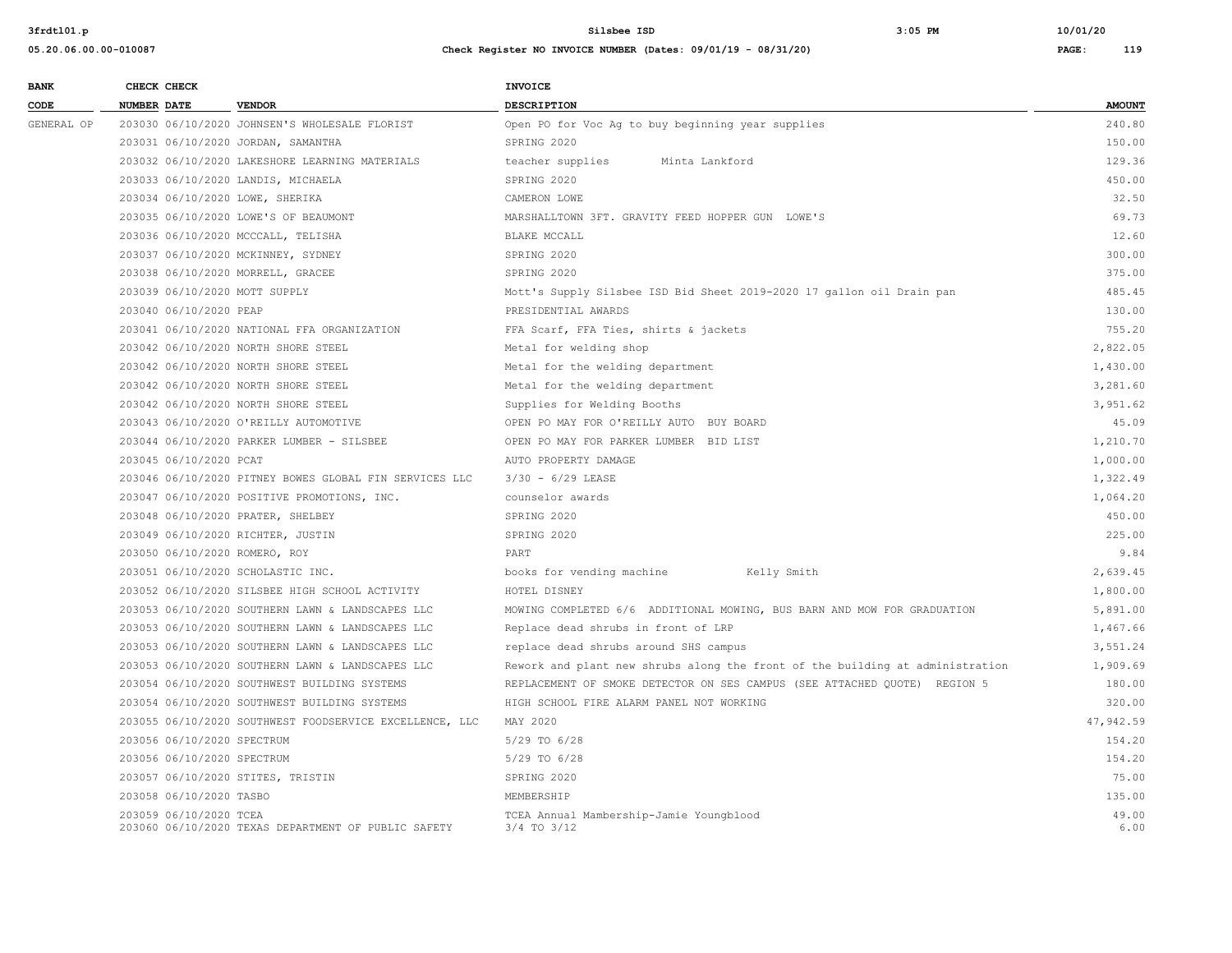| <b>BANK</b> |                    | CHECK CHECK                |                                                         | <b>INVOICE</b>                                                                |               |
|-------------|--------------------|----------------------------|---------------------------------------------------------|-------------------------------------------------------------------------------|---------------|
| CODE        | <b>NUMBER DATE</b> |                            | <b>VENDOR</b>                                           | <b>DESCRIPTION</b>                                                            | <b>AMOUNT</b> |
| GENERAL OP  |                    |                            | 203030 06/10/2020 JOHNSEN'S WHOLESALE FLORIST           | Open PO for Voc Aq to buy beginning year supplies                             | 240.80        |
|             |                    |                            | 203031 06/10/2020 JORDAN, SAMANTHA                      | SPRING 2020                                                                   | 150.00        |
|             |                    |                            | 203032 06/10/2020 LAKESHORE LEARNING MATERIALS          | teacher supplies<br>Minta Lankford                                            | 129.36        |
|             |                    |                            | 203033 06/10/2020 LANDIS, MICHAELA                      | SPRING 2020                                                                   | 450.00        |
|             |                    |                            | 203034 06/10/2020 LOWE, SHERIKA                         | CAMERON LOWE                                                                  | 32.50         |
|             |                    |                            | 203035 06/10/2020 LOWE'S OF BEAUMONT                    | MARSHALLTOWN 3FT. GRAVITY FEED HOPPER GUN LOWE'S                              | 69.73         |
|             |                    |                            | 203036 06/10/2020 MCCCALL, TELISHA                      | BLAKE MCCALL                                                                  | 12.60         |
|             |                    |                            | 203037 06/10/2020 MCKINNEY, SYDNEY                      | SPRING 2020                                                                   | 300.00        |
|             |                    |                            | 203038 06/10/2020 MORRELL, GRACEE                       | SPRING 2020                                                                   | 375.00        |
|             |                    |                            | 203039 06/10/2020 MOTT SUPPLY                           | Mott's Supply Silsbee ISD Bid Sheet 2019-2020 17 gallon oil Drain pan         | 485.45        |
|             |                    | 203040 06/10/2020 PEAP     |                                                         | PRESIDENTIAL AWARDS                                                           | 130.00        |
|             |                    |                            | 203041 06/10/2020 NATIONAL FFA ORGANIZATION             | FFA Scarf, FFA Ties, shirts & jackets                                         | 755.20        |
|             |                    |                            | 203042 06/10/2020 NORTH SHORE STEEL                     | Metal for welding shop                                                        | 2,822.05      |
|             |                    |                            | 203042 06/10/2020 NORTH SHORE STEEL                     | Metal for the welding department                                              | 1,430.00      |
|             |                    |                            | 203042 06/10/2020 NORTH SHORE STEEL                     | Metal for the welding department                                              | 3,281.60      |
|             |                    |                            | 203042 06/10/2020 NORTH SHORE STEEL                     | Supplies for Welding Booths                                                   | 3,951.62      |
|             |                    |                            | 203043 06/10/2020 O'REILLY AUTOMOTIVE                   | OPEN PO MAY FOR O'REILLY AUTO BUY BOARD                                       | 45.09         |
|             |                    |                            | 203044 06/10/2020 PARKER LUMBER - SILSBEE               | OPEN PO MAY FOR PARKER LUMBER BID LIST                                        | 1,210.70      |
|             |                    | 203045 06/10/2020 PCAT     |                                                         | AUTO PROPERTY DAMAGE                                                          | 1,000.00      |
|             |                    |                            | 203046 06/10/2020 PITNEY BOWES GLOBAL FIN SERVICES LLC  | $3/30 - 6/29$ LEASE                                                           | 1,322.49      |
|             |                    |                            | 203047 06/10/2020 POSITIVE PROMOTIONS, INC.             | counselor awards                                                              | 1,064.20      |
|             |                    |                            | 203048 06/10/2020 PRATER, SHELBEY                       | SPRING 2020                                                                   | 450.00        |
|             |                    |                            | 203049 06/10/2020 RICHTER, JUSTIN                       | SPRING 2020                                                                   | 225.00        |
|             |                    |                            | 203050 06/10/2020 ROMERO, ROY                           | PART                                                                          | 9.84          |
|             |                    |                            | 203051 06/10/2020 SCHOLASTIC INC.                       | books for vending machine<br>Kelly Smith                                      | 2,639.45      |
|             |                    |                            | 203052 06/10/2020 SILSBEE HIGH SCHOOL ACTIVITY          | HOTEL DISNEY                                                                  | 1,800.00      |
|             |                    |                            | 203053 06/10/2020 SOUTHERN LAWN & LANDSCAPES LLC        | MOWING COMPLETED 6/6 ADDITIONAL MOWING, BUS BARN AND MOW FOR GRADUATION       | 5,891.00      |
|             |                    |                            | 203053 06/10/2020 SOUTHERN LAWN & LANDSCAPES LLC        | Replace dead shrubs in front of LRP                                           | 1,467.66      |
|             |                    |                            | 203053 06/10/2020 SOUTHERN LAWN & LANDSCAPES LLC        | replace dead shrubs around SHS campus                                         | 3,551.24      |
|             |                    |                            | 203053 06/10/2020 SOUTHERN LAWN & LANDSCAPES LLC        | Rework and plant new shrubs along the front of the building at administration | 1,909.69      |
|             |                    |                            | 203054 06/10/2020 SOUTHWEST BUILDING SYSTEMS            | REPLACEMENT OF SMOKE DETECTOR ON SES CAMPUS (SEE ATTACHED QUOTE) REGION 5     | 180.00        |
|             |                    |                            | 203054 06/10/2020 SOUTHWEST BUILDING SYSTEMS            | HIGH SCHOOL FIRE ALARM PANEL NOT WORKING                                      | 320.00        |
|             |                    |                            | 203055 06/10/2020 SOUTHWEST FOODSERVICE EXCELLENCE, LLC | MAY 2020                                                                      | 47,942.59     |
|             |                    | 203056 06/10/2020 SPECTRUM |                                                         | 5/29 TO 6/28                                                                  | 154.20        |
|             |                    | 203056 06/10/2020 SPECTRUM |                                                         | 5/29 TO 6/28                                                                  | 154.20        |
|             |                    |                            | 203057 06/10/2020 STITES, TRISTIN                       | SPRING 2020                                                                   | 75.00         |
|             |                    | 203058 06/10/2020 TASBO    |                                                         | MEMBERSHIP                                                                    | 135.00        |
|             |                    | 203059 06/10/2020 TCEA     | 203060 06/10/2020 TEXAS DEPARTMENT OF PUBLIC SAFETY     | TCEA Annual Mambership-Jamie Youngblood<br>$3/4$ TO $3/12$                    | 49.00<br>6.00 |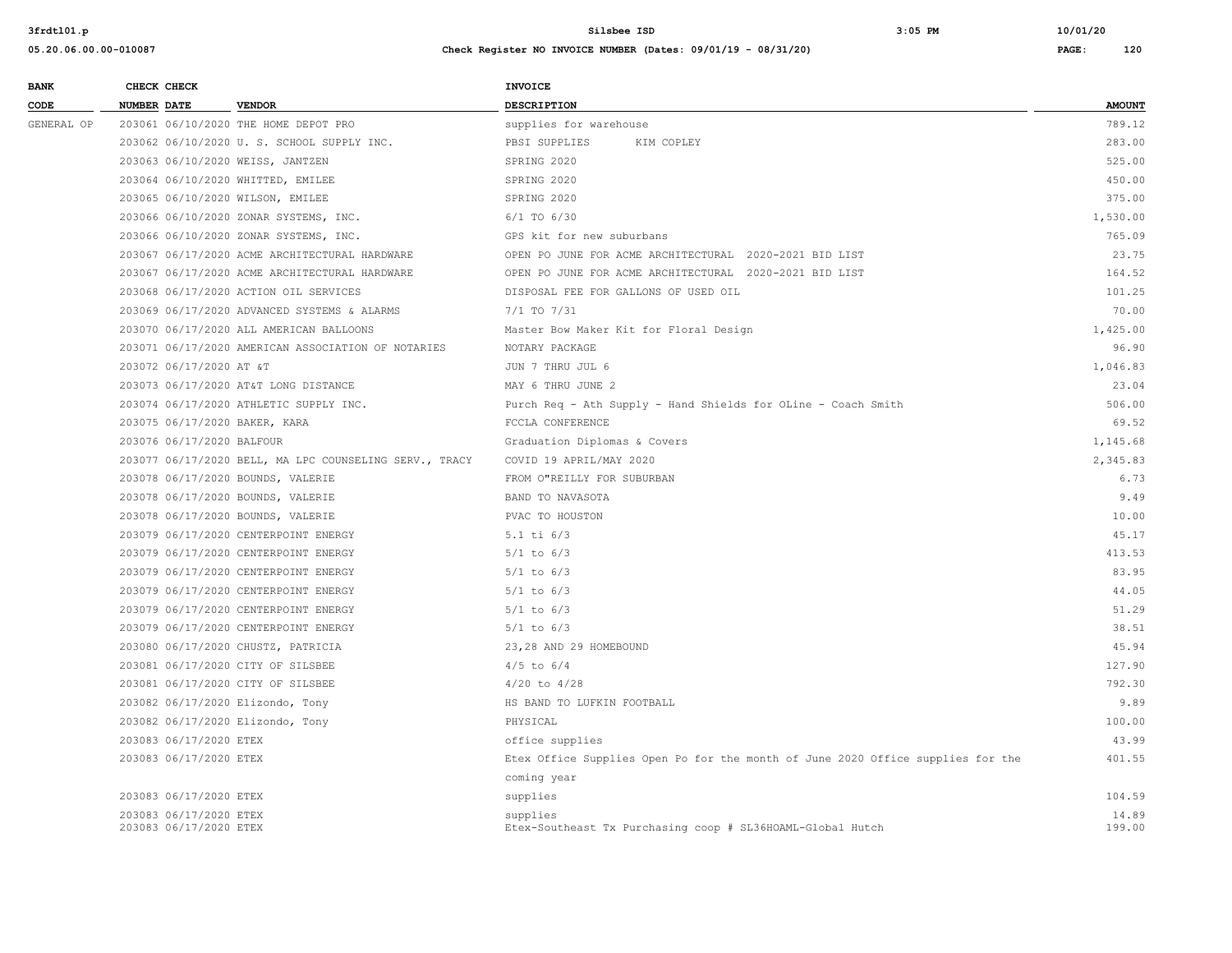| <b>BANK</b> | CHECK CHECK                                      |                                                        | INVOICE                                                                         |                 |
|-------------|--------------------------------------------------|--------------------------------------------------------|---------------------------------------------------------------------------------|-----------------|
| CODE        | <b>NUMBER DATE</b>                               | <b>VENDOR</b>                                          | DESCRIPTION                                                                     | <b>AMOUNT</b>   |
| GENERAL OP  |                                                  | 203061 06/10/2020 THE HOME DEPOT PRO                   | supplies for warehouse                                                          | 789.12          |
|             |                                                  | 203062 06/10/2020 U. S. SCHOOL SUPPLY INC.             | PBSI SUPPLIES<br>KIM COPLEY                                                     | 283.00          |
|             |                                                  | 203063 06/10/2020 WEISS, JANTZEN                       | SPRING 2020                                                                     | 525.00          |
|             |                                                  | 203064 06/10/2020 WHITTED, EMILEE                      | SPRING 2020                                                                     | 450.00          |
|             |                                                  | 203065 06/10/2020 WILSON, EMILEE                       | SPRING 2020                                                                     | 375.00          |
|             |                                                  | 203066 06/10/2020 ZONAR SYSTEMS, INC.                  | $6/1$ TO $6/30$                                                                 | 1,530.00        |
|             |                                                  | 203066 06/10/2020 ZONAR SYSTEMS, INC.                  | GPS kit for new suburbans                                                       | 765.09          |
|             |                                                  | 203067 06/17/2020 ACME ARCHITECTURAL HARDWARE          | OPEN PO JUNE FOR ACME ARCHITECTURAL 2020-2021 BID LIST                          | 23.75           |
|             |                                                  | 203067 06/17/2020 ACME ARCHITECTURAL HARDWARE          | OPEN PO JUNE FOR ACME ARCHITECTURAL 2020-2021 BID LIST                          | 164.52          |
|             |                                                  | 203068 06/17/2020 ACTION OIL SERVICES                  | DISPOSAL FEE FOR GALLONS OF USED OIL                                            | 101.25          |
|             |                                                  | 203069 06/17/2020 ADVANCED SYSTEMS & ALARMS            | $7/1$ TO $7/31$                                                                 | 70.00           |
|             |                                                  | 203070 06/17/2020 ALL AMERICAN BALLOONS                | Master Bow Maker Kit for Floral Design                                          | 1,425.00        |
|             |                                                  | 203071 06/17/2020 AMERICAN ASSOCIATION OF NOTARIES     | NOTARY PACKAGE                                                                  | 96.90           |
|             |                                                  | 203072 06/17/2020 AT &T                                | JUN 7 THRU JUL 6                                                                | 1,046.83        |
|             |                                                  | 203073 06/17/2020 AT&T LONG DISTANCE                   | MAY 6 THRU JUNE 2                                                               | 23.04           |
|             |                                                  | 203074 06/17/2020 ATHLETIC SUPPLY INC.                 | Purch Req - Ath Supply - Hand Shields for OLine - Coach Smith                   | 506.00          |
|             |                                                  | 203075 06/17/2020 BAKER, KARA                          | FCCLA CONFERENCE                                                                | 69.52           |
|             |                                                  | 203076 06/17/2020 BALFOUR                              | Graduation Diplomas & Covers                                                    | 1,145.68        |
|             |                                                  | 203077 06/17/2020 BELL, MA LPC COUNSELING SERV., TRACY | COVID 19 APRIL/MAY 2020                                                         | 2,345.83        |
|             |                                                  | 203078 06/17/2020 BOUNDS, VALERIE                      | FROM O"REILLY FOR SUBURBAN                                                      | 6.73            |
|             |                                                  | 203078 06/17/2020 BOUNDS, VALERIE                      | BAND TO NAVASOTA                                                                | 9.49            |
|             |                                                  | 203078 06/17/2020 BOUNDS, VALERIE                      | PVAC TO HOUSTON                                                                 | 10.00           |
|             |                                                  | 203079 06/17/2020 CENTERPOINT ENERGY                   | $5.1$ ti $6/3$                                                                  | 45.17           |
|             |                                                  | 203079 06/17/2020 CENTERPOINT ENERGY                   | $5/1$ to $6/3$                                                                  | 413.53          |
|             |                                                  | 203079 06/17/2020 CENTERPOINT ENERGY                   | $5/1$ to $6/3$                                                                  | 83.95           |
|             |                                                  | 203079 06/17/2020 CENTERPOINT ENERGY                   | $5/1$ to $6/3$                                                                  | 44.05           |
|             |                                                  | 203079 06/17/2020 CENTERPOINT ENERGY                   | $5/1$ to $6/3$                                                                  | 51.29           |
|             |                                                  | 203079 06/17/2020 CENTERPOINT ENERGY                   | $5/1$ to $6/3$                                                                  | 38.51           |
|             |                                                  | 203080 06/17/2020 CHUSTZ, PATRICIA                     | 23,28 AND 29 HOMEBOUND                                                          | 45.94           |
|             |                                                  | 203081 06/17/2020 CITY OF SILSBEE                      | $4/5$ to $6/4$                                                                  | 127.90          |
|             |                                                  | 203081 06/17/2020 CITY OF SILSBEE                      | $4/20$ to $4/28$                                                                | 792.30          |
|             |                                                  | 203082 06/17/2020 Elizondo, Tony                       | HS BAND TO LUFKIN FOOTBALL                                                      | 9.89            |
|             |                                                  | 203082 06/17/2020 Elizondo, Tony                       | PHYSICAL                                                                        | 100.00          |
|             | 203083 06/17/2020 ETEX                           |                                                        | office supplies                                                                 | 43.99           |
|             | 203083 06/17/2020 ETEX                           |                                                        | Etex Office Supplies Open Po for the month of June 2020 Office supplies for the | 401.55          |
|             |                                                  |                                                        | coming year                                                                     |                 |
|             | 203083 06/17/2020 ETEX                           |                                                        | supplies                                                                        | 104.59          |
|             | 203083 06/17/2020 ETEX<br>203083 06/17/2020 ETEX |                                                        | supplies<br>Etex-Southeast Tx Purchasing coop # SL36HOAML-Global Hutch          | 14.89<br>199.00 |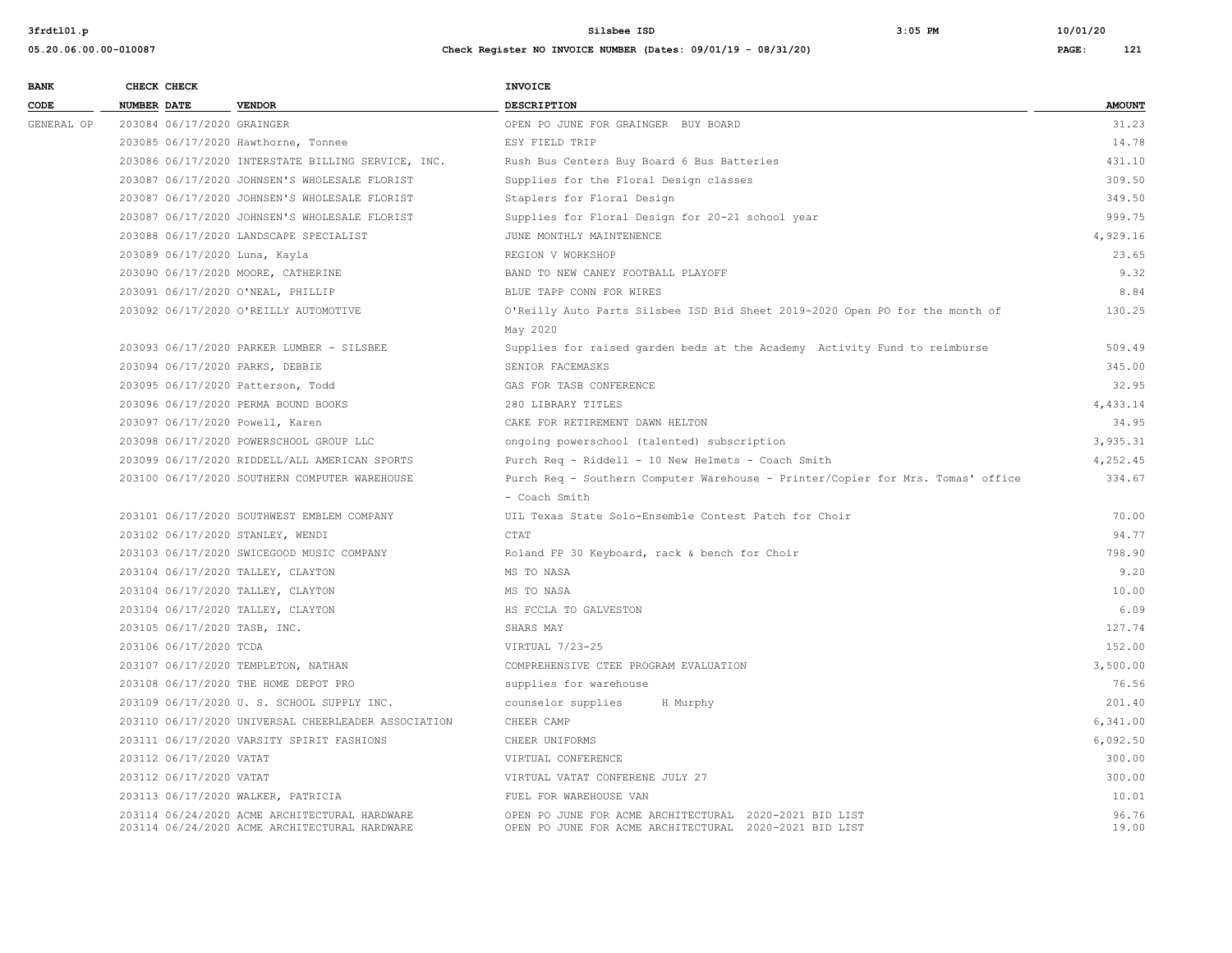| <b>BANK</b> | CHECK CHECK                   |                                                                                                | <b>INVOICE</b>                                                                                                   |                |
|-------------|-------------------------------|------------------------------------------------------------------------------------------------|------------------------------------------------------------------------------------------------------------------|----------------|
| CODE        | <b>NUMBER DATE</b>            | <b>VENDOR</b>                                                                                  | <b>DESCRIPTION</b>                                                                                               | <b>AMOUNT</b>  |
| GENERAL OP  | 203084 06/17/2020 GRAINGER    |                                                                                                | OPEN PO JUNE FOR GRAINGER BUY BOARD                                                                              | 31.23          |
|             |                               | 203085 06/17/2020 Hawthorne, Tonnee                                                            | ESY FIELD TRIP                                                                                                   | 14.78          |
|             |                               | 203086 06/17/2020 INTERSTATE BILLING SERVICE, INC.                                             | Rush Bus Centers Buy Board 6 Bus Batteries                                                                       | 431.10         |
|             |                               | 203087 06/17/2020 JOHNSEN'S WHOLESALE FLORIST                                                  | Supplies for the Floral Design classes                                                                           | 309.50         |
|             |                               | 203087 06/17/2020 JOHNSEN'S WHOLESALE FLORIST                                                  | Staplers for Floral Design                                                                                       | 349.50         |
|             |                               | 203087 06/17/2020 JOHNSEN'S WHOLESALE FLORIST                                                  | Supplies for Floral Design for 20-21 school year                                                                 | 999.75         |
|             |                               | 203088 06/17/2020 LANDSCAPE SPECIALIST                                                         | JUNE MONTHLY MAINTENENCE                                                                                         | 4,929.16       |
|             | 203089 06/17/2020 Luna, Kayla |                                                                                                | REGION V WORKSHOP                                                                                                | 23.65          |
|             |                               | 203090 06/17/2020 MOORE, CATHERINE                                                             | BAND TO NEW CANEY FOOTBALL PLAYOFF                                                                               | 9.32           |
|             |                               | 203091 06/17/2020 O'NEAL, PHILLIP                                                              | BLUE TAPP CONN FOR WIRES                                                                                         | 8.84           |
|             |                               | 203092 06/17/2020 O'REILLY AUTOMOTIVE                                                          | O'Reilly Auto Parts Silsbee ISD Bid Sheet 2019-2020 Open PO for the month of                                     | 130.25         |
|             |                               |                                                                                                | May 2020                                                                                                         |                |
|             |                               | 203093 06/17/2020 PARKER LUMBER - SILSBEE                                                      | Supplies for raised garden beds at the Academy Activity Fund to reimburse                                        | 509.49         |
|             |                               | 203094 06/17/2020 PARKS, DEBBIE                                                                | SENIOR FACEMASKS                                                                                                 | 345.00         |
|             |                               | 203095 06/17/2020 Patterson, Todd                                                              | GAS FOR TASB CONFERENCE                                                                                          | 32.95          |
|             |                               | 203096 06/17/2020 PERMA BOUND BOOKS                                                            | 280 LIBRARY TITLES                                                                                               | 4,433.14       |
|             |                               | 203097 06/17/2020 Powell, Karen                                                                | CAKE FOR RETIREMENT DAWN HELTON                                                                                  | 34.95          |
|             |                               | 203098 06/17/2020 POWERSCHOOL GROUP LLC                                                        | ongoing powerschool (talented) subscription                                                                      | 3.935.31       |
|             |                               | 203099 06/17/2020 RIDDELL/ALL AMERICAN SPORTS                                                  | Purch Req - Riddell - 10 New Helmets - Coach Smith                                                               | 4,252.45       |
|             |                               | 203100 06/17/2020 SOUTHERN COMPUTER WAREHOUSE                                                  | Purch Req - Southern Computer Warehouse - Printer/Copier for Mrs. Tomas' office                                  | 334.67         |
|             |                               |                                                                                                | - Coach Smith                                                                                                    |                |
|             |                               | 203101 06/17/2020 SOUTHWEST EMBLEM COMPANY                                                     | UIL Texas State Solo-Ensemble Contest Patch for Choir                                                            | 70.00          |
|             |                               | 203102 06/17/2020 STANLEY, WENDI                                                               | CTAT                                                                                                             | 94.77          |
|             |                               | 203103 06/17/2020 SWICEGOOD MUSIC COMPANY                                                      | Roland FP 30 Keyboard, rack & bench for Choir                                                                    | 798.90         |
|             |                               | 203104 06/17/2020 TALLEY, CLAYTON                                                              | MS TO NASA                                                                                                       | 9.20           |
|             |                               | 203104 06/17/2020 TALLEY, CLAYTON                                                              | MS TO NASA                                                                                                       | 10.00          |
|             |                               | 203104 06/17/2020 TALLEY, CLAYTON                                                              | HS FCCLA TO GALVESTON                                                                                            | 6.09           |
|             | 203105 06/17/2020 TASB, INC.  |                                                                                                | SHARS MAY                                                                                                        | 127.74         |
|             | 203106 06/17/2020 TCDA        |                                                                                                | VIRTUAL 7/23-25                                                                                                  | 152.00         |
|             |                               | 203107 06/17/2020 TEMPLETON, NATHAN                                                            | COMPREHENSIVE CTEE PROGRAM EVALUATION                                                                            | 3,500.00       |
|             |                               | 203108 06/17/2020 THE HOME DEPOT PRO                                                           | supplies for warehouse                                                                                           | 76.56          |
|             |                               | 203109 06/17/2020 U.S. SCHOOL SUPPLY INC.                                                      | counselor supplies<br>H Murphy                                                                                   | 201.40         |
|             |                               | 203110 06/17/2020 UNIVERSAL CHEERLEADER ASSOCIATION                                            | CHEER CAMP                                                                                                       | 6,341.00       |
|             |                               | 203111 06/17/2020 VARSITY SPIRIT FASHIONS                                                      | CHEER UNIFORMS                                                                                                   | 6,092.50       |
|             | 203112 06/17/2020 VATAT       |                                                                                                | VIRTUAL CONFERENCE                                                                                               | 300.00         |
|             | 203112 06/17/2020 VATAT       |                                                                                                | VIRTUAL VATAT CONFERENE JULY 27                                                                                  | 300.00         |
|             |                               | 203113 06/17/2020 WALKER, PATRICIA                                                             | FUEL FOR WAREHOUSE VAN                                                                                           | 10.01          |
|             |                               | 203114 06/24/2020 ACME ARCHITECTURAL HARDWARE<br>203114 06/24/2020 ACME ARCHITECTURAL HARDWARE | OPEN PO JUNE FOR ACME ARCHITECTURAL 2020-2021 BID LIST<br>OPEN PO JUNE FOR ACME ARCHITECTURAL 2020-2021 BID LIST | 96.76<br>19.00 |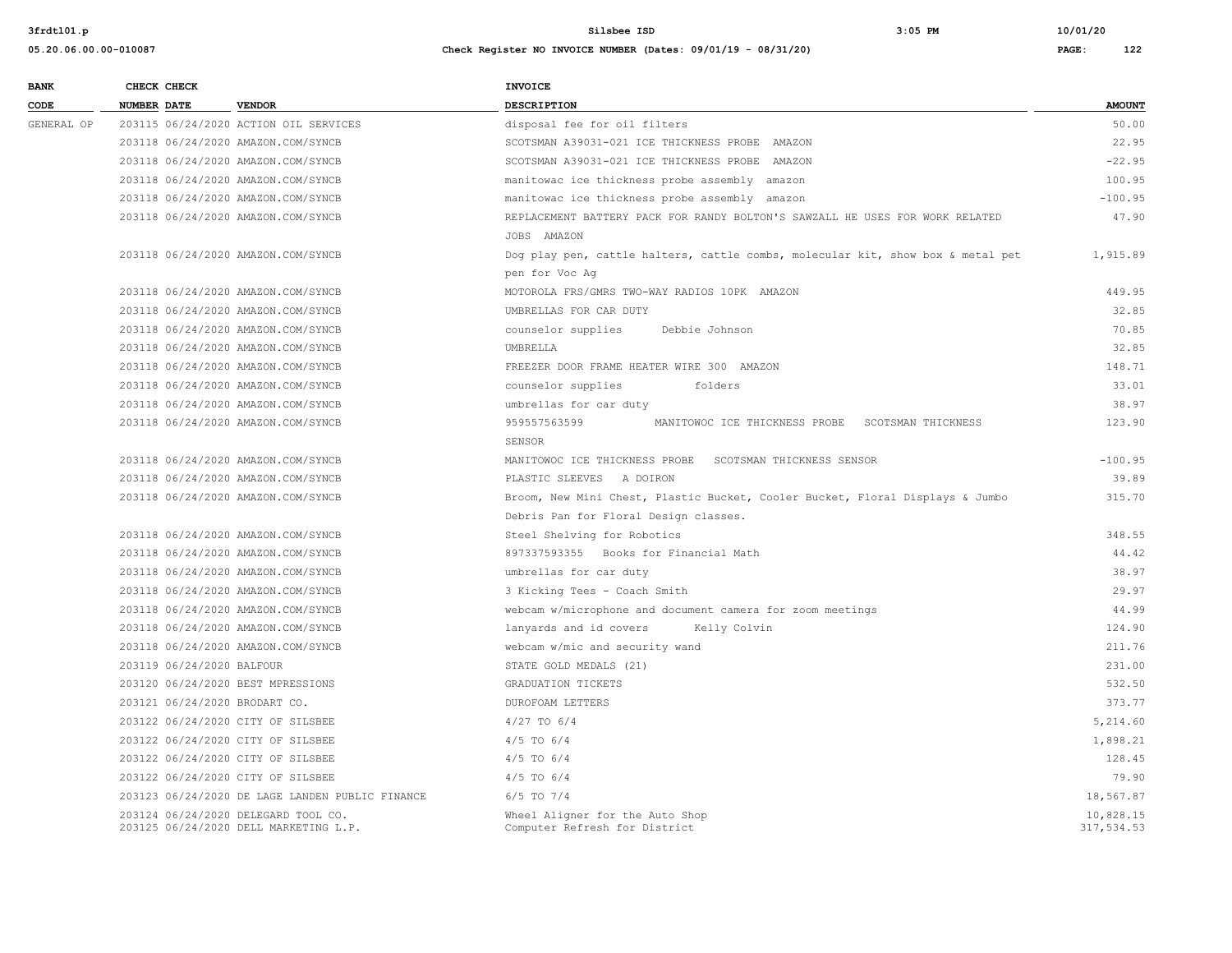| <b>BANK</b> | CHECK CHECK                        |                                                                              | <b>INVOICE</b>                                                                  |                         |
|-------------|------------------------------------|------------------------------------------------------------------------------|---------------------------------------------------------------------------------|-------------------------|
| CODE        | <b>NUMBER DATE</b>                 | <b>VENDOR</b>                                                                | <b>DESCRIPTION</b>                                                              | <b>AMOUNT</b>           |
| GENERAL OP  |                                    | 203115 06/24/2020 ACTION OIL SERVICES                                        | disposal fee for oil filters                                                    | 50.00                   |
|             | 203118 06/24/2020 AMAZON.COM/SYNCB |                                                                              | SCOTSMAN A39031-021 ICE THICKNESS PROBE AMAZON                                  | 22.95                   |
|             | 203118 06/24/2020 AMAZON.COM/SYNCB |                                                                              | SCOTSMAN A39031-021 ICE THICKNESS PROBE AMAZON                                  | $-22.95$                |
|             | 203118 06/24/2020 AMAZON.COM/SYNCB |                                                                              | manitowac ice thickness probe assembly amazon                                   | 100.95                  |
|             | 203118 06/24/2020 AMAZON.COM/SYNCB |                                                                              | manitowac ice thickness probe assembly amazon                                   | $-100.95$               |
|             | 203118 06/24/2020 AMAZON.COM/SYNCB |                                                                              | REPLACEMENT BATTERY PACK FOR RANDY BOLTON'S SAWZALL HE USES FOR WORK RELATED    | 47.90                   |
|             |                                    |                                                                              | JOBS AMAZON                                                                     |                         |
|             | 203118 06/24/2020 AMAZON.COM/SYNCB |                                                                              | Dog play pen, cattle halters, cattle combs, molecular kit, show box & metal pet | 1,915.89                |
|             |                                    |                                                                              | pen for Voc Aq                                                                  |                         |
|             | 203118 06/24/2020 AMAZON.COM/SYNCB |                                                                              | MOTOROLA FRS/GMRS TWO-WAY RADIOS 10PK AMAZON                                    | 449.95                  |
|             | 203118 06/24/2020 AMAZON.COM/SYNCB |                                                                              | UMBRELLAS FOR CAR DUTY                                                          | 32.85                   |
|             | 203118 06/24/2020 AMAZON.COM/SYNCB |                                                                              | counselor supplies<br>Debbie Johnson                                            | 70.85                   |
|             | 203118 06/24/2020 AMAZON.COM/SYNCB |                                                                              | UMBRELLA                                                                        | 32.85                   |
|             | 203118 06/24/2020 AMAZON.COM/SYNCB |                                                                              | FREEZER DOOR FRAME HEATER WIRE 300 AMAZON                                       | 148.71                  |
|             | 203118 06/24/2020 AMAZON.COM/SYNCB |                                                                              | counselor supplies<br>folders                                                   | 33.01                   |
|             | 203118 06/24/2020 AMAZON.COM/SYNCB |                                                                              | umbrellas for car duty                                                          | 38.97                   |
|             | 203118 06/24/2020 AMAZON.COM/SYNCB |                                                                              | 959557563599<br>MANITOWOC ICE THICKNESS PROBE SCOTSMAN THICKNESS                | 123.90                  |
|             |                                    |                                                                              | SENSOR                                                                          |                         |
|             | 203118 06/24/2020 AMAZON.COM/SYNCB |                                                                              | MANITOWOC ICE THICKNESS PROBE<br>SCOTSMAN THICKNESS SENSOR                      | $-100.95$               |
|             | 203118 06/24/2020 AMAZON.COM/SYNCB |                                                                              | PLASTIC SLEEVES A DOIRON                                                        | 39.89                   |
|             | 203118 06/24/2020 AMAZON.COM/SYNCB |                                                                              | Broom, New Mini Chest, Plastic Bucket, Cooler Bucket, Floral Displays & Jumbo   | 315.70                  |
|             |                                    |                                                                              | Debris Pan for Floral Design classes.                                           |                         |
|             | 203118 06/24/2020 AMAZON.COM/SYNCB |                                                                              | Steel Shelving for Robotics                                                     | 348.55                  |
|             | 203118 06/24/2020 AMAZON.COM/SYNCB |                                                                              | 897337593355 Books for Financial Math                                           | 44.42                   |
|             | 203118 06/24/2020 AMAZON.COM/SYNCB |                                                                              | umbrellas for car duty                                                          | 38.97                   |
|             | 203118 06/24/2020 AMAZON.COM/SYNCB |                                                                              | 3 Kicking Tees - Coach Smith                                                    | 29.97                   |
|             | 203118 06/24/2020 AMAZON.COM/SYNCB |                                                                              | webcam w/microphone and document camera for zoom meetings                       | 44.99                   |
|             | 203118 06/24/2020 AMAZON.COM/SYNCB |                                                                              | lanyards and id covers<br>Kelly Colvin                                          | 124.90                  |
|             | 203118 06/24/2020 AMAZON.COM/SYNCB |                                                                              | webcam w/mic and security wand                                                  | 211.76                  |
|             | 203119 06/24/2020 BALFOUR          |                                                                              | STATE GOLD MEDALS (21)                                                          | 231.00                  |
|             | 203120 06/24/2020 BEST MPRESSIONS  |                                                                              | GRADUATION TICKETS                                                              | 532.50                  |
|             | 203121 06/24/2020 BRODART CO.      |                                                                              | DUROFOAM LETTERS                                                                | 373.77                  |
|             | 203122 06/24/2020 CITY OF SILSBEE  |                                                                              | $4/27$ TO 6/4                                                                   | 5,214.60                |
|             | 203122 06/24/2020 CITY OF SILSBEE  |                                                                              | $4/5$ TO $6/4$                                                                  | 1,898.21                |
|             | 203122 06/24/2020 CITY OF SILSBEE  |                                                                              | $4/5$ TO $6/4$                                                                  | 128.45                  |
|             | 203122 06/24/2020 CITY OF SILSBEE  |                                                                              | $4/5$ TO $6/4$                                                                  | 79.90                   |
|             |                                    | 203123 06/24/2020 DE LAGE LANDEN PUBLIC FINANCE                              | $6/5$ TO $7/4$                                                                  | 18,567.87               |
|             |                                    | 203124 06/24/2020 DELEGARD TOOL CO.<br>203125 06/24/2020 DELL MARKETING L.P. | Wheel Aligner for the Auto Shop<br>Computer Refresh for District                | 10,828.15<br>317,534.53 |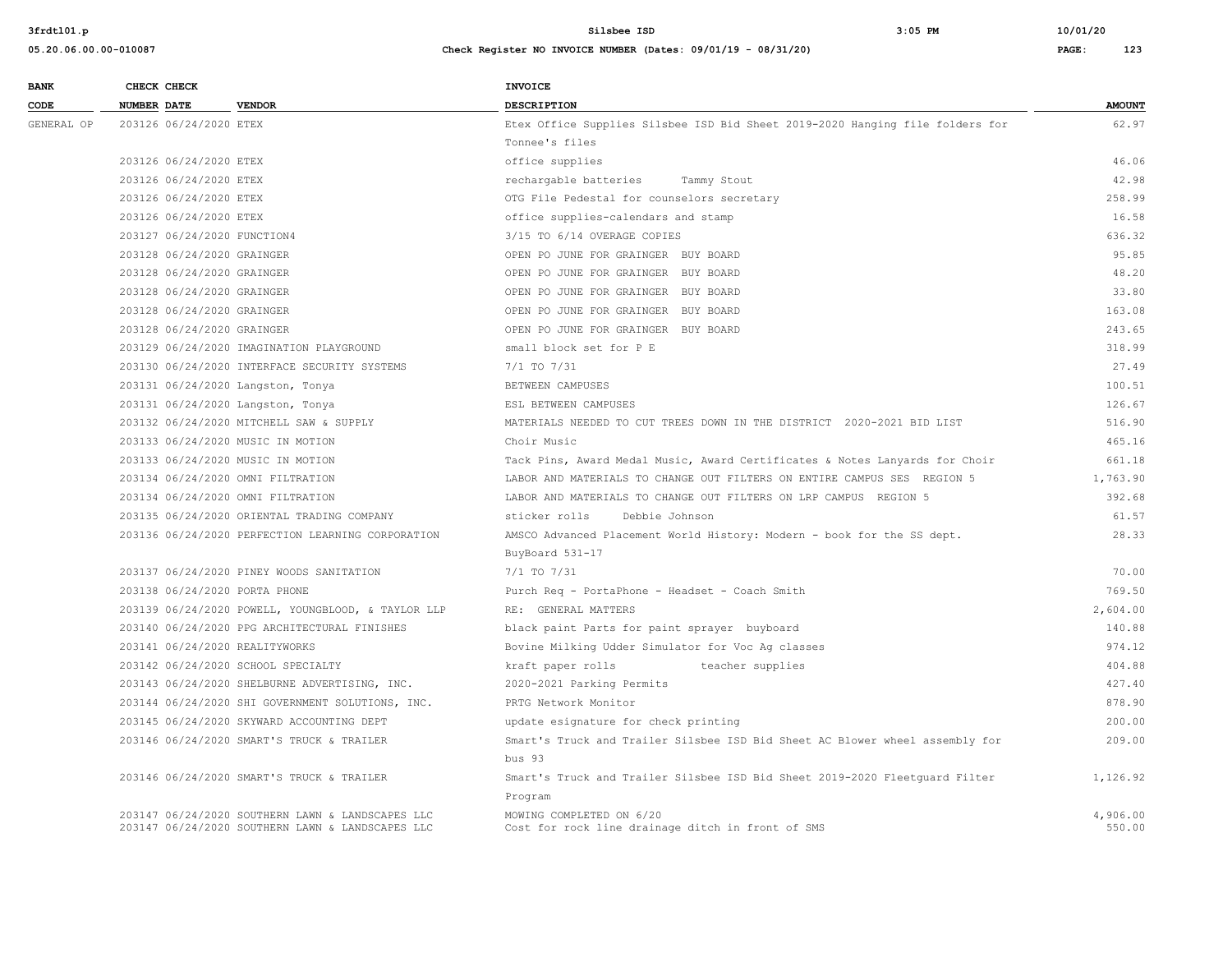| <b>BANK</b> | CHECK CHECK                                        | <b>INVOICE</b>                                                                         |               |
|-------------|----------------------------------------------------|----------------------------------------------------------------------------------------|---------------|
| CODE        | <b>NUMBER DATE</b><br><b>VENDOR</b>                | <b>DESCRIPTION</b>                                                                     | <b>AMOUNT</b> |
| GENERAL OP  | 203126 06/24/2020 ETEX                             | Etex Office Supplies Silsbee ISD Bid Sheet 2019-2020 Hanging file folders for          | 62.97         |
|             |                                                    | Tonnee's files                                                                         |               |
|             | 203126 06/24/2020 ETEX                             | office supplies                                                                        | 46.06         |
|             | 203126 06/24/2020 ETEX                             | rechargable batteries<br>Tammy Stout                                                   | 42.98         |
|             | 203126 06/24/2020 ETEX                             | OTG File Pedestal for counselors secretary                                             | 258.99        |
|             | 203126 06/24/2020 ETEX                             | office supplies-calendars and stamp                                                    | 16.58         |
|             | 203127 06/24/2020 FUNCTION4                        | 3/15 TO 6/14 OVERAGE COPIES                                                            | 636.32        |
|             | 203128 06/24/2020 GRAINGER                         | OPEN PO JUNE FOR GRAINGER BUY BOARD                                                    | 95.85         |
|             | 203128 06/24/2020 GRAINGER                         | OPEN PO JUNE FOR GRAINGER BUY BOARD                                                    | 48.20         |
|             | 203128 06/24/2020 GRAINGER                         | OPEN PO JUNE FOR GRAINGER BUY BOARD                                                    | 33.80         |
|             | 203128 06/24/2020 GRAINGER                         | OPEN PO JUNE FOR GRAINGER BUY BOARD                                                    | 163.08        |
|             | 203128 06/24/2020 GRAINGER                         | OPEN PO JUNE FOR GRAINGER BUY BOARD                                                    | 243.65        |
|             | 203129 06/24/2020 IMAGINATION PLAYGROUND           | small block set for P E                                                                | 318.99        |
|             | 203130 06/24/2020 INTERFACE SECURITY SYSTEMS       | 7/1 TO 7/31                                                                            | 27.49         |
|             | 203131 06/24/2020 Langston, Tonya                  | BETWEEN CAMPUSES                                                                       | 100.51        |
|             | 203131 06/24/2020 Langston, Tonya                  | ESL BETWEEN CAMPUSES                                                                   | 126.67        |
|             | 203132 06/24/2020 MITCHELL SAW & SUPPLY            | MATERIALS NEEDED TO CUT TREES DOWN IN THE DISTRICT 2020-2021 BID LIST                  | 516.90        |
|             | 203133 06/24/2020 MUSIC IN MOTION                  | Choir Music                                                                            | 465.16        |
|             | 203133 06/24/2020 MUSIC IN MOTION                  | Tack Pins, Award Medal Music, Award Certificates & Notes Lanyards for Choir            | 661.18        |
|             | 203134 06/24/2020 OMNI FILTRATION                  | LABOR AND MATERIALS TO CHANGE OUT FILTERS ON ENTIRE CAMPUS SES REGION 5                | 1,763.90      |
|             | 203134 06/24/2020 OMNI FILTRATION                  | LABOR AND MATERIALS TO CHANGE OUT FILTERS ON LRP CAMPUS REGION 5                       | 392.68        |
|             | 203135 06/24/2020 ORIENTAL TRADING COMPANY         | sticker rolls<br>Debbie Johnson                                                        | 61.57         |
|             | 203136 06/24/2020 PERFECTION LEARNING CORPORATION  | AMSCO Advanced Placement World History: Modern - book for the SS dept.                 | 28.33         |
|             |                                                    | BuyBoard 531-17                                                                        |               |
|             | 203137 06/24/2020 PINEY WOODS SANITATION           | 7/1 TO 7/31                                                                            | 70.00         |
|             | 203138 06/24/2020 PORTA PHONE                      | Purch Req - PortaPhone - Headset - Coach Smith                                         | 769.50        |
|             | 203139 06/24/2020 POWELL, YOUNGBLOOD, & TAYLOR LLP | RE: GENERAL MATTERS                                                                    | 2,604.00      |
|             | 203140 06/24/2020 PPG ARCHITECTURAL FINISHES       | black paint Parts for paint sprayer buyboard                                           | 140.88        |
|             | 203141 06/24/2020 REALITYWORKS                     | Bovine Milking Udder Simulator for Voc Ag classes                                      | 974.12        |
|             | 203142 06/24/2020 SCHOOL SPECIALTY                 | kraft paper rolls<br>teacher supplies                                                  | 404.88        |
|             | 203143 06/24/2020 SHELBURNE ADVERTISING, INC.      | 2020-2021 Parking Permits                                                              | 427.40        |
|             | 203144 06/24/2020 SHI GOVERNMENT SOLUTIONS, INC.   | PRTG Network Monitor                                                                   | 878.90        |
|             | 203145 06/24/2020 SKYWARD ACCOUNTING DEPT          | update esignature for check printing                                                   | 200.00        |
|             | 203146 06/24/2020 SMART'S TRUCK & TRAILER          | Smart's Truck and Trailer Silsbee ISD Bid Sheet AC Blower wheel assembly for           | 209.00        |
|             |                                                    | bus <sub>93</sub>                                                                      |               |
|             | 203146 06/24/2020 SMART'S TRUCK & TRAILER          | Smart's Truck and Trailer Silsbee ISD Bid Sheet 2019-2020 Fleetquard Filter<br>Program | 1,126.92      |
|             | 203147 06/24/2020 SOUTHERN LAWN & LANDSCAPES LLC   | MOWING COMPLETED ON 6/20                                                               | 4,906.00      |
|             | 203147 06/24/2020 SOUTHERN LAWN & LANDSCAPES LLC   | Cost for rock line drainage ditch in front of SMS                                      | 550.00        |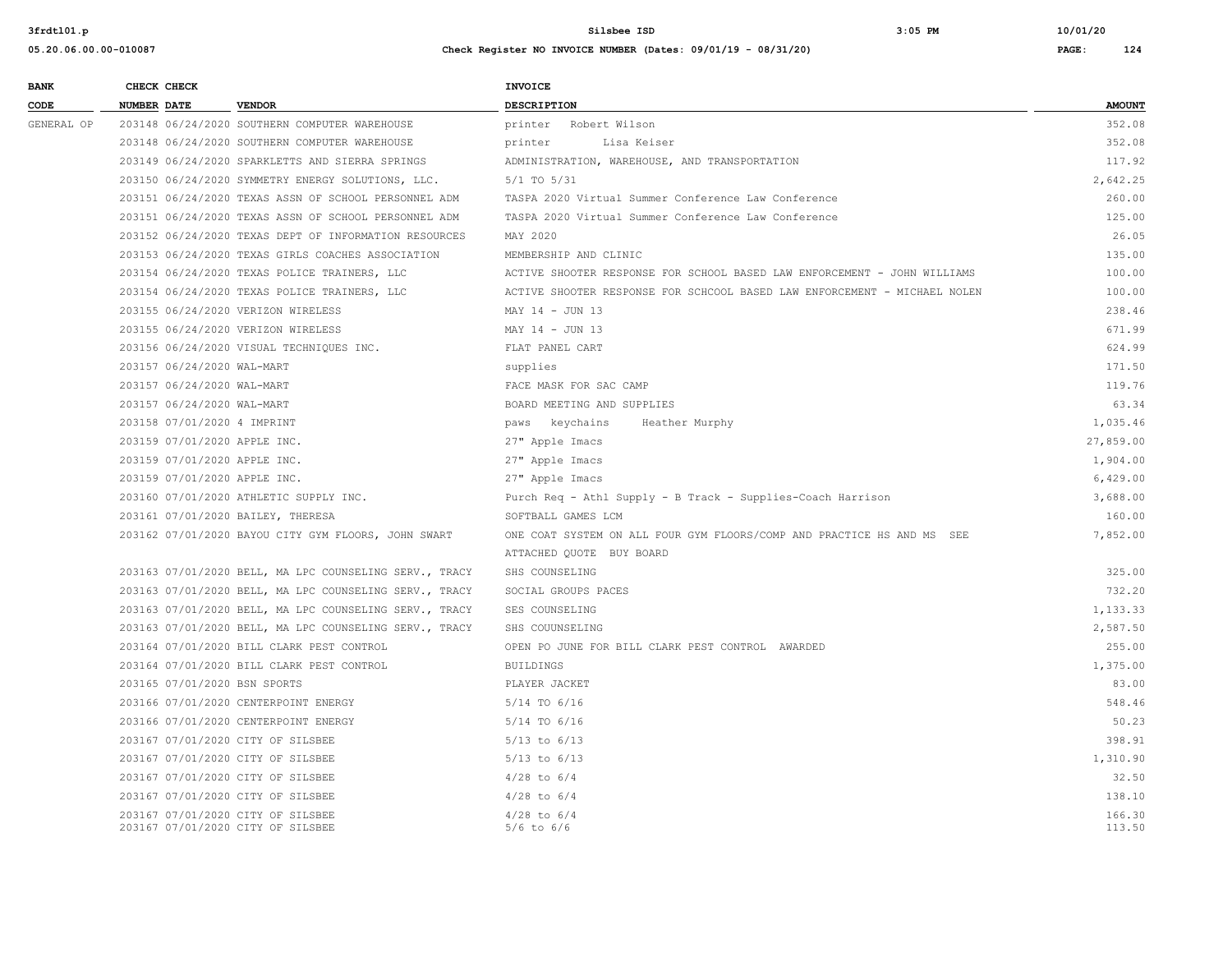| <b>BANK</b> | CHECK CHECK                        |                                                        | <b>INVOICE</b>                                                            |               |
|-------------|------------------------------------|--------------------------------------------------------|---------------------------------------------------------------------------|---------------|
| CODE        | <b>NUMBER DATE</b>                 | <b>VENDOR</b>                                          | DESCRIPTION                                                               | <b>AMOUNT</b> |
| GENERAL OP  |                                    | 203148 06/24/2020 SOUTHERN COMPUTER WAREHOUSE          | printer Robert Wilson                                                     | 352.08        |
|             |                                    | 203148 06/24/2020 SOUTHERN COMPUTER WAREHOUSE          | Lisa Keiser<br>printer                                                    | 352.08        |
|             |                                    | 203149 06/24/2020 SPARKLETTS AND SIERRA SPRINGS        | ADMINISTRATION, WAREHOUSE, AND TRANSPORTATION                             | 117.92        |
|             |                                    | 203150 06/24/2020 SYMMETRY ENERGY SOLUTIONS, LLC.      | 5/1 TO 5/31                                                               | 2,642.25      |
|             |                                    | 203151 06/24/2020 TEXAS ASSN OF SCHOOL PERSONNEL ADM   | TASPA 2020 Virtual Summer Conference Law Conference                       | 260.00        |
|             |                                    | 203151 06/24/2020 TEXAS ASSN OF SCHOOL PERSONNEL ADM   | TASPA 2020 Virtual Summer Conference Law Conference                       | 125.00        |
|             |                                    | 203152 06/24/2020 TEXAS DEPT OF INFORMATION RESOURCES  | MAY 2020                                                                  | 26.05         |
|             |                                    | 203153 06/24/2020 TEXAS GIRLS COACHES ASSOCIATION      | MEMBERSHIP AND CLINIC                                                     | 135.00        |
|             |                                    | 203154 06/24/2020 TEXAS POLICE TRAINERS, LLC           | ACTIVE SHOOTER RESPONSE FOR SCHOOL BASED LAW ENFORCEMENT - JOHN WILLIAMS  | 100.00        |
|             |                                    | 203154 06/24/2020 TEXAS POLICE TRAINERS, LLC           | ACTIVE SHOOTER RESPONSE FOR SCHCOOL BASED LAW ENFORCEMENT - MICHAEL NOLEN | 100.00        |
|             | 203155 06/24/2020 VERIZON WIRELESS |                                                        | MAY 14 - JUN 13                                                           | 238.46        |
|             | 203155 06/24/2020 VERIZON WIRELESS |                                                        | MAY 14 - JUN 13                                                           | 671.99        |
|             |                                    | 203156 06/24/2020 VISUAL TECHNIQUES INC.               | FLAT PANEL CART                                                           | 624.99        |
|             | 203157 06/24/2020 WAL-MART         |                                                        | supplies                                                                  | 171.50        |
|             | 203157 06/24/2020 WAL-MART         |                                                        | FACE MASK FOR SAC CAMP                                                    | 119.76        |
|             | 203157 06/24/2020 WAL-MART         |                                                        | BOARD MEETING AND SUPPLIES                                                | 63.34         |
|             | 203158 07/01/2020 4 IMPRINT        |                                                        | paws keychains<br>Heather Murphy                                          | 1,035.46      |
|             | 203159 07/01/2020 APPLE INC.       |                                                        | 27" Apple Imacs                                                           | 27,859.00     |
|             | 203159 07/01/2020 APPLE INC.       |                                                        | 27" Apple Imacs                                                           | 1,904.00      |
|             | 203159 07/01/2020 APPLE INC.       |                                                        | 27" Apple Imacs                                                           | 6,429.00      |
|             |                                    | 203160 07/01/2020 ATHLETIC SUPPLY INC.                 | Purch Req - Athl Supply - B Track - Supplies-Coach Harrison               | 3,688.00      |
|             | 203161 07/01/2020 BAILEY, THERESA  |                                                        | SOFTBALL GAMES LCM                                                        | 160.00        |
|             |                                    | 203162 07/01/2020 BAYOU CITY GYM FLOORS, JOHN SWART    | ONE COAT SYSTEM ON ALL FOUR GYM FLOORS/COMP AND PRACTICE HS AND MS SEE    | 7,852.00      |
|             |                                    |                                                        | ATTACHED QUOTE BUY BOARD                                                  |               |
|             |                                    | 203163 07/01/2020 BELL, MA LPC COUNSELING SERV., TRACY | SHS COUNSELING                                                            | 325.00        |
|             |                                    | 203163 07/01/2020 BELL, MA LPC COUNSELING SERV., TRACY | SOCIAL GROUPS PACES                                                       | 732.20        |
|             |                                    | 203163 07/01/2020 BELL, MA LPC COUNSELING SERV., TRACY | SES COUNSELING                                                            | 1,133.33      |
|             |                                    | 203163 07/01/2020 BELL, MA LPC COUNSELING SERV., TRACY | SHS COUUNSELING                                                           | 2,587.50      |
|             |                                    | 203164 07/01/2020 BILL CLARK PEST CONTROL              | OPEN PO JUNE FOR BILL CLARK PEST CONTROL AWARDED                          | 255.00        |
|             |                                    | 203164 07/01/2020 BILL CLARK PEST CONTROL              | <b>BUILDINGS</b>                                                          | 1,375.00      |
|             | 203165 07/01/2020 BSN SPORTS       |                                                        | PLAYER JACKET                                                             | 83.00         |
|             |                                    | 203166 07/01/2020 CENTERPOINT ENERGY                   | 5/14 TO 6/16                                                              | 548.46        |
|             |                                    | 203166 07/01/2020 CENTERPOINT ENERGY                   | 5/14 TO 6/16                                                              | 50.23         |
|             | 203167 07/01/2020 CITY OF SILSBEE  |                                                        | $5/13$ to $6/13$                                                          | 398.91        |
|             | 203167 07/01/2020 CITY OF SILSBEE  |                                                        | $5/13$ to $6/13$                                                          | 1,310.90      |
|             | 203167 07/01/2020 CITY OF SILSBEE  |                                                        | $4/28$ to $6/4$                                                           | 32.50         |
|             | 203167 07/01/2020 CITY OF SILSBEE  |                                                        | $4/28$ to $6/4$                                                           | 138.10        |
|             | 203167 07/01/2020 CITY OF SILSBEE  |                                                        | $4/28$ to $6/4$                                                           | 166.30        |
|             | 203167 07/01/2020 CITY OF SILSBEE  |                                                        | $5/6$ to $6/6$                                                            | 113.50        |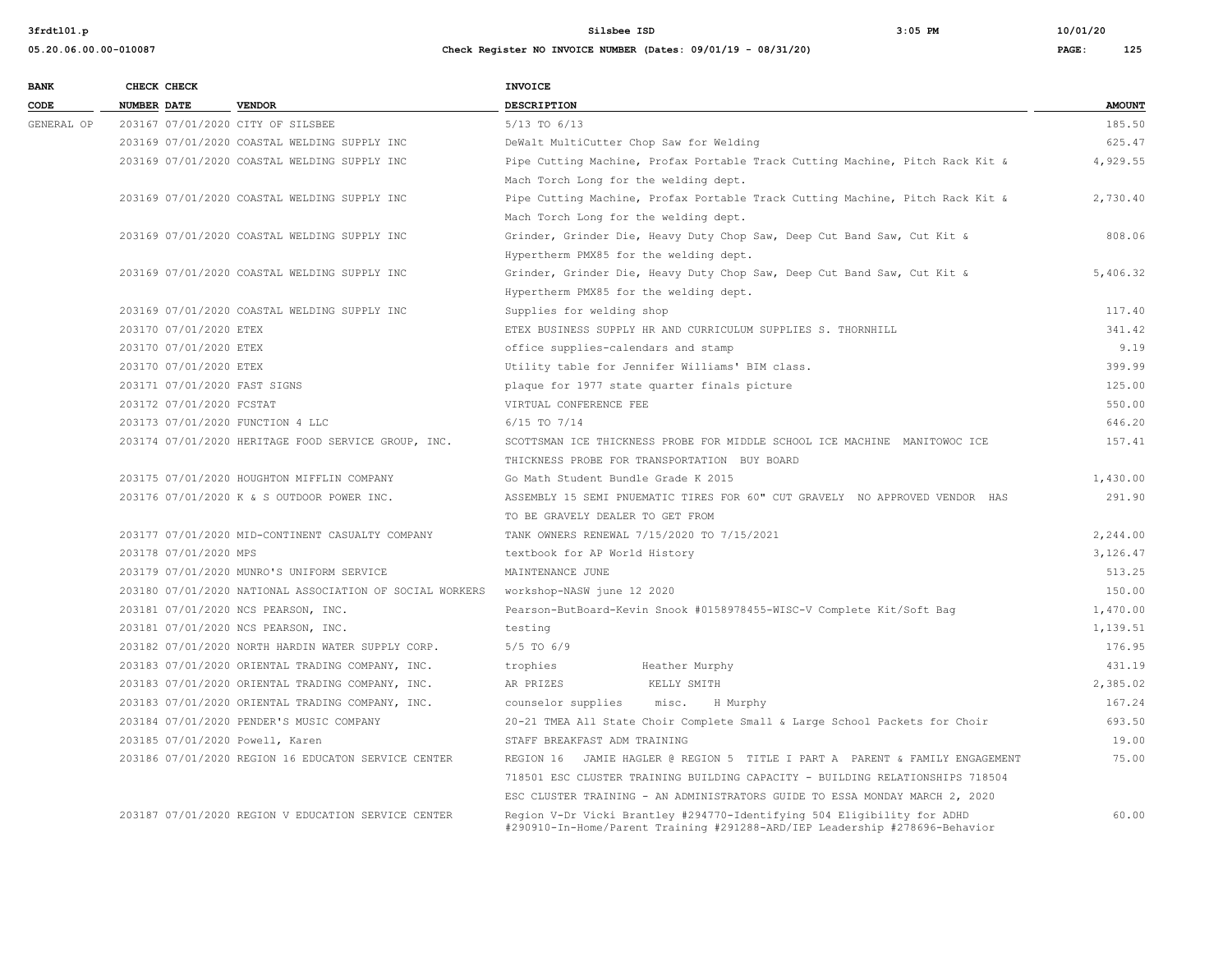| <b>BANK</b> | CHECK CHECK        |                          |                                                          | <b>INVOICE</b>                                                                                                                                         |               |
|-------------|--------------------|--------------------------|----------------------------------------------------------|--------------------------------------------------------------------------------------------------------------------------------------------------------|---------------|
| CODE        | <b>NUMBER DATE</b> |                          | <b>VENDOR</b>                                            | <b>DESCRIPTION</b>                                                                                                                                     | <b>AMOUNT</b> |
| GENERAL OP  |                    |                          | 203167 07/01/2020 CITY OF SILSBEE                        | 5/13 TO 6/13                                                                                                                                           | 185.50        |
|             |                    |                          | 203169 07/01/2020 COASTAL WELDING SUPPLY INC             | DeWalt MultiCutter Chop Saw for Welding                                                                                                                | 625.47        |
|             |                    |                          | 203169 07/01/2020 COASTAL WELDING SUPPLY INC             | Pipe Cutting Machine, Profax Portable Track Cutting Machine, Pitch Rack Kit &                                                                          | 4,929.55      |
|             |                    |                          |                                                          | Mach Torch Long for the welding dept.                                                                                                                  |               |
|             |                    |                          | 203169 07/01/2020 COASTAL WELDING SUPPLY INC             | Pipe Cutting Machine, Profax Portable Track Cutting Machine, Pitch Rack Kit &                                                                          | 2,730.40      |
|             |                    |                          |                                                          | Mach Torch Long for the welding dept.                                                                                                                  |               |
|             |                    |                          | 203169 07/01/2020 COASTAL WELDING SUPPLY INC             | Grinder, Grinder Die, Heavy Duty Chop Saw, Deep Cut Band Saw, Cut Kit &                                                                                | 808.06        |
|             |                    |                          |                                                          | Hypertherm PMX85 for the welding dept.                                                                                                                 |               |
|             |                    |                          | 203169 07/01/2020 COASTAL WELDING SUPPLY INC             | Grinder, Grinder Die, Heavy Duty Chop Saw, Deep Cut Band Saw, Cut Kit &                                                                                | 5,406.32      |
|             |                    |                          |                                                          | Hypertherm PMX85 for the welding dept.                                                                                                                 |               |
|             |                    |                          | 203169 07/01/2020 COASTAL WELDING SUPPLY INC             | Supplies for welding shop                                                                                                                              | 117.40        |
|             |                    | 203170 07/01/2020 ETEX   |                                                          | ETEX BUSINESS SUPPLY HR AND CURRICULUM SUPPLIES S. THORNHILL                                                                                           | 341.42        |
|             |                    | 203170 07/01/2020 ETEX   |                                                          | office supplies-calendars and stamp                                                                                                                    | 9.19          |
|             |                    | 203170 07/01/2020 ETEX   |                                                          | Utility table for Jennifer Williams' BIM class.                                                                                                        | 399.99        |
|             |                    |                          | 203171 07/01/2020 FAST SIGNS                             | plaque for 1977 state quarter finals picture                                                                                                           | 125.00        |
|             |                    | 203172 07/01/2020 FCSTAT |                                                          | VIRTUAL CONFERENCE FEE                                                                                                                                 | 550.00        |
|             |                    |                          | 203173 07/01/2020 FUNCTION 4 LLC                         | $6/15$ TO $7/14$                                                                                                                                       | 646.20        |
|             |                    |                          | 203174 07/01/2020 HERITAGE FOOD SERVICE GROUP, INC.      | SCOTTSMAN ICE THICKNESS PROBE FOR MIDDLE SCHOOL ICE MACHINE MANITOWOC ICE                                                                              | 157.41        |
|             |                    |                          |                                                          | THICKNESS PROBE FOR TRANSPORTATION BUY BOARD                                                                                                           |               |
|             |                    |                          | 203175 07/01/2020 HOUGHTON MIFFLIN COMPANY               | Go Math Student Bundle Grade K 2015                                                                                                                    | 1,430.00      |
|             |                    |                          | 203176 07/01/2020 K & S OUTDOOR POWER INC.               | ASSEMBLY 15 SEMI PNUEMATIC TIRES FOR 60" CUT GRAVELY NO APPROVED VENDOR HAS                                                                            | 291.90        |
|             |                    |                          |                                                          | TO BE GRAVELY DEALER TO GET FROM                                                                                                                       |               |
|             |                    |                          | 203177 07/01/2020 MID-CONTINENT CASUALTY COMPANY         | TANK OWNERS RENEWAL 7/15/2020 TO 7/15/2021                                                                                                             | 2,244.00      |
|             |                    | 203178 07/01/2020 MPS    |                                                          | textbook for AP World History                                                                                                                          | 3,126.47      |
|             |                    |                          | 203179 07/01/2020 MUNRO'S UNIFORM SERVICE                | MAINTENANCE JUNE                                                                                                                                       | 513.25        |
|             |                    |                          | 203180 07/01/2020 NATIONAL ASSOCIATION OF SOCIAL WORKERS | workshop-NASW june 12 2020                                                                                                                             | 150.00        |
|             |                    |                          | 203181 07/01/2020 NCS PEARSON, INC.                      | Pearson-ButBoard-Kevin Snook #0158978455-WISC-V Complete Kit/Soft Bag                                                                                  | 1,470.00      |
|             |                    |                          | 203181 07/01/2020 NCS PEARSON, INC.                      | testing                                                                                                                                                | 1,139.51      |
|             |                    |                          | 203182 07/01/2020 NORTH HARDIN WATER SUPPLY CORP.        | 5/5 TO 6/9                                                                                                                                             | 176.95        |
|             |                    |                          | 203183 07/01/2020 ORIENTAL TRADING COMPANY, INC.         | trophies<br>Heather Murphy                                                                                                                             | 431.19        |
|             |                    |                          | 203183 07/01/2020 ORIENTAL TRADING COMPANY, INC.         | KELLY SMITH<br>AR PRIZES                                                                                                                               | 2,385.02      |
|             |                    |                          | 203183 07/01/2020 ORIENTAL TRADING COMPANY, INC.         | misc.<br>counselor supplies<br>H Murphy                                                                                                                | 167.24        |
|             |                    |                          | 203184 07/01/2020 PENDER'S MUSIC COMPANY                 | 20-21 TMEA All State Choir Complete Small & Large School Packets for Choir                                                                             | 693.50        |
|             |                    |                          | 203185 07/01/2020 Powell, Karen                          | STAFF BREAKFAST ADM TRAINING                                                                                                                           | 19.00         |
|             |                    |                          | 203186 07/01/2020 REGION 16 EDUCATON SERVICE CENTER      | REGION 16 JAMIE HAGLER @ REGION 5 TITLE I PART A PARENT & FAMILY ENGAGEMENT                                                                            | 75.00         |
|             |                    |                          |                                                          | 718501 ESC CLUSTER TRAINING BUILDING CAPACITY - BUILDING RELATIONSHIPS 718504                                                                          |               |
|             |                    |                          |                                                          | ESC CLUSTER TRAINING - AN ADMINISTRATORS GUIDE TO ESSA MONDAY MARCH 2, 2020                                                                            |               |
|             |                    |                          | 203187 07/01/2020 REGION V EDUCATION SERVICE CENTER      | Region V-Dr Vicki Brantley #294770-Identifying 504 Eligibility for ADHD<br>#290910-In-Home/Parent Training #291288-ARD/IEP Leadership #278696-Behavior | 60.00         |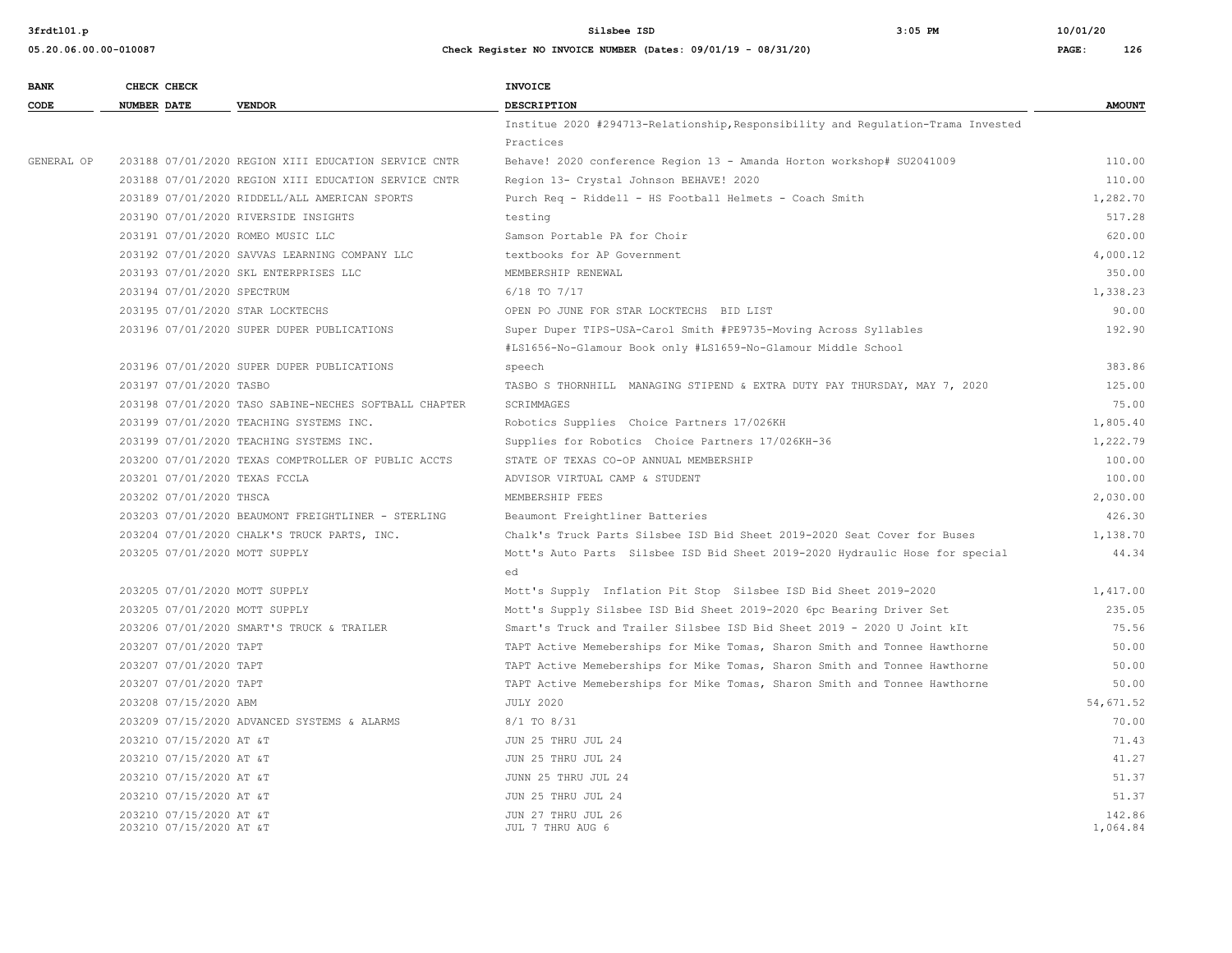#### **05.20.06.00.00-010087 Check Register NO INVOICE NUMBER (Dates: 09/01/19 - 08/31/20) PAGE: 126**

| <b>BANK</b> | CHECK CHECK                                        |                                                       | INVOICE                                                                          |                    |
|-------------|----------------------------------------------------|-------------------------------------------------------|----------------------------------------------------------------------------------|--------------------|
| CODE        | <b>NUMBER DATE</b>                                 | <b>VENDOR</b>                                         | DESCRIPTION                                                                      | <b>AMOUNT</b>      |
|             |                                                    |                                                       | Institue 2020 #294713-Relationship, Responsibility and Regulation-Trama Invested |                    |
|             |                                                    |                                                       | Practices                                                                        |                    |
| GENERAL OP  |                                                    | 203188 07/01/2020 REGION XIII EDUCATION SERVICE CNTR  | Behave! 2020 conference Region 13 - Amanda Horton workshop# SU2041009            | 110.00             |
|             |                                                    | 203188 07/01/2020 REGION XIII EDUCATION SERVICE CNTR  | Region 13- Crystal Johnson BEHAVE! 2020                                          | 110.00             |
|             |                                                    | 203189 07/01/2020 RIDDELL/ALL AMERICAN SPORTS         | Purch Req - Riddell - HS Football Helmets - Coach Smith                          | 1,282.70           |
|             |                                                    | 203190 07/01/2020 RIVERSIDE INSIGHTS                  | testing                                                                          | 517.28             |
|             |                                                    | 203191 07/01/2020 ROMEO MUSIC LLC                     | Samson Portable PA for Choir                                                     | 620.00             |
|             |                                                    | 203192 07/01/2020 SAVVAS LEARNING COMPANY LLC         | textbooks for AP Government                                                      | 4,000.12           |
|             |                                                    | 203193 07/01/2020 SKL ENTERPRISES LLC                 | MEMBERSHIP RENEWAL                                                               | 350.00             |
|             | 203194 07/01/2020 SPECTRUM                         |                                                       | 6/18 TO 7/17                                                                     | 1,338.23           |
|             |                                                    | 203195 07/01/2020 STAR LOCKTECHS                      | OPEN PO JUNE FOR STAR LOCKTECHS BID LIST                                         | 90.00              |
|             |                                                    | 203196 07/01/2020 SUPER DUPER PUBLICATIONS            | Super Duper TIPS-USA-Carol Smith #PE9735-Moving Across Syllables                 | 192.90             |
|             |                                                    |                                                       | #LS1656-No-Glamour Book only #LS1659-No-Glamour Middle School                    |                    |
|             |                                                    | 203196 07/01/2020 SUPER DUPER PUBLICATIONS            | speech                                                                           | 383.86             |
|             | 203197 07/01/2020 TASBO                            |                                                       | TASBO S THORNHILL MANAGING STIPEND & EXTRA DUTY PAY THURSDAY, MAY 7, 2020        | 125.00             |
|             |                                                    | 203198 07/01/2020 TASO SABINE-NECHES SOFTBALL CHAPTER | SCRIMMAGES                                                                       | 75.00              |
|             |                                                    | 203199 07/01/2020 TEACHING SYSTEMS INC.               | Robotics Supplies Choice Partners 17/026KH                                       | 1,805.40           |
|             |                                                    | 203199 07/01/2020 TEACHING SYSTEMS INC.               | Supplies for Robotics Choice Partners 17/026KH-36                                | 1,222.79           |
|             |                                                    | 203200 07/01/2020 TEXAS COMPTROLLER OF PUBLIC ACCTS   | STATE OF TEXAS CO-OP ANNUAL MEMBERSHIP                                           | 100.00             |
|             | 203201 07/01/2020 TEXAS FCCLA                      |                                                       | ADVISOR VIRTUAL CAMP & STUDENT                                                   | 100.00             |
|             | 203202 07/01/2020 THSCA                            |                                                       | MEMBERSHIP FEES                                                                  | 2,030.00           |
|             |                                                    | 203203 07/01/2020 BEAUMONT FREIGHTLINER - STERLING    | Beaumont Freightliner Batteries                                                  | 426.30             |
|             |                                                    | 203204 07/01/2020 CHALK'S TRUCK PARTS, INC.           | Chalk's Truck Parts Silsbee ISD Bid Sheet 2019-2020 Seat Cover for Buses         | 1,138.70           |
|             | 203205 07/01/2020 MOTT SUPPLY                      |                                                       | Mott's Auto Parts Silsbee ISD Bid Sheet 2019-2020 Hydraulic Hose for special     | 44.34              |
|             |                                                    |                                                       | ed                                                                               |                    |
|             | 203205 07/01/2020 MOTT SUPPLY                      |                                                       | Mott's Supply Inflation Pit Stop Silsbee ISD Bid Sheet 2019-2020                 | 1,417.00           |
|             | 203205 07/01/2020 MOTT SUPPLY                      |                                                       | Mott's Supply Silsbee ISD Bid Sheet 2019-2020 6pc Bearing Driver Set             | 235.05             |
|             |                                                    | 203206 07/01/2020 SMART'S TRUCK & TRAILER             | Smart's Truck and Trailer Silsbee ISD Bid Sheet 2019 - 2020 U Joint kIt          | 75.56              |
|             | 203207 07/01/2020 TAPT                             |                                                       | TAPT Active Memeberships for Mike Tomas, Sharon Smith and Tonnee Hawthorne       | 50.00              |
|             | 203207 07/01/2020 TAPT                             |                                                       | TAPT Active Memeberships for Mike Tomas, Sharon Smith and Tonnee Hawthorne       | 50.00              |
|             | 203207 07/01/2020 TAPT                             |                                                       | TAPT Active Memeberships for Mike Tomas, Sharon Smith and Tonnee Hawthorne       | 50.00              |
|             | 203208 07/15/2020 ABM                              |                                                       | <b>JULY 2020</b>                                                                 | 54,671.52          |
|             |                                                    | 203209 07/15/2020 ADVANCED SYSTEMS & ALARMS           | 8/1 TO 8/31                                                                      | 70.00              |
|             | 203210 07/15/2020 AT &T                            |                                                       | JUN 25 THRU JUL 24                                                               | 71.43              |
|             | 203210 07/15/2020 AT &T                            |                                                       | JUN 25 THRU JUL 24                                                               | 41.27              |
|             | 203210 07/15/2020 AT &T                            |                                                       | JUNN 25 THRU JUL 24                                                              | 51.37              |
|             | 203210 07/15/2020 AT &T                            |                                                       | JUN 25 THRU JUL 24                                                               | 51.37              |
|             | 203210 07/15/2020 AT &T<br>203210 07/15/2020 AT &T |                                                       | JUN 27 THRU JUL 26<br>JUL 7 THRU AUG 6                                           | 142.86<br>1,064.84 |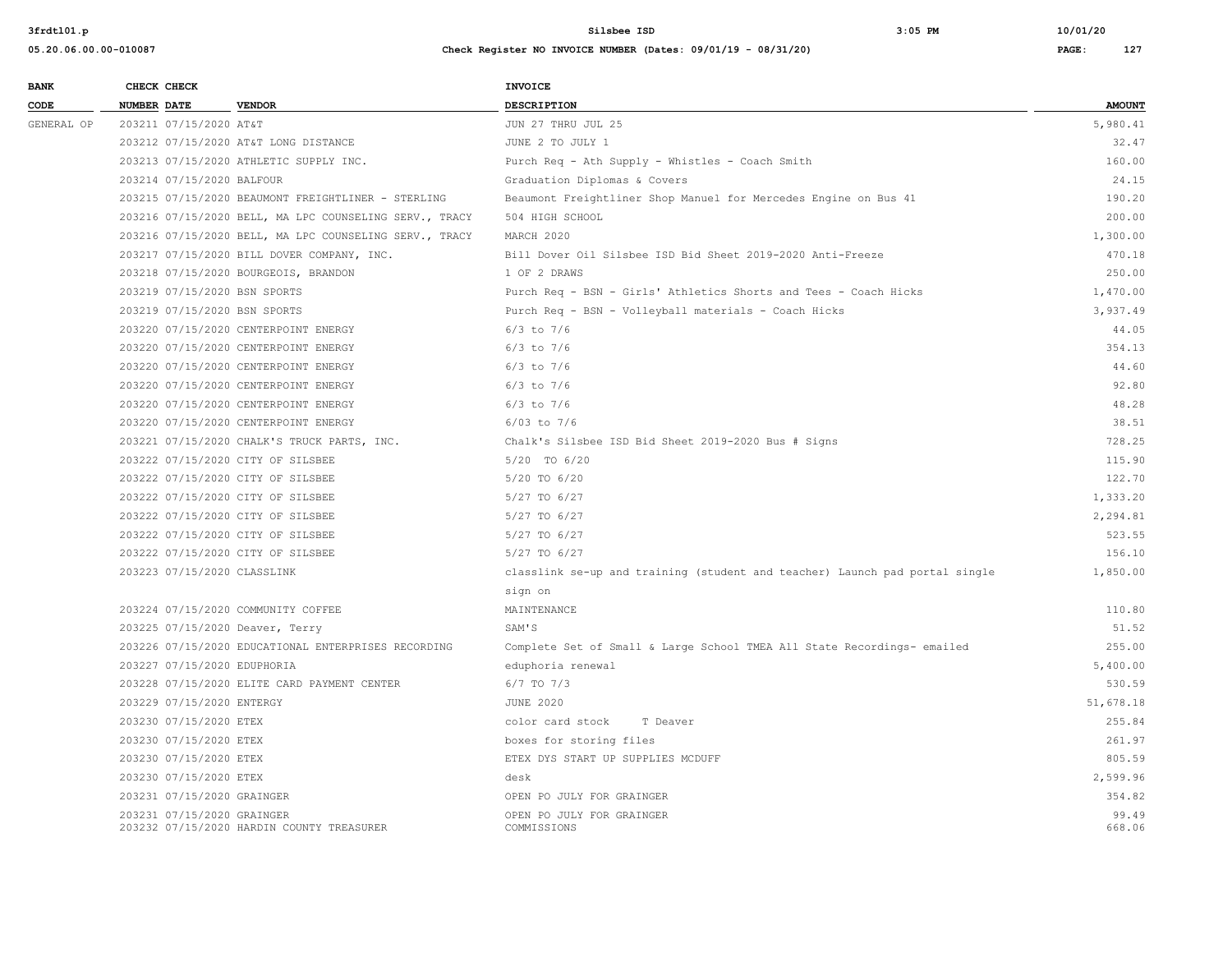| <b>BANK</b> | CHECK CHECK                |                        |                                                        | INVOICE                                                                     |               |
|-------------|----------------------------|------------------------|--------------------------------------------------------|-----------------------------------------------------------------------------|---------------|
| CODE        | NUMBER DATE                |                        | <b>VENDOR</b>                                          | <b>DESCRIPTION</b>                                                          | <b>AMOUNT</b> |
| GENERAL OP  |                            | 203211 07/15/2020 AT&T |                                                        | JUN 27 THRU JUL 25                                                          | 5,980.41      |
|             |                            |                        | 203212 07/15/2020 AT&T LONG DISTANCE                   | JUNE 2 TO JULY 1                                                            | 32.47         |
|             |                            |                        | 203213 07/15/2020 ATHLETIC SUPPLY INC.                 | Purch Req - Ath Supply - Whistles - Coach Smith                             | 160.00        |
|             | 203214 07/15/2020 BALFOUR  |                        |                                                        | Graduation Diplomas & Covers                                                | 24.15         |
|             |                            |                        | 203215 07/15/2020 BEAUMONT FREIGHTLINER - STERLING     | Beaumont Freightliner Shop Manuel for Mercedes Engine on Bus 41             | 190.20        |
|             |                            |                        | 203216 07/15/2020 BELL, MA LPC COUNSELING SERV., TRACY | 504 HIGH SCHOOL                                                             | 200.00        |
|             |                            |                        | 203216 07/15/2020 BELL, MA LPC COUNSELING SERV., TRACY | MARCH 2020                                                                  | 1,300.00      |
|             |                            |                        | 203217 07/15/2020 BILL DOVER COMPANY, INC.             | Bill Dover Oil Silsbee ISD Bid Sheet 2019-2020 Anti-Freeze                  | 470.18        |
|             |                            |                        | 203218 07/15/2020 BOURGEOIS, BRANDON                   | 1 OF 2 DRAWS                                                                | 250.00        |
|             |                            |                        | 203219 07/15/2020 BSN SPORTS                           | Purch Req - BSN - Girls' Athletics Shorts and Tees - Coach Hicks            | 1,470.00      |
|             |                            |                        | 203219 07/15/2020 BSN SPORTS                           | Purch Req - BSN - Volleyball materials - Coach Hicks                        | 3,937.49      |
|             |                            |                        | 203220 07/15/2020 CENTERPOINT ENERGY                   | $6/3$ to $7/6$                                                              | 44.05         |
|             |                            |                        | 203220 07/15/2020 CENTERPOINT ENERGY                   | $6/3$ to $7/6$                                                              | 354.13        |
|             |                            |                        | 203220 07/15/2020 CENTERPOINT ENERGY                   | $6/3$ to $7/6$                                                              | 44.60         |
|             |                            |                        | 203220 07/15/2020 CENTERPOINT ENERGY                   | $6/3$ to $7/6$                                                              | 92.80         |
|             |                            |                        | 203220 07/15/2020 CENTERPOINT ENERGY                   | $6/3$ to $7/6$                                                              | 48.28         |
|             |                            |                        | 203220 07/15/2020 CENTERPOINT ENERGY                   | $6/03$ to $7/6$                                                             | 38.51         |
|             |                            |                        | 203221 07/15/2020 CHALK'S TRUCK PARTS, INC.            | Chalk's Silsbee ISD Bid Sheet 2019-2020 Bus # Signs                         | 728.25        |
|             |                            |                        | 203222 07/15/2020 CITY OF SILSBEE                      | 5/20 TO 6/20                                                                | 115.90        |
|             |                            |                        | 203222 07/15/2020 CITY OF SILSBEE                      | 5/20 TO 6/20                                                                | 122.70        |
|             |                            |                        | 203222 07/15/2020 CITY OF SILSBEE                      | 5/27 TO 6/27                                                                | 1,333.20      |
|             |                            |                        | 203222 07/15/2020 CITY OF SILSBEE                      | 5/27 TO 6/27                                                                | 2,294.81      |
|             |                            |                        | 203222 07/15/2020 CITY OF SILSBEE                      | 5/27 TO 6/27                                                                | 523.55        |
|             |                            |                        | 203222 07/15/2020 CITY OF SILSBEE                      | 5/27 TO 6/27                                                                | 156.10        |
|             |                            |                        | 203223 07/15/2020 CLASSLINK                            | classlink se-up and training (student and teacher) Launch pad portal single | 1,850.00      |
|             |                            |                        |                                                        | sign on                                                                     |               |
|             |                            |                        | 203224 07/15/2020 COMMUNITY COFFEE                     | MAINTENANCE                                                                 | 110.80        |
|             |                            |                        | 203225 07/15/2020 Deaver, Terry                        | SAM'S                                                                       | 51.52         |
|             |                            |                        | 203226 07/15/2020 EDUCATIONAL ENTERPRISES RECORDING    | Complete Set of Small & Large School TMEA All State Recordings- emailed     | 255.00        |
|             |                            |                        | 203227 07/15/2020 EDUPHORIA                            | eduphoria renewal                                                           | 5,400.00      |
|             |                            |                        | 203228 07/15/2020 ELITE CARD PAYMENT CENTER            | $6/7$ TO $7/3$                                                              | 530.59        |
|             | 203229 07/15/2020 ENTERGY  |                        |                                                        | <b>JUNE 2020</b>                                                            | 51,678.18     |
|             | 203230 07/15/2020 ETEX     |                        |                                                        | color card stock<br>T Deaver                                                | 255.84        |
|             | 203230 07/15/2020 ETEX     |                        |                                                        | boxes for storing files                                                     | 261.97        |
|             | 203230 07/15/2020 ETEX     |                        |                                                        | ETEX DYS START UP SUPPLIES MCDUFF                                           | 805.59        |
|             | 203230 07/15/2020 ETEX     |                        |                                                        | desk                                                                        | 2,599.96      |
|             | 203231 07/15/2020 GRAINGER |                        |                                                        | OPEN PO JULY FOR GRAINGER                                                   | 354.82        |
|             | 203231 07/15/2020 GRAINGER |                        |                                                        | OPEN PO JULY FOR GRAINGER                                                   | 99.49         |
|             |                            |                        | 203232 07/15/2020 HARDIN COUNTY TREASURER              | COMMISSIONS                                                                 | 668.06        |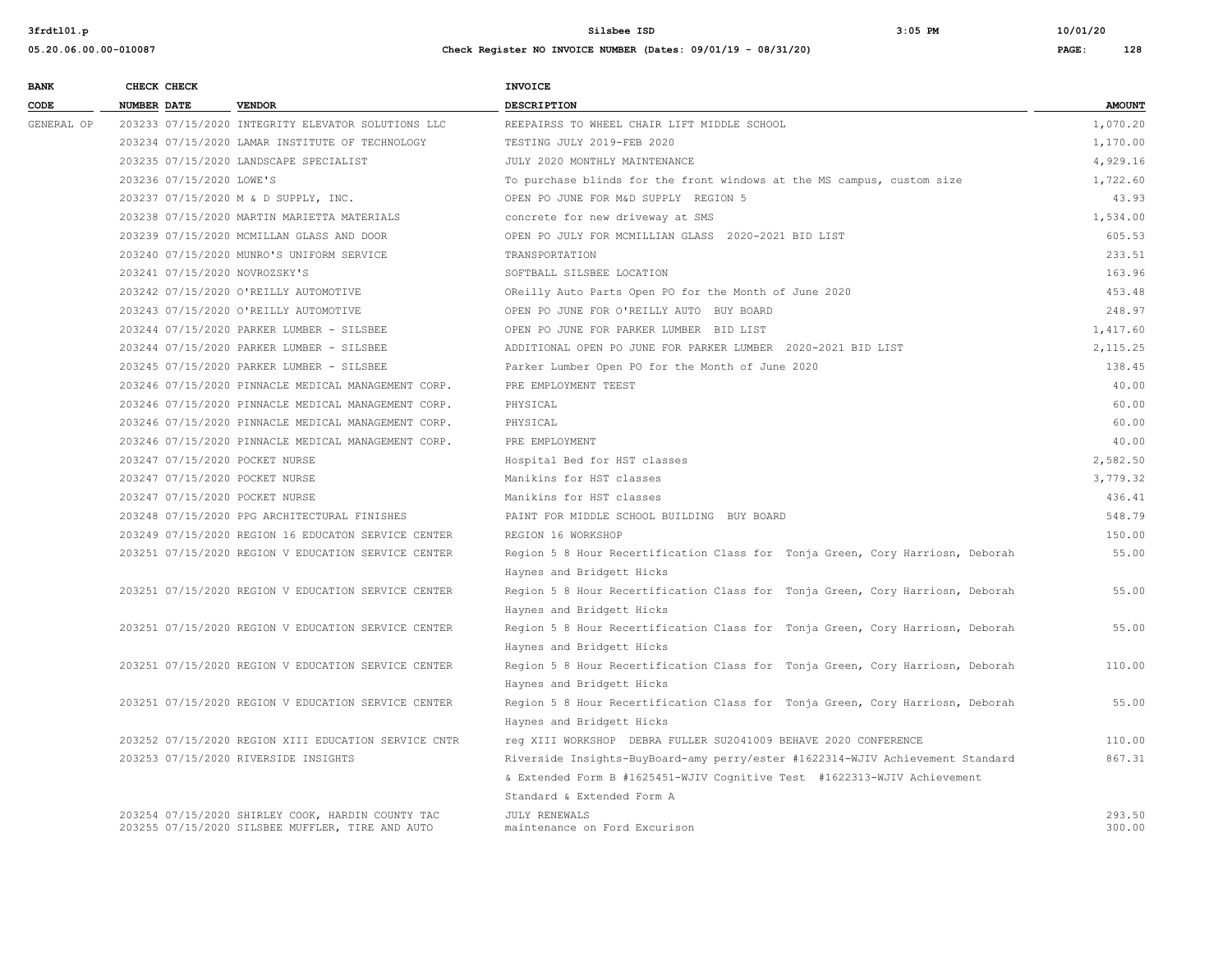**05.20.06.00.00-010087 Check Register NO INVOICE NUMBER (Dates: 09/01/19 - 08/31/20) PAGE: 128**

| <b>BANK</b> | CHECK CHECK                    |                                                     | <b>INVOICE</b>                                                                |               |
|-------------|--------------------------------|-----------------------------------------------------|-------------------------------------------------------------------------------|---------------|
| CODE        | <b>NUMBER DATE</b>             | <b>VENDOR</b>                                       | <b>DESCRIPTION</b>                                                            | <b>AMOUNT</b> |
| GENERAL OP  |                                | 203233 07/15/2020 INTEGRITY ELEVATOR SOLUTIONS LLC  | REEPAIRSS TO WHEEL CHAIR LIFT MIDDLE SCHOOL                                   | 1,070.20      |
|             |                                | 203234 07/15/2020 LAMAR INSTITUTE OF TECHNOLOGY     | TESTING JULY 2019-FEB 2020                                                    | 1,170.00      |
|             |                                | 203235 07/15/2020 LANDSCAPE SPECIALIST              | JULY 2020 MONTHLY MAINTENANCE                                                 | 4,929.16      |
|             | 203236 07/15/2020 LOWE'S       |                                                     | To purchase blinds for the front windows at the MS campus, custom size        | 1,722.60      |
|             |                                | 203237 07/15/2020 M & D SUPPLY, INC.                | OPEN PO JUNE FOR M&D SUPPLY REGION 5                                          | 43.93         |
|             |                                | 203238 07/15/2020 MARTIN MARIETTA MATERIALS         | concrete for new driveway at SMS                                              | 1,534.00      |
|             |                                | 203239 07/15/2020 MCMILLAN GLASS AND DOOR           | OPEN PO JULY FOR MCMILLIAN GLASS 2020-2021 BID LIST                           | 605.53        |
|             |                                | 203240 07/15/2020 MUNRO'S UNIFORM SERVICE           | TRANSPORTATION                                                                | 233.51        |
|             | 203241 07/15/2020 NOVROZSKY'S  |                                                     | SOFTBALL SILSBEE LOCATION                                                     | 163.96        |
|             |                                | 203242 07/15/2020 O'REILLY AUTOMOTIVE               | OReilly Auto Parts Open PO for the Month of June 2020                         | 453.48        |
|             |                                | 203243 07/15/2020 O'REILLY AUTOMOTIVE               | OPEN PO JUNE FOR O'REILLY AUTO BUY BOARD                                      | 248.97        |
|             |                                | 203244 07/15/2020 PARKER LUMBER - SILSBEE           | OPEN PO JUNE FOR PARKER LUMBER BID LIST                                       | 1,417.60      |
|             |                                | 203244 07/15/2020 PARKER LUMBER - SILSBEE           | ADDITIONAL OPEN PO JUNE FOR PARKER LUMBER 2020-2021 BID LIST                  | 2,115.25      |
|             |                                | 203245 07/15/2020 PARKER LUMBER - SILSBEE           | Parker Lumber Open PO for the Month of June 2020                              | 138.45        |
|             |                                | 203246 07/15/2020 PINNACLE MEDICAL MANAGEMENT CORP. | PRE EMPLOYMENT TEEST                                                          | 40.00         |
|             |                                | 203246 07/15/2020 PINNACLE MEDICAL MANAGEMENT CORP. | PHYSICAL                                                                      | 60.00         |
|             |                                | 203246 07/15/2020 PINNACLE MEDICAL MANAGEMENT CORP. | PHYSICAL                                                                      | 60.00         |
|             |                                | 203246 07/15/2020 PINNACLE MEDICAL MANAGEMENT CORP. | PRE EMPLOYMENT                                                                | 40.00         |
|             | 203247 07/15/2020 POCKET NURSE |                                                     | Hospital Bed for HST classes                                                  | 2,582.50      |
|             | 203247 07/15/2020 POCKET NURSE |                                                     | Manikins for HST classes                                                      | 3,779.32      |
|             | 203247 07/15/2020 POCKET NURSE |                                                     | Manikins for HST classes                                                      | 436.41        |
|             |                                | 203248 07/15/2020 PPG ARCHITECTURAL FINISHES        | PAINT FOR MIDDLE SCHOOL BUILDING BUY BOARD                                    | 548.79        |
|             |                                | 203249 07/15/2020 REGION 16 EDUCATON SERVICE CENTER | REGION 16 WORKSHOP                                                            | 150.00        |
|             |                                | 203251 07/15/2020 REGION V EDUCATION SERVICE CENTER | Region 5 8 Hour Recertification Class for Tonja Green, Cory Harriosn, Deborah | 55.00         |
|             |                                |                                                     | Haynes and Bridgett Hicks                                                     |               |
|             |                                | 203251 07/15/2020 REGION V EDUCATION SERVICE CENTER | Region 5 8 Hour Recertification Class for Tonja Green, Cory Harriosn, Deborah | 55.00         |
|             |                                |                                                     | Haynes and Bridgett Hicks                                                     |               |
|             |                                | 203251 07/15/2020 REGION V EDUCATION SERVICE CENTER | Region 5 8 Hour Recertification Class for Tonja Green, Cory Harriosn, Deborah | 55.00         |
|             |                                |                                                     | Haynes and Bridgett Hicks                                                     |               |
|             |                                | 203251 07/15/2020 REGION V EDUCATION SERVICE CENTER | Region 5 8 Hour Recertification Class for Tonja Green, Cory Harriosn, Deborah | 110.00        |
|             |                                |                                                     | Haynes and Bridgett Hicks                                                     |               |
|             |                                | 203251 07/15/2020 REGION V EDUCATION SERVICE CENTER | Region 5 8 Hour Recertification Class for Tonja Green, Cory Harriosn, Deborah | 55.00         |
|             |                                |                                                     | Haynes and Bridgett Hicks                                                     |               |

Standard & Extended Form A

& Extended Form B #1625451-WJIV Cognitive Test #1622313-WJIV Achievement

## 203252 07/15/2020 REGION XIII EDUCATION SERVICE CNTR reg XIII WORKSHOP DEBRA FULLER SU2041009 BEHAVE 2020 CONFERENCE 110.00 203253 07/15/2020 RIVERSIDE INSIGHTS Riverside Insights-BuyBoard-amy perry/ester #1622314-WJIV Achievement Standard 867.31

 203254 07/15/2020 SHIRLEY COOK, HARDIN COUNTY TAC JULY RENEWALS 293.50 203255 07/15/2020 SILSBEE MUFFLER, TIRE AND AUTO maintenance on Ford Excurison 300.00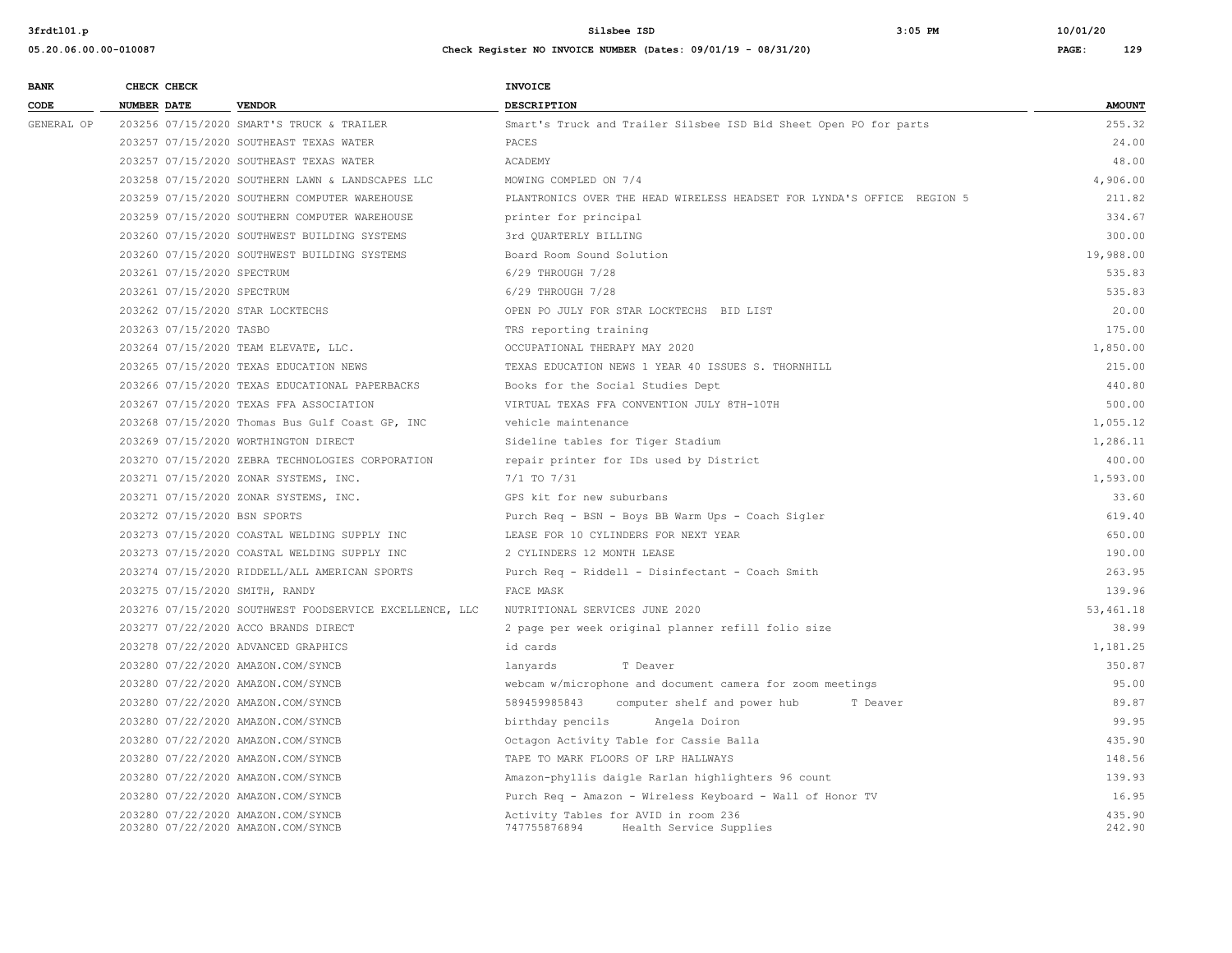**05.20.06.00.00-010087 Check Register NO INVOICE NUMBER (Dates: 09/01/19 - 08/31/20) PAGE: 129**

| <b>BANK</b> | CHECK CHECK                  |                                                         | <b>INVOICE</b>                                                         |               |
|-------------|------------------------------|---------------------------------------------------------|------------------------------------------------------------------------|---------------|
| CODE        | <b>NUMBER DATE</b>           | <b>VENDOR</b>                                           | <b>DESCRIPTION</b>                                                     | <b>AMOUNT</b> |
| GENERAL OP  |                              | 203256 07/15/2020 SMART'S TRUCK & TRAILER               | Smart's Truck and Trailer Silsbee ISD Bid Sheet Open PO for parts      | 255.32        |
|             |                              | 203257 07/15/2020 SOUTHEAST TEXAS WATER                 | PACES                                                                  | 24.00         |
|             |                              | 203257 07/15/2020 SOUTHEAST TEXAS WATER                 | ACADEMY                                                                | 48.00         |
|             |                              | 203258 07/15/2020 SOUTHERN LAWN & LANDSCAPES LLC        | MOWING COMPLED ON 7/4                                                  | 4,906.00      |
|             |                              | 203259 07/15/2020 SOUTHERN COMPUTER WAREHOUSE           | PLANTRONICS OVER THE HEAD WIRELESS HEADSET FOR LYNDA'S OFFICE REGION 5 | 211.82        |
|             |                              | 203259 07/15/2020 SOUTHERN COMPUTER WAREHOUSE           | printer for principal                                                  | 334.67        |
|             |                              | 203260 07/15/2020 SOUTHWEST BUILDING SYSTEMS            | 3rd OUARTERLY BILLING                                                  | 300.00        |
|             |                              | 203260 07/15/2020 SOUTHWEST BUILDING SYSTEMS            | Board Room Sound Solution                                              | 19,988.00     |
|             | 203261 07/15/2020 SPECTRUM   |                                                         | 6/29 THROUGH 7/28                                                      | 535.83        |
|             | 203261 07/15/2020 SPECTRUM   |                                                         | 6/29 THROUGH 7/28                                                      | 535.83        |
|             |                              | 203262 07/15/2020 STAR LOCKTECHS                        | OPEN PO JULY FOR STAR LOCKTECHS BID LIST                               | 20.00         |
|             | 203263 07/15/2020 TASBO      |                                                         | TRS reporting training                                                 | 175.00        |
|             |                              | 203264 07/15/2020 TEAM ELEVATE, LLC.                    | OCCUPATIONAL THERAPY MAY 2020                                          | 1,850.00      |
|             |                              | 203265 07/15/2020 TEXAS EDUCATION NEWS                  | TEXAS EDUCATION NEWS 1 YEAR 40 ISSUES S. THORNHILL                     | 215.00        |
|             |                              | 203266 07/15/2020 TEXAS EDUCATIONAL PAPERBACKS          | Books for the Social Studies Dept                                      | 440.80        |
|             |                              | 203267 07/15/2020 TEXAS FFA ASSOCIATION                 | VIRTUAL TEXAS FFA CONVENTION JULY 8TH-10TH                             | 500.00        |
|             |                              | 203268 07/15/2020 Thomas Bus Gulf Coast GP, INC         | vehicle maintenance                                                    | 1,055.12      |
|             |                              | 203269 07/15/2020 WORTHINGTON DIRECT                    | Sideline tables for Tiger Stadium                                      | 1,286.11      |
|             |                              | 203270 07/15/2020 ZEBRA TECHNOLOGIES CORPORATION        | repair printer for IDs used by District                                | 400.00        |
|             |                              | 203271 07/15/2020 ZONAR SYSTEMS, INC.                   | 7/1 TO 7/31                                                            | 1,593.00      |
|             |                              | 203271 07/15/2020 ZONAR SYSTEMS, INC.                   | GPS kit for new suburbans                                              | 33.60         |
|             | 203272 07/15/2020 BSN SPORTS |                                                         | Purch Req - BSN - Boys BB Warm Ups - Coach Sigler                      | 619.40        |
|             |                              | 203273 07/15/2020 COASTAL WELDING SUPPLY INC            | LEASE FOR 10 CYLINDERS FOR NEXT YEAR                                   | 650.00        |
|             |                              | 203273 07/15/2020 COASTAL WELDING SUPPLY INC            | 2 CYLINDERS 12 MONTH LEASE                                             | 190.00        |
|             |                              | 203274 07/15/2020 RIDDELL/ALL AMERICAN SPORTS           | Purch Req - Riddell - Disinfectant - Coach Smith                       | 263.95        |
|             |                              | 203275 07/15/2020 SMITH, RANDY                          | FACE MASK                                                              | 139.96        |
|             |                              | 203276 07/15/2020 SOUTHWEST FOODSERVICE EXCELLENCE, LLC | NUTRITIONAL SERVICES JUNE 2020                                         | 53,461.18     |
|             |                              | 203277 07/22/2020 ACCO BRANDS DIRECT                    | 2 page per week original planner refill folio size                     | 38.99         |
|             |                              | 203278 07/22/2020 ADVANCED GRAPHICS                     | id cards                                                               | 1,181.25      |
|             |                              | 203280 07/22/2020 AMAZON.COM/SYNCB                      | lanyards<br>T Deaver                                                   | 350.87        |
|             |                              | 203280 07/22/2020 AMAZON.COM/SYNCB                      | webcam w/microphone and document camera for zoom meetings              | 95.00         |
|             |                              | 203280 07/22/2020 AMAZON.COM/SYNCB                      | 589459985843<br>computer shelf and power hub<br>T Deaver               | 89.87         |
|             |                              | 203280 07/22/2020 AMAZON.COM/SYNCB                      | birthday pencils<br>Angela Doiron                                      | 99.95         |
|             |                              | 203280 07/22/2020 AMAZON.COM/SYNCB                      | Octagon Activity Table for Cassie Balla                                | 435.90        |
|             |                              | 203280 07/22/2020 AMAZON.COM/SYNCB                      | TAPE TO MARK FLOORS OF LRP HALLWAYS                                    | 148.56        |
|             |                              | 203280 07/22/2020 AMAZON.COM/SYNCB                      | Amazon-phyllis daigle Rarlan highlighters 96 count                     | 139.93        |
|             |                              | 203280 07/22/2020 AMAZON.COM/SYNCB                      | Purch Req - Amazon - Wireless Keyboard - Wall of Honor TV              | 16.95         |

747755876894 Health Service Supplies

203280 07/22/2020 AMAZON.COM/SYNCB Activity Tables for AVID in room 236 435.90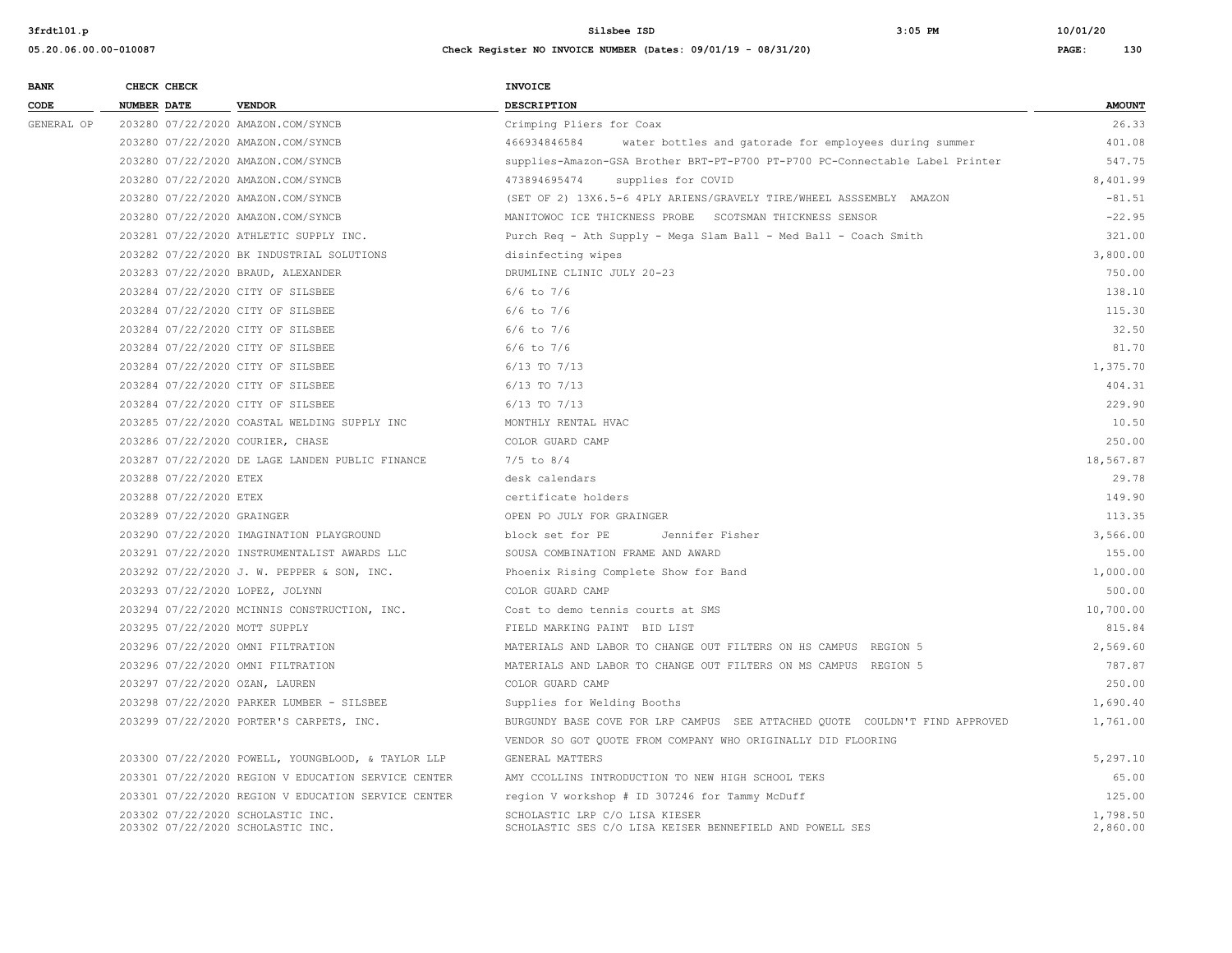| <b>BANK</b> | CHECK CHECK                                                            |                                                     | <b>INVOICE</b>                                                                             |                      |
|-------------|------------------------------------------------------------------------|-----------------------------------------------------|--------------------------------------------------------------------------------------------|----------------------|
| CODE        | NUMBER DATE                                                            | <b>VENDOR</b>                                       | DESCRIPTION                                                                                | <b>AMOUNT</b>        |
| GENERAL OP  |                                                                        | 203280 07/22/2020 AMAZON.COM/SYNCB                  | Crimping Pliers for Coax                                                                   | 26.33                |
|             |                                                                        | 203280 07/22/2020 AMAZON.COM/SYNCB                  | 466934846584<br>water bottles and gatorade for employees during summer                     | 401.08               |
|             |                                                                        | 203280 07/22/2020 AMAZON.COM/SYNCB                  | supplies-Amazon-GSA Brother BRT-PT-P700 PT-P700 PC-Connectable Label Printer               | 547.75               |
|             |                                                                        | 203280 07/22/2020 AMAZON.COM/SYNCB                  | 473894695474<br>supplies for COVID                                                         | 8,401.99             |
|             |                                                                        | 203280 07/22/2020 AMAZON.COM/SYNCB                  | (SET OF 2) 13X6.5-6 4PLY ARIENS/GRAVELY TIRE/WHEEL ASSSEMBLY AMAZON                        | $-81.51$             |
|             |                                                                        | 203280 07/22/2020 AMAZON.COM/SYNCB                  | MANITOWOC ICE THICKNESS PROBE SCOTSMAN THICKNESS SENSOR                                    | $-22.95$             |
|             |                                                                        | 203281 07/22/2020 ATHLETIC SUPPLY INC.              | Purch Req - Ath Supply - Mega Slam Ball - Med Ball - Coach Smith                           | 321.00               |
|             |                                                                        | 203282 07/22/2020 BK INDUSTRIAL SOLUTIONS           | disinfecting wipes                                                                         | 3,800.00             |
|             |                                                                        | 203283 07/22/2020 BRAUD, ALEXANDER                  | DRUMLINE CLINIC JULY 20-23                                                                 | 750.00               |
|             | 203284 07/22/2020 CITY OF SILSBEE                                      |                                                     | $6/6$ to $7/6$                                                                             | 138.10               |
|             | 203284 07/22/2020 CITY OF SILSBEE                                      |                                                     | $6/6$ to $7/6$                                                                             | 115.30               |
|             | 203284 07/22/2020 CITY OF SILSBEE                                      |                                                     | $6/6$ to $7/6$                                                                             | 32.50                |
|             | 203284 07/22/2020 CITY OF SILSBEE                                      |                                                     | $6/6$ to $7/6$                                                                             | 81.70                |
|             | 203284 07/22/2020 CITY OF SILSBEE                                      |                                                     | 6/13 TO 7/13                                                                               | 1,375.70             |
|             | 203284 07/22/2020 CITY OF SILSBEE                                      |                                                     | $6/13$ TO $7/13$                                                                           | 404.31               |
|             | 203284 07/22/2020 CITY OF SILSBEE                                      |                                                     | 6/13 TO 7/13                                                                               | 229.90               |
|             |                                                                        | 203285 07/22/2020 COASTAL WELDING SUPPLY INC        | MONTHLY RENTAL HVAC                                                                        | 10.50                |
|             | 203286 07/22/2020 COURIER, CHASE                                       |                                                     | COLOR GUARD CAMP                                                                           | 250.00               |
|             |                                                                        | 203287 07/22/2020 DE LAGE LANDEN PUBLIC FINANCE     | $7/5$ to $8/4$                                                                             | 18,567.87            |
|             | 203288 07/22/2020 ETEX                                                 |                                                     | desk calendars                                                                             | 29.78                |
|             | 203288 07/22/2020 ETEX                                                 |                                                     | certificate holders                                                                        | 149.90               |
|             | 203289 07/22/2020 GRAINGER                                             |                                                     | OPEN PO JULY FOR GRAINGER                                                                  | 113.35               |
|             |                                                                        | 203290 07/22/2020 IMAGINATION PLAYGROUND            | block set for PE<br>Jennifer Fisher                                                        | 3,566.00             |
|             |                                                                        | 203291 07/22/2020 INSTRUMENTALIST AWARDS LLC        | SOUSA COMBINATION FRAME AND AWARD                                                          | 155.00               |
|             |                                                                        | 203292 07/22/2020 J. W. PEPPER & SON, INC.          | Phoenix Rising Complete Show for Band                                                      | 1,000.00             |
|             | 203293 07/22/2020 LOPEZ, JOLYNN                                        |                                                     | COLOR GUARD CAMP                                                                           | 500.00               |
|             |                                                                        | 203294 07/22/2020 MCINNIS CONSTRUCTION, INC.        | Cost to demo tennis courts at SMS                                                          | 10,700.00            |
|             | 203295 07/22/2020 MOTT SUPPLY                                          |                                                     | FIELD MARKING PAINT BID LIST                                                               | 815.84               |
|             | 203296 07/22/2020 OMNI FILTRATION                                      |                                                     | MATERIALS AND LABOR TO CHANGE OUT FILTERS ON HS CAMPUS REGION 5                            | 2,569.60             |
|             | 203296 07/22/2020 OMNI FILTRATION                                      |                                                     | MATERIALS AND LABOR TO CHANGE OUT FILTERS ON MS CAMPUS REGION 5                            | 787.87               |
|             | 203297 07/22/2020 OZAN, LAUREN                                         |                                                     | COLOR GUARD CAMP                                                                           | 250.00               |
|             |                                                                        | 203298 07/22/2020 PARKER LUMBER - SILSBEE           | Supplies for Welding Booths                                                                | 1,690.40             |
|             |                                                                        | 203299 07/22/2020 PORTER'S CARPETS, INC.            | BURGUNDY BASE COVE FOR LRP CAMPUS SEE ATTACHED QUOTE COULDN'T FIND APPROVED                | 1,761.00             |
|             |                                                                        |                                                     | VENDOR SO GOT QUOTE FROM COMPANY WHO ORIGINALLY DID FLOORING                               |                      |
|             |                                                                        | 203300 07/22/2020 POWELL, YOUNGBLOOD, & TAYLOR LLP  | GENERAL MATTERS                                                                            | 5,297.10             |
|             |                                                                        | 203301 07/22/2020 REGION V EDUCATION SERVICE CENTER | AMY CCOLLINS INTRODUCTION TO NEW HIGH SCHOOL TEKS                                          | 65.00                |
|             |                                                                        | 203301 07/22/2020 REGION V EDUCATION SERVICE CENTER | region V workshop # ID 307246 for Tammy McDuff                                             | 125.00               |
|             | 203302 07/22/2020 SCHOLASTIC INC.<br>203302 07/22/2020 SCHOLASTIC INC. |                                                     | SCHOLASTIC LRP C/O LISA KIESER<br>SCHOLASTIC SES C/O LISA KEISER BENNEFIELD AND POWELL SES | 1,798.50<br>2,860.00 |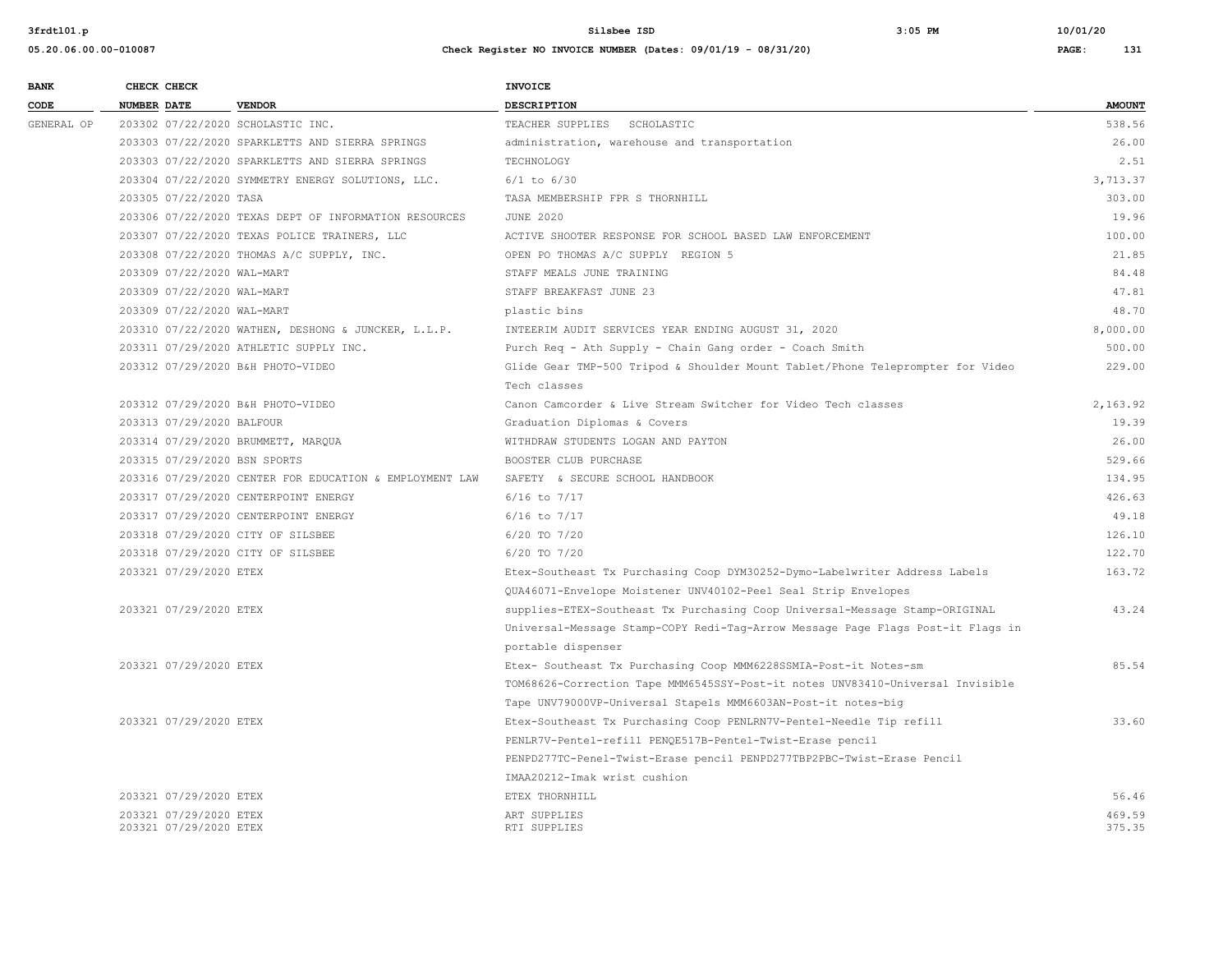| <b>BANK</b> | CHECK CHECK                       |                                                         | <b>INVOICE</b>                                                                  |               |
|-------------|-----------------------------------|---------------------------------------------------------|---------------------------------------------------------------------------------|---------------|
| CODE        | NUMBER DATE                       | <b>VENDOR</b>                                           | <b>DESCRIPTION</b>                                                              | <b>AMOUNT</b> |
| GENERAL OP  | 203302 07/22/2020 SCHOLASTIC INC. |                                                         | TEACHER SUPPLIES SCHOLASTIC                                                     | 538.56        |
|             |                                   | 203303 07/22/2020 SPARKLETTS AND SIERRA SPRINGS         | administration, warehouse and transportation                                    | 26.00         |
|             |                                   | 203303 07/22/2020 SPARKLETTS AND SIERRA SPRINGS         | TECHNOLOGY                                                                      | 2.51          |
|             |                                   | 203304 07/22/2020 SYMMETRY ENERGY SOLUTIONS, LLC.       | $6/1$ to $6/30$                                                                 | 3,713.37      |
|             | 203305 07/22/2020 TASA            |                                                         | TASA MEMBERSHIP FPR S THORNHILL                                                 | 303.00        |
|             |                                   | 203306 07/22/2020 TEXAS DEPT OF INFORMATION RESOURCES   | <b>JUNE 2020</b>                                                                | 19.96         |
|             |                                   | 203307 07/22/2020 TEXAS POLICE TRAINERS, LLC            | ACTIVE SHOOTER RESPONSE FOR SCHOOL BASED LAW ENFORCEMENT                        | 100.00        |
|             |                                   | 203308 07/22/2020 THOMAS A/C SUPPLY, INC.               | OPEN PO THOMAS A/C SUPPLY REGION 5                                              | 21.85         |
|             | 203309 07/22/2020 WAL-MART        |                                                         | STAFF MEALS JUNE TRAINING                                                       | 84.48         |
|             | 203309 07/22/2020 WAL-MART        |                                                         | STAFF BREAKFAST JUNE 23                                                         | 47.81         |
|             | 203309 07/22/2020 WAL-MART        |                                                         | plastic bins                                                                    | 48.70         |
|             |                                   | 203310 07/22/2020 WATHEN, DESHONG & JUNCKER, L.L.P.     | INTEERIM AUDIT SERVICES YEAR ENDING AUGUST 31, 2020                             | 8,000.00      |
|             |                                   | 203311 07/29/2020 ATHLETIC SUPPLY INC.                  | Purch Req - Ath Supply - Chain Gang order - Coach Smith                         | 500.00        |
|             | 203312 07/29/2020 B&H PHOTO-VIDEO |                                                         | Glide Gear TMP-500 Tripod & Shoulder Mount Tablet/Phone Teleprompter for Video  | 229.00        |
|             |                                   |                                                         | Tech classes                                                                    |               |
|             | 203312 07/29/2020 B&H PHOTO-VIDEO |                                                         | Canon Camcorder & Live Stream Switcher for Video Tech classes                   | 2,163.92      |
|             | 203313 07/29/2020 BALFOUR         |                                                         | Graduation Diplomas & Covers                                                    | 19.39         |
|             |                                   | 203314 07/29/2020 BRUMMETT, MARQUA                      | WITHDRAW STUDENTS LOGAN AND PAYTON                                              | 26.00         |
|             | 203315 07/29/2020 BSN SPORTS      |                                                         | BOOSTER CLUB PURCHASE                                                           | 529.66        |
|             |                                   | 203316 07/29/2020 CENTER FOR EDUCATION & EMPLOYMENT LAW | SAFETY & SECURE SCHOOL HANDBOOK                                                 | 134.95        |
|             |                                   | 203317 07/29/2020 CENTERPOINT ENERGY                    | $6/16$ to $7/17$                                                                | 426.63        |
|             |                                   | 203317 07/29/2020 CENTERPOINT ENERGY                    | $6/16$ to $7/17$                                                                | 49.18         |
|             | 203318 07/29/2020 CITY OF SILSBEE |                                                         | 6/20 TO 7/20                                                                    | 126.10        |
|             | 203318 07/29/2020 CITY OF SILSBEE |                                                         | 6/20 TO 7/20                                                                    | 122.70        |
|             | 203321 07/29/2020 ETEX            |                                                         | Etex-Southeast Tx Purchasing Coop DYM30252-Dymo-Labelwriter Address Labels      | 163.72        |
|             |                                   |                                                         | QUA46071-Envelope Moistener UNV40102-Peel Seal Strip Envelopes                  |               |
|             | 203321 07/29/2020 ETEX            |                                                         | supplies-ETEX-Southeast Tx Purchasing Coop Universal-Message Stamp-ORIGINAL     | 43.24         |
|             |                                   |                                                         | Universal-Message Stamp-COPY Redi-Tag-Arrow Message Page Flags Post-it Flags in |               |
|             |                                   |                                                         | portable dispenser                                                              |               |
|             | 203321 07/29/2020 ETEX            |                                                         | Etex- Southeast Tx Purchasing Coop MMM6228SSMIA-Post-it Notes-sm                | 85.54         |
|             |                                   |                                                         | TOM68626-Correction Tape MMM6545SSY-Post-it notes UNV83410-Universal Invisible  |               |
|             |                                   |                                                         | Tape UNV79000VP-Universal Stapels MMM6603AN-Post-it notes-big                   |               |
|             | 203321 07/29/2020 ETEX            |                                                         | Etex-Southeast Tx Purchasing Coop PENLRN7V-Pentel-Needle Tip refill             | 33.60         |
|             |                                   |                                                         | PENLR7V-Pentel-refill PENOE517B-Pentel-Twist-Erase pencil                       |               |
|             |                                   |                                                         | PENPD277TC-Penel-Twist-Erase pencil PENPD277TBP2PBC-Twist-Erase Pencil          |               |
|             |                                   |                                                         | IMAA20212-Imak wrist cushion                                                    |               |
|             | 203321 07/29/2020 ETEX            |                                                         | ETEX THORNHILL                                                                  | 56.46         |
|             | 203321 07/29/2020 ETEX            |                                                         | ART SUPPLIES                                                                    | 469.59        |
|             | 203321 07/29/2020 ETEX            |                                                         | RTI SUPPLIES                                                                    | 375.35        |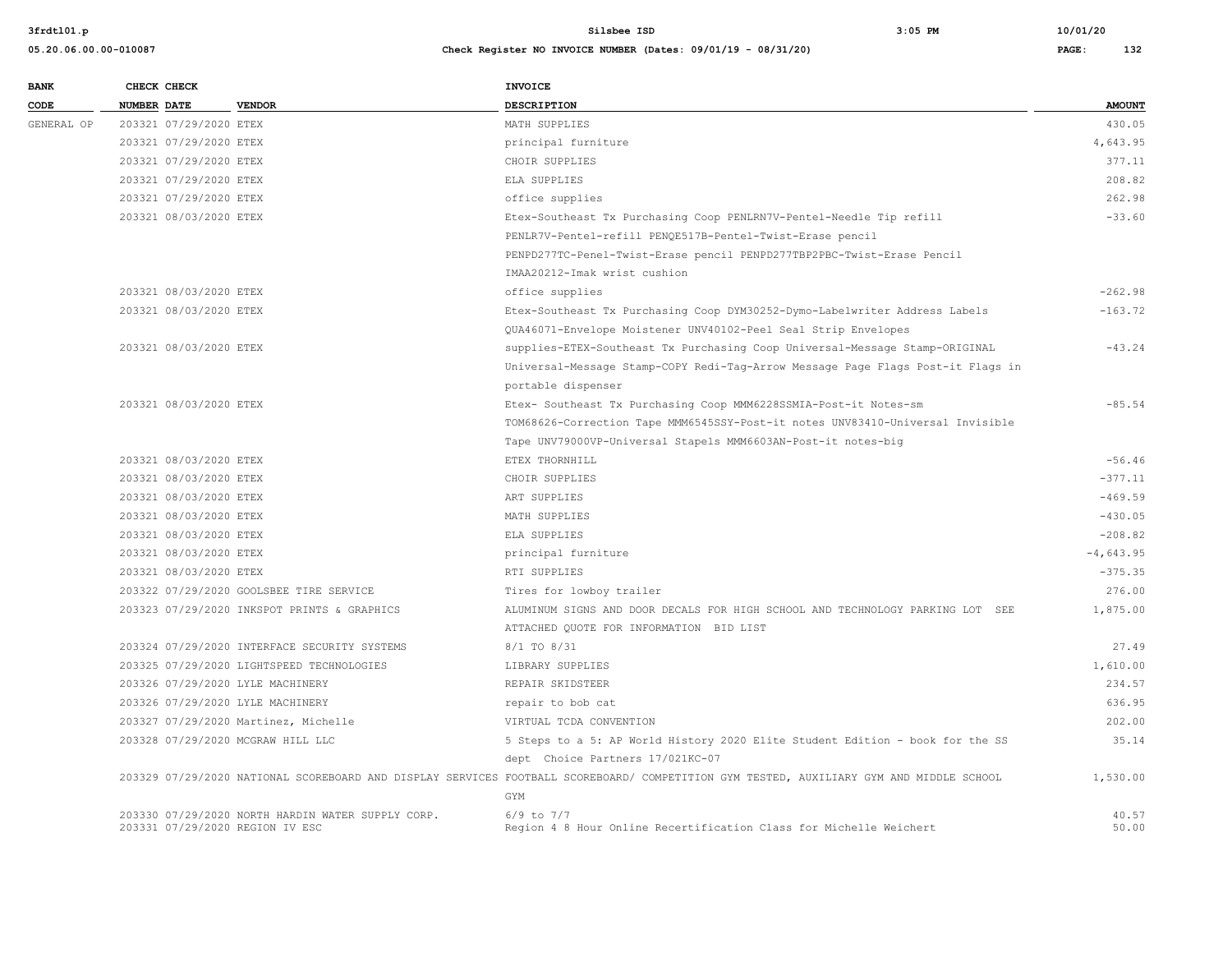| <b>BANK</b> |             | CHECK CHECK            |                                                   | <b>INVOICE</b>                                                                                                                                 |               |
|-------------|-------------|------------------------|---------------------------------------------------|------------------------------------------------------------------------------------------------------------------------------------------------|---------------|
| CODE        | NUMBER DATE |                        | <b>VENDOR</b>                                     | <b>DESCRIPTION</b>                                                                                                                             | <b>AMOUNT</b> |
| GENERAL OP  |             | 203321 07/29/2020 ETEX |                                                   | MATH SUPPLIES                                                                                                                                  | 430.05        |
|             |             | 203321 07/29/2020 ETEX |                                                   | principal furniture                                                                                                                            | 4,643.95      |
|             |             | 203321 07/29/2020 ETEX |                                                   | CHOIR SUPPLIES                                                                                                                                 | 377.11        |
|             |             | 203321 07/29/2020 ETEX |                                                   | ELA SUPPLIES                                                                                                                                   | 208.82        |
|             |             | 203321 07/29/2020 ETEX |                                                   | office supplies                                                                                                                                | 262.98        |
|             |             | 203321 08/03/2020 ETEX |                                                   | Etex-Southeast Tx Purchasing Coop PENLRN7V-Pentel-Needle Tip refill                                                                            | $-33.60$      |
|             |             |                        |                                                   | PENLR7V-Pentel-refill PENQE517B-Pentel-Twist-Erase pencil                                                                                      |               |
|             |             |                        |                                                   | PENPD277TC-Penel-Twist-Erase pencil PENPD277TBP2PBC-Twist-Erase Pencil                                                                         |               |
|             |             |                        |                                                   | IMAA20212-Imak wrist cushion                                                                                                                   |               |
|             |             | 203321 08/03/2020 ETEX |                                                   | office supplies                                                                                                                                | $-262.98$     |
|             |             | 203321 08/03/2020 ETEX |                                                   | Etex-Southeast Tx Purchasing Coop DYM30252-Dymo-Labelwriter Address Labels                                                                     | $-163.72$     |
|             |             |                        |                                                   | QUA46071-Envelope Moistener UNV40102-Peel Seal Strip Envelopes                                                                                 |               |
|             |             | 203321 08/03/2020 ETEX |                                                   | supplies-ETEX-Southeast Tx Purchasing Coop Universal-Message Stamp-ORIGINAL                                                                    | $-43.24$      |
|             |             |                        |                                                   | Universal-Message Stamp-COPY Redi-Tag-Arrow Message Page Flags Post-it Flags in                                                                |               |
|             |             |                        |                                                   | portable dispenser                                                                                                                             |               |
|             |             | 203321 08/03/2020 ETEX |                                                   | Etex- Southeast Tx Purchasing Coop MMM6228SSMIA-Post-it Notes-sm                                                                               | $-85.54$      |
|             |             |                        |                                                   | TOM68626-Correction Tape MMM6545SSY-Post-it notes UNV83410-Universal Invisible                                                                 |               |
|             |             |                        |                                                   | Tape UNV79000VP-Universal Stapels MMM6603AN-Post-it notes-big                                                                                  |               |
|             |             | 203321 08/03/2020 ETEX |                                                   | ETEX THORNHILL                                                                                                                                 | $-56.46$      |
|             |             | 203321 08/03/2020 ETEX |                                                   | CHOIR SUPPLIES                                                                                                                                 | $-377.11$     |
|             |             | 203321 08/03/2020 ETEX |                                                   | ART SUPPLIES                                                                                                                                   | $-469.59$     |
|             |             | 203321 08/03/2020 ETEX |                                                   | MATH SUPPLIES                                                                                                                                  | $-430.05$     |
|             |             | 203321 08/03/2020 ETEX |                                                   | ELA SUPPLIES                                                                                                                                   | $-208.82$     |
|             |             | 203321 08/03/2020 ETEX |                                                   | principal furniture                                                                                                                            | $-4,643.95$   |
|             |             | 203321 08/03/2020 ETEX |                                                   | RTI SUPPLIES                                                                                                                                   | $-375.35$     |
|             |             |                        | 203322 07/29/2020 GOOLSBEE TIRE SERVICE           | Tires for lowboy trailer                                                                                                                       | 276.00        |
|             |             |                        | 203323 07/29/2020 INKSPOT PRINTS & GRAPHICS       | ALUMINUM SIGNS AND DOOR DECALS FOR HIGH SCHOOL AND TECHNOLOGY PARKING LOT SEE                                                                  | 1,875.00      |
|             |             |                        |                                                   | ATTACHED QUOTE FOR INFORMATION BID LIST                                                                                                        |               |
|             |             |                        | 203324 07/29/2020 INTERFACE SECURITY SYSTEMS      | 8/1 TO 8/31                                                                                                                                    | 27.49         |
|             |             |                        | 203325 07/29/2020 LIGHTSPEED TECHNOLOGIES         | LIBRARY SUPPLIES                                                                                                                               | 1,610.00      |
|             |             |                        | 203326 07/29/2020 LYLE MACHINERY                  | REPAIR SKIDSTEER                                                                                                                               | 234.57        |
|             |             |                        | 203326 07/29/2020 LYLE MACHINERY                  | repair to bob cat                                                                                                                              | 636.95        |
|             |             |                        | 203327 07/29/2020 Martinez, Michelle              | VIRTUAL TCDA CONVENTION                                                                                                                        | 202.00        |
|             |             |                        | 203328 07/29/2020 MCGRAW HILL LLC                 | 5 Steps to a 5: AP World History 2020 Elite Student Edition - book for the SS                                                                  | 35.14         |
|             |             |                        |                                                   | dept Choice Partners 17/021KC-07                                                                                                               |               |
|             |             |                        |                                                   | 203329 07/29/2020 NATIONAL SCOREBOARD AND DISPLAY SERVICES FOOTBALL SCOREBOARD/ COMPETITION GYM TESTED, AUXILIARY GYM AND MIDDLE SCHOOL<br>GYM | 1,530.00      |
|             |             |                        | 203330 07/29/2020 NORTH HARDIN WATER SUPPLY CORP. | $6/9$ to $7/7$                                                                                                                                 | 40.57         |
|             |             |                        | 203331 07/29/2020 REGION IV ESC                   | Region 4 8 Hour Online Recertification Class for Michelle Weichert                                                                             | 50.00         |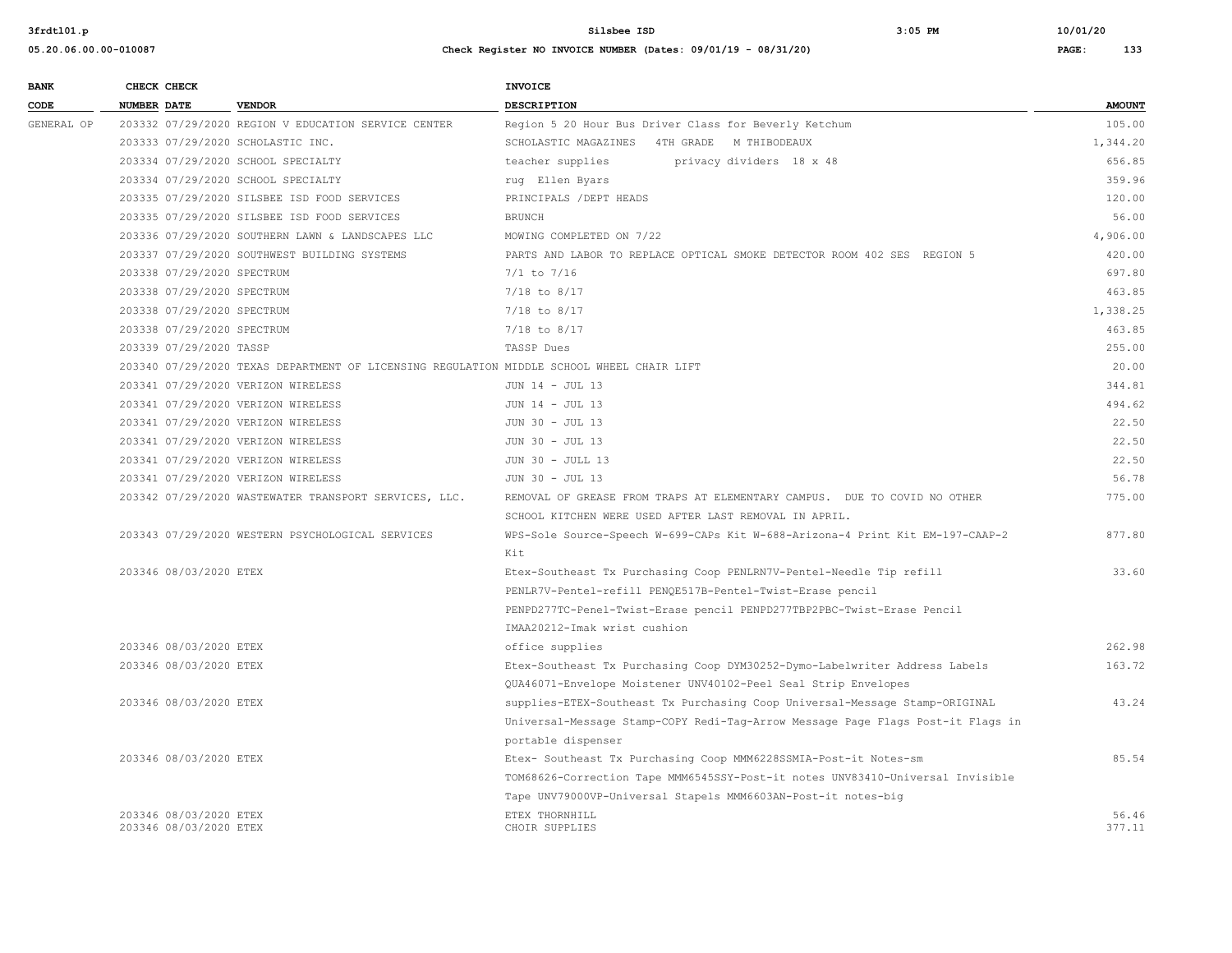**05.20.06.00.00-010087 Check Register NO INVOICE NUMBER (Dates: 09/01/19 - 08/31/20) PAGE: 133**

**3frdtl01.p Silsbee ISD 3:05 PM 10/01/20**

| <b>BANK</b> | CHECK CHECK |                                                  |                                                                                           | <b>INVOICE</b>                                                                  |                 |
|-------------|-------------|--------------------------------------------------|-------------------------------------------------------------------------------------------|---------------------------------------------------------------------------------|-----------------|
| CODE        | NUMBER DATE |                                                  | <b>VENDOR</b>                                                                             | <b>DESCRIPTION</b>                                                              | <b>AMOUNT</b>   |
| GENERAL OP  |             |                                                  | 203332 07/29/2020 REGION V EDUCATION SERVICE CENTER                                       | Region 5 20 Hour Bus Driver Class for Beverly Ketchum                           | 105.00          |
|             |             |                                                  | 203333 07/29/2020 SCHOLASTIC INC.                                                         | SCHOLASTIC MAGAZINES 4TH GRADE M THIBODEAUX                                     | 1,344.20        |
|             |             |                                                  | 203334 07/29/2020 SCHOOL SPECIALTY                                                        | teacher supplies<br>privacy dividers 18 x 48                                    | 656.85          |
|             |             |                                                  | 203334 07/29/2020 SCHOOL SPECIALTY                                                        | rug Ellen Byars                                                                 | 359.96          |
|             |             |                                                  | 203335 07/29/2020 SILSBEE ISD FOOD SERVICES                                               | PRINCIPALS / DEPT HEADS                                                         | 120.00          |
|             |             |                                                  | 203335 07/29/2020 SILSBEE ISD FOOD SERVICES                                               | <b>BRUNCH</b>                                                                   | 56.00           |
|             |             |                                                  | 203336 07/29/2020 SOUTHERN LAWN & LANDSCAPES LLC                                          | MOWING COMPLETED ON 7/22                                                        | 4,906.00        |
|             |             |                                                  | 203337 07/29/2020 SOUTHWEST BUILDING SYSTEMS                                              | PARTS AND LABOR TO REPLACE OPTICAL SMOKE DETECTOR ROOM 402 SES REGION 5         | 420.00          |
|             |             | 203338 07/29/2020 SPECTRUM                       |                                                                                           | $7/1$ to $7/16$                                                                 | 697.80          |
|             |             | 203338 07/29/2020 SPECTRUM                       |                                                                                           | $7/18$ to $8/17$                                                                | 463.85          |
|             |             | 203338 07/29/2020 SPECTRUM                       |                                                                                           | $7/18$ to $8/17$                                                                | 1,338.25        |
|             |             | 203338 07/29/2020 SPECTRUM                       |                                                                                           | $7/18$ to $8/17$                                                                | 463.85          |
|             |             | 203339 07/29/2020 TASSP                          |                                                                                           | TASSP Dues                                                                      | 255.00          |
|             |             |                                                  | 203340 07/29/2020 TEXAS DEPARTMENT OF LICENSING REGULATION MIDDLE SCHOOL WHEEL CHAIR LIFT |                                                                                 | 20.00           |
|             |             |                                                  | 203341 07/29/2020 VERIZON WIRELESS                                                        | JUN 14 - JUL 13                                                                 | 344.81          |
|             |             |                                                  | 203341 07/29/2020 VERIZON WIRELESS                                                        | JUN 14 - JUL 13                                                                 | 494.62          |
|             |             |                                                  | 203341 07/29/2020 VERIZON WIRELESS                                                        | JUN 30 - JUL 13                                                                 | 22.50           |
|             |             |                                                  | 203341 07/29/2020 VERIZON WIRELESS                                                        | JUN 30 - JUL 13                                                                 | 22.50           |
|             |             |                                                  | 203341 07/29/2020 VERIZON WIRELESS                                                        | JUN 30 - JULL 13                                                                | 22.50           |
|             |             |                                                  | 203341 07/29/2020 VERIZON WIRELESS                                                        | JUN 30 - JUL 13                                                                 | 56.78           |
|             |             |                                                  | 203342 07/29/2020 WASTEWATER TRANSPORT SERVICES, LLC.                                     | REMOVAL OF GREASE FROM TRAPS AT ELEMENTARY CAMPUS. DUE TO COVID NO OTHER        | 775.00          |
|             |             |                                                  |                                                                                           | SCHOOL KITCHEN WERE USED AFTER LAST REMOVAL IN APRIL.                           |                 |
|             |             |                                                  | 203343 07/29/2020 WESTERN PSYCHOLOGICAL SERVICES                                          | WPS-Sole Source-Speech W-699-CAPs Kit W-688-Arizona-4 Print Kit EM-197-CAAP-2   | 877.80          |
|             |             |                                                  |                                                                                           | Kit                                                                             |                 |
|             |             | 203346 08/03/2020 ETEX                           |                                                                                           | Etex-Southeast Tx Purchasing Coop PENLRN7V-Pentel-Needle Tip refill             | 33.60           |
|             |             |                                                  |                                                                                           | PENLR7V-Pentel-refill PENQE517B-Pentel-Twist-Erase pencil                       |                 |
|             |             |                                                  |                                                                                           | PENPD277TC-Penel-Twist-Erase pencil PENPD277TBP2PBC-Twist-Erase Pencil          |                 |
|             |             |                                                  |                                                                                           | IMAA20212-Imak wrist cushion                                                    |                 |
|             |             | 203346 08/03/2020 ETEX                           |                                                                                           | office supplies                                                                 | 262.98          |
|             |             | 203346 08/03/2020 ETEX                           |                                                                                           | Etex-Southeast Tx Purchasing Coop DYM30252-Dymo-Labelwriter Address Labels      | 163.72          |
|             |             |                                                  |                                                                                           | QUA46071-Envelope Moistener UNV40102-Peel Seal Strip Envelopes                  |                 |
|             |             | 203346 08/03/2020 ETEX                           |                                                                                           | supplies-ETEX-Southeast Tx Purchasing Coop Universal-Message Stamp-ORIGINAL     | 43.24           |
|             |             |                                                  |                                                                                           | Universal-Message Stamp-COPY Redi-Tag-Arrow Message Page Flags Post-it Flags in |                 |
|             |             |                                                  |                                                                                           | portable dispenser                                                              |                 |
|             |             | 203346 08/03/2020 ETEX                           |                                                                                           | Etex- Southeast Tx Purchasing Coop MMM6228SSMIA-Post-it Notes-sm                | 85.54           |
|             |             |                                                  |                                                                                           | TOM68626-Correction Tape MMM6545SSY-Post-it notes UNV83410-Universal Invisible  |                 |
|             |             |                                                  |                                                                                           | Tape UNV79000VP-Universal Stapels MMM6603AN-Post-it notes-big                   |                 |
|             |             | 203346 08/03/2020 ETEX<br>203346 08/03/2020 ETEX |                                                                                           | ETEX THORNHILL<br>CHOIR SUPPLIES                                                | 56.46<br>377.11 |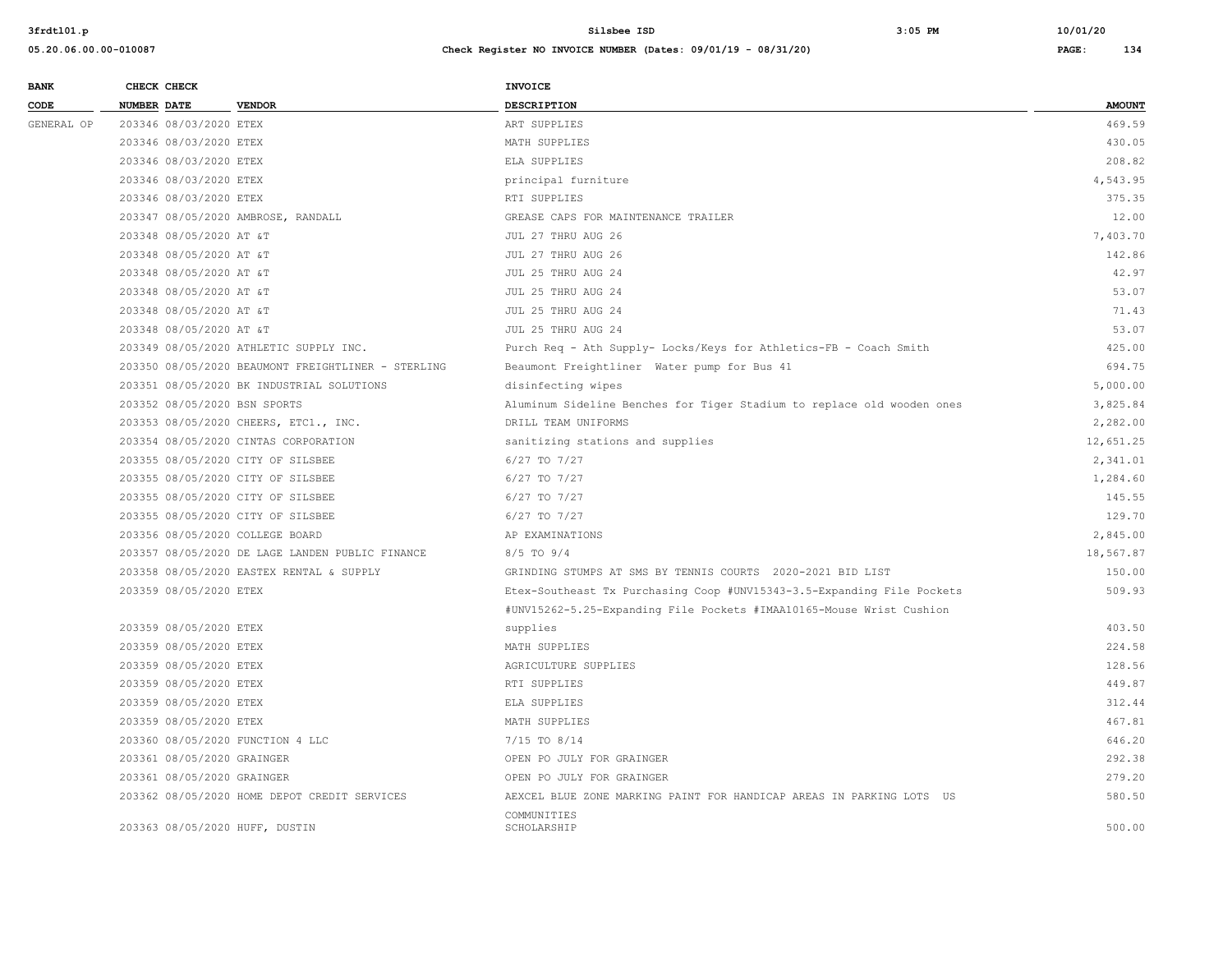| <b>AMOUNT</b><br><b>NUMBER DATE</b><br><b>VENDOR</b><br>DESCRIPTION<br>469.59<br>203346 08/03/2020 ETEX<br>ART SUPPLIES<br>430.05<br>203346 08/03/2020 ETEX<br>MATH SUPPLIES<br>208.82<br>ELA SUPPLIES<br>203346 08/03/2020 ETEX<br>4,543.95<br>203346 08/03/2020 ETEX<br>principal furniture<br>375.35<br>203346 08/03/2020 ETEX<br>RTI SUPPLIES<br>203347 08/05/2020 AMBROSE, RANDALL<br>GREASE CAPS FOR MAINTENANCE TRAILER<br>12.00<br>7,403.70<br>203348 08/05/2020 AT &T<br>JUL 27 THRU AUG 26<br>142.86<br>203348 08/05/2020 AT &T<br>JUL 27 THRU AUG 26<br>42.97<br>203348 08/05/2020 AT &T<br>JUL 25 THRU AUG 24<br>53.07<br>203348 08/05/2020 AT &T<br>JUL 25 THRU AUG 24<br>71.43<br>203348 08/05/2020 AT &T<br>JUL 25 THRU AUG 24<br>53.07<br>203348 08/05/2020 AT &T<br>JUL 25 THRU AUG 24<br>203349 08/05/2020 ATHLETIC SUPPLY INC.<br>Purch Req - Ath Supply- Locks/Keys for Athletics-FB - Coach Smith<br>425.00<br>694.75<br>203350 08/05/2020 BEAUMONT FREIGHTLINER - STERLING<br>Beaumont Freightliner Water pump for Bus 41<br>203351 08/05/2020 BK INDUSTRIAL SOLUTIONS<br>disinfecting wipes<br>5,000.00<br>3,825.84<br>203352 08/05/2020 BSN SPORTS<br>Aluminum Sideline Benches for Tiger Stadium to replace old wooden ones<br>DRILL TEAM UNIFORMS<br>2,282.00<br>203353 08/05/2020 CHEERS, ETC1., INC.<br>203354 08/05/2020 CINTAS CORPORATION<br>sanitizing stations and supplies<br>12,651.25<br>203355 08/05/2020 CITY OF SILSBEE<br>6/27 TO 7/27<br>2,341.01<br>203355 08/05/2020 CITY OF SILSBEE<br>6/27 TO 7/27<br>1,284.60<br>145.55<br>203355 08/05/2020 CITY OF SILSBEE<br>6/27 TO 7/27<br>129.70<br>203355 08/05/2020 CITY OF SILSBEE<br>6/27 TO 7/27<br>2,845.00<br>203356 08/05/2020 COLLEGE BOARD<br>AP EXAMINATIONS<br>18,567.87<br>203357 08/05/2020 DE LAGE LANDEN PUBLIC FINANCE<br>8/5 TO 9/4<br>203358 08/05/2020 EASTEX RENTAL & SUPPLY<br>GRINDING STUMPS AT SMS BY TENNIS COURTS 2020-2021 BID LIST<br>150.00<br>203359 08/05/2020 ETEX<br>Etex-Southeast Tx Purchasing Coop #UNV15343-3.5-Expanding File Pockets<br>509.93<br>#UNV15262-5.25-Expanding File Pockets #IMAA10165-Mouse Wrist Cushion<br>403.50<br>203359 08/05/2020 ETEX<br>supplies<br>203359 08/05/2020 ETEX<br>224.58<br>MATH SUPPLIES<br>128.56<br>203359 08/05/2020 ETEX<br>AGRICULTURE SUPPLIES<br>449.87<br>203359 08/05/2020 ETEX<br>RTI SUPPLIES<br>312.44<br>203359 08/05/2020 ETEX<br>ELA SUPPLIES<br>203359 08/05/2020 ETEX<br>467.81<br>MATH SUPPLIES<br>646.20<br>203360 08/05/2020 FUNCTION 4 LLC<br>7/15 TO 8/14<br>292.38<br>203361 08/05/2020 GRAINGER<br>OPEN PO JULY FOR GRAINGER<br>279.20<br>203361 08/05/2020 GRAINGER<br>OPEN PO JULY FOR GRAINGER<br>580.50<br>203362 08/05/2020 HOME DEPOT CREDIT SERVICES<br>AEXCEL BLUE ZONE MARKING PAINT FOR HANDICAP AREAS IN PARKING LOTS US | <b>BANK</b> | CHECK CHECK | <b>INVOICE</b> |  |
|-----------------------------------------------------------------------------------------------------------------------------------------------------------------------------------------------------------------------------------------------------------------------------------------------------------------------------------------------------------------------------------------------------------------------------------------------------------------------------------------------------------------------------------------------------------------------------------------------------------------------------------------------------------------------------------------------------------------------------------------------------------------------------------------------------------------------------------------------------------------------------------------------------------------------------------------------------------------------------------------------------------------------------------------------------------------------------------------------------------------------------------------------------------------------------------------------------------------------------------------------------------------------------------------------------------------------------------------------------------------------------------------------------------------------------------------------------------------------------------------------------------------------------------------------------------------------------------------------------------------------------------------------------------------------------------------------------------------------------------------------------------------------------------------------------------------------------------------------------------------------------------------------------------------------------------------------------------------------------------------------------------------------------------------------------------------------------------------------------------------------------------------------------------------------------------------------------------------------------------------------------------------------------------------------------------------------------------------------------------------------------------------------------------------------------------------------------------------------------------------------------------------------------------------------------------------------------------------------------------------------------------------------------------------------------------------------------------------------------------------------------------------------------------------------------------------------------|-------------|-------------|----------------|--|
|                                                                                                                                                                                                                                                                                                                                                                                                                                                                                                                                                                                                                                                                                                                                                                                                                                                                                                                                                                                                                                                                                                                                                                                                                                                                                                                                                                                                                                                                                                                                                                                                                                                                                                                                                                                                                                                                                                                                                                                                                                                                                                                                                                                                                                                                                                                                                                                                                                                                                                                                                                                                                                                                                                                                                                                                                             | CODE        |             |                |  |
|                                                                                                                                                                                                                                                                                                                                                                                                                                                                                                                                                                                                                                                                                                                                                                                                                                                                                                                                                                                                                                                                                                                                                                                                                                                                                                                                                                                                                                                                                                                                                                                                                                                                                                                                                                                                                                                                                                                                                                                                                                                                                                                                                                                                                                                                                                                                                                                                                                                                                                                                                                                                                                                                                                                                                                                                                             | GENERAL OP  |             |                |  |
|                                                                                                                                                                                                                                                                                                                                                                                                                                                                                                                                                                                                                                                                                                                                                                                                                                                                                                                                                                                                                                                                                                                                                                                                                                                                                                                                                                                                                                                                                                                                                                                                                                                                                                                                                                                                                                                                                                                                                                                                                                                                                                                                                                                                                                                                                                                                                                                                                                                                                                                                                                                                                                                                                                                                                                                                                             |             |             |                |  |
|                                                                                                                                                                                                                                                                                                                                                                                                                                                                                                                                                                                                                                                                                                                                                                                                                                                                                                                                                                                                                                                                                                                                                                                                                                                                                                                                                                                                                                                                                                                                                                                                                                                                                                                                                                                                                                                                                                                                                                                                                                                                                                                                                                                                                                                                                                                                                                                                                                                                                                                                                                                                                                                                                                                                                                                                                             |             |             |                |  |
|                                                                                                                                                                                                                                                                                                                                                                                                                                                                                                                                                                                                                                                                                                                                                                                                                                                                                                                                                                                                                                                                                                                                                                                                                                                                                                                                                                                                                                                                                                                                                                                                                                                                                                                                                                                                                                                                                                                                                                                                                                                                                                                                                                                                                                                                                                                                                                                                                                                                                                                                                                                                                                                                                                                                                                                                                             |             |             |                |  |
|                                                                                                                                                                                                                                                                                                                                                                                                                                                                                                                                                                                                                                                                                                                                                                                                                                                                                                                                                                                                                                                                                                                                                                                                                                                                                                                                                                                                                                                                                                                                                                                                                                                                                                                                                                                                                                                                                                                                                                                                                                                                                                                                                                                                                                                                                                                                                                                                                                                                                                                                                                                                                                                                                                                                                                                                                             |             |             |                |  |
|                                                                                                                                                                                                                                                                                                                                                                                                                                                                                                                                                                                                                                                                                                                                                                                                                                                                                                                                                                                                                                                                                                                                                                                                                                                                                                                                                                                                                                                                                                                                                                                                                                                                                                                                                                                                                                                                                                                                                                                                                                                                                                                                                                                                                                                                                                                                                                                                                                                                                                                                                                                                                                                                                                                                                                                                                             |             |             |                |  |
|                                                                                                                                                                                                                                                                                                                                                                                                                                                                                                                                                                                                                                                                                                                                                                                                                                                                                                                                                                                                                                                                                                                                                                                                                                                                                                                                                                                                                                                                                                                                                                                                                                                                                                                                                                                                                                                                                                                                                                                                                                                                                                                                                                                                                                                                                                                                                                                                                                                                                                                                                                                                                                                                                                                                                                                                                             |             |             |                |  |
|                                                                                                                                                                                                                                                                                                                                                                                                                                                                                                                                                                                                                                                                                                                                                                                                                                                                                                                                                                                                                                                                                                                                                                                                                                                                                                                                                                                                                                                                                                                                                                                                                                                                                                                                                                                                                                                                                                                                                                                                                                                                                                                                                                                                                                                                                                                                                                                                                                                                                                                                                                                                                                                                                                                                                                                                                             |             |             |                |  |
|                                                                                                                                                                                                                                                                                                                                                                                                                                                                                                                                                                                                                                                                                                                                                                                                                                                                                                                                                                                                                                                                                                                                                                                                                                                                                                                                                                                                                                                                                                                                                                                                                                                                                                                                                                                                                                                                                                                                                                                                                                                                                                                                                                                                                                                                                                                                                                                                                                                                                                                                                                                                                                                                                                                                                                                                                             |             |             |                |  |
|                                                                                                                                                                                                                                                                                                                                                                                                                                                                                                                                                                                                                                                                                                                                                                                                                                                                                                                                                                                                                                                                                                                                                                                                                                                                                                                                                                                                                                                                                                                                                                                                                                                                                                                                                                                                                                                                                                                                                                                                                                                                                                                                                                                                                                                                                                                                                                                                                                                                                                                                                                                                                                                                                                                                                                                                                             |             |             |                |  |
|                                                                                                                                                                                                                                                                                                                                                                                                                                                                                                                                                                                                                                                                                                                                                                                                                                                                                                                                                                                                                                                                                                                                                                                                                                                                                                                                                                                                                                                                                                                                                                                                                                                                                                                                                                                                                                                                                                                                                                                                                                                                                                                                                                                                                                                                                                                                                                                                                                                                                                                                                                                                                                                                                                                                                                                                                             |             |             |                |  |
|                                                                                                                                                                                                                                                                                                                                                                                                                                                                                                                                                                                                                                                                                                                                                                                                                                                                                                                                                                                                                                                                                                                                                                                                                                                                                                                                                                                                                                                                                                                                                                                                                                                                                                                                                                                                                                                                                                                                                                                                                                                                                                                                                                                                                                                                                                                                                                                                                                                                                                                                                                                                                                                                                                                                                                                                                             |             |             |                |  |
|                                                                                                                                                                                                                                                                                                                                                                                                                                                                                                                                                                                                                                                                                                                                                                                                                                                                                                                                                                                                                                                                                                                                                                                                                                                                                                                                                                                                                                                                                                                                                                                                                                                                                                                                                                                                                                                                                                                                                                                                                                                                                                                                                                                                                                                                                                                                                                                                                                                                                                                                                                                                                                                                                                                                                                                                                             |             |             |                |  |
|                                                                                                                                                                                                                                                                                                                                                                                                                                                                                                                                                                                                                                                                                                                                                                                                                                                                                                                                                                                                                                                                                                                                                                                                                                                                                                                                                                                                                                                                                                                                                                                                                                                                                                                                                                                                                                                                                                                                                                                                                                                                                                                                                                                                                                                                                                                                                                                                                                                                                                                                                                                                                                                                                                                                                                                                                             |             |             |                |  |
|                                                                                                                                                                                                                                                                                                                                                                                                                                                                                                                                                                                                                                                                                                                                                                                                                                                                                                                                                                                                                                                                                                                                                                                                                                                                                                                                                                                                                                                                                                                                                                                                                                                                                                                                                                                                                                                                                                                                                                                                                                                                                                                                                                                                                                                                                                                                                                                                                                                                                                                                                                                                                                                                                                                                                                                                                             |             |             |                |  |
|                                                                                                                                                                                                                                                                                                                                                                                                                                                                                                                                                                                                                                                                                                                                                                                                                                                                                                                                                                                                                                                                                                                                                                                                                                                                                                                                                                                                                                                                                                                                                                                                                                                                                                                                                                                                                                                                                                                                                                                                                                                                                                                                                                                                                                                                                                                                                                                                                                                                                                                                                                                                                                                                                                                                                                                                                             |             |             |                |  |
|                                                                                                                                                                                                                                                                                                                                                                                                                                                                                                                                                                                                                                                                                                                                                                                                                                                                                                                                                                                                                                                                                                                                                                                                                                                                                                                                                                                                                                                                                                                                                                                                                                                                                                                                                                                                                                                                                                                                                                                                                                                                                                                                                                                                                                                                                                                                                                                                                                                                                                                                                                                                                                                                                                                                                                                                                             |             |             |                |  |
|                                                                                                                                                                                                                                                                                                                                                                                                                                                                                                                                                                                                                                                                                                                                                                                                                                                                                                                                                                                                                                                                                                                                                                                                                                                                                                                                                                                                                                                                                                                                                                                                                                                                                                                                                                                                                                                                                                                                                                                                                                                                                                                                                                                                                                                                                                                                                                                                                                                                                                                                                                                                                                                                                                                                                                                                                             |             |             |                |  |
|                                                                                                                                                                                                                                                                                                                                                                                                                                                                                                                                                                                                                                                                                                                                                                                                                                                                                                                                                                                                                                                                                                                                                                                                                                                                                                                                                                                                                                                                                                                                                                                                                                                                                                                                                                                                                                                                                                                                                                                                                                                                                                                                                                                                                                                                                                                                                                                                                                                                                                                                                                                                                                                                                                                                                                                                                             |             |             |                |  |
|                                                                                                                                                                                                                                                                                                                                                                                                                                                                                                                                                                                                                                                                                                                                                                                                                                                                                                                                                                                                                                                                                                                                                                                                                                                                                                                                                                                                                                                                                                                                                                                                                                                                                                                                                                                                                                                                                                                                                                                                                                                                                                                                                                                                                                                                                                                                                                                                                                                                                                                                                                                                                                                                                                                                                                                                                             |             |             |                |  |
|                                                                                                                                                                                                                                                                                                                                                                                                                                                                                                                                                                                                                                                                                                                                                                                                                                                                                                                                                                                                                                                                                                                                                                                                                                                                                                                                                                                                                                                                                                                                                                                                                                                                                                                                                                                                                                                                                                                                                                                                                                                                                                                                                                                                                                                                                                                                                                                                                                                                                                                                                                                                                                                                                                                                                                                                                             |             |             |                |  |
|                                                                                                                                                                                                                                                                                                                                                                                                                                                                                                                                                                                                                                                                                                                                                                                                                                                                                                                                                                                                                                                                                                                                                                                                                                                                                                                                                                                                                                                                                                                                                                                                                                                                                                                                                                                                                                                                                                                                                                                                                                                                                                                                                                                                                                                                                                                                                                                                                                                                                                                                                                                                                                                                                                                                                                                                                             |             |             |                |  |
|                                                                                                                                                                                                                                                                                                                                                                                                                                                                                                                                                                                                                                                                                                                                                                                                                                                                                                                                                                                                                                                                                                                                                                                                                                                                                                                                                                                                                                                                                                                                                                                                                                                                                                                                                                                                                                                                                                                                                                                                                                                                                                                                                                                                                                                                                                                                                                                                                                                                                                                                                                                                                                                                                                                                                                                                                             |             |             |                |  |
|                                                                                                                                                                                                                                                                                                                                                                                                                                                                                                                                                                                                                                                                                                                                                                                                                                                                                                                                                                                                                                                                                                                                                                                                                                                                                                                                                                                                                                                                                                                                                                                                                                                                                                                                                                                                                                                                                                                                                                                                                                                                                                                                                                                                                                                                                                                                                                                                                                                                                                                                                                                                                                                                                                                                                                                                                             |             |             |                |  |
|                                                                                                                                                                                                                                                                                                                                                                                                                                                                                                                                                                                                                                                                                                                                                                                                                                                                                                                                                                                                                                                                                                                                                                                                                                                                                                                                                                                                                                                                                                                                                                                                                                                                                                                                                                                                                                                                                                                                                                                                                                                                                                                                                                                                                                                                                                                                                                                                                                                                                                                                                                                                                                                                                                                                                                                                                             |             |             |                |  |
|                                                                                                                                                                                                                                                                                                                                                                                                                                                                                                                                                                                                                                                                                                                                                                                                                                                                                                                                                                                                                                                                                                                                                                                                                                                                                                                                                                                                                                                                                                                                                                                                                                                                                                                                                                                                                                                                                                                                                                                                                                                                                                                                                                                                                                                                                                                                                                                                                                                                                                                                                                                                                                                                                                                                                                                                                             |             |             |                |  |
|                                                                                                                                                                                                                                                                                                                                                                                                                                                                                                                                                                                                                                                                                                                                                                                                                                                                                                                                                                                                                                                                                                                                                                                                                                                                                                                                                                                                                                                                                                                                                                                                                                                                                                                                                                                                                                                                                                                                                                                                                                                                                                                                                                                                                                                                                                                                                                                                                                                                                                                                                                                                                                                                                                                                                                                                                             |             |             |                |  |
|                                                                                                                                                                                                                                                                                                                                                                                                                                                                                                                                                                                                                                                                                                                                                                                                                                                                                                                                                                                                                                                                                                                                                                                                                                                                                                                                                                                                                                                                                                                                                                                                                                                                                                                                                                                                                                                                                                                                                                                                                                                                                                                                                                                                                                                                                                                                                                                                                                                                                                                                                                                                                                                                                                                                                                                                                             |             |             |                |  |
|                                                                                                                                                                                                                                                                                                                                                                                                                                                                                                                                                                                                                                                                                                                                                                                                                                                                                                                                                                                                                                                                                                                                                                                                                                                                                                                                                                                                                                                                                                                                                                                                                                                                                                                                                                                                                                                                                                                                                                                                                                                                                                                                                                                                                                                                                                                                                                                                                                                                                                                                                                                                                                                                                                                                                                                                                             |             |             |                |  |
|                                                                                                                                                                                                                                                                                                                                                                                                                                                                                                                                                                                                                                                                                                                                                                                                                                                                                                                                                                                                                                                                                                                                                                                                                                                                                                                                                                                                                                                                                                                                                                                                                                                                                                                                                                                                                                                                                                                                                                                                                                                                                                                                                                                                                                                                                                                                                                                                                                                                                                                                                                                                                                                                                                                                                                                                                             |             |             |                |  |
|                                                                                                                                                                                                                                                                                                                                                                                                                                                                                                                                                                                                                                                                                                                                                                                                                                                                                                                                                                                                                                                                                                                                                                                                                                                                                                                                                                                                                                                                                                                                                                                                                                                                                                                                                                                                                                                                                                                                                                                                                                                                                                                                                                                                                                                                                                                                                                                                                                                                                                                                                                                                                                                                                                                                                                                                                             |             |             |                |  |
|                                                                                                                                                                                                                                                                                                                                                                                                                                                                                                                                                                                                                                                                                                                                                                                                                                                                                                                                                                                                                                                                                                                                                                                                                                                                                                                                                                                                                                                                                                                                                                                                                                                                                                                                                                                                                                                                                                                                                                                                                                                                                                                                                                                                                                                                                                                                                                                                                                                                                                                                                                                                                                                                                                                                                                                                                             |             |             |                |  |
|                                                                                                                                                                                                                                                                                                                                                                                                                                                                                                                                                                                                                                                                                                                                                                                                                                                                                                                                                                                                                                                                                                                                                                                                                                                                                                                                                                                                                                                                                                                                                                                                                                                                                                                                                                                                                                                                                                                                                                                                                                                                                                                                                                                                                                                                                                                                                                                                                                                                                                                                                                                                                                                                                                                                                                                                                             |             |             |                |  |
|                                                                                                                                                                                                                                                                                                                                                                                                                                                                                                                                                                                                                                                                                                                                                                                                                                                                                                                                                                                                                                                                                                                                                                                                                                                                                                                                                                                                                                                                                                                                                                                                                                                                                                                                                                                                                                                                                                                                                                                                                                                                                                                                                                                                                                                                                                                                                                                                                                                                                                                                                                                                                                                                                                                                                                                                                             |             |             |                |  |
|                                                                                                                                                                                                                                                                                                                                                                                                                                                                                                                                                                                                                                                                                                                                                                                                                                                                                                                                                                                                                                                                                                                                                                                                                                                                                                                                                                                                                                                                                                                                                                                                                                                                                                                                                                                                                                                                                                                                                                                                                                                                                                                                                                                                                                                                                                                                                                                                                                                                                                                                                                                                                                                                                                                                                                                                                             |             |             |                |  |
|                                                                                                                                                                                                                                                                                                                                                                                                                                                                                                                                                                                                                                                                                                                                                                                                                                                                                                                                                                                                                                                                                                                                                                                                                                                                                                                                                                                                                                                                                                                                                                                                                                                                                                                                                                                                                                                                                                                                                                                                                                                                                                                                                                                                                                                                                                                                                                                                                                                                                                                                                                                                                                                                                                                                                                                                                             |             |             |                |  |
|                                                                                                                                                                                                                                                                                                                                                                                                                                                                                                                                                                                                                                                                                                                                                                                                                                                                                                                                                                                                                                                                                                                                                                                                                                                                                                                                                                                                                                                                                                                                                                                                                                                                                                                                                                                                                                                                                                                                                                                                                                                                                                                                                                                                                                                                                                                                                                                                                                                                                                                                                                                                                                                                                                                                                                                                                             |             |             |                |  |
| 203363 08/05/2020 HUFF, DUSTIN<br>SCHOLARSHIP<br>500.00                                                                                                                                                                                                                                                                                                                                                                                                                                                                                                                                                                                                                                                                                                                                                                                                                                                                                                                                                                                                                                                                                                                                                                                                                                                                                                                                                                                                                                                                                                                                                                                                                                                                                                                                                                                                                                                                                                                                                                                                                                                                                                                                                                                                                                                                                                                                                                                                                                                                                                                                                                                                                                                                                                                                                                     |             |             | COMMUNITIES    |  |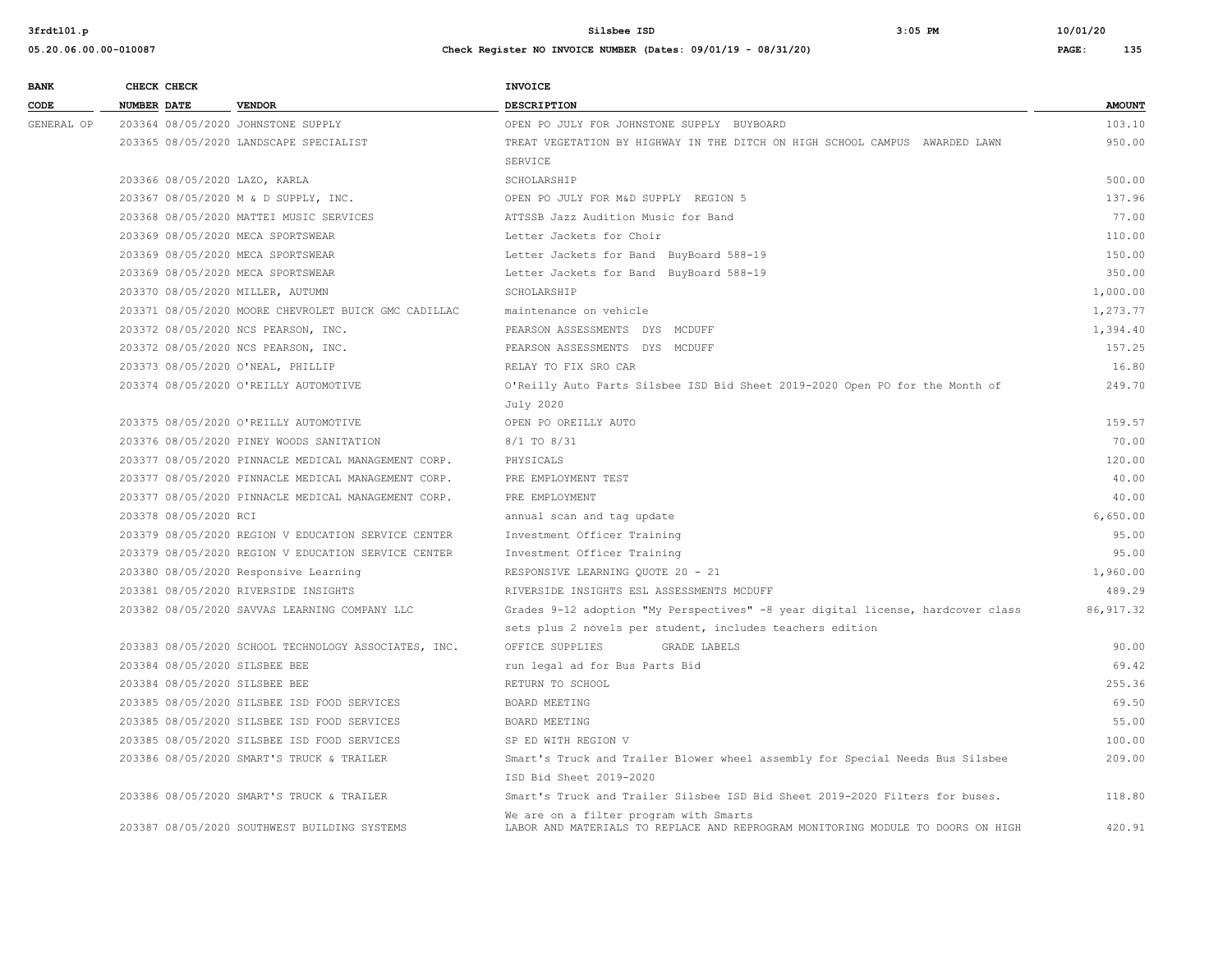| <b>BANK</b> | CHECK CHECK           |                                                      | <b>INVOICE</b>                                                                  |               |
|-------------|-----------------------|------------------------------------------------------|---------------------------------------------------------------------------------|---------------|
| CODE        | <b>NUMBER DATE</b>    | <b>VENDOR</b>                                        | DESCRIPTION                                                                     | <b>AMOUNT</b> |
| GENERAL OP  |                       | 203364 08/05/2020 JOHNSTONE SUPPLY                   | OPEN PO JULY FOR JOHNSTONE SUPPLY BUYBOARD                                      | 103.10        |
|             |                       | 203365 08/05/2020 LANDSCAPE SPECIALIST               | TREAT VEGETATION BY HIGHWAY IN THE DITCH ON HIGH SCHOOL CAMPUS AWARDED LAWN     | 950.00        |
|             |                       |                                                      | SERVICE                                                                         |               |
|             |                       | 203366 08/05/2020 LAZO, KARLA                        | SCHOLARSHIP                                                                     | 500.00        |
|             |                       | 203367 08/05/2020 M & D SUPPLY, INC.                 | OPEN PO JULY FOR M&D SUPPLY REGION 5                                            | 137.96        |
|             |                       | 203368 08/05/2020 MATTEI MUSIC SERVICES              | ATTSSB Jazz Audition Music for Band                                             | 77.00         |
|             |                       | 203369 08/05/2020 MECA SPORTSWEAR                    | Letter Jackets for Choir                                                        | 110.00        |
|             |                       | 203369 08/05/2020 MECA SPORTSWEAR                    | Letter Jackets for Band BuyBoard 588-19                                         | 150.00        |
|             |                       | 203369 08/05/2020 MECA SPORTSWEAR                    | Letter Jackets for Band BuyBoard 588-19                                         | 350.00        |
|             |                       | 203370 08/05/2020 MILLER, AUTUMN                     | SCHOLARSHIP                                                                     | 1,000.00      |
|             |                       | 203371 08/05/2020 MOORE CHEVROLET BUICK GMC CADILLAC | maintenance on vehicle                                                          | 1,273.77      |
|             |                       | 203372 08/05/2020 NCS PEARSON, INC.                  | PEARSON ASSESSMENTS DYS MCDUFF                                                  | 1,394.40      |
|             |                       | 203372 08/05/2020 NCS PEARSON, INC.                  | PEARSON ASSESSMENTS DYS MCDUFF                                                  | 157.25        |
|             |                       | 203373 08/05/2020 O'NEAL, PHILLIP                    | RELAY TO FIX SRO CAR                                                            | 16.80         |
|             |                       | 203374 08/05/2020 O'REILLY AUTOMOTIVE                | O'Reilly Auto Parts Silsbee ISD Bid Sheet 2019-2020 Open PO for the Month of    | 249.70        |
|             |                       |                                                      | July 2020                                                                       |               |
|             |                       | 203375 08/05/2020 O'REILLY AUTOMOTIVE                | OPEN PO OREILLY AUTO                                                            | 159.57        |
|             |                       | 203376 08/05/2020 PINEY WOODS SANITATION             | 8/1 TO 8/31                                                                     | 70.00         |
|             |                       | 203377 08/05/2020 PINNACLE MEDICAL MANAGEMENT CORP.  | PHYSICALS                                                                       | 120.00        |
|             |                       | 203377 08/05/2020 PINNACLE MEDICAL MANAGEMENT CORP.  | PRE EMPLOYMENT TEST                                                             | 40.00         |
|             |                       | 203377 08/05/2020 PINNACLE MEDICAL MANAGEMENT CORP.  | PRE EMPLOYMENT                                                                  | 40.00         |
|             | 203378 08/05/2020 RCI |                                                      | annual scan and tag update                                                      | 6.650.00      |
|             |                       | 203379 08/05/2020 REGION V EDUCATION SERVICE CENTER  | Investment Officer Training                                                     | 95.00         |
|             |                       | 203379 08/05/2020 REGION V EDUCATION SERVICE CENTER  | Investment Officer Training                                                     | 95.00         |
|             |                       | 203380 08/05/2020 Responsive Learning                | RESPONSIVE LEARNING QUOTE 20 - 21                                               | 1,960.00      |
|             |                       | 203381 08/05/2020 RIVERSIDE INSIGHTS                 | RIVERSIDE INSIGHTS ESL ASSESSMENTS MCDUFF                                       | 489.29        |
|             |                       | 203382 08/05/2020 SAVVAS LEARNING COMPANY LLC        | Grades 9-12 adoption "My Perspectives" -8 year digital license, hardcover class | 86, 917.32    |
|             |                       |                                                      | sets plus 2 novels per student, includes teachers edition                       |               |
|             |                       | 203383 08/05/2020 SCHOOL TECHNOLOGY ASSOCIATES, INC. | OFFICE SUPPLIES<br><b>GRADE LABELS</b>                                          | 90.00         |
|             |                       | 203384 08/05/2020 SILSBEE BEE                        | run legal ad for Bus Parts Bid                                                  | 69.42         |
|             |                       | 203384 08/05/2020 SILSBEE BEE                        | RETURN TO SCHOOL                                                                | 255.36        |
|             |                       | 203385 08/05/2020 SILSBEE ISD FOOD SERVICES          | BOARD MEETING                                                                   | 69.50         |
|             |                       | 203385 08/05/2020 SILSBEE ISD FOOD SERVICES          | BOARD MEETING                                                                   | 55.00         |
|             |                       | 203385 08/05/2020 SILSBEE ISD FOOD SERVICES          | SP ED WITH REGION V                                                             | 100.00        |
|             |                       | 203386 08/05/2020 SMART'S TRUCK & TRAILER            | Smart's Truck and Trailer Blower wheel assembly for Special Needs Bus Silsbee   | 209.00        |
|             |                       |                                                      | ISD Bid Sheet 2019-2020                                                         |               |
|             |                       | 203386 08/05/2020 SMART'S TRUCK & TRAILER            | Smart's Truck and Trailer Silsbee ISD Bid Sheet 2019-2020 Filters for buses.    | 118.80        |
|             |                       |                                                      | We are on a filter program with Smarts                                          |               |
|             |                       | 203387 08/05/2020 SOUTHWEST BUILDING SYSTEMS         | LABOR AND MATERIALS TO REPLACE AND REPROGRAM MONITORING MODULE TO DOORS ON HIGH | 420.91        |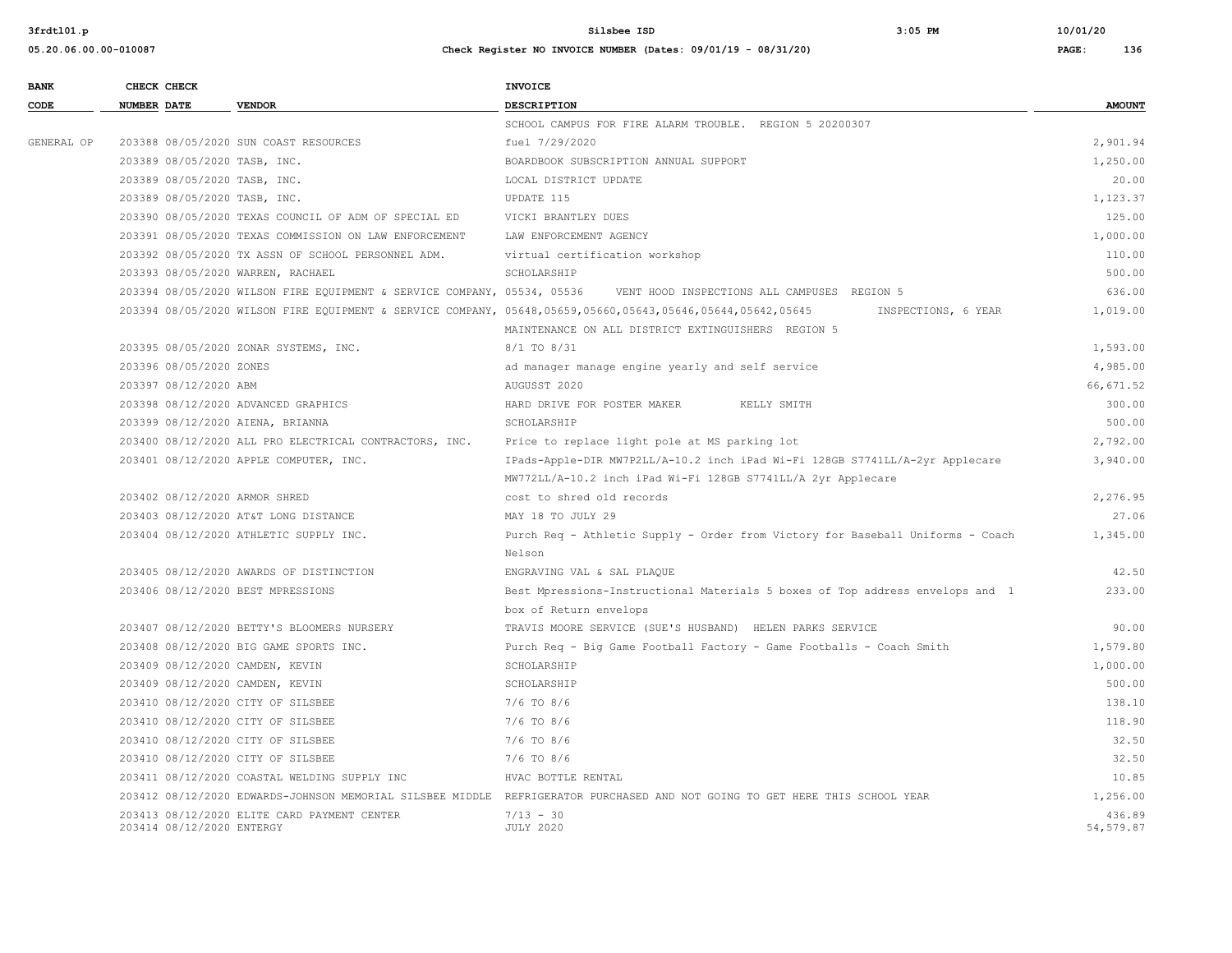| <b>BANK</b> | CHECK CHECK               |                                                                         | <b>INVOICE</b>                                                                                                                    |                      |
|-------------|---------------------------|-------------------------------------------------------------------------|-----------------------------------------------------------------------------------------------------------------------------------|----------------------|
| CODE        | <b>NUMBER DATE</b>        | <b>VENDOR</b>                                                           | DESCRIPTION                                                                                                                       | <b>AMOUNT</b>        |
|             |                           |                                                                         | SCHOOL CAMPUS FOR FIRE ALARM TROUBLE. REGION 5 20200307                                                                           |                      |
| GENERAL OP  |                           | 203388 08/05/2020 SUN COAST RESOURCES                                   | fuel 7/29/2020                                                                                                                    | 2,901.94             |
|             |                           | 203389 08/05/2020 TASB, INC.                                            | BOARDBOOK SUBSCRIPTION ANNUAL SUPPORT                                                                                             | 1,250.00             |
|             |                           | 203389 08/05/2020 TASB, INC.                                            | LOCAL DISTRICT UPDATE                                                                                                             | 20.00                |
|             |                           | 203389 08/05/2020 TASB, INC.                                            | UPDATE 115                                                                                                                        | 1,123.37             |
|             |                           | 203390 08/05/2020 TEXAS COUNCIL OF ADM OF SPECIAL ED                    | VICKI BRANTLEY DUES                                                                                                               | 125.00               |
|             |                           | 203391 08/05/2020 TEXAS COMMISSION ON LAW ENFORCEMENT                   | LAW ENFORCEMENT AGENCY                                                                                                            | 1,000.00             |
|             |                           | 203392 08/05/2020 TX ASSN OF SCHOOL PERSONNEL ADM.                      | virtual certification workshop                                                                                                    | 110.00               |
|             |                           | 203393 08/05/2020 WARREN, RACHAEL                                       | SCHOLARSHIP                                                                                                                       | 500.00               |
|             |                           | 203394 08/05/2020 WILSON FIRE EQUIPMENT & SERVICE COMPANY, 05534, 05536 | VENT HOOD INSPECTIONS ALL CAMPUSES REGION 5                                                                                       | 636.00               |
|             |                           |                                                                         | 203394 08/05/2020 WILSON FIRE EQUIPMENT & SERVICE COMPANY, 05648,05659,05660,05643,05646,05644,05642,05645<br>INSPECTIONS, 6 YEAR | 1,019.00             |
|             |                           |                                                                         | MAINTENANCE ON ALL DISTRICT EXTINGUISHERS REGION 5                                                                                |                      |
|             |                           | 203395 08/05/2020 ZONAR SYSTEMS, INC.                                   | 8/1 TO 8/31                                                                                                                       | 1,593.00             |
|             | 203396 08/05/2020 ZONES   |                                                                         | ad manager manage engine yearly and self service                                                                                  | 4,985.00             |
|             | 203397 08/12/2020 ABM     |                                                                         | AUGUSST 2020                                                                                                                      | 66, 671.52           |
|             |                           | 203398 08/12/2020 ADVANCED GRAPHICS                                     | HARD DRIVE FOR POSTER MAKER<br>KELLY SMITH                                                                                        | 300.00               |
|             |                           | 203399 08/12/2020 AIENA, BRIANNA                                        | SCHOLARSHIP                                                                                                                       | 500.00               |
|             |                           | 203400 08/12/2020 ALL PRO ELECTRICAL CONTRACTORS, INC.                  | Price to replace light pole at MS parking lot                                                                                     | 2,792.00             |
|             |                           | 203401 08/12/2020 APPLE COMPUTER, INC.                                  | IPads-Apple-DIR MW7P2LL/A-10.2 inch iPad Wi-Fi 128GB S7741LL/A-2yr Applecare                                                      | 3,940.00             |
|             |                           |                                                                         | MW772LL/A-10.2 inch iPad Wi-Fi 128GB S7741LL/A 2yr Applecare                                                                      |                      |
|             |                           | 203402 08/12/2020 ARMOR SHRED                                           | cost to shred old records                                                                                                         | 2,276.95             |
|             |                           | 203403 08/12/2020 AT&T LONG DISTANCE                                    | MAY 18 TO JULY 29                                                                                                                 | 27.06                |
|             |                           | 203404 08/12/2020 ATHLETIC SUPPLY INC.                                  | Purch Req - Athletic Supply - Order from Victory for Baseball Uniforms - Coach                                                    | 1,345.00             |
|             |                           |                                                                         | Nelson                                                                                                                            |                      |
|             |                           | 203405 08/12/2020 AWARDS OF DISTINCTION                                 | ENGRAVING VAL & SAL PLAQUE                                                                                                        | 42.50                |
|             |                           | 203406 08/12/2020 BEST MPRESSIONS                                       | Best Mpressions-Instructional Materials 5 boxes of Top address envelops and 1                                                     | 233.00               |
|             |                           |                                                                         | box of Return envelops                                                                                                            |                      |
|             |                           | 203407 08/12/2020 BETTY'S BLOOMERS NURSERY                              | TRAVIS MOORE SERVICE (SUE'S HUSBAND) HELEN PARKS SERVICE                                                                          | 90.00                |
|             |                           | 203408 08/12/2020 BIG GAME SPORTS INC.                                  | Purch Req - Biq Game Football Factory - Game Footballs - Coach Smith                                                              | 1,579.80             |
|             |                           | 203409 08/12/2020 CAMDEN, KEVIN                                         | SCHOLARSHIP                                                                                                                       | 1,000.00             |
|             |                           | 203409 08/12/2020 CAMDEN, KEVIN                                         | SCHOLARSHIP                                                                                                                       | 500.00               |
|             |                           | 203410 08/12/2020 CITY OF SILSBEE                                       | $7/6$ TO $8/6$                                                                                                                    | 138.10               |
|             |                           | 203410 08/12/2020 CITY OF SILSBEE                                       | $7/6$ TO $8/6$                                                                                                                    | 118.90               |
|             |                           | 203410 08/12/2020 CITY OF SILSBEE                                       | $7/6$ TO 8/6                                                                                                                      | 32.50                |
|             |                           | 203410 08/12/2020 CITY OF SILSBEE                                       | 7/6 TO 8/6                                                                                                                        | 32.50                |
|             |                           | 203411 08/12/2020 COASTAL WELDING SUPPLY INC                            | HVAC BOTTLE RENTAL                                                                                                                | 10.85                |
|             |                           |                                                                         | 203412 08/12/2020 EDWARDS-JOHNSON MEMORIAL SILSBEE MIDDLE REFRIGERATOR PURCHASED AND NOT GOING TO GET HERE THIS SCHOOL YEAR       | 1,256.00             |
|             | 203414 08/12/2020 ENTERGY | 203413 08/12/2020 ELITE CARD PAYMENT CENTER                             | $7/13 - 30$<br><b>JULY 2020</b>                                                                                                   | 436.89<br>54, 579.87 |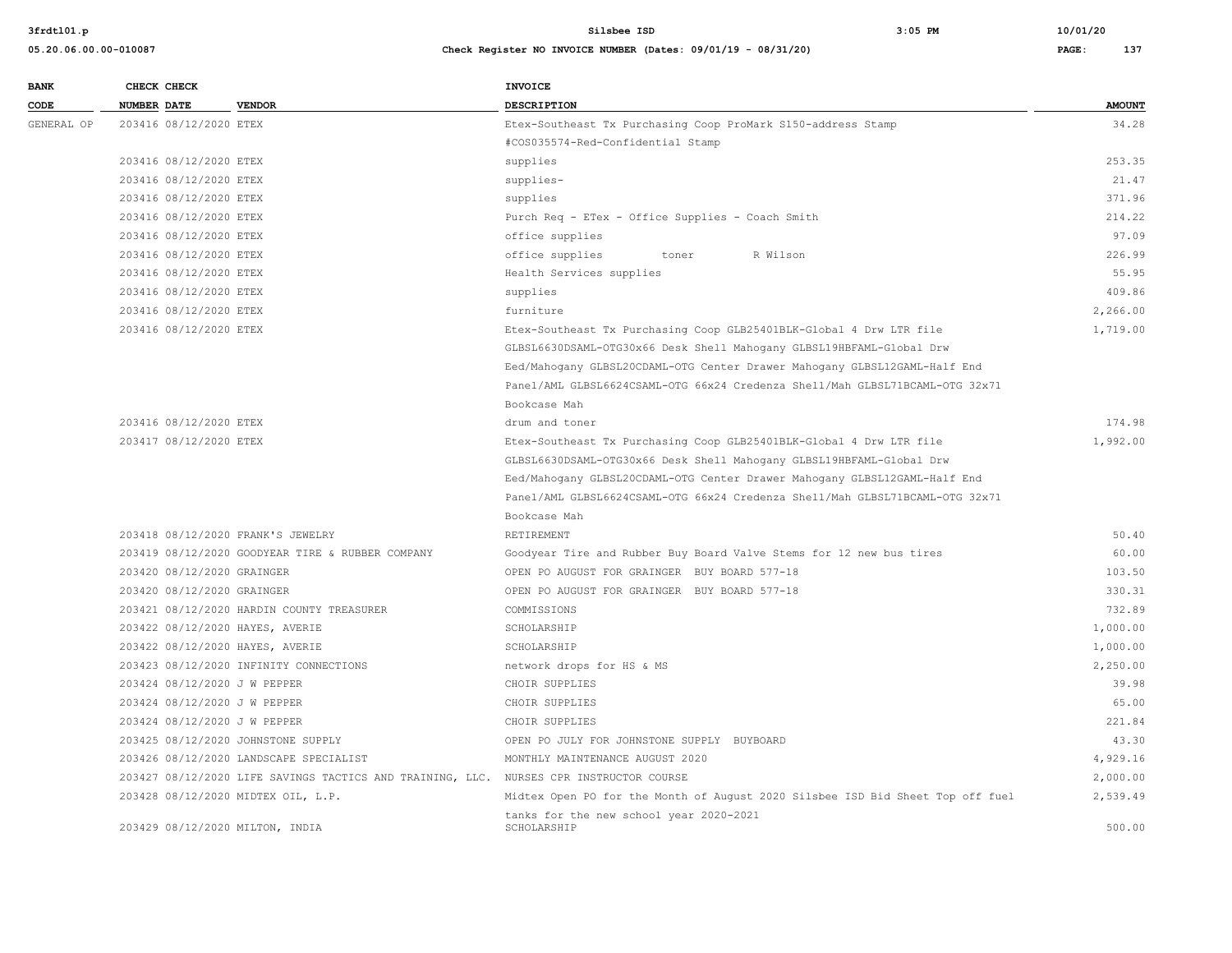| <b>BANK</b> |                    | CHECK CHECK                |                                                                                        | <b>INVOICE</b>                                                                 |               |
|-------------|--------------------|----------------------------|----------------------------------------------------------------------------------------|--------------------------------------------------------------------------------|---------------|
| CODE        | <b>NUMBER DATE</b> |                            | <b>VENDOR</b>                                                                          | DESCRIPTION                                                                    | <b>AMOUNT</b> |
| GENERAL OP  |                    | 203416 08/12/2020 ETEX     |                                                                                        | Etex-Southeast Tx Purchasing Coop ProMark S150-address Stamp                   | 34.28         |
|             |                    |                            |                                                                                        | #COS035574-Red-Confidential Stamp                                              |               |
|             |                    | 203416 08/12/2020 ETEX     |                                                                                        | supplies                                                                       | 253.35        |
|             |                    | 203416 08/12/2020 ETEX     |                                                                                        | supplies-                                                                      | 21.47         |
|             |                    | 203416 08/12/2020 ETEX     |                                                                                        | supplies                                                                       | 371.96        |
|             |                    | 203416 08/12/2020 ETEX     |                                                                                        | Purch Req - ETex - Office Supplies - Coach Smith                               | 214.22        |
|             |                    | 203416 08/12/2020 ETEX     |                                                                                        | office supplies                                                                | 97.09         |
|             |                    | 203416 08/12/2020 ETEX     |                                                                                        | office supplies<br>R Wilson<br>toner                                           | 226.99        |
|             |                    | 203416 08/12/2020 ETEX     |                                                                                        | Health Services supplies                                                       | 55.95         |
|             |                    | 203416 08/12/2020 ETEX     |                                                                                        | supplies                                                                       | 409.86        |
|             |                    | 203416 08/12/2020 ETEX     |                                                                                        | furniture                                                                      | 2,266.00      |
|             |                    | 203416 08/12/2020 ETEX     |                                                                                        | Etex-Southeast Tx Purchasing Coop GLB25401BLK-Global 4 Drw LTR file            | 1,719.00      |
|             |                    |                            |                                                                                        | GLBSL6630DSAML-OTG30x66 Desk Shell Mahogany GLBSL19HBFAML-Global Drw           |               |
|             |                    |                            |                                                                                        | Eed/Mahogany GLBSL20CDAML-OTG Center Drawer Mahogany GLBSL12GAML-Half End      |               |
|             |                    |                            |                                                                                        | Panel/AML GLBSL6624CSAML-OTG 66x24 Credenza Shell/Mah GLBSL71BCAML-OTG 32x71   |               |
|             |                    |                            |                                                                                        | Bookcase Mah                                                                   |               |
|             |                    | 203416 08/12/2020 ETEX     |                                                                                        | drum and toner                                                                 | 174.98        |
|             |                    | 203417 08/12/2020 ETEX     |                                                                                        | Etex-Southeast Tx Purchasing Coop GLB25401BLK-Global 4 Drw LTR file            | 1,992.00      |
|             |                    |                            |                                                                                        | GLBSL6630DSAML-OTG30x66 Desk Shell Mahogany GLBSL19HBFAML-Global Drw           |               |
|             |                    |                            |                                                                                        | Eed/Mahoqany GLBSL20CDAML-OTG Center Drawer Mahoqany GLBSL12GAML-Half End      |               |
|             |                    |                            |                                                                                        | Panel/AML GLBSL6624CSAML-OTG 66x24 Credenza Shell/Mah GLBSL71BCAML-OTG 32x71   |               |
|             |                    |                            |                                                                                        | Bookcase Mah                                                                   |               |
|             |                    |                            | 203418 08/12/2020 FRANK'S JEWELRY                                                      | RETIREMENT                                                                     | 50.40         |
|             |                    |                            | 203419 08/12/2020 GOODYEAR TIRE & RUBBER COMPANY                                       | Goodyear Tire and Rubber Buy Board Valve Stems for 12 new bus tires            | 60.00         |
|             |                    | 203420 08/12/2020 GRAINGER |                                                                                        | OPEN PO AUGUST FOR GRAINGER BUY BOARD 577-18                                   | 103.50        |
|             |                    | 203420 08/12/2020 GRAINGER |                                                                                        | OPEN PO AUGUST FOR GRAINGER BUY BOARD 577-18                                   | 330.31        |
|             |                    |                            | 203421 08/12/2020 HARDIN COUNTY TREASURER                                              | COMMISSIONS                                                                    | 732.89        |
|             |                    |                            | 203422 08/12/2020 HAYES, AVERIE                                                        | SCHOLARSHIP                                                                    | 1,000.00      |
|             |                    |                            | 203422 08/12/2020 HAYES, AVERIE                                                        | SCHOLARSHIP                                                                    | 1,000.00      |
|             |                    |                            | 203423 08/12/2020 INFINITY CONNECTIONS                                                 | network drops for HS & MS                                                      | 2,250.00      |
|             |                    |                            | 203424 08/12/2020 J W PEPPER                                                           | CHOIR SUPPLIES                                                                 | 39.98         |
|             |                    |                            | 203424 08/12/2020 J W PEPPER                                                           | CHOIR SUPPLIES                                                                 | 65.00         |
|             |                    |                            | 203424 08/12/2020 J W PEPPER                                                           | CHOIR SUPPLIES                                                                 | 221.84        |
|             |                    |                            | 203425 08/12/2020 JOHNSTONE SUPPLY                                                     | OPEN PO JULY FOR JOHNSTONE SUPPLY BUYBOARD                                     | 43.30         |
|             |                    |                            | 203426 08/12/2020 LANDSCAPE SPECIALIST                                                 | MONTHLY MAINTENANCE AUGUST 2020                                                | 4,929.16      |
|             |                    |                            | 203427 08/12/2020 LIFE SAVINGS TACTICS AND TRAINING, LLC. NURSES CPR INSTRUCTOR COURSE |                                                                                | 2,000.00      |
|             |                    |                            | 203428 08/12/2020 MIDTEX OIL, L.P.                                                     | Midtex Open PO for the Month of August 2020 Silsbee ISD Bid Sheet Top off fuel | 2,539.49      |
|             |                    |                            | 203429 08/12/2020 MILTON, INDIA                                                        | tanks for the new school year 2020-2021<br>SCHOLARSHIP                         | 500.00        |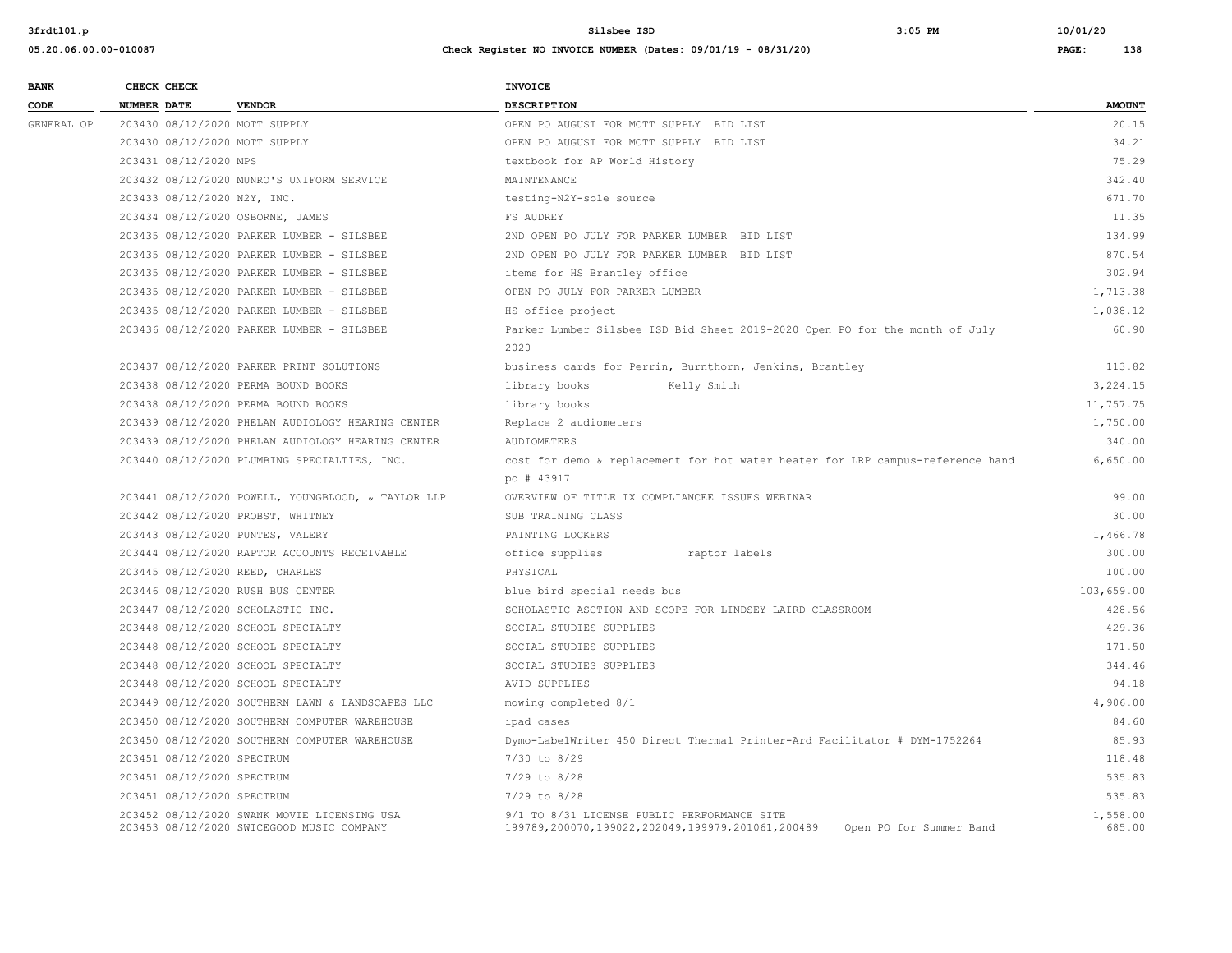| <b>BANK</b> | CHECK CHECK                       |                                                                                          | <b>INVOICE</b>                                                                                                             |                    |
|-------------|-----------------------------------|------------------------------------------------------------------------------------------|----------------------------------------------------------------------------------------------------------------------------|--------------------|
| CODE        | NUMBER DATE                       | <b>VENDOR</b>                                                                            | <b>DESCRIPTION</b>                                                                                                         | <b>AMOUNT</b>      |
| GENERAL OP  | 203430 08/12/2020 MOTT SUPPLY     |                                                                                          | OPEN PO AUGUST FOR MOTT SUPPLY BID LIST                                                                                    | 20.15              |
|             | 203430 08/12/2020 MOTT SUPPLY     |                                                                                          | OPEN PO AUGUST FOR MOTT SUPPLY BID LIST                                                                                    | 34.21              |
|             | 203431 08/12/2020 MPS             |                                                                                          | textbook for AP World History                                                                                              | 75.29              |
|             |                                   | 203432 08/12/2020 MUNRO'S UNIFORM SERVICE                                                | MAINTENANCE                                                                                                                | 342.40             |
|             | 203433 08/12/2020 N2Y, INC.       |                                                                                          | testing-N2Y-sole source                                                                                                    | 671.70             |
|             | 203434 08/12/2020 OSBORNE, JAMES  |                                                                                          | FS AUDREY                                                                                                                  | 11.35              |
|             |                                   | 203435 08/12/2020 PARKER LUMBER - SILSBEE                                                | 2ND OPEN PO JULY FOR PARKER LUMBER BID LIST                                                                                | 134.99             |
|             |                                   | 203435 08/12/2020 PARKER LUMBER - SILSBEE                                                | 2ND OPEN PO JULY FOR PARKER LUMBER BID LIST                                                                                | 870.54             |
|             |                                   | 203435 08/12/2020 PARKER LUMBER - SILSBEE                                                | items for HS Brantley office                                                                                               | 302.94             |
|             |                                   | 203435 08/12/2020 PARKER LUMBER - SILSBEE                                                | OPEN PO JULY FOR PARKER LUMBER                                                                                             | 1,713.38           |
|             |                                   | 203435 08/12/2020 PARKER LUMBER - SILSBEE                                                | HS office project                                                                                                          | 1,038.12           |
|             |                                   | 203436 08/12/2020 PARKER LUMBER - SILSBEE                                                | Parker Lumber Silsbee ISD Bid Sheet 2019-2020 Open PO for the month of July                                                | 60.90              |
|             |                                   |                                                                                          | 2020                                                                                                                       |                    |
|             |                                   | 203437 08/12/2020 PARKER PRINT SOLUTIONS                                                 | business cards for Perrin, Burnthorn, Jenkins, Brantley                                                                    | 113.82             |
|             |                                   | 203438 08/12/2020 PERMA BOUND BOOKS                                                      | library books<br>Kelly Smith                                                                                               | 3,224.15           |
|             |                                   | 203438 08/12/2020 PERMA BOUND BOOKS                                                      | library books                                                                                                              | 11,757.75          |
|             |                                   | 203439 08/12/2020 PHELAN AUDIOLOGY HEARING CENTER                                        | Replace 2 audiometers                                                                                                      | 1,750.00           |
|             |                                   | 203439 08/12/2020 PHELAN AUDIOLOGY HEARING CENTER                                        | AUDIOMETERS                                                                                                                | 340.00             |
|             |                                   | 203440 08/12/2020 PLUMBING SPECIALTIES, INC.                                             | cost for demo & replacement for hot water heater for LRP campus-reference hand                                             | 6,650.00           |
|             |                                   |                                                                                          | po # 43917                                                                                                                 |                    |
|             |                                   | 203441 08/12/2020 POWELL, YOUNGBLOOD, & TAYLOR LLP                                       | OVERVIEW OF TITLE IX COMPLIANCEE ISSUES WEBINAR                                                                            | 99.00              |
|             |                                   | 203442 08/12/2020 PROBST, WHITNEY                                                        | SUB TRAINING CLASS                                                                                                         | 30.00              |
|             | 203443 08/12/2020 PUNTES, VALERY  |                                                                                          | PAINTING LOCKERS                                                                                                           | 1,466.78           |
|             |                                   | 203444 08/12/2020 RAPTOR ACCOUNTS RECEIVABLE                                             | office supplies<br>raptor labels                                                                                           | 300.00             |
|             | 203445 08/12/2020 REED, CHARLES   |                                                                                          | PHYSICAL                                                                                                                   | 100.00             |
|             |                                   | 203446 08/12/2020 RUSH BUS CENTER                                                        | blue bird special needs bus                                                                                                | 103,659.00         |
|             | 203447 08/12/2020 SCHOLASTIC INC. |                                                                                          | SCHOLASTIC ASCTION AND SCOPE FOR LINDSEY LAIRD CLASSROOM                                                                   | 428.56             |
|             |                                   | 203448 08/12/2020 SCHOOL SPECIALTY                                                       | SOCIAL STUDIES SUPPLIES                                                                                                    | 429.36             |
|             |                                   | 203448 08/12/2020 SCHOOL SPECIALTY                                                       | SOCIAL STUDIES SUPPLIES                                                                                                    | 171.50             |
|             |                                   | 203448 08/12/2020 SCHOOL SPECIALTY                                                       | SOCIAL STUDIES SUPPLIES                                                                                                    | 344.46             |
|             |                                   | 203448 08/12/2020 SCHOOL SPECIALTY                                                       | AVID SUPPLIES                                                                                                              | 94.18              |
|             |                                   | 203449 08/12/2020 SOUTHERN LAWN & LANDSCAPES LLC                                         | mowing completed 8/1                                                                                                       | 4,906.00           |
|             |                                   | 203450 08/12/2020 SOUTHERN COMPUTER WAREHOUSE                                            | ipad cases                                                                                                                 | 84.60              |
|             |                                   | 203450 08/12/2020 SOUTHERN COMPUTER WAREHOUSE                                            | Dymo-LabelWriter 450 Direct Thermal Printer-Ard Facilitator # DYM-1752264                                                  | 85.93              |
|             | 203451 08/12/2020 SPECTRUM        |                                                                                          | 7/30 to 8/29                                                                                                               | 118.48             |
|             | 203451 08/12/2020 SPECTRUM        |                                                                                          | $7/29$ to $8/28$                                                                                                           | 535.83             |
|             | 203451 08/12/2020 SPECTRUM        |                                                                                          | $7/29$ to $8/28$                                                                                                           | 535.83             |
|             |                                   | 203452 08/12/2020 SWANK MOVIE LICENSING USA<br>203453 08/12/2020 SWICEGOOD MUSIC COMPANY | 9/1 TO 8/31 LICENSE PUBLIC PERFORMANCE SITE<br>199789,200070,199022,202049,199979,201061,200489<br>Open PO for Summer Band | 1,558.00<br>685.00 |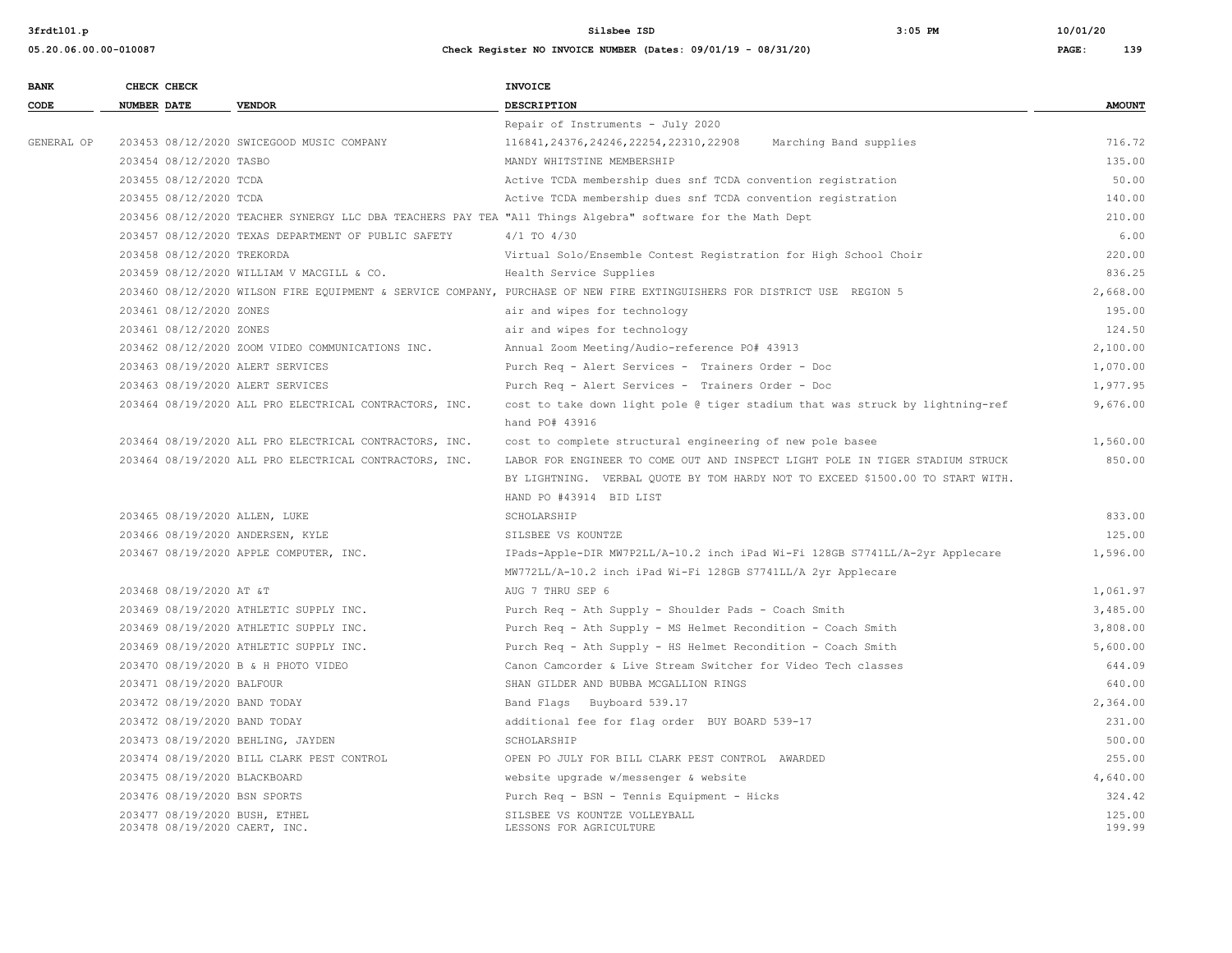**05.20.06.00.00-010087 Check Register NO INVOICE NUMBER (Dates: 09/01/19 - 08/31/20) PAGE: 139**

**3frdtl01.p Silsbee ISD 3:05 PM 10/01/20**

| <b>BANK</b> | CHECK CHECK        |                            |                                                                | <b>INVOICE</b>                                                                                                          |                  |
|-------------|--------------------|----------------------------|----------------------------------------------------------------|-------------------------------------------------------------------------------------------------------------------------|------------------|
| CODE        | <b>NUMBER DATE</b> |                            | <b>VENDOR</b>                                                  | DESCRIPTION                                                                                                             | <b>AMOUNT</b>    |
|             |                    |                            |                                                                | Repair of Instruments - July 2020                                                                                       |                  |
| GENERAL OP  |                    |                            | 203453 08/12/2020 SWICEGOOD MUSIC COMPANY                      | 116841, 24376, 24246, 22254, 22310, 22908<br>Marching Band supplies                                                     | 716.72           |
|             |                    | 203454 08/12/2020 TASBO    |                                                                | MANDY WHITSTINE MEMBERSHIP                                                                                              | 135.00           |
|             |                    | 203455 08/12/2020 TCDA     |                                                                | Active TCDA membership dues snf TCDA convention registration                                                            | 50.00            |
|             |                    | 203455 08/12/2020 TCDA     |                                                                | Active TCDA membership dues snf TCDA convention registration                                                            | 140.00           |
|             |                    |                            |                                                                | 203456 08/12/2020 TEACHER SYNERGY LLC DBA TEACHERS PAY TEA "All Things Algebra" software for the Math Dept              | 210.00           |
|             |                    |                            | 203457 08/12/2020 TEXAS DEPARTMENT OF PUBLIC SAFETY            | $4/1$ TO $4/30$                                                                                                         | 6.00             |
|             |                    | 203458 08/12/2020 TREKORDA |                                                                | Virtual Solo/Ensemble Contest Registration for High School Choir                                                        | 220.00           |
|             |                    |                            | 203459 08/12/2020 WILLIAM V MACGILL & CO.                      | Health Service Supplies                                                                                                 | 836.25           |
|             |                    |                            |                                                                | 203460 08/12/2020 WILSON FIRE EQUIPMENT & SERVICE COMPANY, PURCHASE OF NEW FIRE EXTINGUISHERS FOR DISTRICT USE REGION 5 | 2,668.00         |
|             |                    | 203461 08/12/2020 ZONES    |                                                                | air and wipes for technology                                                                                            | 195.00           |
|             |                    | 203461 08/12/2020 ZONES    |                                                                | air and wipes for technology                                                                                            | 124.50           |
|             |                    |                            | 203462 08/12/2020 ZOOM VIDEO COMMUNICATIONS INC.               | Annual Zoom Meeting/Audio-reference PO# 43913                                                                           | 2,100.00         |
|             |                    |                            | 203463 08/19/2020 ALERT SERVICES                               | Purch Req - Alert Services - Trainers Order - Doc                                                                       | 1,070.00         |
|             |                    |                            | 203463 08/19/2020 ALERT SERVICES                               | Purch Req - Alert Services - Trainers Order - Doc                                                                       | 1,977.95         |
|             |                    |                            | 203464 08/19/2020 ALL PRO ELECTRICAL CONTRACTORS, INC.         | cost to take down light pole @ tiger stadium that was struck by lightning-ref                                           | 9,676.00         |
|             |                    |                            |                                                                | hand PO# 43916                                                                                                          |                  |
|             |                    |                            | 203464 08/19/2020 ALL PRO ELECTRICAL CONTRACTORS, INC.         | cost to complete structural engineering of new pole basee                                                               | 1,560.00         |
|             |                    |                            | 203464 08/19/2020 ALL PRO ELECTRICAL CONTRACTORS, INC.         | LABOR FOR ENGINEER TO COME OUT AND INSPECT LIGHT POLE IN TIGER STADIUM STRUCK                                           | 850.00           |
|             |                    |                            |                                                                | BY LIGHTNING. VERBAL QUOTE BY TOM HARDY NOT TO EXCEED \$1500.00 TO START WITH.                                          |                  |
|             |                    |                            |                                                                | HAND PO #43914 BID LIST                                                                                                 |                  |
|             |                    |                            | 203465 08/19/2020 ALLEN, LUKE                                  | SCHOLARSHIP                                                                                                             | 833.00           |
|             |                    |                            | 203466 08/19/2020 ANDERSEN, KYLE                               | SILSBEE VS KOUNTZE                                                                                                      | 125.00           |
|             |                    |                            | 203467 08/19/2020 APPLE COMPUTER, INC.                         | IPads-Apple-DIR MW7P2LL/A-10.2 inch iPad Wi-Fi 128GB S7741LL/A-2yr Applecare                                            | 1,596.00         |
|             |                    |                            |                                                                | MW772LL/A-10.2 inch iPad Wi-Fi 128GB S7741LL/A 2yr Applecare                                                            |                  |
|             |                    | 203468 08/19/2020 AT &T    |                                                                | AUG 7 THRU SEP 6                                                                                                        | 1,061.97         |
|             |                    |                            | 203469 08/19/2020 ATHLETIC SUPPLY INC.                         | Purch Req - Ath Supply - Shoulder Pads - Coach Smith                                                                    | 3,485.00         |
|             |                    |                            | 203469 08/19/2020 ATHLETIC SUPPLY INC.                         | Purch Req - Ath Supply - MS Helmet Recondition - Coach Smith                                                            | 3,808.00         |
|             |                    |                            | 203469 08/19/2020 ATHLETIC SUPPLY INC.                         | Purch Req - Ath Supply - HS Helmet Recondition - Coach Smith                                                            | 5,600.00         |
|             |                    |                            | 203470 08/19/2020 B & H PHOTO VIDEO                            | Canon Camcorder & Live Stream Switcher for Video Tech classes                                                           | 644.09           |
|             |                    | 203471 08/19/2020 BALFOUR  |                                                                | SHAN GILDER AND BUBBA MCGALLION RINGS                                                                                   | 640.00           |
|             |                    |                            | 203472 08/19/2020 BAND TODAY                                   | Band Flags Buyboard 539.17                                                                                              | 2,364.00         |
|             |                    |                            | 203472 08/19/2020 BAND TODAY                                   | additional fee for flag order BUY BOARD 539-17                                                                          | 231.00           |
|             |                    |                            | 203473 08/19/2020 BEHLING, JAYDEN                              | SCHOLARSHIP                                                                                                             | 500.00           |
|             |                    |                            | 203474 08/19/2020 BILL CLARK PEST CONTROL                      | OPEN PO JULY FOR BILL CLARK PEST CONTROL AWARDED                                                                        | 255.00           |
|             |                    |                            | 203475 08/19/2020 BLACKBOARD                                   | website upgrade w/messenger & website                                                                                   | 4,640.00         |
|             |                    |                            | 203476 08/19/2020 BSN SPORTS                                   | Purch Req - BSN - Tennis Equipment - Hicks                                                                              | 324.42           |
|             |                    |                            | 203477 08/19/2020 BUSH, ETHEL<br>203478 08/19/2020 CAERT, INC. | SILSBEE VS KOUNTZE VOLLEYBALL<br>LESSONS FOR AGRICULTURE                                                                | 125.00<br>199.99 |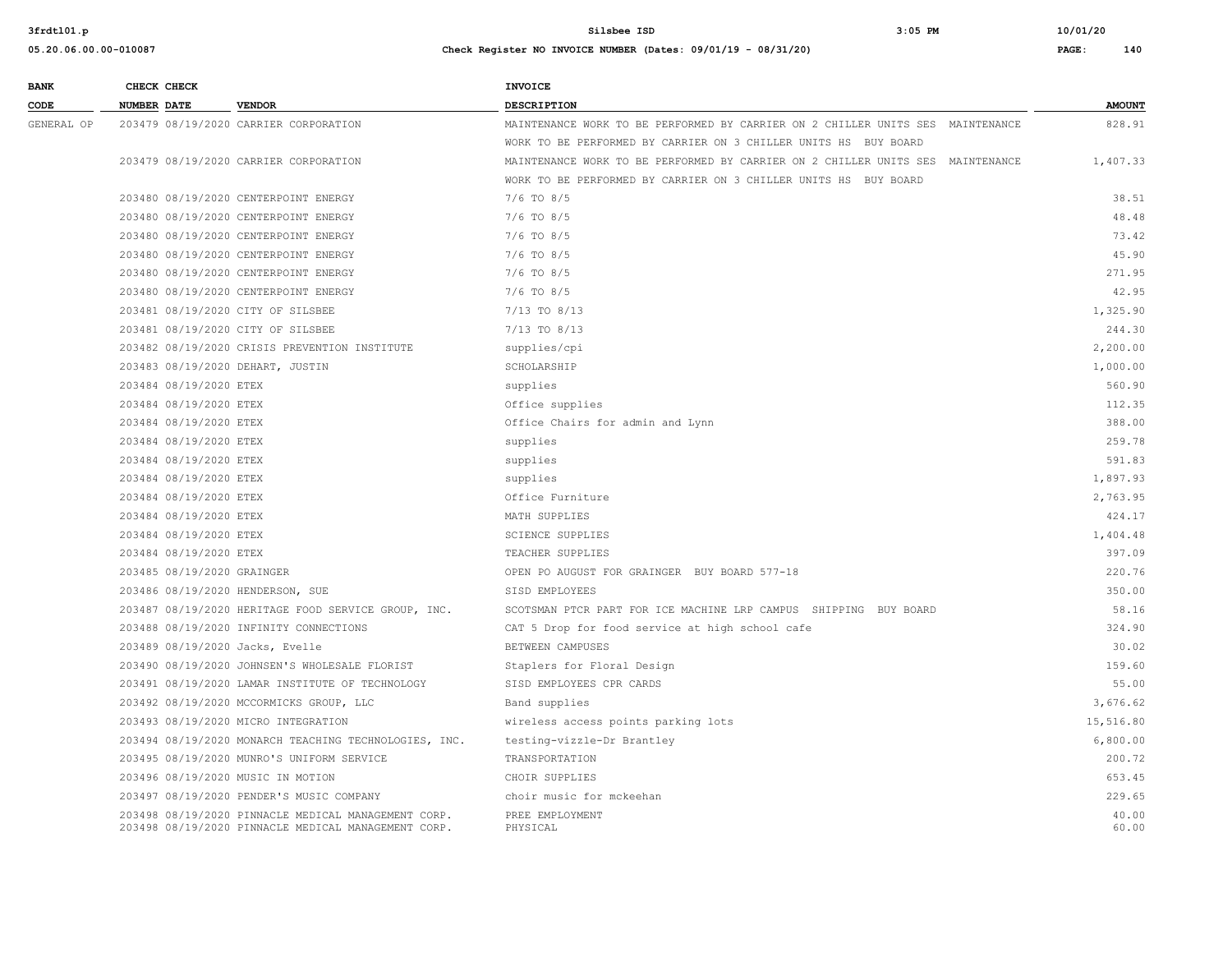| <b>BANK</b> | CHECK CHECK                       |                                                       | <b>INVOICE</b>                                                                 |               |
|-------------|-----------------------------------|-------------------------------------------------------|--------------------------------------------------------------------------------|---------------|
| CODE        | <b>NUMBER DATE</b>                | <b>VENDOR</b>                                         | DESCRIPTION                                                                    | <b>AMOUNT</b> |
| GENERAL OP  |                                   | 203479 08/19/2020 CARRIER CORPORATION                 | MAINTENANCE WORK TO BE PERFORMED BY CARRIER ON 2 CHILLER UNITS SES MAINTENANCE | 828.91        |
|             |                                   |                                                       | WORK TO BE PERFORMED BY CARRIER ON 3 CHILLER UNITS HS BUY BOARD                |               |
|             |                                   | 203479 08/19/2020 CARRIER CORPORATION                 | MAINTENANCE WORK TO BE PERFORMED BY CARRIER ON 2 CHILLER UNITS SES MAINTENANCE | 1,407.33      |
|             |                                   |                                                       | WORK TO BE PERFORMED BY CARRIER ON 3 CHILLER UNITS HS BUY BOARD                |               |
|             |                                   | 203480 08/19/2020 CENTERPOINT ENERGY                  | $7/6$ TO $8/5$                                                                 | 38.51         |
|             |                                   | 203480 08/19/2020 CENTERPOINT ENERGY                  | $7/6$ TO $8/5$                                                                 | 48.48         |
|             |                                   | 203480 08/19/2020 CENTERPOINT ENERGY                  | $7/6$ TO $8/5$                                                                 | 73.42         |
|             |                                   | 203480 08/19/2020 CENTERPOINT ENERGY                  | $7/6$ TO $8/5$                                                                 | 45.90         |
|             |                                   | 203480 08/19/2020 CENTERPOINT ENERGY                  | $7/6$ TO $8/5$                                                                 | 271.95        |
|             |                                   | 203480 08/19/2020 CENTERPOINT ENERGY                  | $7/6$ TO $8/5$                                                                 | 42.95         |
|             | 203481 08/19/2020 CITY OF SILSBEE |                                                       | 7/13 TO 8/13                                                                   | 1,325.90      |
|             |                                   | 203481 08/19/2020 CITY OF SILSBEE                     | 7/13 TO 8/13                                                                   | 244.30        |
|             |                                   | 203482 08/19/2020 CRISIS PREVENTION INSTITUTE         | supplies/cpi                                                                   | 2,200.00      |
|             | 203483 08/19/2020 DEHART, JUSTIN  |                                                       | SCHOLARSHIP                                                                    | 1,000.00      |
|             | 203484 08/19/2020 ETEX            |                                                       | supplies                                                                       | 560.90        |
|             | 203484 08/19/2020 ETEX            |                                                       | Office supplies                                                                | 112.35        |
|             | 203484 08/19/2020 ETEX            |                                                       | Office Chairs for admin and Lynn                                               | 388.00        |
|             | 203484 08/19/2020 ETEX            |                                                       | supplies                                                                       | 259.78        |
|             | 203484 08/19/2020 ETEX            |                                                       | supplies                                                                       | 591.83        |
|             | 203484 08/19/2020 ETEX            |                                                       | supplies                                                                       | 1,897.93      |
|             | 203484 08/19/2020 ETEX            |                                                       | Office Furniture                                                               | 2,763.95      |
|             | 203484 08/19/2020 ETEX            |                                                       | MATH SUPPLIES                                                                  | 424.17        |
|             | 203484 08/19/2020 ETEX            |                                                       | <b>SCIENCE SUPPLIES</b>                                                        | 1,404.48      |
|             | 203484 08/19/2020 ETEX            |                                                       | TEACHER SUPPLIES                                                               | 397.09        |
|             | 203485 08/19/2020 GRAINGER        |                                                       | OPEN PO AUGUST FOR GRAINGER BUY BOARD 577-18                                   | 220.76        |
|             | 203486 08/19/2020 HENDERSON, SUE  |                                                       | SISD EMPLOYEES                                                                 | 350.00        |
|             |                                   | 203487 08/19/2020 HERITAGE FOOD SERVICE GROUP, INC.   | SCOTSMAN PTCR PART FOR ICE MACHINE LRP CAMPUS SHIPPING BUY BOARD               | 58.16         |
|             |                                   | 203488 08/19/2020 INFINITY CONNECTIONS                | CAT 5 Drop for food service at high school cafe                                | 324.90        |
|             | 203489 08/19/2020 Jacks, Evelle   |                                                       | BETWEEN CAMPUSES                                                               | 30.02         |
|             |                                   | 203490 08/19/2020 JOHNSEN'S WHOLESALE FLORIST         | Staplers for Floral Design                                                     | 159.60        |
|             |                                   | 203491 08/19/2020 LAMAR INSTITUTE OF TECHNOLOGY       | SISD EMPLOYEES CPR CARDS                                                       | 55.00         |
|             |                                   | 203492 08/19/2020 MCCORMICKS GROUP, LLC               | Band supplies                                                                  | 3,676.62      |
|             |                                   | 203493 08/19/2020 MICRO INTEGRATION                   | wireless access points parking lots                                            | 15,516.80     |
|             |                                   | 203494 08/19/2020 MONARCH TEACHING TECHNOLOGIES, INC. | testing-vizzle-Dr Brantley                                                     | 6,800.00      |
|             |                                   | 203495 08/19/2020 MUNRO'S UNIFORM SERVICE             | TRANSPORTATION                                                                 | 200.72        |
|             | 203496 08/19/2020 MUSIC IN MOTION |                                                       | CHOIR SUPPLIES                                                                 | 653.45        |
|             |                                   | 203497 08/19/2020 PENDER'S MUSIC COMPANY              | choir music for mckeehan                                                       | 229.65        |
|             |                                   | 203498 08/19/2020 PINNACLE MEDICAL MANAGEMENT CORP.   | PREE EMPLOYMENT                                                                | 40.00         |
|             |                                   | 203498 08/19/2020 PINNACLE MEDICAL MANAGEMENT CORP.   | PHYSICAL                                                                       | 60.00         |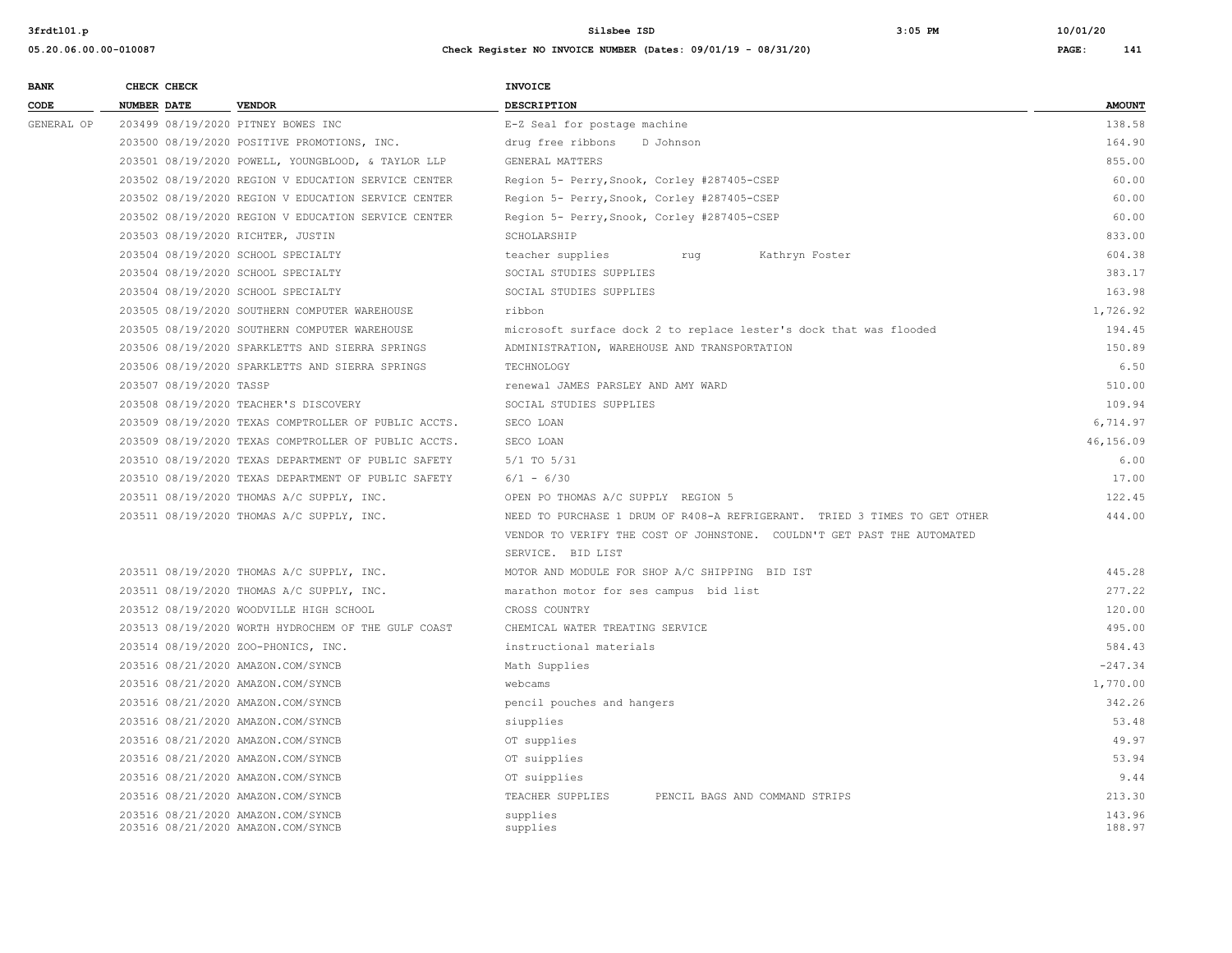**05.20.06.00.00-010087 Check Register NO INVOICE NUMBER (Dates: 09/01/19 - 08/31/20) PAGE: 141**

# **BANK CHECK CHECK CHECK CODE NUMBER DATE VENDOR DESCRIPTION AMOUNT** GENERAL OP 203499 08/19/2020 PITNEY BOWES INC SALL BOWER SERVICE RELATED SEAL for postage machine 138.58 203500 08/19/2020 POSITIVE PROMOTIONS, INC. drug free ribbons D Johnson 164.90 203501 08/19/2020 POWELL, YOUNGBLOOD, & TAYLOR LLP GENERAL MATTERS 855.00 203502 08/19/2020 REGION V EDUCATION SERVICE CENTER Region 5- Perry,Snook, Corley #287405-CSEP 60.00 203502 08/19/2020 REGION V EDUCATION SERVICE CENTER Region 5- Perry,Snook, Corley #287405-CSEP 60.00 203502 08/19/2020 REGION V EDUCATION SERVICE CENTER Region 5- Perry,Snook, Corley #287405-CSEP 60.00 203503 08/19/2020 RICHTER, JUSTIN SCHOLARSHIP 833.00 203504 08/19/2020 SCHOOL SPECIALTY teacher supplies rug Kathryn Foster 604.38 203504 08/19/2020 SCHOOL SPECIALTY SOCIAL STUDIES SUPPLIES 383.17 203504 08/19/2020 SCHOOL SPECIALTY SOCIAL STUDIES SUPPLIES 163.98 203505 08/19/2020 SOUTHERN COMPUTER WAREHOUSE ribbon 1,726.92 203505 08/19/2020 SOUTHERN COMPUTER WAREHOUSE microsoft surface dock 2 to replace lester's dock that was flooded 194.45 203506 08/19/2020 SPARKLETTS AND SIERRA SPRINGS ADMINISTRATION, WAREHOUSE AND TRANSPORTATION 150.89 203506 08/19/2020 SPARKLETTS AND SIERRA SPRINGS TECHNOLOGY 6.50 203507 08/19/2020 TASSP renewal JAMES PARSLEY AND AMY WARD 510.00 203508 08/19/2020 TEACHER'S DISCOVERY SOCIAL STUDIES SUPPLIES 109.94 203509 08/19/2020 TEXAS COMPTROLLER OF PUBLIC ACCTS. SECO LOAN 6,714.97 203509 08/19/2020 TEXAS COMPTROLLER OF PUBLIC ACCTS. SECO LOAN 46,156.09 203510 08/19/2020 TEXAS DEPARTMENT OF PUBLIC SAFETY 5/1 TO 5/31 6.00 203510 08/19/2020 TEXAS DEPARTMENT OF PUBLIC SAFETY 6/1 - 6/30 17.00 203511 08/19/2020 THOMAS A/C SUPPLY, INC. OPEN PO THOMAS A/C SUPPLY REGION 5 122.45 203511 08/19/2020 THOMAS A/C SUPPLY, INC. NEED TO PURCHASE 1 DRUM OF R408-A REFRIGERANT. TRIED 3 TIMES TO GET OTHER 444.00 VENDOR TO VERIFY THE COST OF JOHNSTONE. COULDN'T GET PAST THE AUTOMATED SERVICE. BID LIST 203511 08/19/2020 THOMAS A/C SUPPLY, INC. MOTOR AND MODULE FOR SHOP A/C SHIPPING BID IST 445.28 203511 08/19/2020 THOMAS A/C SUPPLY, INC. marathon motor for ses campus bid list 277.22 203512 08/19/2020 WOODVILLE HIGH SCHOOL CROSS COUNTRY 120.00 203513 08/19/2020 WORTH HYDROCHEM OF THE GULF COAST CHEMICAL WATER TREATING SERVICE 495.00 203514 08/19/2020 ZOO-PHONICS, INC. instructional materials 584.43 203516 08/21/2020 AMAZON.COM/SYNCB Math Supplies -247.34 203516 08/21/2020 AMAZON.COM/SYNCB webcams 1,770.00 203516 08/21/2020 AMAZON.COM/SYNCB pencil pouches and hangers 342.26 203516 08/21/2020 AMAZON.COM/SYNCB siupplies 53.48 203516 08/21/2020 AMAZON.COM/SYNCB OT supplies 49.97 203516 08/21/2020 AMAZON.COM/SYNCB OT suipplies 53.94 203516 08/21/2020 AMAZON.COM/SYNCB OT suipplies 9.44 203516 08/21/2020 AMAZON.COM/SYNCB TEACHER SUPPLIES PENCIL BAGS AND COMMAND STRIPS 213.30 203516 08/21/2020 AMAZON.COM/SYNCB supplies 143.96

203516 08/21/2020 AMAZON.COM/SYNCB supplies 188.97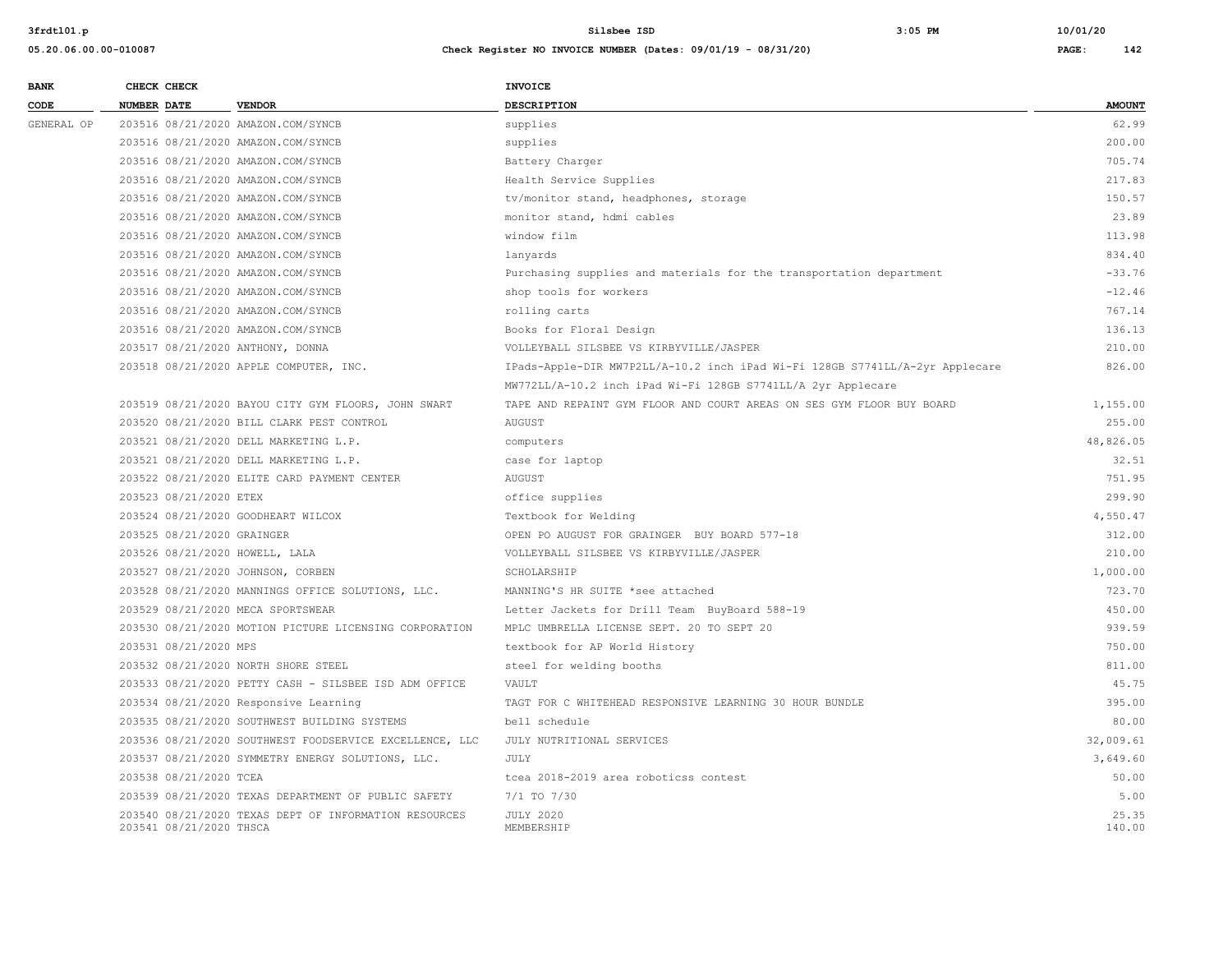| <b>BANK</b> | CHECK CHECK                    |                                                         | INVOICE                                                                      |                 |
|-------------|--------------------------------|---------------------------------------------------------|------------------------------------------------------------------------------|-----------------|
| CODE        | <b>NUMBER DATE</b>             | <b>VENDOR</b>                                           | <b>DESCRIPTION</b>                                                           | <b>AMOUNT</b>   |
| GENERAL OP  |                                | 203516 08/21/2020 AMAZON.COM/SYNCB                      | supplies                                                                     | 62.99           |
|             |                                | 203516 08/21/2020 AMAZON.COM/SYNCB                      | supplies                                                                     | 200.00          |
|             |                                | 203516 08/21/2020 AMAZON.COM/SYNCB                      | Battery Charger                                                              | 705.74          |
|             |                                | 203516 08/21/2020 AMAZON.COM/SYNCB                      | Health Service Supplies                                                      | 217.83          |
|             |                                | 203516 08/21/2020 AMAZON.COM/SYNCB                      | tv/monitor stand, headphones, storage                                        | 150.57          |
|             |                                | 203516 08/21/2020 AMAZON.COM/SYNCB                      | monitor stand, hdmi cables                                                   | 23.89           |
|             |                                | 203516 08/21/2020 AMAZON.COM/SYNCB                      | window film                                                                  | 113.98          |
|             |                                | 203516 08/21/2020 AMAZON.COM/SYNCB                      | lanyards                                                                     | 834.40          |
|             |                                | 203516 08/21/2020 AMAZON.COM/SYNCB                      | Purchasing supplies and materials for the transportation department          | $-33.76$        |
|             |                                | 203516 08/21/2020 AMAZON.COM/SYNCB                      | shop tools for workers                                                       | $-12.46$        |
|             |                                | 203516 08/21/2020 AMAZON.COM/SYNCB                      | rolling carts                                                                | 767.14          |
|             |                                | 203516 08/21/2020 AMAZON.COM/SYNCB                      | Books for Floral Design                                                      | 136.13          |
|             |                                | 203517 08/21/2020 ANTHONY, DONNA                        | VOLLEYBALL SILSBEE VS KIRBYVILLE/JASPER                                      | 210.00          |
|             |                                | 203518 08/21/2020 APPLE COMPUTER, INC.                  | IPads-Apple-DIR MW7P2LL/A-10.2 inch iPad Wi-Fi 128GB S7741LL/A-2yr Applecare | 826.00          |
|             |                                |                                                         | MW772LL/A-10.2 inch iPad Wi-Fi 128GB S7741LL/A 2yr Applecare                 |                 |
|             |                                | 203519 08/21/2020 BAYOU CITY GYM FLOORS, JOHN SWART     | TAPE AND REPAINT GYM FLOOR AND COURT AREAS ON SES GYM FLOOR BUY BOARD        | 1,155.00        |
|             |                                | 203520 08/21/2020 BILL CLARK PEST CONTROL               | <b>AUGUST</b>                                                                | 255.00          |
|             |                                | 203521 08/21/2020 DELL MARKETING L.P.                   | computers                                                                    | 48,826.05       |
|             |                                | 203521 08/21/2020 DELL MARKETING L.P.                   | case for laptop                                                              | 32.51           |
|             |                                | 203522 08/21/2020 ELITE CARD PAYMENT CENTER             | <b>AUGUST</b>                                                                | 751.95          |
|             | 203523 08/21/2020 ETEX         |                                                         | office supplies                                                              | 299.90          |
|             |                                | 203524 08/21/2020 GOODHEART WILCOX                      | Textbook for Welding                                                         | 4,550.47        |
|             | 203525 08/21/2020 GRAINGER     |                                                         | OPEN PO AUGUST FOR GRAINGER BUY BOARD 577-18                                 | 312.00          |
|             | 203526 08/21/2020 HOWELL, LALA |                                                         | VOLLEYBALL SILSBEE VS KIRBYVILLE/JASPER                                      | 210.00          |
|             |                                | 203527 08/21/2020 JOHNSON, CORBEN                       | SCHOLARSHIP                                                                  | 1,000.00        |
|             |                                | 203528 08/21/2020 MANNINGS OFFICE SOLUTIONS, LLC.       | MANNING'S HR SUITE *see attached                                             | 723.70          |
|             |                                | 203529 08/21/2020 MECA SPORTSWEAR                       | Letter Jackets for Drill Team BuyBoard 588-19                                | 450.00          |
|             |                                | 203530 08/21/2020 MOTION PICTURE LICENSING CORPORATION  | MPLC UMBRELLA LICENSE SEPT. 20 TO SEPT 20                                    | 939.59          |
|             | 203531 08/21/2020 MPS          |                                                         | textbook for AP World History                                                | 750.00          |
|             |                                | 203532 08/21/2020 NORTH SHORE STEEL                     | steel for welding booths                                                     | 811.00          |
|             |                                | 203533 08/21/2020 PETTY CASH - SILSBEE ISD ADM OFFICE   | VAULT                                                                        | 45.75           |
|             |                                | 203534 08/21/2020 Responsive Learning                   | TAGT FOR C WHITEHEAD RESPONSIVE LEARNING 30 HOUR BUNDLE                      | 395.00          |
|             |                                | 203535 08/21/2020 SOUTHWEST BUILDING SYSTEMS            | bell schedule                                                                | 80.00           |
|             |                                | 203536 08/21/2020 SOUTHWEST FOODSERVICE EXCELLENCE, LLC | JULY NUTRITIONAL SERVICES                                                    | 32,009.61       |
|             |                                | 203537 08/21/2020 SYMMETRY ENERGY SOLUTIONS, LLC.       | JULY                                                                         | 3,649.60        |
|             | 203538 08/21/2020 TCEA         |                                                         | tcea 2018-2019 area roboticss contest                                        | 50.00           |
|             |                                | 203539 08/21/2020 TEXAS DEPARTMENT OF PUBLIC SAFETY     | 7/1 TO 7/30                                                                  | 5.00            |
|             | 203541 08/21/2020 THSCA        | 203540 08/21/2020 TEXAS DEPT OF INFORMATION RESOURCES   | <b>JULY 2020</b><br>MEMBERSHIP                                               | 25.35<br>140.00 |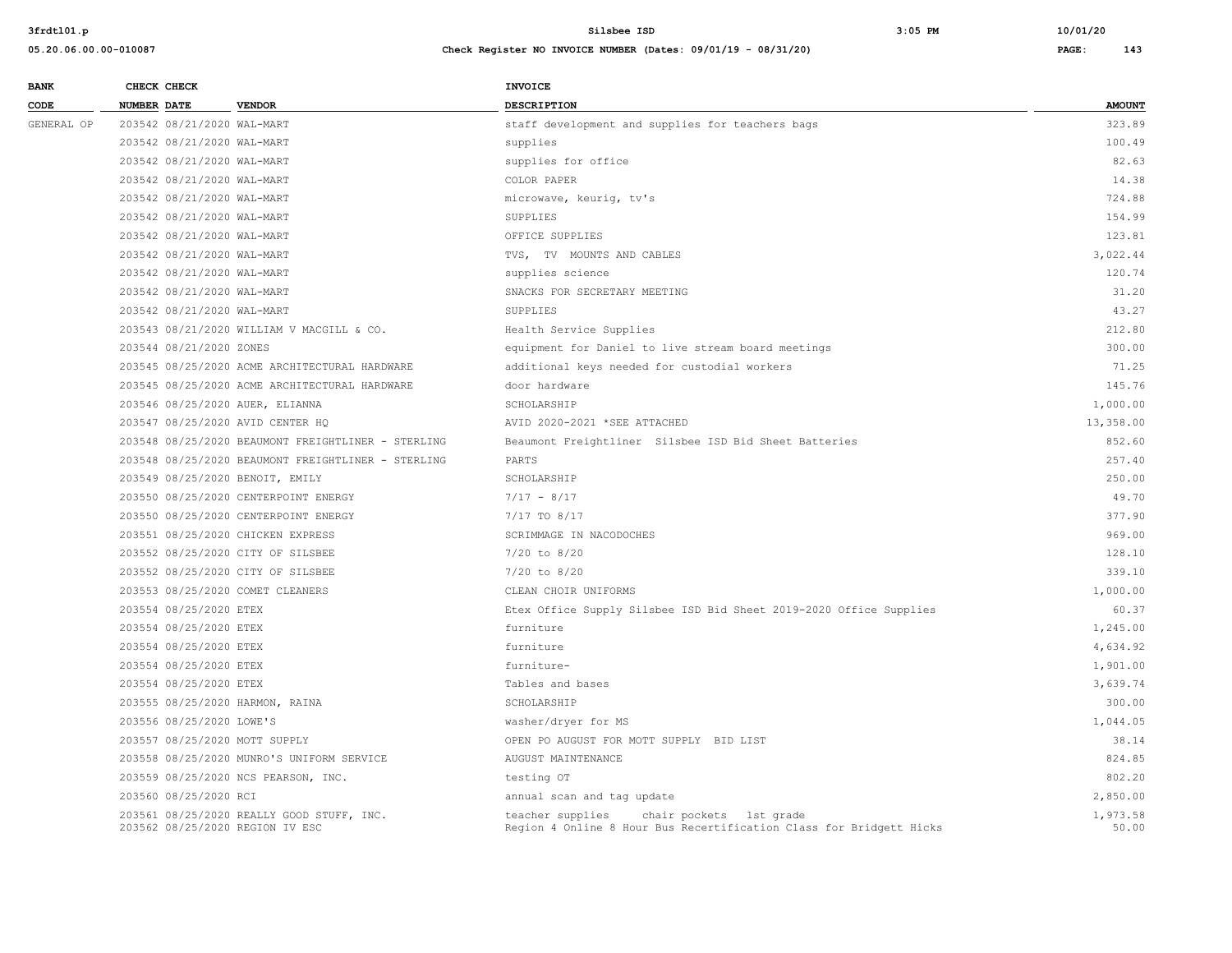| <b>BANK</b> | CHECK CHECK                       |                                                    | INVOICE                                                                                                            |                   |
|-------------|-----------------------------------|----------------------------------------------------|--------------------------------------------------------------------------------------------------------------------|-------------------|
| CODE        | <b>NUMBER DATE</b>                | <b>VENDOR</b>                                      | <b>DESCRIPTION</b>                                                                                                 | <b>AMOUNT</b>     |
| GENERAL OP  | 203542 08/21/2020 WAL-MART        |                                                    | staff development and supplies for teachers bags                                                                   | 323.89            |
|             | 203542 08/21/2020 WAL-MART        |                                                    | supplies                                                                                                           | 100.49            |
|             | 203542 08/21/2020 WAL-MART        |                                                    | supplies for office                                                                                                | 82.63             |
|             | 203542 08/21/2020 WAL-MART        |                                                    | COLOR PAPER                                                                                                        | 14.38             |
|             | 203542 08/21/2020 WAL-MART        |                                                    | microwave, keurig, tv's                                                                                            | 724.88            |
|             | 203542 08/21/2020 WAL-MART        |                                                    | SUPPLIES                                                                                                           | 154.99            |
|             | 203542 08/21/2020 WAL-MART        |                                                    | OFFICE SUPPLIES                                                                                                    | 123.81            |
|             | 203542 08/21/2020 WAL-MART        |                                                    | TVS, TV MOUNTS AND CABLES                                                                                          | 3.022.44          |
|             | 203542 08/21/2020 WAL-MART        |                                                    | supplies science                                                                                                   | 120.74            |
|             | 203542 08/21/2020 WAL-MART        |                                                    | SNACKS FOR SECRETARY MEETING                                                                                       | 31.20             |
|             | 203542 08/21/2020 WAL-MART        |                                                    | SUPPLIES                                                                                                           | 43.27             |
|             |                                   | 203543 08/21/2020 WILLIAM V MACGILL & CO.          | Health Service Supplies                                                                                            | 212.80            |
|             | 203544 08/21/2020 ZONES           |                                                    | equipment for Daniel to live stream board meetings                                                                 | 300.00            |
|             |                                   | 203545 08/25/2020 ACME ARCHITECTURAL HARDWARE      | additional keys needed for custodial workers                                                                       | 71.25             |
|             |                                   | 203545 08/25/2020 ACME ARCHITECTURAL HARDWARE      | door hardware                                                                                                      | 145.76            |
|             | 203546 08/25/2020 AUER, ELIANNA   |                                                    | SCHOLARSHIP                                                                                                        | 1,000.00          |
|             | 203547 08/25/2020 AVID CENTER HQ  |                                                    | AVID 2020-2021 *SEE ATTACHED                                                                                       | 13,358.00         |
|             |                                   | 203548 08/25/2020 BEAUMONT FREIGHTLINER - STERLING | Beaumont Freightliner Silsbee ISD Bid Sheet Batteries                                                              | 852.60            |
|             |                                   | 203548 08/25/2020 BEAUMONT FREIGHTLINER - STERLING | PARTS                                                                                                              | 257.40            |
|             | 203549 08/25/2020 BENOIT, EMILY   |                                                    | SCHOLARSHIP                                                                                                        | 250.00            |
|             |                                   | 203550 08/25/2020 CENTERPOINT ENERGY               | $7/17 - 8/17$                                                                                                      | 49.70             |
|             |                                   | 203550 08/25/2020 CENTERPOINT ENERGY               | 7/17 TO 8/17                                                                                                       | 377.90            |
|             | 203551 08/25/2020 CHICKEN EXPRESS |                                                    | SCRIMMAGE IN NACODOCHES                                                                                            | 969.00            |
|             | 203552 08/25/2020 CITY OF SILSBEE |                                                    | $7/20$ to $8/20$                                                                                                   | 128.10            |
|             | 203552 08/25/2020 CITY OF SILSBEE |                                                    | $7/20$ to $8/20$                                                                                                   | 339.10            |
|             | 203553 08/25/2020 COMET CLEANERS  |                                                    | CLEAN CHOIR UNIFORMS                                                                                               | 1,000.00          |
|             | 203554 08/25/2020 ETEX            |                                                    | Etex Office Supply Silsbee ISD Bid Sheet 2019-2020 Office Supplies                                                 | 60.37             |
|             | 203554 08/25/2020 ETEX            |                                                    | furniture                                                                                                          | 1,245.00          |
|             | 203554 08/25/2020 ETEX            |                                                    | furniture                                                                                                          | 4,634.92          |
|             | 203554 08/25/2020 ETEX            |                                                    | furniture-                                                                                                         | 1,901.00          |
|             | 203554 08/25/2020 ETEX            |                                                    | Tables and bases                                                                                                   | 3,639.74          |
|             | 203555 08/25/2020 HARMON, RAINA   |                                                    | SCHOLARSHIP                                                                                                        | 300.00            |
|             | 203556 08/25/2020 LOWE'S          |                                                    | washer/dryer for MS                                                                                                | 1,044.05          |
|             | 203557 08/25/2020 MOTT SUPPLY     |                                                    | OPEN PO AUGUST FOR MOTT SUPPLY BID LIST                                                                            | 38.14             |
|             |                                   | 203558 08/25/2020 MUNRO'S UNIFORM SERVICE          | AUGUST MAINTENANCE                                                                                                 | 824.85            |
|             |                                   | 203559 08/25/2020 NCS PEARSON, INC.                | testing OT                                                                                                         | 802.20            |
|             | 203560 08/25/2020 RCI             |                                                    | annual scan and tag update                                                                                         | 2,850.00          |
|             | 203562 08/25/2020 REGION IV ESC   | 203561 08/25/2020 REALLY GOOD STUFF, INC.          | teacher supplies<br>chair pockets 1st grade<br>Region 4 Online 8 Hour Bus Recertification Class for Bridgett Hicks | 1,973.58<br>50.00 |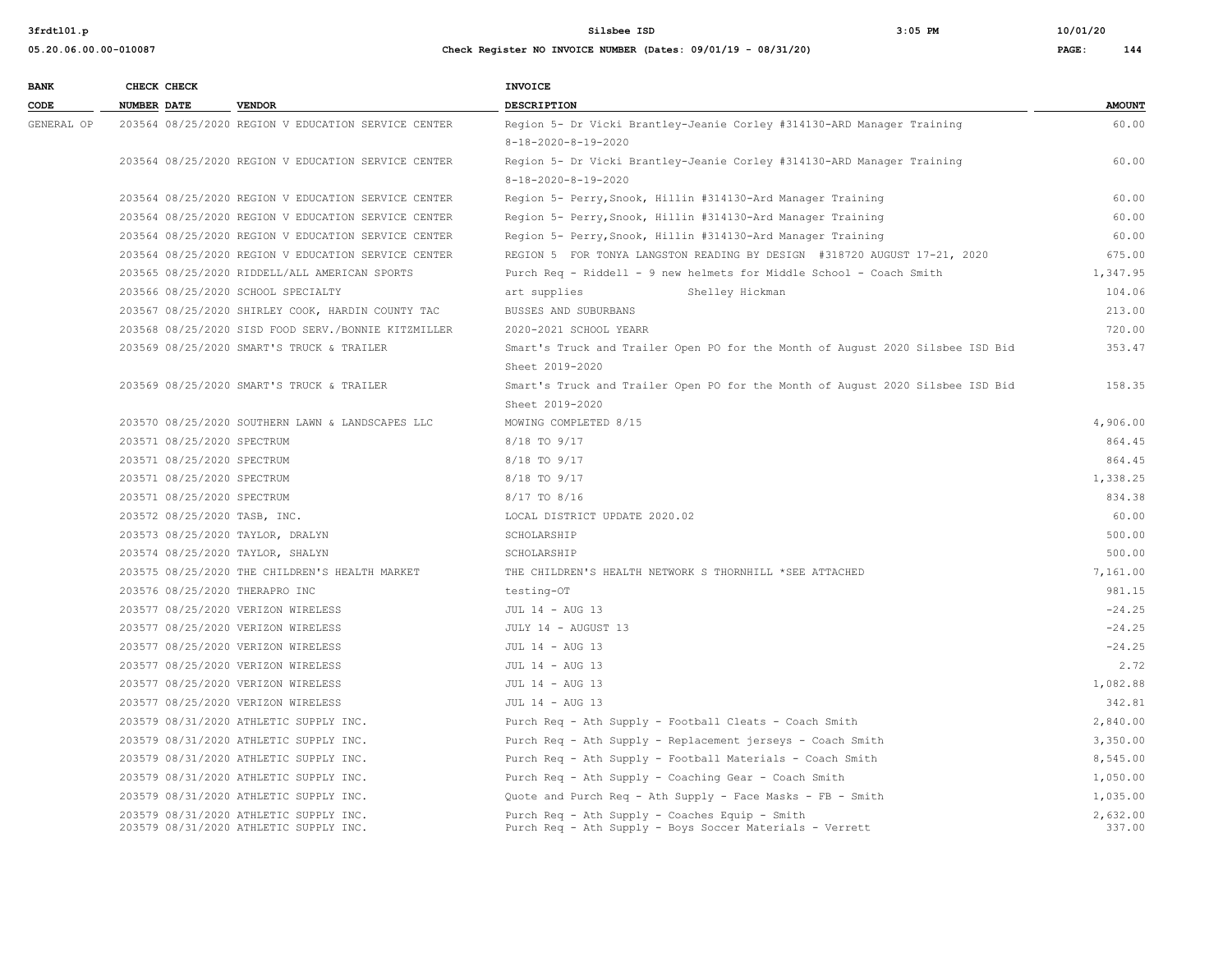**05.20.06.00.00-010087 Check Register NO INVOICE NUMBER (Dates: 09/01/19 - 08/31/20) PAGE: 144**

**3frdtl01.p Silsbee ISD 3:05 PM 10/01/20**

| <b>BANK</b> | CHECK CHECK                                                                      | <b>INVOICE</b>                                                                                             |                    |
|-------------|----------------------------------------------------------------------------------|------------------------------------------------------------------------------------------------------------|--------------------|
| CODE        | <b>NUMBER DATE</b><br><b>VENDOR</b>                                              | <b>DESCRIPTION</b>                                                                                         | <b>AMOUNT</b>      |
| GENERAL OP  | 203564 08/25/2020 REGION V EDUCATION SERVICE CENTER                              | Region 5- Dr Vicki Brantley-Jeanie Corley #314130-ARD Manager Training                                     | 60.00              |
|             |                                                                                  | $8 - 18 - 2020 - 8 - 19 - 2020$                                                                            |                    |
|             | 203564 08/25/2020 REGION V EDUCATION SERVICE CENTER                              | Region 5- Dr Vicki Brantley-Jeanie Corley #314130-ARD Manager Training                                     | 60.00              |
|             |                                                                                  | $8 - 18 - 2020 - 8 - 19 - 2020$                                                                            |                    |
|             | 203564 08/25/2020 REGION V EDUCATION SERVICE CENTER                              | Region 5- Perry, Snook, Hillin #314130-Ard Manager Training                                                | 60.00              |
|             | 203564 08/25/2020 REGION V EDUCATION SERVICE CENTER                              | Region 5- Perry, Snook, Hillin #314130-Ard Manager Training                                                | 60.00              |
|             | 203564 08/25/2020 REGION V EDUCATION SERVICE CENTER                              | Region 5- Perry, Snook, Hillin #314130-Ard Manager Training                                                | 60.00              |
|             | 203564 08/25/2020 REGION V EDUCATION SERVICE CENTER                              | REGION 5 FOR TONYA LANGSTON READING BY DESIGN #318720 AUGUST 17-21, 2020                                   | 675.00             |
|             | 203565 08/25/2020 RIDDELL/ALL AMERICAN SPORTS                                    | Purch Req - Riddell - 9 new helmets for Middle School - Coach Smith                                        | 1,347.95           |
|             | 203566 08/25/2020 SCHOOL SPECIALTY                                               | art supplies<br>Shelley Hickman                                                                            | 104.06             |
|             | 203567 08/25/2020 SHIRLEY COOK, HARDIN COUNTY TAC                                | BUSSES AND SUBURBANS                                                                                       | 213.00             |
|             | 203568 08/25/2020 SISD FOOD SERV./BONNIE KITZMILLER                              | 2020-2021 SCHOOL YEARR                                                                                     | 720.00             |
|             | 203569 08/25/2020 SMART'S TRUCK & TRAILER                                        | Smart's Truck and Trailer Open PO for the Month of August 2020 Silsbee ISD Bid                             | 353.47             |
|             |                                                                                  | Sheet 2019-2020                                                                                            |                    |
|             | 203569 08/25/2020 SMART'S TRUCK & TRAILER                                        | Smart's Truck and Trailer Open PO for the Month of August 2020 Silsbee ISD Bid                             | 158.35             |
|             |                                                                                  | Sheet 2019-2020                                                                                            |                    |
|             | 203570 08/25/2020 SOUTHERN LAWN & LANDSCAPES LLC                                 | MOWING COMPLETED 8/15                                                                                      | 4,906.00           |
|             | 203571 08/25/2020 SPECTRUM                                                       | 8/18 TO 9/17                                                                                               | 864.45             |
|             | 203571 08/25/2020 SPECTRUM                                                       | 8/18 TO 9/17                                                                                               | 864.45             |
|             | 203571 08/25/2020 SPECTRUM                                                       | 8/18 TO 9/17                                                                                               | 1,338.25           |
|             | 203571 08/25/2020 SPECTRUM                                                       | 8/17 TO 8/16                                                                                               | 834.38             |
|             | 203572 08/25/2020 TASB, INC.                                                     | LOCAL DISTRICT UPDATE 2020.02                                                                              | 60.00              |
|             | 203573 08/25/2020 TAYLOR, DRALYN                                                 | SCHOLARSHIP                                                                                                | 500.00             |
|             | 203574 08/25/2020 TAYLOR, SHALYN                                                 | SCHOLARSHIP                                                                                                | 500.00             |
|             | 203575 08/25/2020 THE CHILDREN'S HEALTH MARKET                                   | THE CHILDREN'S HEALTH NETWORK S THORNHILL *SEE ATTACHED                                                    | 7,161.00           |
|             | 203576 08/25/2020 THERAPRO INC                                                   | testing-OT                                                                                                 | 981.15             |
|             | 203577 08/25/2020 VERIZON WIRELESS                                               | JUL 14 - AUG 13                                                                                            | $-24.25$           |
|             | 203577 08/25/2020 VERIZON WIRELESS                                               | JULY 14 - AUGUST 13                                                                                        | $-24.25$           |
|             | 203577 08/25/2020 VERIZON WIRELESS                                               | JUL 14 - AUG 13                                                                                            | $-24.25$           |
|             | 203577 08/25/2020 VERIZON WIRELESS                                               | JUL 14 - AUG 13                                                                                            | 2.72               |
|             | 203577 08/25/2020 VERIZON WIRELESS                                               | JUL 14 - AUG 13                                                                                            | 1,082.88           |
|             | 203577 08/25/2020 VERIZON WIRELESS                                               | JUL 14 - AUG 13                                                                                            | 342.81             |
|             | 203579 08/31/2020 ATHLETIC SUPPLY INC.                                           | Purch Req - Ath Supply - Football Cleats - Coach Smith                                                     | 2,840.00           |
|             | 203579 08/31/2020 ATHLETIC SUPPLY INC.                                           | Purch Req - Ath Supply - Replacement jerseys - Coach Smith                                                 | 3,350.00           |
|             | 203579 08/31/2020 ATHLETIC SUPPLY INC.                                           | Purch Req - Ath Supply - Football Materials - Coach Smith                                                  | 8,545.00           |
|             | 203579 08/31/2020 ATHLETIC SUPPLY INC.                                           | Purch Req - Ath Supply - Coaching Gear - Coach Smith                                                       | 1,050.00           |
|             | 203579 08/31/2020 ATHLETIC SUPPLY INC.                                           | Quote and Purch Req - Ath Supply - Face Masks - FB - Smith                                                 | 1,035.00           |
|             | 203579 08/31/2020 ATHLETIC SUPPLY INC.<br>203579 08/31/2020 ATHLETIC SUPPLY INC. | Purch Req - Ath Supply - Coaches Equip - Smith<br>Purch Req - Ath Supply - Boys Soccer Materials - Verrett | 2,632.00<br>337.00 |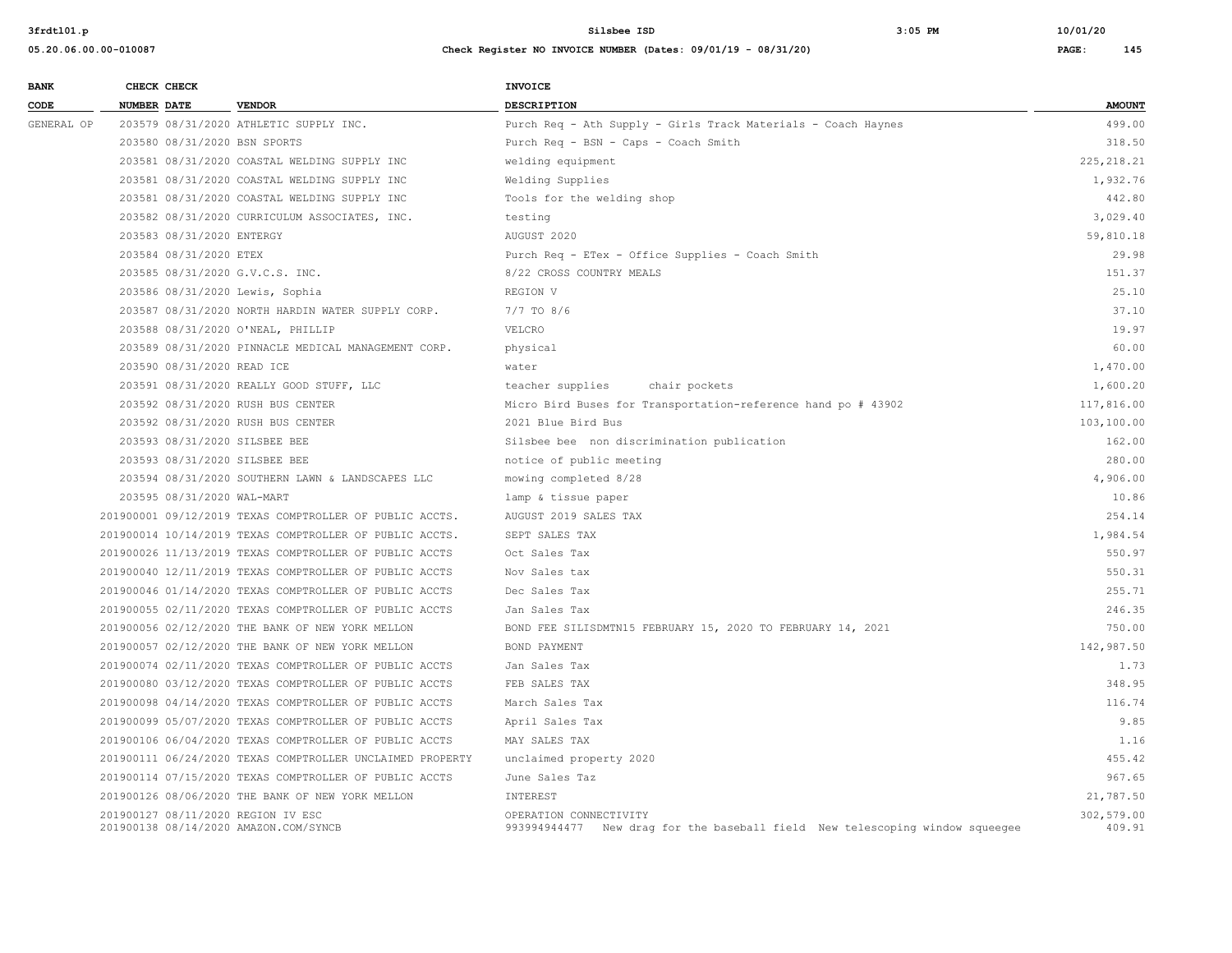**3frdtl01.p Silsbee ISD 3:05 PM 10/01/20**

## **05.20.06.00.00-010087 Check Register NO INVOICE NUMBER (Dates: 09/01/19 - 08/31/20) PAGE: 145**

| <b>BANK</b> | CHECK CHECK                                                                 |                                                           | <b>INVOICE</b>                                                                                         |                      |
|-------------|-----------------------------------------------------------------------------|-----------------------------------------------------------|--------------------------------------------------------------------------------------------------------|----------------------|
| CODE        | <b>NUMBER DATE</b>                                                          | <b>VENDOR</b>                                             | <b>DESCRIPTION</b>                                                                                     | <b>AMOUNT</b>        |
| GENERAL OP  |                                                                             | 203579 08/31/2020 ATHLETIC SUPPLY INC.                    | Purch Req - Ath Supply - Girls Track Materials - Coach Haynes                                          | 499.00               |
|             | 203580 08/31/2020 BSN SPORTS                                                |                                                           | Purch Req - BSN - Caps - Coach Smith                                                                   | 318.50               |
|             |                                                                             | 203581 08/31/2020 COASTAL WELDING SUPPLY INC              | welding equipment                                                                                      | 225, 218.21          |
|             |                                                                             | 203581 08/31/2020 COASTAL WELDING SUPPLY INC              | Welding Supplies                                                                                       | 1,932.76             |
|             |                                                                             | 203581 08/31/2020 COASTAL WELDING SUPPLY INC              | Tools for the welding shop                                                                             | 442.80               |
|             |                                                                             | 203582 08/31/2020 CURRICULUM ASSOCIATES, INC.             | testing                                                                                                | 3,029.40             |
|             | 203583 08/31/2020 ENTERGY                                                   |                                                           | AUGUST 2020                                                                                            | 59,810.18            |
|             | 203584 08/31/2020 ETEX                                                      |                                                           | Purch Req - ETex - Office Supplies - Coach Smith                                                       | 29.98                |
|             | 203585 08/31/2020 G.V.C.S. INC.                                             |                                                           | 8/22 CROSS COUNTRY MEALS                                                                               | 151.37               |
|             | 203586 08/31/2020 Lewis, Sophia                                             |                                                           | REGION V                                                                                               | 25.10                |
|             |                                                                             | 203587 08/31/2020 NORTH HARDIN WATER SUPPLY CORP.         | $7/7$ TO 8/6                                                                                           | 37.10                |
|             | 203588 08/31/2020 O'NEAL, PHILLIP                                           |                                                           | VELCRO                                                                                                 | 19.97                |
|             |                                                                             | 203589 08/31/2020 PINNACLE MEDICAL MANAGEMENT CORP.       | physical                                                                                               | 60.00                |
|             | 203590 08/31/2020 READ ICE                                                  |                                                           | water                                                                                                  | 1,470.00             |
|             |                                                                             | 203591 08/31/2020 REALLY GOOD STUFF, LLC                  | teacher supplies<br>chair pockets                                                                      | 1,600.20             |
|             | 203592 08/31/2020 RUSH BUS CENTER                                           |                                                           | Micro Bird Buses for Transportation-reference hand po # 43902                                          | 117,816.00           |
|             | 203592 08/31/2020 RUSH BUS CENTER                                           |                                                           | 2021 Blue Bird Bus                                                                                     | 103,100.00           |
|             | 203593 08/31/2020 SILSBEE BEE                                               |                                                           | Silsbee bee non discrimination publication                                                             | 162.00               |
|             | 203593 08/31/2020 SILSBEE BEE                                               |                                                           | notice of public meeting                                                                               | 280.00               |
|             |                                                                             | 203594 08/31/2020 SOUTHERN LAWN & LANDSCAPES LLC          | mowing completed 8/28                                                                                  | 4,906.00             |
|             | 203595 08/31/2020 WAL-MART                                                  |                                                           | lamp & tissue paper                                                                                    | 10.86                |
|             |                                                                             | 201900001 09/12/2019 TEXAS COMPTROLLER OF PUBLIC ACCTS.   | AUGUST 2019 SALES TAX                                                                                  | 254.14               |
|             |                                                                             | 201900014 10/14/2019 TEXAS COMPTROLLER OF PUBLIC ACCTS.   | SEPT SALES TAX                                                                                         | 1,984.54             |
|             |                                                                             | 201900026 11/13/2019 TEXAS COMPTROLLER OF PUBLIC ACCTS    | Oct Sales Tax                                                                                          | 550.97               |
|             |                                                                             | 201900040 12/11/2019 TEXAS COMPTROLLER OF PUBLIC ACCTS    | Nov Sales tax                                                                                          | 550.31               |
|             |                                                                             | 201900046 01/14/2020 TEXAS COMPTROLLER OF PUBLIC ACCTS    | Dec Sales Tax                                                                                          | 255.71               |
|             |                                                                             | 201900055 02/11/2020 TEXAS COMPTROLLER OF PUBLIC ACCTS    | Jan Sales Tax                                                                                          | 246.35               |
|             |                                                                             | 201900056 02/12/2020 THE BANK OF NEW YORK MELLON          | BOND FEE SILISDMTN15 FEBRUARY 15, 2020 TO FEBRUARY 14, 2021                                            | 750.00               |
|             |                                                                             | 201900057 02/12/2020 THE BANK OF NEW YORK MELLON          | BOND PAYMENT                                                                                           | 142,987.50           |
|             |                                                                             | 201900074 02/11/2020 TEXAS COMPTROLLER OF PUBLIC ACCTS    | Jan Sales Tax                                                                                          | 1.73                 |
|             |                                                                             | 201900080 03/12/2020 TEXAS COMPTROLLER OF PUBLIC ACCTS    | FEB SALES TAX                                                                                          | 348.95               |
|             |                                                                             | 201900098 04/14/2020 TEXAS COMPTROLLER OF PUBLIC ACCTS    | March Sales Tax                                                                                        | 116.74               |
|             |                                                                             | 201900099 05/07/2020 TEXAS COMPTROLLER OF PUBLIC ACCTS    | April Sales Tax                                                                                        | 9.85                 |
|             |                                                                             | 201900106 06/04/2020 TEXAS COMPTROLLER OF PUBLIC ACCTS    | MAY SALES TAX                                                                                          | 1.16                 |
|             |                                                                             | 201900111 06/24/2020 TEXAS COMPTROLLER UNCLAIMED PROPERTY | unclaimed property 2020                                                                                | 455.42               |
|             |                                                                             | 201900114 07/15/2020 TEXAS COMPTROLLER OF PUBLIC ACCTS    | June Sales Taz                                                                                         | 967.65               |
|             |                                                                             | 201900126 08/06/2020 THE BANK OF NEW YORK MELLON          | INTEREST                                                                                               | 21,787.50            |
|             | 201900127 08/11/2020 REGION IV ESC<br>201900138 08/14/2020 AMAZON.COM/SYNCB |                                                           | OPERATION CONNECTIVITY<br>993994944477 New drag for the baseball field New telescoping window squeegee | 302,579.00<br>409.91 |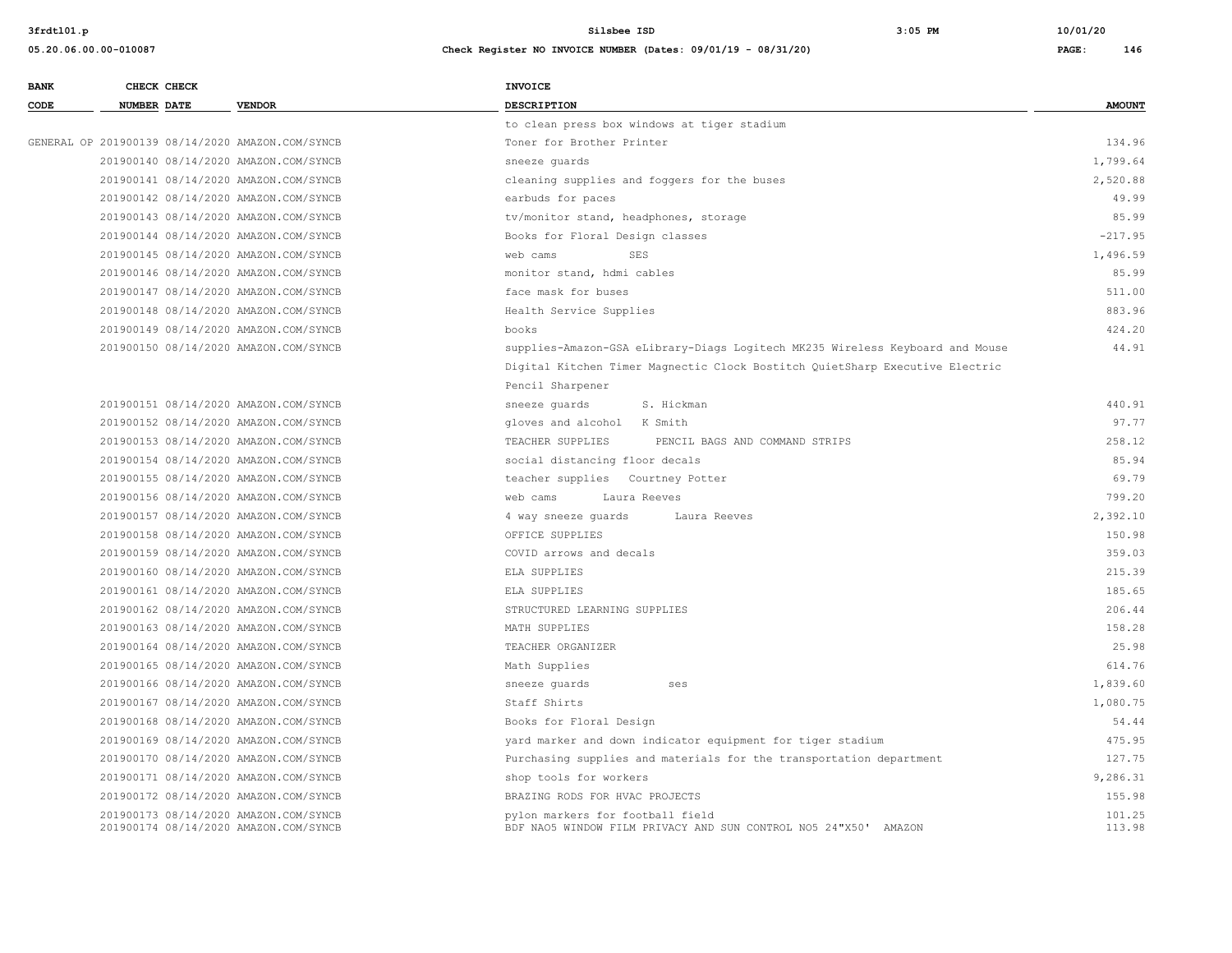**3frdtl01.p Silsbee ISD 3:05 PM 10/01/20**

## **05.20.06.00.00-010087 Check Register NO INVOICE NUMBER (Dates: 09/01/19 - 08/31/20) PAGE: 146**

| <b>BANK</b><br>CHECK CHECK                                                     | <b>INVOICE</b>                                                                                                          |
|--------------------------------------------------------------------------------|-------------------------------------------------------------------------------------------------------------------------|
| CODE<br><b>VENDOR</b><br><b>NUMBER DATE</b>                                    | DESCRIPTION<br><b>AMOUNT</b>                                                                                            |
|                                                                                | to clean press box windows at tiger stadium                                                                             |
| GENERAL OP 201900139 08/14/2020 AMAZON.COM/SYNCB                               | 134.96<br>Toner for Brother Printer                                                                                     |
| 201900140 08/14/2020 AMAZON.COM/SYNCB                                          | 1,799.64<br>sneeze quards                                                                                               |
| 201900141 08/14/2020 AMAZON.COM/SYNCB                                          | cleaning supplies and foggers for the buses<br>2,520.88                                                                 |
| 201900142 08/14/2020 AMAZON.COM/SYNCB                                          | 49.99<br>earbuds for paces                                                                                              |
| 201900143 08/14/2020 AMAZON.COM/SYNCB                                          | 85.99<br>tv/monitor stand, headphones, storage                                                                          |
| 201900144 08/14/2020 AMAZON.COM/SYNCB                                          | $-217.95$<br>Books for Floral Design classes                                                                            |
| 201900145 08/14/2020 AMAZON.COM/SYNCB                                          | 1,496.59<br>web cams<br>SES                                                                                             |
| 201900146 08/14/2020 AMAZON.COM/SYNCB                                          | 85.99<br>monitor stand, hdmi cables                                                                                     |
| 201900147 08/14/2020 AMAZON.COM/SYNCB                                          | 511.00<br>face mask for buses                                                                                           |
| 201900148 08/14/2020 AMAZON.COM/SYNCB                                          | 883.96<br>Health Service Supplies                                                                                       |
| 201900149 08/14/2020 AMAZON.COM/SYNCB                                          | 424.20<br>books                                                                                                         |
| 201900150 08/14/2020 AMAZON.COM/SYNCB                                          | 44.91<br>supplies-Amazon-GSA eLibrary-Diags Logitech MK235 Wireless Keyboard and Mouse                                  |
|                                                                                | Digital Kitchen Timer Magnectic Clock Bostitch QuietSharp Executive Electric                                            |
|                                                                                | Pencil Sharpener                                                                                                        |
| 201900151 08/14/2020 AMAZON.COM/SYNCB                                          | S. Hickman<br>440.91<br>sneeze guards                                                                                   |
| 201900152 08/14/2020 AMAZON.COM/SYNCB                                          | 97.77<br>gloves and alcohol K Smith                                                                                     |
| 201900153 08/14/2020 AMAZON.COM/SYNCB                                          | 258.12<br>TEACHER SUPPLIES<br>PENCIL BAGS AND COMMAND STRIPS                                                            |
| 201900154 08/14/2020 AMAZON.COM/SYNCB                                          | 85.94<br>social distancing floor decals                                                                                 |
| 201900155 08/14/2020 AMAZON.COM/SYNCB                                          | 69.79<br>teacher supplies Courtney Potter                                                                               |
| 201900156 08/14/2020 AMAZON.COM/SYNCB                                          | 799.20<br>web cams<br>Laura Reeves                                                                                      |
| 201900157 08/14/2020 AMAZON.COM/SYNCB                                          | 2,392.10<br>4 way sneeze guards<br>Laura Reeves                                                                         |
| 201900158 08/14/2020 AMAZON.COM/SYNCB                                          | 150.98<br>OFFICE SUPPLIES                                                                                               |
| 201900159 08/14/2020 AMAZON.COM/SYNCB                                          | 359.03<br>COVID arrows and decals                                                                                       |
| 201900160 08/14/2020 AMAZON.COM/SYNCB                                          | 215.39<br>ELA SUPPLIES                                                                                                  |
| 201900161 08/14/2020 AMAZON.COM/SYNCB                                          | 185.65<br>ELA SUPPLIES                                                                                                  |
| 201900162 08/14/2020 AMAZON.COM/SYNCB                                          | STRUCTURED LEARNING SUPPLIES<br>206.44                                                                                  |
| 201900163 08/14/2020 AMAZON.COM/SYNCB                                          | 158.28<br>MATH SUPPLIES                                                                                                 |
| 201900164 08/14/2020 AMAZON.COM/SYNCB                                          | 25.98<br>TEACHER ORGANIZER                                                                                              |
| 201900165 08/14/2020 AMAZON.COM/SYNCB                                          | 614.76<br>Math Supplies                                                                                                 |
| 201900166 08/14/2020 AMAZON.COM/SYNCB                                          | 1,839.60<br>sneeze guards<br>ses                                                                                        |
| 201900167 08/14/2020 AMAZON.COM/SYNCB                                          | Staff Shirts<br>1,080.75                                                                                                |
| 201900168 08/14/2020 AMAZON.COM/SYNCB                                          | Books for Floral Design<br>54.44                                                                                        |
| 201900169 08/14/2020 AMAZON.COM/SYNCB                                          | 475.95<br>yard marker and down indicator equipment for tiger stadium                                                    |
| 201900170 08/14/2020 AMAZON.COM/SYNCB                                          | 127.75<br>Purchasing supplies and materials for the transportation department                                           |
| 201900171 08/14/2020 AMAZON.COM/SYNCB                                          | 9,286.31<br>shop tools for workers                                                                                      |
| 201900172 08/14/2020 AMAZON.COM/SYNCB                                          | 155.98<br>BRAZING RODS FOR HVAC PROJECTS                                                                                |
| 201900173 08/14/2020 AMAZON.COM/SYNCB<br>201900174 08/14/2020 AMAZON.COM/SYNCB | 101.25<br>pylon markers for football field<br>BDF NAO5 WINDOW FILM PRIVACY AND SUN CONTROL NO5 24"X50' AMAZON<br>113.98 |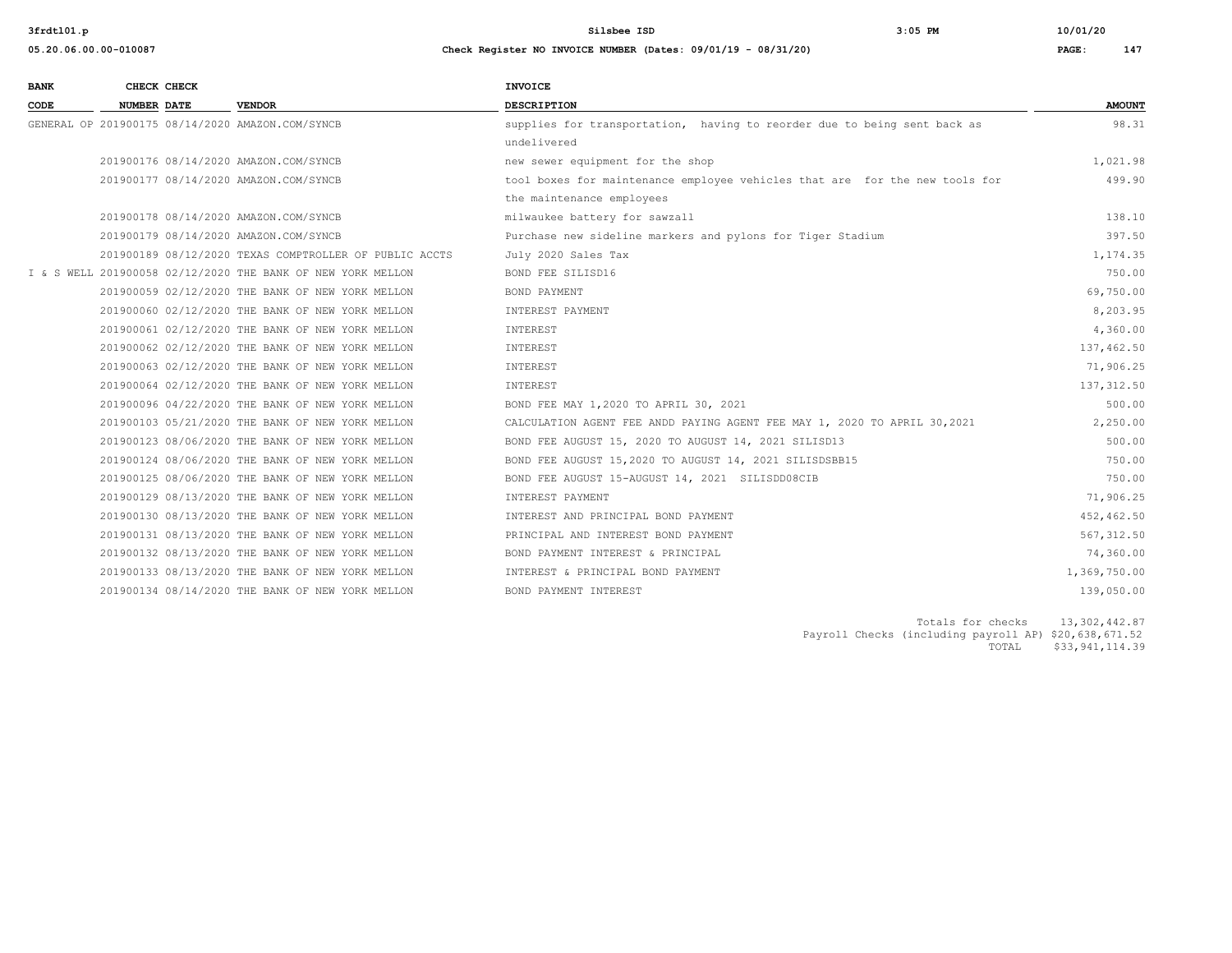**3frdtl01.p Silsbee ISD 3:05 PM 10/01/20**

| 05.20.06.00.00-010087 | Check Register NO INVOICE NUMBER (Dates: 09/01/19 - 08/31/20) | PAGE: | 147 |
|-----------------------|---------------------------------------------------------------|-------|-----|

| <b>BANK</b> |                    | CHECK CHECK |                                                             | <b>INVOICE</b>                                                              |               |
|-------------|--------------------|-------------|-------------------------------------------------------------|-----------------------------------------------------------------------------|---------------|
| CODE        | <b>NUMBER DATE</b> |             | <b>VENDOR</b>                                               | <b>DESCRIPTION</b>                                                          | <b>AMOUNT</b> |
|             |                    |             | GENERAL OP 201900175 08/14/2020 AMAZON.COM/SYNCB            | supplies for transportation, having to reorder due to being sent back as    | 98.31         |
|             |                    |             |                                                             | undelivered                                                                 |               |
|             |                    |             | 201900176 08/14/2020 AMAZON.COM/SYNCB                       | new sewer equipment for the shop                                            | 1,021.98      |
|             |                    |             | 201900177 08/14/2020 AMAZON.COM/SYNCB                       | tool boxes for maintenance employee vehicles that are for the new tools for | 499.90        |
|             |                    |             |                                                             | the maintenance employees                                                   |               |
|             |                    |             | 201900178 08/14/2020 AMAZON.COM/SYNCB                       | milwaukee battery for sawzall                                               | 138.10        |
|             |                    |             | 201900179 08/14/2020 AMAZON.COM/SYNCB                       | Purchase new sideline markers and pylons for Tiger Stadium                  | 397.50        |
|             |                    |             | 201900189 08/12/2020 TEXAS COMPTROLLER OF PUBLIC ACCTS      | July 2020 Sales Tax                                                         | 1,174.35      |
|             |                    |             | I & S WELL 201900058 02/12/2020 THE BANK OF NEW YORK MELLON | BOND FEE SILISD16                                                           | 750.00        |
|             |                    |             | 201900059 02/12/2020 THE BANK OF NEW YORK MELLON            | BOND PAYMENT                                                                | 69,750.00     |
|             |                    |             | 201900060 02/12/2020 THE BANK OF NEW YORK MELLON            | INTEREST PAYMENT                                                            | 8,203.95      |
|             |                    |             | 201900061 02/12/2020 THE BANK OF NEW YORK MELLON            | INTEREST                                                                    | 4,360.00      |
|             |                    |             | 201900062 02/12/2020 THE BANK OF NEW YORK MELLON            | INTEREST                                                                    | 137,462.50    |
|             |                    |             | 201900063 02/12/2020 THE BANK OF NEW YORK MELLON            | INTEREST                                                                    | 71,906.25     |
|             |                    |             | 201900064 02/12/2020 THE BANK OF NEW YORK MELLON            | INTEREST                                                                    | 137,312.50    |
|             |                    |             | 201900096 04/22/2020 THE BANK OF NEW YORK MELLON            | BOND FEE MAY 1,2020 TO APRIL 30, 2021                                       | 500.00        |
|             |                    |             | 201900103 05/21/2020 THE BANK OF NEW YORK MELLON            | CALCULATION AGENT FEE ANDD PAYING AGENT FEE MAY 1, 2020 TO APRIL 30,2021    | 2,250.00      |
|             |                    |             | 201900123 08/06/2020 THE BANK OF NEW YORK MELLON            | BOND FEE AUGUST 15, 2020 TO AUGUST 14, 2021 SILISD13                        | 500.00        |
|             |                    |             | 201900124 08/06/2020 THE BANK OF NEW YORK MELLON            | BOND FEE AUGUST 15,2020 TO AUGUST 14, 2021 SILISDSBB15                      | 750.00        |
|             |                    |             | 201900125 08/06/2020 THE BANK OF NEW YORK MELLON            | BOND FEE AUGUST 15-AUGUST 14, 2021 SILISDD08CIB                             | 750.00        |
|             |                    |             | 201900129 08/13/2020 THE BANK OF NEW YORK MELLON            | INTEREST PAYMENT                                                            | 71,906.25     |
|             |                    |             | 201900130 08/13/2020 THE BANK OF NEW YORK MELLON            | INTEREST AND PRINCIPAL BOND PAYMENT                                         | 452,462.50    |
|             |                    |             | 201900131 08/13/2020 THE BANK OF NEW YORK MELLON            | PRINCIPAL AND INTEREST BOND PAYMENT                                         | 567, 312.50   |
|             |                    |             | 201900132 08/13/2020 THE BANK OF NEW YORK MELLON            | BOND PAYMENT INTEREST & PRINCIPAL                                           | 74,360.00     |
|             |                    |             | 201900133 08/13/2020 THE BANK OF NEW YORK MELLON            | INTEREST & PRINCIPAL BOND PAYMENT                                           | 1,369,750.00  |
|             |                    |             | 201900134 08/14/2020 THE BANK OF NEW YORK MELLON            | BOND PAYMENT INTEREST                                                       | 139,050.00    |

Totals for checks 13,302,442.87 Payroll Checks (including payroll AP) \$20,638,671.52 TOTAL \$33,941,114.39